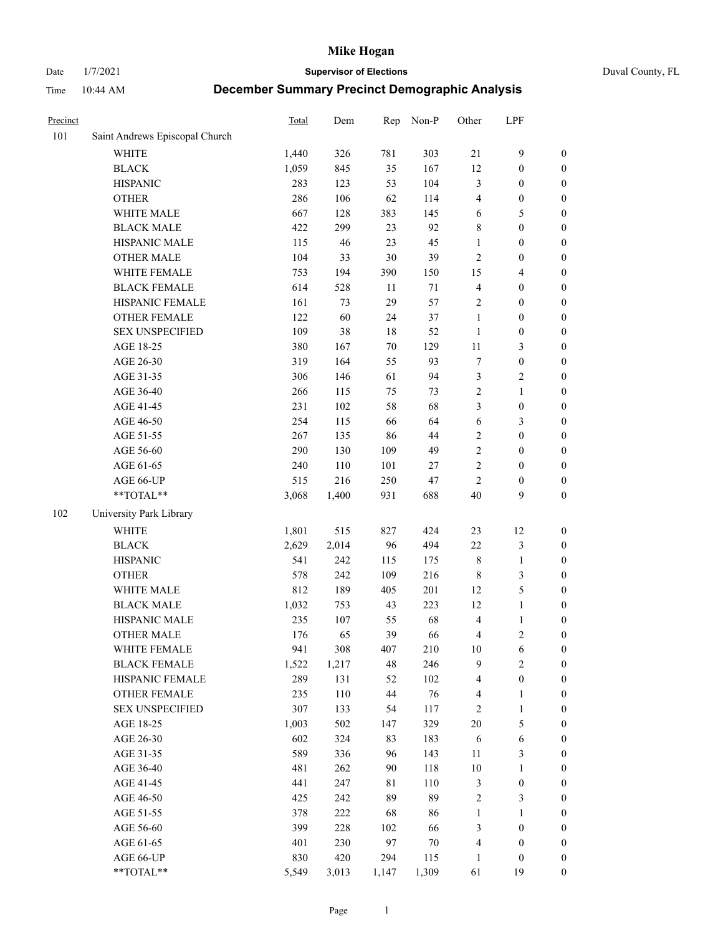Date 1/7/2021 **Supervisor of Elections** Duval County, FL

| Precinct |                                | Total | Dem   | Rep    | Non-P  | Other          | LPF                     |                  |
|----------|--------------------------------|-------|-------|--------|--------|----------------|-------------------------|------------------|
| 101      | Saint Andrews Episcopal Church |       |       |        |        |                |                         |                  |
|          | <b>WHITE</b>                   | 1,440 | 326   | 781    | 303    | 21             | $\mathbf{9}$            | 0                |
|          | <b>BLACK</b>                   | 1,059 | 845   | 35     | 167    | 12             | $\boldsymbol{0}$        | $\boldsymbol{0}$ |
|          | <b>HISPANIC</b>                | 283   | 123   | 53     | 104    | 3              | $\boldsymbol{0}$        | $\boldsymbol{0}$ |
|          | <b>OTHER</b>                   | 286   | 106   | 62     | 114    | 4              | $\boldsymbol{0}$        | $\boldsymbol{0}$ |
|          | WHITE MALE                     | 667   | 128   | 383    | 145    | 6              | 5                       | $\boldsymbol{0}$ |
|          | <b>BLACK MALE</b>              | 422   | 299   | 23     | 92     | 8              | $\boldsymbol{0}$        | $\boldsymbol{0}$ |
|          | HISPANIC MALE                  | 115   | 46    | 23     | 45     | $\mathbf{1}$   | $\boldsymbol{0}$        | $\boldsymbol{0}$ |
|          | <b>OTHER MALE</b>              | 104   | 33    | $30\,$ | 39     | $\overline{c}$ | $\boldsymbol{0}$        | $\boldsymbol{0}$ |
|          | WHITE FEMALE                   | 753   | 194   | 390    | 150    | 15             | $\overline{\mathbf{4}}$ | $\boldsymbol{0}$ |
|          | <b>BLACK FEMALE</b>            | 614   | 528   | 11     | 71     | $\overline{4}$ | $\boldsymbol{0}$        | $\boldsymbol{0}$ |
|          | HISPANIC FEMALE                | 161   | 73    | 29     | 57     | $\overline{c}$ | $\boldsymbol{0}$        | $\boldsymbol{0}$ |
|          | <b>OTHER FEMALE</b>            | 122   | 60    | 24     | 37     | $\mathbf{1}$   | $\boldsymbol{0}$        | $\boldsymbol{0}$ |
|          | <b>SEX UNSPECIFIED</b>         | 109   | 38    | 18     | 52     | $\mathbf{1}$   | $\boldsymbol{0}$        | $\boldsymbol{0}$ |
|          | AGE 18-25                      | 380   | 167   | $70\,$ | 129    | $11\,$         | $\mathfrak{Z}$          | $\boldsymbol{0}$ |
|          | AGE 26-30                      | 319   | 164   | 55     | 93     | 7              | $\boldsymbol{0}$        | $\boldsymbol{0}$ |
|          | AGE 31-35                      | 306   | 146   | 61     | 94     | 3              | $\sqrt{2}$              | $\boldsymbol{0}$ |
|          | AGE 36-40                      | 266   | 115   | 75     | 73     | $\overline{c}$ | $\mathbf{1}$            | $\boldsymbol{0}$ |
|          | AGE 41-45                      | 231   | 102   | 58     | 68     | 3              | $\boldsymbol{0}$        | $\boldsymbol{0}$ |
|          | AGE 46-50                      | 254   | 115   | 66     | 64     | 6              | $\mathfrak{Z}$          | $\boldsymbol{0}$ |
|          | AGE 51-55                      | 267   | 135   | 86     | 44     | $\sqrt{2}$     | $\boldsymbol{0}$        | $\boldsymbol{0}$ |
|          | AGE 56-60                      | 290   | 130   | 109    | 49     | $\sqrt{2}$     | $\boldsymbol{0}$        | 0                |
|          | AGE 61-65                      | 240   | 110   | 101    | 27     | $\sqrt{2}$     | $\boldsymbol{0}$        | $\boldsymbol{0}$ |
|          | AGE 66-UP                      | 515   | 216   | 250    | 47     | $\mathfrak{2}$ | $\boldsymbol{0}$        | $\boldsymbol{0}$ |
|          | $**TOTAL**$                    | 3,068 | 1,400 | 931    | 688    | 40             | 9                       | $\boldsymbol{0}$ |
| 102      | University Park Library        |       |       |        |        |                |                         |                  |
|          | <b>WHITE</b>                   | 1,801 | 515   | 827    | 424    | 23             | 12                      | $\boldsymbol{0}$ |
|          | <b>BLACK</b>                   | 2,629 | 2,014 | 96     | 494    | 22             | $\mathfrak{Z}$          | $\boldsymbol{0}$ |
|          | <b>HISPANIC</b>                | 541   | 242   | 115    | 175    | 8              | $\mathbf{1}$            | $\boldsymbol{0}$ |
|          | <b>OTHER</b>                   | 578   | 242   | 109    | 216    | $\,$ 8 $\,$    | $\mathfrak{Z}$          | $\boldsymbol{0}$ |
|          | WHITE MALE                     | 812   | 189   | 405    | 201    | 12             | $\mathfrak{S}$          | $\boldsymbol{0}$ |
|          | <b>BLACK MALE</b>              | 1,032 | 753   | 43     | 223    | 12             | $\mathbf{1}$            | $\boldsymbol{0}$ |
|          | HISPANIC MALE                  | 235   | 107   | 55     | 68     | $\overline{4}$ | $\mathbf{1}$            | 0                |
|          | <b>OTHER MALE</b>              | 176   | 65    | 39     | 66     | 4              | $\overline{c}$          | $\boldsymbol{0}$ |
|          | WHITE FEMALE                   | 941   | 308   | 407    | 210    | 10             | 6                       | 0                |
|          | <b>BLACK FEMALE</b>            | 1,522 | 1,217 | 48     | 246    | 9              | $\sqrt{2}$              | $\boldsymbol{0}$ |
|          | HISPANIC FEMALE                | 289   | 131   | 52     | 102    | 4              | $\boldsymbol{0}$        | $\overline{0}$   |
|          | <b>OTHER FEMALE</b>            | 235   | 110   | 44     | 76     | 4              | $\mathbf{1}$            | $\boldsymbol{0}$ |
|          | <b>SEX UNSPECIFIED</b>         | 307   | 133   | 54     | 117    | $\overline{c}$ | $\mathbf{1}$            | $\overline{0}$   |
|          | AGE 18-25                      | 1,003 | 502   | 147    | 329    | 20             | $\mathfrak{S}$          | $\theta$         |
|          | AGE 26-30                      | 602   | 324   | 83     | 183    | 6              | $\sqrt{6}$              | 0                |
|          | AGE 31-35                      | 589   | 336   | 96     | 143    | $11\,$         | $\mathfrak{Z}$          | 0                |
|          | AGE 36-40                      | 481   | 262   | 90     | 118    | $10\,$         | $\mathbf{1}$            | 0                |
|          | AGE 41-45                      | 441   | 247   | 81     | 110    | 3              | $\boldsymbol{0}$        | 0                |
|          | AGE 46-50                      | 425   | 242   | 89     | 89     | 2              | 3                       | 0                |
|          | AGE 51-55                      | 378   | 222   | 68     | 86     | $\mathbf{1}$   | $\mathbf{1}$            | $\boldsymbol{0}$ |
|          | AGE 56-60                      | 399   | 228   | 102    | 66     | 3              | $\boldsymbol{0}$        | $\boldsymbol{0}$ |
|          | AGE 61-65                      | 401   | 230   | 97     | $70\,$ | 4              | $\boldsymbol{0}$        | $\boldsymbol{0}$ |
|          | AGE 66-UP                      | 830   | 420   | 294    | 115    | $\mathbf{1}$   | $\boldsymbol{0}$        | $\boldsymbol{0}$ |
|          | **TOTAL**                      | 5,549 | 3,013 | 1,147  | 1,309  | 61             | 19                      | $\boldsymbol{0}$ |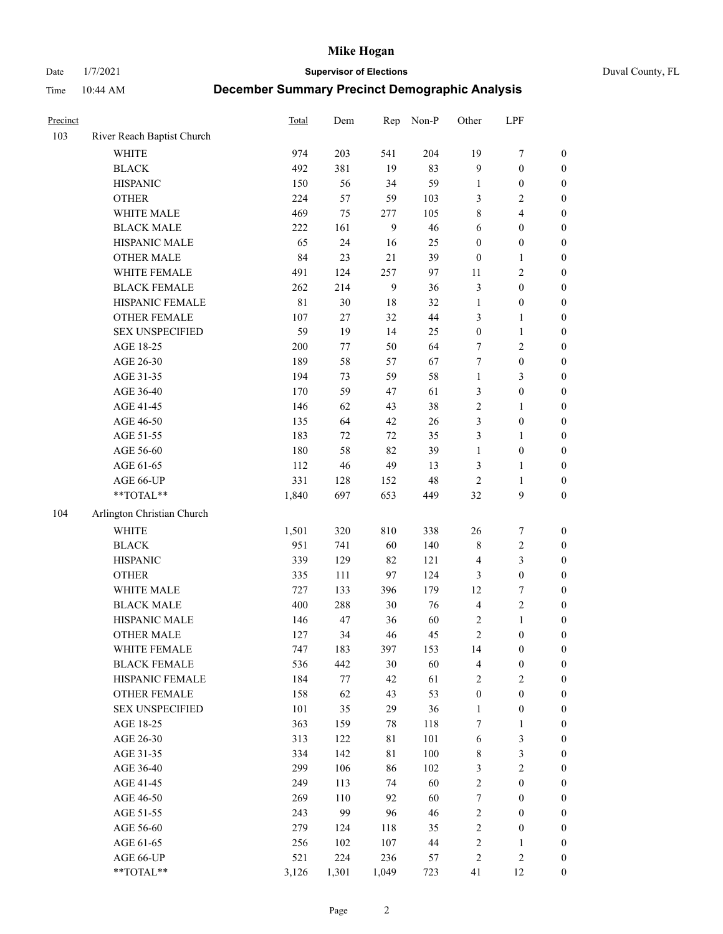Date 1/7/2021 **Supervisor of Elections** Duval County, FL

| Precinct |                            | <b>Total</b> | Dem     | Rep         | Non-P | Other            | LPF              |                  |
|----------|----------------------------|--------------|---------|-------------|-------|------------------|------------------|------------------|
| 103      | River Reach Baptist Church |              |         |             |       |                  |                  |                  |
|          | <b>WHITE</b>               | 974          | 203     | 541         | 204   | 19               | $\boldsymbol{7}$ | 0                |
|          | <b>BLACK</b>               | 492          | 381     | 19          | 83    | 9                | $\boldsymbol{0}$ | $\boldsymbol{0}$ |
|          | <b>HISPANIC</b>            | 150          | 56      | 34          | 59    | $\mathbf{1}$     | $\boldsymbol{0}$ | $\boldsymbol{0}$ |
|          | <b>OTHER</b>               | 224          | 57      | 59          | 103   | 3                | $\mathbf{2}$     | $\boldsymbol{0}$ |
|          | WHITE MALE                 | 469          | 75      | 277         | 105   | 8                | $\overline{4}$   | $\boldsymbol{0}$ |
|          | <b>BLACK MALE</b>          | 222          | 161     | 9           | 46    | 6                | $\boldsymbol{0}$ | $\boldsymbol{0}$ |
|          | HISPANIC MALE              | 65           | 24      | 16          | 25    | $\boldsymbol{0}$ | $\boldsymbol{0}$ | $\boldsymbol{0}$ |
|          | <b>OTHER MALE</b>          | 84           | 23      | 21          | 39    | $\boldsymbol{0}$ | $\mathbf{1}$     | $\boldsymbol{0}$ |
|          | WHITE FEMALE               | 491          | 124     | 257         | 97    | 11               | $\mathbf{2}$     | $\boldsymbol{0}$ |
|          | <b>BLACK FEMALE</b>        | 262          | 214     | 9           | 36    | $\mathfrak{Z}$   | $\boldsymbol{0}$ | 0                |
|          | HISPANIC FEMALE            | $8\sqrt{1}$  | 30      | $18\,$      | 32    | $\mathbf{1}$     | $\boldsymbol{0}$ | 0                |
|          | OTHER FEMALE               | 107          | 27      | 32          | 44    | 3                | $\mathbf{1}$     | $\boldsymbol{0}$ |
|          | <b>SEX UNSPECIFIED</b>     | 59           | 19      | 14          | 25    | $\boldsymbol{0}$ | $\mathbf{1}$     | $\boldsymbol{0}$ |
|          | AGE 18-25                  | 200          | 77      | 50          | 64    | 7                | $\sqrt{2}$       | $\boldsymbol{0}$ |
|          | AGE 26-30                  | 189          | 58      | 57          | 67    | 7                | $\boldsymbol{0}$ | $\boldsymbol{0}$ |
|          | AGE 31-35                  | 194          | 73      | 59          | 58    | $\mathbf{1}$     | $\mathfrak{Z}$   | $\boldsymbol{0}$ |
|          | AGE 36-40                  | 170          | 59      | 47          | 61    | 3                | $\boldsymbol{0}$ | $\boldsymbol{0}$ |
|          | AGE 41-45                  | 146          | 62      | 43          | 38    | $\sqrt{2}$       | $\mathbf{1}$     | $\boldsymbol{0}$ |
|          | AGE 46-50                  | 135          | 64      | 42          | 26    | 3                | $\boldsymbol{0}$ | $\boldsymbol{0}$ |
|          | AGE 51-55                  | 183          | 72      | 72          | 35    | 3                | $\mathbf{1}$     | 0                |
|          | AGE 56-60                  | 180          | 58      | 82          | 39    | $\mathbf{1}$     | $\boldsymbol{0}$ | 0                |
|          | AGE 61-65                  | 112          | 46      | 49          | 13    | 3                | $\mathbf{1}$     | 0                |
|          | AGE 66-UP                  | 331          | 128     | 152         | 48    | $\sqrt{2}$       | $\mathbf{1}$     | $\boldsymbol{0}$ |
|          | $**TOTAL**$                | 1,840        | 697     | 653         | 449   | 32               | $\boldsymbol{9}$ | $\boldsymbol{0}$ |
| 104      | Arlington Christian Church |              |         |             |       |                  |                  |                  |
|          | <b>WHITE</b>               | 1,501        | 320     | 810         | 338   | 26               | $\boldsymbol{7}$ | $\boldsymbol{0}$ |
|          | <b>BLACK</b>               | 951          | 741     | 60          | 140   | $\,$ $\,$        | $\sqrt{2}$       | $\boldsymbol{0}$ |
|          | <b>HISPANIC</b>            | 339          | 129     | 82          | 121   | $\overline{4}$   | 3                | $\boldsymbol{0}$ |
|          | <b>OTHER</b>               | 335          | 111     | 97          | 124   | 3                | $\boldsymbol{0}$ | $\boldsymbol{0}$ |
|          | WHITE MALE                 | 727          | 133     | 396         | 179   | 12               | $\boldsymbol{7}$ | $\boldsymbol{0}$ |
|          | <b>BLACK MALE</b>          | 400          | 288     | 30          | 76    | $\overline{4}$   | $\sqrt{2}$       | $\boldsymbol{0}$ |
|          | HISPANIC MALE              | 146          | 47      | 36          | 60    | 2                | $\mathbf{1}$     | $\boldsymbol{0}$ |
|          | <b>OTHER MALE</b>          | 127          | 34      | 46          | 45    | $\sqrt{2}$       | $\boldsymbol{0}$ | $\boldsymbol{0}$ |
|          | WHITE FEMALE               | 747          | 183     | 397         | 153   | 14               | $\boldsymbol{0}$ | 0                |
|          | <b>BLACK FEMALE</b>        | 536          | 442     | $30\,$      | 60    | 4                | $\boldsymbol{0}$ | $\boldsymbol{0}$ |
|          | HISPANIC FEMALE            | 184          | $77 \,$ | 42          | 61    | $\sqrt{2}$       | $\sqrt{2}$       | $\overline{0}$   |
|          | <b>OTHER FEMALE</b>        | 158          | 62      | 43          | 53    | $\boldsymbol{0}$ | $\boldsymbol{0}$ | $\overline{0}$   |
|          | <b>SEX UNSPECIFIED</b>     | 101          | 35      | 29          | 36    | $\mathbf{1}$     | $\boldsymbol{0}$ | 0                |
|          | AGE 18-25                  | 363          | 159     | 78          | 118   | 7                | $\mathbf{1}$     | $\overline{0}$   |
|          | AGE 26-30                  | 313          | 122     | $8\sqrt{1}$ | 101   | 6                | $\mathfrak{Z}$   | 0                |
|          | AGE 31-35                  | 334          | 142     | $8\sqrt{1}$ | 100   | $\,$ 8 $\,$      | $\mathfrak{Z}$   | 0                |
|          | AGE 36-40                  | 299          | 106     | 86          | 102   | 3                | $\sqrt{2}$       | 0                |
|          | AGE 41-45                  | 249          | 113     | 74          | 60    | $\sqrt{2}$       | $\boldsymbol{0}$ | 0                |
|          | AGE 46-50                  | 269          | 110     | 92          | 60    | 7                | $\boldsymbol{0}$ | 0                |
|          | AGE 51-55                  | 243          | 99      | 96          | 46    | $\sqrt{2}$       | $\boldsymbol{0}$ | $\boldsymbol{0}$ |
|          | AGE 56-60                  | 279          | 124     | 118         | 35    | $\sqrt{2}$       | $\boldsymbol{0}$ | $\boldsymbol{0}$ |
|          | AGE 61-65                  | 256          | 102     | 107         | 44    | 2                | $\mathbf{1}$     | $\boldsymbol{0}$ |
|          | AGE 66-UP                  | 521          | 224     | 236         | 57    | 2                | $\sqrt{2}$       | $\boldsymbol{0}$ |
|          | **TOTAL**                  | 3,126        | 1,301   | 1,049       | 723   | 41               | 12               | $\boldsymbol{0}$ |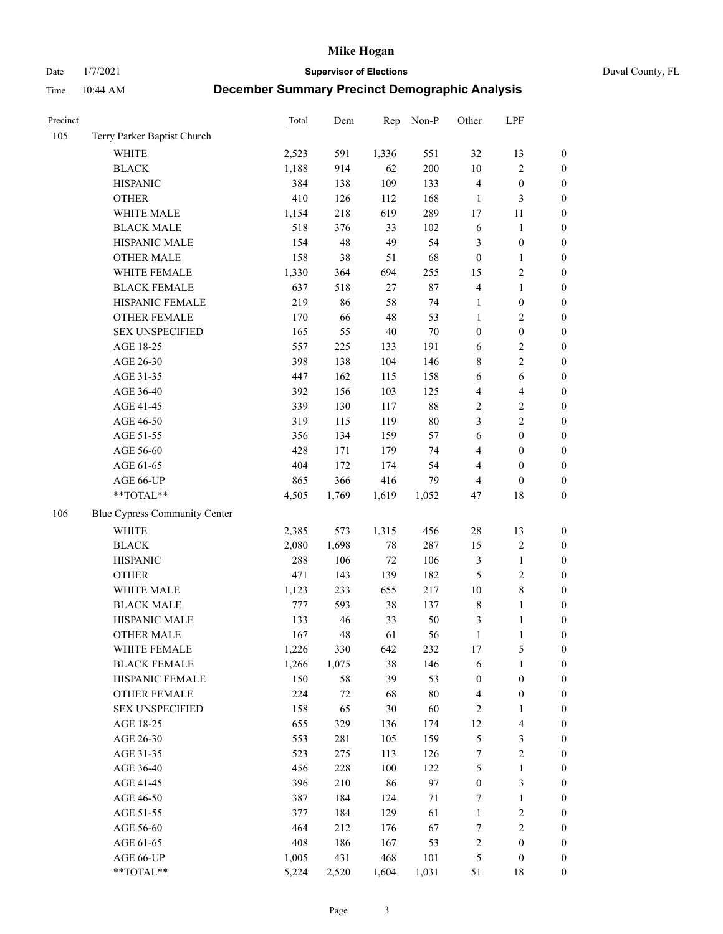Date 1/7/2021 **Supervisor of Elections** Duval County, FL

| Precinct |                               | Total   | Dem   | Rep    | Non-P  | Other            | LPF                     |                  |
|----------|-------------------------------|---------|-------|--------|--------|------------------|-------------------------|------------------|
| 105      | Terry Parker Baptist Church   |         |       |        |        |                  |                         |                  |
|          | <b>WHITE</b>                  | 2,523   | 591   | 1,336  | 551    | 32               | 13                      | $\boldsymbol{0}$ |
|          | <b>BLACK</b>                  | 1,188   | 914   | 62     | 200    | $10\,$           | $\sqrt{2}$              | $\boldsymbol{0}$ |
|          | <b>HISPANIC</b>               | 384     | 138   | 109    | 133    | $\overline{4}$   | $\boldsymbol{0}$        | $\boldsymbol{0}$ |
|          | <b>OTHER</b>                  | 410     | 126   | 112    | 168    | 1                | $\mathfrak{Z}$          | $\boldsymbol{0}$ |
|          | WHITE MALE                    | 1,154   | 218   | 619    | 289    | 17               | 11                      | $\boldsymbol{0}$ |
|          | <b>BLACK MALE</b>             | 518     | 376   | 33     | 102    | 6                | $\mathbf{1}$            | $\boldsymbol{0}$ |
|          | HISPANIC MALE                 | 154     | 48    | 49     | 54     | 3                | $\boldsymbol{0}$        | $\boldsymbol{0}$ |
|          | <b>OTHER MALE</b>             | 158     | 38    | 51     | 68     | $\boldsymbol{0}$ | $\mathbf{1}$            | $\boldsymbol{0}$ |
|          | WHITE FEMALE                  | 1,330   | 364   | 694    | 255    | 15               | $\sqrt{2}$              | $\boldsymbol{0}$ |
|          | <b>BLACK FEMALE</b>           | 637     | 518   | $27\,$ | 87     | $\overline{4}$   | $\mathbf{1}$            | $\boldsymbol{0}$ |
|          | HISPANIC FEMALE               | 219     | 86    | 58     | 74     | $\mathbf{1}$     | $\boldsymbol{0}$        | 0                |
|          | OTHER FEMALE                  | 170     | 66    | $48\,$ | 53     | $\mathbf{1}$     | $\sqrt{2}$              | 0                |
|          | <b>SEX UNSPECIFIED</b>        | 165     | 55    | $40\,$ | $70\,$ | $\boldsymbol{0}$ | $\boldsymbol{0}$        | $\boldsymbol{0}$ |
|          | AGE 18-25                     | 557     | 225   | 133    | 191    | 6                | $\sqrt{2}$              | $\boldsymbol{0}$ |
|          | AGE 26-30                     | 398     | 138   | 104    | 146    | 8                | $\sqrt{2}$              | $\boldsymbol{0}$ |
|          | AGE 31-35                     | 447     | 162   | 115    | 158    | 6                | 6                       | $\boldsymbol{0}$ |
|          | AGE 36-40                     | 392     | 156   | 103    | 125    | 4                | $\overline{\mathbf{4}}$ | $\boldsymbol{0}$ |
|          | AGE 41-45                     | 339     | 130   | 117    | $88\,$ | $\sqrt{2}$       | $\sqrt{2}$              | $\boldsymbol{0}$ |
|          | AGE 46-50                     | 319     | 115   | 119    | $80\,$ | 3                | $\overline{2}$          | $\boldsymbol{0}$ |
|          | AGE 51-55                     | 356     | 134   | 159    | 57     | 6                | $\boldsymbol{0}$        | $\boldsymbol{0}$ |
|          | AGE 56-60                     | 428     | 171   | 179    | 74     | 4                | $\boldsymbol{0}$        | 0                |
|          | AGE 61-65                     | 404     | 172   | 174    | 54     | 4                | $\boldsymbol{0}$        | $\boldsymbol{0}$ |
|          | AGE 66-UP                     | 865     | 366   | 416    | 79     | 4                | $\boldsymbol{0}$        | $\boldsymbol{0}$ |
|          | $**TOTAL**$                   | 4,505   | 1,769 | 1,619  | 1,052  | 47               | $18\,$                  | $\boldsymbol{0}$ |
| 106      | Blue Cypress Community Center |         |       |        |        |                  |                         |                  |
|          | <b>WHITE</b>                  | 2,385   | 573   | 1,315  | 456    | $28\,$           | 13                      | $\boldsymbol{0}$ |
|          | <b>BLACK</b>                  | 2,080   | 1,698 | $78\,$ | 287    | 15               | $\sqrt{2}$              | $\boldsymbol{0}$ |
|          | <b>HISPANIC</b>               | 288     | 106   | $72\,$ | 106    | 3                | $\mathbf{1}$            | $\boldsymbol{0}$ |
|          | <b>OTHER</b>                  | 471     | 143   | 139    | 182    | 5                | $\sqrt{2}$              | $\boldsymbol{0}$ |
|          | WHITE MALE                    | 1,123   | 233   | 655    | 217    | 10               | $\,$ 8 $\,$             | $\boldsymbol{0}$ |
|          | <b>BLACK MALE</b>             | $777\,$ | 593   | 38     | 137    | $\,$ 8 $\,$      | $\mathbf{1}$            | $\boldsymbol{0}$ |
|          | HISPANIC MALE                 | 133     | 46    | 33     | 50     | 3                | 1                       | $\boldsymbol{0}$ |
|          | <b>OTHER MALE</b>             | 167     | 48    | 61     | 56     | $\mathbf{1}$     | $\mathbf{1}$            | $\boldsymbol{0}$ |
|          | WHITE FEMALE                  | 1,226   | 330   | 642    | 232    | 17               | 5                       | 0                |
|          | <b>BLACK FEMALE</b>           | 1,266   | 1,075 | 38     | 146    | 6                | $\mathbf{1}$            | $\boldsymbol{0}$ |
|          | HISPANIC FEMALE               | 150     | 58    | 39     | 53     | $\boldsymbol{0}$ | $\boldsymbol{0}$        | $\overline{0}$   |
|          | OTHER FEMALE                  | 224     | 72    | 68     | 80     | $\overline{4}$   | $\boldsymbol{0}$        | $\overline{0}$   |
|          | <b>SEX UNSPECIFIED</b>        | 158     | 65    | 30     | 60     | $\overline{c}$   | $\mathbf{1}$            | 0                |
|          | AGE 18-25                     | 655     | 329   | 136    | 174    | 12               | $\overline{\mathbf{4}}$ | 0                |
|          | AGE 26-30                     | 553     | 281   | 105    | 159    | 5                | $\mathfrak{Z}$          | 0                |
|          | AGE 31-35                     | 523     | 275   | 113    | 126    | 7                | $\sqrt{2}$              | 0                |
|          | AGE 36-40                     | 456     | 228   | 100    | 122    | 5                | $\mathbf{1}$            | 0                |
|          | AGE 41-45                     | 396     | 210   | 86     | 97     | $\boldsymbol{0}$ | $\mathfrak{Z}$          | 0                |
|          | AGE 46-50                     | 387     | 184   | 124    | $71\,$ | 7                | $\mathbf{1}$            | 0                |
|          | AGE 51-55                     | 377     | 184   | 129    | 61     | $\mathbf{1}$     | $\sqrt{2}$              | 0                |
|          | AGE 56-60                     | 464     | 212   | 176    | 67     | 7                | $\sqrt{2}$              | 0                |
|          | AGE 61-65                     | 408     | 186   | 167    | 53     | $\overline{c}$   | $\boldsymbol{0}$        | $\boldsymbol{0}$ |
|          | AGE 66-UP                     | 1,005   | 431   | 468    | 101    | 5                | $\boldsymbol{0}$        | 0                |
|          | **TOTAL**                     | 5,224   | 2,520 | 1,604  | 1,031  | 51               | 18                      | $\boldsymbol{0}$ |
|          |                               |         |       |        |        |                  |                         |                  |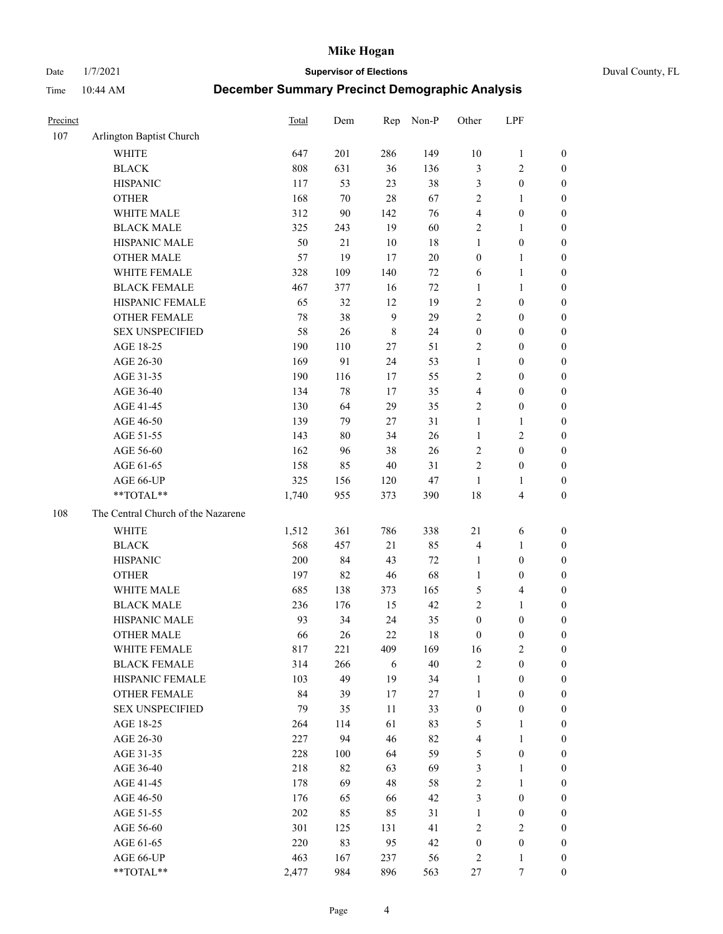Date 1/7/2021 **Supervisor of Elections** Duval County, FL

| Precinct |                                    | <b>Total</b> | Dem    | Rep         | Non-P  | Other            | LPF              |                  |
|----------|------------------------------------|--------------|--------|-------------|--------|------------------|------------------|------------------|
| 107      | Arlington Baptist Church           |              |        |             |        |                  |                  |                  |
|          | <b>WHITE</b>                       | 647          | 201    | 286         | 149    | $10\,$           | $\mathbf{1}$     | 0                |
|          | <b>BLACK</b>                       | 808          | 631    | 36          | 136    | 3                | $\sqrt{2}$       | 0                |
|          | <b>HISPANIC</b>                    | 117          | 53     | 23          | 38     | 3                | $\boldsymbol{0}$ | $\boldsymbol{0}$ |
|          | <b>OTHER</b>                       | 168          | 70     | 28          | 67     | 2                | 1                | $\boldsymbol{0}$ |
|          | WHITE MALE                         | 312          | 90     | 142         | 76     | 4                | $\boldsymbol{0}$ | $\boldsymbol{0}$ |
|          | <b>BLACK MALE</b>                  | 325          | 243    | 19          | 60     | 2                | 1                | $\boldsymbol{0}$ |
|          | HISPANIC MALE                      | 50           | 21     | 10          | 18     | $\mathbf{1}$     | $\boldsymbol{0}$ | $\boldsymbol{0}$ |
|          | <b>OTHER MALE</b>                  | 57           | 19     | 17          | $20\,$ | $\boldsymbol{0}$ | $\mathbf{1}$     | $\boldsymbol{0}$ |
|          | WHITE FEMALE                       | 328          | 109    | 140         | $72\,$ | 6                | $\mathbf{1}$     | $\boldsymbol{0}$ |
|          | <b>BLACK FEMALE</b>                | 467          | 377    | 16          | $72\,$ | $\mathbf{1}$     | $\mathbf{1}$     | 0                |
|          | HISPANIC FEMALE                    | 65           | 32     | 12          | 19     | $\overline{c}$   | $\boldsymbol{0}$ | 0                |
|          | <b>OTHER FEMALE</b>                | 78           | 38     | 9           | 29     | $\overline{2}$   | $\boldsymbol{0}$ | $\boldsymbol{0}$ |
|          | <b>SEX UNSPECIFIED</b>             | 58           | 26     | $\,$ 8 $\,$ | 24     | $\boldsymbol{0}$ | $\boldsymbol{0}$ | $\boldsymbol{0}$ |
|          | AGE 18-25                          | 190          | 110    | $27\,$      | 51     | $\overline{c}$   | $\boldsymbol{0}$ | $\boldsymbol{0}$ |
|          | AGE 26-30                          | 169          | 91     | 24          | 53     | $\mathbf{1}$     | $\boldsymbol{0}$ | $\boldsymbol{0}$ |
|          | AGE 31-35                          | 190          | 116    | 17          | 55     | $\overline{c}$   | $\boldsymbol{0}$ | $\boldsymbol{0}$ |
|          | AGE 36-40                          | 134          | $78\,$ | 17          | 35     | 4                | $\boldsymbol{0}$ | $\boldsymbol{0}$ |
|          | AGE 41-45                          | 130          | 64     | 29          | 35     | 2                | $\boldsymbol{0}$ | $\boldsymbol{0}$ |
|          | AGE 46-50                          | 139          | 79     | 27          | 31     | $\mathbf{1}$     | 1                | $\boldsymbol{0}$ |
|          | AGE 51-55                          | 143          | $80\,$ | 34          | 26     | $\mathbf{1}$     | $\sqrt{2}$       | $\boldsymbol{0}$ |
|          | AGE 56-60                          | 162          | 96     | 38          | 26     | $\overline{c}$   | $\boldsymbol{0}$ | 0                |
|          | AGE 61-65                          | 158          | 85     | 40          | 31     | 2                | $\boldsymbol{0}$ | $\boldsymbol{0}$ |
|          | AGE 66-UP                          | 325          | 156    | 120         | $47\,$ | $\mathbf{1}$     | 1                | $\boldsymbol{0}$ |
|          | **TOTAL**                          | 1,740        | 955    | 373         | 390    | 18               | $\overline{4}$   | $\boldsymbol{0}$ |
| 108      | The Central Church of the Nazarene |              |        |             |        |                  |                  |                  |
|          | <b>WHITE</b>                       | 1,512        | 361    | 786         | 338    | 21               | 6                | $\boldsymbol{0}$ |
|          | <b>BLACK</b>                       | 568          | 457    | 21          | 85     | 4                | $\mathbf{1}$     | $\boldsymbol{0}$ |
|          | <b>HISPANIC</b>                    | 200          | 84     | 43          | 72     | $\mathbf{1}$     | $\boldsymbol{0}$ | $\boldsymbol{0}$ |
|          | <b>OTHER</b>                       | 197          | 82     | 46          | 68     | $\mathbf{1}$     | $\boldsymbol{0}$ | $\boldsymbol{0}$ |
|          | WHITE MALE                         | 685          | 138    | 373         | 165    | 5                | $\overline{4}$   | $\boldsymbol{0}$ |
|          | <b>BLACK MALE</b>                  | 236          | 176    | 15          | 42     | $\overline{2}$   | $\mathbf{1}$     | $\boldsymbol{0}$ |
|          | HISPANIC MALE                      | 93           | 34     | 24          | 35     | $\boldsymbol{0}$ | $\boldsymbol{0}$ | 0                |
|          | <b>OTHER MALE</b>                  | 66           | 26     | 22          | 18     | $\boldsymbol{0}$ | $\boldsymbol{0}$ | $\boldsymbol{0}$ |
|          | WHITE FEMALE                       | 817          | 221    | 409         | 169    | 16               | 2                | 0                |
|          | <b>BLACK FEMALE</b>                | 314          | 266    | 6           | 40     | 2                | $\boldsymbol{0}$ | $\boldsymbol{0}$ |
|          | HISPANIC FEMALE                    | 103          | 49     | 19          | 34     | $\mathbf{1}$     | $\boldsymbol{0}$ | $\overline{0}$   |
|          | <b>OTHER FEMALE</b>                | 84           | 39     | 17          | $27\,$ | $\mathbf{1}$     | $\boldsymbol{0}$ | $\overline{0}$   |
|          | <b>SEX UNSPECIFIED</b>             | 79           | 35     | 11          | 33     | $\boldsymbol{0}$ | $\boldsymbol{0}$ | 0                |
|          | AGE 18-25                          | 264          | 114    | 61          | 83     | 5                | $\mathbf{1}$     | 0                |
|          | AGE 26-30                          | 227          | 94     | 46          | 82     | 4                | $\mathbf{1}$     | 0                |
|          | AGE 31-35                          | 228          | 100    | 64          | 59     | 5                | $\boldsymbol{0}$ | 0                |
|          | AGE 36-40                          | 218          | 82     | 63          | 69     | 3                | 1                | 0                |
|          | AGE 41-45                          | 178          | 69     | 48          | 58     | 2                | $\mathbf{1}$     | 0                |
|          | AGE 46-50                          | 176          | 65     | 66          | 42     | 3                | $\boldsymbol{0}$ | 0                |
|          | AGE 51-55                          | 202          | 85     | 85          | 31     | $\mathbf{1}$     | $\boldsymbol{0}$ | 0                |
|          | AGE 56-60                          | 301          | 125    | 131         | 41     | 2                | $\sqrt{2}$       | $\overline{0}$   |
|          | AGE 61-65                          | 220          | 83     | 95          | 42     | $\boldsymbol{0}$ | $\boldsymbol{0}$ | $\overline{0}$   |
|          | AGE 66-UP                          | 463          | 167    | 237         | 56     | 2                | $\mathbf{1}$     | 0                |
|          | **TOTAL**                          | 2,477        | 984    | 896         | 563    | 27               | 7                | $\boldsymbol{0}$ |
|          |                                    |              |        |             |        |                  |                  |                  |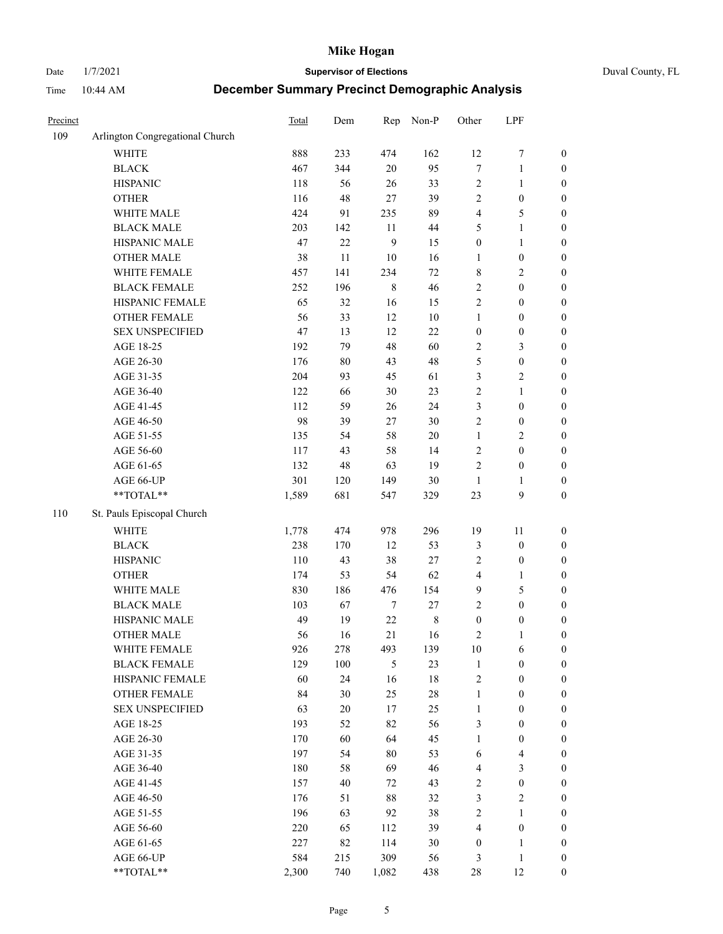Date 1/7/2021 **Supervisor of Elections** Duval County, FL

| Precinct |                                 | Total | Dem    | Rep              | Non-P       | Other            | LPF                     |                  |
|----------|---------------------------------|-------|--------|------------------|-------------|------------------|-------------------------|------------------|
| 109      | Arlington Congregational Church |       |        |                  |             |                  |                         |                  |
|          | <b>WHITE</b>                    | 888   | 233    | 474              | 162         | 12               | $\boldsymbol{7}$        | 0                |
|          | <b>BLACK</b>                    | 467   | 344    | $20\,$           | 95          | $\boldsymbol{7}$ | $\mathbf{1}$            | $\boldsymbol{0}$ |
|          | <b>HISPANIC</b>                 | 118   | 56     | 26               | 33          | 2                | $\mathbf{1}$            | $\boldsymbol{0}$ |
|          | <b>OTHER</b>                    | 116   | 48     | $27\,$           | 39          | 2                | $\boldsymbol{0}$        | $\boldsymbol{0}$ |
|          | WHITE MALE                      | 424   | 91     | 235              | 89          | 4                | 5                       | $\boldsymbol{0}$ |
|          | <b>BLACK MALE</b>               | 203   | 142    | 11               | 44          | 5                | $\mathbf{1}$            | $\boldsymbol{0}$ |
|          | HISPANIC MALE                   | 47    | 22     | 9                | 15          | $\boldsymbol{0}$ | $\mathbf{1}$            | $\boldsymbol{0}$ |
|          | <b>OTHER MALE</b>               | 38    | 11     | 10               | 16          | $\mathbf{1}$     | $\boldsymbol{0}$        | $\boldsymbol{0}$ |
|          | WHITE FEMALE                    | 457   | 141    | 234              | $72\,$      | 8                | $\overline{2}$          | $\boldsymbol{0}$ |
|          | <b>BLACK FEMALE</b>             | 252   | 196    | $\,$ 8 $\,$      | 46          | $\overline{c}$   | $\boldsymbol{0}$        | $\boldsymbol{0}$ |
|          | HISPANIC FEMALE                 | 65    | 32     | 16               | 15          | $\sqrt{2}$       | $\boldsymbol{0}$        | $\boldsymbol{0}$ |
|          | OTHER FEMALE                    | 56    | 33     | 12               | $10\,$      | $\mathbf{1}$     | $\boldsymbol{0}$        | $\boldsymbol{0}$ |
|          | <b>SEX UNSPECIFIED</b>          | 47    | 13     | 12               | 22          | $\boldsymbol{0}$ | $\boldsymbol{0}$        | $\boldsymbol{0}$ |
|          | AGE 18-25                       | 192   | 79     | 48               | 60          | 2                | $\mathfrak{Z}$          | $\boldsymbol{0}$ |
|          | AGE 26-30                       | 176   | $80\,$ | 43               | 48          | 5                | $\boldsymbol{0}$        | $\boldsymbol{0}$ |
|          | AGE 31-35                       | 204   | 93     | 45               | 61          | 3                | $\sqrt{2}$              | $\boldsymbol{0}$ |
|          | AGE 36-40                       | 122   | 66     | 30               | 23          | $\overline{c}$   | $\mathbf{1}$            | $\boldsymbol{0}$ |
|          | AGE 41-45                       | 112   | 59     | 26               | 24          | 3                | $\boldsymbol{0}$        | $\boldsymbol{0}$ |
|          | AGE 46-50                       | 98    | 39     | 27               | $30\,$      | $\overline{2}$   | $\boldsymbol{0}$        | $\boldsymbol{0}$ |
|          | AGE 51-55                       | 135   | 54     | 58               | $20\,$      | $\mathbf{1}$     | $\sqrt{2}$              | $\boldsymbol{0}$ |
|          | AGE 56-60                       | 117   | 43     | 58               | 14          | $\sqrt{2}$       | $\boldsymbol{0}$        | 0                |
|          | AGE 61-65                       | 132   | 48     | 63               | 19          | $\mathfrak{2}$   | $\boldsymbol{0}$        | $\boldsymbol{0}$ |
|          | AGE 66-UP                       | 301   | 120    | 149              | $30\,$      | $\mathbf{1}$     | 1                       | $\boldsymbol{0}$ |
|          | **TOTAL**                       | 1,589 | 681    | 547              | 329         | $23\,$           | $\boldsymbol{9}$        | $\boldsymbol{0}$ |
| 110      | St. Pauls Episcopal Church      |       |        |                  |             |                  |                         |                  |
|          | <b>WHITE</b>                    | 1,778 | 474    | 978              | 296         | 19               | 11                      | $\boldsymbol{0}$ |
|          | <b>BLACK</b>                    | 238   | 170    | 12               | 53          | 3                | $\boldsymbol{0}$        | $\boldsymbol{0}$ |
|          | <b>HISPANIC</b>                 | 110   | 43     | 38               | $27\,$      | 2                | $\boldsymbol{0}$        | $\boldsymbol{0}$ |
|          | <b>OTHER</b>                    | 174   | 53     | 54               | 62          | 4                | $\mathbf{1}$            | $\boldsymbol{0}$ |
|          | WHITE MALE                      | 830   | 186    | 476              | 154         | 9                | $\mathfrak{S}$          | $\boldsymbol{0}$ |
|          | <b>BLACK MALE</b>               | 103   | 67     | $\boldsymbol{7}$ | $27\,$      | $\overline{c}$   | $\boldsymbol{0}$        | $\boldsymbol{0}$ |
|          | HISPANIC MALE                   | 49    | 19     | $22\,$           | $\,$ 8 $\,$ | $\boldsymbol{0}$ | $\boldsymbol{0}$        | $\boldsymbol{0}$ |
|          | OTHER MALE                      | 56    | 16     | 21               | 16          | 2                | $\mathbf{1}$            | $\boldsymbol{0}$ |
|          | WHITE FEMALE                    | 926   | 278    | 493              | 139         | 10               | 6                       | 0                |
|          | <b>BLACK FEMALE</b>             | 129   | 100    | 5                | 23          | $\mathbf{1}$     | $\boldsymbol{0}$        | $\boldsymbol{0}$ |
|          | HISPANIC FEMALE                 | 60    | 24     | 16               | 18          | $\overline{c}$   | $\boldsymbol{0}$        | $\overline{0}$   |
|          | <b>OTHER FEMALE</b>             | 84    | 30     | 25               | $28\,$      | $\mathbf{1}$     | $\boldsymbol{0}$        | $\overline{0}$   |
|          | <b>SEX UNSPECIFIED</b>          | 63    | $20\,$ | 17               | 25          | $\mathbf{1}$     | $\boldsymbol{0}$        | 0                |
|          | AGE 18-25                       | 193   | 52     | 82               | 56          | 3                | $\boldsymbol{0}$        | $\theta$         |
|          | AGE 26-30                       | 170   | 60     | 64               | 45          | $\mathbf{1}$     | $\boldsymbol{0}$        | 0                |
|          | AGE 31-35                       | 197   | 54     | $80\,$           | 53          | 6                | $\overline{\mathbf{4}}$ | 0                |
|          | AGE 36-40                       | 180   | 58     | 69               | 46          | 4                | $\mathfrak{Z}$          | 0                |
|          | AGE 41-45                       | 157   | 40     | 72               | 43          | 2                | $\boldsymbol{0}$        | 0                |
|          | AGE 46-50                       | 176   | 51     | 88               | 32          | 3                | $\sqrt{2}$              | 0                |
|          | AGE 51-55                       | 196   | 63     | 92               | 38          | 2                | $\mathbf{1}$            | 0                |
|          | AGE 56-60                       | 220   | 65     | 112              | 39          | 4                | $\boldsymbol{0}$        | $\overline{0}$   |
|          | AGE 61-65                       | 227   | 82     | 114              | 30          | $\boldsymbol{0}$ | 1                       | $\overline{0}$   |
|          | AGE 66-UP                       | 584   | 215    | 309              | 56          | 3                | $\mathbf{1}$            | $\boldsymbol{0}$ |
|          | **TOTAL**                       | 2,300 | 740    | 1,082            | 438         | 28               | 12                      | $\boldsymbol{0}$ |
|          |                                 |       |        |                  |             |                  |                         |                  |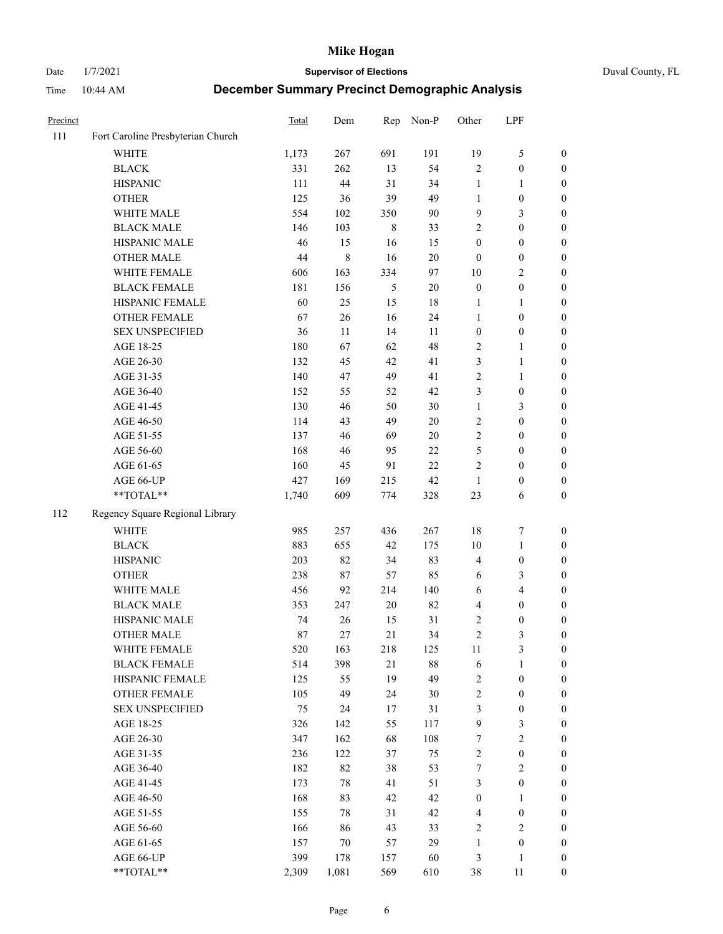Date 1/7/2021 **Supervisor of Elections** Duval County, FL

| Precinct |                                   | <b>Total</b> | Dem         | Rep     | Non-P  | Other            | LPF              |                  |
|----------|-----------------------------------|--------------|-------------|---------|--------|------------------|------------------|------------------|
| 111      | Fort Caroline Presbyterian Church |              |             |         |        |                  |                  |                  |
|          | <b>WHITE</b>                      | 1,173        | 267         | 691     | 191    | 19               | $\mathfrak{S}$   | 0                |
|          | <b>BLACK</b>                      | 331          | 262         | 13      | 54     | $\mathbf{2}$     | $\boldsymbol{0}$ | $\boldsymbol{0}$ |
|          | <b>HISPANIC</b>                   | 111          | 44          | 31      | 34     | $\mathbf{1}$     | 1                | $\boldsymbol{0}$ |
|          | <b>OTHER</b>                      | 125          | 36          | 39      | 49     | 1                | $\boldsymbol{0}$ | $\boldsymbol{0}$ |
|          | WHITE MALE                        | 554          | 102         | 350     | 90     | 9                | $\mathfrak{Z}$   | $\boldsymbol{0}$ |
|          | <b>BLACK MALE</b>                 | 146          | 103         | $\,8\,$ | 33     | 2                | $\boldsymbol{0}$ | $\boldsymbol{0}$ |
|          | HISPANIC MALE                     | 46           | 15          | 16      | 15     | $\boldsymbol{0}$ | $\boldsymbol{0}$ | $\boldsymbol{0}$ |
|          | <b>OTHER MALE</b>                 | 44           | $\,$ 8 $\,$ | 16      | $20\,$ | $\boldsymbol{0}$ | $\boldsymbol{0}$ | $\boldsymbol{0}$ |
|          | WHITE FEMALE                      | 606          | 163         | 334     | 97     | $10\,$           | $\overline{2}$   | $\boldsymbol{0}$ |
|          | <b>BLACK FEMALE</b>               | 181          | 156         | 5       | $20\,$ | $\boldsymbol{0}$ | $\boldsymbol{0}$ | 0                |
|          | HISPANIC FEMALE                   | 60           | 25          | 15      | 18     | 1                | $\mathbf{1}$     | 0                |
|          | <b>OTHER FEMALE</b>               | 67           | 26          | 16      | 24     | $\mathbf{1}$     | $\boldsymbol{0}$ | $\boldsymbol{0}$ |
|          | <b>SEX UNSPECIFIED</b>            | 36           | 11          | 14      | 11     | $\boldsymbol{0}$ | $\boldsymbol{0}$ | $\boldsymbol{0}$ |
|          | AGE 18-25                         | 180          | 67          | 62      | 48     | 2                | 1                | $\boldsymbol{0}$ |
|          | AGE 26-30                         | 132          | 45          | 42      | 41     | 3                | $\mathbf{1}$     | $\boldsymbol{0}$ |
|          | AGE 31-35                         | 140          | 47          | 49      | 41     | $\sqrt{2}$       | $\mathbf{1}$     | $\boldsymbol{0}$ |
|          | AGE 36-40                         | 152          | 55          | 52      | 42     | 3                | $\boldsymbol{0}$ | $\boldsymbol{0}$ |
|          | AGE 41-45                         | 130          | 46          | 50      | $30\,$ | $\mathbf{1}$     | 3                | $\boldsymbol{0}$ |
|          | AGE 46-50                         | 114          | 43          | 49      | $20\,$ | $\overline{c}$   | $\boldsymbol{0}$ | $\boldsymbol{0}$ |
|          | AGE 51-55                         | 137          | 46          | 69      | $20\,$ | $\overline{c}$   | $\boldsymbol{0}$ | $\boldsymbol{0}$ |
|          | AGE 56-60                         | 168          | 46          | 95      | 22     | 5                | $\boldsymbol{0}$ | 0                |
|          | AGE 61-65                         | 160          | 45          | 91      | 22     | 2                | $\boldsymbol{0}$ | 0                |
|          | AGE 66-UP                         | 427          | 169         | 215     | 42     | $\mathbf{1}$     | $\boldsymbol{0}$ | $\boldsymbol{0}$ |
|          | **TOTAL**                         | 1,740        | 609         | 774     | 328    | 23               | 6                | $\boldsymbol{0}$ |
| 112      | Regency Square Regional Library   |              |             |         |        |                  |                  |                  |
|          | <b>WHITE</b>                      | 985          | 257         | 436     | 267    | 18               | $\boldsymbol{7}$ | $\boldsymbol{0}$ |
|          | <b>BLACK</b>                      | 883          | 655         | 42      | 175    | 10               | $\mathbf{1}$     | $\boldsymbol{0}$ |
|          | <b>HISPANIC</b>                   | 203          | 82          | 34      | 83     | 4                | $\boldsymbol{0}$ | $\boldsymbol{0}$ |
|          | <b>OTHER</b>                      | 238          | 87          | 57      | 85     | 6                | 3                | $\boldsymbol{0}$ |
|          | WHITE MALE                        | 456          | 92          | 214     | 140    | 6                | $\overline{4}$   | $\boldsymbol{0}$ |
|          | <b>BLACK MALE</b>                 | 353          | 247         | $20\,$  | 82     | 4                | $\boldsymbol{0}$ | $\boldsymbol{0}$ |
|          | HISPANIC MALE                     | 74           | 26          | 15      | 31     | 2                | $\boldsymbol{0}$ | $\boldsymbol{0}$ |
|          | OTHER MALE                        | 87           | 27          | 21      | 34     | $\overline{c}$   | 3                | $\boldsymbol{0}$ |
|          | WHITE FEMALE                      | 520          | 163         | 218     | 125    | 11               | 3                | 0                |
|          | <b>BLACK FEMALE</b>               | 514          | 398         | 21      | $88\,$ | 6                | $\mathbf{1}$     | $\boldsymbol{0}$ |
|          | HISPANIC FEMALE                   | 125          | 55          | 19      | 49     | 2                | $\boldsymbol{0}$ | $\overline{0}$   |
|          | <b>OTHER FEMALE</b>               | 105          | 49          | 24      | $30\,$ | 2                | $\boldsymbol{0}$ | $\overline{0}$   |
|          | <b>SEX UNSPECIFIED</b>            | 75           | 24          | 17      | 31     | 3                | $\boldsymbol{0}$ | 0                |
|          | AGE 18-25                         | 326          | 142         | 55      | 117    | 9                | $\mathfrak{Z}$   | 0                |
|          | AGE 26-30                         | 347          | 162         | 68      | 108    | $\boldsymbol{7}$ | $\overline{2}$   | 0                |
|          | AGE 31-35                         | 236          | 122         | 37      | 75     | $\overline{c}$   | $\boldsymbol{0}$ | 0                |
|          | AGE 36-40                         | 182          | 82          | 38      | 53     | 7                | $\sqrt{2}$       | 0                |
|          | AGE 41-45                         | 173          | 78          | 41      | 51     | 3                | $\boldsymbol{0}$ | 0                |
|          | AGE 46-50                         | 168          | 83          | 42      | 42     | $\boldsymbol{0}$ | $\mathbf{1}$     | 0                |
|          | AGE 51-55                         | 155          | 78          | 31      | 42     | $\overline{4}$   | $\boldsymbol{0}$ | 0                |
|          | AGE 56-60                         | 166          | 86          | 43      | 33     | 2                | $\sqrt{2}$       | 0                |
|          | AGE 61-65                         | 157          | 70          | 57      | 29     | $\mathbf{1}$     | $\boldsymbol{0}$ | $\overline{0}$   |
|          | AGE 66-UP                         | 399          | 178         | 157     | 60     | 3                | $\mathbf{1}$     | 0                |
|          | **TOTAL**                         | 2,309        | 1,081       | 569     | 610    | 38               | 11               | $\boldsymbol{0}$ |
|          |                                   |              |             |         |        |                  |                  |                  |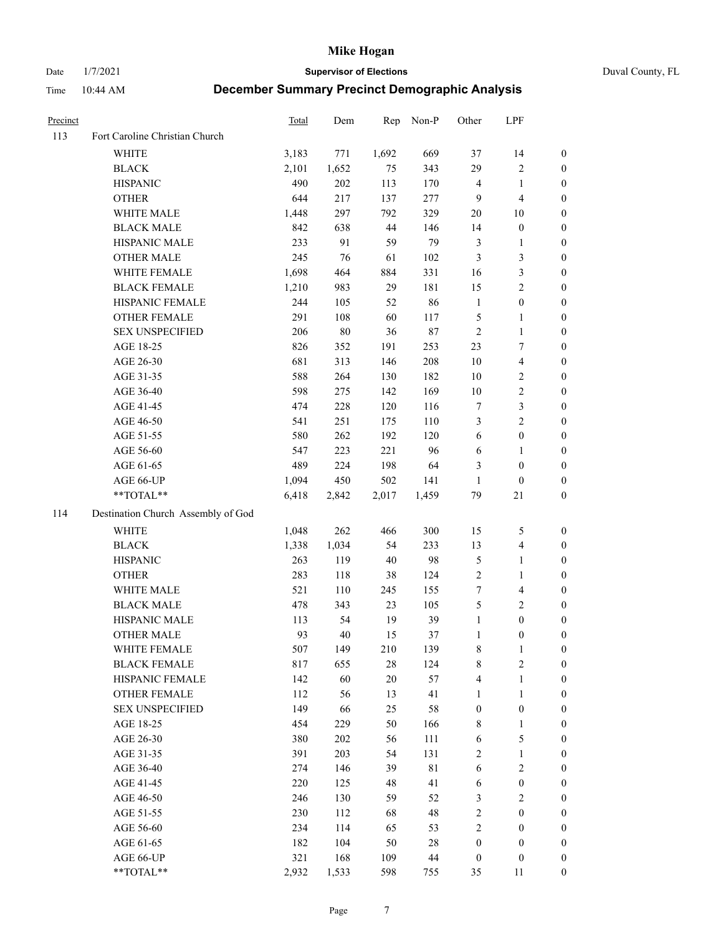Date 1/7/2021 **Supervisor of Elections** Duval County, FL

| Precinct |                                    | <b>Total</b> | Dem    | Rep    | Non-P       | Other            | LPF              |                  |
|----------|------------------------------------|--------------|--------|--------|-------------|------------------|------------------|------------------|
| 113      | Fort Caroline Christian Church     |              |        |        |             |                  |                  |                  |
|          | <b>WHITE</b>                       | 3,183        | 771    | 1,692  | 669         | 37               | 14               | 0                |
|          | <b>BLACK</b>                       | 2,101        | 1,652  | 75     | 343         | 29               | $\sqrt{2}$       | 0                |
|          | <b>HISPANIC</b>                    | 490          | 202    | 113    | 170         | 4                | $\mathbf{1}$     | $\boldsymbol{0}$ |
|          | <b>OTHER</b>                       | 644          | 217    | 137    | 277         | 9                | $\overline{4}$   | $\boldsymbol{0}$ |
|          | WHITE MALE                         | 1,448        | 297    | 792    | 329         | 20               | 10               | $\boldsymbol{0}$ |
|          | <b>BLACK MALE</b>                  | 842          | 638    | 44     | 146         | 14               | $\boldsymbol{0}$ | $\boldsymbol{0}$ |
|          | HISPANIC MALE                      | 233          | 91     | 59     | 79          | 3                | $\mathbf{1}$     | $\boldsymbol{0}$ |
|          | <b>OTHER MALE</b>                  | 245          | 76     | 61     | 102         | 3                | 3                | $\boldsymbol{0}$ |
|          | WHITE FEMALE                       | 1,698        | 464    | 884    | 331         | 16               | $\mathfrak{Z}$   | $\boldsymbol{0}$ |
|          | <b>BLACK FEMALE</b>                | 1,210        | 983    | 29     | 181         | 15               | $\sqrt{2}$       | 0                |
|          | HISPANIC FEMALE                    | 244          | 105    | 52     | 86          | $\mathbf{1}$     | $\boldsymbol{0}$ | 0                |
|          | OTHER FEMALE                       | 291          | 108    | 60     | 117         | 5                | $\mathbf{1}$     | 0                |
|          | <b>SEX UNSPECIFIED</b>             | 206          | $80\,$ | 36     | $87\,$      | $\sqrt{2}$       | $\mathbf{1}$     | $\boldsymbol{0}$ |
|          | AGE 18-25                          | 826          | 352    | 191    | 253         | 23               | $\tau$           | $\boldsymbol{0}$ |
|          | AGE 26-30                          | 681          | 313    | 146    | 208         | $10\,$           | $\overline{4}$   | $\boldsymbol{0}$ |
|          | AGE 31-35                          | 588          | 264    | 130    | 182         | 10               | $\sqrt{2}$       | $\boldsymbol{0}$ |
|          | AGE 36-40                          | 598          | 275    | 142    | 169         | 10               | $\sqrt{2}$       | $\boldsymbol{0}$ |
|          | AGE 41-45                          | 474          | 228    | 120    | 116         | 7                | $\mathfrak{Z}$   | $\boldsymbol{0}$ |
|          | AGE 46-50                          | 541          | 251    | 175    | 110         | 3                | $\overline{c}$   | $\boldsymbol{0}$ |
|          | AGE 51-55                          | 580          | 262    | 192    | 120         | $\sqrt{6}$       | $\boldsymbol{0}$ | 0                |
|          | AGE 56-60                          | 547          | 223    | 221    | 96          | 6                | 1                | 0                |
|          | AGE 61-65                          | 489          | 224    | 198    | 64          | 3                | $\boldsymbol{0}$ | 0                |
|          | AGE 66-UP                          | 1,094        | 450    | 502    | 141         | $\mathbf{1}$     | $\boldsymbol{0}$ | $\boldsymbol{0}$ |
|          | $**TOTAL**$                        | 6,418        | 2,842  | 2,017  | 1,459       | 79               | 21               | $\boldsymbol{0}$ |
| 114      | Destination Church Assembly of God |              |        |        |             |                  |                  |                  |
|          | <b>WHITE</b>                       | 1,048        | 262    | 466    | 300         | 15               | 5                | $\boldsymbol{0}$ |
|          | <b>BLACK</b>                       | 1,338        | 1,034  | 54     | 233         | 13               | $\overline{4}$   | $\boldsymbol{0}$ |
|          | <b>HISPANIC</b>                    | 263          | 119    | $40\,$ | 98          | 5                | $\mathbf{1}$     | $\boldsymbol{0}$ |
|          | <b>OTHER</b>                       | 283          | 118    | 38     | 124         | $\overline{c}$   | $\mathbf{1}$     | $\boldsymbol{0}$ |
|          | WHITE MALE                         | 521          | 110    | 245    | 155         | $\boldsymbol{7}$ | $\overline{4}$   | $\boldsymbol{0}$ |
|          | <b>BLACK MALE</b>                  | 478          | 343    | 23     | 105         | 5                | $\mathbf{2}$     | $\boldsymbol{0}$ |
|          | HISPANIC MALE                      | 113          | 54     | 19     | 39          | $\mathbf{1}$     | $\boldsymbol{0}$ | 0                |
|          | <b>OTHER MALE</b>                  | 93           | 40     | 15     | 37          | $\mathbf{1}$     | $\boldsymbol{0}$ | $\boldsymbol{0}$ |
|          | WHITE FEMALE                       | 507          | 149    | 210    | 139         | 8                | 1                | 0                |
|          | <b>BLACK FEMALE</b>                | 817          | 655    | 28     | 124         | 8                | $\sqrt{2}$       | $\boldsymbol{0}$ |
|          | HISPANIC FEMALE                    | 142          | 60     | $20\,$ | 57          | 4                | $\mathbf{1}$     | $\overline{0}$   |
|          | <b>OTHER FEMALE</b>                | 112          | 56     | 13     | 41          | $\mathbf{1}$     | $\mathbf{1}$     | $\overline{0}$   |
|          | <b>SEX UNSPECIFIED</b>             | 149          | 66     | 25     | 58          | $\boldsymbol{0}$ | $\boldsymbol{0}$ | 0                |
|          | AGE 18-25                          | 454          | 229    | 50     | 166         | 8                | $\mathbf{1}$     | 0                |
|          | AGE 26-30                          | 380          | 202    | 56     | 111         | 6                | $\mathfrak s$    | 0                |
|          | AGE 31-35                          | 391          | 203    | 54     | 131         | 2                | $\mathbf{1}$     | 0                |
|          | AGE 36-40                          | 274          | 146    | 39     | $8\sqrt{1}$ | 6                | $\sqrt{2}$       | 0                |
|          | AGE 41-45                          | 220          | 125    | 48     | 41          | 6                | $\boldsymbol{0}$ | 0                |
|          | AGE 46-50                          | 246          | 130    | 59     | 52          | 3                | $\sqrt{2}$       | 0                |
|          | AGE 51-55                          | 230          | 112    | 68     | 48          | 2                | $\boldsymbol{0}$ | 0                |
|          | AGE 56-60                          | 234          | 114    | 65     | 53          | 2                | $\boldsymbol{0}$ | $\overline{0}$   |
|          | AGE 61-65                          | 182          | 104    | 50     | $28\,$      | $\boldsymbol{0}$ | $\boldsymbol{0}$ | $\overline{0}$   |
|          | AGE 66-UP                          | 321          | 168    | 109    | 44          | $\boldsymbol{0}$ | $\boldsymbol{0}$ | 0                |
|          | **TOTAL**                          | 2,932        | 1,533  | 598    | 755         | 35               | 11               | $\boldsymbol{0}$ |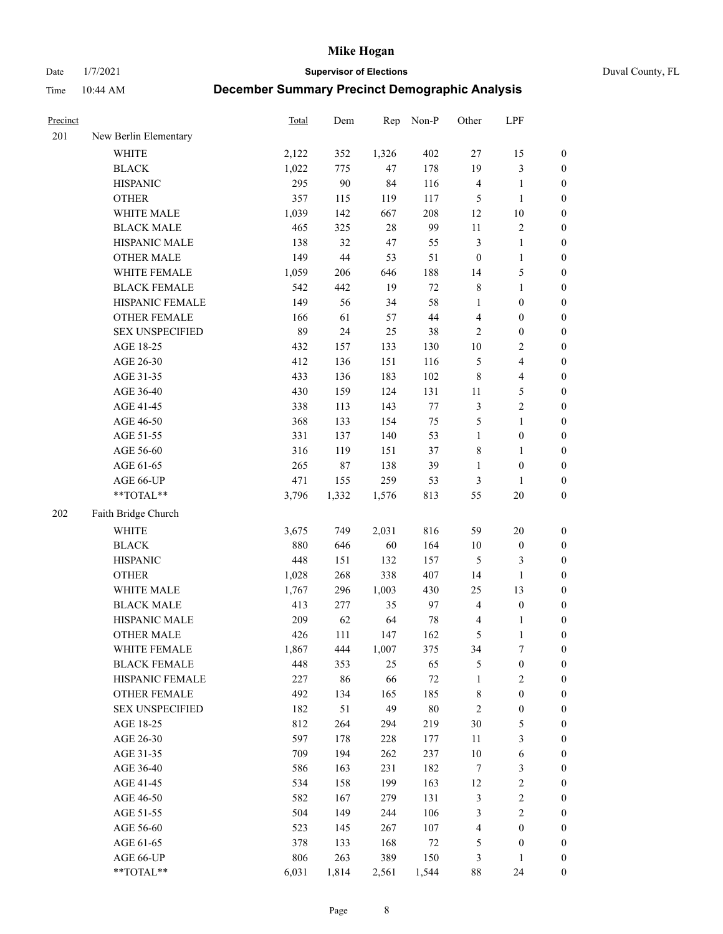Date 1/7/2021 **Supervisor of Elections** Duval County, FL

| Precinct |                        | Total | Dem    | Rep   | Non-P  | Other            | LPF                     |                  |
|----------|------------------------|-------|--------|-------|--------|------------------|-------------------------|------------------|
| 201      | New Berlin Elementary  |       |        |       |        |                  |                         |                  |
|          | <b>WHITE</b>           | 2,122 | 352    | 1,326 | 402    | $27\,$           | 15                      | 0                |
|          | <b>BLACK</b>           | 1,022 | 775    | 47    | 178    | 19               | $\mathfrak{Z}$          | $\boldsymbol{0}$ |
|          | <b>HISPANIC</b>        | 295   | 90     | 84    | 116    | $\overline{4}$   | $\mathbf{1}$            | $\boldsymbol{0}$ |
|          | <b>OTHER</b>           | 357   | 115    | 119   | 117    | 5                | $\mathbf{1}$            | $\boldsymbol{0}$ |
|          | WHITE MALE             | 1,039 | 142    | 667   | 208    | 12               | $10\,$                  | $\boldsymbol{0}$ |
|          | <b>BLACK MALE</b>      | 465   | 325    | 28    | 99     | $11\,$           | $\sqrt{2}$              | $\boldsymbol{0}$ |
|          | HISPANIC MALE          | 138   | 32     | 47    | 55     | $\mathfrak{Z}$   | $\mathbf{1}$            | $\boldsymbol{0}$ |
|          | <b>OTHER MALE</b>      | 149   | $44\,$ | 53    | 51     | $\boldsymbol{0}$ | $\mathbf{1}$            | $\boldsymbol{0}$ |
|          | WHITE FEMALE           | 1,059 | 206    | 646   | 188    | 14               | $\mathfrak s$           | $\boldsymbol{0}$ |
|          | <b>BLACK FEMALE</b>    | 542   | 442    | 19    | $72\,$ | $\,$ 8 $\,$      | $\mathbf{1}$            | 0                |
|          | HISPANIC FEMALE        | 149   | 56     | 34    | 58     | $\mathbf{1}$     | $\boldsymbol{0}$        | 0                |
|          | <b>OTHER FEMALE</b>    | 166   | 61     | 57    | $44\,$ | $\overline{4}$   | $\boldsymbol{0}$        | $\boldsymbol{0}$ |
|          | <b>SEX UNSPECIFIED</b> | 89    | 24     | 25    | 38     | $\sqrt{2}$       | $\boldsymbol{0}$        | $\boldsymbol{0}$ |
|          | AGE 18-25              | 432   | 157    | 133   | 130    | $10\,$           | $\sqrt{2}$              | $\boldsymbol{0}$ |
|          | AGE 26-30              | 412   | 136    | 151   | 116    | 5                | $\overline{\mathbf{4}}$ | $\boldsymbol{0}$ |
|          | AGE 31-35              | 433   | 136    | 183   | 102    | $\,$ 8 $\,$      | $\overline{\mathbf{4}}$ | $\boldsymbol{0}$ |
|          | AGE 36-40              | 430   | 159    | 124   | 131    | 11               | 5                       | $\boldsymbol{0}$ |
|          | AGE 41-45              | 338   | 113    | 143   | $77\,$ | 3                | $\sqrt{2}$              | $\boldsymbol{0}$ |
|          | AGE 46-50              | 368   | 133    | 154   | 75     | 5                | $\mathbf{1}$            | $\boldsymbol{0}$ |
|          | AGE 51-55              | 331   | 137    | 140   | 53     | $\mathbf{1}$     | $\boldsymbol{0}$        | $\boldsymbol{0}$ |
|          | AGE 56-60              | 316   | 119    | 151   | 37     | 8                | $\mathbf{1}$            | 0                |
|          | AGE 61-65              | 265   | $87\,$ | 138   | 39     | $\mathbf{1}$     | $\boldsymbol{0}$        | $\boldsymbol{0}$ |
|          | AGE 66-UP              | 471   | 155    | 259   | 53     | 3                | $\mathbf{1}$            | $\boldsymbol{0}$ |
|          | $**TOTAL**$            | 3,796 | 1,332  | 1,576 | 813    | 55               | $20\,$                  | $\boldsymbol{0}$ |
| 202      | Faith Bridge Church    |       |        |       |        |                  |                         |                  |
|          | <b>WHITE</b>           | 3,675 | 749    | 2,031 | 816    | 59               | $20\,$                  | $\boldsymbol{0}$ |
|          | <b>BLACK</b>           | 880   | 646    | 60    | 164    | $10\,$           | $\boldsymbol{0}$        | $\boldsymbol{0}$ |
|          | <b>HISPANIC</b>        | 448   | 151    | 132   | 157    | 5                | $\mathfrak{Z}$          | $\boldsymbol{0}$ |
|          | <b>OTHER</b>           | 1,028 | 268    | 338   | 407    | 14               | $\mathbf{1}$            | $\boldsymbol{0}$ |
|          | WHITE MALE             | 1,767 | 296    | 1,003 | 430    | 25               | 13                      | $\boldsymbol{0}$ |
|          | <b>BLACK MALE</b>      | 413   | 277    | 35    | 97     | $\overline{4}$   | $\boldsymbol{0}$        | $\boldsymbol{0}$ |
|          | HISPANIC MALE          | 209   | 62     | 64    | $78\,$ | 4                | 1                       | $\boldsymbol{0}$ |
|          | <b>OTHER MALE</b>      | 426   | 111    | 147   | 162    | $\mathfrak{S}$   | $\mathbf{1}$            | $\boldsymbol{0}$ |
|          | WHITE FEMALE           | 1,867 | 444    | 1,007 | 375    | 34               | 7                       | 0                |
|          | <b>BLACK FEMALE</b>    | 448   | 353    | 25    | 65     | 5                | $\boldsymbol{0}$        | $\boldsymbol{0}$ |
|          | HISPANIC FEMALE        | 227   | 86     | 66    | $72\,$ | $\mathbf{1}$     | $\sqrt{2}$              | $\overline{0}$   |
|          | <b>OTHER FEMALE</b>    | 492   | 134    | 165   | 185    | 8                | $\boldsymbol{0}$        | $\overline{0}$   |
|          | <b>SEX UNSPECIFIED</b> | 182   | 51     | 49    | $80\,$ | $\overline{c}$   | $\boldsymbol{0}$        | 0                |
|          | AGE 18-25              | 812   | 264    | 294   | 219    | 30               | $\mathfrak s$           | 0                |
|          | AGE 26-30              | 597   | 178    | 228   | 177    | $11\,$           | $\mathfrak{Z}$          | 0                |
|          | AGE 31-35              | 709   | 194    | 262   | 237    | $10\,$           | $\sqrt{6}$              | 0                |
|          | AGE 36-40              | 586   | 163    | 231   | 182    | $\tau$           | $\mathfrak{Z}$          | 0                |
|          | AGE 41-45              | 534   | 158    | 199   | 163    | 12               | $\sqrt{2}$              | 0                |
|          | AGE 46-50              | 582   | 167    | 279   | 131    | 3                | $\sqrt{2}$              | 0                |
|          | AGE 51-55              | 504   | 149    | 244   | 106    | 3                | $\sqrt{2}$              | 0                |
|          | AGE 56-60              | 523   | 145    | 267   | 107    | 4                | $\boldsymbol{0}$        | $\boldsymbol{0}$ |
|          | AGE 61-65              | 378   | 133    | 168   | 72     | 5                | $\boldsymbol{0}$        | $\boldsymbol{0}$ |
|          | AGE 66-UP              | 806   | 263    | 389   | 150    | 3                | $\mathbf{1}$            | $\boldsymbol{0}$ |
|          | **TOTAL**              | 6,031 | 1,814  | 2,561 | 1,544  | 88               | 24                      | $\boldsymbol{0}$ |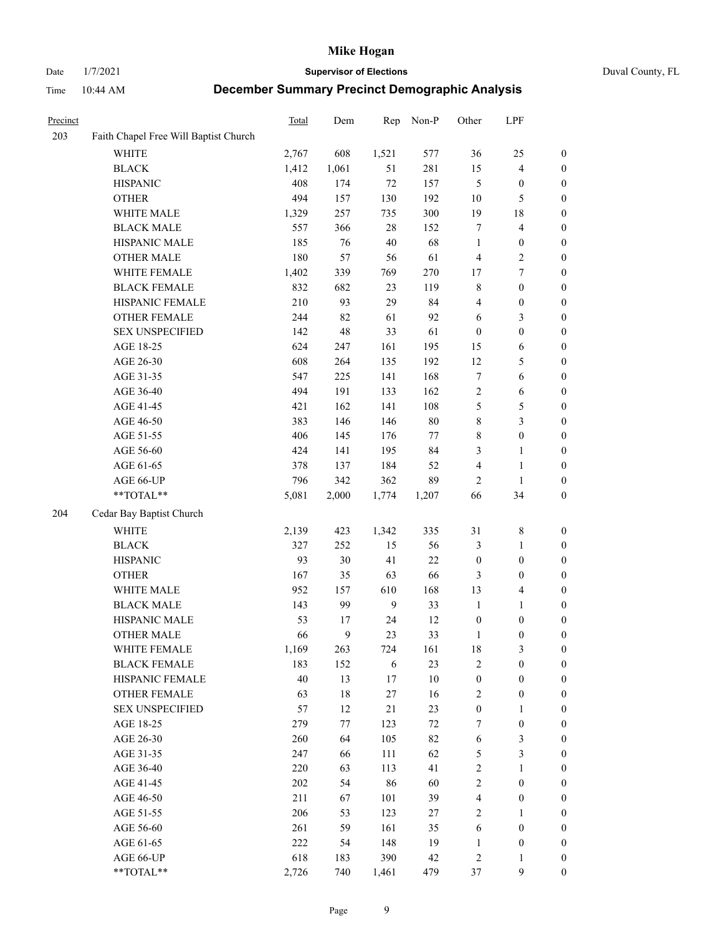#### Date 1/7/2021 **Supervisor of Elections** Duval County, FL

| Precinct |                                       | Total | Dem   | Rep            | Non-P  | Other            | LPF                     |                  |
|----------|---------------------------------------|-------|-------|----------------|--------|------------------|-------------------------|------------------|
| 203      | Faith Chapel Free Will Baptist Church |       |       |                |        |                  |                         |                  |
|          | <b>WHITE</b>                          | 2,767 | 608   | 1,521          | 577    | 36               | 25                      | $\boldsymbol{0}$ |
|          | <b>BLACK</b>                          | 1,412 | 1,061 | 51             | 281    | 15               | $\overline{4}$          | $\boldsymbol{0}$ |
|          | <b>HISPANIC</b>                       | 408   | 174   | $72\,$         | 157    | 5                | $\boldsymbol{0}$        | $\boldsymbol{0}$ |
|          | <b>OTHER</b>                          | 494   | 157   | 130            | 192    | 10               | $\mathfrak{S}$          | $\boldsymbol{0}$ |
|          | WHITE MALE                            | 1,329 | 257   | 735            | 300    | 19               | $18\,$                  | $\boldsymbol{0}$ |
|          | <b>BLACK MALE</b>                     | 557   | 366   | 28             | 152    | 7                | $\overline{\mathbf{4}}$ | $\boldsymbol{0}$ |
|          | HISPANIC MALE                         | 185   | 76    | $40\,$         | 68     | $\mathbf{1}$     | $\boldsymbol{0}$        | $\boldsymbol{0}$ |
|          | <b>OTHER MALE</b>                     | 180   | 57    | 56             | 61     | 4                | $\overline{2}$          | $\boldsymbol{0}$ |
|          | WHITE FEMALE                          | 1,402 | 339   | 769            | 270    | 17               | $\boldsymbol{7}$        | $\boldsymbol{0}$ |
|          | <b>BLACK FEMALE</b>                   | 832   | 682   | 23             | 119    | 8                | $\boldsymbol{0}$        | 0                |
|          | HISPANIC FEMALE                       | 210   | 93    | 29             | 84     | 4                | $\boldsymbol{0}$        | $\boldsymbol{0}$ |
|          | OTHER FEMALE                          | 244   | 82    | 61             | 92     | 6                | $\mathfrak{Z}$          | $\boldsymbol{0}$ |
|          | <b>SEX UNSPECIFIED</b>                | 142   | 48    | 33             | 61     | $\boldsymbol{0}$ | $\boldsymbol{0}$        | $\boldsymbol{0}$ |
|          | AGE 18-25                             | 624   | 247   | 161            | 195    | 15               | 6                       | $\boldsymbol{0}$ |
|          | AGE 26-30                             | 608   | 264   | 135            | 192    | 12               | 5                       | $\boldsymbol{0}$ |
|          | AGE 31-35                             | 547   | 225   | 141            | 168    | 7                | 6                       | $\boldsymbol{0}$ |
|          | AGE 36-40                             | 494   | 191   | 133            | 162    | $\sqrt{2}$       | 6                       | $\boldsymbol{0}$ |
|          | AGE 41-45                             | 421   | 162   | 141            | 108    | 5                | $\mathfrak s$           | $\boldsymbol{0}$ |
|          | AGE 46-50                             | 383   | 146   | 146            | $80\,$ | 8                | $\mathfrak{Z}$          | $\boldsymbol{0}$ |
|          | AGE 51-55                             | 406   | 145   | 176            | 77     | 8                | $\boldsymbol{0}$        | 0                |
|          | AGE 56-60                             | 424   | 141   | 195            | 84     | 3                | $\mathbf{1}$            | 0                |
|          | AGE 61-65                             | 378   | 137   | 184            | 52     | 4                | $\mathbf{1}$            | $\boldsymbol{0}$ |
|          | AGE 66-UP                             | 796   | 342   | 362            | 89     | 2                | $\mathbf{1}$            | $\boldsymbol{0}$ |
|          | $**TOTAL**$                           | 5,081 | 2,000 | 1,774          | 1,207  | 66               | 34                      | $\boldsymbol{0}$ |
| 204      | Cedar Bay Baptist Church              |       |       |                |        |                  |                         |                  |
|          | <b>WHITE</b>                          | 2,139 | 423   | 1,342          | 335    | 31               | $\,$ 8 $\,$             | $\boldsymbol{0}$ |
|          | <b>BLACK</b>                          | 327   | 252   | 15             | 56     | 3                | $\mathbf{1}$            | $\boldsymbol{0}$ |
|          | <b>HISPANIC</b>                       | 93    | 30    | 41             | 22     | $\boldsymbol{0}$ | $\boldsymbol{0}$        | $\boldsymbol{0}$ |
|          | <b>OTHER</b>                          | 167   | 35    | 63             | 66     | 3                | $\boldsymbol{0}$        | $\boldsymbol{0}$ |
|          | WHITE MALE                            | 952   | 157   | 610            | 168    | 13               | $\overline{\mathbf{4}}$ | $\boldsymbol{0}$ |
|          | <b>BLACK MALE</b>                     | 143   | 99    | $\overline{9}$ | 33     | $\mathbf{1}$     | $\mathbf{1}$            | $\boldsymbol{0}$ |
|          | HISPANIC MALE                         | 53    | 17    | 24             | 12     | $\boldsymbol{0}$ | $\boldsymbol{0}$        | 0                |
|          | <b>OTHER MALE</b>                     | 66    | 9     | 23             | 33     | $\mathbf{1}$     | $\boldsymbol{0}$        | $\boldsymbol{0}$ |
|          | WHITE FEMALE                          | 1,169 | 263   | 724            | 161    | 18               | 3                       | $\overline{0}$   |
|          | <b>BLACK FEMALE</b>                   | 183   | 152   | 6              | 23     | $\mathfrak{2}$   | $\boldsymbol{0}$        | $\boldsymbol{0}$ |
|          | HISPANIC FEMALE                       | 40    | 13    | $17\,$         | $10\,$ | $\boldsymbol{0}$ | $\boldsymbol{0}$        | $\overline{0}$   |
|          | <b>OTHER FEMALE</b>                   | 63    | 18    | $27\,$         | 16     | $\sqrt{2}$       | $\boldsymbol{0}$        | 0                |
|          | <b>SEX UNSPECIFIED</b>                | 57    | 12    | 21             | 23     | $\boldsymbol{0}$ | $\mathbf{1}$            | 0                |
|          | AGE 18-25                             | 279   | 77    | 123            | $72\,$ | 7                | $\boldsymbol{0}$        | 0                |
|          | AGE 26-30                             | 260   | 64    | 105            | 82     | 6                | $\mathfrak{Z}$          | 0                |
|          | AGE 31-35                             | 247   | 66    | 111            | 62     | $\mathfrak s$    | $\mathfrak{Z}$          | 0                |
|          | AGE 36-40                             | 220   | 63    | 113            | 41     | $\sqrt{2}$       | $\mathbf{1}$            | 0                |
|          | AGE 41-45                             | 202   | 54    | 86             | 60     | $\sqrt{2}$       | $\boldsymbol{0}$        | 0                |
|          | AGE 46-50                             | 211   | 67    | 101            | 39     | 4                | $\boldsymbol{0}$        | 0                |
|          | AGE 51-55                             | 206   | 53    | 123            | 27     | $\mathfrak{2}$   | $\mathbf{1}$            | $\boldsymbol{0}$ |
|          | AGE 56-60                             | 261   | 59    | 161            | 35     | 6                | $\boldsymbol{0}$        | $\boldsymbol{0}$ |
|          | AGE 61-65                             | 222   | 54    | 148            | 19     | $\mathbf{1}$     | $\boldsymbol{0}$        | 0                |
|          | AGE 66-UP                             | 618   | 183   | 390            | 42     | $\sqrt{2}$       | $\mathbf{1}$            | 0                |
|          | **TOTAL**                             | 2,726 | 740   | 1,461          | 479    | 37               | 9                       | $\boldsymbol{0}$ |
|          |                                       |       |       |                |        |                  |                         |                  |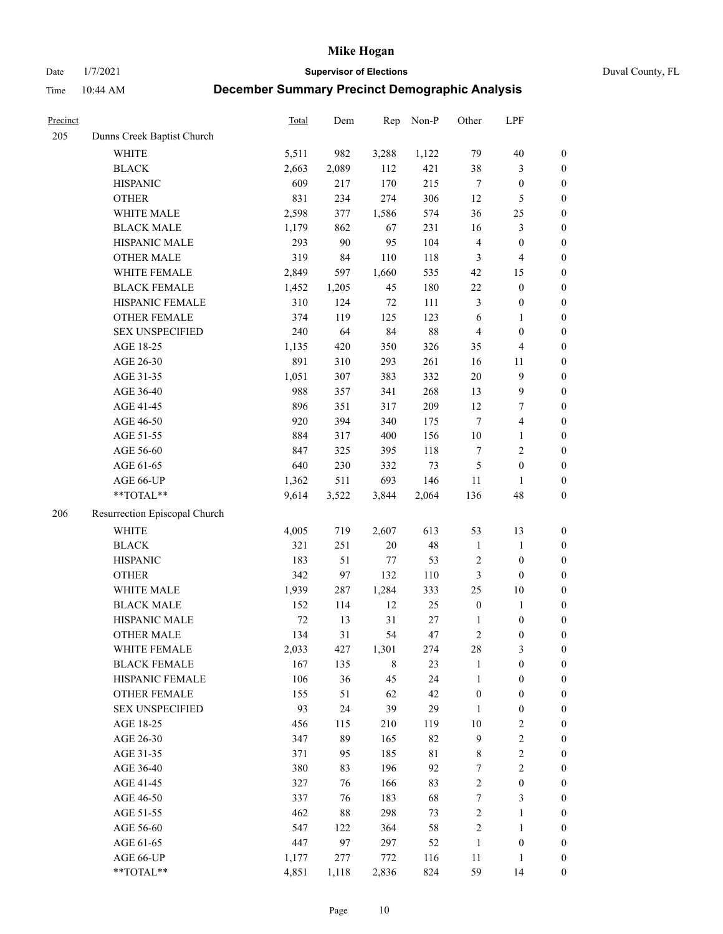Date 1/7/2021 **Supervisor of Elections** Duval County, FL

| Precinct |                               | Total  | Dem   | Rep         | Non-P  | Other            | LPF                     |                  |
|----------|-------------------------------|--------|-------|-------------|--------|------------------|-------------------------|------------------|
| 205      | Dunns Creek Baptist Church    |        |       |             |        |                  |                         |                  |
|          | <b>WHITE</b>                  | 5,511  | 982   | 3,288       | 1,122  | 79               | $40\,$                  | $\boldsymbol{0}$ |
|          | <b>BLACK</b>                  | 2,663  | 2,089 | 112         | 421    | 38               | $\mathfrak{Z}$          | $\boldsymbol{0}$ |
|          | <b>HISPANIC</b>               | 609    | 217   | 170         | 215    | $\tau$           | $\boldsymbol{0}$        | $\boldsymbol{0}$ |
|          | <b>OTHER</b>                  | 831    | 234   | 274         | 306    | 12               | $\mathfrak{S}$          | $\boldsymbol{0}$ |
|          | WHITE MALE                    | 2,598  | 377   | 1,586       | 574    | 36               | $25\,$                  | $\boldsymbol{0}$ |
|          | <b>BLACK MALE</b>             | 1,179  | 862   | 67          | 231    | 16               | $\mathfrak{Z}$          | $\boldsymbol{0}$ |
|          | HISPANIC MALE                 | 293    | 90    | 95          | 104    | $\overline{4}$   | $\boldsymbol{0}$        | $\boldsymbol{0}$ |
|          | <b>OTHER MALE</b>             | 319    | 84    | 110         | 118    | 3                | $\overline{4}$          | $\boldsymbol{0}$ |
|          | WHITE FEMALE                  | 2,849  | 597   | 1,660       | 535    | 42               | 15                      | $\boldsymbol{0}$ |
|          | <b>BLACK FEMALE</b>           | 1,452  | 1,205 | 45          | 180    | $22\,$           | $\boldsymbol{0}$        | $\boldsymbol{0}$ |
|          | HISPANIC FEMALE               | 310    | 124   | $72\,$      | 111    | 3                | $\boldsymbol{0}$        | 0                |
|          | OTHER FEMALE                  | 374    | 119   | 125         | 123    | 6                | $\mathbf{1}$            | $\boldsymbol{0}$ |
|          | <b>SEX UNSPECIFIED</b>        | 240    | 64    | 84          | 88     | $\overline{4}$   | $\boldsymbol{0}$        | $\boldsymbol{0}$ |
|          | AGE 18-25                     | 1,135  | 420   | 350         | 326    | 35               | $\overline{\mathbf{4}}$ | $\boldsymbol{0}$ |
|          | AGE 26-30                     | 891    | 310   | 293         | 261    | 16               | 11                      | $\boldsymbol{0}$ |
|          | AGE 31-35                     | 1,051  | 307   | 383         | 332    | $20\,$           | $\boldsymbol{9}$        | $\boldsymbol{0}$ |
|          | AGE 36-40                     | 988    | 357   | 341         | 268    | 13               | $\mathbf{9}$            | $\boldsymbol{0}$ |
|          | AGE 41-45                     | 896    | 351   | 317         | 209    | 12               | $\boldsymbol{7}$        | $\boldsymbol{0}$ |
|          | AGE 46-50                     | 920    | 394   | 340         | 175    | $\tau$           | $\overline{\mathbf{4}}$ | $\boldsymbol{0}$ |
|          | AGE 51-55                     | 884    | 317   | 400         | 156    | $10\,$           | $\mathbf{1}$            | $\boldsymbol{0}$ |
|          | AGE 56-60                     | 847    | 325   | 395         | 118    | 7                | $\sqrt{2}$              | 0                |
|          | AGE 61-65                     | 640    | 230   | 332         | 73     | 5                | $\boldsymbol{0}$        | $\boldsymbol{0}$ |
|          | AGE 66-UP                     | 1,362  | 511   | 693         | 146    | 11               | $\mathbf{1}$            | $\boldsymbol{0}$ |
|          | $**TOTAL**$                   | 9,614  | 3,522 | 3,844       | 2,064  | 136              | 48                      | $\boldsymbol{0}$ |
| 206      | Resurrection Episcopal Church |        |       |             |        |                  |                         |                  |
|          | <b>WHITE</b>                  | 4,005  | 719   | 2,607       | 613    | 53               | 13                      | $\boldsymbol{0}$ |
|          | <b>BLACK</b>                  | 321    | 251   | $20\,$      | 48     | $\mathbf{1}$     | $\mathbf{1}$            | $\boldsymbol{0}$ |
|          | <b>HISPANIC</b>               | 183    | 51    | 77          | 53     | $\overline{c}$   | $\boldsymbol{0}$        | $\boldsymbol{0}$ |
|          | <b>OTHER</b>                  | 342    | 97    | 132         | 110    | $\mathfrak{Z}$   | $\boldsymbol{0}$        | $\boldsymbol{0}$ |
|          | WHITE MALE                    | 1,939  | 287   | 1,284       | 333    | 25               | $10\,$                  | $\boldsymbol{0}$ |
|          | <b>BLACK MALE</b>             | 152    | 114   | 12          | 25     | $\boldsymbol{0}$ | $\mathbf{1}$            | $\boldsymbol{0}$ |
|          | HISPANIC MALE                 | $72\,$ | 13    | 31          | $27\,$ | 1                | $\boldsymbol{0}$        | $\boldsymbol{0}$ |
|          | <b>OTHER MALE</b>             | 134    | 31    | 54          | 47     | $\overline{c}$   | $\boldsymbol{0}$        | $\boldsymbol{0}$ |
|          | WHITE FEMALE                  | 2,033  | 427   | 1,301       | 274    | 28               | 3                       | 0                |
|          | <b>BLACK FEMALE</b>           | 167    | 135   | $\,$ 8 $\,$ | 23     | $\mathbf{1}$     | $\boldsymbol{0}$        | $\boldsymbol{0}$ |
|          | HISPANIC FEMALE               | 106    | 36    | 45          | 24     | $\mathbf{1}$     | $\boldsymbol{0}$        | $\overline{0}$   |
|          | OTHER FEMALE                  | 155    | 51    | 62          | 42     | $\boldsymbol{0}$ | $\boldsymbol{0}$        | $\overline{0}$   |
|          | <b>SEX UNSPECIFIED</b>        | 93     | 24    | 39          | 29     | $\mathbf{1}$     | $\boldsymbol{0}$        | 0                |
|          | AGE 18-25                     | 456    | 115   | 210         | 119    | 10               | $\sqrt{2}$              | 0                |
|          | AGE 26-30                     | 347    | 89    | 165         | 82     | $\overline{9}$   | $\sqrt{2}$              | 0                |
|          | AGE 31-35                     | 371    | 95    | 185         | 81     | $\,$ 8 $\,$      | $\sqrt{2}$              | 0                |
|          | AGE 36-40                     | 380    | 83    | 196         | 92     | 7                | $\sqrt{2}$              | 0                |
|          | AGE 41-45                     | 327    | 76    | 166         | 83     | $\sqrt{2}$       | $\boldsymbol{0}$        | 0                |
|          | AGE 46-50                     | 337    | 76    | 183         | 68     | $\boldsymbol{7}$ | 3                       | 0                |
|          | AGE 51-55                     | 462    | 88    | 298         | 73     | $\sqrt{2}$       | $\mathbf{1}$            | 0                |
|          | AGE 56-60                     | 547    | 122   | 364         | 58     | $\overline{c}$   | $\mathbf{1}$            | 0                |
|          | AGE 61-65                     | 447    | 97    | 297         | 52     | $\mathbf{1}$     | $\boldsymbol{0}$        | 0                |
|          | AGE 66-UP                     | 1,177  | 277   | 772         | 116    | 11               | $\mathbf{1}$            | 0                |
|          | **TOTAL**                     | 4,851  | 1,118 | 2,836       | 824    | 59               | 14                      | $\boldsymbol{0}$ |
|          |                               |        |       |             |        |                  |                         |                  |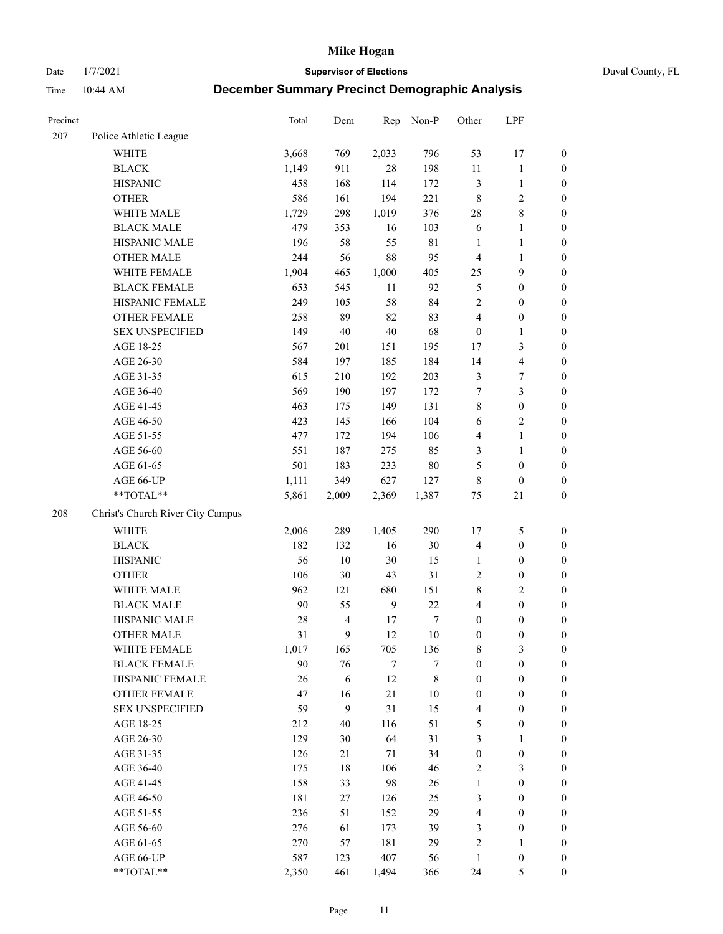Date 1/7/2021 **Supervisor of Elections** Duval County, FL

| Precinct |                                   | Total | Dem                     | Rep            | Non-P       | Other            | LPF                     |                  |
|----------|-----------------------------------|-------|-------------------------|----------------|-------------|------------------|-------------------------|------------------|
| 207      | Police Athletic League            |       |                         |                |             |                  |                         |                  |
|          | <b>WHITE</b>                      | 3,668 | 769                     | 2,033          | 796         | 53               | 17                      | 0                |
|          | <b>BLACK</b>                      | 1,149 | 911                     | 28             | 198         | 11               | $\mathbf{1}$            | $\boldsymbol{0}$ |
|          | <b>HISPANIC</b>                   | 458   | 168                     | 114            | 172         | 3                | $\mathbf{1}$            | $\boldsymbol{0}$ |
|          | <b>OTHER</b>                      | 586   | 161                     | 194            | 221         | 8                | $\sqrt{2}$              | $\boldsymbol{0}$ |
|          | WHITE MALE                        | 1,729 | 298                     | 1,019          | 376         | 28               | $8\,$                   | $\boldsymbol{0}$ |
|          | <b>BLACK MALE</b>                 | 479   | 353                     | 16             | 103         | 6                | $\mathbf{1}$            | $\boldsymbol{0}$ |
|          | HISPANIC MALE                     | 196   | 58                      | 55             | $8\sqrt{1}$ | $\mathbf{1}$     | $\mathbf{1}$            | $\boldsymbol{0}$ |
|          | <b>OTHER MALE</b>                 | 244   | 56                      | 88             | 95          | 4                | $\mathbf{1}$            | $\boldsymbol{0}$ |
|          | WHITE FEMALE                      | 1,904 | 465                     | 1,000          | 405         | 25               | $\mathbf{9}$            | $\boldsymbol{0}$ |
|          | <b>BLACK FEMALE</b>               | 653   | 545                     | 11             | 92          | 5                | $\boldsymbol{0}$        | $\boldsymbol{0}$ |
|          | HISPANIC FEMALE                   | 249   | 105                     | 58             | 84          | $\overline{2}$   | $\boldsymbol{0}$        | $\boldsymbol{0}$ |
|          | <b>OTHER FEMALE</b>               | 258   | 89                      | 82             | 83          | 4                | $\boldsymbol{0}$        | $\boldsymbol{0}$ |
|          | <b>SEX UNSPECIFIED</b>            | 149   | $40\,$                  | 40             | 68          | $\boldsymbol{0}$ | $\mathbf{1}$            | $\boldsymbol{0}$ |
|          | AGE 18-25                         | 567   | 201                     | 151            | 195         | 17               | $\mathfrak{Z}$          | $\boldsymbol{0}$ |
|          | AGE 26-30                         | 584   | 197                     | 185            | 184         | 14               | $\overline{\mathbf{4}}$ | $\boldsymbol{0}$ |
|          | AGE 31-35                         | 615   | 210                     | 192            | 203         | 3                | $\boldsymbol{7}$        | $\boldsymbol{0}$ |
|          | AGE 36-40                         | 569   | 190                     | 197            | 172         | 7                | $\mathfrak{Z}$          | $\boldsymbol{0}$ |
|          | AGE 41-45                         | 463   | 175                     | 149            | 131         | 8                | $\boldsymbol{0}$        | $\boldsymbol{0}$ |
|          | AGE 46-50                         | 423   | 145                     | 166            | 104         | $\sqrt{6}$       | $\overline{2}$          | $\boldsymbol{0}$ |
|          | AGE 51-55                         | 477   | 172                     | 194            | 106         | 4                | $\mathbf{1}$            | $\boldsymbol{0}$ |
|          | AGE 56-60                         | 551   | 187                     | 275            | 85          | 3                | $\mathbf{1}$            | 0                |
|          | AGE 61-65                         | 501   | 183                     | 233            | $80\,$      | 5                | $\boldsymbol{0}$        | $\boldsymbol{0}$ |
|          | AGE 66-UP                         | 1,111 | 349                     | 627            | 127         | 8                | $\boldsymbol{0}$        | $\boldsymbol{0}$ |
|          | **TOTAL**                         | 5,861 | 2,009                   | 2,369          | 1,387       | 75               | $21\,$                  | $\boldsymbol{0}$ |
| 208      | Christ's Church River City Campus |       |                         |                |             |                  |                         |                  |
|          | <b>WHITE</b>                      | 2,006 | 289                     | 1,405          | 290         | 17               | $\mathfrak{S}$          | $\boldsymbol{0}$ |
|          | <b>BLACK</b>                      | 182   | 132                     | 16             | $30\,$      | 4                | $\boldsymbol{0}$        | $\boldsymbol{0}$ |
|          | <b>HISPANIC</b>                   | 56    | 10                      | 30             | 15          | $\mathbf{1}$     | $\boldsymbol{0}$        | $\boldsymbol{0}$ |
|          | <b>OTHER</b>                      | 106   | 30                      | 43             | 31          | 2                | $\boldsymbol{0}$        | $\boldsymbol{0}$ |
|          | WHITE MALE                        | 962   | 121                     | 680            | 151         | 8                | $\overline{2}$          | $\boldsymbol{0}$ |
|          | <b>BLACK MALE</b>                 | 90    | 55                      | $\overline{9}$ | 22          | 4                | $\boldsymbol{0}$        | $\boldsymbol{0}$ |
|          | HISPANIC MALE                     | 28    | $\overline{\mathbf{4}}$ | 17             | 7           | $\boldsymbol{0}$ | $\boldsymbol{0}$        | $\boldsymbol{0}$ |
|          | <b>OTHER MALE</b>                 | 31    | 9                       | 12             | $10\,$      | $\boldsymbol{0}$ | $\boldsymbol{0}$        | $\boldsymbol{0}$ |
|          | WHITE FEMALE                      | 1,017 | 165                     | 705            | 136         | 8                | 3                       | 0                |
|          | <b>BLACK FEMALE</b>               | 90    | 76                      | 7              | 7           | $\boldsymbol{0}$ | $\boldsymbol{0}$        | $\overline{0}$   |
|          | HISPANIC FEMALE                   | 26    | 6                       | 12             | $\,$ 8 $\,$ | $\boldsymbol{0}$ | $\boldsymbol{0}$        | $\overline{0}$   |
|          | OTHER FEMALE                      | 47    | 16                      | 21             | $10\,$      | $\boldsymbol{0}$ | $\boldsymbol{0}$        | $\overline{0}$   |
|          | <b>SEX UNSPECIFIED</b>            | 59    | 9                       | 31             | 15          | 4                | $\boldsymbol{0}$        | 0                |
|          | AGE 18-25                         | 212   | 40                      | 116            | 51          | 5                | $\boldsymbol{0}$        | 0                |
|          | AGE 26-30                         | 129   | 30                      | 64             | 31          | 3                | $\mathbf{1}$            | 0                |
|          | AGE 31-35                         | 126   | 21                      | $71\,$         | 34          | $\boldsymbol{0}$ | $\boldsymbol{0}$        | 0                |
|          | AGE 36-40                         | 175   | $18\,$                  | 106            | 46          | 2                | $\mathfrak{Z}$          | 0                |
|          | AGE 41-45                         | 158   | 33                      | 98             | 26          | $\mathbf{1}$     | $\boldsymbol{0}$        | 0                |
|          | AGE 46-50                         | 181   | 27                      | 126            | 25          | 3                | $\boldsymbol{0}$        | 0                |
|          | AGE 51-55                         | 236   | 51                      | 152            | 29          | 4                | $\boldsymbol{0}$        | 0                |
|          | AGE 56-60                         | 276   | 61                      | 173            | 39          | 3                | $\boldsymbol{0}$        | $\overline{0}$   |
|          | AGE 61-65                         | 270   | 57                      | 181            | 29          | 2                | $\mathbf{1}$            | 0                |
|          | AGE 66-UP                         | 587   | 123                     | 407            | 56          | $\mathbf{1}$     | $\boldsymbol{0}$        | 0                |
|          | **TOTAL**                         | 2,350 | 461                     | 1,494          | 366         | 24               | 5                       | $\boldsymbol{0}$ |
|          |                                   |       |                         |                |             |                  |                         |                  |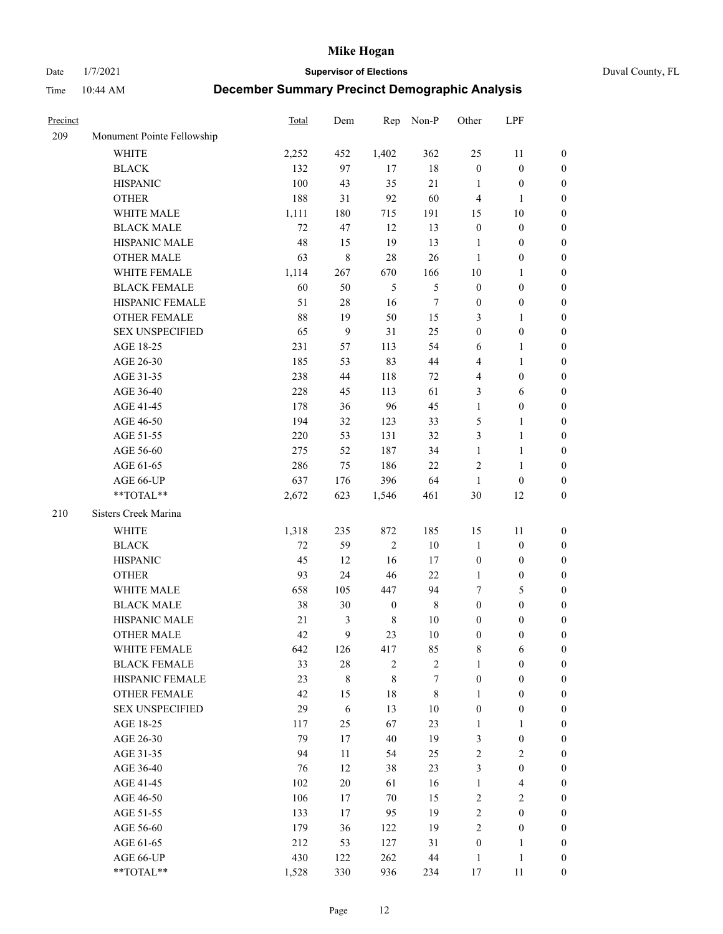Date 1/7/2021 **Supervisor of Elections** Duval County, FL

| Precinct |                            | Total | Dem       |                  | Rep Non-P   | Other            | LPF                     |                  |
|----------|----------------------------|-------|-----------|------------------|-------------|------------------|-------------------------|------------------|
| 209      | Monument Pointe Fellowship |       |           |                  |             |                  |                         |                  |
|          | <b>WHITE</b>               | 2,252 | 452       | 1,402            | 362         | 25               | 11                      | $\boldsymbol{0}$ |
|          | <b>BLACK</b>               | 132   | 97        | 17               | $18\,$      | $\boldsymbol{0}$ | $\boldsymbol{0}$        | $\boldsymbol{0}$ |
|          | <b>HISPANIC</b>            | 100   | 43        | 35               | 21          | 1                | $\boldsymbol{0}$        | $\boldsymbol{0}$ |
|          | <b>OTHER</b>               | 188   | 31        | 92               | 60          | 4                | $\mathbf{1}$            | $\boldsymbol{0}$ |
|          | WHITE MALE                 | 1,111 | 180       | 715              | 191         | 15               | $10\,$                  | $\boldsymbol{0}$ |
|          | <b>BLACK MALE</b>          | 72    | 47        | 12               | 13          | $\boldsymbol{0}$ | $\boldsymbol{0}$        | $\boldsymbol{0}$ |
|          | HISPANIC MALE              | 48    | 15        | 19               | 13          | $\mathbf{1}$     | $\boldsymbol{0}$        | $\boldsymbol{0}$ |
|          | <b>OTHER MALE</b>          | 63    | 8         | 28               | 26          | $\mathbf{1}$     | $\boldsymbol{0}$        | $\boldsymbol{0}$ |
|          | WHITE FEMALE               | 1,114 | 267       | 670              | 166         | $10\,$           | $\mathbf{1}$            | $\boldsymbol{0}$ |
|          | <b>BLACK FEMALE</b>        | 60    | 50        | 5                | 5           | $\boldsymbol{0}$ | $\boldsymbol{0}$        | 0                |
|          | HISPANIC FEMALE            | 51    | $28\,$    | 16               | $\tau$      | $\boldsymbol{0}$ | $\boldsymbol{0}$        | $\boldsymbol{0}$ |
|          | OTHER FEMALE               | 88    | 19        | 50               | 15          | 3                | $\mathbf{1}$            | $\boldsymbol{0}$ |
|          | <b>SEX UNSPECIFIED</b>     | 65    | 9         | 31               | 25          | $\boldsymbol{0}$ | $\boldsymbol{0}$        | $\boldsymbol{0}$ |
|          | AGE 18-25                  | 231   | 57        | 113              | 54          | 6                | $\mathbf{1}$            | $\boldsymbol{0}$ |
|          | AGE 26-30                  | 185   | 53        | 83               | 44          | 4                | $\mathbf{1}$            | $\boldsymbol{0}$ |
|          | AGE 31-35                  | 238   | 44        | 118              | 72          | 4                | $\boldsymbol{0}$        | $\boldsymbol{0}$ |
|          | AGE 36-40                  | 228   | 45        | 113              | 61          | 3                | 6                       | $\boldsymbol{0}$ |
|          | AGE 41-45                  | 178   | 36        | 96               | 45          | $\mathbf{1}$     | $\boldsymbol{0}$        | $\boldsymbol{0}$ |
|          | AGE 46-50                  | 194   | 32        | 123              | 33          | 5                | $\mathbf{1}$            | $\boldsymbol{0}$ |
|          | AGE 51-55                  | 220   | 53        | 131              | 32          | 3                | $\mathbf{1}$            | 0                |
|          | AGE 56-60                  | 275   | 52        | 187              | 34          | $\mathbf{1}$     | $\mathbf{1}$            | 0                |
|          | AGE 61-65                  | 286   | 75        | 186              | 22          | $\overline{c}$   | $\mathbf{1}$            | 0                |
|          | AGE 66-UP                  | 637   | 176       | 396              | 64          | $\mathbf{1}$     | $\boldsymbol{0}$        | $\boldsymbol{0}$ |
|          | **TOTAL**                  | 2,672 | 623       | 1,546            | 461         | 30               | 12                      | $\boldsymbol{0}$ |
| 210      | Sisters Creek Marina       |       |           |                  |             |                  |                         |                  |
|          | WHITE                      | 1,318 | 235       | 872              | 185         | 15               | 11                      | $\boldsymbol{0}$ |
|          | <b>BLACK</b>               | 72    | 59        | $\mathfrak{2}$   | $10\,$      | $\mathbf{1}$     | $\boldsymbol{0}$        | $\boldsymbol{0}$ |
|          | <b>HISPANIC</b>            | 45    | 12        | 16               | 17          | $\boldsymbol{0}$ | $\boldsymbol{0}$        | $\boldsymbol{0}$ |
|          | <b>OTHER</b>               | 93    | 24        | 46               | $22\,$      | $\mathbf{1}$     | $\boldsymbol{0}$        | $\boldsymbol{0}$ |
|          | WHITE MALE                 | 658   | 105       | 447              | 94          | 7                | $\mathfrak{S}$          | $\boldsymbol{0}$ |
|          | <b>BLACK MALE</b>          | 38    | 30        | $\boldsymbol{0}$ | $\,$ 8 $\,$ | $\boldsymbol{0}$ | $\boldsymbol{0}$        | $\boldsymbol{0}$ |
|          | HISPANIC MALE              | 21    | 3         | $\,$ 8 $\,$      | $10\,$      | $\boldsymbol{0}$ | $\boldsymbol{0}$        | 0                |
|          | <b>OTHER MALE</b>          | 42    | 9         | 23               | 10          | $\boldsymbol{0}$ | $\boldsymbol{0}$        | $\boldsymbol{0}$ |
|          | WHITE FEMALE               | 642   | 126       | 417              | 85          | 8                | 6                       | $\overline{0}$   |
|          | <b>BLACK FEMALE</b>        | 33    | $28\,$    | $\sqrt{2}$       | $\sqrt{2}$  | $\mathbf{1}$     | $\boldsymbol{0}$        | $\overline{0}$   |
|          | HISPANIC FEMALE            | 23    | $\,$ $\,$ | $\,8\,$          | $\tau$      | $\boldsymbol{0}$ | $\boldsymbol{0}$        | $\overline{0}$   |
|          | <b>OTHER FEMALE</b>        | 42    | 15        | 18               | $\,8\,$     | $\mathbf{1}$     | $\boldsymbol{0}$        | $\overline{0}$   |
|          | <b>SEX UNSPECIFIED</b>     | 29    | 6         | 13               | $10\,$      | $\boldsymbol{0}$ | $\boldsymbol{0}$        | 0                |
|          | AGE 18-25                  | 117   | 25        | 67               | 23          | $\mathbf{1}$     | $\mathbf{1}$            | $\theta$         |
|          | AGE 26-30                  | 79    | 17        | 40               | 19          | 3                | $\boldsymbol{0}$        | 0                |
|          | AGE 31-35                  | 94    | 11        | 54               | 25          | $\overline{c}$   | $\sqrt{2}$              | 0                |
|          | AGE 36-40                  | 76    | 12        | 38               | 23          | 3                | $\boldsymbol{0}$        | 0                |
|          | AGE 41-45                  | 102   | 20        | 61               | 16          | $\mathbf{1}$     | $\overline{\mathbf{4}}$ | 0                |
|          | AGE 46-50                  | 106   | 17        | 70               | 15          | $\sqrt{2}$       | $\sqrt{2}$              | $\overline{0}$   |
|          | AGE 51-55                  | 133   | 17        | 95               | 19          | $\sqrt{2}$       | $\boldsymbol{0}$        | $\overline{0}$   |
|          | AGE 56-60                  | 179   | 36        | 122              | 19          | $\overline{c}$   | $\boldsymbol{0}$        | $\overline{0}$   |
|          | AGE 61-65                  | 212   | 53        | 127              | 31          | $\boldsymbol{0}$ | $\mathbf{1}$            | 0                |
|          | AGE 66-UP                  | 430   | 122       | 262              | 44          | $\mathbf{1}$     | $\mathbf{1}$            | 0                |
|          | **TOTAL**                  | 1,528 | 330       | 936              | 234         | 17               | 11                      | $\boldsymbol{0}$ |
|          |                            |       |           |                  |             |                  |                         |                  |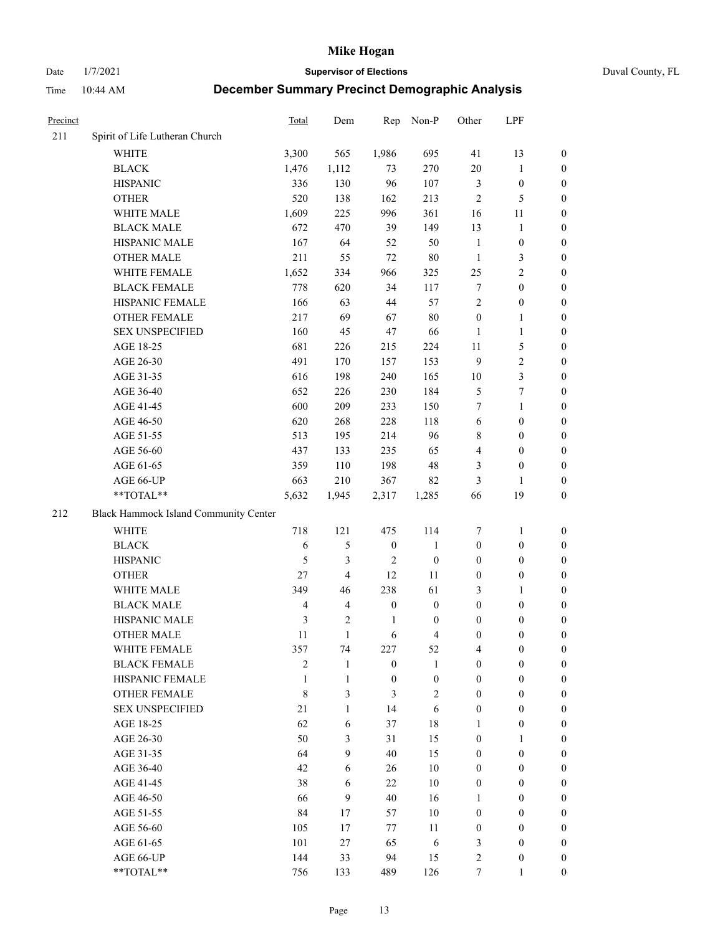Date 1/7/2021 **Supervisor of Elections** Duval County, FL

| Precinct |                                       | <b>Total</b>   | Dem            | Rep              | Non-P            | Other            | LPF              |                  |
|----------|---------------------------------------|----------------|----------------|------------------|------------------|------------------|------------------|------------------|
| 211      | Spirit of Life Lutheran Church        |                |                |                  |                  |                  |                  |                  |
|          | <b>WHITE</b>                          | 3,300          | 565            | 1,986            | 695              | 41               | 13               | 0                |
|          | <b>BLACK</b>                          | 1,476          | 1,112          | 73               | 270              | $20\,$           | $\mathbf{1}$     | 0                |
|          | <b>HISPANIC</b>                       | 336            | 130            | 96               | 107              | 3                | $\boldsymbol{0}$ | 0                |
|          | <b>OTHER</b>                          | 520            | 138            | 162              | 213              | $\mathbf{2}$     | 5                | $\boldsymbol{0}$ |
|          | WHITE MALE                            | 1,609          | 225            | 996              | 361              | 16               | 11               | $\boldsymbol{0}$ |
|          | <b>BLACK MALE</b>                     | 672            | 470            | 39               | 149              | 13               | $\mathbf{1}$     | $\boldsymbol{0}$ |
|          | HISPANIC MALE                         | 167            | 64             | 52               | 50               | $\mathbf{1}$     | $\boldsymbol{0}$ | $\boldsymbol{0}$ |
|          | <b>OTHER MALE</b>                     | 211            | 55             | 72               | $80\,$           | $\mathbf{1}$     | $\mathfrak{Z}$   | $\boldsymbol{0}$ |
|          | WHITE FEMALE                          | 1,652          | 334            | 966              | 325              | 25               | $\overline{2}$   | $\boldsymbol{0}$ |
|          | <b>BLACK FEMALE</b>                   | 778            | 620            | 34               | 117              | 7                | $\boldsymbol{0}$ | 0                |
|          | HISPANIC FEMALE                       | 166            | 63             | 44               | 57               | $\overline{2}$   | $\boldsymbol{0}$ | 0                |
|          | OTHER FEMALE                          | 217            | 69             | 67               | $80\,$           | $\boldsymbol{0}$ | $\mathbf{1}$     | 0                |
|          | <b>SEX UNSPECIFIED</b>                | 160            | 45             | 47               | 66               | $\mathbf{1}$     | $\mathbf{1}$     | $\boldsymbol{0}$ |
|          | AGE 18-25                             | 681            | 226            | 215              | 224              | $11\,$           | $\mathfrak{S}$   | $\boldsymbol{0}$ |
|          | AGE 26-30                             | 491            | 170            | 157              | 153              | 9                | $\sqrt{2}$       | $\boldsymbol{0}$ |
|          | AGE 31-35                             | 616            | 198            | 240              | 165              | $10\,$           | $\mathfrak{Z}$   | $\boldsymbol{0}$ |
|          | AGE 36-40                             | 652            | 226            | 230              | 184              | 5                | 7                | $\boldsymbol{0}$ |
|          | AGE 41-45                             | 600            | 209            | 233              | 150              | 7                | $\mathbf{1}$     | $\boldsymbol{0}$ |
|          | AGE 46-50                             | 620            | 268            | 228              | 118              | $\sqrt{6}$       | $\boldsymbol{0}$ | $\boldsymbol{0}$ |
|          | AGE 51-55                             | 513            | 195            | 214              | 96               | 8                | $\boldsymbol{0}$ | 0                |
|          | AGE 56-60                             | 437            | 133            | 235              | 65               | $\overline{4}$   | $\boldsymbol{0}$ | 0                |
|          | AGE 61-65                             | 359            | 110            | 198              | 48               | 3                | $\boldsymbol{0}$ | 0                |
|          | AGE 66-UP                             | 663            | 210            | 367              | 82               | 3                | 1                | $\boldsymbol{0}$ |
|          | **TOTAL**                             | 5,632          | 1,945          | 2,317            | 1,285            | 66               | 19               | $\boldsymbol{0}$ |
| 212      | Black Hammock Island Community Center |                |                |                  |                  |                  |                  |                  |
|          | WHITE                                 | 718            | 121            | 475              | 114              | 7                | $\mathbf{1}$     | $\boldsymbol{0}$ |
|          | <b>BLACK</b>                          | $\sqrt{6}$     | 5              | $\boldsymbol{0}$ | $\mathbf{1}$     | $\boldsymbol{0}$ | $\boldsymbol{0}$ | $\boldsymbol{0}$ |
|          | <b>HISPANIC</b>                       | 5              | 3              | $\overline{2}$   | $\boldsymbol{0}$ | $\boldsymbol{0}$ | $\boldsymbol{0}$ | $\boldsymbol{0}$ |
|          | <b>OTHER</b>                          | 27             | $\overline{4}$ | 12               | 11               | $\boldsymbol{0}$ | $\boldsymbol{0}$ | $\boldsymbol{0}$ |
|          | WHITE MALE                            | 349            | 46             | 238              | 61               | 3                | $\mathbf{1}$     | $\boldsymbol{0}$ |
|          | <b>BLACK MALE</b>                     | $\overline{4}$ | $\overline{4}$ | $\boldsymbol{0}$ | $\boldsymbol{0}$ | $\boldsymbol{0}$ | $\boldsymbol{0}$ | $\boldsymbol{0}$ |
|          | HISPANIC MALE                         | $\mathfrak{Z}$ | 2              | $\mathbf{1}$     | $\boldsymbol{0}$ | $\boldsymbol{0}$ | $\boldsymbol{0}$ | 0                |
|          | OTHER MALE                            | 11             | $\mathbf{1}$   | 6                | $\overline{4}$   | $\boldsymbol{0}$ | $\boldsymbol{0}$ | $\boldsymbol{0}$ |
|          | WHITE FEMALE                          | 357            | 74             | 227              | 52               | 4                | $\boldsymbol{0}$ | 0                |
|          | <b>BLACK FEMALE</b>                   | $\overline{c}$ | 1              | $\boldsymbol{0}$ | $\mathbf{1}$     | $\boldsymbol{0}$ | $\boldsymbol{0}$ | $\overline{0}$   |
|          | HISPANIC FEMALE                       | 1              | 1              | $\boldsymbol{0}$ | $\boldsymbol{0}$ | $\boldsymbol{0}$ | $\boldsymbol{0}$ | $\overline{0}$   |
|          | <b>OTHER FEMALE</b>                   | 8              | 3              | 3                | $\sqrt{2}$       | $\boldsymbol{0}$ | $\boldsymbol{0}$ | $\overline{0}$   |
|          | <b>SEX UNSPECIFIED</b>                | 21             | $\mathbf{1}$   | 14               | 6                | $\boldsymbol{0}$ | $\overline{0}$   | $\overline{0}$   |
|          | AGE 18-25                             | 62             | 6              | 37               | 18               | $\mathbf{1}$     | $\boldsymbol{0}$ | $\theta$         |
|          | AGE 26-30                             | 50             | 3              | 31               | 15               | $\boldsymbol{0}$ | $\mathbf{1}$     | $\overline{0}$   |
|          | AGE 31-35                             | 64             | 9              | 40               | 15               | $\boldsymbol{0}$ | $\boldsymbol{0}$ | 0                |
|          | AGE 36-40                             | 42             | 6              | 26               | $10\,$           | $\boldsymbol{0}$ | $\boldsymbol{0}$ | 0                |
|          | AGE 41-45                             | 38             | 6              | 22               | 10               | $\boldsymbol{0}$ | $\boldsymbol{0}$ | 0                |
|          | AGE 46-50                             | 66             | 9              | 40               | 16               | $\mathbf{1}$     | $\boldsymbol{0}$ | 0                |
|          | AGE 51-55                             | 84             | 17             | 57               | 10               | $\boldsymbol{0}$ | $\boldsymbol{0}$ | $\overline{0}$   |
|          | AGE 56-60                             | 105            | 17             | 77               | 11               | $\boldsymbol{0}$ | $\boldsymbol{0}$ | $\overline{0}$   |
|          | AGE 61-65                             | 101            | 27             | 65               | 6                | 3                | $\boldsymbol{0}$ | $\overline{0}$   |
|          | AGE 66-UP                             | 144            | 33             | 94               | 15               | 2                | $\boldsymbol{0}$ | 0                |
|          | **TOTAL**                             | 756            | 133            | 489              | 126              | $\boldsymbol{7}$ | $\mathbf{1}$     | $\overline{0}$   |
|          |                                       |                |                |                  |                  |                  |                  |                  |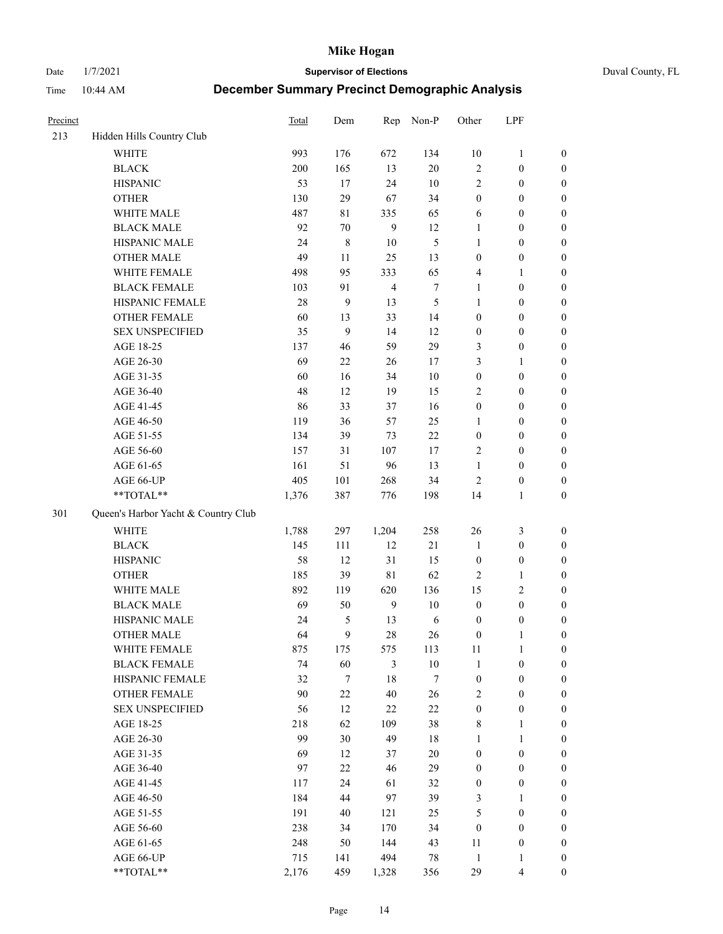Date 1/7/2021 **Supervisor of Elections** Duval County, FL

| Precinct |                                     | <b>Total</b> | Dem              | Rep            | Non-P            | Other            | LPF              |                  |
|----------|-------------------------------------|--------------|------------------|----------------|------------------|------------------|------------------|------------------|
| 213      | Hidden Hills Country Club           |              |                  |                |                  |                  |                  |                  |
|          | <b>WHITE</b>                        | 993          | 176              | 672            | 134              | 10               | $\mathbf{1}$     | 0                |
|          | <b>BLACK</b>                        | 200          | 165              | 13             | 20               | $\mathfrak{2}$   | $\boldsymbol{0}$ | $\boldsymbol{0}$ |
|          | <b>HISPANIC</b>                     | 53           | 17               | 24             | 10               | $\mathfrak{2}$   | $\boldsymbol{0}$ | $\boldsymbol{0}$ |
|          | <b>OTHER</b>                        | 130          | 29               | 67             | 34               | $\boldsymbol{0}$ | $\boldsymbol{0}$ | $\boldsymbol{0}$ |
|          | WHITE MALE                          | 487          | 81               | 335            | 65               | 6                | $\boldsymbol{0}$ | $\boldsymbol{0}$ |
|          | <b>BLACK MALE</b>                   | 92           | 70               | 9              | 12               | $\mathbf{1}$     | $\boldsymbol{0}$ | $\boldsymbol{0}$ |
|          | HISPANIC MALE                       | 24           | $\,$ $\,$        | 10             | 5                | $\mathbf{1}$     | $\boldsymbol{0}$ | $\boldsymbol{0}$ |
|          | <b>OTHER MALE</b>                   | 49           | 11               | 25             | 13               | $\boldsymbol{0}$ | $\boldsymbol{0}$ | $\boldsymbol{0}$ |
|          | WHITE FEMALE                        | 498          | 95               | 333            | 65               | 4                | 1                | $\boldsymbol{0}$ |
|          | <b>BLACK FEMALE</b>                 | 103          | 91               | $\overline{4}$ | $\boldsymbol{7}$ | $\mathbf{1}$     | $\boldsymbol{0}$ | $\boldsymbol{0}$ |
|          | HISPANIC FEMALE                     | 28           | 9                | 13             | 5                | $\mathbf{1}$     | $\boldsymbol{0}$ | 0                |
|          | <b>OTHER FEMALE</b>                 | 60           | 13               | 33             | 14               | $\boldsymbol{0}$ | $\boldsymbol{0}$ | $\boldsymbol{0}$ |
|          | <b>SEX UNSPECIFIED</b>              | 35           | 9                | 14             | 12               | $\boldsymbol{0}$ | $\boldsymbol{0}$ | $\boldsymbol{0}$ |
|          | AGE 18-25                           | 137          | 46               | 59             | 29               | 3                | $\boldsymbol{0}$ | $\boldsymbol{0}$ |
|          | AGE 26-30                           | 69           | $22\,$           | 26             | 17               | 3                | $\mathbf{1}$     | $\boldsymbol{0}$ |
|          | AGE 31-35                           | 60           | 16               | 34             | 10               | $\boldsymbol{0}$ | $\boldsymbol{0}$ | $\boldsymbol{0}$ |
|          | AGE 36-40                           | 48           | 12               | 19             | 15               | 2                | $\boldsymbol{0}$ | $\boldsymbol{0}$ |
|          | AGE 41-45                           | 86           | 33               | 37             | 16               | $\boldsymbol{0}$ | $\boldsymbol{0}$ | $\boldsymbol{0}$ |
|          | AGE 46-50                           | 119          | 36               | 57             | 25               | 1                | $\boldsymbol{0}$ | $\boldsymbol{0}$ |
|          | AGE 51-55                           | 134          | 39               | 73             | $22\,$           | $\boldsymbol{0}$ | $\boldsymbol{0}$ | $\boldsymbol{0}$ |
|          | AGE 56-60                           | 157          | 31               | 107            | 17               | $\mathfrak{2}$   | $\boldsymbol{0}$ | 0                |
|          | AGE 61-65                           | 161          | 51               | 96             | 13               | $\mathbf{1}$     | $\boldsymbol{0}$ | $\boldsymbol{0}$ |
|          | AGE 66-UP                           | 405          | 101              | 268            | 34               | $\mathfrak{2}$   | $\boldsymbol{0}$ | $\boldsymbol{0}$ |
|          | **TOTAL**                           | 1,376        | 387              | 776            | 198              | 14               | $\mathbf{1}$     | $\boldsymbol{0}$ |
| 301      | Queen's Harbor Yacht & Country Club |              |                  |                |                  |                  |                  |                  |
|          | <b>WHITE</b>                        | 1,788        | 297              | 1,204          | 258              | 26               | $\mathfrak{Z}$   | $\boldsymbol{0}$ |
|          | <b>BLACK</b>                        | 145          | 111              | 12             | 21               | $\mathbf{1}$     | $\boldsymbol{0}$ | $\boldsymbol{0}$ |
|          | <b>HISPANIC</b>                     | 58           | 12               | 31             | 15               | $\boldsymbol{0}$ | $\boldsymbol{0}$ | $\boldsymbol{0}$ |
|          | <b>OTHER</b>                        | 185          | 39               | $8\sqrt{1}$    | 62               | 2                | $\mathbf{1}$     | $\boldsymbol{0}$ |
|          | WHITE MALE                          | 892          | 119              | 620            | 136              | 15               | $\mathfrak{2}$   | $\boldsymbol{0}$ |
|          | <b>BLACK MALE</b>                   | 69           | 50               | $\overline{9}$ | $10\,$           | $\boldsymbol{0}$ | $\boldsymbol{0}$ | $\boldsymbol{0}$ |
|          | HISPANIC MALE                       | 24           | 5                | 13             | 6                | $\boldsymbol{0}$ | $\boldsymbol{0}$ | $\boldsymbol{0}$ |
|          | OTHER MALE                          | 64           | 9                | 28             | 26               | $\boldsymbol{0}$ | $\mathbf{1}$     | $\boldsymbol{0}$ |
|          | WHITE FEMALE                        | 875          | 175              | 575            | 113              | 11               | 1                | 0                |
|          | <b>BLACK FEMALE</b>                 | 74           | 60               | 3              | $10\,$           | $\mathbf{1}$     | $\boldsymbol{0}$ | $\boldsymbol{0}$ |
|          | HISPANIC FEMALE                     | 32           | $\boldsymbol{7}$ | 18             | 7                | $\boldsymbol{0}$ | $\boldsymbol{0}$ | $\overline{0}$   |
|          | OTHER FEMALE                        | 90           | $22\,$           | 40             | 26               | 2                | $\boldsymbol{0}$ | $\overline{0}$   |
|          | <b>SEX UNSPECIFIED</b>              | 56           | 12               | 22             | $22\,$           | $\boldsymbol{0}$ | $\boldsymbol{0}$ | 0                |
|          | AGE 18-25                           | 218          | 62               | 109            | 38               | 8                | $\mathbf{1}$     | $\overline{0}$   |
|          | AGE 26-30                           | 99           | 30               | 49             | 18               | $\mathbf{1}$     | $\mathbf{1}$     | $\overline{0}$   |
|          | AGE 31-35                           | 69           | 12               | 37             | $20\,$           | $\boldsymbol{0}$ | $\boldsymbol{0}$ | 0                |
|          | AGE 36-40                           | 97           | 22               | 46             | 29               | $\boldsymbol{0}$ | $\boldsymbol{0}$ | 0                |
|          | AGE 41-45                           | 117          | 24               | 61             | 32               | $\boldsymbol{0}$ | $\boldsymbol{0}$ | 0                |
|          | AGE 46-50                           | 184          | 44               | 97             | 39               | 3                | $\mathbf{1}$     | 0                |
|          | AGE 51-55                           | 191          | 40               | 121            | 25               | 5                | $\boldsymbol{0}$ | $\overline{0}$   |
|          | AGE 56-60                           | 238          | 34               | 170            | 34               | $\boldsymbol{0}$ | $\boldsymbol{0}$ | $\overline{0}$   |
|          | AGE 61-65                           | 248          | 50               | 144            | 43               | 11               | $\boldsymbol{0}$ | $\boldsymbol{0}$ |
|          | AGE 66-UP                           | 715          | 141              | 494            | $78\,$           | $\mathbf{1}$     | 1                | 0                |
|          | **TOTAL**                           | 2,176        | 459              | 1,328          | 356              | 29               | $\overline{4}$   | $\boldsymbol{0}$ |
|          |                                     |              |                  |                |                  |                  |                  |                  |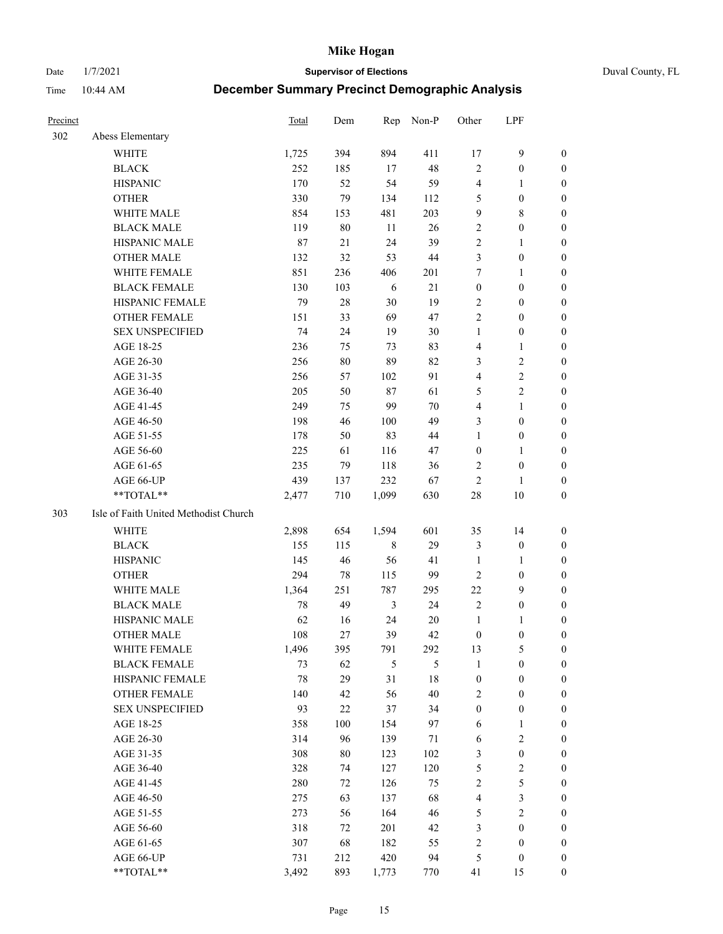Date 1/7/2021 **Supervisor of Elections** Duval County, FL

| Precinct |                                       | <b>Total</b> | Dem    | Rep            | Non-P  | Other            | LPF              |                  |
|----------|---------------------------------------|--------------|--------|----------------|--------|------------------|------------------|------------------|
| 302      | Abess Elementary                      |              |        |                |        |                  |                  |                  |
|          | <b>WHITE</b>                          | 1,725        | 394    | 894            | 411    | 17               | $\mathbf{9}$     | 0                |
|          | <b>BLACK</b>                          | 252          | 185    | 17             | 48     | $\mathbf{2}$     | $\boldsymbol{0}$ | 0                |
|          | <b>HISPANIC</b>                       | 170          | 52     | 54             | 59     | 4                | $\mathbf{1}$     | $\boldsymbol{0}$ |
|          | <b>OTHER</b>                          | 330          | 79     | 134            | 112    | 5                | $\boldsymbol{0}$ | $\boldsymbol{0}$ |
|          | WHITE MALE                            | 854          | 153    | 481            | 203    | 9                | $8\,$            | $\boldsymbol{0}$ |
|          | <b>BLACK MALE</b>                     | 119          | 80     | 11             | 26     | 2                | $\boldsymbol{0}$ | $\boldsymbol{0}$ |
|          | HISPANIC MALE                         | 87           | 21     | 24             | 39     | $\mathfrak{2}$   | $\mathbf{1}$     | $\boldsymbol{0}$ |
|          | <b>OTHER MALE</b>                     | 132          | 32     | 53             | $44\,$ | 3                | $\boldsymbol{0}$ | $\boldsymbol{0}$ |
|          | WHITE FEMALE                          | 851          | 236    | 406            | 201    | 7                | $\mathbf{1}$     | $\boldsymbol{0}$ |
|          | <b>BLACK FEMALE</b>                   | 130          | 103    | 6              | 21     | $\boldsymbol{0}$ | $\boldsymbol{0}$ | 0                |
|          | HISPANIC FEMALE                       | 79           | 28     | 30             | 19     | $\mathbf{2}$     | $\boldsymbol{0}$ | 0                |
|          | <b>OTHER FEMALE</b>                   | 151          | 33     | 69             | 47     | $\mathbf{2}$     | $\boldsymbol{0}$ | $\boldsymbol{0}$ |
|          | <b>SEX UNSPECIFIED</b>                | 74           | 24     | 19             | 30     | $\mathbf{1}$     | $\boldsymbol{0}$ | $\boldsymbol{0}$ |
|          | AGE 18-25                             | 236          | 75     | 73             | 83     | 4                | $\mathbf{1}$     | $\boldsymbol{0}$ |
|          | AGE 26-30                             | 256          | $80\,$ | 89             | 82     | 3                | $\sqrt{2}$       | $\boldsymbol{0}$ |
|          | AGE 31-35                             | 256          | 57     | 102            | 91     | 4                | $\sqrt{2}$       | $\boldsymbol{0}$ |
|          | AGE 36-40                             | 205          | 50     | $87\,$         | 61     | 5                | $\sqrt{2}$       | $\boldsymbol{0}$ |
|          | AGE 41-45                             | 249          | 75     | 99             | $70\,$ | 4                | $\mathbf{1}$     | $\boldsymbol{0}$ |
|          | AGE 46-50                             | 198          | 46     | 100            | 49     | 3                | $\boldsymbol{0}$ | $\boldsymbol{0}$ |
|          | AGE 51-55                             | 178          | 50     | 83             | 44     | $\mathbf{1}$     | $\boldsymbol{0}$ | 0                |
|          | AGE 56-60                             | 225          | 61     | 116            | 47     | $\boldsymbol{0}$ | $\mathbf{1}$     | 0                |
|          | AGE 61-65                             | 235          | 79     | 118            | 36     | 2                | $\boldsymbol{0}$ | 0                |
|          | AGE 66-UP                             | 439          | 137    | 232            | 67     | $\sqrt{2}$       | $\mathbf{1}$     | $\boldsymbol{0}$ |
|          | **TOTAL**                             | 2,477        | 710    | 1,099          | 630    | $28\,$           | $10\,$           | $\boldsymbol{0}$ |
| 303      | Isle of Faith United Methodist Church |              |        |                |        |                  |                  |                  |
|          | <b>WHITE</b>                          | 2,898        | 654    | 1,594          | 601    | 35               | 14               | $\boldsymbol{0}$ |
|          | <b>BLACK</b>                          | 155          | 115    | $\,$ 8 $\,$    | 29     | 3                | $\boldsymbol{0}$ | $\boldsymbol{0}$ |
|          | <b>HISPANIC</b>                       | 145          | 46     | 56             | 41     | $\mathbf{1}$     | $\mathbf{1}$     | $\boldsymbol{0}$ |
|          | <b>OTHER</b>                          | 294          | 78     | 115            | 99     | $\mathfrak{2}$   | $\boldsymbol{0}$ | $\boldsymbol{0}$ |
|          | <b>WHITE MALE</b>                     | 1,364        | 251    | 787            | 295    | $22\,$           | 9                | $\boldsymbol{0}$ |
|          | <b>BLACK MALE</b>                     | 78           | 49     | $\mathfrak{Z}$ | 24     | $\mathbf{2}$     | $\boldsymbol{0}$ | $\boldsymbol{0}$ |
|          | HISPANIC MALE                         | 62           | 16     | 24             | 20     | $\mathbf{1}$     | 1                | 0                |
|          | <b>OTHER MALE</b>                     | 108          | 27     | 39             | 42     | $\boldsymbol{0}$ | $\boldsymbol{0}$ | 0                |
|          | WHITE FEMALE                          | 1,496        | 395    | 791            | 292    | 13               | 5                | 0                |
|          | <b>BLACK FEMALE</b>                   | 73           | 62     | 5              | 5      | $\mathbf{1}$     | $\boldsymbol{0}$ | $\boldsymbol{0}$ |
|          | HISPANIC FEMALE                       | 78           | 29     | 31             | $18\,$ | $\boldsymbol{0}$ | $\boldsymbol{0}$ | $\overline{0}$   |
|          | <b>OTHER FEMALE</b>                   | 140          | 42     | 56             | 40     | 2                | $\boldsymbol{0}$ | $\overline{0}$   |
|          | <b>SEX UNSPECIFIED</b>                | 93           | $22\,$ | 37             | 34     | $\boldsymbol{0}$ | $\boldsymbol{0}$ | 0                |
|          | AGE 18-25                             | 358          | 100    | 154            | 97     | 6                | $\mathbf{1}$     | $\overline{0}$   |
|          | AGE 26-30                             | 314          | 96     | 139            | 71     | 6                | $\overline{2}$   | 0                |
|          | AGE 31-35                             | 308          | $80\,$ | 123            | 102    | 3                | $\boldsymbol{0}$ | 0                |
|          | AGE 36-40                             | 328          | 74     | 127            | 120    | 5                | $\sqrt{2}$       | 0                |
|          | AGE 41-45                             | 280          | 72     | 126            | 75     | $\sqrt{2}$       | 5                | 0                |
|          | AGE 46-50                             | 275          | 63     | 137            | 68     | 4                | $\mathfrak{Z}$   | 0                |
|          | AGE 51-55                             | 273          | 56     | 164            | 46     | 5                | $\overline{2}$   | $\overline{0}$   |
|          | AGE 56-60                             | 318          | 72     | 201            | 42     | 3                | $\boldsymbol{0}$ | $\overline{0}$   |
|          | AGE 61-65                             | 307          | 68     | 182            | 55     | 2                | $\boldsymbol{0}$ | $\boldsymbol{0}$ |
|          | AGE 66-UP                             | 731          | 212    | 420            | 94     | 5                | $\boldsymbol{0}$ | $\boldsymbol{0}$ |
|          | **TOTAL**                             | 3,492        | 893    | 1,773          | 770    | 41               | 15               | $\boldsymbol{0}$ |
|          |                                       |              |        |                |        |                  |                  |                  |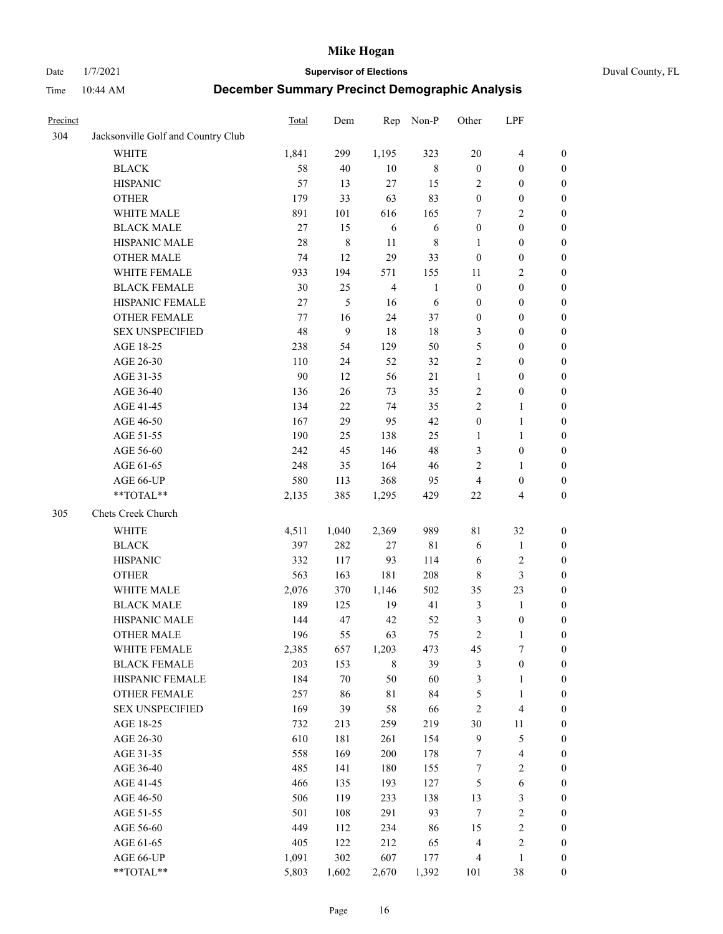#### Date 1/7/2021 **Supervisor of Elections** Duval County, FL

| Precinct |                                    | Total   | Dem       | Rep            | Non-P        | Other            | LPF                     |                  |
|----------|------------------------------------|---------|-----------|----------------|--------------|------------------|-------------------------|------------------|
| 304      | Jacksonville Golf and Country Club |         |           |                |              |                  |                         |                  |
|          | <b>WHITE</b>                       | 1,841   | 299       | 1,195          | 323          | 20               | $\overline{4}$          | 0                |
|          | <b>BLACK</b>                       | 58      | 40        | 10             | $8\,$        | $\boldsymbol{0}$ | $\boldsymbol{0}$        | 0                |
|          | <b>HISPANIC</b>                    | 57      | 13        | 27             | 15           | $\overline{2}$   | $\boldsymbol{0}$        | $\boldsymbol{0}$ |
|          | <b>OTHER</b>                       | 179     | 33        | 63             | 83           | $\boldsymbol{0}$ | $\boldsymbol{0}$        | $\boldsymbol{0}$ |
|          | WHITE MALE                         | 891     | 101       | 616            | 165          | 7                | $\sqrt{2}$              | $\boldsymbol{0}$ |
|          | <b>BLACK MALE</b>                  | 27      | 15        | 6              | 6            | $\boldsymbol{0}$ | $\boldsymbol{0}$        | $\boldsymbol{0}$ |
|          | HISPANIC MALE                      | 28      | $\,$ $\,$ | 11             | $\,$ 8 $\,$  | $\mathbf{1}$     | $\boldsymbol{0}$        | $\boldsymbol{0}$ |
|          | <b>OTHER MALE</b>                  | 74      | 12        | 29             | 33           | $\boldsymbol{0}$ | $\boldsymbol{0}$        | $\boldsymbol{0}$ |
|          | WHITE FEMALE                       | 933     | 194       | 571            | 155          | 11               | $\mathfrak{2}$          | $\boldsymbol{0}$ |
|          | <b>BLACK FEMALE</b>                | 30      | 25        | $\overline{4}$ | $\mathbf{1}$ | $\boldsymbol{0}$ | $\boldsymbol{0}$        | 0                |
|          | HISPANIC FEMALE                    | 27      | 5         | 16             | 6            | $\boldsymbol{0}$ | $\boldsymbol{0}$        | 0                |
|          | <b>OTHER FEMALE</b>                | $77 \,$ | 16        | 24             | 37           | $\boldsymbol{0}$ | $\boldsymbol{0}$        | 0                |
|          | <b>SEX UNSPECIFIED</b>             | 48      | 9         | 18             | $18\,$       | 3                | $\boldsymbol{0}$        | $\boldsymbol{0}$ |
|          | AGE 18-25                          | 238     | 54        | 129            | 50           | 5                | $\boldsymbol{0}$        | $\boldsymbol{0}$ |
|          | AGE 26-30                          | 110     | 24        | 52             | 32           | 2                | $\boldsymbol{0}$        | $\boldsymbol{0}$ |
|          | AGE 31-35                          | 90      | 12        | 56             | 21           | $\mathbf{1}$     | $\boldsymbol{0}$        | $\boldsymbol{0}$ |
|          | AGE 36-40                          | 136     | 26        | 73             | 35           | 2                | $\boldsymbol{0}$        | $\boldsymbol{0}$ |
|          | AGE 41-45                          | 134     | $22\,$    | 74             | 35           | $\mathbf{2}$     | $\mathbf{1}$            | $\boldsymbol{0}$ |
|          | AGE 46-50                          | 167     | 29        | 95             | 42           | $\boldsymbol{0}$ | $\mathbf{1}$            | $\boldsymbol{0}$ |
|          | AGE 51-55                          | 190     | 25        | 138            | 25           | 1                | $\mathbf{1}$            | 0                |
|          | AGE 56-60                          | 242     | 45        | 146            | 48           | 3                | $\boldsymbol{0}$        | 0                |
|          | AGE 61-65                          | 248     | 35        | 164            | 46           | $\overline{c}$   | $\mathbf{1}$            | 0                |
|          | AGE 66-UP                          | 580     | 113       | 368            | 95           | $\overline{4}$   | $\boldsymbol{0}$        | $\boldsymbol{0}$ |
|          | **TOTAL**                          | 2,135   | 385       | 1,295          | 429          | $22\,$           | $\overline{\mathbf{4}}$ | $\boldsymbol{0}$ |
| 305      | Chets Creek Church                 |         |           |                |              |                  |                         |                  |
|          | <b>WHITE</b>                       | 4,511   | 1,040     | 2,369          | 989          | 81               | 32                      | $\boldsymbol{0}$ |
|          | <b>BLACK</b>                       | 397     | 282       | $27\,$         | 81           | 6                | $\mathbf{1}$            | $\boldsymbol{0}$ |
|          | <b>HISPANIC</b>                    | 332     | 117       | 93             | 114          | 6                | $\sqrt{2}$              | $\boldsymbol{0}$ |
|          | <b>OTHER</b>                       | 563     | 163       | 181            | 208          | $\,$ 8 $\,$      | $\mathfrak{Z}$          | $\boldsymbol{0}$ |
|          | WHITE MALE                         | 2,076   | 370       | 1,146          | 502          | 35               | 23                      | $\boldsymbol{0}$ |
|          | <b>BLACK MALE</b>                  | 189     | 125       | 19             | 41           | $\mathfrak{Z}$   | $\mathbf{1}$            | $\boldsymbol{0}$ |
|          | HISPANIC MALE                      | 144     | 47        | 42             | 52           | 3                | $\boldsymbol{0}$        | 0                |
|          | <b>OTHER MALE</b>                  | 196     | 55        | 63             | 75           | $\mathfrak{2}$   | $\mathbf{1}$            | $\boldsymbol{0}$ |
|          | WHITE FEMALE                       | 2,385   | 657       | 1,203          | 473          | 45               | 7                       | 0                |
|          | <b>BLACK FEMALE</b>                | 203     | 153       | $\,8\,$        | 39           | 3                | $\boldsymbol{0}$        | $\boldsymbol{0}$ |
|          | HISPANIC FEMALE                    | 184     | $70\,$    | 50             | 60           | $\mathfrak{Z}$   | $\mathbf{1}$            | $\boldsymbol{0}$ |
|          | OTHER FEMALE                       | 257     | 86        | $8\sqrt{1}$    | 84           | 5                | $\mathbf{1}$            | $\overline{0}$   |
|          | <b>SEX UNSPECIFIED</b>             | 169     | 39        | 58             | 66           | $\overline{c}$   | $\overline{\mathbf{4}}$ | 0                |
|          | AGE 18-25                          | 732     | 213       | 259            | 219          | 30               | 11                      | 0                |
|          | AGE 26-30                          | 610     | 181       | 261            | 154          | $\mathbf{9}$     | $\mathfrak s$           | 0                |
|          | AGE 31-35                          | 558     | 169       | 200            | 178          | 7                | $\overline{\mathbf{4}}$ | 0                |
|          | AGE 36-40                          | 485     | 141       | 180            | 155          | 7                | $\sqrt{2}$              | 0                |
|          | AGE 41-45                          | 466     | 135       | 193            | 127          | $\mathfrak{S}$   | $\sqrt{6}$              | 0                |
|          | AGE 46-50                          | 506     | 119       | 233            | 138          | 13               | $\mathfrak{Z}$          | 0                |
|          | AGE 51-55                          | 501     | 108       | 291            | 93           | $\tau$           | $\sqrt{2}$              | 0                |
|          | AGE 56-60                          | 449     | 112       | 234            | 86           | 15               | $\sqrt{2}$              | 0                |
|          | AGE 61-65                          | 405     | 122       | 212            | 65           | 4                | $\sqrt{2}$              | $\boldsymbol{0}$ |
|          | AGE 66-UP                          | 1,091   | 302       | 607            | 177          | $\overline{4}$   | $\mathbf{1}$            | $\boldsymbol{0}$ |
|          | **TOTAL**                          | 5,803   | 1,602     | 2,670          | 1,392        | 101              | 38                      | $\boldsymbol{0}$ |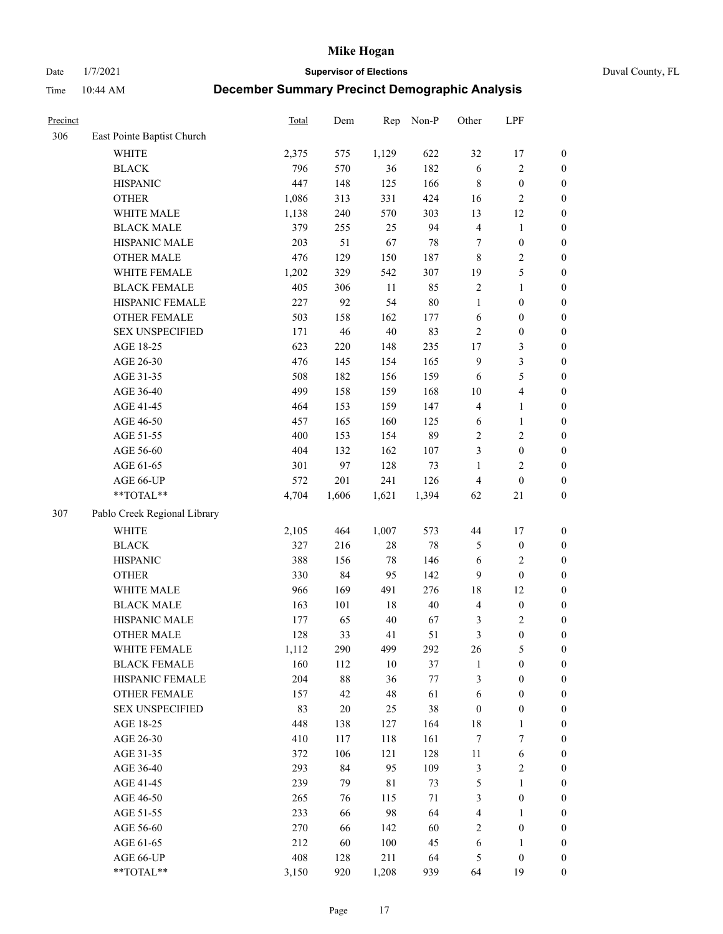Date 1/7/2021 **Supervisor of Elections** Duval County, FL

| Precinct |                              | Total | Dem    | Rep         | Non-P  | Other            | LPF                     |                  |
|----------|------------------------------|-------|--------|-------------|--------|------------------|-------------------------|------------------|
| 306      | East Pointe Baptist Church   |       |        |             |        |                  |                         |                  |
|          | <b>WHITE</b>                 | 2,375 | 575    | 1,129       | 622    | 32               | 17                      | 0                |
|          | <b>BLACK</b>                 | 796   | 570    | 36          | 182    | 6                | $\sqrt{2}$              | $\boldsymbol{0}$ |
|          | <b>HISPANIC</b>              | 447   | 148    | 125         | 166    | $\,$ 8 $\,$      | $\boldsymbol{0}$        | $\boldsymbol{0}$ |
|          | <b>OTHER</b>                 | 1,086 | 313    | 331         | 424    | 16               | $\sqrt{2}$              | $\boldsymbol{0}$ |
|          | WHITE MALE                   | 1,138 | 240    | 570         | 303    | 13               | 12                      | $\boldsymbol{0}$ |
|          | <b>BLACK MALE</b>            | 379   | 255    | 25          | 94     | $\overline{4}$   | $\mathbf{1}$            | $\boldsymbol{0}$ |
|          | HISPANIC MALE                | 203   | 51     | 67          | 78     | 7                | $\boldsymbol{0}$        | $\boldsymbol{0}$ |
|          | <b>OTHER MALE</b>            | 476   | 129    | 150         | 187    | 8                | $\overline{2}$          | $\boldsymbol{0}$ |
|          | WHITE FEMALE                 | 1,202 | 329    | 542         | 307    | 19               | $\mathfrak s$           | $\boldsymbol{0}$ |
|          | <b>BLACK FEMALE</b>          | 405   | 306    | 11          | 85     | $\sqrt{2}$       | $\mathbf{1}$            | $\boldsymbol{0}$ |
|          | HISPANIC FEMALE              | 227   | 92     | 54          | $80\,$ | $\mathbf{1}$     | $\boldsymbol{0}$        | 0                |
|          | OTHER FEMALE                 | 503   | 158    | 162         | 177    | $\sqrt{6}$       | $\boldsymbol{0}$        | $\boldsymbol{0}$ |
|          | <b>SEX UNSPECIFIED</b>       | 171   | 46     | $40\,$      | 83     | $\sqrt{2}$       | $\boldsymbol{0}$        | $\boldsymbol{0}$ |
|          | AGE 18-25                    | 623   | 220    | 148         | 235    | $17$             | $\mathfrak{Z}$          | $\boldsymbol{0}$ |
|          | AGE 26-30                    | 476   | 145    | 154         | 165    | 9                | $\mathfrak{Z}$          | $\boldsymbol{0}$ |
|          | AGE 31-35                    | 508   | 182    | 156         | 159    | 6                | $\mathfrak s$           | $\boldsymbol{0}$ |
|          | AGE 36-40                    | 499   | 158    | 159         | 168    | 10               | $\overline{\mathbf{4}}$ | $\boldsymbol{0}$ |
|          | AGE 41-45                    | 464   | 153    | 159         | 147    | $\overline{4}$   | $\mathbf{1}$            | $\boldsymbol{0}$ |
|          | AGE 46-50                    | 457   | 165    | 160         | 125    | 6                | $\mathbf{1}$            | $\boldsymbol{0}$ |
|          | AGE 51-55                    | 400   | 153    | 154         | 89     | $\sqrt{2}$       | $\sqrt{2}$              | $\boldsymbol{0}$ |
|          | AGE 56-60                    | 404   | 132    | 162         | 107    | 3                | $\boldsymbol{0}$        | 0                |
|          | AGE 61-65                    | 301   | 97     | 128         | 73     | 1                | $\mathfrak{2}$          | $\boldsymbol{0}$ |
|          | AGE 66-UP                    | 572   | 201    | 241         | 126    | $\overline{4}$   | $\boldsymbol{0}$        | $\boldsymbol{0}$ |
|          | $**TOTAL**$                  | 4,704 | 1,606  | 1,621       | 1,394  | 62               | 21                      | $\boldsymbol{0}$ |
| 307      | Pablo Creek Regional Library |       |        |             |        |                  |                         |                  |
|          | <b>WHITE</b>                 | 2,105 | 464    | 1,007       | 573    | 44               | 17                      | $\boldsymbol{0}$ |
|          | <b>BLACK</b>                 | 327   | 216    | $28\,$      | 78     | 5                | $\boldsymbol{0}$        | $\boldsymbol{0}$ |
|          | <b>HISPANIC</b>              | 388   | 156    | $78\,$      | 146    | 6                | $\mathfrak{2}$          | $\boldsymbol{0}$ |
|          | <b>OTHER</b>                 | 330   | 84     | 95          | 142    | 9                | $\boldsymbol{0}$        | $\boldsymbol{0}$ |
|          | WHITE MALE                   | 966   | 169    | 491         | 276    | 18               | 12                      | $\boldsymbol{0}$ |
|          | <b>BLACK MALE</b>            | 163   | 101    | 18          | $40\,$ | $\overline{4}$   | $\boldsymbol{0}$        | $\boldsymbol{0}$ |
|          | HISPANIC MALE                | 177   | 65     | $40\,$      | 67     | 3                | $\sqrt{2}$              | $\boldsymbol{0}$ |
|          | <b>OTHER MALE</b>            | 128   | 33     | 41          | 51     | $\mathfrak{Z}$   | $\boldsymbol{0}$        | $\boldsymbol{0}$ |
|          | WHITE FEMALE                 | 1,112 | 290    | 499         | 292    | 26               | 5                       | 0                |
|          | <b>BLACK FEMALE</b>          | 160   | 112    | 10          | 37     | $\mathbf{1}$     | $\boldsymbol{0}$        | $\boldsymbol{0}$ |
|          | HISPANIC FEMALE              | 204   | 88     | 36          | $77\,$ | 3                | $\boldsymbol{0}$        | $\overline{0}$   |
|          | OTHER FEMALE                 | 157   | 42     | 48          | 61     | 6                | $\boldsymbol{0}$        | $\overline{0}$   |
|          | <b>SEX UNSPECIFIED</b>       | 83    | $20\,$ | 25          | 38     | $\boldsymbol{0}$ | $\boldsymbol{0}$        | 0                |
|          | AGE 18-25                    | 448   | 138    | 127         | 164    | 18               | $\mathbf{1}$            | 0                |
|          | AGE 26-30                    | 410   | 117    | 118         | 161    | $\boldsymbol{7}$ | $\boldsymbol{7}$        | 0                |
|          | AGE 31-35                    | 372   | 106    | 121         | 128    | $11\,$           | 6                       | 0                |
|          | AGE 36-40                    | 293   | 84     | 95          | 109    | 3                | $\sqrt{2}$              | 0                |
|          | AGE 41-45                    | 239   | 79     | $8\sqrt{1}$ | 73     | 5                | $\mathbf{1}$            | 0                |
|          | AGE 46-50                    | 265   | 76     | 115         | 71     | 3                | $\boldsymbol{0}$        | 0                |
|          | AGE 51-55                    | 233   | 66     | 98          | 64     | 4                | $\mathbf{1}$            | 0                |
|          | AGE 56-60                    | 270   | 66     | 142         | 60     | $\overline{c}$   | $\boldsymbol{0}$        | $\boldsymbol{0}$ |
|          | AGE 61-65                    | 212   | 60     | 100         | 45     | 6                | 1                       | $\boldsymbol{0}$ |
|          | AGE 66-UP                    | 408   | 128    | 211         | 64     | 5                | $\boldsymbol{0}$        | 0                |
|          | **TOTAL**                    | 3,150 | 920    | 1,208       | 939    | 64               | 19                      | $\boldsymbol{0}$ |
|          |                              |       |        |             |        |                  |                         |                  |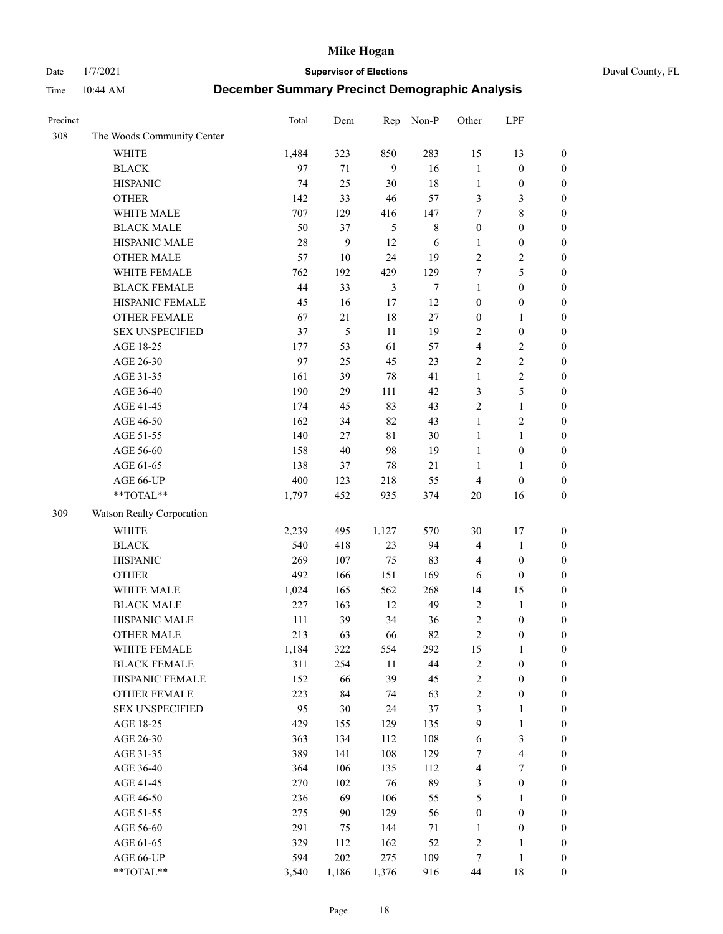Date 1/7/2021 **Supervisor of Elections** Duval County, FL

| Precinct |                            | Total | Dem    | Rep            | Non-P       | Other            | LPF                     |                  |
|----------|----------------------------|-------|--------|----------------|-------------|------------------|-------------------------|------------------|
| 308      | The Woods Community Center |       |        |                |             |                  |                         |                  |
|          | <b>WHITE</b>               | 1,484 | 323    | 850            | 283         | 15               | 13                      | $\boldsymbol{0}$ |
|          | <b>BLACK</b>               | 97    | 71     | 9              | 16          | $\mathbf{1}$     | $\boldsymbol{0}$        | $\boldsymbol{0}$ |
|          | <b>HISPANIC</b>            | 74    | 25     | $30\,$         | 18          | $\mathbf{1}$     | $\boldsymbol{0}$        | $\boldsymbol{0}$ |
|          | <b>OTHER</b>               | 142   | 33     | $46\,$         | 57          | 3                | $\mathfrak{Z}$          | $\boldsymbol{0}$ |
|          | WHITE MALE                 | 707   | 129    | 416            | 147         | 7                | $\,$ 8 $\,$             | $\boldsymbol{0}$ |
|          | <b>BLACK MALE</b>          | 50    | 37     | 5              | $\,$ 8 $\,$ | $\boldsymbol{0}$ | $\boldsymbol{0}$        | $\boldsymbol{0}$ |
|          | HISPANIC MALE              | 28    | 9      | 12             | 6           | 1                | $\boldsymbol{0}$        | $\boldsymbol{0}$ |
|          | <b>OTHER MALE</b>          | 57    | $10\,$ | 24             | 19          | $\mathbf{2}$     | $\overline{2}$          | $\boldsymbol{0}$ |
|          | WHITE FEMALE               | 762   | 192    | 429            | 129         | 7                | 5                       | $\boldsymbol{0}$ |
|          | <b>BLACK FEMALE</b>        | 44    | 33     | $\mathfrak{Z}$ | $\tau$      | $\mathbf{1}$     | $\boldsymbol{0}$        | $\boldsymbol{0}$ |
|          | HISPANIC FEMALE            | 45    | 16     | 17             | 12          | $\boldsymbol{0}$ | $\boldsymbol{0}$        | 0                |
|          | <b>OTHER FEMALE</b>        | 67    | 21     | $18\,$         | 27          | $\boldsymbol{0}$ | $\mathbf{1}$            | $\boldsymbol{0}$ |
|          | <b>SEX UNSPECIFIED</b>     | 37    | 5      | 11             | 19          | $\mathbf{2}$     | $\boldsymbol{0}$        | $\boldsymbol{0}$ |
|          | AGE 18-25                  | 177   | 53     | 61             | 57          | 4                | $\sqrt{2}$              | $\boldsymbol{0}$ |
|          | AGE 26-30                  | 97    | 25     | 45             | 23          | $\overline{c}$   | $\sqrt{2}$              | $\boldsymbol{0}$ |
|          | AGE 31-35                  | 161   | 39     | $78\,$         | 41          | $\mathbf{1}$     | $\sqrt{2}$              | $\boldsymbol{0}$ |
|          | AGE 36-40                  | 190   | 29     | 111            | 42          | 3                | $\mathfrak s$           | $\boldsymbol{0}$ |
|          | AGE 41-45                  | 174   | 45     | 83             | 43          | $\overline{c}$   | $\mathbf{1}$            | $\boldsymbol{0}$ |
|          | AGE 46-50                  | 162   | 34     | 82             | 43          | $\mathbf{1}$     | $\overline{c}$          | $\boldsymbol{0}$ |
|          | AGE 51-55                  | 140   | 27     | 81             | 30          | $\mathbf{1}$     | $\mathbf{1}$            | $\boldsymbol{0}$ |
|          | AGE 56-60                  | 158   | 40     | 98             | 19          | $\mathbf{1}$     | $\boldsymbol{0}$        | 0                |
|          | AGE 61-65                  | 138   | 37     | $78\,$         | 21          | 1                | $\mathbf{1}$            | 0                |
|          | AGE 66-UP                  | 400   | 123    | 218            | 55          | $\overline{4}$   | $\boldsymbol{0}$        | $\boldsymbol{0}$ |
|          | $**TOTAL**$                | 1,797 | 452    | 935            | 374         | 20               | 16                      | $\boldsymbol{0}$ |
| 309      | Watson Realty Corporation  |       |        |                |             |                  |                         |                  |
|          | <b>WHITE</b>               | 2,239 | 495    | 1,127          | 570         | 30               | 17                      | $\boldsymbol{0}$ |
|          | <b>BLACK</b>               | 540   | 418    | 23             | 94          | 4                | $\mathbf{1}$            | $\boldsymbol{0}$ |
|          | <b>HISPANIC</b>            | 269   | 107    | 75             | 83          | $\overline{4}$   | $\boldsymbol{0}$        | $\boldsymbol{0}$ |
|          | <b>OTHER</b>               | 492   | 166    | 151            | 169         | 6                | $\boldsymbol{0}$        | $\boldsymbol{0}$ |
|          | WHITE MALE                 | 1,024 | 165    | 562            | 268         | 14               | 15                      | $\boldsymbol{0}$ |
|          | <b>BLACK MALE</b>          | 227   | 163    | 12             | 49          | $\overline{2}$   | $\mathbf{1}$            | $\boldsymbol{0}$ |
|          | HISPANIC MALE              | 111   | 39     | 34             | 36          | $\overline{c}$   | $\boldsymbol{0}$        | $\boldsymbol{0}$ |
|          | <b>OTHER MALE</b>          | 213   | 63     | 66             | 82          | $\overline{c}$   | $\boldsymbol{0}$        | $\boldsymbol{0}$ |
|          | WHITE FEMALE               | 1,184 | 322    | 554            | 292         | 15               | 1                       | 0                |
|          | <b>BLACK FEMALE</b>        | 311   | 254    | 11             | 44          | $\sqrt{2}$       | $\boldsymbol{0}$        | $\boldsymbol{0}$ |
|          | HISPANIC FEMALE            | 152   | 66     | 39             | 45          | $\sqrt{2}$       | $\boldsymbol{0}$        | $\overline{0}$   |
|          | OTHER FEMALE               | 223   | 84     | 74             | 63          | $\sqrt{2}$       | $\boldsymbol{0}$        | $\overline{0}$   |
|          | <b>SEX UNSPECIFIED</b>     | 95    | 30     | 24             | 37          | 3                | $\mathbf{1}$            | 0                |
|          | AGE 18-25                  | 429   | 155    | 129            | 135         | 9                | $\mathbf{1}$            | $\theta$         |
|          | AGE 26-30                  | 363   | 134    | 112            | 108         | 6                | $\mathfrak{Z}$          | 0                |
|          | AGE 31-35                  | 389   | 141    | 108            | 129         | 7                | $\overline{\mathbf{4}}$ | 0                |
|          | AGE 36-40                  | 364   | 106    | 135            | 112         | 4                | 7                       | 0                |
|          | AGE 41-45                  | 270   | 102    | 76             | 89          | 3                | $\boldsymbol{0}$        | 0                |
|          | AGE 46-50                  | 236   | 69     | 106            | 55          | 5                | $\mathbf{1}$            | 0                |
|          | AGE 51-55                  | 275   | 90     | 129            | 56          | $\boldsymbol{0}$ | $\boldsymbol{0}$        | 0                |
|          | AGE 56-60                  | 291   | 75     | 144            | 71          | 1                | $\boldsymbol{0}$        | $\boldsymbol{0}$ |
|          | AGE 61-65                  | 329   | 112    | 162            | 52          | $\overline{c}$   | 1                       | $\boldsymbol{0}$ |
|          | AGE 66-UP                  | 594   | 202    | 275            | 109         | 7                | $\mathbf{1}$            | $\boldsymbol{0}$ |
|          | **TOTAL**                  | 3,540 | 1,186  | 1,376          | 916         | 44               | 18                      | $\boldsymbol{0}$ |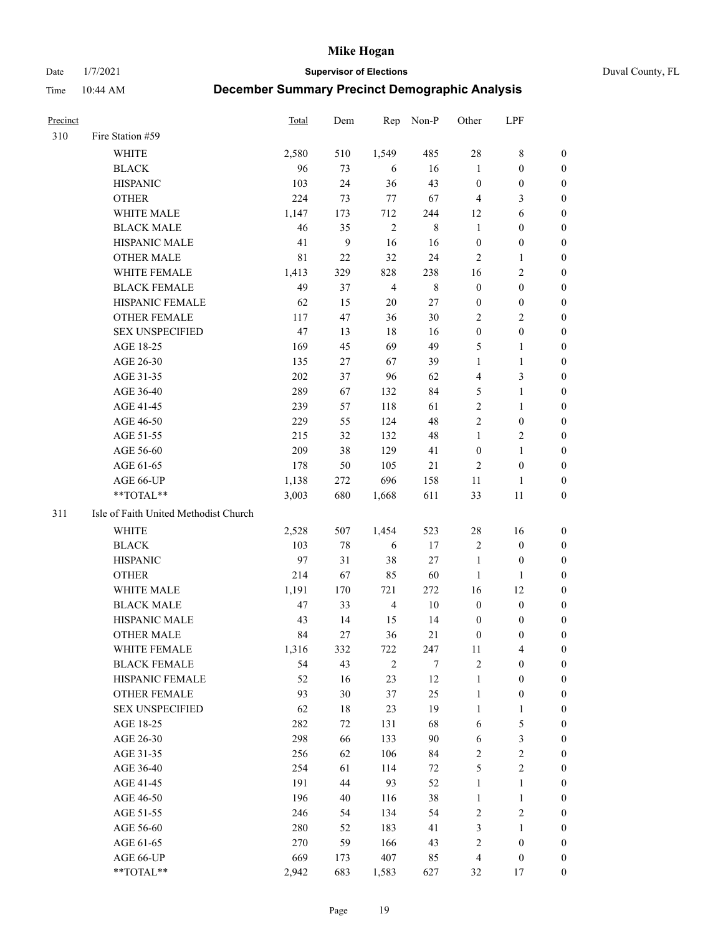Date 1/7/2021 **Supervisor of Elections** Duval County, FL

| <b>Precinct</b> |                                       | Total | Dem          | Rep            | Non-P       | Other            | LPF              |                  |
|-----------------|---------------------------------------|-------|--------------|----------------|-------------|------------------|------------------|------------------|
| 310             | Fire Station #59                      |       |              |                |             |                  |                  |                  |
|                 | <b>WHITE</b>                          | 2,580 | 510          | 1,549          | 485         | 28               | $\,$ 8 $\,$      | 0                |
|                 | <b>BLACK</b>                          | 96    | 73           | 6              | 16          | $\mathbf{1}$     | $\boldsymbol{0}$ | 0                |
|                 | <b>HISPANIC</b>                       | 103   | 24           | 36             | 43          | $\boldsymbol{0}$ | $\boldsymbol{0}$ | 0                |
|                 | <b>OTHER</b>                          | 224   | 73           | 77             | 67          | $\overline{4}$   | 3                | $\boldsymbol{0}$ |
|                 | WHITE MALE                            | 1,147 | 173          | 712            | 244         | 12               | 6                | $\boldsymbol{0}$ |
|                 | <b>BLACK MALE</b>                     | 46    | 35           | $\overline{2}$ | $\,8\,$     | $\mathbf{1}$     | $\boldsymbol{0}$ | 0                |
|                 | HISPANIC MALE                         | 41    | $\mathbf{9}$ | 16             | 16          | $\boldsymbol{0}$ | $\boldsymbol{0}$ | 0                |
|                 | <b>OTHER MALE</b>                     | 81    | 22           | 32             | 24          | $\mathfrak{2}$   | $\mathbf{1}$     | $\boldsymbol{0}$ |
|                 | WHITE FEMALE                          | 1,413 | 329          | 828            | 238         | 16               | $\mathfrak{2}$   | 0                |
|                 | <b>BLACK FEMALE</b>                   | 49    | 37           | $\overline{4}$ | $\,$ 8 $\,$ | $\boldsymbol{0}$ | $\boldsymbol{0}$ | 0                |
|                 | HISPANIC FEMALE                       | 62    | 15           | $20\,$         | 27          | $\boldsymbol{0}$ | $\boldsymbol{0}$ | 0                |
|                 | OTHER FEMALE                          | 117   | 47           | 36             | 30          | $\overline{2}$   | $\sqrt{2}$       | 0                |
|                 | <b>SEX UNSPECIFIED</b>                | 47    | 13           | 18             | 16          | $\boldsymbol{0}$ | $\boldsymbol{0}$ | $\boldsymbol{0}$ |
|                 | AGE 18-25                             | 169   | 45           | 69             | 49          | 5                | $\mathbf{1}$     | $\boldsymbol{0}$ |
|                 | AGE 26-30                             | 135   | 27           | 67             | 39          | $\mathbf{1}$     | $\mathbf{1}$     | $\boldsymbol{0}$ |
|                 | AGE 31-35                             | 202   | 37           | 96             | 62          | $\overline{4}$   | $\mathfrak{Z}$   | $\boldsymbol{0}$ |
|                 | AGE 36-40                             | 289   | 67           | 132            | 84          | 5                | $\mathbf{1}$     | $\boldsymbol{0}$ |
|                 | AGE 41-45                             | 239   | 57           | 118            | 61          | $\mathbf{2}$     | $\mathbf{1}$     | $\boldsymbol{0}$ |
|                 | AGE 46-50                             | 229   | 55           | 124            | 48          | $\overline{c}$   | $\boldsymbol{0}$ | 0                |
|                 | AGE 51-55                             | 215   | 32           | 132            | 48          | $\mathbf{1}$     | $\sqrt{2}$       | 0                |
|                 | AGE 56-60                             | 209   | 38           | 129            | 41          | $\boldsymbol{0}$ | $\mathbf{1}$     | 0                |
|                 | AGE 61-65                             | 178   | 50           | 105            | 21          | 2                | $\boldsymbol{0}$ | 0                |
|                 | AGE 66-UP                             | 1,138 | 272          | 696            | 158         | 11               | 1                | 0                |
|                 | **TOTAL**                             | 3,003 | 680          | 1,668          | 611         | 33               | 11               | $\boldsymbol{0}$ |
| 311             | Isle of Faith United Methodist Church |       |              |                |             |                  |                  |                  |
|                 | <b>WHITE</b>                          | 2,528 | 507          | 1,454          | 523         | 28               | 16               | $\boldsymbol{0}$ |
|                 | <b>BLACK</b>                          | 103   | 78           | 6              | 17          | $\overline{c}$   | $\boldsymbol{0}$ | $\boldsymbol{0}$ |
|                 | <b>HISPANIC</b>                       | 97    | 31           | 38             | $27\,$      | $\mathbf{1}$     | $\boldsymbol{0}$ | 0                |
|                 | <b>OTHER</b>                          | 214   | 67           | 85             | 60          | $\mathbf{1}$     | $\mathbf{1}$     | $\boldsymbol{0}$ |
|                 | WHITE MALE                            | 1,191 | 170          | 721            | 272         | 16               | 12               | $\boldsymbol{0}$ |
|                 | <b>BLACK MALE</b>                     | 47    | 33           | $\overline{4}$ | $10\,$      | $\boldsymbol{0}$ | $\boldsymbol{0}$ | 0                |
|                 | HISPANIC MALE                         | 43    | 14           | 15             | 14          | $\boldsymbol{0}$ | $\boldsymbol{0}$ | 0                |
|                 | <b>OTHER MALE</b>                     | 84    | 27           | 36             | 21          | $\boldsymbol{0}$ | $\boldsymbol{0}$ | 0                |
|                 | WHITE FEMALE                          | 1,316 | 332          | 722            | 247         | 11               | 4                | 0                |
|                 | <b>BLACK FEMALE</b>                   | 54    | 43           | $\sqrt{2}$     | 7           | $\sqrt{2}$       | $\boldsymbol{0}$ | $\overline{0}$   |
|                 | HISPANIC FEMALE                       | 52    | 16           | 23             | 12          | $\mathbf{1}$     | $\boldsymbol{0}$ | $\overline{0}$   |
|                 | OTHER FEMALE                          | 93    | 30           | 37             | 25          | $\mathbf{1}$     | $\boldsymbol{0}$ | $\overline{0}$   |
|                 | <b>SEX UNSPECIFIED</b>                | 62    | 18           | 23             | 19          | $\mathbf{1}$     | $\mathbf{1}$     | 0                |
|                 | AGE 18-25                             | 282   | 72           | 131            | 68          | 6                | $\mathfrak s$    | 0                |
|                 | AGE 26-30                             | 298   | 66           | 133            | 90          | 6                | $\mathfrak{Z}$   | 0                |
|                 | AGE 31-35                             | 256   | 62           | 106            | 84          | $\sqrt{2}$       | $\sqrt{2}$       | 0                |
|                 | AGE 36-40                             | 254   | 61           | 114            | 72          | 5                | $\sqrt{2}$       | 0                |
|                 | AGE 41-45                             | 191   | 44           | 93             | 52          | $\mathbf{1}$     | $\mathbf{1}$     | 0                |
|                 | AGE 46-50                             | 196   | 40           | 116            | 38          | $\mathbf{1}$     | $\mathbf{1}$     | 0                |
|                 | AGE 51-55                             | 246   | 54           | 134            | 54          | $\sqrt{2}$       | $\sqrt{2}$       | 0                |
|                 | AGE 56-60                             | 280   | 52           | 183            | 41          | 3                | 1                | 0                |
|                 | AGE 61-65                             | 270   | 59           | 166            | 43          | 2                | $\boldsymbol{0}$ | $\boldsymbol{0}$ |
|                 | AGE 66-UP                             | 669   | 173          | 407            | 85          | $\overline{4}$   | $\boldsymbol{0}$ | 0                |
|                 | **TOTAL**                             | 2,942 | 683          | 1,583          | 627         | 32               | 17               | $\boldsymbol{0}$ |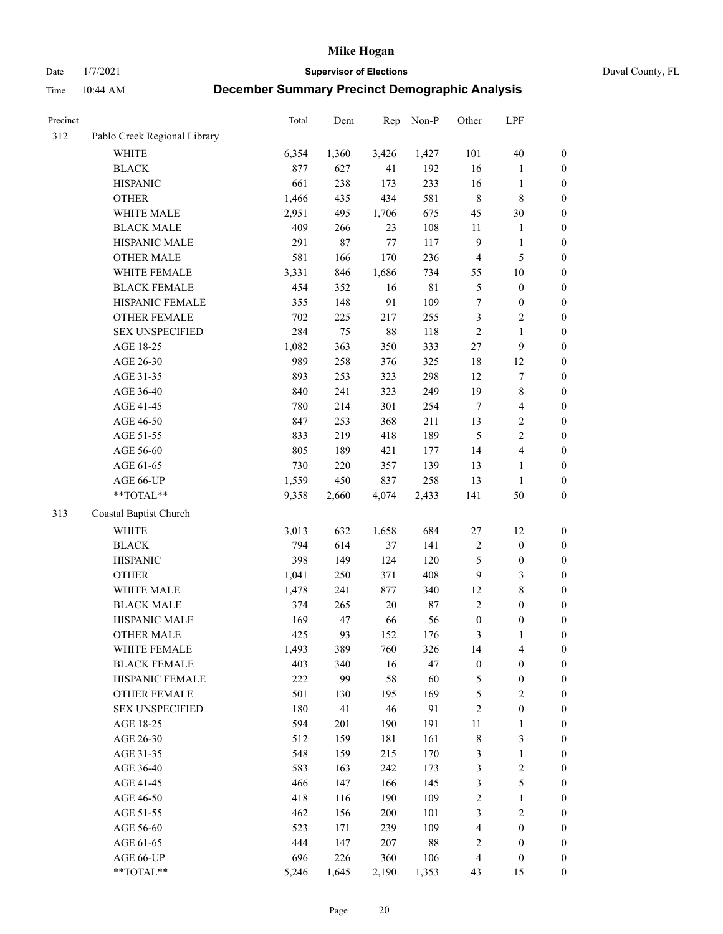Date 1/7/2021 **Supervisor of Elections** Duval County, FL

| <b>Precinct</b> |                              | Total | Dem   | Rep    | Non-P  | Other            | LPF                     |                  |
|-----------------|------------------------------|-------|-------|--------|--------|------------------|-------------------------|------------------|
| 312             | Pablo Creek Regional Library |       |       |        |        |                  |                         |                  |
|                 | <b>WHITE</b>                 | 6,354 | 1,360 | 3,426  | 1,427  | 101              | $40\,$                  | 0                |
|                 | <b>BLACK</b>                 | 877   | 627   | 41     | 192    | 16               | $\mathbf{1}$            | $\boldsymbol{0}$ |
|                 | <b>HISPANIC</b>              | 661   | 238   | 173    | 233    | 16               | $\mathbf{1}$            | $\boldsymbol{0}$ |
|                 | <b>OTHER</b>                 | 1,466 | 435   | 434    | 581    | $\,$ 8 $\,$      | 8                       | $\boldsymbol{0}$ |
|                 | WHITE MALE                   | 2,951 | 495   | 1,706  | 675    | 45               | $30\,$                  | $\boldsymbol{0}$ |
|                 | <b>BLACK MALE</b>            | 409   | 266   | 23     | 108    | 11               | $\mathbf{1}$            | $\boldsymbol{0}$ |
|                 | HISPANIC MALE                | 291   | 87    | $77\,$ | 117    | $\overline{9}$   | $\mathbf{1}$            | $\boldsymbol{0}$ |
|                 | <b>OTHER MALE</b>            | 581   | 166   | 170    | 236    | $\overline{4}$   | $\mathfrak{S}$          | $\boldsymbol{0}$ |
|                 | WHITE FEMALE                 | 3,331 | 846   | 1,686  | 734    | 55               | $10\,$                  | $\boldsymbol{0}$ |
|                 | <b>BLACK FEMALE</b>          | 454   | 352   | 16     | 81     | 5                | $\boldsymbol{0}$        | $\boldsymbol{0}$ |
|                 | HISPANIC FEMALE              | 355   | 148   | 91     | 109    | $\boldsymbol{7}$ | $\boldsymbol{0}$        | 0                |
|                 | OTHER FEMALE                 | 702   | 225   | 217    | 255    | 3                | $\sqrt{2}$              | $\boldsymbol{0}$ |
|                 | <b>SEX UNSPECIFIED</b>       | 284   | 75    | 88     | 118    | $\sqrt{2}$       | $\mathbf{1}$            | $\boldsymbol{0}$ |
|                 | AGE 18-25                    | 1,082 | 363   | 350    | 333    | $27\,$           | $\boldsymbol{9}$        | $\boldsymbol{0}$ |
|                 | AGE 26-30                    | 989   | 258   | 376    | 325    | 18               | 12                      | $\boldsymbol{0}$ |
|                 | AGE 31-35                    | 893   | 253   | 323    | 298    | 12               | $\boldsymbol{7}$        | $\boldsymbol{0}$ |
|                 | AGE 36-40                    | 840   | 241   | 323    | 249    | 19               | $\,$ 8 $\,$             | $\boldsymbol{0}$ |
|                 | AGE 41-45                    | 780   | 214   | 301    | 254    | $\boldsymbol{7}$ | $\overline{4}$          | $\boldsymbol{0}$ |
|                 | AGE 46-50                    | 847   | 253   | 368    | 211    | 13               | $\sqrt{2}$              | $\boldsymbol{0}$ |
|                 | AGE 51-55                    | 833   | 219   | 418    | 189    | $\mathfrak{S}$   | $\sqrt{2}$              | $\boldsymbol{0}$ |
|                 | AGE 56-60                    | 805   | 189   | 421    | 177    | 14               | $\overline{\mathbf{4}}$ | 0                |
|                 | AGE 61-65                    | 730   | 220   | 357    | 139    | 13               | $\mathbf{1}$            | 0                |
|                 | AGE 66-UP                    | 1,559 | 450   | 837    | 258    | 13               | $\mathbf{1}$            | $\boldsymbol{0}$ |
|                 | $**TOTAL**$                  | 9,358 | 2,660 | 4,074  | 2,433  | 141              | $50\,$                  | $\boldsymbol{0}$ |
| 313             | Coastal Baptist Church       |       |       |        |        |                  |                         |                  |
|                 | <b>WHITE</b>                 | 3,013 | 632   | 1,658  | 684    | $27\,$           | 12                      | $\boldsymbol{0}$ |
|                 | <b>BLACK</b>                 | 794   | 614   | 37     | 141    | 2                | $\boldsymbol{0}$        | $\boldsymbol{0}$ |
|                 | <b>HISPANIC</b>              | 398   | 149   | 124    | 120    | 5                | $\boldsymbol{0}$        | $\boldsymbol{0}$ |
|                 | <b>OTHER</b>                 | 1,041 | 250   | 371    | 408    | $\overline{9}$   | $\mathfrak{Z}$          | $\boldsymbol{0}$ |
|                 | WHITE MALE                   | 1,478 | 241   | 877    | 340    | 12               | $\,$ 8 $\,$             | $\boldsymbol{0}$ |
|                 | <b>BLACK MALE</b>            | 374   | 265   | $20\,$ | $87\,$ | $\overline{2}$   | $\boldsymbol{0}$        | $\boldsymbol{0}$ |
|                 | HISPANIC MALE                | 169   | 47    | 66     | 56     | $\boldsymbol{0}$ | $\boldsymbol{0}$        | $\boldsymbol{0}$ |
|                 | <b>OTHER MALE</b>            | 425   | 93    | 152    | 176    | 3                | $\mathbf{1}$            | $\boldsymbol{0}$ |
|                 | WHITE FEMALE                 | 1,493 | 389   | 760    | 326    | 14               | 4                       | 0                |
|                 | <b>BLACK FEMALE</b>          | 403   | 340   | 16     | 47     | $\boldsymbol{0}$ | $\boldsymbol{0}$        | $\boldsymbol{0}$ |
|                 | HISPANIC FEMALE              | 222   | 99    | 58     | 60     | 5                | $\boldsymbol{0}$        | $\boldsymbol{0}$ |
|                 | OTHER FEMALE                 | 501   | 130   | 195    | 169    | 5                | $\sqrt{2}$              | $\overline{0}$   |
|                 | <b>SEX UNSPECIFIED</b>       | 180   | 41    | 46     | 91     | $\overline{c}$   | $\boldsymbol{0}$        | 0                |
|                 | AGE 18-25                    | 594   | 201   | 190    | 191    | $11\,$           | $\mathbf{1}$            | $\overline{0}$   |
|                 | AGE 26-30                    | 512   | 159   | 181    | 161    | $\,$ 8 $\,$      | $\mathfrak{Z}$          | 0                |
|                 | AGE 31-35                    | 548   | 159   | 215    | 170    | 3                | $\mathbf{1}$            | 0                |
|                 | AGE 36-40                    | 583   | 163   | 242    | 173    | 3                | $\sqrt{2}$              | 0                |
|                 | AGE 41-45                    | 466   | 147   | 166    | 145    | 3                | $\mathfrak s$           | 0                |
|                 | AGE 46-50                    | 418   | 116   | 190    | 109    | $\overline{c}$   | $\mathbf{1}$            | 0                |
|                 | AGE 51-55                    | 462   | 156   | 200    | 101    | 3                | $\sqrt{2}$              | $\boldsymbol{0}$ |
|                 | AGE 56-60                    | 523   | 171   | 239    | 109    | 4                | $\boldsymbol{0}$        | $\boldsymbol{0}$ |
|                 | AGE 61-65                    | 444   | 147   | 207    | $88\,$ | $\overline{c}$   | $\boldsymbol{0}$        | $\boldsymbol{0}$ |
|                 | AGE 66-UP                    | 696   | 226   | 360    | 106    | $\overline{4}$   | $\boldsymbol{0}$        | $\boldsymbol{0}$ |
|                 | **TOTAL**                    | 5,246 | 1,645 | 2,190  | 1,353  | 43               | 15                      | $\boldsymbol{0}$ |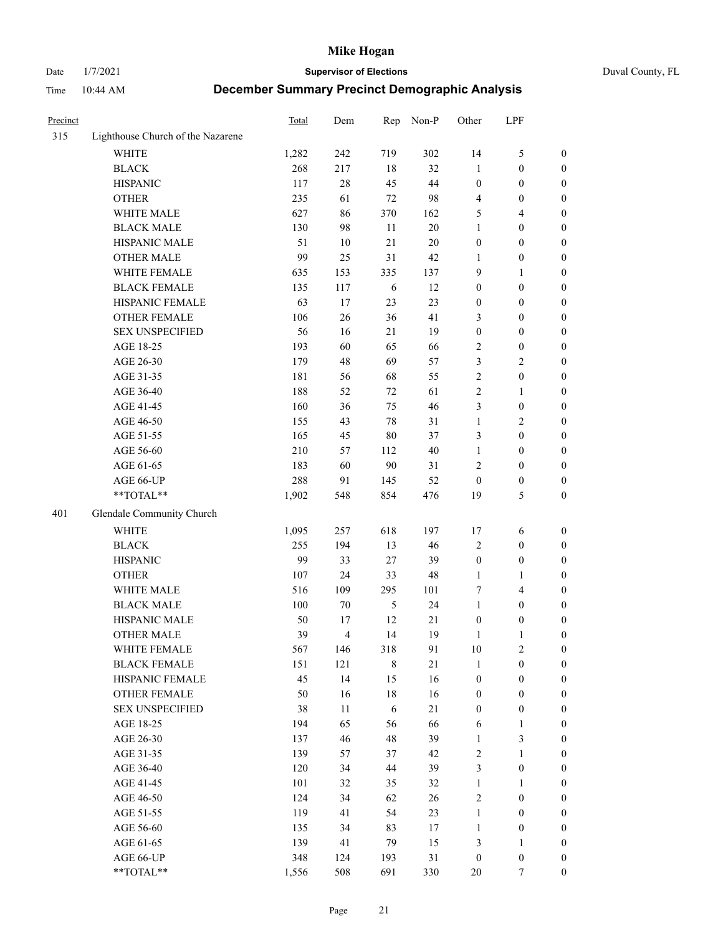# Date 1/7/2021 **Supervisor of Elections** Duval County, FL

| Precinct |                                   | <b>Total</b> | Dem    | Rep        | Non-P  | Other            | LPF              |                  |
|----------|-----------------------------------|--------------|--------|------------|--------|------------------|------------------|------------------|
| 315      | Lighthouse Church of the Nazarene |              |        |            |        |                  |                  |                  |
|          | <b>WHITE</b>                      | 1,282        | 242    | 719        | 302    | 14               | $\mathfrak{S}$   | 0                |
|          | <b>BLACK</b>                      | 268          | 217    | 18         | 32     | 1                | $\boldsymbol{0}$ | 0                |
|          | <b>HISPANIC</b>                   | 117          | $28\,$ | 45         | 44     | $\boldsymbol{0}$ | $\boldsymbol{0}$ | $\boldsymbol{0}$ |
|          | <b>OTHER</b>                      | 235          | 61     | $72\,$     | 98     | 4                | $\boldsymbol{0}$ | $\boldsymbol{0}$ |
|          | WHITE MALE                        | 627          | 86     | 370        | 162    | 5                | $\overline{4}$   | $\boldsymbol{0}$ |
|          | <b>BLACK MALE</b>                 | 130          | 98     | 11         | 20     | 1                | $\boldsymbol{0}$ | $\boldsymbol{0}$ |
|          | HISPANIC MALE                     | 51           | 10     | 21         | $20\,$ | $\boldsymbol{0}$ | $\boldsymbol{0}$ | $\boldsymbol{0}$ |
|          | <b>OTHER MALE</b>                 | 99           | 25     | 31         | 42     | $\mathbf{1}$     | $\boldsymbol{0}$ | $\boldsymbol{0}$ |
|          | WHITE FEMALE                      | 635          | 153    | 335        | 137    | 9                | 1                | $\boldsymbol{0}$ |
|          | <b>BLACK FEMALE</b>               | 135          | 117    | 6          | 12     | $\boldsymbol{0}$ | $\boldsymbol{0}$ | 0                |
|          | HISPANIC FEMALE                   | 63           | 17     | 23         | 23     | $\boldsymbol{0}$ | $\boldsymbol{0}$ | 0                |
|          | <b>OTHER FEMALE</b>               | 106          | 26     | 36         | 41     | 3                | $\boldsymbol{0}$ | $\boldsymbol{0}$ |
|          | <b>SEX UNSPECIFIED</b>            | 56           | 16     | 21         | 19     | $\boldsymbol{0}$ | $\boldsymbol{0}$ | $\boldsymbol{0}$ |
|          | AGE 18-25                         | 193          | 60     | 65         | 66     | 2                | $\boldsymbol{0}$ | $\boldsymbol{0}$ |
|          | AGE 26-30                         | 179          | 48     | 69         | 57     | 3                | $\sqrt{2}$       | $\boldsymbol{0}$ |
|          | AGE 31-35                         | 181          | 56     | 68         | 55     | $\overline{c}$   | $\boldsymbol{0}$ | $\boldsymbol{0}$ |
|          | AGE 36-40                         | 188          | 52     | 72         | 61     | $\overline{c}$   | $\mathbf{1}$     | $\boldsymbol{0}$ |
|          | AGE 41-45                         | 160          | 36     | 75         | 46     | 3                | $\boldsymbol{0}$ | $\boldsymbol{0}$ |
|          | AGE 46-50                         | 155          | 43     | 78         | 31     | $\mathbf{1}$     | $\overline{2}$   | $\boldsymbol{0}$ |
|          | AGE 51-55                         | 165          | 45     | $80\,$     | 37     | 3                | $\boldsymbol{0}$ | $\boldsymbol{0}$ |
|          | AGE 56-60                         | 210          | 57     | 112        | 40     | $\mathbf{1}$     | $\boldsymbol{0}$ | 0                |
|          | AGE 61-65                         | 183          | 60     | 90         | 31     | 2                | $\boldsymbol{0}$ | 0                |
|          | AGE 66-UP                         | 288          | 91     | 145        | 52     | $\boldsymbol{0}$ | $\boldsymbol{0}$ | $\boldsymbol{0}$ |
|          | **TOTAL**                         | 1,902        | 548    | 854        | 476    | 19               | 5                | $\boldsymbol{0}$ |
| 401      | Glendale Community Church         |              |        |            |        |                  |                  |                  |
|          | <b>WHITE</b>                      | 1,095        | 257    | 618        | 197    | 17               | 6                | $\boldsymbol{0}$ |
|          | <b>BLACK</b>                      | 255          | 194    | 13         | 46     | 2                | $\boldsymbol{0}$ | $\boldsymbol{0}$ |
|          | <b>HISPANIC</b>                   | 99           | 33     | 27         | 39     | $\boldsymbol{0}$ | $\boldsymbol{0}$ | $\boldsymbol{0}$ |
|          | <b>OTHER</b>                      | 107          | 24     | 33         | $48\,$ | 1                | $\mathbf{1}$     | $\boldsymbol{0}$ |
|          | WHITE MALE                        | 516          | 109    | 295        | 101    | 7                | $\overline{4}$   | $\boldsymbol{0}$ |
|          | <b>BLACK MALE</b>                 | 100          | $70\,$ | $\sqrt{5}$ | 24     | $\mathbf{1}$     | $\boldsymbol{0}$ | $\boldsymbol{0}$ |
|          | HISPANIC MALE                     | 50           | 17     | 12         | $21\,$ | $\boldsymbol{0}$ | $\boldsymbol{0}$ | 0                |
|          | <b>OTHER MALE</b>                 | 39           | 4      | 14         | 19     | $\mathbf{1}$     | 1                | $\boldsymbol{0}$ |
|          | WHITE FEMALE                      | 567          | 146    | 318        | 91     | 10               | 2                | 0                |
|          | <b>BLACK FEMALE</b>               | 151          | 121    | 8          | 21     | $\mathbf{1}$     | $\boldsymbol{0}$ | $\boldsymbol{0}$ |
|          | HISPANIC FEMALE                   | 45           | 14     | 15         | 16     | $\boldsymbol{0}$ | $\boldsymbol{0}$ | $\overline{0}$   |
|          | OTHER FEMALE                      | 50           | 16     | 18         | 16     | $\boldsymbol{0}$ | $\boldsymbol{0}$ | $\overline{0}$   |
|          | <b>SEX UNSPECIFIED</b>            | 38           | 11     | 6          | 21     | $\boldsymbol{0}$ | $\boldsymbol{0}$ | 0                |
|          | AGE 18-25                         | 194          | 65     | 56         | 66     | 6                | $\mathbf{1}$     | 0                |
|          | AGE 26-30                         | 137          | 46     | 48         | 39     | $\mathbf{1}$     | 3                | 0                |
|          | AGE 31-35                         | 139          | 57     | 37         | 42     | 2                | $\mathbf{1}$     | 0                |
|          | AGE 36-40                         | 120          | 34     | 44         | 39     | 3                | $\boldsymbol{0}$ | 0                |
|          | AGE 41-45                         | 101          | 32     | 35         | 32     | $\mathbf{1}$     | 1                | 0                |
|          | AGE 46-50                         | 124          | 34     | 62         | 26     | 2                | $\boldsymbol{0}$ | 0                |
|          | AGE 51-55                         | 119          | 41     | 54         | 23     | $\mathbf{1}$     | $\boldsymbol{0}$ | 0                |
|          | AGE 56-60                         | 135          | 34     | 83         | 17     | 1                | $\boldsymbol{0}$ | $\overline{0}$   |
|          | AGE 61-65                         | 139          | 41     | 79         | 15     | 3                | $\mathbf{1}$     | $\overline{0}$   |
|          | AGE 66-UP                         | 348          | 124    | 193        | 31     | $\boldsymbol{0}$ | $\boldsymbol{0}$ | 0                |
|          | **TOTAL**                         | 1,556        | 508    | 691        | 330    | 20               | 7                | $\boldsymbol{0}$ |
|          |                                   |              |        |            |        |                  |                  |                  |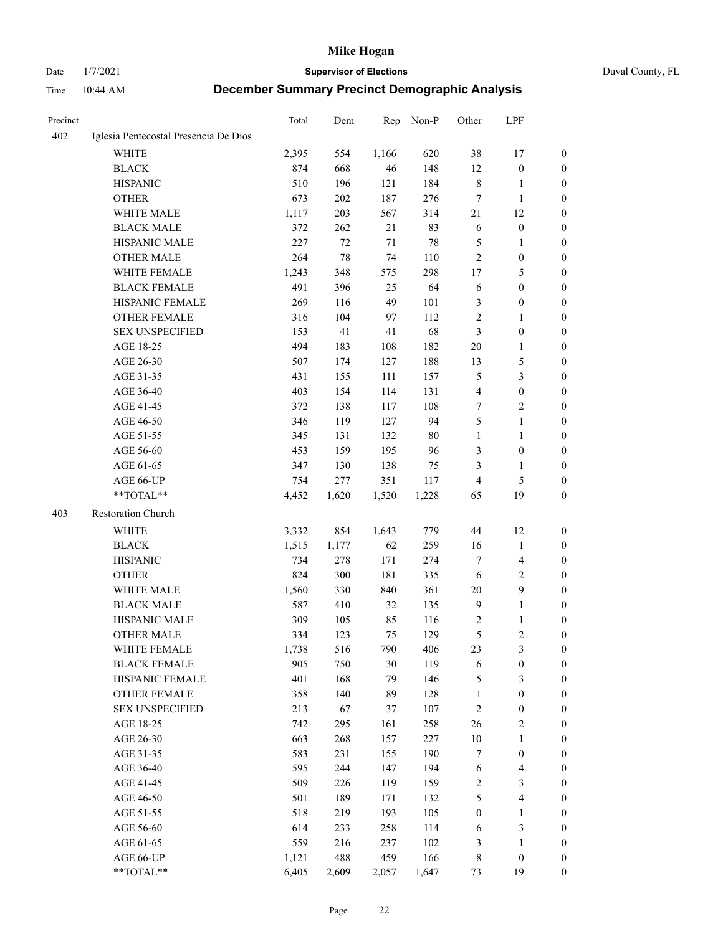Date 1/7/2021 **Supervisor of Elections** Duval County, FL

| <b>Precinct</b> |                                       | Total        | Dem        | Rep           | Non-P      | Other            | LPF                     |                  |
|-----------------|---------------------------------------|--------------|------------|---------------|------------|------------------|-------------------------|------------------|
| 402             | Iglesia Pentecostal Presencia De Dios |              |            |               |            |                  |                         |                  |
|                 | <b>WHITE</b>                          | 2,395        | 554        | 1,166         | 620        | 38               | 17                      | 0                |
|                 | <b>BLACK</b>                          | 874          | 668        | 46            | 148        | 12               | $\boldsymbol{0}$        | 0                |
|                 | <b>HISPANIC</b>                       | 510          | 196        | 121           | 184        | 8                | 1                       | 0                |
|                 | <b>OTHER</b>                          | 673          | 202        | 187           | 276        | 7                | $\mathbf{1}$            | $\boldsymbol{0}$ |
|                 | WHITE MALE                            | 1,117        | 203        | 567           | 314        | 21               | 12                      | $\boldsymbol{0}$ |
|                 | <b>BLACK MALE</b>                     | 372          | 262        | 21            | 83         | 6                | $\boldsymbol{0}$        | $\boldsymbol{0}$ |
|                 | HISPANIC MALE                         | 227          | 72         | 71            | 78         | 5                | $\mathbf{1}$            | $\boldsymbol{0}$ |
|                 | <b>OTHER MALE</b>                     | 264          | 78         | 74            | 110        | $\mathbf{2}$     | $\boldsymbol{0}$        | 0                |
|                 | WHITE FEMALE                          | 1,243        | 348        | 575           | 298        | 17               | 5                       | $\boldsymbol{0}$ |
|                 | <b>BLACK FEMALE</b>                   | 491          | 396        | 25            | 64         | 6                | $\boldsymbol{0}$        | 0                |
|                 | HISPANIC FEMALE                       | 269          | 116        | 49            | 101        | 3                | $\boldsymbol{0}$        | 0                |
|                 | <b>OTHER FEMALE</b>                   | 316          | 104        | 97            | 112        | $\overline{c}$   | $\mathbf{1}$            | 0                |
|                 | <b>SEX UNSPECIFIED</b>                | 153          | 41         | 41            | 68         | 3                | $\boldsymbol{0}$        | $\boldsymbol{0}$ |
|                 | AGE 18-25                             | 494          | 183        | 108           | 182        | $20\,$           | $\mathbf{1}$            | $\boldsymbol{0}$ |
|                 | AGE 26-30                             | 507          | 174        | 127           | 188        | 13               | $\mathfrak{S}$          | $\boldsymbol{0}$ |
|                 | AGE 31-35                             | 431          | 155        | 111           | 157        | 5                | $\mathfrak{Z}$          | $\boldsymbol{0}$ |
|                 | AGE 36-40                             | 403          | 154        | 114           | 131        | 4                | $\boldsymbol{0}$        | $\boldsymbol{0}$ |
|                 | AGE 41-45                             | 372          | 138        | 117           | 108        | 7                | $\mathbf{2}$            | $\boldsymbol{0}$ |
|                 | AGE 46-50                             | 346          | 119        | 127           | 94         | 5                | $\mathbf{1}$            | $\boldsymbol{0}$ |
|                 | AGE 51-55                             | 345          | 131        | 132           | 80         | $\mathbf{1}$     | $\mathbf{1}$            | 0                |
|                 | AGE 56-60                             | 453          | 159        | 195           | 96         | 3                | $\boldsymbol{0}$        | 0                |
|                 | AGE 61-65                             | 347          | 130        | 138           | 75         | 3                | $\mathbf{1}$            | 0                |
|                 | AGE 66-UP                             | 754          | 277        | 351           | 117        | $\overline{4}$   | $\mathfrak{S}$          | 0                |
|                 | $**TOTAL**$                           | 4,452        | 1,620      | 1,520         | 1,228      | 65               | 19                      | $\boldsymbol{0}$ |
| 403             | Restoration Church                    |              |            |               |            |                  |                         |                  |
|                 | <b>WHITE</b>                          | 3,332        | 854        | 1,643         | 779        | 44               | 12                      | $\boldsymbol{0}$ |
|                 | <b>BLACK</b>                          | 1,515        | 1,177      | 62            | 259        | 16               | $\mathbf{1}$            | $\boldsymbol{0}$ |
|                 | <b>HISPANIC</b>                       | 734          | 278        | 171           | 274        | 7                | $\overline{\mathbf{4}}$ | $\boldsymbol{0}$ |
|                 | <b>OTHER</b>                          | 824          | 300        | 181           | 335        | 6                | $\sqrt{2}$              | $\boldsymbol{0}$ |
|                 | WHITE MALE                            |              | 330        |               | 361        | 20               | $\mathbf{9}$            | $\overline{0}$   |
|                 | <b>BLACK MALE</b>                     | 1,560<br>587 | 410        | 840<br>32     | 135        | $\overline{9}$   | $\mathbf{1}$            | 0                |
|                 | HISPANIC MALE                         | 309          | 105        | 85            | 116        |                  |                         | 0                |
|                 | <b>OTHER MALE</b>                     | 334          | 123        | 75            | 129        | 2<br>5           | 1<br>$\mathfrak{2}$     | 0                |
|                 |                                       |              |            |               |            |                  | 3                       | 0                |
|                 | WHITE FEMALE<br><b>BLACK FEMALE</b>   | 1,738<br>905 | 516<br>750 | 790<br>$30\,$ | 406<br>119 | 23<br>6          | $\boldsymbol{0}$        | $\boldsymbol{0}$ |
|                 | HISPANIC FEMALE                       | 401          | 168        | 79            | 146        | 5                | $\mathfrak{Z}$          | $\overline{0}$   |
|                 | <b>OTHER FEMALE</b>                   | 358          | 140        | 89            | 128        | $\mathbf{1}$     | $\boldsymbol{0}$        | $\overline{0}$   |
|                 | <b>SEX UNSPECIFIED</b>                | 213          | 67         | 37            | 107        | 2                | $\boldsymbol{0}$        | 0                |
|                 | AGE 18-25                             | 742          | 295        | 161           | 258        | 26               | $\sqrt{2}$              | 0                |
|                 | AGE 26-30                             | 663          | 268        | 157           | 227        | $10\,$           | $\mathbf{1}$            | 0                |
|                 | AGE 31-35                             | 583          | 231        | 155           | 190        | 7                | $\boldsymbol{0}$        | 0                |
|                 | AGE 36-40                             | 595          | 244        | 147           | 194        | 6                | $\overline{\mathbf{4}}$ | 0                |
|                 | AGE 41-45                             | 509          | 226        | 119           | 159        | $\overline{c}$   | $\mathfrak{Z}$          | 0                |
|                 | AGE 46-50                             | 501          | 189        | 171           | 132        | 5                | $\overline{\mathbf{4}}$ | 0                |
|                 | AGE 51-55                             | 518          | 219        | 193           | 105        | $\boldsymbol{0}$ | $\mathbf{1}$            | 0                |
|                 | AGE 56-60                             | 614          | 233        | 258           | 114        | 6                | $\mathfrak{Z}$          | $\boldsymbol{0}$ |
|                 | AGE 61-65                             | 559          | 216        | 237           | 102        | 3                | $\mathbf{1}$            | $\boldsymbol{0}$ |
|                 | AGE 66-UP                             | 1,121        | 488        | 459           | 166        | 8                | $\boldsymbol{0}$        | $\boldsymbol{0}$ |
|                 | **TOTAL**                             | 6,405        | 2,609      | 2,057         | 1,647      | 73               | 19                      | $\boldsymbol{0}$ |
|                 |                                       |              |            |               |            |                  |                         |                  |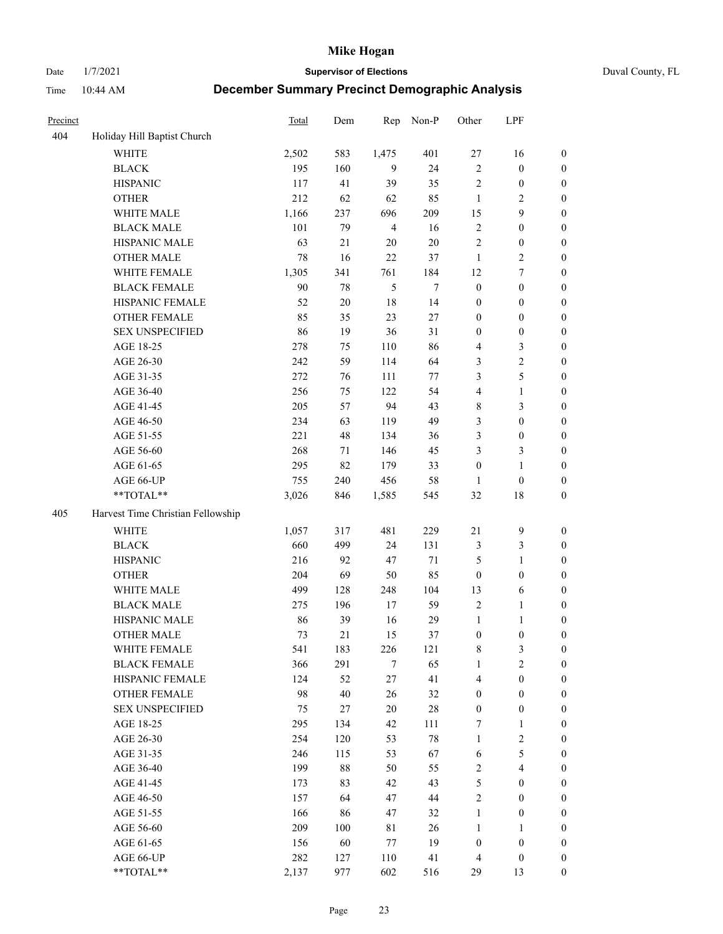Date 1/7/2021 **Supervisor of Elections** Duval County, FL

| Precinct |                                   | <b>Total</b> | Dem    | Rep            | Non-P  | Other            | LPF                     |                  |
|----------|-----------------------------------|--------------|--------|----------------|--------|------------------|-------------------------|------------------|
| 404      | Holiday Hill Baptist Church       |              |        |                |        |                  |                         |                  |
|          | <b>WHITE</b>                      | 2,502        | 583    | 1,475          | 401    | 27               | 16                      | 0                |
|          | <b>BLACK</b>                      | 195          | 160    | 9              | 24     | $\sqrt{2}$       | $\boldsymbol{0}$        | $\boldsymbol{0}$ |
|          | <b>HISPANIC</b>                   | 117          | 41     | 39             | 35     | $\sqrt{2}$       | $\boldsymbol{0}$        | $\boldsymbol{0}$ |
|          | <b>OTHER</b>                      | 212          | 62     | 62             | 85     | $\mathbf{1}$     | $\mathfrak{2}$          | $\boldsymbol{0}$ |
|          | WHITE MALE                        | 1,166        | 237    | 696            | 209    | 15               | 9                       | $\boldsymbol{0}$ |
|          | <b>BLACK MALE</b>                 | 101          | 79     | $\overline{4}$ | 16     | $\sqrt{2}$       | $\boldsymbol{0}$        | $\boldsymbol{0}$ |
|          | HISPANIC MALE                     | 63           | 21     | 20             | $20\,$ | $\mathfrak{2}$   | $\boldsymbol{0}$        | $\boldsymbol{0}$ |
|          | <b>OTHER MALE</b>                 | 78           | 16     | 22             | 37     | $\mathbf{1}$     | $\overline{2}$          | $\boldsymbol{0}$ |
|          | WHITE FEMALE                      | 1,305        | 341    | 761            | 184    | 12               | $\boldsymbol{7}$        | $\boldsymbol{0}$ |
|          | <b>BLACK FEMALE</b>               | 90           | 78     | 5              | $\tau$ | $\boldsymbol{0}$ | $\boldsymbol{0}$        | $\boldsymbol{0}$ |
|          | HISPANIC FEMALE                   | 52           | $20\,$ | 18             | 14     | $\boldsymbol{0}$ | $\boldsymbol{0}$        | 0                |
|          | <b>OTHER FEMALE</b>               | 85           | 35     | 23             | 27     | $\boldsymbol{0}$ | $\boldsymbol{0}$        | $\boldsymbol{0}$ |
|          | <b>SEX UNSPECIFIED</b>            | 86           | 19     | 36             | 31     | $\boldsymbol{0}$ | $\boldsymbol{0}$        | $\boldsymbol{0}$ |
|          | AGE 18-25                         | 278          | 75     | 110            | 86     | 4                | $\mathfrak{Z}$          | $\boldsymbol{0}$ |
|          | AGE 26-30                         | 242          | 59     | 114            | 64     | 3                | $\sqrt{2}$              | $\boldsymbol{0}$ |
|          | AGE 31-35                         | 272          | 76     | 111            | 77     | 3                | $\mathfrak s$           | $\boldsymbol{0}$ |
|          | AGE 36-40                         | 256          | 75     | 122            | 54     | 4                | $\mathbf{1}$            | $\boldsymbol{0}$ |
|          | AGE 41-45                         | 205          | 57     | 94             | 43     | 8                | $\mathfrak{Z}$          | $\boldsymbol{0}$ |
|          | AGE 46-50                         | 234          | 63     | 119            | 49     | 3                | $\boldsymbol{0}$        | $\boldsymbol{0}$ |
|          | AGE 51-55                         | 221          | 48     | 134            | 36     | 3                | $\boldsymbol{0}$        | $\boldsymbol{0}$ |
|          | AGE 56-60                         | 268          | 71     | 146            | 45     | 3                | $\mathfrak{Z}$          | 0                |
|          | AGE 61-65                         | 295          | 82     | 179            | 33     | $\boldsymbol{0}$ | $\mathbf{1}$            | 0                |
|          | AGE 66-UP                         | 755          | 240    | 456            | 58     | 1                | $\boldsymbol{0}$        | $\boldsymbol{0}$ |
|          | $**TOTAL**$                       | 3,026        | 846    | 1,585          | 545    | 32               | $18\,$                  | $\boldsymbol{0}$ |
| 405      | Harvest Time Christian Fellowship |              |        |                |        |                  |                         |                  |
|          | <b>WHITE</b>                      | 1,057        | 317    | 481            | 229    | $21\,$           | $\mathbf{9}$            | $\boldsymbol{0}$ |
|          | <b>BLACK</b>                      | 660          | 499    | 24             | 131    | 3                | $\mathfrak{Z}$          | $\boldsymbol{0}$ |
|          | <b>HISPANIC</b>                   | 216          | 92     | 47             | 71     | 5                | $\mathbf{1}$            | $\boldsymbol{0}$ |
|          | <b>OTHER</b>                      | 204          | 69     | 50             | 85     | $\boldsymbol{0}$ | $\boldsymbol{0}$        | $\boldsymbol{0}$ |
|          | WHITE MALE                        | 499          | 128    | 248            | 104    | 13               | 6                       | $\boldsymbol{0}$ |
|          | <b>BLACK MALE</b>                 | 275          | 196    | 17             | 59     | $\overline{2}$   | $\mathbf{1}$            | $\boldsymbol{0}$ |
|          | HISPANIC MALE                     | 86           | 39     | 16             | 29     | $\mathbf{1}$     | 1                       | 0                |
|          | <b>OTHER MALE</b>                 | 73           | 21     | 15             | 37     | $\boldsymbol{0}$ | $\boldsymbol{0}$        | $\boldsymbol{0}$ |
|          | WHITE FEMALE                      | 541          | 183    | 226            | 121    | 8                | 3                       | 0                |
|          | <b>BLACK FEMALE</b>               | 366          | 291    | 7              | 65     | $\mathbf{1}$     | $\sqrt{2}$              | $\boldsymbol{0}$ |
|          | HISPANIC FEMALE                   | 124          | 52     | $27\,$         | 41     | 4                | $\boldsymbol{0}$        | $\overline{0}$   |
|          | OTHER FEMALE                      | 98           | 40     | 26             | 32     | $\boldsymbol{0}$ | $\boldsymbol{0}$        | $\overline{0}$   |
|          | <b>SEX UNSPECIFIED</b>            | 75           | 27     | $20\,$         | 28     | $\boldsymbol{0}$ | $\boldsymbol{0}$        | 0                |
|          | AGE 18-25                         | 295          | 134    | 42             | 111    | 7                | $\mathbf{1}$            | 0                |
|          | AGE 26-30                         | 254          | 120    | 53             | $78\,$ | $\mathbf{1}$     | $\sqrt{2}$              | 0                |
|          | AGE 31-35                         | 246          | 115    | 53             | 67     | 6                | $\mathfrak s$           | 0                |
|          | AGE 36-40                         | 199          | 88     | 50             | 55     | $\sqrt{2}$       | $\overline{\mathbf{4}}$ | 0                |
|          | AGE 41-45                         | 173          | 83     | 42             | 43     | 5                | $\boldsymbol{0}$        | 0                |
|          | AGE 46-50                         | 157          | 64     | 47             | 44     | $\sqrt{2}$       | $\boldsymbol{0}$        | 0                |
|          | AGE 51-55                         | 166          | 86     | 47             | 32     | $\mathbf{1}$     | $\boldsymbol{0}$        | $\overline{0}$   |
|          | AGE 56-60                         | 209          | 100    | 81             | 26     | $\mathbf{1}$     | $\mathbf{1}$            | $\overline{0}$   |
|          | AGE 61-65                         | 156          | 60     | 77             | 19     | $\boldsymbol{0}$ | $\boldsymbol{0}$        | $\overline{0}$   |
|          | AGE 66-UP                         | 282          | 127    | 110            | 41     | $\overline{4}$   | $\boldsymbol{0}$        | 0                |
|          | **TOTAL**                         | 2,137        | 977    | 602            | 516    | 29               | 13                      | $\boldsymbol{0}$ |
|          |                                   |              |        |                |        |                  |                         |                  |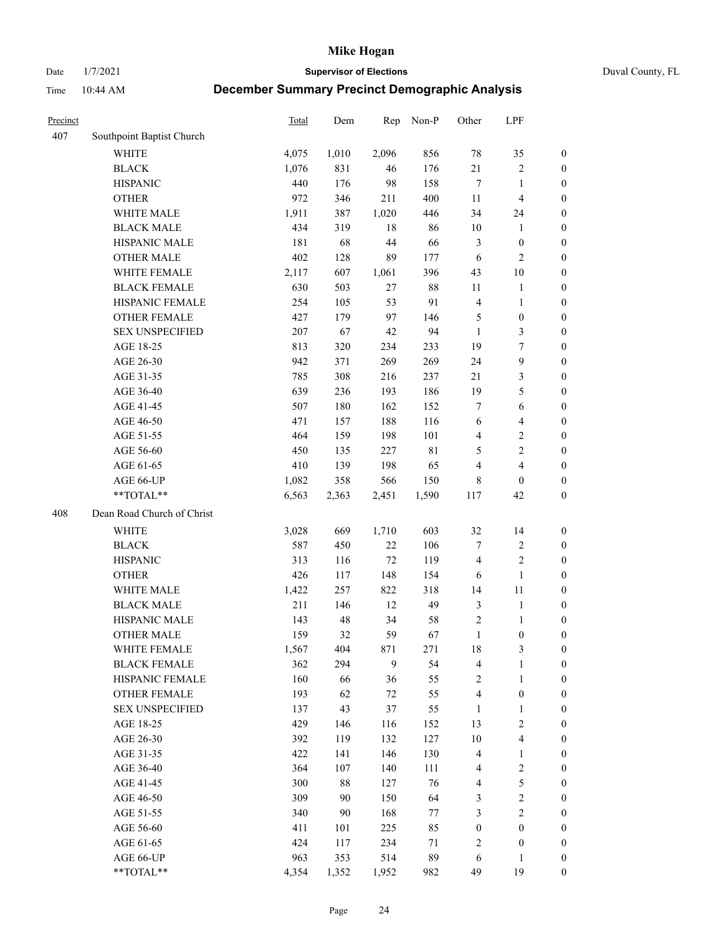Date 1/7/2021 **Supervisor of Elections** Duval County, FL

| Precinct |                            | <b>Total</b> | Dem   | Rep    | Non-P | Other            | LPF                     |                  |
|----------|----------------------------|--------------|-------|--------|-------|------------------|-------------------------|------------------|
| 407      | Southpoint Baptist Church  |              |       |        |       |                  |                         |                  |
|          | <b>WHITE</b>               | 4,075        | 1,010 | 2,096  | 856   | 78               | 35                      | 0                |
|          | <b>BLACK</b>               | 1,076        | 831   | 46     | 176   | 21               | $\sqrt{2}$              | 0                |
|          | <b>HISPANIC</b>            | 440          | 176   | 98     | 158   | $\tau$           | $\mathbf{1}$            | $\boldsymbol{0}$ |
|          | <b>OTHER</b>               | 972          | 346   | 211    | 400   | 11               | $\overline{\mathbf{4}}$ | $\boldsymbol{0}$ |
|          | WHITE MALE                 | 1,911        | 387   | 1,020  | 446   | 34               | 24                      | $\boldsymbol{0}$ |
|          | <b>BLACK MALE</b>          | 434          | 319   | 18     | 86    | 10               | $\mathbf{1}$            | $\boldsymbol{0}$ |
|          | HISPANIC MALE              | 181          | 68    | $44\,$ | 66    | 3                | $\boldsymbol{0}$        | $\boldsymbol{0}$ |
|          | <b>OTHER MALE</b>          | 402          | 128   | 89     | 177   | 6                | $\overline{2}$          | $\boldsymbol{0}$ |
|          | WHITE FEMALE               | 2,117        | 607   | 1,061  | 396   | 43               | $10\,$                  | $\boldsymbol{0}$ |
|          | <b>BLACK FEMALE</b>        | 630          | 503   | 27     | 88    | 11               | $\mathbf{1}$            | 0                |
|          | HISPANIC FEMALE            | 254          | 105   | 53     | 91    | $\overline{4}$   | $\mathbf{1}$            | 0                |
|          | OTHER FEMALE               | 427          | 179   | 97     | 146   | 5                | $\boldsymbol{0}$        | $\boldsymbol{0}$ |
|          | <b>SEX UNSPECIFIED</b>     | 207          | 67    | 42     | 94    | $\mathbf{1}$     | $\mathfrak{Z}$          | $\boldsymbol{0}$ |
|          | AGE 18-25                  | 813          | 320   | 234    | 233   | 19               | $\boldsymbol{7}$        | $\boldsymbol{0}$ |
|          | AGE 26-30                  | 942          | 371   | 269    | 269   | 24               | $\boldsymbol{9}$        | $\boldsymbol{0}$ |
|          | AGE 31-35                  | 785          | 308   | 216    | 237   | 21               | $\mathfrak{Z}$          | $\boldsymbol{0}$ |
|          | AGE 36-40                  | 639          | 236   | 193    | 186   | 19               | $\mathfrak s$           | $\boldsymbol{0}$ |
|          | AGE 41-45                  | 507          | 180   | 162    | 152   | $\tau$           | $\sqrt{6}$              | $\boldsymbol{0}$ |
|          | AGE 46-50                  | 471          | 157   | 188    | 116   | 6                | $\overline{\mathbf{4}}$ | $\boldsymbol{0}$ |
|          | AGE 51-55                  | 464          | 159   | 198    | 101   | 4                | $\mathbf{2}$            | $\boldsymbol{0}$ |
|          | AGE 56-60                  | 450          | 135   | 227    | 81    | 5                | $\sqrt{2}$              | 0                |
|          | AGE 61-65                  | 410          | 139   | 198    | 65    | 4                | $\overline{4}$          | $\boldsymbol{0}$ |
|          | AGE 66-UP                  | 1,082        | 358   | 566    | 150   | 8                | $\boldsymbol{0}$        | $\boldsymbol{0}$ |
|          | **TOTAL**                  | 6,563        | 2,363 | 2,451  | 1,590 | 117              | 42                      | $\boldsymbol{0}$ |
| 408      | Dean Road Church of Christ |              |       |        |       |                  |                         |                  |
|          | <b>WHITE</b>               | 3,028        | 669   | 1,710  | 603   | 32               | 14                      | $\boldsymbol{0}$ |
|          | <b>BLACK</b>               | 587          | 450   | $22\,$ | 106   | 7                | $\sqrt{2}$              | $\boldsymbol{0}$ |
|          | <b>HISPANIC</b>            | 313          | 116   | $72\,$ | 119   | $\overline{4}$   | $\mathbf{2}$            | $\boldsymbol{0}$ |
|          | <b>OTHER</b>               | 426          | 117   | 148    | 154   | 6                | $\mathbf{1}$            | $\boldsymbol{0}$ |
|          | WHITE MALE                 | 1,422        | 257   | 822    | 318   | 14               | $11\,$                  | $\boldsymbol{0}$ |
|          | <b>BLACK MALE</b>          | 211          | 146   | 12     | 49    | 3                | $\mathbf{1}$            | $\boldsymbol{0}$ |
|          | HISPANIC MALE              | 143          | 48    | 34     | 58    | $\overline{c}$   | 1                       | 0                |
|          | <b>OTHER MALE</b>          | 159          | 32    | 59     | 67    | $\mathbf{1}$     | $\boldsymbol{0}$        | $\boldsymbol{0}$ |
|          | WHITE FEMALE               | 1,567        | 404   | 871    | 271   | 18               | 3                       | 0                |
|          | <b>BLACK FEMALE</b>        | 362          | 294   | 9      | 54    | 4                | $\mathbf{1}$            | $\boldsymbol{0}$ |
|          | HISPANIC FEMALE            | 160          | 66    | 36     | 55    | $\sqrt{2}$       | $\mathbf{1}$            | $\overline{0}$   |
|          | <b>OTHER FEMALE</b>        | 193          | 62    | $72\,$ | 55    | 4                | $\boldsymbol{0}$        | $\overline{0}$   |
|          | <b>SEX UNSPECIFIED</b>     | 137          | 43    | 37     | 55    | $\mathbf{1}$     | $\mathbf{1}$            | 0                |
|          | AGE 18-25                  | 429          | 146   | 116    | 152   | 13               | $\sqrt{2}$              | 0                |
|          | AGE 26-30                  | 392          | 119   | 132    | 127   | 10               | $\overline{\mathbf{4}}$ | 0                |
|          | AGE 31-35                  | 422          | 141   | 146    | 130   | 4                | $\mathbf{1}$            | 0                |
|          | AGE 36-40                  | 364          | 107   | 140    | 111   | 4                | $\sqrt{2}$              | 0                |
|          | AGE 41-45                  | 300          | 88    | 127    | 76    | $\overline{4}$   | 5                       | 0                |
|          | AGE 46-50                  | 309          | 90    | 150    | 64    | 3                | $\sqrt{2}$              | 0                |
|          | AGE 51-55                  | 340          | 90    | 168    | 77    | 3                | $\sqrt{2}$              | $\boldsymbol{0}$ |
|          | AGE 56-60                  | 411          | 101   | 225    | 85    | $\boldsymbol{0}$ | $\boldsymbol{0}$        | $\boldsymbol{0}$ |
|          | AGE 61-65                  | 424          | 117   | 234    | 71    | $\overline{c}$   | $\boldsymbol{0}$        | $\boldsymbol{0}$ |
|          | AGE 66-UP                  | 963          | 353   | 514    | 89    | 6                | $\mathbf{1}$            | $\boldsymbol{0}$ |
|          | **TOTAL**                  | 4,354        | 1,352 | 1,952  | 982   | 49               | 19                      | $\boldsymbol{0}$ |
|          |                            |              |       |        |       |                  |                         |                  |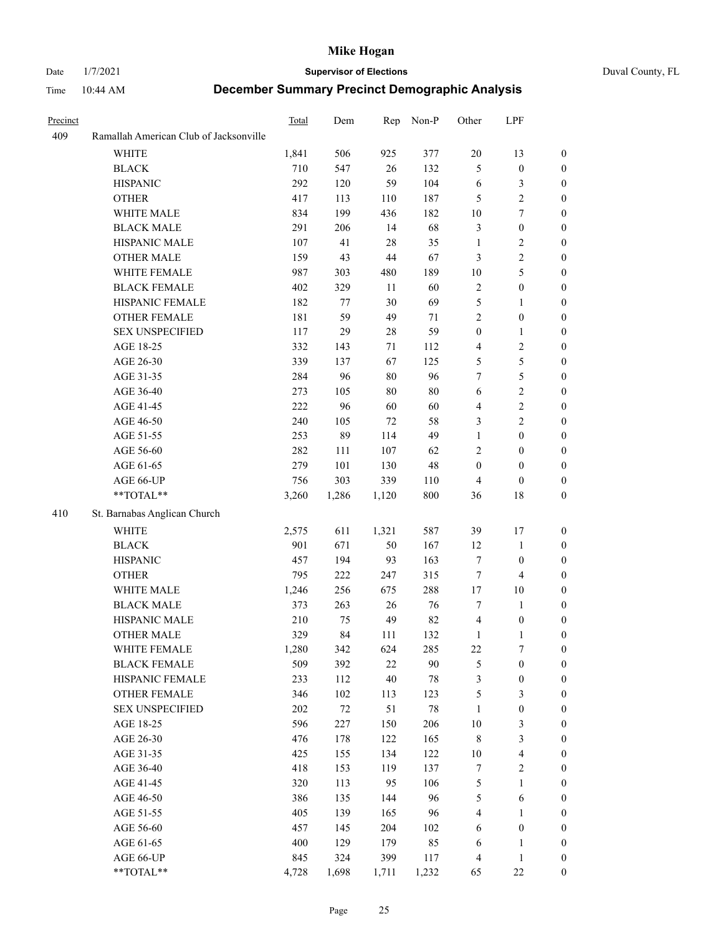## Date 1/7/2021 **Supervisor of Elections** Duval County, FL

| Precinct |                                        | Total | Dem    | Rep    | Non-P  | Other            | LPF                     |                  |
|----------|----------------------------------------|-------|--------|--------|--------|------------------|-------------------------|------------------|
| 409      | Ramallah American Club of Jacksonville |       |        |        |        |                  |                         |                  |
|          | <b>WHITE</b>                           | 1,841 | 506    | 925    | 377    | $20\,$           | 13                      | $\boldsymbol{0}$ |
|          | <b>BLACK</b>                           | 710   | 547    | 26     | 132    | 5                | $\boldsymbol{0}$        | $\boldsymbol{0}$ |
|          | <b>HISPANIC</b>                        | 292   | 120    | 59     | 104    | 6                | $\mathfrak{Z}$          | $\boldsymbol{0}$ |
|          | <b>OTHER</b>                           | 417   | 113    | 110    | 187    | 5                | $\sqrt{2}$              | $\boldsymbol{0}$ |
|          | WHITE MALE                             | 834   | 199    | 436    | 182    | 10               | $\boldsymbol{7}$        | $\boldsymbol{0}$ |
|          | <b>BLACK MALE</b>                      | 291   | 206    | 14     | 68     | 3                | $\boldsymbol{0}$        | $\boldsymbol{0}$ |
|          | HISPANIC MALE                          | 107   | 41     | 28     | 35     | $\mathbf{1}$     | $\sqrt{2}$              | $\boldsymbol{0}$ |
|          | <b>OTHER MALE</b>                      | 159   | 43     | 44     | 67     | 3                | $\sqrt{2}$              | $\boldsymbol{0}$ |
|          | WHITE FEMALE                           | 987   | 303    | 480    | 189    | $10\,$           | 5                       | 0                |
|          | <b>BLACK FEMALE</b>                    | 402   | 329    | 11     | 60     | $\sqrt{2}$       | $\boldsymbol{0}$        | 0                |
|          | HISPANIC FEMALE                        | 182   | 77     | 30     | 69     | 5                | $\mathbf{1}$            | $\boldsymbol{0}$ |
|          | OTHER FEMALE                           | 181   | 59     | 49     | 71     | $\overline{c}$   | $\boldsymbol{0}$        | $\boldsymbol{0}$ |
|          | <b>SEX UNSPECIFIED</b>                 | 117   | 29     | 28     | 59     | $\boldsymbol{0}$ | $\mathbf{1}$            | $\boldsymbol{0}$ |
|          | AGE 18-25                              | 332   | 143    | 71     | 112    | 4                | $\sqrt{2}$              | $\boldsymbol{0}$ |
|          | AGE 26-30                              | 339   | 137    | 67     | 125    | 5                | $\mathfrak s$           | $\boldsymbol{0}$ |
|          | AGE 31-35                              | 284   | 96     | $80\,$ | 96     | 7                | $\mathfrak{S}$          | $\overline{0}$   |
|          | AGE 36-40                              | 273   | 105    | $80\,$ | $80\,$ | $\sqrt{6}$       | $\sqrt{2}$              | $\overline{0}$   |
|          | AGE 41-45                              | 222   | 96     | 60     | 60     | 4                | $\sqrt{2}$              | $\boldsymbol{0}$ |
|          | AGE 46-50                              | 240   | 105    | 72     | 58     | 3                | $\sqrt{2}$              | 0                |
|          | AGE 51-55                              | 253   | 89     | 114    | 49     | $\mathbf{1}$     | $\boldsymbol{0}$        | 0                |
|          | AGE 56-60                              | 282   | 111    | 107    | 62     | 2                | $\boldsymbol{0}$        | $\boldsymbol{0}$ |
|          | AGE 61-65                              | 279   | 101    | 130    | $48\,$ | $\boldsymbol{0}$ | $\boldsymbol{0}$        | $\boldsymbol{0}$ |
|          | AGE 66-UP                              | 756   | 303    | 339    | 110    | 4                | $\boldsymbol{0}$        | $\boldsymbol{0}$ |
|          | **TOTAL**                              | 3,260 | 1,286  | 1,120  | 800    | 36               | $18\,$                  | $\boldsymbol{0}$ |
| 410      | St. Barnabas Anglican Church           |       |        |        |        |                  |                         |                  |
|          | <b>WHITE</b>                           | 2,575 | 611    | 1,321  | 587    | 39               | 17                      | $\boldsymbol{0}$ |
|          | <b>BLACK</b>                           | 901   | 671    | 50     | 167    | 12               | $\mathbf{1}$            | $\boldsymbol{0}$ |
|          | <b>HISPANIC</b>                        | 457   | 194    | 93     | 163    | 7                | $\boldsymbol{0}$        | $\boldsymbol{0}$ |
|          | <b>OTHER</b>                           | 795   | 222    | 247    | 315    | $\tau$           | $\overline{4}$          | $\overline{0}$   |
|          | WHITE MALE                             | 1,246 | 256    | 675    | 288    | 17               | $10\,$                  | $\boldsymbol{0}$ |
|          | <b>BLACK MALE</b>                      | 373   | 263    | $26\,$ | 76     | 7                | $\mathbf{1}$            | 0                |
|          | HISPANIC MALE                          | 210   | 75     | 49     | 82     | 4                | $\boldsymbol{0}$        | 0                |
|          | OTHER MALE                             | 329   | 84     | 111    | 132    | $\mathbf{1}$     | $\mathbf{1}$            | $\boldsymbol{0}$ |
|          | WHITE FEMALE                           | 1,280 | 342    | 624    | 285    | $22\,$           | $\tau$                  | 0                |
|          | <b>BLACK FEMALE</b>                    | 509   | 392    | 22     | $90\,$ | 5                | $\boldsymbol{0}$        | $\boldsymbol{0}$ |
|          | HISPANIC FEMALE                        | 233   | 112    | 40     | $78\,$ | 3                | $\boldsymbol{0}$        | $\overline{0}$   |
|          | <b>OTHER FEMALE</b>                    | 346   | 102    | 113    | 123    | 5                | $\mathfrak{Z}$          | 0                |
|          | <b>SEX UNSPECIFIED</b>                 | 202   | $72\,$ | 51     | $78\,$ | $\mathbf{1}$     | $\boldsymbol{0}$        | $\overline{0}$   |
|          | AGE 18-25                              | 596   | 227    | 150    | 206    | 10               | $\mathfrak{Z}$          | 0                |
|          | AGE 26-30                              | 476   | 178    | 122    | 165    | $\,$ 8 $\,$      | $\mathfrak{Z}$          | 0                |
|          | AGE 31-35                              | 425   | 155    | 134    | 122    | 10               | $\overline{\mathbf{4}}$ | 0                |
|          | AGE 36-40                              | 418   | 153    | 119    | 137    | 7                | $\sqrt{2}$              | 0                |
|          | AGE 41-45                              | 320   | 113    | 95     | 106    | 5                | $\mathbf{1}$            | 0                |
|          | AGE 46-50                              | 386   | 135    | 144    | 96     | 5                | 6                       | 0                |
|          | AGE 51-55                              | 405   | 139    | 165    | 96     | 4                | $\mathbf{1}$            | $\boldsymbol{0}$ |
|          | AGE 56-60                              | 457   | 145    | 204    | 102    | 6                | $\boldsymbol{0}$        | $\overline{0}$   |
|          | AGE 61-65                              | 400   | 129    | 179    | 85     | 6                | 1                       | 0                |
|          | AGE 66-UP                              | 845   | 324    | 399    | 117    | 4                | $\mathbf{1}$            | 0                |
|          | **TOTAL**                              | 4,728 | 1,698  | 1,711  | 1,232  | 65               | 22                      | $\boldsymbol{0}$ |
|          |                                        |       |        |        |        |                  |                         |                  |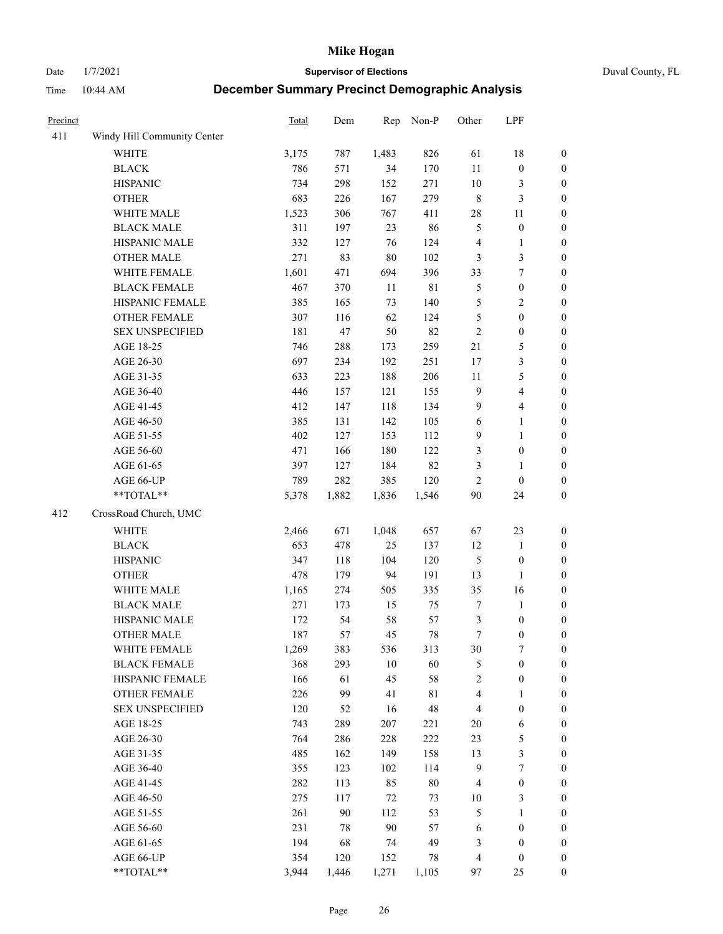Date 1/7/2021 **Supervisor of Elections** Duval County, FL

| Precinct |                             | <b>Total</b> | Dem    | Rep    | Non-P       | Other            | LPF              |                  |
|----------|-----------------------------|--------------|--------|--------|-------------|------------------|------------------|------------------|
| 411      | Windy Hill Community Center |              |        |        |             |                  |                  |                  |
|          | <b>WHITE</b>                | 3,175        | 787    | 1,483  | 826         | 61               | 18               | 0                |
|          | <b>BLACK</b>                | 786          | 571    | 34     | 170         | $11\,$           | $\boldsymbol{0}$ | $\boldsymbol{0}$ |
|          | <b>HISPANIC</b>             | 734          | 298    | 152    | 271         | $10\,$           | 3                | $\boldsymbol{0}$ |
|          | <b>OTHER</b>                | 683          | 226    | 167    | 279         | $\,$ $\,$        | $\mathfrak{Z}$   | $\boldsymbol{0}$ |
|          | WHITE MALE                  | 1,523        | 306    | 767    | 411         | $28\,$           | 11               | $\boldsymbol{0}$ |
|          | <b>BLACK MALE</b>           | 311          | 197    | 23     | 86          | 5                | $\boldsymbol{0}$ | $\boldsymbol{0}$ |
|          | HISPANIC MALE               | 332          | 127    | 76     | 124         | 4                | $\mathbf{1}$     | $\boldsymbol{0}$ |
|          | <b>OTHER MALE</b>           | 271          | 83     | $80\,$ | 102         | 3                | $\mathfrak{Z}$   | $\boldsymbol{0}$ |
|          | WHITE FEMALE                | 1,601        | 471    | 694    | 396         | 33               | $\boldsymbol{7}$ | $\boldsymbol{0}$ |
|          | <b>BLACK FEMALE</b>         | 467          | 370    | 11     | $8\sqrt{1}$ | 5                | $\boldsymbol{0}$ | $\boldsymbol{0}$ |
|          | HISPANIC FEMALE             | 385          | 165    | 73     | 140         | 5                | $\sqrt{2}$       | $\boldsymbol{0}$ |
|          | <b>OTHER FEMALE</b>         | 307          | 116    | 62     | 124         | 5                | $\boldsymbol{0}$ | $\boldsymbol{0}$ |
|          | <b>SEX UNSPECIFIED</b>      | 181          | 47     | 50     | 82          | $\sqrt{2}$       | $\boldsymbol{0}$ | $\boldsymbol{0}$ |
|          | AGE 18-25                   | 746          | 288    | 173    | 259         | 21               | $\mathfrak s$    | $\boldsymbol{0}$ |
|          | AGE 26-30                   | 697          | 234    | 192    | 251         | 17               | $\mathfrak{Z}$   | $\boldsymbol{0}$ |
|          | AGE 31-35                   | 633          | 223    | 188    | 206         | 11               | 5                | $\boldsymbol{0}$ |
|          | AGE 36-40                   | 446          | 157    | 121    | 155         | 9                | $\overline{4}$   | $\boldsymbol{0}$ |
|          | AGE 41-45                   | 412          | 147    | 118    | 134         | $\mathbf{9}$     | $\overline{4}$   | $\boldsymbol{0}$ |
|          | AGE 46-50                   | 385          | 131    | 142    | 105         | $\sqrt{6}$       | $\mathbf{1}$     | $\boldsymbol{0}$ |
|          | AGE 51-55                   | 402          | 127    | 153    | 112         | $\mathbf{9}$     | $\mathbf{1}$     | $\boldsymbol{0}$ |
|          | AGE 56-60                   | 471          | 166    | 180    | 122         | 3                | $\boldsymbol{0}$ | 0                |
|          | AGE 61-65                   | 397          | 127    | 184    | 82          | 3                | $\mathbf{1}$     | $\boldsymbol{0}$ |
|          | AGE 66-UP                   | 789          | 282    | 385    | 120         | $\mathfrak{2}$   | $\boldsymbol{0}$ | $\boldsymbol{0}$ |
|          | $**TOTAL**$                 | 5,378        | 1,882  | 1,836  | 1,546       | $90\,$           | 24               | $\boldsymbol{0}$ |
| 412      | CrossRoad Church, UMC       |              |        |        |             |                  |                  |                  |
|          |                             |              |        |        |             |                  |                  |                  |
|          | <b>WHITE</b>                | 2,466        | 671    | 1,048  | 657         | 67               | 23               | $\boldsymbol{0}$ |
|          | <b>BLACK</b>                | 653          | 478    | 25     | 137         | 12               | $\mathbf{1}$     | $\boldsymbol{0}$ |
|          | <b>HISPANIC</b>             | 347          | 118    | 104    | 120         | 5                | $\boldsymbol{0}$ | $\boldsymbol{0}$ |
|          | <b>OTHER</b>                | 478          | 179    | 94     | 191         | 13               | $\mathbf{1}$     | $\boldsymbol{0}$ |
|          | WHITE MALE                  | 1,165        | 274    | 505    | 335         | 35               | 16               | $\boldsymbol{0}$ |
|          | <b>BLACK MALE</b>           | 271          | 173    | 15     | 75          | $\boldsymbol{7}$ | $\mathbf{1}$     | $\boldsymbol{0}$ |
|          | HISPANIC MALE               | 172          | 54     | 58     | 57          | 3                | $\boldsymbol{0}$ | 0                |
|          | <b>OTHER MALE</b>           | 187          | 57     | 45     | $78\,$      | $\tau$           | $\boldsymbol{0}$ | $\boldsymbol{0}$ |
|          | WHITE FEMALE                | 1,269        | 383    | 536    | 313         | 30               | 7                | 0                |
|          | <b>BLACK FEMALE</b>         | 368          | 293    | $10\,$ | 60          | 5                | $\boldsymbol{0}$ | $\boldsymbol{0}$ |
|          | HISPANIC FEMALE             | 166          | 61     | 45     | 58          | $\overline{c}$   | $\boldsymbol{0}$ | $\overline{0}$   |
|          | <b>OTHER FEMALE</b>         | 226          | 99     | 41     | $8\sqrt{1}$ | 4                | $\mathbf{1}$     | $\overline{0}$   |
|          | <b>SEX UNSPECIFIED</b>      | 120          | 52     | 16     | 48          | 4                | $\boldsymbol{0}$ | 0                |
|          | AGE 18-25                   | 743          | 289    | 207    | 221         | $20\,$           | 6                | 0                |
|          | AGE 26-30                   | 764          | 286    | 228    | 222         | 23               | $\mathfrak s$    | 0                |
|          | AGE 31-35                   | 485          | 162    | 149    | 158         | 13               | $\mathfrak{Z}$   | 0                |
|          | AGE 36-40                   | 355          | 123    | 102    | 114         | 9                | $\boldsymbol{7}$ | 0                |
|          | AGE 41-45                   | 282          | 113    | 85     | $80\,$      | 4                | $\boldsymbol{0}$ | 0                |
|          | AGE 46-50                   | 275          | 117    | $72\,$ | 73          | $10\,$           | 3                | 0                |
|          | AGE 51-55                   | 261          | $90\,$ | 112    | 53          | 5                | $\mathbf{1}$     | 0                |
|          | AGE 56-60                   | 231          | 78     | 90     | 57          | 6                | $\boldsymbol{0}$ | 0                |
|          | AGE 61-65                   | 194          | 68     | 74     | 49          | 3                | $\boldsymbol{0}$ | $\overline{0}$   |
|          | AGE 66-UP                   | 354          | 120    | 152    | 78          | 4                | $\boldsymbol{0}$ | 0                |
|          | **TOTAL**                   | 3,944        | 1,446  | 1,271  | 1,105       | 97               | 25               | $\boldsymbol{0}$ |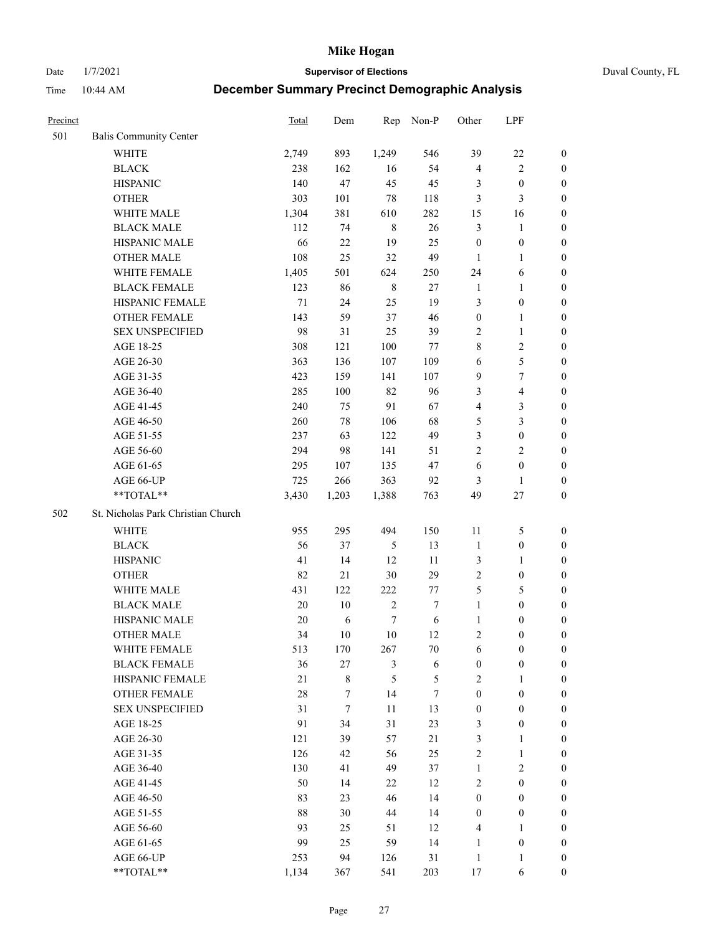Date 1/7/2021 **Supervisor of Elections** Duval County, FL

| Precinct |                                    | Total  | Dem       | Rep           | Non-P   | Other            | LPF                     |                  |
|----------|------------------------------------|--------|-----------|---------------|---------|------------------|-------------------------|------------------|
| 501      | <b>Balis Community Center</b>      |        |           |               |         |                  |                         |                  |
|          | <b>WHITE</b>                       | 2,749  | 893       | 1,249         | 546     | 39               | $22\,$                  | 0                |
|          | <b>BLACK</b>                       | 238    | 162       | 16            | 54      | $\overline{4}$   | $\sqrt{2}$              | 0                |
|          | <b>HISPANIC</b>                    | 140    | 47        | 45            | 45      | 3                | $\boldsymbol{0}$        | $\boldsymbol{0}$ |
|          | <b>OTHER</b>                       | 303    | 101       | $78\,$        | 118     | 3                | 3                       | $\boldsymbol{0}$ |
|          | WHITE MALE                         | 1,304  | 381       | 610           | 282     | 15               | 16                      | $\boldsymbol{0}$ |
|          | <b>BLACK MALE</b>                  | 112    | 74        | $\,8\,$       | 26      | 3                | $\mathbf{1}$            | $\boldsymbol{0}$ |
|          | HISPANIC MALE                      | 66     | $22\,$    | 19            | 25      | $\boldsymbol{0}$ | $\boldsymbol{0}$        | $\boldsymbol{0}$ |
|          | <b>OTHER MALE</b>                  | 108    | 25        | 32            | 49      | $\mathbf{1}$     | $\mathbf{1}$            | $\boldsymbol{0}$ |
|          | WHITE FEMALE                       | 1,405  | 501       | 624           | 250     | 24               | 6                       | $\boldsymbol{0}$ |
|          | <b>BLACK FEMALE</b>                | 123    | 86        | $\,$ 8 $\,$   | $27\,$  | $\mathbf{1}$     | $\mathbf{1}$            | 0                |
|          | HISPANIC FEMALE                    | 71     | 24        | 25            | 19      | 3                | $\boldsymbol{0}$        | 0                |
|          | OTHER FEMALE                       | 143    | 59        | 37            | 46      | $\boldsymbol{0}$ | $\mathbf{1}$            | 0                |
|          | <b>SEX UNSPECIFIED</b>             | 98     | 31        | 25            | 39      | $\mathfrak{2}$   | $\mathbf{1}$            | $\boldsymbol{0}$ |
|          | AGE 18-25                          | 308    | 121       | 100           | $77 \,$ | 8                | $\sqrt{2}$              | $\boldsymbol{0}$ |
|          | AGE 26-30                          | 363    | 136       | 107           | 109     | 6                | $\mathfrak{S}$          | $\boldsymbol{0}$ |
|          | AGE 31-35                          | 423    | 159       | 141           | 107     | $\overline{9}$   | $\boldsymbol{7}$        | $\boldsymbol{0}$ |
|          | AGE 36-40                          | 285    | 100       | 82            | 96      | 3                | $\overline{\mathbf{4}}$ | $\boldsymbol{0}$ |
|          | AGE 41-45                          | 240    | 75        | 91            | 67      | 4                | $\mathfrak{Z}$          | $\boldsymbol{0}$ |
|          | AGE 46-50                          | 260    | 78        | 106           | 68      | 5                | $\mathfrak{Z}$          | $\boldsymbol{0}$ |
|          | AGE 51-55                          | 237    | 63        | 122           | 49      | 3                | $\boldsymbol{0}$        | 0                |
|          | AGE 56-60                          | 294    | 98        | 141           | 51      | $\overline{c}$   | $\overline{2}$          | 0                |
|          | AGE 61-65                          | 295    | 107       | 135           | 47      | 6                | $\boldsymbol{0}$        | 0                |
|          | AGE 66-UP                          | 725    | 266       | 363           | 92      | 3                | $\mathbf{1}$            | $\boldsymbol{0}$ |
|          | $**TOTAL**$                        | 3,430  | 1,203     | 1,388         | 763     | 49               | $27\,$                  | $\boldsymbol{0}$ |
| 502      | St. Nicholas Park Christian Church |        |           |               |         |                  |                         |                  |
|          | <b>WHITE</b>                       | 955    | 295       | 494           | 150     | 11               | 5                       | $\boldsymbol{0}$ |
|          | <b>BLACK</b>                       | 56     | 37        | $\mathfrak s$ | 13      | $\mathbf{1}$     | $\boldsymbol{0}$        | $\boldsymbol{0}$ |
|          | <b>HISPANIC</b>                    | 41     | 14        | 12            | 11      | 3                | $\mathbf{1}$            | $\boldsymbol{0}$ |
|          | <b>OTHER</b>                       | 82     | 21        | $30\,$        | 29      | $\mathfrak{2}$   | $\boldsymbol{0}$        | $\boldsymbol{0}$ |
|          | WHITE MALE                         | 431    | 122       | 222           | 77      | 5                | $\mathfrak{S}$          | $\boldsymbol{0}$ |
|          | <b>BLACK MALE</b>                  | $20\,$ | 10        | $\sqrt{2}$    | $\tau$  | $\mathbf{1}$     | $\boldsymbol{0}$        | $\boldsymbol{0}$ |
|          | HISPANIC MALE                      | 20     | 6         | $\tau$        | 6       | $\mathbf{1}$     | $\boldsymbol{0}$        | 0                |
|          | <b>OTHER MALE</b>                  | 34     | 10        | $10\,$        | 12      | $\overline{c}$   | $\boldsymbol{0}$        | 0                |
|          | WHITE FEMALE                       | 513    | 170       | 267           | 70      | 6                | $\boldsymbol{0}$        | 0                |
|          | <b>BLACK FEMALE</b>                | 36     | 27        | 3             | 6       | $\boldsymbol{0}$ | $\boldsymbol{0}$        | $\boldsymbol{0}$ |
|          | HISPANIC FEMALE                    | 21     | $\,$ $\,$ | 5             | 5       | $\mathbf{2}$     | $\mathbf{1}$            | $\overline{0}$   |
|          | OTHER FEMALE                       | 28     | 7         | 14            | 7       | $\boldsymbol{0}$ | $\boldsymbol{0}$        | $\overline{0}$   |
|          | <b>SEX UNSPECIFIED</b>             | 31     | $\tau$    | 11            | 13      | $\boldsymbol{0}$ | $\boldsymbol{0}$        | 0                |
|          | AGE 18-25                          | 91     | 34        | 31            | 23      | 3                | $\boldsymbol{0}$        | 0                |
|          | AGE 26-30                          | 121    | 39        | 57            | 21      | 3                | $\mathbf{1}$            | 0                |
|          | AGE 31-35                          | 126    | 42        | 56            | 25      | $\overline{c}$   | $\mathbf{1}$            | 0                |
|          | AGE 36-40                          | 130    | 41        | 49            | 37      | $\mathbf{1}$     | $\sqrt{2}$              | 0                |
|          | AGE 41-45                          | 50     | 14        | 22            | 12      | $\mathbf{2}$     | $\boldsymbol{0}$        | 0                |
|          | AGE 46-50                          | 83     | 23        | 46            | 14      | $\boldsymbol{0}$ | $\boldsymbol{0}$        | 0                |
|          | AGE 51-55                          | 88     | 30        | 44            | 14      | $\boldsymbol{0}$ | $\boldsymbol{0}$        | $\boldsymbol{0}$ |
|          | AGE 56-60                          | 93     | 25        | 51            | 12      | 4                | $\mathbf{1}$            | $\boldsymbol{0}$ |
|          | AGE 61-65                          | 99     | 25        | 59            | 14      | $\mathbf{1}$     | $\boldsymbol{0}$        | $\boldsymbol{0}$ |
|          | AGE 66-UP                          | 253    | 94        | 126           | 31      | $\mathbf{1}$     | $\mathbf{1}$            | $\boldsymbol{0}$ |
|          | **TOTAL**                          | 1,134  | 367       | 541           | 203     | 17               | 6                       | $\boldsymbol{0}$ |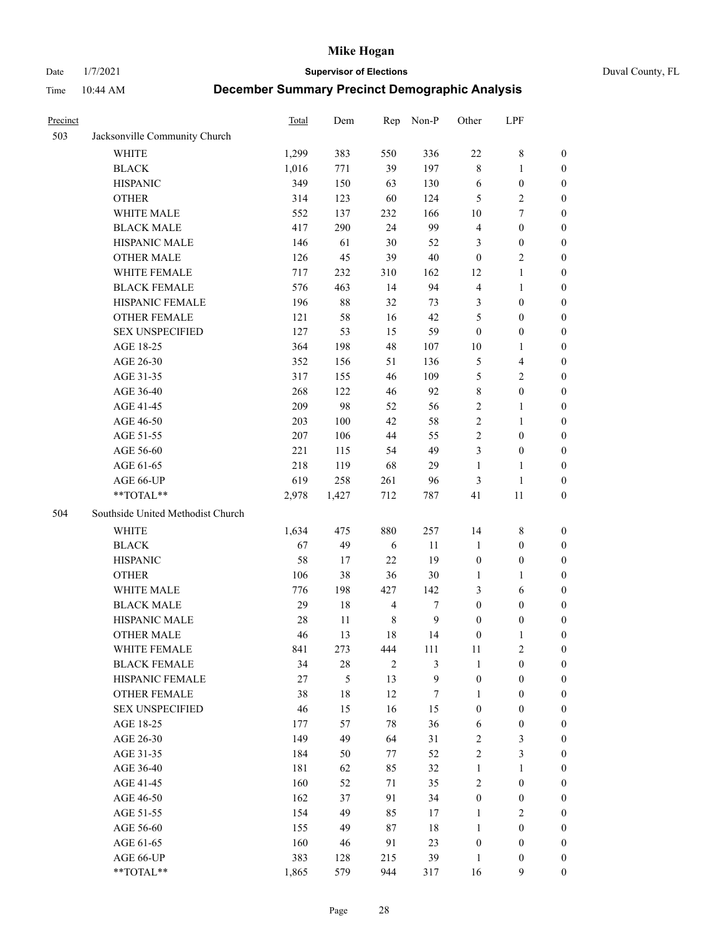Date 1/7/2021 **Supervisor of Elections** Duval County, FL

| Precinct |                                   | <b>Total</b> | Dem    | Rep            | Non-P          | Other            | LPF                     |                  |
|----------|-----------------------------------|--------------|--------|----------------|----------------|------------------|-------------------------|------------------|
| 503      | Jacksonville Community Church     |              |        |                |                |                  |                         |                  |
|          | <b>WHITE</b>                      | 1,299        | 383    | 550            | 336            | $22\,$           | $8\,$                   | 0                |
|          | <b>BLACK</b>                      | 1,016        | 771    | 39             | 197            | 8                | $\mathbf{1}$            | 0                |
|          | <b>HISPANIC</b>                   | 349          | 150    | 63             | 130            | 6                | $\boldsymbol{0}$        | $\boldsymbol{0}$ |
|          | <b>OTHER</b>                      | 314          | 123    | 60             | 124            | 5                | $\sqrt{2}$              | $\boldsymbol{0}$ |
|          | WHITE MALE                        | 552          | 137    | 232            | 166            | 10               | $\tau$                  | $\boldsymbol{0}$ |
|          | <b>BLACK MALE</b>                 | 417          | 290    | 24             | 99             | 4                | $\boldsymbol{0}$        | $\boldsymbol{0}$ |
|          | HISPANIC MALE                     | 146          | 61     | 30             | 52             | 3                | $\boldsymbol{0}$        | $\boldsymbol{0}$ |
|          | <b>OTHER MALE</b>                 | 126          | 45     | 39             | $40\,$         | $\boldsymbol{0}$ | $\overline{2}$          | $\boldsymbol{0}$ |
|          | WHITE FEMALE                      | 717          | 232    | 310            | 162            | 12               | $\mathbf{1}$            | $\boldsymbol{0}$ |
|          | <b>BLACK FEMALE</b>               | 576          | 463    | 14             | 94             | 4                | $\mathbf{1}$            | 0                |
|          | HISPANIC FEMALE                   | 196          | $88\,$ | 32             | 73             | 3                | $\boldsymbol{0}$        | 0                |
|          | OTHER FEMALE                      | 121          | 58     | 16             | 42             | 5                | $\boldsymbol{0}$        | $\boldsymbol{0}$ |
|          | <b>SEX UNSPECIFIED</b>            | 127          | 53     | 15             | 59             | $\boldsymbol{0}$ | $\boldsymbol{0}$        | $\boldsymbol{0}$ |
|          | AGE 18-25                         | 364          | 198    | 48             | 107            | $10\,$           | 1                       | $\boldsymbol{0}$ |
|          | AGE 26-30                         | 352          | 156    | 51             | 136            | 5                | $\overline{\mathbf{4}}$ | $\boldsymbol{0}$ |
|          | AGE 31-35                         | 317          | 155    | 46             | 109            | 5                | $\sqrt{2}$              | $\boldsymbol{0}$ |
|          | AGE 36-40                         | 268          | 122    | 46             | 92             | 8                | $\boldsymbol{0}$        | $\boldsymbol{0}$ |
|          | AGE 41-45                         | 209          | 98     | 52             | 56             | $\overline{c}$   | $\mathbf{1}$            | $\boldsymbol{0}$ |
|          | AGE 46-50                         | 203          | 100    | 42             | 58             | $\overline{2}$   | 1                       | $\boldsymbol{0}$ |
|          | AGE 51-55                         | 207          | 106    | 44             | 55             | 2                | $\boldsymbol{0}$        | 0                |
|          | AGE 56-60                         | 221          | 115    | 54             | 49             | 3                | $\boldsymbol{0}$        | 0                |
|          | AGE 61-65                         | 218          | 119    | 68             | 29             | 1                | $\mathbf{1}$            | 0                |
|          | AGE 66-UP                         | 619          | 258    | 261            | 96             | 3                | $\mathbf{1}$            | $\boldsymbol{0}$ |
|          | **TOTAL**                         | 2,978        | 1,427  | 712            | 787            | 41               | 11                      | $\boldsymbol{0}$ |
|          |                                   |              |        |                |                |                  |                         |                  |
| 504      | Southside United Methodist Church |              |        |                |                |                  |                         |                  |
|          | <b>WHITE</b>                      | 1,634        | 475    | 880            | 257            | 14               | $\,$ 8 $\,$             | $\boldsymbol{0}$ |
|          | <b>BLACK</b>                      | 67           | 49     | 6              | 11             | $\mathbf{1}$     | $\boldsymbol{0}$        | $\boldsymbol{0}$ |
|          | <b>HISPANIC</b>                   | 58           | 17     | 22             | 19             | $\boldsymbol{0}$ | $\boldsymbol{0}$        | $\boldsymbol{0}$ |
|          | <b>OTHER</b>                      | 106          | 38     | 36             | $30\,$         | $\mathbf{1}$     | $\mathbf{1}$            | $\boldsymbol{0}$ |
|          | WHITE MALE                        | 776          | 198    | 427            | 142            | 3                | 6                       | $\boldsymbol{0}$ |
|          | <b>BLACK MALE</b>                 | 29           | $18\,$ | $\overline{4}$ | 7              | $\boldsymbol{0}$ | $\boldsymbol{0}$        | $\boldsymbol{0}$ |
|          | HISPANIC MALE                     | 28           | 11     | $\,$ 8 $\,$    | $\mathbf{9}$   | $\boldsymbol{0}$ | $\boldsymbol{0}$        | 0                |
|          | <b>OTHER MALE</b>                 | 46           | 13     | 18             | 14             | $\boldsymbol{0}$ | $\mathbf{1}$            | 0                |
|          | WHITE FEMALE                      | 841          | 273    | 444            | 111            | 11               | 2                       | 0                |
|          | <b>BLACK FEMALE</b>               | 34           | $28\,$ | $\mathfrak{2}$ | $\mathfrak{Z}$ | $\mathbf{1}$     | $\boldsymbol{0}$        | $\overline{0}$   |
|          | HISPANIC FEMALE                   | 27           | 5      | 13             | 9              | $\boldsymbol{0}$ | $\boldsymbol{0}$        | $\overline{0}$   |
|          | OTHER FEMALE                      | 38           | $18\,$ | 12             | 7              | 1                | $\boldsymbol{0}$        | $\overline{0}$   |
|          | <b>SEX UNSPECIFIED</b>            | 46           | 15     | 16             | 15             | $\boldsymbol{0}$ | $\boldsymbol{0}$        | 0                |
|          | AGE 18-25                         | 177          | 57     | 78             | 36             | 6                | $\boldsymbol{0}$        | 0                |
|          | AGE 26-30                         | 149          | 49     | 64             | 31             | $\overline{2}$   | 3                       | 0                |
|          | AGE 31-35                         | 184          | 50     | 77             | 52             | 2                | $\mathfrak{Z}$          | 0                |
|          | AGE 36-40                         | 181          | 62     | 85             | 32             | $\mathbf{1}$     | $\mathbf{1}$            | 0                |
|          | AGE 41-45                         | 160          | 52     | 71             | 35             | 2                | $\boldsymbol{0}$        | 0                |
|          | AGE 46-50                         | 162          | 37     | 91             | 34             | $\boldsymbol{0}$ | $\boldsymbol{0}$        | 0                |
|          | AGE 51-55                         | 154          | 49     | 85             | 17             | $\mathbf{1}$     | $\overline{2}$          | 0                |
|          | AGE 56-60                         | 155          | 49     | 87             | 18             | 1                | $\boldsymbol{0}$        | $\overline{0}$   |
|          | AGE 61-65                         | 160          | 46     | 91             | 23             | $\boldsymbol{0}$ | $\boldsymbol{0}$        | $\overline{0}$   |
|          | AGE 66-UP                         | 383          | 128    | 215            | 39             | $\mathbf{1}$     | $\boldsymbol{0}$        | 0                |
|          | **TOTAL**                         | 1,865        | 579    | 944            | 317            | 16               | 9                       | $\overline{0}$   |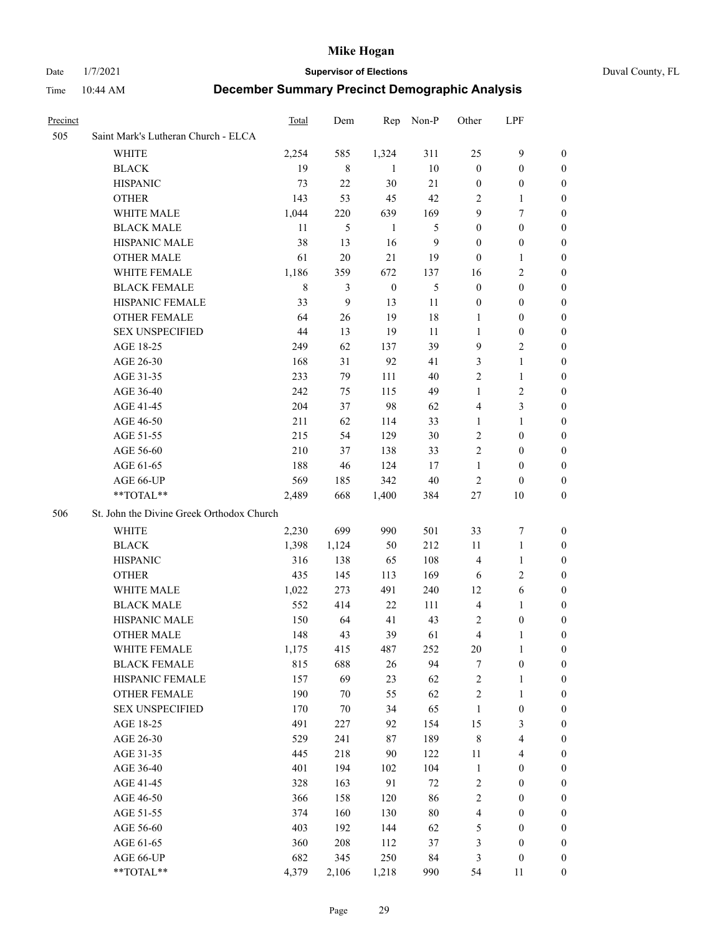Date 1/7/2021 **Supervisor of Elections** Duval County, FL

| <b>Precinct</b> |                                           | <b>Total</b> | Dem              | Rep              | Non-P  | Other            | LPF                     |                  |
|-----------------|-------------------------------------------|--------------|------------------|------------------|--------|------------------|-------------------------|------------------|
| 505             | Saint Mark's Lutheran Church - ELCA       |              |                  |                  |        |                  |                         |                  |
|                 | <b>WHITE</b>                              | 2,254        | 585              | 1,324            | 311    | 25               | $\mathbf{9}$            | 0                |
|                 | <b>BLACK</b>                              | 19           | 8                | 1                | 10     | $\boldsymbol{0}$ | $\boldsymbol{0}$        | 0                |
|                 | <b>HISPANIC</b>                           | 73           | 22               | $30\,$           | 21     | $\boldsymbol{0}$ | $\boldsymbol{0}$        | 0                |
|                 | <b>OTHER</b>                              | 143          | 53               | 45               | 42     | 2                | $\mathbf{1}$            | 0                |
|                 | WHITE MALE                                | 1,044        | 220              | 639              | 169    | 9                | $\tau$                  | $\boldsymbol{0}$ |
|                 | <b>BLACK MALE</b>                         | 11           | 5                | $\mathbf{1}$     | 5      | $\boldsymbol{0}$ | $\boldsymbol{0}$        | 0                |
|                 | HISPANIC MALE                             | 38           | 13               | 16               | 9      | $\boldsymbol{0}$ | $\boldsymbol{0}$        | 0                |
|                 | <b>OTHER MALE</b>                         | 61           | 20               | 21               | 19     | $\boldsymbol{0}$ | $\mathbf{1}$            | 0                |
|                 | WHITE FEMALE                              | 1,186        | 359              | 672              | 137    | 16               | $\mathfrak{2}$          | 0                |
|                 | <b>BLACK FEMALE</b>                       | $\,$ 8 $\,$  | 3                | $\boldsymbol{0}$ | 5      | $\boldsymbol{0}$ | $\boldsymbol{0}$        | 0                |
|                 | HISPANIC FEMALE                           | 33           | $\boldsymbol{9}$ | 13               | 11     | $\boldsymbol{0}$ | $\boldsymbol{0}$        | 0                |
|                 | OTHER FEMALE                              | 64           | 26               | 19               | $18\,$ | 1                | $\boldsymbol{0}$        | 0                |
|                 | <b>SEX UNSPECIFIED</b>                    | 44           | 13               | 19               | 11     | $\mathbf{1}$     | $\boldsymbol{0}$        | 0                |
|                 | AGE 18-25                                 | 249          | 62               | 137              | 39     | 9                | $\sqrt{2}$              | 0                |
|                 | AGE 26-30                                 | 168          | 31               | 92               | 41     | 3                | $\mathbf{1}$            | $\boldsymbol{0}$ |
|                 | AGE 31-35                                 | 233          | 79               | 111              | 40     | $\sqrt{2}$       | $\mathbf{1}$            | 0                |
|                 | AGE 36-40                                 | 242          | 75               | 115              | 49     | $\mathbf{1}$     | $\sqrt{2}$              | $\boldsymbol{0}$ |
|                 | AGE 41-45                                 | 204          | 37               | 98               | 62     | 4                | $\mathfrak{Z}$          | $\boldsymbol{0}$ |
|                 | AGE 46-50                                 | 211          | 62               | 114              | 33     | 1                | $\mathbf{1}$            | $\boldsymbol{0}$ |
|                 | AGE 51-55                                 | 215          | 54               | 129              | $30\,$ | $\overline{c}$   | $\boldsymbol{0}$        | 0                |
|                 | AGE 56-60                                 | 210          | 37               | 138              | 33     | $\mathfrak{2}$   | $\boldsymbol{0}$        | 0                |
|                 | AGE 61-65                                 | 188          | 46               | 124              | 17     | $\mathbf{1}$     | $\boldsymbol{0}$        | 0                |
|                 | AGE 66-UP                                 | 569          | 185              | 342              | $40\,$ | $\overline{c}$   | $\boldsymbol{0}$        | 0                |
|                 | **TOTAL**                                 | 2,489        | 668              | 1,400            | 384    | 27               | $10\,$                  | $\boldsymbol{0}$ |
| 506             | St. John the Divine Greek Orthodox Church |              |                  |                  |        |                  |                         |                  |
|                 | <b>WHITE</b>                              | 2,230        | 699              | 990              | 501    | 33               | $\boldsymbol{7}$        | $\boldsymbol{0}$ |
|                 | <b>BLACK</b>                              | 1,398        | 1,124            | 50               | 212    | $11\,$           | $\mathbf{1}$            | $\boldsymbol{0}$ |
|                 | <b>HISPANIC</b>                           | 316          | 138              | 65               | 108    | $\overline{4}$   | $\mathbf{1}$            | $\boldsymbol{0}$ |
|                 | <b>OTHER</b>                              | 435          | 145              | 113              | 169    | 6                | $\mathbf{2}$            | $\boldsymbol{0}$ |
|                 | WHITE MALE                                | 1,022        | 273              | 491              | 240    | 12               | $\sqrt{6}$              | 0                |
|                 | <b>BLACK MALE</b>                         | 552          | 414              | 22               | 111    | $\overline{4}$   | $\mathbf{1}$            | 0                |
|                 | HISPANIC MALE                             | 150          | 64               | 41               | 43     | 2                | $\boldsymbol{0}$        | 0                |
|                 | <b>OTHER MALE</b>                         | 148          | 43               | 39               | 61     | 4                | 1                       | 0                |
|                 | WHITE FEMALE                              | 1,175        | 415              | 487              | 252    | 20               | 1                       | 0                |
|                 | <b>BLACK FEMALE</b>                       | 815          | 688              | 26               | 94     | 7                | $\boldsymbol{0}$        | $\boldsymbol{0}$ |
|                 | HISPANIC FEMALE                           | 157          | 69               | 23               | 62     | $\sqrt{2}$       | $\mathbf{1}$            | $\boldsymbol{0}$ |
|                 | OTHER FEMALE                              | 190          | $70\,$           | 55               | 62     | $\overline{c}$   | $\mathbf{1}$            | $\overline{0}$   |
|                 | <b>SEX UNSPECIFIED</b>                    | 170          | 70               | 34               | 65     | $\mathbf{1}$     | $\boldsymbol{0}$        | 0                |
|                 | AGE 18-25                                 | 491          | 227              | 92               | 154    | 15               | $\mathfrak{Z}$          | 0                |
|                 | AGE 26-30                                 | 529          | 241              | 87               | 189    | $\,$ 8 $\,$      | $\overline{\mathbf{4}}$ | 0                |
|                 | AGE 31-35                                 | 445          | 218              | $90\,$           | 122    | $11\,$           | $\overline{\mathbf{4}}$ | 0                |
|                 | AGE 36-40                                 | 401          | 194              | 102              | 104    | $\mathbf{1}$     | $\boldsymbol{0}$        | 0                |
|                 | AGE 41-45                                 | 328          | 163              | 91               | $72\,$ | $\sqrt{2}$       | $\boldsymbol{0}$        | 0                |
|                 | AGE 46-50                                 | 366          | 158              | 120              | 86     | $\sqrt{2}$       | $\boldsymbol{0}$        | 0                |
|                 | AGE 51-55                                 | 374          | 160              | 130              | $80\,$ | 4                | $\boldsymbol{0}$        | 0                |
|                 | AGE 56-60                                 | 403          | 192              | 144              | 62     | 5                | $\boldsymbol{0}$        | $\boldsymbol{0}$ |
|                 | AGE 61-65                                 | 360          | 208              | 112              | 37     | 3                | $\boldsymbol{0}$        | $\overline{0}$   |
|                 | AGE 66-UP                                 | 682          | 345              | 250              | 84     | 3                | $\boldsymbol{0}$        | 0                |
|                 | **TOTAL**                                 | 4,379        | 2,106            | 1,218            | 990    | 54               | 11                      | $\boldsymbol{0}$ |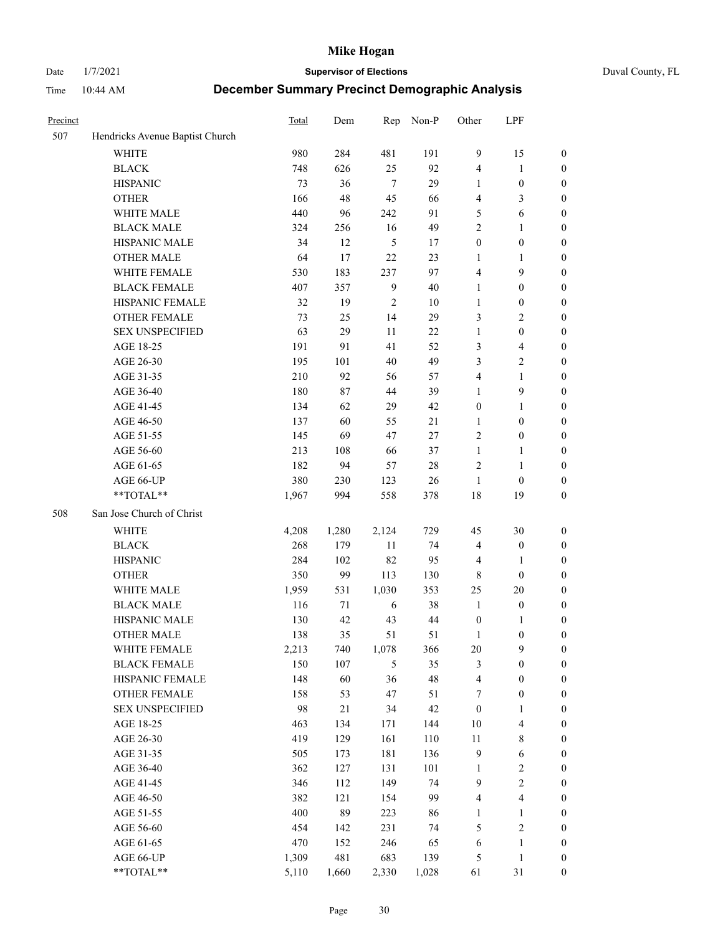Date 1/7/2021 **Supervisor of Elections** Duval County, FL

| Precinct |                                 | Total | Dem    | Rep            | Non-P  | Other            | LPF                     |                  |
|----------|---------------------------------|-------|--------|----------------|--------|------------------|-------------------------|------------------|
| 507      | Hendricks Avenue Baptist Church |       |        |                |        |                  |                         |                  |
|          | <b>WHITE</b>                    | 980   | 284    | 481            | 191    | 9                | 15                      | 0                |
|          | $\operatorname{BLACK}$          | 748   | 626    | 25             | 92     | 4                | $\mathbf{1}$            | 0                |
|          | <b>HISPANIC</b>                 | 73    | 36     | $\tau$         | 29     | 1                | $\boldsymbol{0}$        | $\boldsymbol{0}$ |
|          | <b>OTHER</b>                    | 166   | 48     | 45             | 66     | 4                | $\mathfrak{Z}$          | $\boldsymbol{0}$ |
|          | WHITE MALE                      | 440   | 96     | 242            | 91     | 5                | 6                       | $\boldsymbol{0}$ |
|          | <b>BLACK MALE</b>               | 324   | 256    | 16             | 49     | $\overline{c}$   | 1                       | $\boldsymbol{0}$ |
|          | HISPANIC MALE                   | 34    | 12     | $\mathfrak s$  | 17     | $\boldsymbol{0}$ | $\boldsymbol{0}$        | $\boldsymbol{0}$ |
|          | <b>OTHER MALE</b>               | 64    | 17     | 22             | 23     | $\mathbf{1}$     | $\mathbf{1}$            | $\boldsymbol{0}$ |
|          | WHITE FEMALE                    | 530   | 183    | 237            | 97     | 4                | $\mathbf{9}$            | $\boldsymbol{0}$ |
|          | <b>BLACK FEMALE</b>             | 407   | 357    | $\overline{9}$ | 40     | $\mathbf{1}$     | $\boldsymbol{0}$        | $\boldsymbol{0}$ |
|          | HISPANIC FEMALE                 | 32    | 19     | $\mathfrak{2}$ | 10     | $\mathbf{1}$     | $\boldsymbol{0}$        | 0                |
|          | <b>OTHER FEMALE</b>             | 73    | 25     | 14             | 29     | 3                | $\sqrt{2}$              | $\boldsymbol{0}$ |
|          | <b>SEX UNSPECIFIED</b>          | 63    | 29     | 11             | 22     | $\mathbf{1}$     | $\boldsymbol{0}$        | $\boldsymbol{0}$ |
|          | AGE 18-25                       | 191   | 91     | 41             | 52     | 3                | $\overline{\mathbf{4}}$ | $\boldsymbol{0}$ |
|          | AGE 26-30                       | 195   | 101    | 40             | 49     | 3                | $\sqrt{2}$              | $\boldsymbol{0}$ |
|          | AGE 31-35                       | 210   | 92     | 56             | 57     | 4                | $\mathbf{1}$            | $\boldsymbol{0}$ |
|          | AGE 36-40                       | 180   | 87     | 44             | 39     | 1                | $\mathbf{9}$            | $\boldsymbol{0}$ |
|          | AGE 41-45                       | 134   | 62     | 29             | 42     | $\boldsymbol{0}$ | $\mathbf{1}$            | $\boldsymbol{0}$ |
|          | AGE 46-50                       | 137   | 60     | 55             | 21     | 1                | $\boldsymbol{0}$        | $\boldsymbol{0}$ |
|          | AGE 51-55                       | 145   | 69     | 47             | 27     | $\sqrt{2}$       | $\boldsymbol{0}$        |                  |
|          |                                 |       |        |                |        |                  |                         | 0                |
|          | AGE 56-60                       | 213   | 108    | 66             | 37     | $\mathbf{1}$     | $\mathbf{1}$            | 0                |
|          | AGE 61-65                       | 182   | 94     | 57             | $28\,$ | $\mathfrak{2}$   | $\mathbf{1}$            | 0                |
|          | AGE 66-UP<br>$**TOTAL**$        | 380   | 230    | 123            | 26     | $\mathbf{1}$     | $\boldsymbol{0}$        | $\boldsymbol{0}$ |
|          |                                 | 1,967 | 994    | 558            | 378    | 18               | 19                      | $\boldsymbol{0}$ |
| 508      | San Jose Church of Christ       |       |        |                |        |                  |                         |                  |
|          | <b>WHITE</b>                    | 4,208 | 1,280  | 2,124          | 729    | 45               | 30                      | $\boldsymbol{0}$ |
|          | <b>BLACK</b>                    | 268   | 179    | $11\,$         | 74     | 4                | $\boldsymbol{0}$        | $\boldsymbol{0}$ |
|          | <b>HISPANIC</b>                 | 284   | 102    | 82             | 95     | $\overline{4}$   | $\mathbf{1}$            | $\boldsymbol{0}$ |
|          | <b>OTHER</b>                    | 350   | 99     | 113            | 130    | $\,$ 8 $\,$      | $\boldsymbol{0}$        | $\boldsymbol{0}$ |
|          | WHITE MALE                      | 1,959 | 531    | 1,030          | 353    | 25               | $20\,$                  | $\boldsymbol{0}$ |
|          | <b>BLACK MALE</b>               | 116   | 71     | 6              | 38     | $\mathbf{1}$     | $\boldsymbol{0}$        | $\boldsymbol{0}$ |
|          | HISPANIC MALE                   | 130   | 42     | 43             | 44     | $\boldsymbol{0}$ | 1                       | 0                |
|          | <b>OTHER MALE</b>               | 138   | 35     | 51             | 51     | $\mathbf{1}$     | $\boldsymbol{0}$        | $\boldsymbol{0}$ |
|          | WHITE FEMALE                    | 2,213 | 740    | 1,078          | 366    | 20               | 9                       | 0                |
|          | <b>BLACK FEMALE</b>             | 150   | 107    | 5              | 35     | 3                | $\boldsymbol{0}$        | $\boldsymbol{0}$ |
|          | HISPANIC FEMALE                 | 148   | 60     | 36             | 48     | 4                | $\boldsymbol{0}$        | $\overline{0}$   |
|          | OTHER FEMALE                    | 158   | 53     | 47             | 51     | 7                | $\boldsymbol{0}$        | $\overline{0}$   |
|          | <b>SEX UNSPECIFIED</b>          | 98    | $21\,$ | 34             | 42     | $\boldsymbol{0}$ | $\mathbf{1}$            | 0                |
|          | AGE 18-25                       | 463   | 134    | 171            | 144    | $10\,$           | $\overline{\mathbf{4}}$ | 0                |
|          | AGE 26-30                       | 419   | 129    | 161            | 110    | $11\,$           | $\,$ 8 $\,$             | 0                |
|          | AGE 31-35                       | 505   | 173    | 181            | 136    | $\overline{9}$   | $\sqrt{6}$              | 0                |
|          | AGE 36-40                       | 362   | 127    | 131            | 101    | $\mathbf{1}$     | $\sqrt{2}$              | 0                |
|          | AGE 41-45                       | 346   | 112    | 149            | 74     | 9                | $\sqrt{2}$              | 0                |
|          | AGE 46-50                       | 382   | 121    | 154            | 99     | 4                | $\overline{\mathbf{4}}$ | 0                |
|          | AGE 51-55                       | 400   | 89     | 223            | 86     | $\mathbf{1}$     | $\mathbf{1}$            | 0                |
|          | AGE 56-60                       | 454   | 142    | 231            | 74     | 5                | $\sqrt{2}$              | $\boldsymbol{0}$ |
|          | AGE 61-65                       | 470   | 152    | 246            | 65     | 6                | $\mathbf{1}$            | $\boldsymbol{0}$ |
|          | AGE 66-UP                       | 1,309 | 481    | 683            | 139    | 5                | $\mathbf{1}$            | $\boldsymbol{0}$ |
|          | **TOTAL**                       | 5,110 | 1,660  | 2,330          | 1,028  | 61               | 31                      | $\boldsymbol{0}$ |
|          |                                 |       |        |                |        |                  |                         |                  |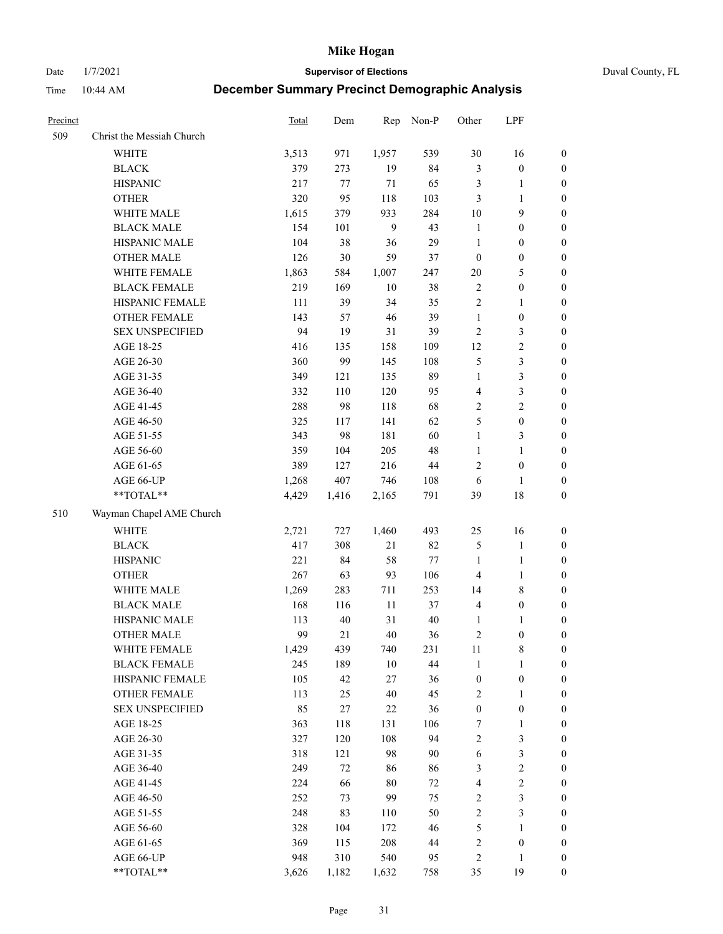Date 1/7/2021 **Supervisor of Elections** Duval County, FL

| Precinct |                           | Total | Dem    | Rep    | Non-P  | Other            | LPF              |                  |
|----------|---------------------------|-------|--------|--------|--------|------------------|------------------|------------------|
| 509      | Christ the Messiah Church |       |        |        |        |                  |                  |                  |
|          | <b>WHITE</b>              | 3,513 | 971    | 1,957  | 539    | 30               | 16               | 0                |
|          | <b>BLACK</b>              | 379   | 273    | 19     | 84     | 3                | $\boldsymbol{0}$ | 0                |
|          | <b>HISPANIC</b>           | 217   | 77     | $71\,$ | 65     | 3                | $\mathbf{1}$     | $\boldsymbol{0}$ |
|          | <b>OTHER</b>              | 320   | 95     | 118    | 103    | 3                | $\mathbf{1}$     | $\boldsymbol{0}$ |
|          | WHITE MALE                | 1,615 | 379    | 933    | 284    | 10               | 9                | $\boldsymbol{0}$ |
|          | <b>BLACK MALE</b>         | 154   | 101    | 9      | 43     | $\mathbf{1}$     | $\boldsymbol{0}$ | $\boldsymbol{0}$ |
|          | HISPANIC MALE             | 104   | 38     | 36     | 29     | $\mathbf{1}$     | $\boldsymbol{0}$ | $\boldsymbol{0}$ |
|          | <b>OTHER MALE</b>         | 126   | 30     | 59     | 37     | $\boldsymbol{0}$ | $\boldsymbol{0}$ | $\boldsymbol{0}$ |
|          | WHITE FEMALE              | 1,863 | 584    | 1,007  | 247    | $20\,$           | $\mathfrak{S}$   | $\boldsymbol{0}$ |
|          | <b>BLACK FEMALE</b>       | 219   | 169    | 10     | 38     | $\sqrt{2}$       | $\boldsymbol{0}$ | 0                |
|          | HISPANIC FEMALE           | 111   | 39     | 34     | 35     | $\sqrt{2}$       | $\mathbf{1}$     | 0                |
|          | OTHER FEMALE              | 143   | 57     | $46\,$ | 39     | $\mathbf{1}$     | $\boldsymbol{0}$ | 0                |
|          | <b>SEX UNSPECIFIED</b>    | 94    | 19     | 31     | 39     | $\sqrt{2}$       | 3                | $\boldsymbol{0}$ |
|          | AGE 18-25                 | 416   | 135    | 158    | 109    | 12               | $\sqrt{2}$       | $\boldsymbol{0}$ |
|          | AGE 26-30                 | 360   | 99     | 145    | 108    | 5                | $\mathfrak{Z}$   | $\boldsymbol{0}$ |
|          | AGE 31-35                 | 349   | 121    | 135    | 89     | $\mathbf{1}$     | $\mathfrak{Z}$   | $\boldsymbol{0}$ |
|          | AGE 36-40                 | 332   | 110    | 120    | 95     | 4                | $\mathfrak{Z}$   | $\boldsymbol{0}$ |
|          | AGE 41-45                 | 288   | 98     | 118    | 68     | $\mathbf{2}$     | $\overline{2}$   | $\boldsymbol{0}$ |
|          | AGE 46-50                 | 325   | 117    | 141    | 62     | 5                | $\boldsymbol{0}$ | $\boldsymbol{0}$ |
|          | AGE 51-55                 | 343   | 98     | 181    | 60     | $\mathbf{1}$     | $\mathfrak{Z}$   | $\boldsymbol{0}$ |
|          | AGE 56-60                 | 359   | 104    | 205    | 48     | $\mathbf{1}$     | $\mathbf{1}$     | 0                |
|          | AGE 61-65                 | 389   | 127    | 216    | $44\,$ | $\overline{c}$   | $\boldsymbol{0}$ | 0                |
|          | AGE 66-UP                 | 1,268 | 407    | 746    | 108    | 6                | $\mathbf{1}$     | $\boldsymbol{0}$ |
|          | $**TOTAL**$               | 4,429 | 1,416  | 2,165  | 791    | 39               | $18\,$           | $\boldsymbol{0}$ |
| 510      | Wayman Chapel AME Church  |       |        |        |        |                  |                  |                  |
|          | <b>WHITE</b>              | 2,721 | 727    | 1,460  | 493    | 25               | 16               | $\boldsymbol{0}$ |
|          | <b>BLACK</b>              | 417   | 308    | 21     | 82     | 5                | $\mathbf{1}$     | $\boldsymbol{0}$ |
|          | <b>HISPANIC</b>           | 221   | 84     | 58     | 77     | $\mathbf{1}$     | $\mathbf{1}$     | $\boldsymbol{0}$ |
|          | <b>OTHER</b>              | 267   | 63     | 93     | 106    | 4                | $\mathbf{1}$     | $\boldsymbol{0}$ |
|          | WHITE MALE                | 1,269 | 283    | 711    | 253    | 14               | $8\,$            | $\boldsymbol{0}$ |
|          | <b>BLACK MALE</b>         | 168   | 116    | $11\,$ | 37     | $\overline{4}$   | $\boldsymbol{0}$ | $\boldsymbol{0}$ |
|          | HISPANIC MALE             | 113   | 40     | 31     | 40     | 1                | 1                | 0                |
|          | <b>OTHER MALE</b>         | 99    | 21     | $40\,$ | 36     | 2                | $\boldsymbol{0}$ | $\boldsymbol{0}$ |
|          | WHITE FEMALE              | 1,429 | 439    | 740    | 231    | 11               | 8                | 0                |
|          | <b>BLACK FEMALE</b>       | 245   | 189    | $10\,$ | 44     | $\mathbf{1}$     | $\mathbf{1}$     | $\boldsymbol{0}$ |
|          | HISPANIC FEMALE           | 105   | 42     | $27\,$ | 36     | $\boldsymbol{0}$ | $\boldsymbol{0}$ | $\overline{0}$   |
|          | OTHER FEMALE              | 113   | 25     | 40     | 45     | 2                | $\mathbf{1}$     | $\overline{0}$   |
|          | <b>SEX UNSPECIFIED</b>    | 85    | 27     | 22     | 36     | $\boldsymbol{0}$ | $\boldsymbol{0}$ | 0                |
|          | AGE 18-25                 | 363   | 118    | 131    | 106    | 7                | $\mathbf{1}$     | 0                |
|          | AGE 26-30                 | 327   | 120    | 108    | 94     | $\overline{c}$   | $\mathfrak{Z}$   | 0                |
|          | AGE 31-35                 | 318   | 121    | 98     | 90     | 6                | $\mathfrak{Z}$   | 0                |
|          | AGE 36-40                 | 249   | $72\,$ | 86     | 86     | 3                | $\sqrt{2}$       | 0                |
|          | AGE 41-45                 | 224   | 66     | $80\,$ | 72     | $\overline{4}$   | $\sqrt{2}$       | 0                |
|          | AGE 46-50                 | 252   | 73     | 99     | 75     | $\overline{c}$   | $\mathfrak{Z}$   | 0                |
|          | AGE 51-55                 | 248   | 83     | 110    | 50     | $\sqrt{2}$       | $\mathfrak{Z}$   | $\boldsymbol{0}$ |
|          | AGE 56-60                 | 328   | 104    | 172    | 46     | 5                | 1                | $\boldsymbol{0}$ |
|          | AGE 61-65                 | 369   | 115    | 208    | 44     | 2                | $\boldsymbol{0}$ | $\boldsymbol{0}$ |
|          | AGE 66-UP                 | 948   | 310    | 540    | 95     | 2                | $\mathbf{1}$     | $\boldsymbol{0}$ |
|          | **TOTAL**                 | 3,626 | 1,182  | 1,632  | 758    | 35               | 19               | $\boldsymbol{0}$ |
|          |                           |       |        |        |        |                  |                  |                  |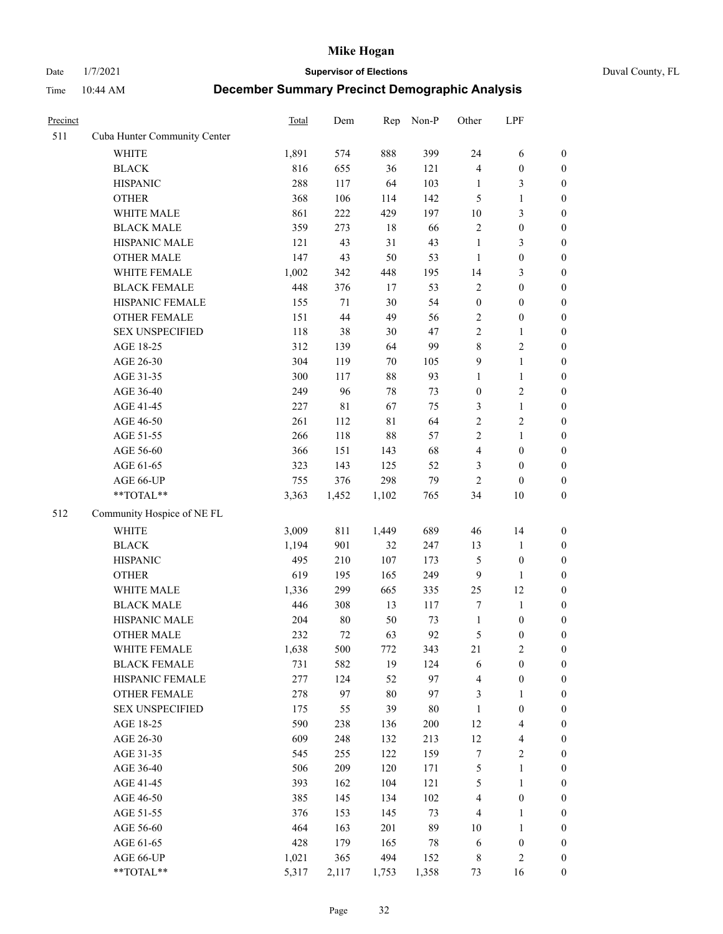Date 1/7/2021 **Supervisor of Elections** Duval County, FL

| Precinct |                              | <b>Total</b> | Dem         | Rep         | Non-P  | Other                   | LPF              |                  |
|----------|------------------------------|--------------|-------------|-------------|--------|-------------------------|------------------|------------------|
| 511      | Cuba Hunter Community Center |              |             |             |        |                         |                  |                  |
|          | <b>WHITE</b>                 | 1,891        | 574         | 888         | 399    | 24                      | 6                | 0                |
|          | <b>BLACK</b>                 | 816          | 655         | 36          | 121    | 4                       | $\boldsymbol{0}$ | 0                |
|          | <b>HISPANIC</b>              | 288          | 117         | 64          | 103    | $\mathbf{1}$            | 3                | $\boldsymbol{0}$ |
|          | <b>OTHER</b>                 | 368          | 106         | 114         | 142    | 5                       | $\mathbf{1}$     | $\boldsymbol{0}$ |
|          | WHITE MALE                   | 861          | 222         | 429         | 197    | $10\,$                  | $\mathfrak{Z}$   | $\boldsymbol{0}$ |
|          | <b>BLACK MALE</b>            | 359          | 273         | $18\,$      | 66     | $\overline{c}$          | $\boldsymbol{0}$ | $\boldsymbol{0}$ |
|          | HISPANIC MALE                | 121          | 43          | 31          | 43     | $\mathbf{1}$            | 3                | $\boldsymbol{0}$ |
|          | <b>OTHER MALE</b>            | 147          | 43          | 50          | 53     | $\mathbf{1}$            | $\boldsymbol{0}$ | $\boldsymbol{0}$ |
|          | WHITE FEMALE                 | 1,002        | 342         | 448         | 195    | 14                      | $\mathfrak{Z}$   | $\boldsymbol{0}$ |
|          | <b>BLACK FEMALE</b>          | 448          | 376         | 17          | 53     | 2                       | $\boldsymbol{0}$ | $\boldsymbol{0}$ |
|          | HISPANIC FEMALE              | 155          | 71          | 30          | 54     | $\boldsymbol{0}$        | $\boldsymbol{0}$ | $\boldsymbol{0}$ |
|          | <b>OTHER FEMALE</b>          | 151          | $44\,$      | 49          | 56     | 2                       | $\boldsymbol{0}$ | $\boldsymbol{0}$ |
|          | <b>SEX UNSPECIFIED</b>       | 118          | 38          | 30          | 47     | $\overline{c}$          | $\mathbf{1}$     | $\boldsymbol{0}$ |
|          | AGE 18-25                    | 312          | 139         | 64          | 99     | 8                       | $\sqrt{2}$       | $\boldsymbol{0}$ |
|          | AGE 26-30                    | 304          | 119         | 70          | 105    | 9                       | $\mathbf{1}$     | $\boldsymbol{0}$ |
|          | AGE 31-35                    | 300          | 117         | 88          | 93     | $\mathbf{1}$            | $\mathbf{1}$     | $\boldsymbol{0}$ |
|          | AGE 36-40                    | 249          | 96          | 78          | 73     | $\boldsymbol{0}$        | $\sqrt{2}$       | $\boldsymbol{0}$ |
|          | AGE 41-45                    | 227          | $8\sqrt{1}$ | 67          | 75     | 3                       | $\mathbf{1}$     | $\boldsymbol{0}$ |
|          | AGE 46-50                    | 261          | 112         | $8\sqrt{1}$ | 64     | $\overline{c}$          | $\sqrt{2}$       | $\boldsymbol{0}$ |
|          | AGE 51-55                    | 266          | 118         | 88          | 57     | $\overline{c}$          | $\mathbf{1}$     | $\boldsymbol{0}$ |
|          | AGE 56-60                    | 366          | 151         | 143         | 68     | $\overline{\mathbf{4}}$ | $\boldsymbol{0}$ | 0                |
|          | AGE 61-65                    | 323          | 143         | 125         | 52     | 3                       | $\boldsymbol{0}$ | $\boldsymbol{0}$ |
|          | AGE 66-UP                    | 755          | 376         | 298         | 79     | $\mathbf{2}$            | $\boldsymbol{0}$ | $\boldsymbol{0}$ |
|          | **TOTAL**                    | 3,363        | 1,452       | 1,102       | 765    | 34                      | 10               | $\boldsymbol{0}$ |
| 512      | Community Hospice of NE FL   |              |             |             |        |                         |                  |                  |
|          | <b>WHITE</b>                 | 3,009        | 811         | 1,449       | 689    | 46                      | 14               | $\boldsymbol{0}$ |
|          | <b>BLACK</b>                 | 1,194        | 901         | 32          | 247    | 13                      | $\mathbf{1}$     | $\boldsymbol{0}$ |
|          | <b>HISPANIC</b>              | 495          | 210         | 107         | 173    | 5                       | $\boldsymbol{0}$ | $\boldsymbol{0}$ |
|          | <b>OTHER</b>                 | 619          | 195         | 165         | 249    | 9                       | $\mathbf{1}$     | $\boldsymbol{0}$ |
|          | WHITE MALE                   | 1,336        | 299         | 665         | 335    | 25                      | 12               | $\boldsymbol{0}$ |
|          | <b>BLACK MALE</b>            | 446          | 308         | 13          | 117    | $\boldsymbol{7}$        | $\mathbf{1}$     | $\boldsymbol{0}$ |
|          | HISPANIC MALE                | 204          | $80\,$      | 50          | 73     | $\mathbf{1}$            | $\boldsymbol{0}$ | 0                |
|          | <b>OTHER MALE</b>            | 232          | 72          | 63          | 92     | 5                       | $\boldsymbol{0}$ | $\boldsymbol{0}$ |
|          | WHITE FEMALE                 | 1,638        | 500         | 772         | 343    | 21                      | $\overline{c}$   | 0                |
|          | <b>BLACK FEMALE</b>          | 731          | 582         | 19          | 124    | 6                       | $\boldsymbol{0}$ | $\overline{0}$   |
|          | HISPANIC FEMALE              | 277          | 124         | 52          | 97     | 4                       | $\boldsymbol{0}$ | $\overline{0}$   |
|          | <b>OTHER FEMALE</b>          | 278          | 97          | 80          | 97     | 3                       | $\mathbf{1}$     | $\overline{0}$   |
|          | <b>SEX UNSPECIFIED</b>       | 175          | 55          | 39          | $80\,$ | $\mathbf{1}$            | $\boldsymbol{0}$ | 0                |
|          | AGE 18-25                    | 590          | 238         | 136         | 200    | 12                      | $\overline{4}$   | 0                |
|          | AGE 26-30                    | 609          | 248         | 132         | 213    | 12                      | $\overline{4}$   | 0                |
|          | AGE 31-35                    | 545          | 255         | 122         | 159    | 7                       | $\sqrt{2}$       | 0                |
|          | AGE 36-40                    | 506          | 209         | 120         | 171    | 5                       | $\mathbf{1}$     | 0                |
|          | AGE 41-45                    | 393          | 162         | 104         | 121    | 5                       | $\mathbf{1}$     | 0                |
|          | AGE 46-50                    | 385          | 145         | 134         | 102    | 4                       | $\boldsymbol{0}$ | 0                |
|          | AGE 51-55                    | 376          | 153         | 145         | 73     | 4                       | $\mathbf{1}$     | 0                |
|          | AGE 56-60                    | 464          | 163         | 201         | 89     | 10                      | $\mathbf{1}$     | 0                |
|          | AGE 61-65                    | 428          | 179         | 165         | 78     | 6                       | $\boldsymbol{0}$ | 0                |
|          | AGE 66-UP                    | 1,021        | 365         | 494         | 152    | 8                       | $\mathfrak{2}$   | 0                |
|          | **TOTAL**                    | 5,317        | 2,117       | 1,753       | 1,358  | 73                      | 16               | $\boldsymbol{0}$ |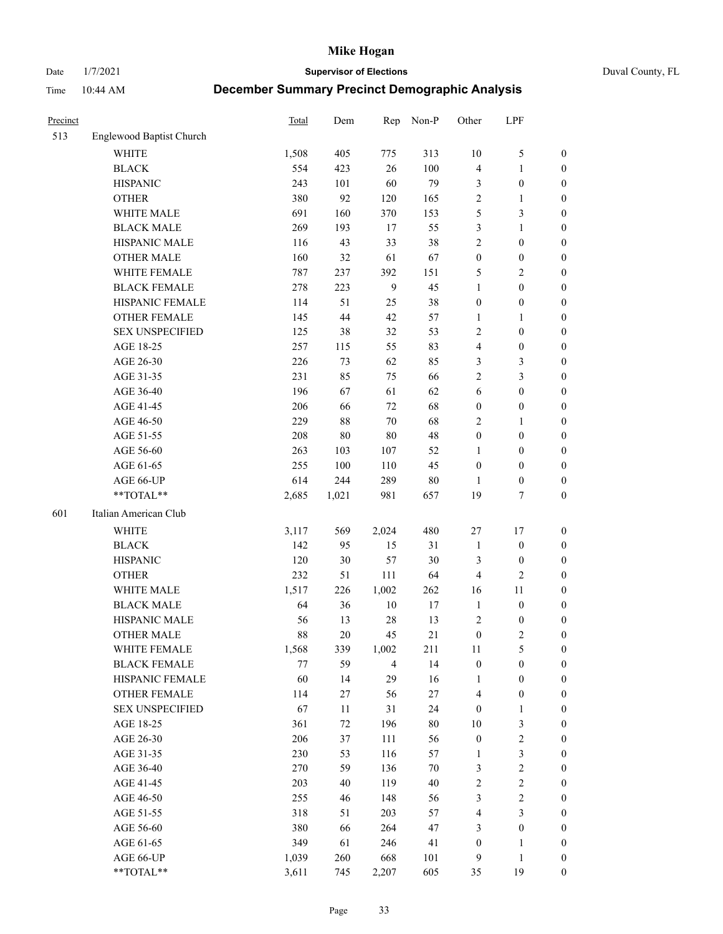Date 1/7/2021 **Supervisor of Elections** Duval County, FL

| Precinct |                          | Total | Dem    | Rep            | Non-P  | Other            | LPF              |                  |
|----------|--------------------------|-------|--------|----------------|--------|------------------|------------------|------------------|
| 513      | Englewood Baptist Church |       |        |                |        |                  |                  |                  |
|          | <b>WHITE</b>             | 1,508 | 405    | 775            | 313    | $10\,$           | $\mathfrak{S}$   | 0                |
|          | <b>BLACK</b>             | 554   | 423    | 26             | 100    | 4                | $\mathbf{1}$     | 0                |
|          | <b>HISPANIC</b>          | 243   | 101    | 60             | 79     | 3                | $\boldsymbol{0}$ | $\boldsymbol{0}$ |
|          | <b>OTHER</b>             | 380   | 92     | 120            | 165    | $\sqrt{2}$       | $\mathbf{1}$     | $\boldsymbol{0}$ |
|          | WHITE MALE               | 691   | 160    | 370            | 153    | 5                | $\mathfrak{Z}$   | $\boldsymbol{0}$ |
|          | <b>BLACK MALE</b>        | 269   | 193    | 17             | 55     | 3                | $\mathbf{1}$     | $\boldsymbol{0}$ |
|          | HISPANIC MALE            | 116   | 43     | 33             | 38     | 2                | $\boldsymbol{0}$ | $\boldsymbol{0}$ |
|          | <b>OTHER MALE</b>        | 160   | 32     | 61             | 67     | $\boldsymbol{0}$ | $\boldsymbol{0}$ | $\boldsymbol{0}$ |
|          | WHITE FEMALE             | 787   | 237    | 392            | 151    | 5                | $\overline{2}$   | $\boldsymbol{0}$ |
|          | <b>BLACK FEMALE</b>      | 278   | 223    | $\overline{9}$ | 45     | $\mathbf{1}$     | $\boldsymbol{0}$ | $\boldsymbol{0}$ |
|          | HISPANIC FEMALE          | 114   | 51     | 25             | 38     | $\boldsymbol{0}$ | $\boldsymbol{0}$ | 0                |
|          | <b>OTHER FEMALE</b>      | 145   | 44     | 42             | 57     | $\mathbf{1}$     | $\mathbf{1}$     | $\boldsymbol{0}$ |
|          | <b>SEX UNSPECIFIED</b>   | 125   | 38     | 32             | 53     | $\mathbf{2}$     | $\boldsymbol{0}$ | $\boldsymbol{0}$ |
|          | AGE 18-25                | 257   | 115    | 55             | 83     | 4                | $\boldsymbol{0}$ | $\boldsymbol{0}$ |
|          | AGE 26-30                | 226   | 73     | 62             | 85     | 3                | $\mathfrak{Z}$   | $\boldsymbol{0}$ |
|          | AGE 31-35                | 231   | 85     | 75             | 66     | $\overline{c}$   | $\mathfrak{Z}$   | $\boldsymbol{0}$ |
|          | AGE 36-40                | 196   | 67     | 61             | 62     | 6                | $\boldsymbol{0}$ | $\boldsymbol{0}$ |
|          | AGE 41-45                | 206   | 66     | 72             | 68     | $\boldsymbol{0}$ | $\boldsymbol{0}$ | $\boldsymbol{0}$ |
|          | AGE 46-50                | 229   | $88\,$ | $70\,$         | 68     | 2                | 1                | $\boldsymbol{0}$ |
|          | AGE 51-55                | 208   | $80\,$ | 80             | 48     | $\boldsymbol{0}$ | $\boldsymbol{0}$ | $\boldsymbol{0}$ |
|          | AGE 56-60                | 263   | 103    | 107            | 52     | 1                | $\boldsymbol{0}$ | 0                |
|          | AGE 61-65                | 255   | 100    | 110            | 45     | $\boldsymbol{0}$ | $\boldsymbol{0}$ | 0                |
|          | AGE 66-UP                | 614   | 244    | 289            | $80\,$ | 1                | $\boldsymbol{0}$ | $\boldsymbol{0}$ |
|          | **TOTAL**                | 2,685 | 1,021  | 981            | 657    | 19               | $\tau$           | $\boldsymbol{0}$ |
| 601      | Italian American Club    |       |        |                |        |                  |                  |                  |
|          | <b>WHITE</b>             | 3,117 | 569    | 2,024          | 480    | 27               | $17\,$           | $\boldsymbol{0}$ |
|          | <b>BLACK</b>             | 142   | 95     | 15             | 31     | $\mathbf{1}$     | $\boldsymbol{0}$ | $\boldsymbol{0}$ |
|          | <b>HISPANIC</b>          | 120   | 30     | 57             | 30     | 3                | $\boldsymbol{0}$ | $\boldsymbol{0}$ |
|          | <b>OTHER</b>             | 232   | 51     | 111            | 64     | 4                | $\overline{c}$   | $\boldsymbol{0}$ |
|          | WHITE MALE               | 1,517 | 226    | 1,002          | 262    | 16               | $11\,$           | $\boldsymbol{0}$ |
|          | <b>BLACK MALE</b>        | 64    | 36     | $10\,$         | $17\,$ | $\mathbf{1}$     | $\boldsymbol{0}$ | $\boldsymbol{0}$ |
|          | HISPANIC MALE            | 56    | 13     | 28             | 13     | $\overline{c}$   | $\boldsymbol{0}$ | 0                |
|          | <b>OTHER MALE</b>        | 88    | 20     | 45             | 21     | $\boldsymbol{0}$ | $\mathbf{2}$     | $\boldsymbol{0}$ |
|          | WHITE FEMALE             | 1,568 | 339    | 1,002          | 211    | 11               | 5                | 0                |
|          | <b>BLACK FEMALE</b>      | 77    | 59     | $\overline{4}$ | 14     | $\boldsymbol{0}$ | $\boldsymbol{0}$ | $\boldsymbol{0}$ |
|          | HISPANIC FEMALE          | 60    | 14     | 29             | 16     | 1                | $\boldsymbol{0}$ | $\overline{0}$   |
|          | OTHER FEMALE             | 114   | 27     | 56             | 27     | 4                | $\boldsymbol{0}$ | $\overline{0}$   |
|          | <b>SEX UNSPECIFIED</b>   | 67    | 11     | 31             | 24     | $\boldsymbol{0}$ | $\mathbf{1}$     | 0                |
|          | AGE 18-25                | 361   | 72     | 196            | $80\,$ | 10               | $\mathfrak{Z}$   | 0                |
|          | AGE 26-30                | 206   | 37     | 111            | 56     | $\boldsymbol{0}$ | $\sqrt{2}$       | 0                |
|          | AGE 31-35                | 230   | 53     | 116            | 57     | $\mathbf{1}$     | $\mathfrak{Z}$   | 0                |
|          | AGE 36-40                | 270   | 59     | 136            | $70\,$ | 3                | $\sqrt{2}$       | 0                |
|          | AGE 41-45                | 203   | 40     | 119            | 40     | $\overline{c}$   | $\sqrt{2}$       | 0                |
|          | AGE 46-50                | 255   | 46     | 148            | 56     | 3                | $\sqrt{2}$       | 0                |
|          | AGE 51-55                | 318   | 51     | 203            | 57     | 4                | $\mathfrak{Z}$   | $\overline{0}$   |
|          | AGE 56-60                | 380   | 66     | 264            | 47     | 3                | $\boldsymbol{0}$ | $\boldsymbol{0}$ |
|          | AGE 61-65                | 349   | 61     | 246            | 41     | $\boldsymbol{0}$ | 1                | $\boldsymbol{0}$ |
|          | AGE 66-UP                | 1,039 | 260    | 668            | 101    | 9                | $\mathbf{1}$     | 0                |
|          | **TOTAL**                | 3,611 | 745    | 2,207          | 605    | 35               | 19               | $\boldsymbol{0}$ |
|          |                          |       |        |                |        |                  |                  |                  |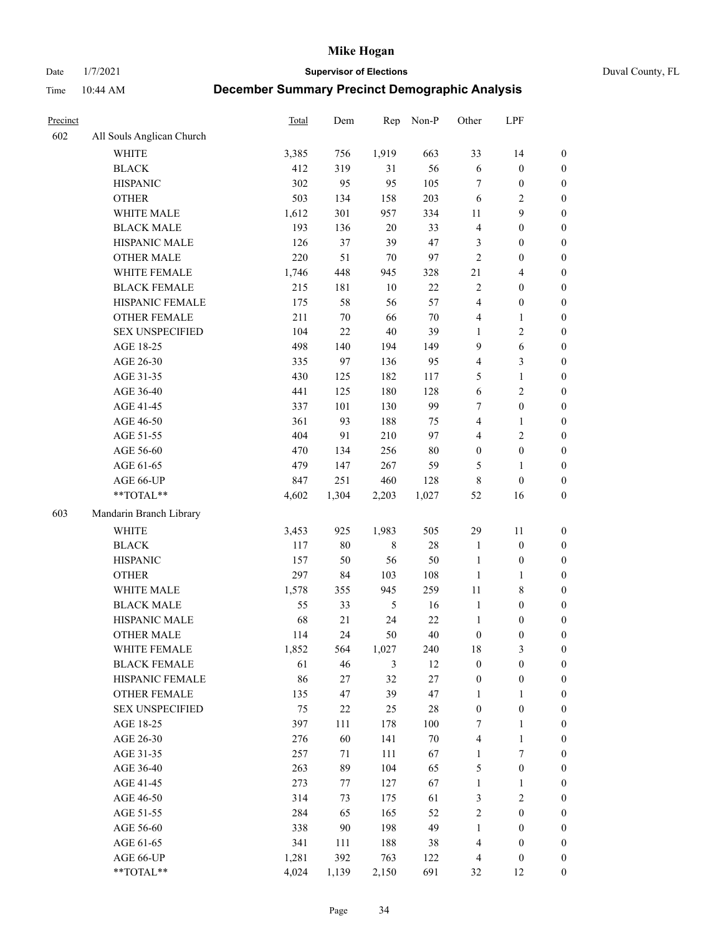Date 1/7/2021 **Supervisor of Elections** Duval County, FL

| Precinct |                           | Total | Dem    | Rep         | Non-P  | Other            | LPF                     |                  |
|----------|---------------------------|-------|--------|-------------|--------|------------------|-------------------------|------------------|
| 602      | All Souls Anglican Church |       |        |             |        |                  |                         |                  |
|          | <b>WHITE</b>              | 3,385 | 756    | 1,919       | 663    | 33               | 14                      | 0                |
|          | <b>BLACK</b>              | 412   | 319    | 31          | 56     | $\sqrt{6}$       | $\boldsymbol{0}$        | $\boldsymbol{0}$ |
|          | <b>HISPANIC</b>           | 302   | 95     | 95          | 105    | $\tau$           | $\boldsymbol{0}$        | $\boldsymbol{0}$ |
|          | <b>OTHER</b>              | 503   | 134    | 158         | 203    | 6                | $\mathbf{2}$            | $\boldsymbol{0}$ |
|          | WHITE MALE                | 1,612 | 301    | 957         | 334    | 11               | 9                       | $\boldsymbol{0}$ |
|          | <b>BLACK MALE</b>         | 193   | 136    | 20          | 33     | $\overline{4}$   | $\boldsymbol{0}$        | $\boldsymbol{0}$ |
|          | HISPANIC MALE             | 126   | 37     | 39          | 47     | 3                | $\boldsymbol{0}$        | $\boldsymbol{0}$ |
|          | <b>OTHER MALE</b>         | 220   | 51     | $70\,$      | 97     | $\overline{c}$   | $\boldsymbol{0}$        | $\boldsymbol{0}$ |
|          | WHITE FEMALE              | 1,746 | 448    | 945         | 328    | 21               | $\overline{\mathbf{4}}$ | $\boldsymbol{0}$ |
|          | <b>BLACK FEMALE</b>       | 215   | 181    | $10\,$      | $22\,$ | $\overline{c}$   | $\boldsymbol{0}$        | 0                |
|          | HISPANIC FEMALE           | 175   | 58     | 56          | 57     | $\overline{4}$   | $\boldsymbol{0}$        | 0                |
|          | <b>OTHER FEMALE</b>       | 211   | $70\,$ | 66          | $70\,$ | 4                | $\mathbf{1}$            | $\boldsymbol{0}$ |
|          | <b>SEX UNSPECIFIED</b>    | 104   | 22     | 40          | 39     | $\mathbf{1}$     | $\sqrt{2}$              | $\boldsymbol{0}$ |
|          | AGE 18-25                 | 498   | 140    | 194         | 149    | 9                | 6                       | $\boldsymbol{0}$ |
|          | AGE 26-30                 | 335   | 97     | 136         | 95     | 4                | $\mathfrak{Z}$          | $\boldsymbol{0}$ |
|          | AGE 31-35                 | 430   | 125    | 182         | 117    | 5                | $\mathbf{1}$            | $\boldsymbol{0}$ |
|          | AGE 36-40                 | 441   | 125    | 180         | 128    | $\sqrt{6}$       | $\sqrt{2}$              | $\boldsymbol{0}$ |
|          | AGE 41-45                 | 337   | 101    | 130         | 99     | 7                | $\boldsymbol{0}$        | $\boldsymbol{0}$ |
|          | AGE 46-50                 | 361   | 93     | 188         | 75     | 4                | $\mathbf{1}$            | $\boldsymbol{0}$ |
|          | AGE 51-55                 | 404   | 91     | 210         | 97     | $\overline{4}$   | $\sqrt{2}$              | 0                |
|          | AGE 56-60                 | 470   | 134    | 256         | $80\,$ | $\boldsymbol{0}$ | $\boldsymbol{0}$        | 0                |
|          | AGE 61-65                 | 479   | 147    | 267         | 59     | 5                | $\mathbf{1}$            | 0                |
|          | AGE 66-UP                 | 847   | 251    | 460         | 128    | 8                | $\boldsymbol{0}$        | $\boldsymbol{0}$ |
|          | $**TOTAL**$               | 4,602 | 1,304  | 2,203       | 1,027  | 52               | 16                      | $\boldsymbol{0}$ |
| 603      | Mandarin Branch Library   |       |        |             |        |                  |                         |                  |
|          |                           |       |        |             |        |                  |                         |                  |
|          | WHITE                     | 3,453 | 925    | 1,983       | 505    | 29               | 11                      | $\boldsymbol{0}$ |
|          | <b>BLACK</b>              | 117   | $80\,$ | $\,$ 8 $\,$ | 28     | $\mathbf{1}$     | $\boldsymbol{0}$        | $\boldsymbol{0}$ |
|          | <b>HISPANIC</b>           | 157   | 50     | 56          | 50     | $\mathbf{1}$     | $\boldsymbol{0}$        | $\boldsymbol{0}$ |
|          | <b>OTHER</b>              | 297   | 84     | 103         | 108    | $\mathbf{1}$     | $\mathbf{1}$            | $\boldsymbol{0}$ |
|          | WHITE MALE                | 1,578 | 355    | 945         | 259    | $11\,$           | $\,$ 8 $\,$             | $\boldsymbol{0}$ |
|          | <b>BLACK MALE</b>         | 55    | 33     | $\sqrt{5}$  | 16     | $\mathbf{1}$     | $\boldsymbol{0}$        | $\boldsymbol{0}$ |
|          | HISPANIC MALE             | 68    | 21     | 24          | 22     | $\mathbf{1}$     | $\boldsymbol{0}$        | $\boldsymbol{0}$ |
|          | <b>OTHER MALE</b>         | 114   | 24     | 50          | 40     | $\boldsymbol{0}$ | $\boldsymbol{0}$        | $\boldsymbol{0}$ |
|          | WHITE FEMALE              | 1,852 | 564    | 1,027       | 240    | 18               | 3                       | 0                |
|          | <b>BLACK FEMALE</b>       | 61    | 46     | 3           | 12     | $\boldsymbol{0}$ | $\boldsymbol{0}$        | $\boldsymbol{0}$ |
|          | HISPANIC FEMALE           | 86    | 27     | 32          | 27     | $\boldsymbol{0}$ | $\boldsymbol{0}$        | $\overline{0}$   |
|          | <b>OTHER FEMALE</b>       | 135   | 47     | 39          | 47     | $\mathbf{1}$     | $\mathbf{1}$            | $\overline{0}$   |
|          | <b>SEX UNSPECIFIED</b>    | 75    | 22     | 25          | 28     | $\boldsymbol{0}$ | $\boldsymbol{0}$        | 0                |
|          | AGE 18-25                 | 397   | 111    | 178         | 100    | 7                | $\mathbf{1}$            | 0                |
|          | AGE 26-30                 | 276   | 60     | 141         | $70\,$ | 4                | $\mathbf{1}$            | 0                |
|          | AGE 31-35                 | 257   | 71     | 111         | 67     | $\mathbf{1}$     | $\boldsymbol{7}$        | 0                |
|          | AGE 36-40                 | 263   | 89     | 104         | 65     | 5                | $\boldsymbol{0}$        | 0                |
|          | AGE 41-45                 | 273   | 77     | 127         | 67     | $\mathbf{1}$     | $\mathbf{1}$            | 0                |
|          | AGE 46-50                 | 314   | 73     | 175         | 61     | 3                | $\sqrt{2}$              | 0                |
|          | AGE 51-55                 | 284   | 65     | 165         | 52     | $\sqrt{2}$       | $\boldsymbol{0}$        | $\boldsymbol{0}$ |
|          | AGE 56-60                 | 338   | 90     | 198         | 49     | 1                | $\boldsymbol{0}$        | $\boldsymbol{0}$ |
|          | AGE 61-65                 | 341   | 111    | 188         | 38     | 4                | $\boldsymbol{0}$        | $\boldsymbol{0}$ |
|          | AGE 66-UP                 | 1,281 | 392    | 763         | 122    | $\overline{4}$   | $\boldsymbol{0}$        | $\boldsymbol{0}$ |
|          | **TOTAL**                 | 4,024 | 1,139  | 2,150       | 691    | 32               | 12                      | $\boldsymbol{0}$ |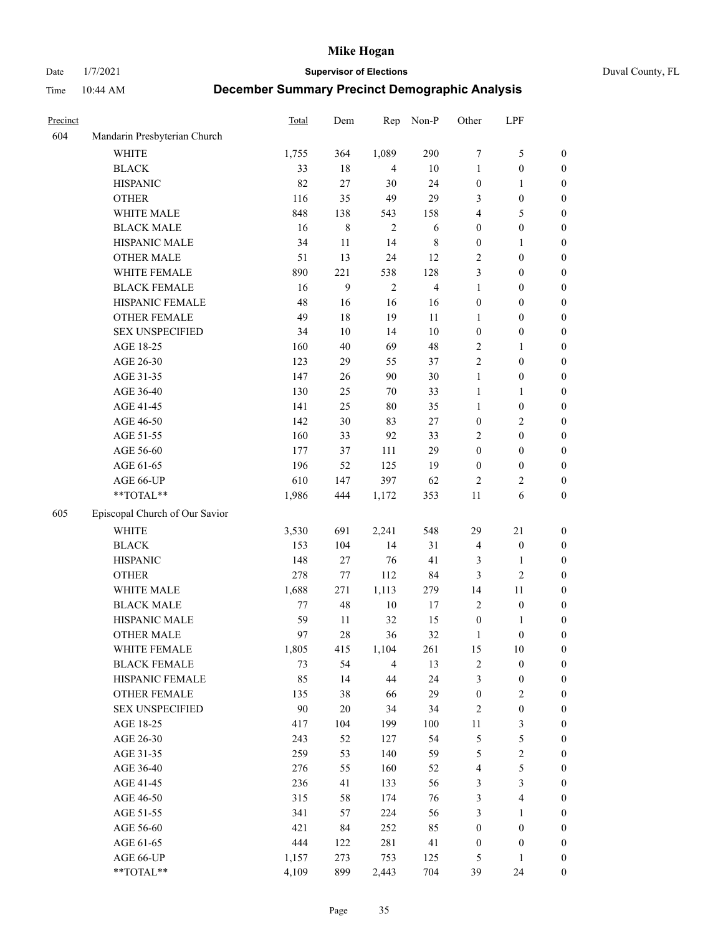Date 1/7/2021 **Supervisor of Elections** Duval County, FL

| Precinct |                                | Total   | Dem    | Rep            | Non-P                   | Other            | LPF                     |                  |
|----------|--------------------------------|---------|--------|----------------|-------------------------|------------------|-------------------------|------------------|
| 604      | Mandarin Presbyterian Church   |         |        |                |                         |                  |                         |                  |
|          | <b>WHITE</b>                   | 1,755   | 364    | 1,089          | 290                     | 7                | $\mathfrak{S}$          | 0                |
|          | <b>BLACK</b>                   | 33      | 18     | 4              | 10                      | $\mathbf{1}$     | $\boldsymbol{0}$        | 0                |
|          | <b>HISPANIC</b>                | 82      | 27     | 30             | 24                      | $\boldsymbol{0}$ | $\mathbf{1}$            | $\boldsymbol{0}$ |
|          | <b>OTHER</b>                   | 116     | 35     | 49             | 29                      | 3                | $\boldsymbol{0}$        | $\boldsymbol{0}$ |
|          | WHITE MALE                     | 848     | 138    | 543            | 158                     | 4                | 5                       | $\boldsymbol{0}$ |
|          | <b>BLACK MALE</b>              | 16      | 8      | $\overline{2}$ | 6                       | $\boldsymbol{0}$ | $\boldsymbol{0}$        | $\boldsymbol{0}$ |
|          | HISPANIC MALE                  | 34      | 11     | 14             | $\,$ 8 $\,$             | $\boldsymbol{0}$ | $\mathbf{1}$            | $\boldsymbol{0}$ |
|          | <b>OTHER MALE</b>              | 51      | 13     | 24             | 12                      | $\overline{c}$   | $\boldsymbol{0}$        | $\boldsymbol{0}$ |
|          | WHITE FEMALE                   | 890     | 221    | 538            | 128                     | 3                | $\boldsymbol{0}$        | $\boldsymbol{0}$ |
|          | <b>BLACK FEMALE</b>            | 16      | 9      | $\sqrt{2}$     | $\overline{\mathbf{4}}$ | $\mathbf{1}$     | $\boldsymbol{0}$        | 0                |
|          | HISPANIC FEMALE                | 48      | 16     | 16             | 16                      | $\boldsymbol{0}$ | $\boldsymbol{0}$        | 0                |
|          | <b>OTHER FEMALE</b>            | 49      | 18     | 19             | 11                      | 1                | $\boldsymbol{0}$        | 0                |
|          | <b>SEX UNSPECIFIED</b>         | 34      | 10     | 14             | $10\,$                  | $\boldsymbol{0}$ | $\boldsymbol{0}$        | $\boldsymbol{0}$ |
|          | AGE 18-25                      | 160     | 40     | 69             | 48                      | $\overline{c}$   | $\mathbf{1}$            | $\boldsymbol{0}$ |
|          | AGE 26-30                      | 123     | 29     | 55             | 37                      | $\overline{c}$   | $\boldsymbol{0}$        | $\boldsymbol{0}$ |
|          | AGE 31-35                      | 147     | 26     | 90             | 30                      | $\mathbf{1}$     | $\boldsymbol{0}$        | $\boldsymbol{0}$ |
|          | AGE 36-40                      | 130     | 25     | 70             | 33                      | $\mathbf{1}$     | $\mathbf{1}$            | $\boldsymbol{0}$ |
|          | AGE 41-45                      | 141     | 25     | $80\,$         | 35                      | $\mathbf{1}$     | $\boldsymbol{0}$        | $\boldsymbol{0}$ |
|          | AGE 46-50                      | 142     | 30     | 83             | 27                      | $\boldsymbol{0}$ | $\mathbf{2}$            | $\boldsymbol{0}$ |
|          | AGE 51-55                      | 160     | 33     | 92             | 33                      | $\overline{c}$   | $\boldsymbol{0}$        | $\boldsymbol{0}$ |
|          | AGE 56-60                      | 177     | 37     | 111            | 29                      | $\boldsymbol{0}$ | $\boldsymbol{0}$        | 0                |
|          | AGE 61-65                      | 196     | 52     | 125            | 19                      | $\boldsymbol{0}$ | $\boldsymbol{0}$        | 0                |
|          | AGE 66-UP                      | 610     | 147    | 397            | 62                      | $\overline{c}$   | $\overline{c}$          | 0                |
|          | **TOTAL**                      | 1,986   | 444    | 1,172          | 353                     | 11               | 6                       | $\boldsymbol{0}$ |
| 605      | Episcopal Church of Our Savior |         |        |                |                         |                  |                         |                  |
|          |                                |         |        |                |                         |                  |                         |                  |
|          | <b>WHITE</b>                   | 3,530   | 691    | 2,241          | 548                     | 29               | $21\,$                  | $\boldsymbol{0}$ |
|          | <b>BLACK</b>                   | 153     | 104    | 14             | 31                      | $\overline{4}$   | $\boldsymbol{0}$        | $\boldsymbol{0}$ |
|          | <b>HISPANIC</b>                | 148     | 27     | 76             | 41                      | 3                | $\mathbf{1}$            | $\boldsymbol{0}$ |
|          | <b>OTHER</b>                   | 278     | 77     | 112            | 84                      | 3                | $\sqrt{2}$              | $\boldsymbol{0}$ |
|          | WHITE MALE                     | 1,688   | 271    | 1,113          | 279                     | 14               | 11                      | $\boldsymbol{0}$ |
|          | <b>BLACK MALE</b>              | $77 \,$ | 48     | $10\,$         | $17\,$                  | $\overline{2}$   | $\boldsymbol{0}$        | $\boldsymbol{0}$ |
|          | HISPANIC MALE                  | 59      | 11     | 32             | 15                      | $\boldsymbol{0}$ | 1                       | 0                |
|          | <b>OTHER MALE</b>              | 97      | 28     | 36             | 32                      | 1                | $\boldsymbol{0}$        | $\boldsymbol{0}$ |
|          | WHITE FEMALE                   | 1,805   | 415    | 1,104          | 261                     | 15               | 10                      | 0                |
|          | <b>BLACK FEMALE</b>            | 73      | 54     | $\overline{4}$ | 13                      | $\sqrt{2}$       | $\boldsymbol{0}$        | $\boldsymbol{0}$ |
|          | HISPANIC FEMALE                | 85      | 14     | $44\,$         | 24                      | 3                | $\boldsymbol{0}$        | $\boldsymbol{0}$ |
|          | <b>OTHER FEMALE</b>            | 135     | 38     | 66             | 29                      | $\boldsymbol{0}$ | $\sqrt{2}$              | $\overline{0}$   |
|          | <b>SEX UNSPECIFIED</b>         | 90      | $20\,$ | 34             | 34                      | 2                | $\boldsymbol{0}$        | 0                |
|          | AGE 18-25                      | 417     | 104    | 199            | 100                     | $11\,$           | $\mathfrak{Z}$          | $\overline{0}$   |
|          | AGE 26-30                      | 243     | 52     | 127            | 54                      | 5                | $\mathfrak s$           | 0                |
|          | AGE 31-35                      | 259     | 53     | 140            | 59                      | 5                | $\sqrt{2}$              | 0                |
|          | AGE 36-40                      | 276     | 55     | 160            | 52                      | 4                | 5                       | 0                |
|          | AGE 41-45                      | 236     | 41     | 133            | 56                      | 3                | $\mathfrak{Z}$          | 0                |
|          | AGE 46-50                      | 315     | 58     | 174            | 76                      | $\mathfrak{Z}$   | $\overline{\mathbf{4}}$ | 0                |
|          | AGE 51-55                      | 341     | 57     | 224            | 56                      | 3                | $\mathbf{1}$            | $\boldsymbol{0}$ |
|          | AGE 56-60                      | 421     | 84     | 252            | 85                      | $\boldsymbol{0}$ | $\boldsymbol{0}$        | $\boldsymbol{0}$ |
|          | AGE 61-65                      | 444     | 122    | 281            | 41                      | $\boldsymbol{0}$ | $\boldsymbol{0}$        | $\boldsymbol{0}$ |
|          | AGE 66-UP                      | 1,157   | 273    | 753            | 125                     | 5                | $\mathbf{1}$            | $\boldsymbol{0}$ |
|          | **TOTAL**                      | 4,109   | 899    | 2,443          | 704                     | 39               | 24                      | $\boldsymbol{0}$ |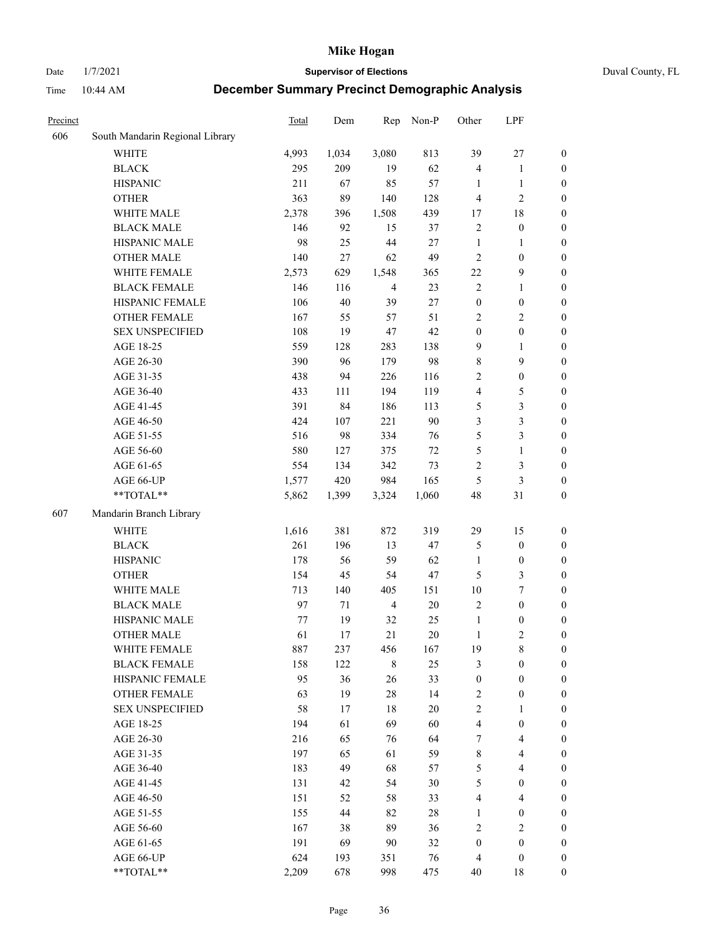Date 1/7/2021 **Supervisor of Elections** Duval County, FL

| Precinct |                                 | Total | Dem   | Rep            | Non-P  | Other            | LPF                     |                  |
|----------|---------------------------------|-------|-------|----------------|--------|------------------|-------------------------|------------------|
| 606      | South Mandarin Regional Library |       |       |                |        |                  |                         |                  |
|          | <b>WHITE</b>                    | 4,993 | 1,034 | 3,080          | 813    | 39               | $27\,$                  | 0                |
|          | <b>BLACK</b>                    | 295   | 209   | 19             | 62     | 4                | $\mathbf{1}$            | 0                |
|          | <b>HISPANIC</b>                 | 211   | 67    | 85             | 57     | 1                | $\mathbf{1}$            | $\boldsymbol{0}$ |
|          | <b>OTHER</b>                    | 363   | 89    | 140            | 128    | 4                | $\mathbf{2}$            | $\boldsymbol{0}$ |
|          | WHITE MALE                      | 2,378 | 396   | 1,508          | 439    | 17               | $18\,$                  | $\boldsymbol{0}$ |
|          | <b>BLACK MALE</b>               | 146   | 92    | 15             | 37     | $\sqrt{2}$       | $\boldsymbol{0}$        | $\boldsymbol{0}$ |
|          | HISPANIC MALE                   | 98    | 25    | 44             | 27     | $\mathbf{1}$     | $\mathbf{1}$            | $\boldsymbol{0}$ |
|          | <b>OTHER MALE</b>               | 140   | 27    | 62             | 49     | $\mathbf{2}$     | $\boldsymbol{0}$        | $\boldsymbol{0}$ |
|          | WHITE FEMALE                    | 2,573 | 629   | 1,548          | 365    | 22               | $\mathbf{9}$            | $\boldsymbol{0}$ |
|          | <b>BLACK FEMALE</b>             | 146   | 116   | $\overline{4}$ | 23     | $\sqrt{2}$       | $\mathbf{1}$            | $\boldsymbol{0}$ |
|          | HISPANIC FEMALE                 | 106   | 40    | 39             | 27     | $\boldsymbol{0}$ | $\boldsymbol{0}$        | 0                |
|          | <b>OTHER FEMALE</b>             | 167   | 55    | 57             | 51     | $\mathbf{2}$     | $\sqrt{2}$              | $\boldsymbol{0}$ |
|          | <b>SEX UNSPECIFIED</b>          | 108   | 19    | 47             | 42     | $\boldsymbol{0}$ | $\boldsymbol{0}$        | $\boldsymbol{0}$ |
|          | AGE 18-25                       | 559   | 128   | 283            | 138    | 9                | $\mathbf{1}$            | $\boldsymbol{0}$ |
|          | AGE 26-30                       | 390   | 96    | 179            | 98     | 8                | 9                       | $\boldsymbol{0}$ |
|          | AGE 31-35                       | 438   | 94    | 226            | 116    | $\sqrt{2}$       | $\boldsymbol{0}$        | $\boldsymbol{0}$ |
|          | AGE 36-40                       | 433   | 111   | 194            | 119    | 4                | $\mathfrak{S}$          | $\boldsymbol{0}$ |
|          | AGE 41-45                       | 391   | 84    | 186            | 113    | 5                | $\mathfrak{Z}$          | $\boldsymbol{0}$ |
|          | AGE 46-50                       | 424   | 107   | 221            | 90     | 3                | $\mathfrak{Z}$          | $\boldsymbol{0}$ |
|          | AGE 51-55                       | 516   | 98    | 334            | 76     | 5                | $\mathfrak{Z}$          | $\boldsymbol{0}$ |
|          | AGE 56-60                       | 580   | 127   | 375            | 72     | 5                | $\mathbf{1}$            | 0                |
|          | AGE 61-65                       | 554   | 134   | 342            | 73     | $\overline{c}$   | $\mathfrak{Z}$          | 0                |
|          | AGE 66-UP                       | 1,577 | 420   | 984            | 165    | 5                | $\mathfrak{Z}$          | $\boldsymbol{0}$ |
|          | $**TOTAL**$                     | 5,862 | 1,399 | 3,324          | 1,060  | 48               | $31\,$                  | $\boldsymbol{0}$ |
| 607      | Mandarin Branch Library         |       |       |                |        |                  |                         |                  |
|          | <b>WHITE</b>                    | 1,616 | 381   | 872            | 319    | 29               | 15                      | $\boldsymbol{0}$ |
|          | <b>BLACK</b>                    | 261   | 196   | 13             | 47     | 5                | $\boldsymbol{0}$        | $\boldsymbol{0}$ |
|          | <b>HISPANIC</b>                 | 178   | 56    | 59             | 62     | $\mathbf{1}$     | $\boldsymbol{0}$        | $\boldsymbol{0}$ |
|          | <b>OTHER</b>                    | 154   | 45    | 54             | 47     | 5                | $\mathfrak{Z}$          | $\boldsymbol{0}$ |
|          | WHITE MALE                      | 713   | 140   | 405            | 151    | 10               | $\boldsymbol{7}$        | $\boldsymbol{0}$ |
|          | <b>BLACK MALE</b>               | 97    | 71    | $\overline{4}$ | $20\,$ | $\overline{c}$   | $\boldsymbol{0}$        | $\boldsymbol{0}$ |
|          | HISPANIC MALE                   | 77    | 19    | 32             | 25     | $\mathbf{1}$     | $\boldsymbol{0}$        | 0                |
|          | <b>OTHER MALE</b>               | 61    | 17    | 21             | 20     | $\mathbf{1}$     | $\mathfrak{2}$          | $\boldsymbol{0}$ |
|          | WHITE FEMALE                    | 887   | 237   | 456            | 167    | 19               | 8                       | 0                |
|          | <b>BLACK FEMALE</b>             | 158   | 122   | $\,$ 8 $\,$    | 25     | 3                | $\boldsymbol{0}$        | $\boldsymbol{0}$ |
|          | HISPANIC FEMALE                 | 95    | 36    | 26             | 33     | $\boldsymbol{0}$ | $\boldsymbol{0}$        | $\overline{0}$   |
|          | <b>OTHER FEMALE</b>             | 63    | 19    | $28\,$         | 14     | $\boldsymbol{2}$ | $\boldsymbol{0}$        | $\overline{0}$   |
|          | <b>SEX UNSPECIFIED</b>          | 58    | 17    | 18             | $20\,$ | 2                | $\mathbf{1}$            | 0                |
|          | AGE 18-25                       | 194   | 61    | 69             | 60     | 4                | $\boldsymbol{0}$        | $\theta$         |
|          | AGE 26-30                       | 216   | 65    | 76             | 64     | 7                | $\overline{\mathbf{4}}$ | 0                |
|          | AGE 31-35                       | 197   | 65    | 61             | 59     | 8                | $\overline{\mathbf{4}}$ | 0                |
|          | AGE 36-40                       | 183   | 49    | 68             | 57     | 5                | $\overline{4}$          | 0                |
|          | AGE 41-45                       | 131   | 42    | 54             | 30     | 5                | $\boldsymbol{0}$        | 0                |
|          | AGE 46-50                       | 151   | 52    | 58             | 33     | 4                | $\overline{4}$          | 0                |
|          | AGE 51-55                       | 155   | 44    | 82             | $28\,$ | 1                | $\boldsymbol{0}$        | $\overline{0}$   |
|          | AGE 56-60                       | 167   | 38    | 89             | 36     | $\overline{c}$   | $\mathbf{2}$            | $\overline{0}$   |
|          | AGE 61-65                       | 191   | 69    | 90             | 32     | $\boldsymbol{0}$ | $\boldsymbol{0}$        | $\overline{0}$   |
|          | AGE 66-UP                       | 624   | 193   | 351            | 76     | $\overline{4}$   | $\boldsymbol{0}$        | 0                |
|          | **TOTAL**                       | 2,209 | 678   | 998            | 475    | 40               | 18                      | $\boldsymbol{0}$ |
|          |                                 |       |       |                |        |                  |                         |                  |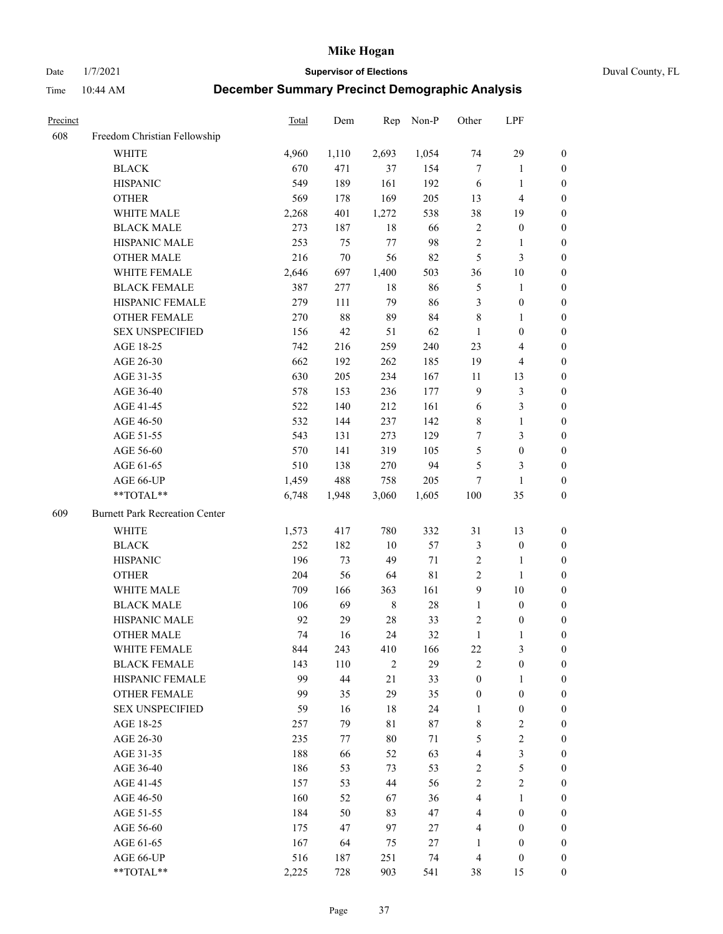Date 1/7/2021 **Supervisor of Elections** Duval County, FL

| Precinct |                                       | Total | Dem    | Rep            | Non-P  | Other            | LPF                     |                  |
|----------|---------------------------------------|-------|--------|----------------|--------|------------------|-------------------------|------------------|
| 608      | Freedom Christian Fellowship          |       |        |                |        |                  |                         |                  |
|          | <b>WHITE</b>                          | 4,960 | 1,110  | 2,693          | 1,054  | 74               | 29                      | 0                |
|          | <b>BLACK</b>                          | 670   | 471    | 37             | 154    | $\tau$           | $\mathbf{1}$            | 0                |
|          | <b>HISPANIC</b>                       | 549   | 189    | 161            | 192    | 6                | $\mathbf{1}$            | $\boldsymbol{0}$ |
|          | <b>OTHER</b>                          | 569   | 178    | 169            | 205    | 13               | $\overline{\mathbf{4}}$ | $\boldsymbol{0}$ |
|          | WHITE MALE                            | 2,268 | 401    | 1,272          | 538    | 38               | 19                      | $\boldsymbol{0}$ |
|          | <b>BLACK MALE</b>                     | 273   | 187    | 18             | 66     | 2                | $\boldsymbol{0}$        | $\boldsymbol{0}$ |
|          | HISPANIC MALE                         | 253   | 75     | 77             | 98     | $\sqrt{2}$       | $\mathbf{1}$            | $\boldsymbol{0}$ |
|          | <b>OTHER MALE</b>                     | 216   | $70\,$ | 56             | 82     | 5                | $\mathfrak{Z}$          | $\boldsymbol{0}$ |
|          | WHITE FEMALE                          | 2,646 | 697    | 1,400          | 503    | 36               | $10\,$                  | 0                |
|          | <b>BLACK FEMALE</b>                   | 387   | 277    | 18             | 86     | 5                | $\mathbf{1}$            | 0                |
|          | HISPANIC FEMALE                       | 279   | 111    | 79             | 86     | 3                | $\boldsymbol{0}$        | 0                |
|          | OTHER FEMALE                          | 270   | 88     | 89             | 84     | $\,$ 8 $\,$      | $\mathbf{1}$            | 0                |
|          | <b>SEX UNSPECIFIED</b>                | 156   | 42     | 51             | 62     | $\mathbf{1}$     | $\boldsymbol{0}$        | $\boldsymbol{0}$ |
|          | AGE 18-25                             | 742   | 216    | 259            | 240    | 23               | $\overline{\mathbf{4}}$ | $\boldsymbol{0}$ |
|          | AGE 26-30                             | 662   | 192    | 262            | 185    | 19               | $\overline{\mathbf{4}}$ | $\boldsymbol{0}$ |
|          | AGE 31-35                             | 630   | 205    | 234            | 167    | 11               | 13                      | $\boldsymbol{0}$ |
|          | AGE 36-40                             | 578   | 153    | 236            | 177    | $\overline{9}$   | $\mathfrak{Z}$          | $\boldsymbol{0}$ |
|          | AGE 41-45                             | 522   | 140    | 212            | 161    | 6                | $\mathfrak{Z}$          | $\boldsymbol{0}$ |
|          | AGE 46-50                             | 532   | 144    | 237            | 142    | 8                | $\mathbf{1}$            | $\boldsymbol{0}$ |
|          | AGE 51-55                             | 543   | 131    | 273            | 129    | 7                | $\mathfrak{Z}$          | 0                |
|          | AGE 56-60                             | 570   | 141    | 319            | 105    | 5                | $\boldsymbol{0}$        | 0                |
|          | AGE 61-65                             | 510   | 138    | 270            | 94     | 5                | 3                       | 0                |
|          | AGE 66-UP                             | 1,459 | 488    | 758            | 205    | 7                | $\mathbf{1}$            | $\boldsymbol{0}$ |
|          | **TOTAL**                             | 6,748 | 1,948  | 3,060          | 1,605  | 100              | 35                      | $\boldsymbol{0}$ |
| 609      | <b>Burnett Park Recreation Center</b> |       |        |                |        |                  |                         |                  |
|          | <b>WHITE</b>                          | 1,573 | 417    | 780            | 332    | 31               | 13                      | $\boldsymbol{0}$ |
|          | <b>BLACK</b>                          | 252   | 182    | $10\,$         | 57     | 3                | $\boldsymbol{0}$        | $\boldsymbol{0}$ |
|          | <b>HISPANIC</b>                       | 196   | 73     | 49             | 71     | 2                | $\mathbf{1}$            | $\boldsymbol{0}$ |
|          | <b>OTHER</b>                          | 204   | 56     | 64             | 81     | $\sqrt{2}$       | $\mathbf{1}$            | $\boldsymbol{0}$ |
|          | WHITE MALE                            | 709   | 166    | 363            | 161    | $\overline{9}$   | $10\,$                  | $\boldsymbol{0}$ |
|          | <b>BLACK MALE</b>                     | 106   | 69     | $\,$ 8 $\,$    | $28\,$ | $\mathbf{1}$     | $\boldsymbol{0}$        | $\boldsymbol{0}$ |
|          | HISPANIC MALE                         | 92    | 29     | $28\,$         | 33     | 2                | $\boldsymbol{0}$        | 0                |
|          | <b>OTHER MALE</b>                     | 74    | 16     | 24             | 32     | $\mathbf{1}$     | 1                       | 0                |
|          | WHITE FEMALE                          | 844   | 243    | 410            | 166    | 22               | 3                       | 0                |
|          | <b>BLACK FEMALE</b>                   | 143   | 110    | $\overline{2}$ | 29     | $\mathfrak{2}$   | $\boldsymbol{0}$        | $\boldsymbol{0}$ |
|          | HISPANIC FEMALE                       | 99    | 44     | 21             | 33     | $\boldsymbol{0}$ | $\mathbf{1}$            | $\overline{0}$   |
|          | <b>OTHER FEMALE</b>                   | 99    | 35     | 29             | 35     | $\boldsymbol{0}$ | $\boldsymbol{0}$        | $\overline{0}$   |
|          | <b>SEX UNSPECIFIED</b>                | 59    | 16     | 18             | 24     | $\mathbf{1}$     | $\boldsymbol{0}$        | 0                |
|          | AGE 18-25                             | 257   | 79     | $8\sqrt{1}$    | 87     | 8                | $\sqrt{2}$              | 0                |
|          | AGE 26-30                             | 235   | 77     | 80             | 71     | 5                | $\overline{2}$          | 0                |
|          | AGE 31-35                             | 188   | 66     | 52             | 63     | 4                | $\mathfrak{Z}$          | 0                |
|          | AGE 36-40                             | 186   | 53     | 73             | 53     | $\sqrt{2}$       | 5                       | 0                |
|          | AGE 41-45                             | 157   | 53     | 44             | 56     | $\mathfrak{2}$   | $\mathfrak{2}$          | 0                |
|          | AGE 46-50                             | 160   | 52     | 67             | 36     | 4                | $\mathbf{1}$            | 0                |
|          | AGE 51-55                             | 184   | 50     | 83             | 47     | 4                | $\boldsymbol{0}$        | 0                |
|          | AGE 56-60                             | 175   | 47     | 97             | 27     | 4                | $\boldsymbol{0}$        | 0                |
|          | AGE 61-65                             | 167   | 64     | 75             | 27     | 1                | $\boldsymbol{0}$        | $\overline{0}$   |
|          | AGE 66-UP                             | 516   | 187    | 251            | 74     | $\overline{4}$   | $\boldsymbol{0}$        | 0                |
|          | **TOTAL**                             | 2,225 | 728    | 903            | 541    | 38               | 15                      | $\boldsymbol{0}$ |
|          |                                       |       |        |                |        |                  |                         |                  |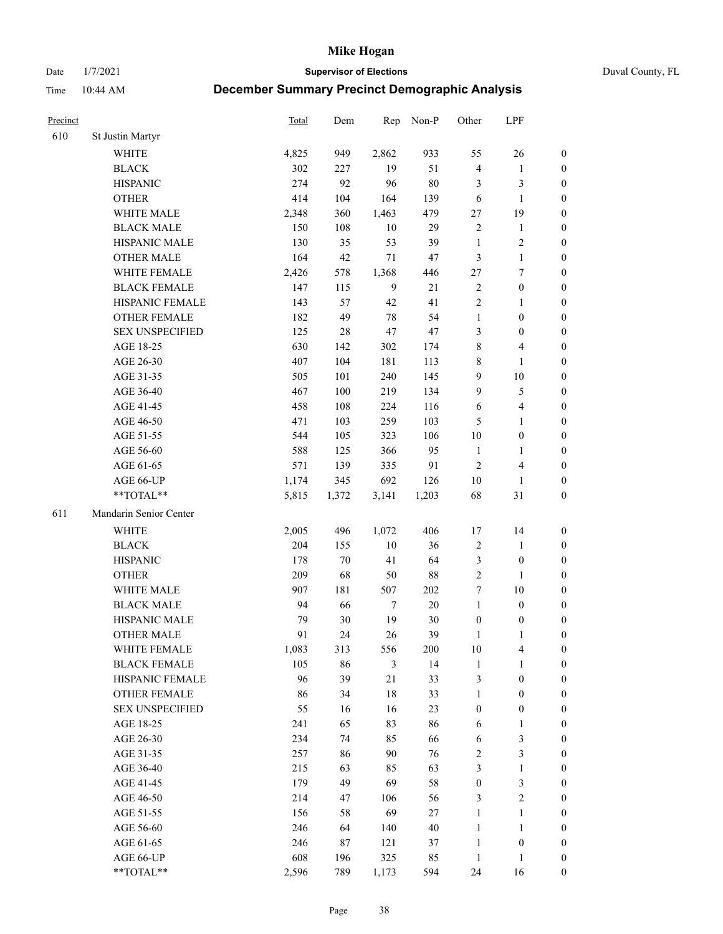Date 1/7/2021 **Supervisor of Elections** Duval County, FL

| Precinct |                        | <b>Total</b> | Dem   | Rep            | Non-P  | Other            | LPF                     |                  |
|----------|------------------------|--------------|-------|----------------|--------|------------------|-------------------------|------------------|
| 610      | St Justin Martyr       |              |       |                |        |                  |                         |                  |
|          | <b>WHITE</b>           | 4,825        | 949   | 2,862          | 933    | 55               | 26                      | 0                |
|          | <b>BLACK</b>           | 302          | 227   | 19             | 51     | 4                | $\mathbf{1}$            | 0                |
|          | <b>HISPANIC</b>        | 274          | 92    | 96             | $80\,$ | 3                | 3                       | $\boldsymbol{0}$ |
|          | <b>OTHER</b>           | 414          | 104   | 164            | 139    | 6                | $\mathbf{1}$            | $\boldsymbol{0}$ |
|          | WHITE MALE             | 2,348        | 360   | 1,463          | 479    | 27               | 19                      | $\boldsymbol{0}$ |
|          | <b>BLACK MALE</b>      | 150          | 108   | 10             | 29     | $\sqrt{2}$       | $\mathbf{1}$            | $\boldsymbol{0}$ |
|          | HISPANIC MALE          | 130          | 35    | 53             | 39     | $\mathbf{1}$     | $\sqrt{2}$              | $\boldsymbol{0}$ |
|          | <b>OTHER MALE</b>      | 164          | 42    | 71             | $47\,$ | 3                | $\mathbf{1}$            | $\boldsymbol{0}$ |
|          | WHITE FEMALE           | 2,426        | 578   | 1,368          | 446    | $27\,$           | $\boldsymbol{7}$        | $\boldsymbol{0}$ |
|          | <b>BLACK FEMALE</b>    | 147          | 115   | $\overline{9}$ | 21     | $\sqrt{2}$       | $\boldsymbol{0}$        | $\boldsymbol{0}$ |
|          | HISPANIC FEMALE        | 143          | 57    | 42             | 41     | $\sqrt{2}$       | $\mathbf{1}$            | 0                |
|          | <b>OTHER FEMALE</b>    | 182          | 49    | 78             | 54     | $\mathbf{1}$     | $\boldsymbol{0}$        | $\boldsymbol{0}$ |
|          | <b>SEX UNSPECIFIED</b> | 125          | 28    | 47             | $47\,$ | 3                | $\boldsymbol{0}$        | $\boldsymbol{0}$ |
|          | AGE 18-25              | 630          | 142   | 302            | 174    | 8                | $\overline{\mathbf{4}}$ | $\boldsymbol{0}$ |
|          | AGE 26-30              | 407          | 104   | 181            | 113    | 8                | $\mathbf{1}$            | $\boldsymbol{0}$ |
|          | AGE 31-35              | 505          | 101   | 240            | 145    | 9                | $10\,$                  | $\boldsymbol{0}$ |
|          | AGE 36-40              | 467          | 100   | 219            | 134    | 9                | $\mathfrak s$           | $\boldsymbol{0}$ |
|          | AGE 41-45              | 458          | 108   | 224            | 116    | $\sqrt{6}$       | $\overline{\mathbf{4}}$ | $\boldsymbol{0}$ |
|          | AGE 46-50              | 471          | 103   | 259            | 103    | 5                | $\mathbf{1}$            | $\boldsymbol{0}$ |
|          | AGE 51-55              | 544          | 105   | 323            | 106    | $10\,$           | $\boldsymbol{0}$        | 0                |
|          | AGE 56-60              | 588          | 125   | 366            | 95     | $\mathbf{1}$     | $\mathbf{1}$            | 0                |
|          | AGE 61-65              | 571          | 139   | 335            | 91     | $\mathbf{2}$     | $\overline{4}$          | 0                |
|          | AGE 66-UP              | 1,174        | 345   | 692            | 126    | $10\,$           | $\mathbf{1}$            | $\boldsymbol{0}$ |
|          | **TOTAL**              | 5,815        | 1,372 | 3,141          | 1,203  | 68               | $31\,$                  | $\boldsymbol{0}$ |
| 611      | Mandarin Senior Center |              |       |                |        |                  |                         |                  |
|          | <b>WHITE</b>           | 2,005        | 496   | 1,072          | 406    | 17               | 14                      | $\boldsymbol{0}$ |
|          | <b>BLACK</b>           | 204          | 155   | $10\,$         | 36     | $\sqrt{2}$       | $\mathbf{1}$            | $\boldsymbol{0}$ |
|          | <b>HISPANIC</b>        | 178          | 70    | 41             | 64     | 3                | $\boldsymbol{0}$        | $\boldsymbol{0}$ |
|          | <b>OTHER</b>           | 209          | 68    | 50             | $88\,$ | $\overline{c}$   | $\mathbf{1}$            | $\boldsymbol{0}$ |
|          | WHITE MALE             | 907          | 181   | 507            | 202    | 7                | $10\,$                  | $\boldsymbol{0}$ |
|          | <b>BLACK MALE</b>      | 94           | 66    | $\tau$         | $20\,$ | $\mathbf{1}$     | $\boldsymbol{0}$        | $\boldsymbol{0}$ |
|          | HISPANIC MALE          | 79           | 30    | 19             | $30\,$ | $\boldsymbol{0}$ | $\boldsymbol{0}$        | 0                |
|          | <b>OTHER MALE</b>      | 91           | 24    | 26             | 39     | $\mathbf{1}$     | $\mathbf{1}$            | $\boldsymbol{0}$ |
|          | WHITE FEMALE           | 1,083        | 313   | 556            | 200    | 10               | 4                       | 0                |
|          | <b>BLACK FEMALE</b>    | 105          | 86    | 3              | 14     | $\mathbf{1}$     | $\mathbf{1}$            | $\boldsymbol{0}$ |
|          | HISPANIC FEMALE        | 96           | 39    | 21             | 33     | 3                | $\boldsymbol{0}$        | $\overline{0}$   |
|          | <b>OTHER FEMALE</b>    | 86           | 34    | 18             | 33     | $\mathbf{1}$     | $\boldsymbol{0}$        | $\overline{0}$   |
|          | <b>SEX UNSPECIFIED</b> | 55           | 16    | 16             | 23     | $\boldsymbol{0}$ | $\boldsymbol{0}$        | 0                |
|          | AGE 18-25              | 241          | 65    | 83             | 86     | 6                | $\mathbf{1}$            | 0                |
|          | AGE 26-30              | 234          | 74    | 85             | 66     | 6                | 3                       | 0                |
|          | AGE 31-35              | 257          | 86    | 90             | 76     | 2                | $\mathfrak{Z}$          | 0                |
|          | AGE 36-40              | 215          | 63    | 85             | 63     | 3                | $\mathbf{1}$            | 0                |
|          | AGE 41-45              | 179          | 49    | 69             | 58     | $\boldsymbol{0}$ | $\mathfrak{Z}$          | 0                |
|          | AGE 46-50              | 214          | 47    | 106            | 56     | 3                | $\sqrt{2}$              | 0                |
|          | AGE 51-55              | 156          | 58    | 69             | 27     | $\mathbf{1}$     | $\mathbf{1}$            | 0                |
|          | AGE 56-60              | 246          | 64    | 140            | $40\,$ | $\mathbf{1}$     | 1                       | 0                |
|          | AGE 61-65              | 246          | 87    | 121            | 37     | $\mathbf{1}$     | $\boldsymbol{0}$        | 0                |
|          | AGE 66-UP              | 608          | 196   | 325            | 85     | $\mathbf{1}$     | $\mathbf{1}$            | 0                |
|          | **TOTAL**              | 2,596        | 789   | 1,173          | 594    | 24               | 16                      | $\boldsymbol{0}$ |
|          |                        |              |       |                |        |                  |                         |                  |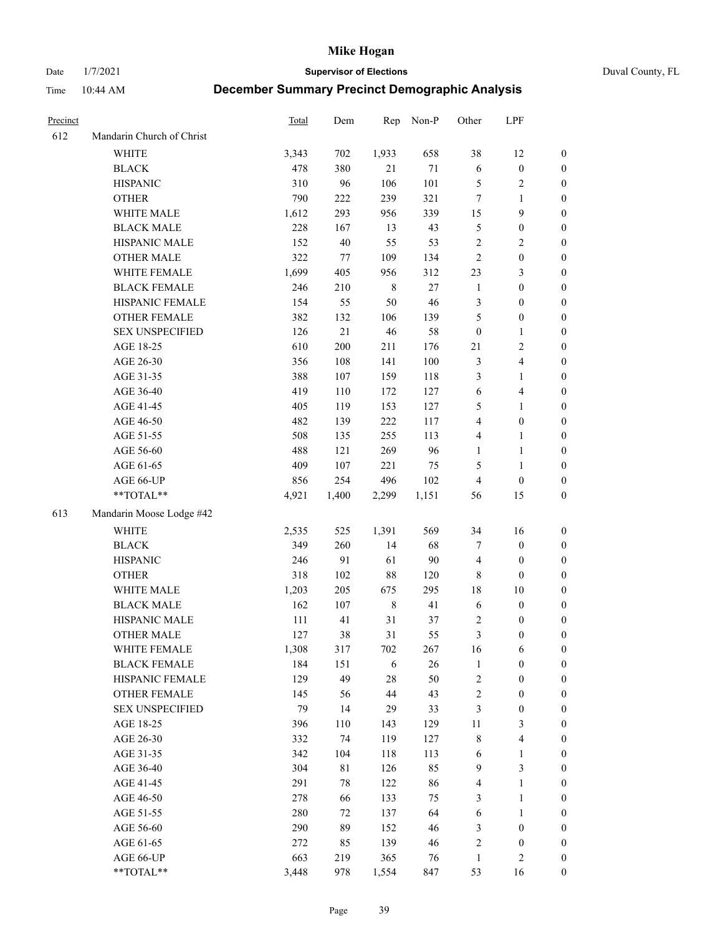Date 1/7/2021 **Supervisor of Elections** Duval County, FL

| Precinct |                                 | Total      | Dem       | Rep         | Non-P  | Other            | LPF                                  |                  |
|----------|---------------------------------|------------|-----------|-------------|--------|------------------|--------------------------------------|------------------|
| 612      | Mandarin Church of Christ       |            |           |             |        |                  |                                      |                  |
|          | <b>WHITE</b>                    | 3,343      | 702       | 1,933       | 658    | 38               | 12                                   | 0                |
|          | <b>BLACK</b>                    | 478        | 380       | 21          | $71\,$ | $\sqrt{6}$       | $\boldsymbol{0}$                     | 0                |
|          | <b>HISPANIC</b>                 | 310        | 96        | 106         | 101    | 5                | $\sqrt{2}$                           | $\boldsymbol{0}$ |
|          | <b>OTHER</b>                    | 790        | 222       | 239         | 321    | 7                | 1                                    | $\boldsymbol{0}$ |
|          | WHITE MALE                      | 1,612      | 293       | 956         | 339    | 15               | 9                                    | $\boldsymbol{0}$ |
|          | <b>BLACK MALE</b>               | 228        | 167       | 13          | 43     | 5                | $\boldsymbol{0}$                     | $\boldsymbol{0}$ |
|          | HISPANIC MALE                   | 152        | 40        | 55          | 53     | 2                | $\sqrt{2}$                           | $\boldsymbol{0}$ |
|          | <b>OTHER MALE</b>               | 322        | 77        | 109         | 134    | $\overline{2}$   | $\boldsymbol{0}$                     | $\boldsymbol{0}$ |
|          | WHITE FEMALE                    | 1,699      | 405       | 956         | 312    | 23               | $\mathfrak{Z}$                       | $\boldsymbol{0}$ |
|          | <b>BLACK FEMALE</b>             | 246        | 210       | $\,$ 8 $\,$ | $27\,$ | $\mathbf{1}$     | $\boldsymbol{0}$                     | 0                |
|          | HISPANIC FEMALE                 | 154        | 55        | 50          | 46     | 3                | $\boldsymbol{0}$                     | 0                |
|          | OTHER FEMALE                    | 382        | 132       | 106         | 139    | 5                | $\boldsymbol{0}$                     | $\boldsymbol{0}$ |
|          | <b>SEX UNSPECIFIED</b>          | 126        | 21        | 46          | 58     | $\boldsymbol{0}$ | $\mathbf{1}$                         | $\boldsymbol{0}$ |
|          | AGE 18-25                       | 610        | 200       | 211         | 176    | 21               | $\sqrt{2}$                           | $\boldsymbol{0}$ |
|          | AGE 26-30                       | 356        | 108       | 141         | 100    | 3                | $\overline{\mathbf{4}}$              | $\boldsymbol{0}$ |
|          | AGE 31-35                       | 388        | 107       | 159         | 118    | 3                | $\mathbf{1}$                         | $\boldsymbol{0}$ |
|          | AGE 36-40                       | 419        | 110       | 172         | 127    | 6                | $\overline{\mathbf{4}}$              | $\boldsymbol{0}$ |
|          | AGE 41-45                       | 405        | 119       | 153         | 127    | 5                | $\mathbf{1}$                         | $\boldsymbol{0}$ |
|          | AGE 46-50                       | 482        | 139       | 222         | 117    | 4                | $\boldsymbol{0}$                     | $\boldsymbol{0}$ |
|          | AGE 51-55                       | 508        | 135       | 255         | 113    | 4                | $\mathbf{1}$                         | 0                |
|          | AGE 56-60                       | 488        | 121       | 269         | 96     | $\mathbf{1}$     | $\mathbf{1}$                         | 0                |
|          | AGE 61-65                       | 409        | 107       | 221         | 75     | 5                | $\mathbf{1}$                         | 0                |
|          | AGE 66-UP                       | 856        | 254       | 496         | 102    | $\overline{4}$   | $\boldsymbol{0}$                     | $\boldsymbol{0}$ |
|          | $**TOTAL**$                     | 4,921      | 1,400     | 2,299       | 1,151  | 56               | 15                                   | $\boldsymbol{0}$ |
| 613      | Mandarin Moose Lodge #42        |            |           |             |        |                  |                                      |                  |
|          | <b>WHITE</b>                    |            |           | 1,391       | 569    | 34               |                                      |                  |
|          |                                 | 2,535      | 525       |             | 68     |                  | 16                                   | $\boldsymbol{0}$ |
|          | <b>BLACK</b><br><b>HISPANIC</b> | 349<br>246 | 260<br>91 | 14<br>61    | $90\,$ | 7                | $\boldsymbol{0}$<br>$\boldsymbol{0}$ | $\boldsymbol{0}$ |
|          |                                 |            |           |             |        | $\overline{4}$   |                                      | $\boldsymbol{0}$ |
|          | <b>OTHER</b>                    | 318        | 102       | $88\,$      | 120    | $\,$ 8 $\,$      | $\boldsymbol{0}$                     | $\boldsymbol{0}$ |
|          | WHITE MALE<br><b>BLACK MALE</b> | 1,203      | 205       | 675         | 295    | 18               | $10\,$                               | $\boldsymbol{0}$ |
|          |                                 | 162        | 107       | $\,8\,$     | 41     | 6                | $\boldsymbol{0}$                     | $\boldsymbol{0}$ |
|          | HISPANIC MALE                   | 111        | 41        | 31          | 37     | 2                | $\boldsymbol{0}$                     | $\boldsymbol{0}$ |
|          | <b>OTHER MALE</b>               | 127        | 38        | 31          | 55     | $\mathfrak{Z}$   | $\boldsymbol{0}$                     | $\boldsymbol{0}$ |
|          | WHITE FEMALE                    | 1,308      | 317       | 702         | 267    | 16               | 6                                    | 0                |
|          | <b>BLACK FEMALE</b>             | 184        | 151       | 6           | 26     | $\mathbf{1}$     | $\boldsymbol{0}$                     | $\boldsymbol{0}$ |
|          | HISPANIC FEMALE                 | 129        | 49        | $28\,$      | 50     | 2                | $\boldsymbol{0}$                     | $\overline{0}$   |
|          | <b>OTHER FEMALE</b>             | 145        | 56        | 44          | 43     | $\sqrt{2}$       | $\boldsymbol{0}$                     | $\overline{0}$   |
|          | <b>SEX UNSPECIFIED</b>          | 79         | 14        | 29          | 33     | 3                | $\boldsymbol{0}$                     | 0                |
|          | AGE 18-25                       | 396        | 110       | 143         | 129    | 11               | $\mathfrak{Z}$                       | 0                |
|          | AGE 26-30                       | 332        | 74        | 119         | 127    | 8                | $\overline{\mathbf{4}}$              | 0                |
|          | AGE 31-35                       | 342        | 104       | 118         | 113    | 6                | $\mathbf{1}$                         | 0                |
|          | AGE 36-40                       | 304        | 81        | 126         | 85     | $\overline{9}$   | $\mathfrak{Z}$                       | 0                |
|          | AGE 41-45                       | 291        | 78        | 122         | 86     | 4                | $\mathbf{1}$                         | 0                |
|          | AGE 46-50                       | 278        | 66        | 133         | 75     | 3                | $\mathbf{1}$                         | 0                |
|          | AGE 51-55                       | 280        | 72        | 137         | 64     | 6                | $\mathbf{1}$                         | 0                |
|          | AGE 56-60                       | 290        | 89        | 152         | 46     | 3                | $\boldsymbol{0}$                     | 0                |
|          | AGE 61-65                       | 272        | 85        | 139         | 46     | 2                | $\boldsymbol{0}$                     | $\overline{0}$   |
|          | AGE 66-UP                       | 663        | 219       | 365         | 76     | $\mathbf{1}$     | $\mathbf{2}$                         | $\boldsymbol{0}$ |
|          | **TOTAL**                       | 3,448      | 978       | 1,554       | 847    | 53               | 16                                   | $\boldsymbol{0}$ |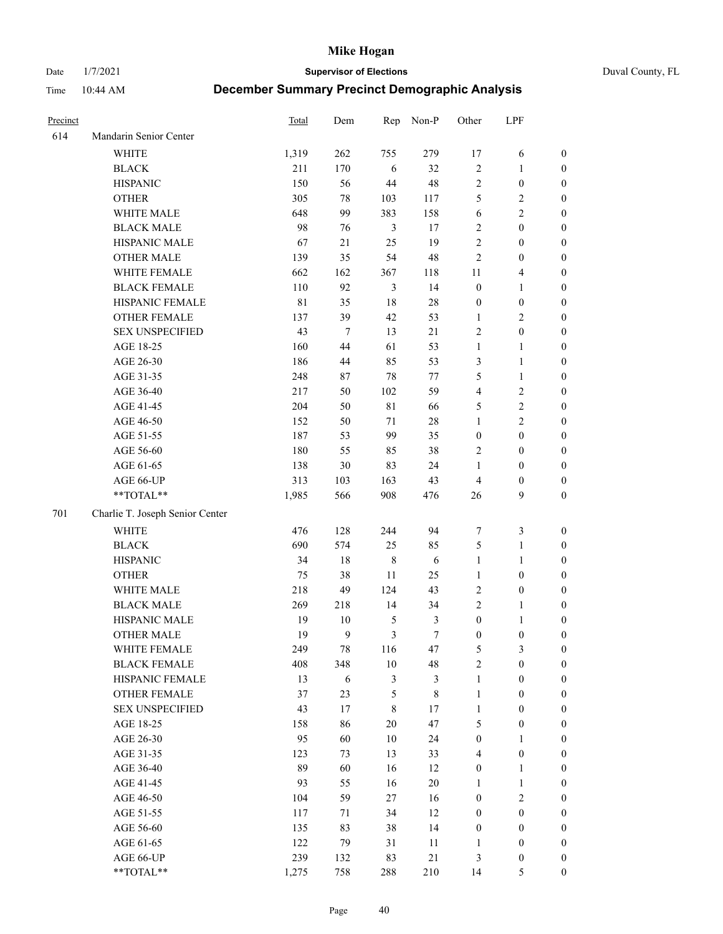Date 1/7/2021 **Supervisor of Elections** Duval County, FL

| Precinct |                                 | Total       | Dem    | Rep            | Non-P          | Other            | LPF                     |                  |
|----------|---------------------------------|-------------|--------|----------------|----------------|------------------|-------------------------|------------------|
| 614      | Mandarin Senior Center          |             |        |                |                |                  |                         |                  |
|          | <b>WHITE</b>                    | 1,319       | 262    | 755            | 279            | 17               | 6                       | 0                |
|          | <b>BLACK</b>                    | 211         | 170    | 6              | 32             | $\sqrt{2}$       | $\mathbf{1}$            | $\boldsymbol{0}$ |
|          | <b>HISPANIC</b>                 | 150         | 56     | 44             | $48\,$         | $\sqrt{2}$       | $\boldsymbol{0}$        | $\boldsymbol{0}$ |
|          | <b>OTHER</b>                    | 305         | 78     | 103            | 117            | 5                | $\sqrt{2}$              | $\boldsymbol{0}$ |
|          | WHITE MALE                      | 648         | 99     | 383            | 158            | 6                | $\sqrt{2}$              | $\boldsymbol{0}$ |
|          | <b>BLACK MALE</b>               | 98          | 76     | 3              | 17             | $\sqrt{2}$       | $\boldsymbol{0}$        | $\boldsymbol{0}$ |
|          | HISPANIC MALE                   | 67          | 21     | 25             | 19             | $\overline{c}$   | $\boldsymbol{0}$        | $\boldsymbol{0}$ |
|          | <b>OTHER MALE</b>               | 139         | 35     | 54             | $48\,$         | $\mathfrak{2}$   | $\boldsymbol{0}$        | $\boldsymbol{0}$ |
|          | WHITE FEMALE                    | 662         | 162    | 367            | 118            | 11               | $\overline{\mathbf{4}}$ | $\boldsymbol{0}$ |
|          | <b>BLACK FEMALE</b>             | 110         | 92     | $\mathfrak{Z}$ | 14             | $\boldsymbol{0}$ | $\mathbf{1}$            | $\boldsymbol{0}$ |
|          | HISPANIC FEMALE                 | $8\sqrt{1}$ | 35     | 18             | $28\,$         | $\boldsymbol{0}$ | $\boldsymbol{0}$        | 0                |
|          | OTHER FEMALE                    | 137         | 39     | 42             | 53             | $\mathbf{1}$     | $\overline{c}$          | 0                |
|          | <b>SEX UNSPECIFIED</b>          | 43          | $\tau$ | 13             | 21             | $\sqrt{2}$       | $\boldsymbol{0}$        | $\boldsymbol{0}$ |
|          | AGE 18-25                       | 160         | 44     | 61             | 53             | $\mathbf{1}$     | $\mathbf{1}$            | $\boldsymbol{0}$ |
|          | AGE 26-30                       | 186         | 44     | 85             | 53             | 3                | $\mathbf{1}$            | $\boldsymbol{0}$ |
|          | AGE 31-35                       | 248         | 87     | 78             | $77\,$         | 5                | $\mathbf{1}$            | $\boldsymbol{0}$ |
|          | AGE 36-40                       | 217         | 50     | 102            | 59             | 4                | $\sqrt{2}$              | $\boldsymbol{0}$ |
|          | AGE 41-45                       | 204         | 50     | 81             | 66             | 5                | $\sqrt{2}$              | $\boldsymbol{0}$ |
|          | AGE 46-50                       | 152         | 50     | 71             | $28\,$         | $\mathbf{1}$     | $\overline{2}$          | $\boldsymbol{0}$ |
|          | AGE 51-55                       | 187         | 53     | 99             | 35             | $\boldsymbol{0}$ | $\boldsymbol{0}$        | $\boldsymbol{0}$ |
|          | AGE 56-60                       | 180         | 55     | 85             | 38             | $\overline{2}$   | $\boldsymbol{0}$        | 0                |
|          | AGE 61-65                       | 138         | $30\,$ | 83             | 24             | 1                | $\boldsymbol{0}$        | 0                |
|          | AGE 66-UP                       | 313         | 103    | 163            | 43             | $\overline{4}$   | $\boldsymbol{0}$        | $\boldsymbol{0}$ |
|          | **TOTAL**                       | 1,985       | 566    | 908            | 476            | 26               | 9                       | $\boldsymbol{0}$ |
| 701      | Charlie T. Joseph Senior Center |             |        |                |                |                  |                         |                  |
|          | <b>WHITE</b>                    | 476         | 128    | 244            | 94             | 7                | $\mathfrak{Z}$          | $\boldsymbol{0}$ |
|          | <b>BLACK</b>                    | 690         | 574    | 25             | 85             | 5                | $\mathbf{1}$            | $\boldsymbol{0}$ |
|          | <b>HISPANIC</b>                 | 34          | $18\,$ | $\,$ 8 $\,$    | $\sqrt{6}$     | $\mathbf{1}$     | $\mathbf{1}$            | $\boldsymbol{0}$ |
|          | <b>OTHER</b>                    | 75          | 38     | 11             | 25             | $\mathbf{1}$     | $\boldsymbol{0}$        | $\boldsymbol{0}$ |
|          | WHITE MALE                      | 218         | 49     | 124            | 43             | $\overline{2}$   | $\boldsymbol{0}$        | $\boldsymbol{0}$ |
|          | <b>BLACK MALE</b>               | 269         | 218    | 14             | 34             | $\overline{c}$   | $\mathbf{1}$            | $\boldsymbol{0}$ |
|          | HISPANIC MALE                   | 19          | 10     | 5              | $\mathfrak{Z}$ | $\boldsymbol{0}$ | 1                       | 0                |
|          | OTHER MALE                      | 19          | 9      | 3              | $\tau$         | $\boldsymbol{0}$ | $\boldsymbol{0}$        | $\boldsymbol{0}$ |
|          | WHITE FEMALE                    | 249         | 78     | 116            | 47             | 5                | 3                       | 0                |
|          | <b>BLACK FEMALE</b>             | 408         | 348    | 10             | 48             | 2                | $\boldsymbol{0}$        | $\overline{0}$   |
|          | HISPANIC FEMALE                 | 13          | 6      | 3              | $\mathfrak{Z}$ | $\mathbf{1}$     | $\boldsymbol{0}$        | $\overline{0}$   |
|          | OTHER FEMALE                    | 37          | 23     | 5              | $8\,$          | $\mathbf{1}$     | $\boldsymbol{0}$        | $\overline{0}$   |
|          | <b>SEX UNSPECIFIED</b>          | 43          | 17     | 8              | 17             | $\mathbf{1}$     | $\boldsymbol{0}$        | 0                |
|          | AGE 18-25                       | 158         | 86     | 20             | 47             | 5                | $\boldsymbol{0}$        | 0                |
|          | AGE 26-30                       | 95          | 60     | $10\,$         | 24             | $\boldsymbol{0}$ | $\mathbf{1}$            | 0                |
|          | AGE 31-35                       | 123         | 73     | 13             | 33             | 4                | $\boldsymbol{0}$        | 0                |
|          | AGE 36-40                       | 89          | 60     | 16             | 12             | $\boldsymbol{0}$ | $\mathbf{1}$            | 0                |
|          | AGE 41-45                       | 93          | 55     | 16             | $20\,$         | $\mathbf{1}$     | $\mathbf{1}$            | 0                |
|          | AGE 46-50                       | 104         | 59     | 27             | 16             | $\boldsymbol{0}$ | $\sqrt{2}$              | 0                |
|          | AGE 51-55                       | 117         | 71     | 34             | 12             | $\boldsymbol{0}$ | $\boldsymbol{0}$        | $\overline{0}$   |
|          | AGE 56-60                       | 135         | 83     | 38             | 14             | $\boldsymbol{0}$ | $\boldsymbol{0}$        | $\boldsymbol{0}$ |
|          | AGE 61-65                       | 122         | 79     | 31             | 11             | 1                | $\boldsymbol{0}$        | $\boldsymbol{0}$ |
|          | AGE 66-UP                       | 239         | 132    | 83             | $21\,$         | 3                | $\boldsymbol{0}$        | 0                |
|          | **TOTAL**                       | 1,275       | 758    | 288            | 210            | 14               | $\mathfrak{S}$          | $\boldsymbol{0}$ |
|          |                                 |             |        |                |                |                  |                         |                  |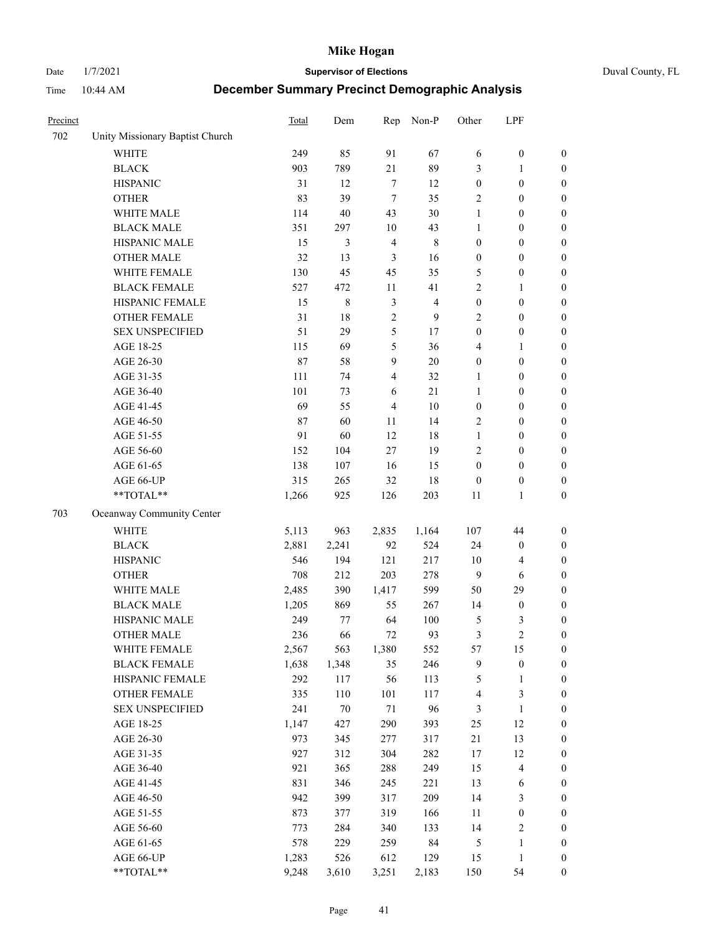Date 1/7/2021 **Supervisor of Elections** Duval County, FL

| Precinct |                                 | <b>Total</b> | Dem    | Rep            | Non-P          | Other            | LPF                     |                  |
|----------|---------------------------------|--------------|--------|----------------|----------------|------------------|-------------------------|------------------|
| 702      | Unity Missionary Baptist Church |              |        |                |                |                  |                         |                  |
|          | <b>WHITE</b>                    | 249          | 85     | 91             | 67             | 6                | $\boldsymbol{0}$        | 0                |
|          | <b>BLACK</b>                    | 903          | 789    | 21             | 89             | 3                | $\mathbf{1}$            | $\boldsymbol{0}$ |
|          | <b>HISPANIC</b>                 | 31           | 12     | $\tau$         | 12             | $\boldsymbol{0}$ | $\boldsymbol{0}$        | $\boldsymbol{0}$ |
|          | <b>OTHER</b>                    | 83           | 39     | $\overline{7}$ | 35             | $\overline{c}$   | $\boldsymbol{0}$        | $\boldsymbol{0}$ |
|          | WHITE MALE                      | 114          | 40     | 43             | 30             | $\mathbf{1}$     | $\boldsymbol{0}$        | $\boldsymbol{0}$ |
|          | <b>BLACK MALE</b>               | 351          | 297    | 10             | 43             | $\mathbf{1}$     | $\boldsymbol{0}$        | $\boldsymbol{0}$ |
|          | HISPANIC MALE                   | 15           | 3      | $\overline{4}$ | $\,$ 8 $\,$    | $\boldsymbol{0}$ | $\boldsymbol{0}$        | $\boldsymbol{0}$ |
|          | <b>OTHER MALE</b>               | 32           | 13     | 3              | 16             | $\boldsymbol{0}$ | $\boldsymbol{0}$        | $\boldsymbol{0}$ |
|          | WHITE FEMALE                    | 130          | 45     | 45             | 35             | 5                | $\boldsymbol{0}$        | $\boldsymbol{0}$ |
|          | <b>BLACK FEMALE</b>             | 527          | 472    | 11             | 41             | $\sqrt{2}$       | $\mathbf{1}$            | $\boldsymbol{0}$ |
|          | HISPANIC FEMALE                 | 15           | 8      | $\mathfrak{Z}$ | $\overline{4}$ | $\boldsymbol{0}$ | $\boldsymbol{0}$        | $\boldsymbol{0}$ |
|          | <b>OTHER FEMALE</b>             | 31           | 18     | $\overline{2}$ | 9              | $\mathfrak{2}$   | $\boldsymbol{0}$        | $\boldsymbol{0}$ |
|          | <b>SEX UNSPECIFIED</b>          | 51           | 29     | $\mathfrak{S}$ | 17             | $\boldsymbol{0}$ | $\boldsymbol{0}$        | $\boldsymbol{0}$ |
|          | AGE 18-25                       | 115          | 69     | 5              | 36             | 4                | $\mathbf{1}$            | $\boldsymbol{0}$ |
|          | AGE 26-30                       | 87           | 58     | 9              | 20             | $\boldsymbol{0}$ | $\boldsymbol{0}$        | $\boldsymbol{0}$ |
|          | AGE 31-35                       | 111          | 74     | $\overline{4}$ | 32             | $\mathbf{1}$     | $\boldsymbol{0}$        | $\boldsymbol{0}$ |
|          | AGE 36-40                       | 101          | 73     | 6              | 21             | $\mathbf{1}$     | $\boldsymbol{0}$        | $\boldsymbol{0}$ |
|          | AGE 41-45                       | 69           | 55     | $\overline{4}$ | $10\,$         | $\boldsymbol{0}$ | $\boldsymbol{0}$        | $\boldsymbol{0}$ |
|          | AGE 46-50                       | 87           | 60     | 11             | 14             | $\mathfrak{2}$   | $\boldsymbol{0}$        | $\boldsymbol{0}$ |
|          | AGE 51-55                       | 91           | 60     | 12             | $18\,$         | $\mathbf{1}$     | $\boldsymbol{0}$        | $\boldsymbol{0}$ |
|          | AGE 56-60                       | 152          | 104    | 27             | 19             | $\overline{c}$   | $\boldsymbol{0}$        | 0                |
|          | AGE 61-65                       | 138          | 107    | 16             | 15             | $\boldsymbol{0}$ | $\boldsymbol{0}$        | $\boldsymbol{0}$ |
|          | AGE 66-UP                       | 315          | 265    | 32             | 18             | $\boldsymbol{0}$ | $\boldsymbol{0}$        | $\boldsymbol{0}$ |
|          | **TOTAL**                       | 1,266        | 925    | 126            | 203            | 11               | $\mathbf{1}$            | $\boldsymbol{0}$ |
| 703      | Oceanway Community Center       |              |        |                |                |                  |                         |                  |
|          | <b>WHITE</b>                    | 5,113        | 963    | 2,835          | 1,164          | 107              | 44                      | $\boldsymbol{0}$ |
|          | <b>BLACK</b>                    | 2,881        | 2,241  | 92             | 524            | 24               | $\boldsymbol{0}$        | $\boldsymbol{0}$ |
|          | <b>HISPANIC</b>                 | 546          | 194    | 121            | 217            | 10               | $\overline{\mathbf{4}}$ | $\boldsymbol{0}$ |
|          | <b>OTHER</b>                    | 708          | 212    | 203            | 278            | $\overline{9}$   | 6                       | $\boldsymbol{0}$ |
|          | WHITE MALE                      | 2,485        | 390    | 1,417          | 599            | 50               | 29                      | $\boldsymbol{0}$ |
|          | <b>BLACK MALE</b>               | 1,205        | 869    | 55             | 267            | 14               | $\boldsymbol{0}$        | $\boldsymbol{0}$ |
|          | HISPANIC MALE                   | 249          | 77     | 64             | 100            | 5                | 3                       | $\boldsymbol{0}$ |
|          | <b>OTHER MALE</b>               | 236          | 66     | 72             | 93             | 3                | $\overline{c}$          | $\boldsymbol{0}$ |
|          | WHITE FEMALE                    | 2,567        | 563    | 1,380          | 552            | 57               | 15                      | 0                |
|          | <b>BLACK FEMALE</b>             | 1,638        | 1,348  | 35             | 246            | 9                | $\boldsymbol{0}$        | $\boldsymbol{0}$ |
|          | HISPANIC FEMALE                 | 292          | 117    | 56             | 113            | 5                | $\mathbf{1}$            | $\boldsymbol{0}$ |
|          | OTHER FEMALE                    | 335          | 110    | 101            | 117            | 4                | $\mathfrak{Z}$          | $\overline{0}$   |
|          | <b>SEX UNSPECIFIED</b>          | 241          | $70\,$ | 71             | 96             | 3                | $\mathbf{1}$            | 0                |
|          | AGE 18-25                       | 1,147        | 427    | 290            | 393            | $25\,$           | 12                      | 0                |
|          | AGE 26-30                       | 973          | 345    | 277            | 317            | $21\,$           | 13                      | 0                |
|          | AGE 31-35                       | 927          | 312    | 304            | 282            | 17               | 12                      | 0                |
|          | AGE 36-40                       | 921          | 365    | 288            | 249            | 15               | $\overline{\mathbf{4}}$ | 0                |
|          | AGE 41-45                       | 831          | 346    | 245            | 221            | 13               | 6                       | 0                |
|          | AGE 46-50                       | 942          | 399    | 317            | 209            | 14               | $\mathfrak{Z}$          | 0                |
|          | AGE 51-55                       | 873          | 377    | 319            | 166            | 11               | $\boldsymbol{0}$        | 0                |
|          | AGE 56-60                       | 773          | 284    | 340            | 133            | 14               | $\sqrt{2}$              | $\boldsymbol{0}$ |
|          | AGE 61-65                       | 578          | 229    | 259            | 84             | 5                | $\mathbf{1}$            | $\boldsymbol{0}$ |
|          | AGE 66-UP                       | 1,283        | 526    | 612            | 129            | 15               | $\mathbf{1}$            | $\boldsymbol{0}$ |
|          | **TOTAL**                       | 9,248        | 3,610  | 3,251          | 2,183          | 150              | 54                      | $\boldsymbol{0}$ |
|          |                                 |              |        |                |                |                  |                         |                  |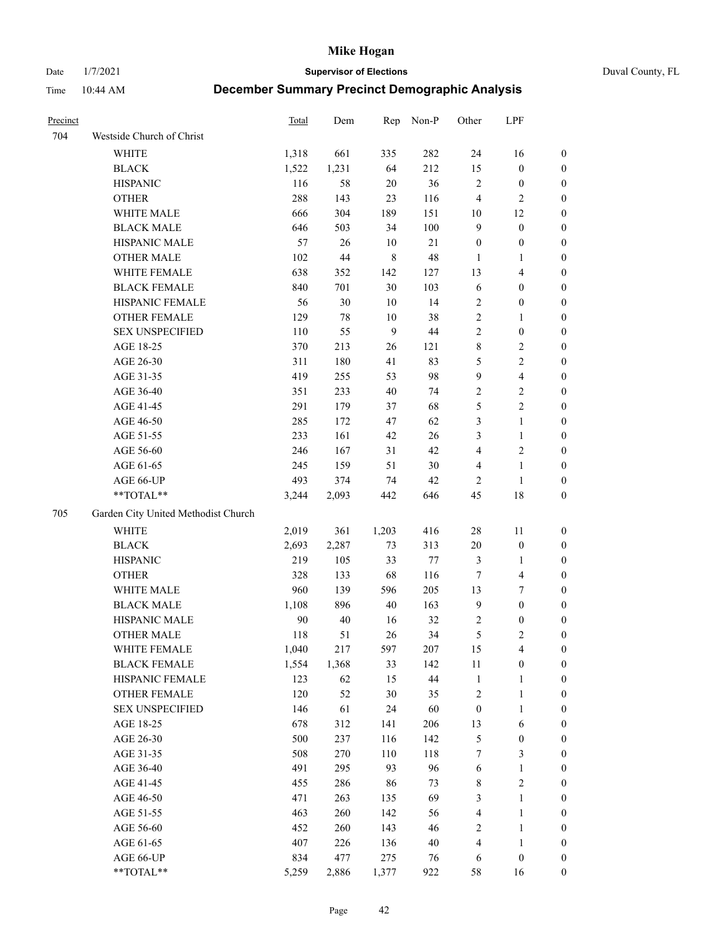Date 1/7/2021 **Supervisor of Elections** Duval County, FL

| Precinct |                                     | Total | Dem    | Rep         | Non-P  | Other            | LPF                     |                  |
|----------|-------------------------------------|-------|--------|-------------|--------|------------------|-------------------------|------------------|
| 704      | Westside Church of Christ           |       |        |             |        |                  |                         |                  |
|          | WHITE                               | 1,318 | 661    | 335         | 282    | 24               | 16                      | 0                |
|          | <b>BLACK</b>                        | 1,522 | 1,231  | 64          | 212    | 15               | $\boldsymbol{0}$        | 0                |
|          | <b>HISPANIC</b>                     | 116   | 58     | 20          | 36     | $\sqrt{2}$       | $\boldsymbol{0}$        | 0                |
|          | <b>OTHER</b>                        | 288   | 143    | 23          | 116    | 4                | $\mathfrak{2}$          | $\boldsymbol{0}$ |
|          | WHITE MALE                          | 666   | 304    | 189         | 151    | 10               | 12                      | $\boldsymbol{0}$ |
|          | <b>BLACK MALE</b>                   | 646   | 503    | 34          | 100    | $\mathbf{9}$     | $\boldsymbol{0}$        | $\boldsymbol{0}$ |
|          | HISPANIC MALE                       | 57    | 26     | 10          | $21\,$ | $\boldsymbol{0}$ | $\boldsymbol{0}$        | $\boldsymbol{0}$ |
|          | <b>OTHER MALE</b>                   | 102   | $44\,$ | $\,$ 8 $\,$ | 48     | $\mathbf{1}$     | $\mathbf{1}$            | $\boldsymbol{0}$ |
|          | WHITE FEMALE                        | 638   | 352    | 142         | 127    | 13               | $\overline{\mathbf{4}}$ | $\boldsymbol{0}$ |
|          | <b>BLACK FEMALE</b>                 | 840   | 701    | $30\,$      | 103    | 6                | $\boldsymbol{0}$        | 0                |
|          | HISPANIC FEMALE                     | 56    | 30     | 10          | 14     | $\overline{c}$   | $\boldsymbol{0}$        | 0                |
|          | OTHER FEMALE                        | 129   | 78     | 10          | 38     | $\sqrt{2}$       | $\mathbf{1}$            | 0                |
|          | <b>SEX UNSPECIFIED</b>              | 110   | 55     | 9           | $44\,$ | $\sqrt{2}$       | $\boldsymbol{0}$        | $\boldsymbol{0}$ |
|          | AGE 18-25                           | 370   | 213    | 26          | 121    | 8                | $\sqrt{2}$              | $\boldsymbol{0}$ |
|          | AGE 26-30                           | 311   | 180    | 41          | 83     | 5                | $\sqrt{2}$              | $\boldsymbol{0}$ |
|          | AGE 31-35                           | 419   | 255    | 53          | 98     | $\mathbf{9}$     | $\overline{\mathbf{4}}$ | $\boldsymbol{0}$ |
|          | AGE 36-40                           | 351   | 233    | $40\,$      | 74     | $\sqrt{2}$       | $\sqrt{2}$              | $\boldsymbol{0}$ |
|          | AGE 41-45                           | 291   | 179    | 37          | 68     | 5                | $\overline{2}$          | $\boldsymbol{0}$ |
|          | AGE 46-50                           | 285   | 172    | 47          | 62     | 3                | $\mathbf{1}$            | $\boldsymbol{0}$ |
|          | AGE 51-55                           | 233   | 161    | 42          | 26     | 3                | $\mathbf{1}$            | 0                |
|          | AGE 56-60                           | 246   | 167    | 31          | 42     | $\overline{4}$   | $\sqrt{2}$              | 0                |
|          | AGE 61-65                           | 245   | 159    | 51          | 30     | 4                | $\mathbf{1}$            | 0                |
|          | AGE 66-UP                           | 493   | 374    | 74          | 42     | $\overline{c}$   | $\mathbf{1}$            | 0                |
|          | $**TOTAL**$                         | 3,244 | 2,093  | 442         | 646    | 45               | $18\,$                  | $\boldsymbol{0}$ |
| 705      | Garden City United Methodist Church |       |        |             |        |                  |                         |                  |
|          | <b>WHITE</b>                        | 2,019 | 361    | 1,203       | 416    | $28\,$           | 11                      | $\boldsymbol{0}$ |
|          | <b>BLACK</b>                        | 2,693 | 2,287  | 73          | 313    | $20\,$           | $\boldsymbol{0}$        | $\boldsymbol{0}$ |
|          | <b>HISPANIC</b>                     | 219   | 105    | 33          | 77     | 3                | $\mathbf{1}$            | $\boldsymbol{0}$ |
|          | <b>OTHER</b>                        | 328   | 133    | 68          | 116    | 7                | $\overline{\mathbf{4}}$ | $\boldsymbol{0}$ |
|          | WHITE MALE                          | 960   | 139    | 596         | 205    | 13               | $\boldsymbol{7}$        | $\boldsymbol{0}$ |
|          | <b>BLACK MALE</b>                   | 1,108 | 896    | 40          | 163    | $\overline{9}$   | $\boldsymbol{0}$        | $\boldsymbol{0}$ |
|          | HISPANIC MALE                       | 90    | 40     | 16          | 32     | 2                | $\boldsymbol{0}$        | 0                |
|          | <b>OTHER MALE</b>                   | 118   | 51     | 26          | 34     | $\mathfrak{S}$   | $\mathbf{2}$            | 0                |
|          | WHITE FEMALE                        | 1,040 | 217    | 597         | 207    | 15               | 4                       | 0                |
|          | <b>BLACK FEMALE</b>                 | 1,554 | 1,368  | 33          | 142    | 11               | $\boldsymbol{0}$        | $\boldsymbol{0}$ |
|          | HISPANIC FEMALE                     | 123   | 62     | 15          | 44     | $\mathbf{1}$     | $\mathbf{1}$            | $\boldsymbol{0}$ |
|          | OTHER FEMALE                        | 120   | 52     | $30\,$      | 35     | 2                | $\mathbf{1}$            | $\overline{0}$   |
|          | <b>SEX UNSPECIFIED</b>              | 146   | 61     | 24          | 60     | $\boldsymbol{0}$ | $\mathbf{1}$            | 0                |
|          | AGE 18-25                           | 678   | 312    | 141         | 206    | 13               | 6                       | 0                |
|          | AGE 26-30                           | 500   | 237    | 116         | 142    | 5                | $\boldsymbol{0}$        | 0                |
|          | AGE 31-35                           | 508   | 270    | 110         | 118    | 7                | $\mathfrak{Z}$          | 0                |
|          | AGE 36-40                           | 491   | 295    | 93          | 96     | 6                | $\mathbf{1}$            | 0                |
|          | AGE 41-45                           | 455   | 286    | 86          | 73     | 8                | $\sqrt{2}$              | 0                |
|          | AGE 46-50                           | 471   | 263    | 135         | 69     | 3                | $\mathbf{1}$            | 0                |
|          | AGE 51-55                           | 463   | 260    | 142         | 56     | 4                | $\mathbf{1}$            | 0                |
|          | AGE 56-60                           | 452   | 260    | 143         | 46     | 2                | $\mathbf{1}$            | 0                |
|          | AGE 61-65                           | 407   | 226    | 136         | 40     | 4                | $\mathbf{1}$            | 0                |
|          | AGE 66-UP                           | 834   | 477    | 275         | 76     | 6                | $\boldsymbol{0}$        | 0                |
|          | **TOTAL**                           | 5,259 | 2,886  | 1,377       | 922    | 58               | 16                      | $\boldsymbol{0}$ |
|          |                                     |       |        |             |        |                  |                         |                  |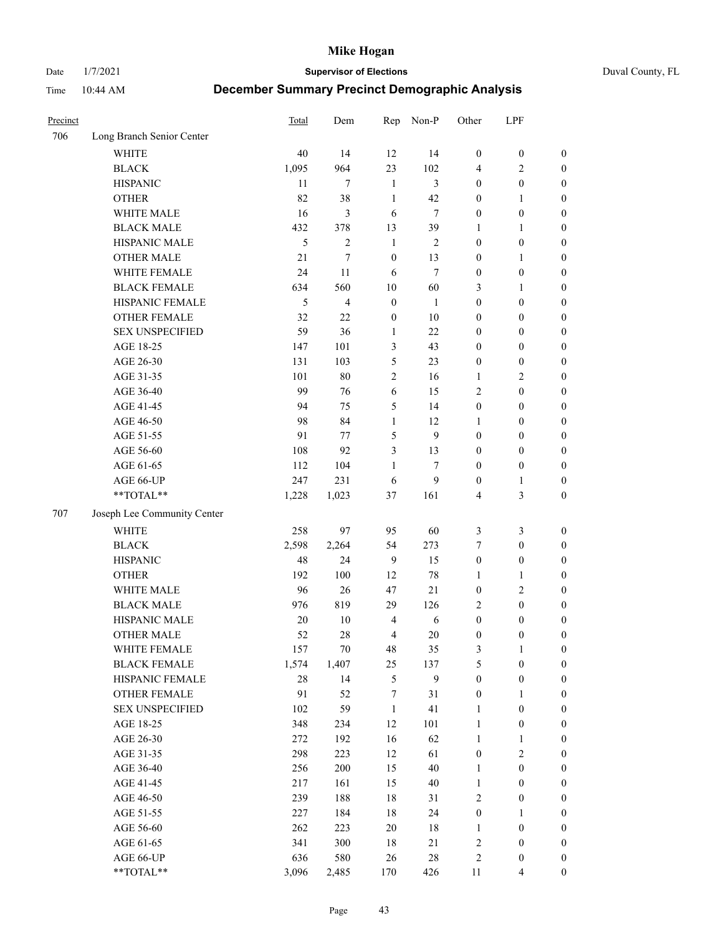Date 1/7/2021 **Supervisor of Elections** Duval County, FL

| Precinct |                             | <b>Total</b> | Dem            | Rep              | Non-P  | Other            | LPF              |                  |
|----------|-----------------------------|--------------|----------------|------------------|--------|------------------|------------------|------------------|
| 706      | Long Branch Senior Center   |              |                |                  |        |                  |                  |                  |
|          | <b>WHITE</b>                | 40           | 14             | 12               | 14     | $\boldsymbol{0}$ | $\boldsymbol{0}$ | $\boldsymbol{0}$ |
|          | <b>BLACK</b>                | 1,095        | 964            | 23               | 102    | 4                | $\overline{2}$   | $\boldsymbol{0}$ |
|          | <b>HISPANIC</b>             | 11           | 7              | $\mathbf{1}$     | 3      | $\boldsymbol{0}$ | $\boldsymbol{0}$ | $\boldsymbol{0}$ |
|          | <b>OTHER</b>                | 82           | 38             | $\mathbf{1}$     | 42     | $\boldsymbol{0}$ | $\mathbf{1}$     | $\boldsymbol{0}$ |
|          | WHITE MALE                  | 16           | 3              | 6                | $\tau$ | $\boldsymbol{0}$ | $\boldsymbol{0}$ | $\boldsymbol{0}$ |
|          | <b>BLACK MALE</b>           | 432          | 378            | 13               | 39     | 1                | $\mathbf{1}$     | $\boldsymbol{0}$ |
|          | HISPANIC MALE               | 5            | $\overline{2}$ | $\mathbf{1}$     | 2      | $\boldsymbol{0}$ | $\boldsymbol{0}$ | $\boldsymbol{0}$ |
|          | <b>OTHER MALE</b>           | 21           | 7              | $\boldsymbol{0}$ | 13     | $\boldsymbol{0}$ | $\mathbf{1}$     | $\boldsymbol{0}$ |
|          | WHITE FEMALE                | 24           | 11             | 6                | $\tau$ | $\boldsymbol{0}$ | $\boldsymbol{0}$ | $\boldsymbol{0}$ |
|          | <b>BLACK FEMALE</b>         | 634          | 560            | $10\,$           | 60     | 3                | $\mathbf{1}$     | $\boldsymbol{0}$ |
|          | HISPANIC FEMALE             | 5            | 4              | $\boldsymbol{0}$ | 1      | $\boldsymbol{0}$ | $\boldsymbol{0}$ | 0                |
|          | <b>OTHER FEMALE</b>         | 32           | 22             | $\boldsymbol{0}$ | 10     | $\boldsymbol{0}$ | $\boldsymbol{0}$ | $\boldsymbol{0}$ |
|          | <b>SEX UNSPECIFIED</b>      | 59           | 36             | $\mathbf{1}$     | 22     | $\boldsymbol{0}$ | $\boldsymbol{0}$ | $\boldsymbol{0}$ |
|          | AGE 18-25                   | 147          | 101            | 3                | 43     | $\boldsymbol{0}$ | $\boldsymbol{0}$ | $\boldsymbol{0}$ |
|          | AGE 26-30                   | 131          | 103            | 5                | 23     | $\boldsymbol{0}$ | $\boldsymbol{0}$ | $\boldsymbol{0}$ |
|          | AGE 31-35                   | 101          | 80             | $\sqrt{2}$       | 16     | $\mathbf{1}$     | $\sqrt{2}$       | $\boldsymbol{0}$ |
|          | AGE 36-40                   | 99           | 76             | 6                | 15     | $\overline{c}$   | $\boldsymbol{0}$ | $\boldsymbol{0}$ |
|          | AGE 41-45                   | 94           | 75             | 5                | 14     | $\boldsymbol{0}$ | $\boldsymbol{0}$ | $\boldsymbol{0}$ |
|          | AGE 46-50                   | 98           | 84             | $\mathbf{1}$     | 12     | 1                | $\boldsymbol{0}$ | $\boldsymbol{0}$ |
|          | AGE 51-55                   | 91           | 77             | 5                | 9      | $\boldsymbol{0}$ | $\boldsymbol{0}$ | $\boldsymbol{0}$ |
|          | AGE 56-60                   | 108          | 92             | 3                | 13     | $\boldsymbol{0}$ | $\boldsymbol{0}$ | 0                |
|          | AGE 61-65                   | 112          | 104            | $\mathbf{1}$     | $\tau$ | $\boldsymbol{0}$ | $\boldsymbol{0}$ | 0                |
|          | AGE 66-UP                   | 247          | 231            | 6                | 9      | $\boldsymbol{0}$ | $\mathbf{1}$     | $\boldsymbol{0}$ |
|          | $**TOTAL**$                 | 1,228        | 1,023          | 37               | 161    | 4                | $\mathfrak{Z}$   | $\boldsymbol{0}$ |
| 707      | Joseph Lee Community Center |              |                |                  |        |                  |                  |                  |
|          |                             |              |                |                  |        |                  |                  |                  |
|          | <b>WHITE</b>                | 258          | 97             | 95               | 60     | 3                | $\mathfrak{Z}$   | $\boldsymbol{0}$ |
|          | <b>BLACK</b>                | 2,598        | 2,264          | 54               | 273    | 7                | $\boldsymbol{0}$ | $\boldsymbol{0}$ |
|          | <b>HISPANIC</b>             | 48           | 24             | 9                | 15     | $\boldsymbol{0}$ | $\boldsymbol{0}$ | $\boldsymbol{0}$ |
|          | <b>OTHER</b>                | 192          | 100            | 12               | 78     | $\mathbf{1}$     | $\mathbf{1}$     | $\boldsymbol{0}$ |
|          | WHITE MALE                  | 96           | 26             | 47               | 21     | $\boldsymbol{0}$ | $\mathbf{2}$     | $\boldsymbol{0}$ |
|          | <b>BLACK MALE</b>           | 976          | 819            | 29               | 126    | $\overline{c}$   | $\boldsymbol{0}$ | $\boldsymbol{0}$ |
|          | HISPANIC MALE               | 20           | $10\,$         | $\overline{4}$   | 6      | $\boldsymbol{0}$ | $\boldsymbol{0}$ | $\boldsymbol{0}$ |
|          | <b>OTHER MALE</b>           | 52           | 28             | $\overline{4}$   | 20     | $\boldsymbol{0}$ | $\boldsymbol{0}$ | $\boldsymbol{0}$ |
|          | WHITE FEMALE                | 157          | 70             | 48               | 35     | 3                | 1                | 0                |
|          | <b>BLACK FEMALE</b>         | 1,574        | 1,407          | 25               | 137    | 5                | $\boldsymbol{0}$ | $\boldsymbol{0}$ |
|          | HISPANIC FEMALE             | 28           | 14             | $\mathfrak{S}$   | 9      | $\boldsymbol{0}$ | $\boldsymbol{0}$ | $\boldsymbol{0}$ |
|          | OTHER FEMALE                | 91           | 52             | 7                | 31     | $\boldsymbol{0}$ | $\mathbf{1}$     | $\overline{0}$   |
|          | <b>SEX UNSPECIFIED</b>      | 102          | 59             | $\mathbf{1}$     | 41     | $\mathbf{1}$     | $\boldsymbol{0}$ | 0                |
|          | AGE 18-25                   | 348          | 234            | 12               | 101    | $\mathbf{1}$     | $\boldsymbol{0}$ | 0                |
|          | AGE 26-30                   | 272          | 192            | 16               | 62     | $\mathbf{1}$     | $\mathbf{1}$     | 0                |
|          | AGE 31-35                   | 298          | 223            | 12               | 61     | $\boldsymbol{0}$ | $\sqrt{2}$       | 0                |
|          | AGE 36-40                   | 256          | 200            | 15               | 40     | $\mathbf{1}$     | $\boldsymbol{0}$ | 0                |
|          | AGE 41-45                   | 217          | 161            | 15               | $40\,$ | $\mathbf{1}$     | $\boldsymbol{0}$ | 0                |
|          | AGE 46-50                   | 239          | 188            | $18\,$           | 31     | $\sqrt{2}$       | $\boldsymbol{0}$ | 0                |
|          | AGE 51-55                   | 227          | 184            | 18               | 24     | $\boldsymbol{0}$ | $\mathbf{1}$     | $\boldsymbol{0}$ |
|          | AGE 56-60                   | 262          | 223            | $20\,$           | 18     | 1                | $\boldsymbol{0}$ | $\boldsymbol{0}$ |
|          | AGE 61-65                   | 341          | 300            | $18\,$           | 21     | 2                | $\boldsymbol{0}$ | $\boldsymbol{0}$ |
|          | AGE 66-UP                   | 636          | 580            | 26               | 28     | 2                | $\boldsymbol{0}$ | $\boldsymbol{0}$ |
|          | **TOTAL**                   | 3,096        | 2,485          | 170              | 426    | 11               | $\overline{4}$   | $\boldsymbol{0}$ |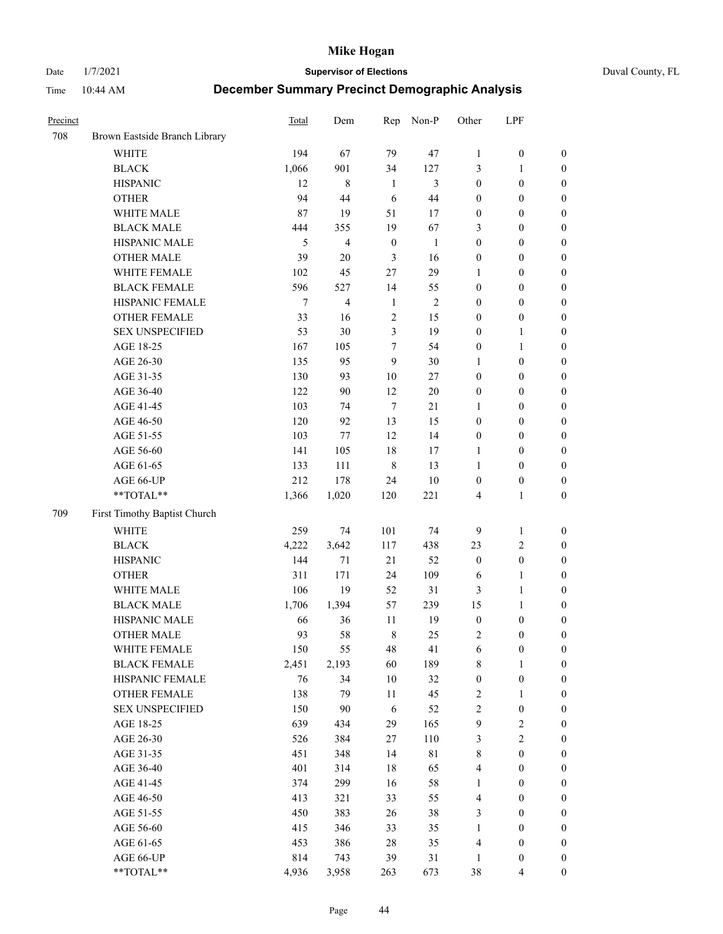Date 1/7/2021 **Supervisor of Elections** Duval County, FL

| Precinct |                               | Total  | Dem            | Rep              | Non-P        | Other            | LPF              |                  |
|----------|-------------------------------|--------|----------------|------------------|--------------|------------------|------------------|------------------|
| 708      | Brown Eastside Branch Library |        |                |                  |              |                  |                  |                  |
|          | <b>WHITE</b>                  | 194    | 67             | 79               | 47           | $\mathbf{1}$     | $\boldsymbol{0}$ | 0                |
|          | <b>BLACK</b>                  | 1,066  | 901            | 34               | 127          | 3                | $\mathbf{1}$     | $\boldsymbol{0}$ |
|          | <b>HISPANIC</b>               | 12     | $\,8\,$        | $\mathbf{1}$     | 3            | $\boldsymbol{0}$ | $\boldsymbol{0}$ | $\boldsymbol{0}$ |
|          | <b>OTHER</b>                  | 94     | 44             | 6                | 44           | $\boldsymbol{0}$ | $\boldsymbol{0}$ | $\boldsymbol{0}$ |
|          | WHITE MALE                    | 87     | 19             | 51               | 17           | $\boldsymbol{0}$ | $\boldsymbol{0}$ | $\boldsymbol{0}$ |
|          | <b>BLACK MALE</b>             | 444    | 355            | 19               | 67           | 3                | $\boldsymbol{0}$ | $\boldsymbol{0}$ |
|          | HISPANIC MALE                 | 5      | $\overline{4}$ | $\boldsymbol{0}$ | $\mathbf{1}$ | $\boldsymbol{0}$ | $\boldsymbol{0}$ | $\boldsymbol{0}$ |
|          | <b>OTHER MALE</b>             | 39     | 20             | 3                | 16           | $\boldsymbol{0}$ | $\boldsymbol{0}$ | $\boldsymbol{0}$ |
|          | WHITE FEMALE                  | 102    | 45             | 27               | 29           | 1                | $\boldsymbol{0}$ | $\boldsymbol{0}$ |
|          | <b>BLACK FEMALE</b>           | 596    | 527            | 14               | 55           | $\boldsymbol{0}$ | $\boldsymbol{0}$ | $\boldsymbol{0}$ |
|          | HISPANIC FEMALE               | $\tau$ | $\overline{4}$ | $\mathbf{1}$     | $\sqrt{2}$   | $\boldsymbol{0}$ | $\boldsymbol{0}$ | 0                |
|          | OTHER FEMALE                  | 33     | 16             | $\mathfrak{2}$   | 15           | $\boldsymbol{0}$ | $\boldsymbol{0}$ | $\boldsymbol{0}$ |
|          | <b>SEX UNSPECIFIED</b>        | 53     | 30             | $\mathfrak{Z}$   | 19           | $\boldsymbol{0}$ | $\mathbf{1}$     | $\boldsymbol{0}$ |
|          | AGE 18-25                     | 167    | 105            | $\boldsymbol{7}$ | 54           | $\boldsymbol{0}$ | $\mathbf{1}$     | $\boldsymbol{0}$ |
|          | AGE 26-30                     | 135    | 95             | 9                | 30           | $\mathbf{1}$     | $\boldsymbol{0}$ | $\boldsymbol{0}$ |
|          | AGE 31-35                     | 130    | 93             | 10               | 27           | $\boldsymbol{0}$ | $\boldsymbol{0}$ | $\boldsymbol{0}$ |
|          | AGE 36-40                     | 122    | 90             | 12               | $20\,$       | $\boldsymbol{0}$ | $\boldsymbol{0}$ | $\boldsymbol{0}$ |
|          | AGE 41-45                     | 103    | 74             | $\tau$           | 21           | $\mathbf{1}$     | $\boldsymbol{0}$ | $\boldsymbol{0}$ |
|          | AGE 46-50                     | 120    | 92             | 13               | 15           | $\boldsymbol{0}$ | $\boldsymbol{0}$ | $\boldsymbol{0}$ |
|          | AGE 51-55                     | 103    | 77             | 12               | 14           | $\boldsymbol{0}$ | $\boldsymbol{0}$ | $\boldsymbol{0}$ |
|          | AGE 56-60                     | 141    | 105            | 18               | 17           | 1                | $\boldsymbol{0}$ | 0                |
|          | AGE 61-65                     | 133    | 111            | $\,$ 8 $\,$      | 13           | $\mathbf{1}$     | $\boldsymbol{0}$ | 0                |
|          | AGE 66-UP                     | 212    | 178            | 24               | $10\,$       | $\boldsymbol{0}$ | $\boldsymbol{0}$ | $\boldsymbol{0}$ |
|          | **TOTAL**                     | 1,366  | 1,020          | 120              | 221          | 4                | $\mathbf{1}$     | $\boldsymbol{0}$ |
| 709      | First Timothy Baptist Church  |        |                |                  |              |                  |                  |                  |
|          | WHITE                         | 259    | 74             | 101              | 74           | 9                | $\mathbf{1}$     | $\boldsymbol{0}$ |
|          | <b>BLACK</b>                  | 4,222  | 3,642          | 117              | 438          | 23               | $\sqrt{2}$       | $\boldsymbol{0}$ |
|          | <b>HISPANIC</b>               | 144    | 71             | 21               | 52           | $\boldsymbol{0}$ | $\boldsymbol{0}$ | $\boldsymbol{0}$ |
|          | <b>OTHER</b>                  | 311    | 171            | 24               | 109          | 6                | $\mathbf{1}$     | $\boldsymbol{0}$ |
|          | WHITE MALE                    | 106    | 19             | 52               | 31           | 3                | $\mathbf{1}$     | $\boldsymbol{0}$ |
|          | <b>BLACK MALE</b>             | 1,706  | 1,394          | 57               | 239          | 15               | $\mathbf{1}$     | $\boldsymbol{0}$ |
|          | HISPANIC MALE                 | 66     | 36             | 11               | 19           | $\boldsymbol{0}$ | $\boldsymbol{0}$ | $\boldsymbol{0}$ |
|          | <b>OTHER MALE</b>             | 93     | 58             | $\,$ 8 $\,$      | 25           | $\overline{c}$   | $\boldsymbol{0}$ | $\boldsymbol{0}$ |
|          | WHITE FEMALE                  | 150    | 55             | 48               | 41           | 6                | $\boldsymbol{0}$ | 0                |
|          | <b>BLACK FEMALE</b>           | 2,451  | 2,193          | 60               | 189          | 8                | $\mathbf{1}$     | $\boldsymbol{0}$ |
|          | HISPANIC FEMALE               | 76     | 34             | 10               | 32           | $\boldsymbol{0}$ | $\boldsymbol{0}$ | $\overline{0}$   |
|          | OTHER FEMALE                  | 138    | 79             | 11               | 45           | $\sqrt{2}$       | $\mathbf{1}$     | $\overline{0}$   |
|          | <b>SEX UNSPECIFIED</b>        | 150    | 90             | 6                | 52           | 2                | $\boldsymbol{0}$ | 0                |
|          | AGE 18-25                     | 639    | 434            | 29               | 165          | 9                | $\sqrt{2}$       | $\theta$         |
|          | AGE 26-30                     | 526    | 384            | 27               | 110          | 3                | $\overline{2}$   | 0                |
|          | AGE 31-35                     | 451    | 348            | 14               | 81           | $\,$ $\,$        | $\boldsymbol{0}$ | 0                |
|          | AGE 36-40                     | 401    | 314            | 18               | 65           | 4                | $\boldsymbol{0}$ | 0                |
|          | AGE 41-45                     | 374    | 299            | 16               | 58           | $\mathbf{1}$     | $\boldsymbol{0}$ | 0                |
|          | AGE 46-50                     | 413    | 321            | 33               | 55           | 4                | $\boldsymbol{0}$ | 0                |
|          | AGE 51-55                     | 450    | 383            | 26               | 38           | 3                | $\boldsymbol{0}$ | $\boldsymbol{0}$ |
|          | AGE 56-60                     | 415    | 346            | 33               | 35           | 1                | $\boldsymbol{0}$ | $\boldsymbol{0}$ |
|          | AGE 61-65                     | 453    | 386            | 28               | 35           | 4                | $\boldsymbol{0}$ | $\boldsymbol{0}$ |
|          | AGE 66-UP                     | 814    | 743            | 39               | 31           | $\mathbf{1}$     | $\boldsymbol{0}$ | 0                |
|          | **TOTAL**                     | 4,936  | 3,958          | 263              | 673          | 38               | $\overline{4}$   | $\boldsymbol{0}$ |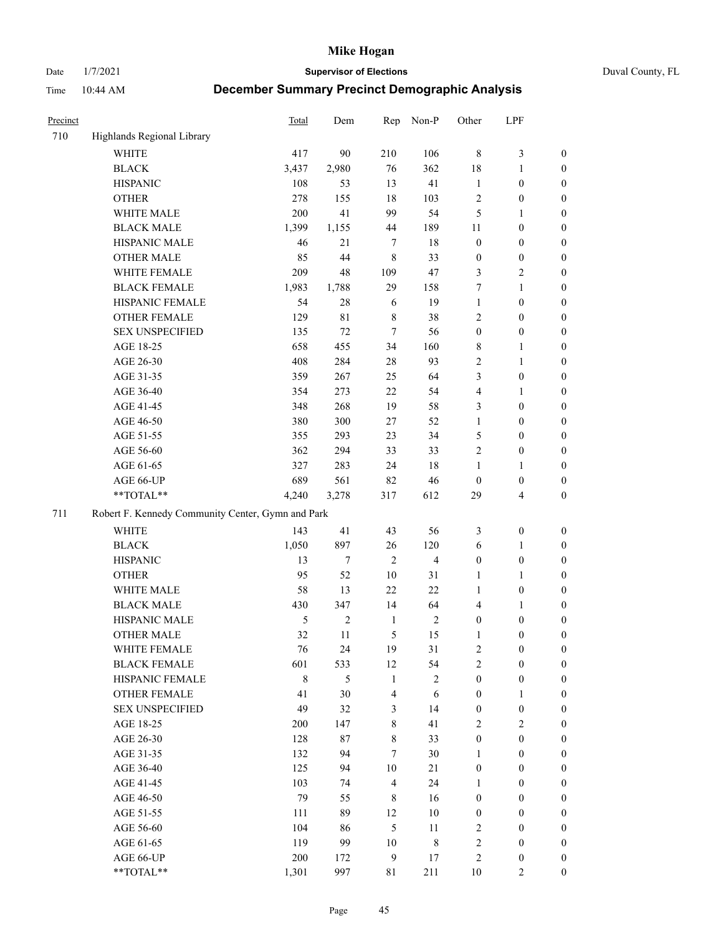Date 1/7/2021 **Supervisor of Elections** Duval County, FL

| Precinct |                                                   | <b>Total</b> | Dem            | Rep                     | Non-P                   | Other            | LPF                     |                  |
|----------|---------------------------------------------------|--------------|----------------|-------------------------|-------------------------|------------------|-------------------------|------------------|
| 710      | Highlands Regional Library                        |              |                |                         |                         |                  |                         |                  |
|          | <b>WHITE</b>                                      | 417          | 90             | 210                     | 106                     | $\,8\,$          | $\mathfrak{Z}$          | 0                |
|          | <b>BLACK</b>                                      | 3,437        | 2,980          | 76                      | 362                     | 18               | $\mathbf{1}$            | 0                |
|          | <b>HISPANIC</b>                                   | 108          | 53             | 13                      | 41                      | $\mathbf{1}$     | $\boldsymbol{0}$        | $\boldsymbol{0}$ |
|          | <b>OTHER</b>                                      | 278          | 155            | 18                      | 103                     | $\overline{c}$   | $\boldsymbol{0}$        | $\boldsymbol{0}$ |
|          | WHITE MALE                                        | 200          | 41             | 99                      | 54                      | 5                | $\mathbf{1}$            | $\boldsymbol{0}$ |
|          | <b>BLACK MALE</b>                                 | 1,399        | 1,155          | 44                      | 189                     | 11               | $\boldsymbol{0}$        | $\boldsymbol{0}$ |
|          | HISPANIC MALE                                     | 46           | 21             | $\tau$                  | 18                      | $\boldsymbol{0}$ | $\boldsymbol{0}$        | $\boldsymbol{0}$ |
|          | <b>OTHER MALE</b>                                 | 85           | 44             | $\,8\,$                 | 33                      | $\boldsymbol{0}$ | $\boldsymbol{0}$        | $\boldsymbol{0}$ |
|          | WHITE FEMALE                                      | 209          | 48             | 109                     | 47                      | 3                | $\mathbf{2}$            | $\boldsymbol{0}$ |
|          | <b>BLACK FEMALE</b>                               | 1,983        | 1,788          | 29                      | 158                     | 7                | $\mathbf{1}$            | $\boldsymbol{0}$ |
|          | HISPANIC FEMALE                                   | 54           | 28             | 6                       | 19                      | $\mathbf{1}$     | $\boldsymbol{0}$        | 0                |
|          | <b>OTHER FEMALE</b>                               | 129          | 81             | $\,$ 8 $\,$             | 38                      | $\mathbf{2}$     | $\boldsymbol{0}$        | 0                |
|          | <b>SEX UNSPECIFIED</b>                            | 135          | 72             | $\tau$                  | 56                      | $\boldsymbol{0}$ | $\boldsymbol{0}$        | $\boldsymbol{0}$ |
|          | AGE 18-25                                         | 658          | 455            | 34                      | 160                     | 8                | $\mathbf{1}$            | $\boldsymbol{0}$ |
|          | AGE 26-30                                         | 408          | 284            | 28                      | 93                      | $\overline{c}$   | $\mathbf{1}$            | $\boldsymbol{0}$ |
|          | AGE 31-35                                         | 359          | 267            | 25                      | 64                      | 3                | $\boldsymbol{0}$        | $\boldsymbol{0}$ |
|          | AGE 36-40                                         | 354          | 273            | 22                      | 54                      | 4                | $\mathbf{1}$            | $\boldsymbol{0}$ |
|          | AGE 41-45                                         | 348          | 268            | 19                      | 58                      | 3                | $\boldsymbol{0}$        | $\boldsymbol{0}$ |
|          | AGE 46-50                                         | 380          | 300            | 27                      | 52                      | $\mathbf{1}$     | $\boldsymbol{0}$        | $\boldsymbol{0}$ |
|          | AGE 51-55                                         | 355          | 293            | 23                      | 34                      | 5                | $\boldsymbol{0}$        | $\boldsymbol{0}$ |
|          | AGE 56-60                                         | 362          | 294            | 33                      | 33                      | $\overline{c}$   | $\boldsymbol{0}$        | 0                |
|          | AGE 61-65                                         | 327          | 283            | 24                      | $18\,$                  | 1                | $\mathbf{1}$            | 0                |
|          | AGE 66-UP                                         | 689          | 561            | 82                      | 46                      | $\boldsymbol{0}$ | $\boldsymbol{0}$        | $\boldsymbol{0}$ |
|          | $**TOTAL**$                                       | 4,240        | 3,278          | 317                     | 612                     | 29               | $\overline{\mathbf{4}}$ | $\boldsymbol{0}$ |
| 711      | Robert F. Kennedy Community Center, Gymn and Park |              |                |                         |                         |                  |                         |                  |
|          | WHITE                                             | 143          | 41             | 43                      | 56                      | 3                | $\boldsymbol{0}$        | $\boldsymbol{0}$ |
|          | <b>BLACK</b>                                      | 1,050        | 897            | 26                      | 120                     | 6                | $\mathbf{1}$            | $\boldsymbol{0}$ |
|          | <b>HISPANIC</b>                                   | 13           | $\tau$         | $\overline{2}$          | $\overline{\mathbf{4}}$ | $\boldsymbol{0}$ | $\boldsymbol{0}$        | $\boldsymbol{0}$ |
|          | <b>OTHER</b>                                      | 95           | 52             | 10                      | 31                      | $\mathbf{1}$     | $\mathbf{1}$            | $\boldsymbol{0}$ |
|          | WHITE MALE                                        | 58           | 13             | 22                      | 22                      | $\mathbf{1}$     | $\boldsymbol{0}$        | $\boldsymbol{0}$ |
|          | <b>BLACK MALE</b>                                 | 430          | 347            | 14                      | 64                      | 4                | $\mathbf{1}$            | $\boldsymbol{0}$ |
|          | HISPANIC MALE                                     | 5            | $\overline{c}$ | $\mathbf{1}$            | $\sqrt{2}$              | $\boldsymbol{0}$ | $\boldsymbol{0}$        | $\boldsymbol{0}$ |
|          | <b>OTHER MALE</b>                                 | 32           | 11             | 5                       | 15                      | 1                | $\boldsymbol{0}$        | $\boldsymbol{0}$ |
|          | WHITE FEMALE                                      | 76           | 24             | 19                      | 31                      | 2                | $\boldsymbol{0}$        | 0                |
|          | <b>BLACK FEMALE</b>                               | 601          | 533            | 12                      | 54                      | $\sqrt{2}$       | $\boldsymbol{0}$        | $\overline{0}$   |
|          | HISPANIC FEMALE                                   | $\,$ 8 $\,$  | 5              | $\mathbf{1}$            | $\sqrt{2}$              | $\boldsymbol{0}$ | $\boldsymbol{0}$        | $\overline{0}$   |
|          | OTHER FEMALE                                      | 41           | 30             | $\overline{\mathbf{4}}$ | 6                       | $\boldsymbol{0}$ | $\mathbf{1}$            | $\overline{0}$   |
|          | <b>SEX UNSPECIFIED</b>                            | 49           | 32             | $\mathfrak{Z}$          | 14                      | $\boldsymbol{0}$ | $\boldsymbol{0}$        | $\overline{0}$   |
|          | AGE 18-25                                         | 200          | 147            | $\,8\,$                 | 41                      | $\mathbf{2}$     | $\sqrt{2}$              | $\overline{0}$   |
|          | AGE 26-30                                         | 128          | 87             | $8\,$                   | 33                      | $\boldsymbol{0}$ | $\boldsymbol{0}$        | $\overline{0}$   |
|          | AGE 31-35                                         | 132          | 94             | $\tau$                  | 30                      | $\mathbf{1}$     | $\boldsymbol{0}$        | 0                |
|          | AGE 36-40                                         | 125          | 94             | $10\,$                  | 21                      | $\boldsymbol{0}$ | $\boldsymbol{0}$        | 0                |
|          | AGE 41-45                                         | 103          | 74             | $\overline{4}$          | 24                      | $\mathbf{1}$     | $\boldsymbol{0}$        | 0                |
|          | AGE 46-50                                         | 79           | 55             | 8                       | 16                      | $\boldsymbol{0}$ | $\boldsymbol{0}$        | 0                |
|          | AGE 51-55                                         | 111          | 89             | 12                      | 10                      | $\boldsymbol{0}$ | $\boldsymbol{0}$        | $\boldsymbol{0}$ |
|          | AGE 56-60                                         | 104          | 86             | 5                       | 11                      | $\overline{c}$   | $\boldsymbol{0}$        | $\boldsymbol{0}$ |
|          | AGE 61-65                                         | 119          | 99             | 10                      | $\,$ 8 $\,$             | $\overline{c}$   | $\boldsymbol{0}$        | $\boldsymbol{0}$ |
|          | AGE 66-UP                                         | 200          | 172            | $\boldsymbol{9}$        | 17                      | $\overline{c}$   | $\boldsymbol{0}$        | $\boldsymbol{0}$ |
|          | **TOTAL**                                         | 1,301        | 997            | 81                      | 211                     | $10\,$           | $\mathbf{2}$            | $\boldsymbol{0}$ |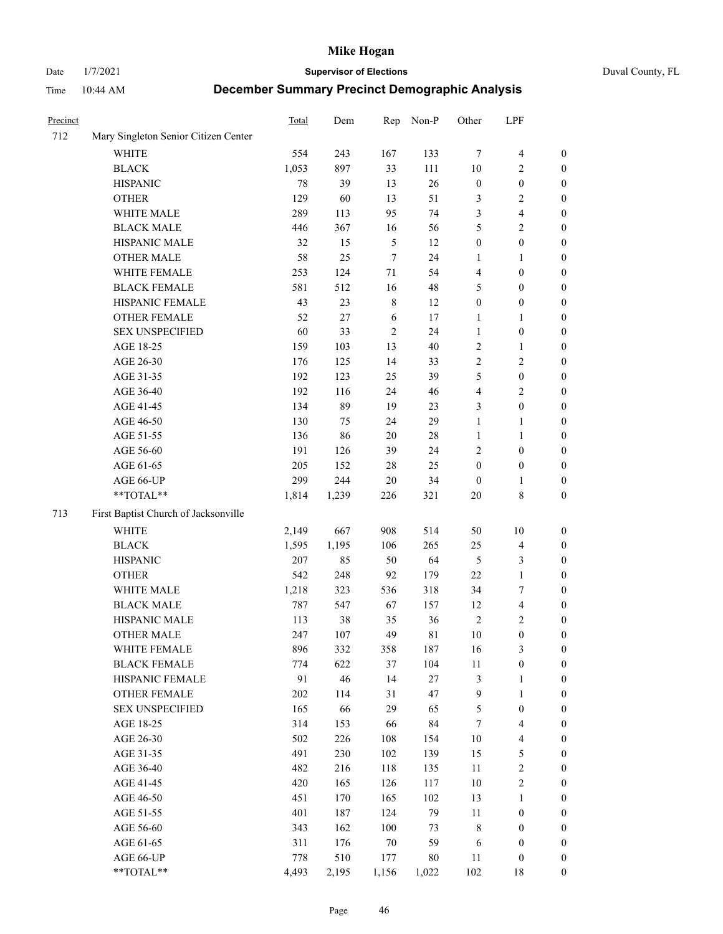Date 1/7/2021 **Supervisor of Elections** Duval County, FL

| Precinct |                                      | Total  | Dem    | Rep           | Non-P  | Other            | LPF                     |                  |
|----------|--------------------------------------|--------|--------|---------------|--------|------------------|-------------------------|------------------|
| 712      | Mary Singleton Senior Citizen Center |        |        |               |        |                  |                         |                  |
|          | WHITE                                | 554    | 243    | 167           | 133    | $\tau$           | $\overline{\mathbf{4}}$ | 0                |
|          | <b>BLACK</b>                         | 1,053  | 897    | 33            | 111    | 10               | $\overline{c}$          | 0                |
|          | <b>HISPANIC</b>                      | $78\,$ | 39     | 13            | 26     | $\boldsymbol{0}$ | $\boldsymbol{0}$        | $\boldsymbol{0}$ |
|          | <b>OTHER</b>                         | 129    | 60     | 13            | 51     | 3                | $\sqrt{2}$              | $\boldsymbol{0}$ |
|          | WHITE MALE                           | 289    | 113    | 95            | 74     | 3                | $\overline{\mathbf{4}}$ | $\boldsymbol{0}$ |
|          | <b>BLACK MALE</b>                    | 446    | 367    | 16            | 56     | 5                | $\sqrt{2}$              | $\boldsymbol{0}$ |
|          | HISPANIC MALE                        | 32     | 15     | $\mathfrak s$ | 12     | $\boldsymbol{0}$ | $\boldsymbol{0}$        | $\boldsymbol{0}$ |
|          | <b>OTHER MALE</b>                    | 58     | 25     | $\tau$        | 24     | $\mathbf{1}$     | $\mathbf{1}$            | $\boldsymbol{0}$ |
|          | WHITE FEMALE                         | 253    | 124    | $71\,$        | 54     | 4                | $\boldsymbol{0}$        | $\boldsymbol{0}$ |
|          | <b>BLACK FEMALE</b>                  | 581    | 512    | 16            | 48     | 5                | $\boldsymbol{0}$        | 0                |
|          | HISPANIC FEMALE                      | 43     | 23     | $\,$ 8 $\,$   | 12     | $\boldsymbol{0}$ | $\boldsymbol{0}$        | 0                |
|          | OTHER FEMALE                         | 52     | $27\,$ | 6             | 17     | 1                | $\mathbf{1}$            | 0                |
|          | <b>SEX UNSPECIFIED</b>               | 60     | 33     | $\sqrt{2}$    | 24     | $\mathbf{1}$     | $\boldsymbol{0}$        | $\boldsymbol{0}$ |
|          | AGE 18-25                            | 159    | 103    | 13            | 40     | $\sqrt{2}$       | $\mathbf{1}$            | $\boldsymbol{0}$ |
|          | AGE 26-30                            | 176    | 125    | 14            | 33     | $\overline{c}$   | $\sqrt{2}$              | $\boldsymbol{0}$ |
|          | AGE 31-35                            | 192    | 123    | 25            | 39     | 5                | $\boldsymbol{0}$        | $\boldsymbol{0}$ |
|          | AGE 36-40                            | 192    | 116    | 24            | 46     | 4                | $\sqrt{2}$              | $\boldsymbol{0}$ |
|          | AGE 41-45                            | 134    | 89     | 19            | 23     | 3                | $\boldsymbol{0}$        | $\boldsymbol{0}$ |
|          | AGE 46-50                            | 130    | 75     | 24            | 29     | $\mathbf{1}$     | $\mathbf{1}$            | $\boldsymbol{0}$ |
|          | AGE 51-55                            | 136    | 86     | 20            | $28\,$ | 1                | $\mathbf{1}$            | 0                |
|          | AGE 56-60                            | 191    | 126    | 39            | 24     | $\overline{2}$   | $\boldsymbol{0}$        | 0                |
|          | AGE 61-65                            | 205    | 152    | 28            | 25     | $\boldsymbol{0}$ | $\boldsymbol{0}$        | 0                |
|          | AGE 66-UP                            | 299    | 244    | $20\,$        | 34     | $\boldsymbol{0}$ | $\mathbf{1}$            | 0                |
|          | **TOTAL**                            | 1,814  | 1,239  | 226           | 321    | $20\,$           | 8                       | $\boldsymbol{0}$ |
| 713      | First Baptist Church of Jacksonville |        |        |               |        |                  |                         |                  |
|          | <b>WHITE</b>                         | 2,149  | 667    | 908           | 514    | 50               | 10                      | $\boldsymbol{0}$ |
|          | <b>BLACK</b>                         | 1,595  | 1,195  | 106           | 265    | 25               | $\overline{\mathbf{4}}$ | $\boldsymbol{0}$ |
|          | <b>HISPANIC</b>                      | 207    | 85     | 50            | 64     | $\mathfrak{S}$   | $\mathfrak{Z}$          | $\boldsymbol{0}$ |
|          | <b>OTHER</b>                         | 542    | 248    | 92            | 179    | 22               | $\mathbf{1}$            | $\boldsymbol{0}$ |
|          | WHITE MALE                           | 1,218  | 323    | 536           | 318    | 34               | $\boldsymbol{7}$        | $\boldsymbol{0}$ |
|          | <b>BLACK MALE</b>                    | 787    | 547    | 67            | 157    | 12               | $\overline{\mathbf{4}}$ | $\boldsymbol{0}$ |
|          | HISPANIC MALE                        | 113    | $38\,$ | 35            | 36     | $\sqrt{2}$       | $\sqrt{2}$              | $\boldsymbol{0}$ |
|          | <b>OTHER MALE</b>                    | 247    | 107    | 49            | 81     | 10               | $\boldsymbol{0}$        | 0                |
|          | WHITE FEMALE                         | 896    | 332    | 358           | 187    | 16               | 3                       | 0                |
|          | <b>BLACK FEMALE</b>                  | 774    | 622    | 37            | 104    | 11               | $\boldsymbol{0}$        | $\boldsymbol{0}$ |
|          | HISPANIC FEMALE                      | 91     | 46     | 14            | 27     | 3                | $\mathbf{1}$            | $\overline{0}$   |
|          | OTHER FEMALE                         | 202    | 114    | 31            | 47     | 9                | $\mathbf{1}$            | $\overline{0}$   |
|          | <b>SEX UNSPECIFIED</b>               | 165    | 66     | 29            | 65     | 5                | $\boldsymbol{0}$        | 0                |
|          | AGE 18-25                            | 314    | 153    | 66            | 84     | 7                | $\overline{\mathbf{4}}$ | 0                |
|          | AGE 26-30                            | 502    | 226    | 108           | 154    | $10\,$           | $\overline{\mathbf{4}}$ | 0                |
|          | AGE 31-35                            | 491    | 230    | 102           | 139    | 15               | $\mathfrak s$           | 0                |
|          | AGE 36-40                            | 482    | 216    | 118           | 135    | $11\,$           | $\sqrt{2}$              | 0                |
|          | AGE 41-45                            | 420    | 165    | 126           | 117    | 10               | $\sqrt{2}$              | 0                |
|          | AGE 46-50                            | 451    | 170    | 165           | 102    | 13               | $\mathbf{1}$            | 0                |
|          | AGE 51-55                            | 401    | 187    | 124           | 79     | 11               | $\boldsymbol{0}$        | 0                |
|          | AGE 56-60                            | 343    | 162    | 100           | 73     | 8                | $\boldsymbol{0}$        | $\boldsymbol{0}$ |
|          | AGE 61-65                            | 311    | 176    | 70            | 59     | 6                | $\boldsymbol{0}$        | $\boldsymbol{0}$ |
|          | AGE 66-UP                            | 778    | 510    | 177           | 80     | 11               | $\boldsymbol{0}$        | 0                |
|          | **TOTAL**                            | 4,493  | 2,195  | 1,156         | 1,022  | 102              | 18                      | $\boldsymbol{0}$ |
|          |                                      |        |        |               |        |                  |                         |                  |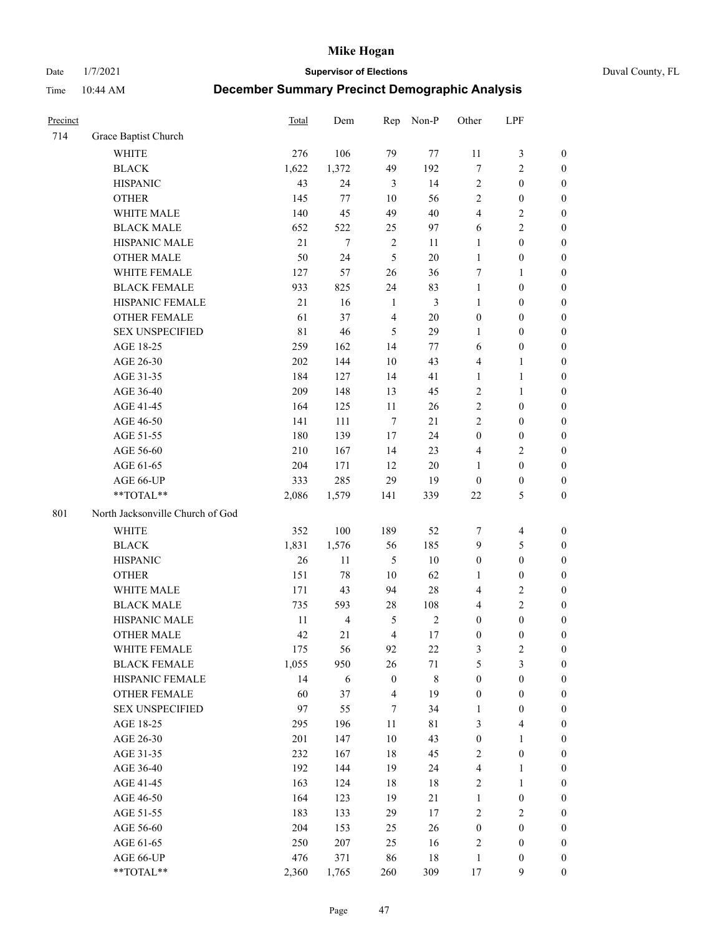Date 1/7/2021 **Supervisor of Elections** Duval County, FL

| Precinct |                                  | <b>Total</b> | Dem                     | Rep                     | Non-P       | Other            | LPF                     |                  |
|----------|----------------------------------|--------------|-------------------------|-------------------------|-------------|------------------|-------------------------|------------------|
| 714      | Grace Baptist Church             |              |                         |                         |             |                  |                         |                  |
|          | <b>WHITE</b>                     | 276          | 106                     | 79                      | $77\,$      | 11               | $\mathfrak z$           | 0                |
|          | <b>BLACK</b>                     | 1,622        | 1,372                   | 49                      | 192         | 7                | $\sqrt{2}$              | $\boldsymbol{0}$ |
|          | <b>HISPANIC</b>                  | 43           | 24                      | 3                       | 14          | 2                | $\boldsymbol{0}$        | $\boldsymbol{0}$ |
|          | <b>OTHER</b>                     | 145          | 77                      | 10                      | 56          | 2                | $\boldsymbol{0}$        | $\boldsymbol{0}$ |
|          | WHITE MALE                       | 140          | 45                      | 49                      | 40          | 4                | $\sqrt{2}$              | $\boldsymbol{0}$ |
|          | <b>BLACK MALE</b>                | 652          | 522                     | 25                      | 97          | 6                | $\sqrt{2}$              | $\boldsymbol{0}$ |
|          | HISPANIC MALE                    | 21           | $\tau$                  | $\sqrt{2}$              | 11          | 1                | $\boldsymbol{0}$        | $\boldsymbol{0}$ |
|          | <b>OTHER MALE</b>                | 50           | 24                      | 5                       | $20\,$      | $\mathbf{1}$     | $\boldsymbol{0}$        | $\boldsymbol{0}$ |
|          | WHITE FEMALE                     | 127          | 57                      | 26                      | 36          | 7                | $\mathbf{1}$            | $\boldsymbol{0}$ |
|          | <b>BLACK FEMALE</b>              | 933          | 825                     | 24                      | 83          | $\mathbf{1}$     | $\boldsymbol{0}$        | 0                |
|          | HISPANIC FEMALE                  | 21           | 16                      | $\mathbf{1}$            | 3           | $\mathbf{1}$     | $\boldsymbol{0}$        | 0                |
|          | <b>OTHER FEMALE</b>              | 61           | 37                      | $\overline{4}$          | $20\,$      | $\boldsymbol{0}$ | $\boldsymbol{0}$        | $\boldsymbol{0}$ |
|          | <b>SEX UNSPECIFIED</b>           | 81           | 46                      | 5                       | 29          | $\mathbf{1}$     | $\boldsymbol{0}$        | $\boldsymbol{0}$ |
|          | AGE 18-25                        | 259          | 162                     | 14                      | 77          | 6                | $\boldsymbol{0}$        | $\boldsymbol{0}$ |
|          | AGE 26-30                        | 202          | 144                     | 10                      | 43          | 4                | $\mathbf{1}$            | $\boldsymbol{0}$ |
|          | AGE 31-35                        | 184          | 127                     | 14                      | 41          | $\mathbf{1}$     | $\mathbf{1}$            | $\boldsymbol{0}$ |
|          | AGE 36-40                        | 209          | 148                     | 13                      | 45          | $\overline{c}$   | $\mathbf{1}$            | $\boldsymbol{0}$ |
|          | AGE 41-45                        | 164          | 125                     | $11\,$                  | 26          | $\overline{2}$   | $\boldsymbol{0}$        | $\boldsymbol{0}$ |
|          | AGE 46-50                        | 141          | 111                     | $\tau$                  | 21          | $\overline{2}$   | $\boldsymbol{0}$        | $\boldsymbol{0}$ |
|          | AGE 51-55                        | 180          | 139                     | 17                      | 24          | $\boldsymbol{0}$ | $\boldsymbol{0}$        | $\boldsymbol{0}$ |
|          | AGE 56-60                        | 210          | 167                     | 14                      | 23          | 4                | $\sqrt{2}$              | 0                |
|          | AGE 61-65                        | 204          | 171                     | 12                      | 20          | 1                | $\boldsymbol{0}$        | 0                |
|          | AGE 66-UP                        | 333          | 285                     | 29                      | 19          | $\boldsymbol{0}$ | $\boldsymbol{0}$        | $\boldsymbol{0}$ |
|          | **TOTAL**                        | 2,086        | 1,579                   | 141                     | 339         | $22\,$           | $\mathfrak s$           | $\boldsymbol{0}$ |
| 801      | North Jacksonville Church of God |              |                         |                         |             |                  |                         |                  |
|          | <b>WHITE</b>                     | 352          | 100                     | 189                     | 52          | 7                | $\overline{\mathbf{4}}$ | $\boldsymbol{0}$ |
|          | <b>BLACK</b>                     | 1,831        | 1,576                   | 56                      | 185         | 9                | $\mathfrak s$           | $\boldsymbol{0}$ |
|          | <b>HISPANIC</b>                  | 26           | 11                      | $\mathfrak{S}$          | $10\,$      | $\boldsymbol{0}$ | $\boldsymbol{0}$        | $\boldsymbol{0}$ |
|          | <b>OTHER</b>                     | 151          | $78\,$                  | $10\,$                  | 62          | 1                | $\boldsymbol{0}$        | $\boldsymbol{0}$ |
|          | WHITE MALE                       | 171          | 43                      | 94                      | $28\,$      | 4                | $\sqrt{2}$              | $\boldsymbol{0}$ |
|          | <b>BLACK MALE</b>                | 735          | 593                     | 28                      | 108         | 4                | $\overline{c}$          | $\boldsymbol{0}$ |
|          | HISPANIC MALE                    | 11           | $\overline{\mathbf{4}}$ | 5                       | $\sqrt{2}$  | $\boldsymbol{0}$ | $\boldsymbol{0}$        | $\boldsymbol{0}$ |
|          | <b>OTHER MALE</b>                | 42           | 21                      | $\overline{4}$          | 17          | $\boldsymbol{0}$ | $\boldsymbol{0}$        | $\boldsymbol{0}$ |
|          | WHITE FEMALE                     | 175          | 56                      | 92                      | 22          | 3                | $\overline{c}$          | 0                |
|          | <b>BLACK FEMALE</b>              | 1,055        | 950                     | 26                      | 71          | 5                | $\mathfrak{Z}$          | $\boldsymbol{0}$ |
|          | HISPANIC FEMALE                  | 14           | 6                       | $\boldsymbol{0}$        | 8           | $\boldsymbol{0}$ | $\boldsymbol{0}$        | $\overline{0}$   |
|          | OTHER FEMALE                     | 60           | 37                      | $\overline{\mathbf{4}}$ | 19          | $\boldsymbol{0}$ | $\boldsymbol{0}$        | $\overline{0}$   |
|          | <b>SEX UNSPECIFIED</b>           | 97           | 55                      | 7                       | 34          | $\mathbf{1}$     | $\boldsymbol{0}$        | 0                |
|          | AGE 18-25                        | 295          | 196                     | $11\,$                  | $8\sqrt{1}$ | 3                | $\overline{4}$          | 0                |
|          | AGE 26-30                        | 201          | 147                     | $10\,$                  | 43          | $\boldsymbol{0}$ | $\mathbf{1}$            | 0                |
|          | AGE 31-35                        | 232          | 167                     | 18                      | 45          | 2                | $\boldsymbol{0}$        | 0                |
|          | AGE 36-40                        | 192          | 144                     | 19                      | 24          | 4                | 1                       | 0                |
|          | AGE 41-45                        | 163          | 124                     | 18                      | 18          | 2                | $\mathbf{1}$            | 0                |
|          | AGE 46-50                        | 164          | 123                     | 19                      | 21          | $\mathbf{1}$     | $\boldsymbol{0}$        | 0                |
|          | AGE 51-55                        | 183          | 133                     | 29                      | 17          | 2                | $\overline{c}$          | 0                |
|          | AGE 56-60                        | 204          | 153                     | 25                      | 26          | $\boldsymbol{0}$ | $\boldsymbol{0}$        | 0                |
|          | AGE 61-65                        | 250          | 207                     | 25                      | 16          | 2                | $\boldsymbol{0}$        | 0                |
|          | AGE 66-UP                        | 476          | 371                     | 86                      | $18\,$      | $\mathbf{1}$     | $\boldsymbol{0}$        | 0                |
|          | **TOTAL**                        | 2,360        | 1,765                   | 260                     | 309         | 17               | 9                       | $\boldsymbol{0}$ |
|          |                                  |              |                         |                         |             |                  |                         |                  |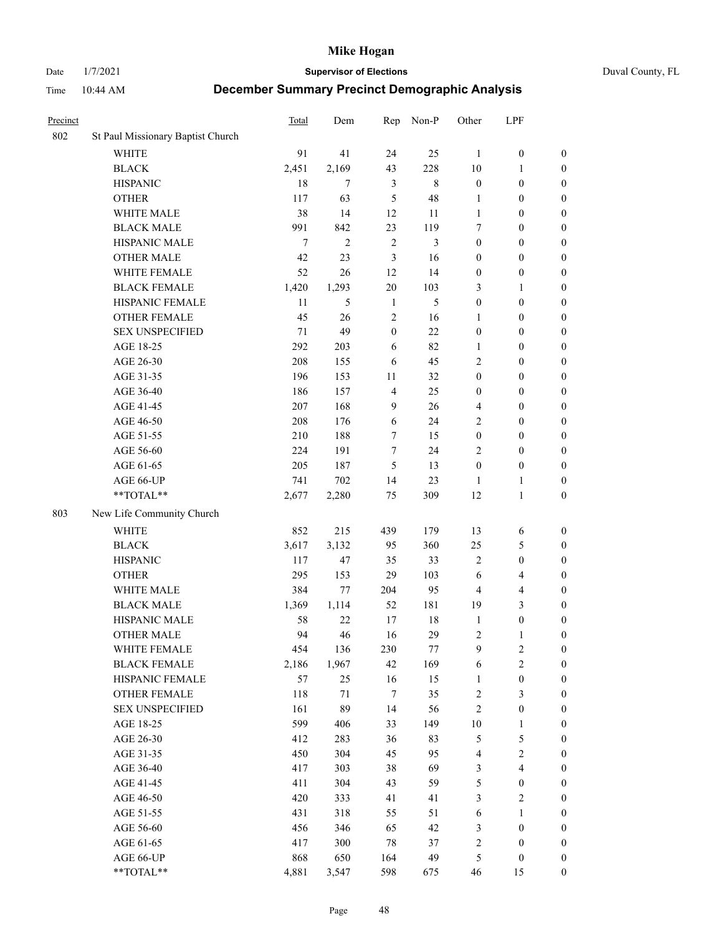Date 1/7/2021 **Supervisor of Elections** Duval County, FL

| Precinct |                                   | <b>Total</b> | Dem            | Rep              | Non-P       | Other            | LPF                     |                  |
|----------|-----------------------------------|--------------|----------------|------------------|-------------|------------------|-------------------------|------------------|
| 802      | St Paul Missionary Baptist Church |              |                |                  |             |                  |                         |                  |
|          | <b>WHITE</b>                      | 91           | 41             | 24               | 25          | 1                | $\boldsymbol{0}$        | 0                |
|          | $\operatorname{BLACK}$            | 2,451        | 2,169          | 43               | 228         | 10               | $\mathbf{1}$            | $\boldsymbol{0}$ |
|          | <b>HISPANIC</b>                   | 18           | $\tau$         | 3                | $\,$ 8 $\,$ | $\boldsymbol{0}$ | $\boldsymbol{0}$        | $\boldsymbol{0}$ |
|          | <b>OTHER</b>                      | 117          | 63             | 5                | 48          | 1                | $\boldsymbol{0}$        | $\boldsymbol{0}$ |
|          | WHITE MALE                        | 38           | 14             | 12               | 11          | $\mathbf{1}$     | $\boldsymbol{0}$        | $\boldsymbol{0}$ |
|          | <b>BLACK MALE</b>                 | 991          | 842            | 23               | 119         | 7                | $\boldsymbol{0}$        | $\boldsymbol{0}$ |
|          | HISPANIC MALE                     | $\tau$       | $\overline{2}$ | $\sqrt{2}$       | 3           | $\boldsymbol{0}$ | $\boldsymbol{0}$        | $\boldsymbol{0}$ |
|          | <b>OTHER MALE</b>                 | 42           | 23             | 3                | 16          | $\boldsymbol{0}$ | $\boldsymbol{0}$        | $\boldsymbol{0}$ |
|          | WHITE FEMALE                      | 52           | 26             | 12               | 14          | $\boldsymbol{0}$ | $\boldsymbol{0}$        | $\boldsymbol{0}$ |
|          | <b>BLACK FEMALE</b>               | 1,420        | 1,293          | 20               | 103         | 3                | $\mathbf{1}$            | $\boldsymbol{0}$ |
|          | HISPANIC FEMALE                   | 11           | 5              | $\mathbf{1}$     | 5           | $\boldsymbol{0}$ | $\boldsymbol{0}$        | 0                |
|          | <b>OTHER FEMALE</b>               | 45           | 26             | $\mathfrak{2}$   | 16          | 1                | $\boldsymbol{0}$        | $\boldsymbol{0}$ |
|          | <b>SEX UNSPECIFIED</b>            | 71           | 49             | $\boldsymbol{0}$ | 22          | $\boldsymbol{0}$ | $\boldsymbol{0}$        | $\boldsymbol{0}$ |
|          | AGE 18-25                         | 292          | 203            | 6                | 82          | 1                | $\boldsymbol{0}$        | $\boldsymbol{0}$ |
|          | AGE 26-30                         | 208          | 155            | 6                | 45          | 2                | $\boldsymbol{0}$        | $\boldsymbol{0}$ |
|          | AGE 31-35                         | 196          | 153            | 11               | 32          | $\boldsymbol{0}$ | $\boldsymbol{0}$        | $\boldsymbol{0}$ |
|          | AGE 36-40                         | 186          | 157            | $\overline{4}$   | 25          | $\boldsymbol{0}$ | $\boldsymbol{0}$        | $\boldsymbol{0}$ |
|          | AGE 41-45                         | 207          | 168            | 9                | 26          | $\overline{4}$   | $\boldsymbol{0}$        | $\boldsymbol{0}$ |
|          | AGE 46-50                         | 208          | 176            | 6                | 24          | 2                | $\boldsymbol{0}$        | $\boldsymbol{0}$ |
|          | AGE 51-55                         | 210          | 188            | 7                | 15          | $\boldsymbol{0}$ | $\boldsymbol{0}$        | $\boldsymbol{0}$ |
|          | AGE 56-60                         | 224          | 191            | $\tau$           | 24          | $\mathbf{2}$     | $\boldsymbol{0}$        | 0                |
|          | AGE 61-65                         | 205          | 187            | 5                | 13          | $\boldsymbol{0}$ | $\boldsymbol{0}$        | $\boldsymbol{0}$ |
|          | AGE 66-UP                         | 741          | 702            | 14               | 23          | $\mathbf{1}$     | 1                       | $\boldsymbol{0}$ |
|          | **TOTAL**                         | 2,677        | 2,280          | 75               | 309         | 12               | $\mathbf{1}$            | $\boldsymbol{0}$ |
| 803      | New Life Community Church         |              |                |                  |             |                  |                         |                  |
|          | <b>WHITE</b>                      | 852          | 215            | 439              | 179         | 13               | 6                       | $\boldsymbol{0}$ |
|          | <b>BLACK</b>                      | 3,617        | 3,132          | 95               | 360         | 25               | $\mathfrak{S}$          | $\boldsymbol{0}$ |
|          | <b>HISPANIC</b>                   | 117          | 47             | 35               | 33          | 2                | $\boldsymbol{0}$        | $\boldsymbol{0}$ |
|          | <b>OTHER</b>                      | 295          | 153            | 29               | 103         | 6                | $\overline{\mathbf{4}}$ | $\boldsymbol{0}$ |
|          | WHITE MALE                        | 384          | 77             | 204              | 95          | $\overline{4}$   | $\overline{4}$          | $\boldsymbol{0}$ |
|          | <b>BLACK MALE</b>                 | 1,369        | 1,114          | 52               | 181         | 19               | 3                       | $\boldsymbol{0}$ |
|          | HISPANIC MALE                     | 58           | 22             | 17               | $18\,$      | $\mathbf{1}$     | $\boldsymbol{0}$        | $\boldsymbol{0}$ |
|          | <b>OTHER MALE</b>                 | 94           | 46             | 16               | 29          | $\overline{c}$   | $\mathbf{1}$            | $\boldsymbol{0}$ |
|          | WHITE FEMALE                      | 454          | 136            | 230              | 77          | 9                | 2                       | 0                |
|          | <b>BLACK FEMALE</b>               | 2,186        | 1,967          | 42               | 169         | 6                | $\sqrt{2}$              | $\boldsymbol{0}$ |
|          | HISPANIC FEMALE                   | 57           | 25             | 16               | 15          | $\mathbf{1}$     | $\boldsymbol{0}$        | $\overline{0}$   |
|          | OTHER FEMALE                      | 118          | 71             | 7                | 35          | $\boldsymbol{2}$ | $\mathfrak{Z}$          | $\overline{0}$   |
|          | <b>SEX UNSPECIFIED</b>            | 161          | 89             | 14               | 56          | $\overline{c}$   | $\boldsymbol{0}$        | 0                |
|          | AGE 18-25                         | 599          | 406            | 33               | 149         | $10\,$           | $\mathbf{1}$            | 0                |
|          | AGE 26-30                         | 412          | 283            | 36               | 83          | 5                | $\mathfrak s$           | 0                |
|          | AGE 31-35                         | 450          | 304            | 45               | 95          | 4                | $\sqrt{2}$              | 0                |
|          | AGE 36-40                         | 417          | 303            | 38               | 69          | 3                | $\overline{\mathbf{4}}$ | 0                |
|          | AGE 41-45                         | 411          | 304            | 43               | 59          | 5                | $\boldsymbol{0}$        | 0                |
|          | AGE 46-50                         | 420          | 333            | 41               | 41          | 3                | $\sqrt{2}$              | 0                |
|          | AGE 51-55                         | 431          | 318            | 55               | 51          | 6                | $\mathbf{1}$            | $\boldsymbol{0}$ |
|          | AGE 56-60                         | 456          | 346            | 65               | 42          | 3                | $\boldsymbol{0}$        | $\boldsymbol{0}$ |
|          | AGE 61-65                         | 417          | 300            | 78               | 37          | $\overline{c}$   | $\boldsymbol{0}$        | $\boldsymbol{0}$ |
|          | AGE 66-UP                         | 868          | 650            | 164              | 49          | 5                | $\boldsymbol{0}$        | 0                |
|          | **TOTAL**                         | 4,881        | 3,547          | 598              | 675         | 46               | 15                      | $\boldsymbol{0}$ |
|          |                                   |              |                |                  |             |                  |                         |                  |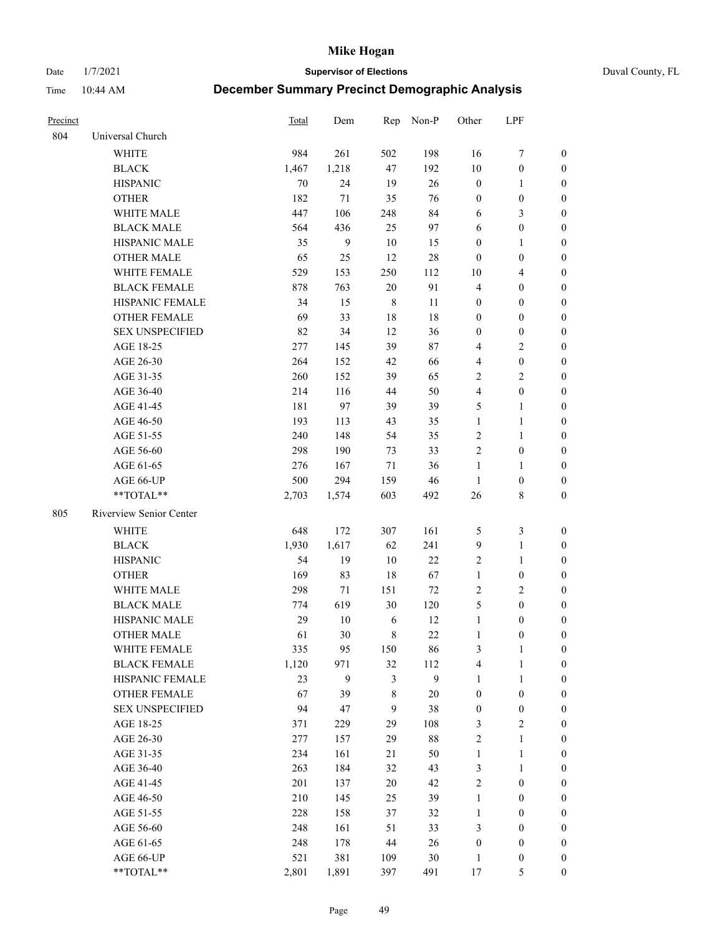Date 1/7/2021 **Supervisor of Elections** Duval County, FL

| Precinct |                         | Total | Dem    |                | Rep Non-P    | Other            | LPF              |                  |
|----------|-------------------------|-------|--------|----------------|--------------|------------------|------------------|------------------|
| 804      | Universal Church        |       |        |                |              |                  |                  |                  |
|          | <b>WHITE</b>            | 984   | 261    | 502            | 198          | 16               | $\boldsymbol{7}$ | 0                |
|          | <b>BLACK</b>            | 1,467 | 1,218  | 47             | 192          | $10\,$           | $\boldsymbol{0}$ | 0                |
|          | <b>HISPANIC</b>         | 70    | 24     | 19             | $26\,$       | $\boldsymbol{0}$ | $\mathbf{1}$     | 0                |
|          | <b>OTHER</b>            | 182   | 71     | 35             | 76           | $\boldsymbol{0}$ | $\boldsymbol{0}$ | $\boldsymbol{0}$ |
|          | WHITE MALE              | 447   | 106    | 248            | 84           | 6                | $\mathfrak{Z}$   | $\boldsymbol{0}$ |
|          | <b>BLACK MALE</b>       | 564   | 436    | 25             | 97           | 6                | $\boldsymbol{0}$ | $\boldsymbol{0}$ |
|          | HISPANIC MALE           | 35    | 9      | 10             | 15           | $\boldsymbol{0}$ | $\mathbf{1}$     | $\boldsymbol{0}$ |
|          | <b>OTHER MALE</b>       | 65    | 25     | 12             | $28\,$       | $\boldsymbol{0}$ | $\boldsymbol{0}$ | $\boldsymbol{0}$ |
|          | WHITE FEMALE            | 529   | 153    | 250            | 112          | 10               | $\overline{4}$   | $\boldsymbol{0}$ |
|          | <b>BLACK FEMALE</b>     | 878   | 763    | $20\,$         | 91           | $\overline{4}$   | $\boldsymbol{0}$ | $\boldsymbol{0}$ |
|          | HISPANIC FEMALE         | 34    | 15     | $\,8\,$        | 11           | 0                | $\boldsymbol{0}$ | 0                |
|          | <b>OTHER FEMALE</b>     | 69    | 33     | 18             | 18           | $\boldsymbol{0}$ | $\boldsymbol{0}$ | 0                |
|          | <b>SEX UNSPECIFIED</b>  | 82    | 34     | 12             | 36           | $\boldsymbol{0}$ | $\boldsymbol{0}$ | $\boldsymbol{0}$ |
|          | AGE 18-25               | 277   | 145    | 39             | $87\,$       | 4                | $\sqrt{2}$       | $\boldsymbol{0}$ |
|          | AGE 26-30               | 264   | 152    | 42             | 66           | 4                | $\boldsymbol{0}$ | $\boldsymbol{0}$ |
|          | AGE 31-35               | 260   | 152    | 39             | 65           | $\overline{c}$   | $\sqrt{2}$       | $\boldsymbol{0}$ |
|          | AGE 36-40               | 214   | 116    | 44             | 50           | 4                | $\boldsymbol{0}$ | $\boldsymbol{0}$ |
|          | AGE 41-45               | 181   | 97     | 39             | 39           | 5                | $\mathbf{1}$     | $\boldsymbol{0}$ |
|          | AGE 46-50               | 193   | 113    | 43             | 35           | $\mathbf{1}$     | $\mathbf{1}$     | $\boldsymbol{0}$ |
|          | AGE 51-55               | 240   | 148    | 54             | 35           | $\sqrt{2}$       | $\mathbf{1}$     | 0                |
|          | AGE 56-60               | 298   | 190    | 73             | 33           | $\mathbf{2}$     | $\boldsymbol{0}$ | 0                |
|          | AGE 61-65               | 276   | 167    | 71             | 36           | 1                | $\mathbf{1}$     | 0                |
|          | AGE 66-UP               | 500   | 294    | 159            | 46           | $\mathbf{1}$     | $\boldsymbol{0}$ | 0                |
|          | **TOTAL**               | 2,703 | 1,574  | 603            | 492          | 26               | $8\,$            | $\boldsymbol{0}$ |
| 805      | Riverview Senior Center |       |        |                |              |                  |                  |                  |
|          | <b>WHITE</b>            | 648   | 172    | 307            | 161          | 5                | $\mathfrak{Z}$   | $\boldsymbol{0}$ |
|          | <b>BLACK</b>            | 1,930 | 1,617  | 62             | 241          | 9                | $\mathbf{1}$     | $\boldsymbol{0}$ |
|          | <b>HISPANIC</b>         | 54    | 19     | 10             | $22\,$       | 2                | $\mathbf{1}$     | $\boldsymbol{0}$ |
|          | <b>OTHER</b>            | 169   | 83     | 18             | 67           | $\mathbf{1}$     | $\boldsymbol{0}$ | $\boldsymbol{0}$ |
|          | WHITE MALE              | 298   | 71     | 151            | 72           | $\mathbf{2}$     | $\overline{2}$   | $\overline{0}$   |
|          | <b>BLACK MALE</b>       | 774   | 619    | 30             | 120          | 5                | $\boldsymbol{0}$ | $\boldsymbol{0}$ |
|          | HISPANIC MALE           | 29    | $10\,$ | 6              | 12           | $\mathbf{1}$     | $\boldsymbol{0}$ | 0                |
|          | <b>OTHER MALE</b>       | 61    | 30     | 8              | $22\,$       | $\mathbf{1}$     | $\boldsymbol{0}$ | 0                |
|          | WHITE FEMALE            | 335   | 95     | 150            | 86           | 3                | 1                | 0                |
|          | <b>BLACK FEMALE</b>     | 1,120 | 971    | 32             | 112          | 4                | $\mathbf{1}$     | $\boldsymbol{0}$ |
|          | HISPANIC FEMALE         | 23    | 9      | 3              | $\mathbf{9}$ | $\mathbf{1}$     | $\mathbf{1}$     | $\overline{0}$   |
|          | OTHER FEMALE            | 67    | 39     | 8              | $20\,$       | $\boldsymbol{0}$ | $\boldsymbol{0}$ | $\overline{0}$   |
|          | <b>SEX UNSPECIFIED</b>  | 94    | 47     | $\overline{9}$ | 38           | $\boldsymbol{0}$ | $\boldsymbol{0}$ | 0                |
|          | AGE 18-25               | 371   | 229    | 29             | 108          | 3                | $\sqrt{2}$       | 0                |
|          | AGE 26-30               | 277   | 157    | 29             | $88\,$       | 2                | $\mathbf{1}$     | 0                |
|          | AGE 31-35               | 234   | 161    | 21             | 50           | $\mathbf{1}$     | $\mathbf{1}$     | 0                |
|          | AGE 36-40               | 263   | 184    | 32             | 43           | 3                | $\mathbf{1}$     | 0                |
|          | AGE 41-45               | 201   | 137    | $20\,$         | 42           | 2                | $\boldsymbol{0}$ | 0                |
|          | AGE 46-50               | 210   | 145    | 25             | 39           | $\mathbf{1}$     | $\boldsymbol{0}$ | 0                |
|          | AGE 51-55               | 228   | 158    | 37             | 32           | $\mathbf{1}$     | $\boldsymbol{0}$ | 0                |
|          | AGE 56-60               | 248   | 161    | 51             | 33           | 3                | $\boldsymbol{0}$ | $\boldsymbol{0}$ |
|          | AGE 61-65               | 248   | 178    | 44             | 26           | $\boldsymbol{0}$ | $\boldsymbol{0}$ | $\boldsymbol{0}$ |
|          | AGE 66-UP               | 521   | 381    | 109            | $30\,$       | $\mathbf{1}$     | $\boldsymbol{0}$ | 0                |
|          | **TOTAL**               | 2,801 | 1,891  | 397            | 491          | 17               | $\mathfrak{S}$   | $\boldsymbol{0}$ |
|          |                         |       |        |                |              |                  |                  |                  |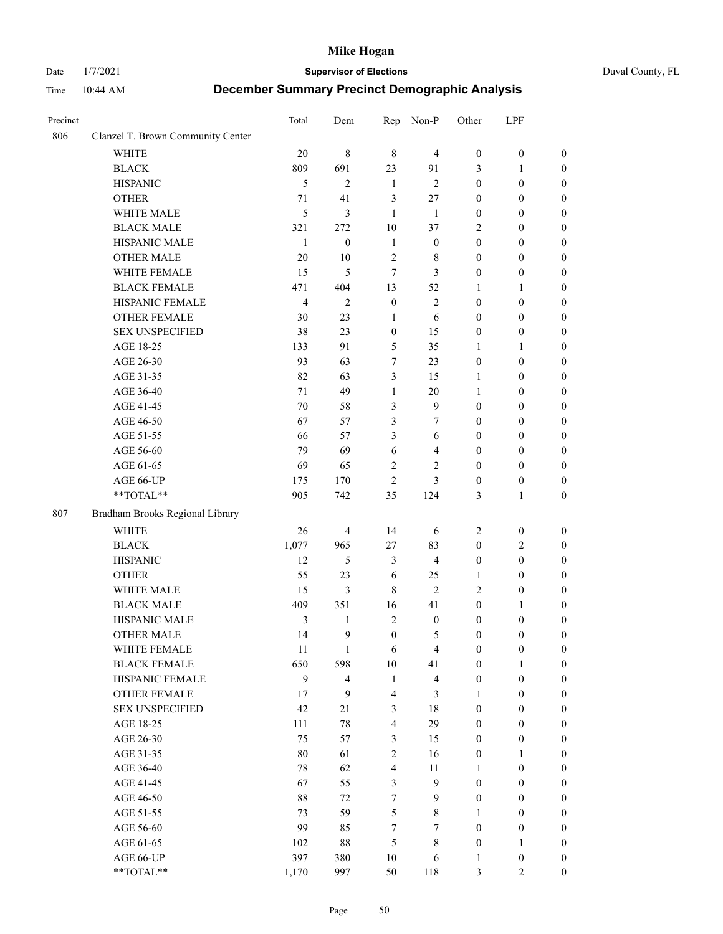#### Date 1/7/2021 **Supervisor of Elections** Duval County, FL

| Precinct |                                   | Total          | Dem                     | Rep                  | Non-P                         | Other                                | LPF                                  |                       |
|----------|-----------------------------------|----------------|-------------------------|----------------------|-------------------------------|--------------------------------------|--------------------------------------|-----------------------|
| 806      | Clanzel T. Brown Community Center |                |                         |                      |                               |                                      |                                      |                       |
|          | <b>WHITE</b>                      | 20             | $\,$ 8 $\,$             | $\,8\,$              | $\overline{4}$                | $\boldsymbol{0}$                     | $\boldsymbol{0}$                     | $\boldsymbol{0}$      |
|          | <b>BLACK</b>                      | 809            | 691                     | 23                   | 91                            | 3                                    | 1                                    | $\boldsymbol{0}$      |
|          | <b>HISPANIC</b>                   | 5              | $\mathbf{2}$            | $\mathbf{1}$         | $\mathbf{2}$                  | $\boldsymbol{0}$                     | $\boldsymbol{0}$                     | $\boldsymbol{0}$      |
|          | <b>OTHER</b>                      | 71             | 41                      | 3                    | 27                            | $\boldsymbol{0}$                     | $\boldsymbol{0}$                     | $\boldsymbol{0}$      |
|          | WHITE MALE                        | 5              | 3                       | $\mathbf{1}$         | 1                             | $\boldsymbol{0}$                     | $\boldsymbol{0}$                     | $\boldsymbol{0}$      |
|          | <b>BLACK MALE</b>                 | 321            | 272                     | 10                   | 37                            | 2                                    | $\boldsymbol{0}$                     | $\boldsymbol{0}$      |
|          | HISPANIC MALE                     | $\mathbf{1}$   | $\boldsymbol{0}$        | $\mathbf{1}$         | $\boldsymbol{0}$              | $\boldsymbol{0}$                     | $\boldsymbol{0}$                     | $\boldsymbol{0}$      |
|          | OTHER MALE                        | 20             | $10\,$                  | $\sqrt{2}$           | 8                             | $\boldsymbol{0}$                     | $\boldsymbol{0}$                     | $\boldsymbol{0}$      |
|          | WHITE FEMALE                      | 15             | 5                       | $\tau$               | 3                             | $\boldsymbol{0}$                     | $\boldsymbol{0}$                     | $\boldsymbol{0}$      |
|          | <b>BLACK FEMALE</b>               | 471            | 404                     | 13                   | 52                            | 1                                    | $\mathbf{1}$                         | 0                     |
|          | HISPANIC FEMALE                   | $\overline{4}$ | $\mathfrak{2}$          | $\boldsymbol{0}$     | $\mathbf{2}$                  | $\boldsymbol{0}$                     | $\boldsymbol{0}$                     | $\boldsymbol{0}$      |
|          | OTHER FEMALE                      | 30             | 23                      | $\mathbf{1}$         | 6                             | $\boldsymbol{0}$                     | $\boldsymbol{0}$                     | $\boldsymbol{0}$      |
|          | <b>SEX UNSPECIFIED</b>            | 38             | 23                      | $\boldsymbol{0}$     | 15                            | $\boldsymbol{0}$                     | $\boldsymbol{0}$                     | $\boldsymbol{0}$      |
|          | AGE 18-25                         | 133            | 91                      | 5                    | 35                            | 1                                    | $\mathbf{1}$                         | $\boldsymbol{0}$      |
|          | AGE 26-30                         | 93             | 63                      | 7                    | 23                            | $\boldsymbol{0}$                     | $\boldsymbol{0}$                     | $\boldsymbol{0}$      |
|          | AGE 31-35                         | 82             | 63                      | 3                    | 15                            | 1                                    | $\boldsymbol{0}$                     | $\boldsymbol{0}$      |
|          | AGE 36-40                         | 71             | 49                      | $\mathbf{1}$         | $20\,$                        | $\mathbf{1}$                         | $\boldsymbol{0}$                     | $\boldsymbol{0}$      |
|          | AGE 41-45                         | 70             | 58                      | 3                    | $\mathbf{9}$                  | $\boldsymbol{0}$                     | $\boldsymbol{0}$                     | $\boldsymbol{0}$      |
|          | AGE 46-50                         | 67             | 57                      | 3                    | 7                             | $\boldsymbol{0}$                     | $\boldsymbol{0}$                     | $\boldsymbol{0}$      |
|          | AGE 51-55                         | 66             | 57                      | 3                    | 6                             | $\boldsymbol{0}$                     | $\boldsymbol{0}$                     | 0                     |
|          | AGE 56-60                         | 79             | 69                      | 6                    | $\overline{4}$                | $\boldsymbol{0}$                     | $\boldsymbol{0}$                     | $\boldsymbol{0}$      |
|          | AGE 61-65                         | 69             | 65                      | $\overline{c}$       | $\mathbf{2}$                  | $\boldsymbol{0}$                     | $\boldsymbol{0}$                     | $\boldsymbol{0}$      |
|          | AGE 66-UP                         | 175            | 170                     | $\overline{2}$       | 3                             | $\boldsymbol{0}$                     | $\boldsymbol{0}$                     | $\boldsymbol{0}$      |
|          | **TOTAL**                         | 905            | 742                     | 35                   | 124                           | 3                                    | $\mathbf{1}$                         | $\boldsymbol{0}$      |
| 807      | Bradham Brooks Regional Library   |                |                         |                      |                               |                                      |                                      |                       |
|          | <b>WHITE</b>                      | 26             | $\overline{\mathbf{4}}$ | 14                   | 6                             | $\overline{c}$                       | $\boldsymbol{0}$                     | $\boldsymbol{0}$      |
|          | <b>BLACK</b>                      | 1,077          | 965                     | 27                   | 83                            | $\boldsymbol{0}$                     | $\mathbf{2}$                         | $\boldsymbol{0}$      |
|          | <b>HISPANIC</b>                   | 12             | 5                       | 3                    | $\overline{4}$                | $\boldsymbol{0}$                     | $\boldsymbol{0}$                     | $\boldsymbol{0}$      |
|          | <b>OTHER</b>                      | 55             | 23                      |                      |                               | $\mathbf{1}$                         | $\boldsymbol{0}$                     | $\boldsymbol{0}$      |
|          | WHITE MALE                        | 15             | 3                       | 6<br>$\,8\,$         | 25<br>$\overline{2}$          | 2                                    |                                      |                       |
|          | <b>BLACK MALE</b>                 | 409            | 351                     |                      | 41                            | $\boldsymbol{0}$                     | $\boldsymbol{0}$                     | $\boldsymbol{0}$      |
|          | HISPANIC MALE                     | 3              | 1                       | 16<br>$\overline{2}$ |                               |                                      | 1                                    | $\boldsymbol{0}$      |
|          | <b>OTHER MALE</b>                 | 14             | 9                       | $\boldsymbol{0}$     | $\boldsymbol{0}$<br>5         | $\boldsymbol{0}$<br>$\boldsymbol{0}$ | $\boldsymbol{0}$<br>$\boldsymbol{0}$ | 0<br>$\boldsymbol{0}$ |
|          | WHITE FEMALE                      | 11             | 1                       | 6                    | $\overline{4}$                | $\boldsymbol{0}$                     | $\boldsymbol{0}$                     | $\boldsymbol{0}$      |
|          | <b>BLACK FEMALE</b>               | 650            | 598                     | 10                   |                               | $\boldsymbol{0}$                     |                                      | $\overline{0}$        |
|          | HISPANIC FEMALE                   | 9              | $\overline{\mathbf{4}}$ | $\mathbf{1}$         | 41<br>$\overline{\mathbf{4}}$ | $\boldsymbol{0}$                     | 1<br>$\boldsymbol{0}$                | $\overline{0}$        |
|          | <b>OTHER FEMALE</b>               | 17             | 9                       | $\overline{4}$       | 3                             | 1                                    | $\boldsymbol{0}$                     | $\overline{0}$        |
|          | <b>SEX UNSPECIFIED</b>            | 42             | 21                      | 3                    | 18                            | $\boldsymbol{0}$                     | $\boldsymbol{0}$                     | $\overline{0}$        |
|          | AGE 18-25                         | 111            | $78\,$                  | $\overline{4}$       | 29                            | $\boldsymbol{0}$                     | $\boldsymbol{0}$                     | $\overline{0}$        |
|          | AGE 26-30                         | 75             | 57                      | $\mathfrak{Z}$       | 15                            | $\boldsymbol{0}$                     | $\boldsymbol{0}$                     | 0                     |
|          | AGE 31-35                         | 80             | 61                      | $\sqrt{2}$           | 16                            | $\boldsymbol{0}$                     | $\mathbf{1}$                         | 0                     |
|          | AGE 36-40                         | 78             | 62                      | $\overline{4}$       | 11                            | $\mathbf{1}$                         | $\boldsymbol{0}$                     | 0                     |
|          | AGE 41-45                         | 67             | 55                      | 3                    | $\mathbf{9}$                  | $\boldsymbol{0}$                     | $\boldsymbol{0}$                     | 0                     |
|          | AGE 46-50                         | 88             | 72                      | 7                    | 9                             | $\boldsymbol{0}$                     | $\boldsymbol{0}$                     | $\overline{0}$        |
|          | AGE 51-55                         | 73             | 59                      | 5                    | 8                             | 1                                    | $\boldsymbol{0}$                     | $\boldsymbol{0}$      |
|          | AGE 56-60                         | 99             | 85                      | 7                    | 7                             | $\boldsymbol{0}$                     | $\boldsymbol{0}$                     | $\boldsymbol{0}$      |
|          | AGE 61-65                         | 102            | $88\,$                  | 5                    | $8\,$                         | $\boldsymbol{0}$                     | $\mathbf{1}$                         | $\overline{0}$        |
|          | AGE 66-UP                         | 397            | 380                     | 10                   | 6                             | $\mathbf{1}$                         | $\boldsymbol{0}$                     | 0                     |
|          | **TOTAL**                         | 1,170          | 997                     | 50                   | 118                           | 3                                    | $\overline{2}$                       | $\boldsymbol{0}$      |
|          |                                   |                |                         |                      |                               |                                      |                                      |                       |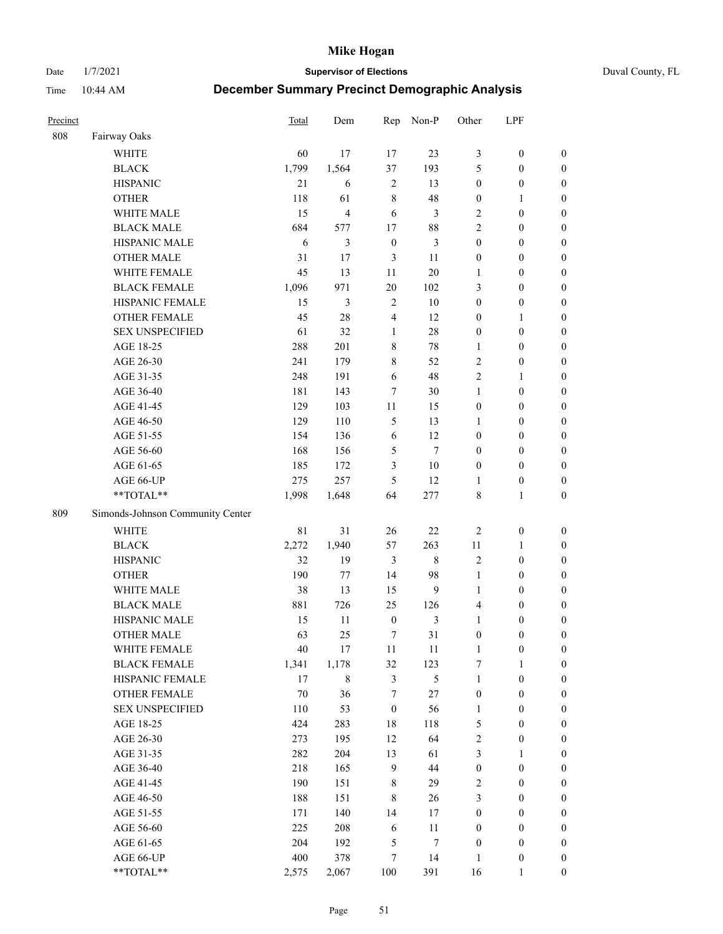Date 1/7/2021 **Supervisor of Elections** Duval County, FL

| Precinct |                                  | Total       | Dem            | Rep              | Non-P         | Other            | LPF              |                  |
|----------|----------------------------------|-------------|----------------|------------------|---------------|------------------|------------------|------------------|
| 808      | Fairway Oaks                     |             |                |                  |               |                  |                  |                  |
|          | <b>WHITE</b>                     | 60          | 17             | 17               | 23            | 3                | $\boldsymbol{0}$ | $\boldsymbol{0}$ |
|          | <b>BLACK</b>                     | 1,799       | 1,564          | 37               | 193           | 5                | $\boldsymbol{0}$ | $\boldsymbol{0}$ |
|          | <b>HISPANIC</b>                  | 21          | 6              | $\sqrt{2}$       | 13            | $\boldsymbol{0}$ | $\boldsymbol{0}$ | $\boldsymbol{0}$ |
|          | <b>OTHER</b>                     | 118         | 61             | $\,$ 8 $\,$      | 48            | $\boldsymbol{0}$ | 1                | $\boldsymbol{0}$ |
|          | WHITE MALE                       | 15          | $\overline{4}$ | 6                | 3             | 2                | $\boldsymbol{0}$ | $\boldsymbol{0}$ |
|          | <b>BLACK MALE</b>                | 684         | 577            | 17               | 88            | 2                | $\boldsymbol{0}$ | $\boldsymbol{0}$ |
|          | HISPANIC MALE                    | 6           | 3              | $\boldsymbol{0}$ | 3             | $\boldsymbol{0}$ | $\boldsymbol{0}$ | $\boldsymbol{0}$ |
|          | <b>OTHER MALE</b>                | 31          | $17\,$         | 3                | 11            | $\boldsymbol{0}$ | $\boldsymbol{0}$ | $\boldsymbol{0}$ |
|          | WHITE FEMALE                     | 45          | 13             | 11               | $20\,$        | $\mathbf{1}$     | $\boldsymbol{0}$ | $\boldsymbol{0}$ |
|          | <b>BLACK FEMALE</b>              | 1,096       | 971            | 20               | 102           | 3                | $\boldsymbol{0}$ | 0                |
|          | HISPANIC FEMALE                  | 15          | 3              | $\overline{2}$   | 10            | $\boldsymbol{0}$ | $\boldsymbol{0}$ | $\boldsymbol{0}$ |
|          | OTHER FEMALE                     | 45          | 28             | $\overline{4}$   | 12            | $\boldsymbol{0}$ | $\mathbf{1}$     | $\boldsymbol{0}$ |
|          | <b>SEX UNSPECIFIED</b>           | 61          | 32             | $\mathbf{1}$     | 28            | $\boldsymbol{0}$ | $\boldsymbol{0}$ | $\boldsymbol{0}$ |
|          | AGE 18-25                        | 288         | 201            | $\,$ $\,$        | $78\,$        | $\mathbf{1}$     | $\boldsymbol{0}$ | $\boldsymbol{0}$ |
|          | AGE 26-30                        | 241         | 179            | $\,$ 8 $\,$      | 52            | $\overline{c}$   | $\boldsymbol{0}$ | $\boldsymbol{0}$ |
|          | AGE 31-35                        | 248         | 191            | 6                | 48            | $\overline{c}$   | $\mathbf{1}$     | $\boldsymbol{0}$ |
|          | AGE 36-40                        | 181         | 143            | 7                | 30            | $\mathbf{1}$     | $\boldsymbol{0}$ | $\boldsymbol{0}$ |
|          | AGE 41-45                        | 129         | 103            | $11\,$           | 15            | $\boldsymbol{0}$ | $\boldsymbol{0}$ | $\boldsymbol{0}$ |
|          | AGE 46-50                        | 129         | 110            | $\mathfrak s$    | 13            | 1                | $\boldsymbol{0}$ | $\boldsymbol{0}$ |
|          | AGE 51-55                        | 154         | 136            | 6                | 12            | $\boldsymbol{0}$ | $\boldsymbol{0}$ | 0                |
|          | AGE 56-60                        | 168         | 156            | $\mathfrak s$    | $\tau$        | $\boldsymbol{0}$ | $\boldsymbol{0}$ | $\boldsymbol{0}$ |
|          | AGE 61-65                        | 185         | 172            | 3                | $10\,$        | $\boldsymbol{0}$ | $\boldsymbol{0}$ | $\boldsymbol{0}$ |
|          | AGE 66-UP                        | 275         | 257            | 5                | 12            | 1                | $\boldsymbol{0}$ | $\boldsymbol{0}$ |
|          | **TOTAL**                        | 1,998       | 1,648          | 64               | 277           | 8                | $\mathbf{1}$     | $\boldsymbol{0}$ |
| 809      | Simonds-Johnson Community Center |             |                |                  |               |                  |                  |                  |
|          |                                  |             |                |                  |               |                  |                  |                  |
|          | <b>WHITE</b>                     | $8\sqrt{1}$ | 31             | 26               | $22\,$        | $\sqrt{2}$       | $\boldsymbol{0}$ | $\boldsymbol{0}$ |
|          | <b>BLACK</b>                     | 2,272       | 1,940          | 57               | 263           | 11               | $\mathbf{1}$     | $\boldsymbol{0}$ |
|          | <b>HISPANIC</b>                  | 32          | 19             | $\mathfrak{Z}$   | $\,$ 8 $\,$   | $\mathfrak{2}$   | $\boldsymbol{0}$ | $\boldsymbol{0}$ |
|          | <b>OTHER</b>                     | 190         | 77             | 14               | 98            | $\mathbf{1}$     | $\boldsymbol{0}$ | $\boldsymbol{0}$ |
|          | WHITE MALE                       | 38          | 13             | 15               | $\mathbf{9}$  | $\mathbf{1}$     | $\boldsymbol{0}$ | $\boldsymbol{0}$ |
|          | <b>BLACK MALE</b>                | 881         | 726            | 25               | 126           | 4                | $\boldsymbol{0}$ | $\boldsymbol{0}$ |
|          | HISPANIC MALE                    | 15          | 11             | $\boldsymbol{0}$ | 3             | $\mathbf{1}$     | $\boldsymbol{0}$ | 0                |
|          | <b>OTHER MALE</b>                | 63          | 25             | $\tau$           | 31            | $\boldsymbol{0}$ | $\boldsymbol{0}$ | $\boldsymbol{0}$ |
|          | WHITE FEMALE                     | 40          | 17             | 11               | 11            | $\mathbf{1}$     | $\boldsymbol{0}$ | $\boldsymbol{0}$ |
|          | <b>BLACK FEMALE</b>              | 1,341       | 1,178          | 32               | 123           | 7                | 1                | $\boldsymbol{0}$ |
|          | HISPANIC FEMALE                  | 17          | 8              | $\mathfrak{Z}$   | $\mathfrak s$ | $\mathbf{1}$     | $\boldsymbol{0}$ | $\overline{0}$   |
|          | <b>OTHER FEMALE</b>              | 70          | 36             | 7                | 27            | $\boldsymbol{0}$ | $\boldsymbol{0}$ | $\overline{0}$   |
|          | <b>SEX UNSPECIFIED</b>           | 110         | 53             | $\boldsymbol{0}$ | 56            | $\mathbf{1}$     | $\boldsymbol{0}$ | $\overline{0}$   |
|          | AGE 18-25                        | 424         | 283            | 18               | 118           | 5                | $\boldsymbol{0}$ | $\theta$         |
|          | AGE 26-30                        | 273         | 195            | 12               | 64            | $\overline{c}$   | $\boldsymbol{0}$ | 0                |
|          | AGE 31-35                        | 282         | 204            | 13               | 61            | 3                | $\mathbf{1}$     | 0                |
|          | AGE 36-40                        | 218         | 165            | $\overline{9}$   | 44            | $\boldsymbol{0}$ | $\boldsymbol{0}$ | 0                |
|          | AGE 41-45                        | 190         | 151            | $\,$ 8 $\,$      | 29            | 2                | $\boldsymbol{0}$ | 0                |
|          | AGE 46-50                        | 188         | 151            | $\,$ 8 $\,$      | 26            | 3                | $\boldsymbol{0}$ | $\overline{0}$   |
|          | AGE 51-55                        | 171         | 140            | 14               | $17\,$        | $\boldsymbol{0}$ | $\boldsymbol{0}$ | $\boldsymbol{0}$ |
|          | AGE 56-60                        | 225         | 208            | 6                | 11            | $\boldsymbol{0}$ | $\boldsymbol{0}$ | $\boldsymbol{0}$ |
|          | AGE 61-65                        | 204         | 192            | 5                | 7             | $\boldsymbol{0}$ | $\boldsymbol{0}$ | $\overline{0}$   |
|          | AGE 66-UP                        | 400         | 378            | 7                | 14            | $\mathbf{1}$     | $\boldsymbol{0}$ | 0                |
|          | **TOTAL**                        | 2,575       | 2,067          | 100              | 391           | 16               | $\mathbf{1}$     | $\boldsymbol{0}$ |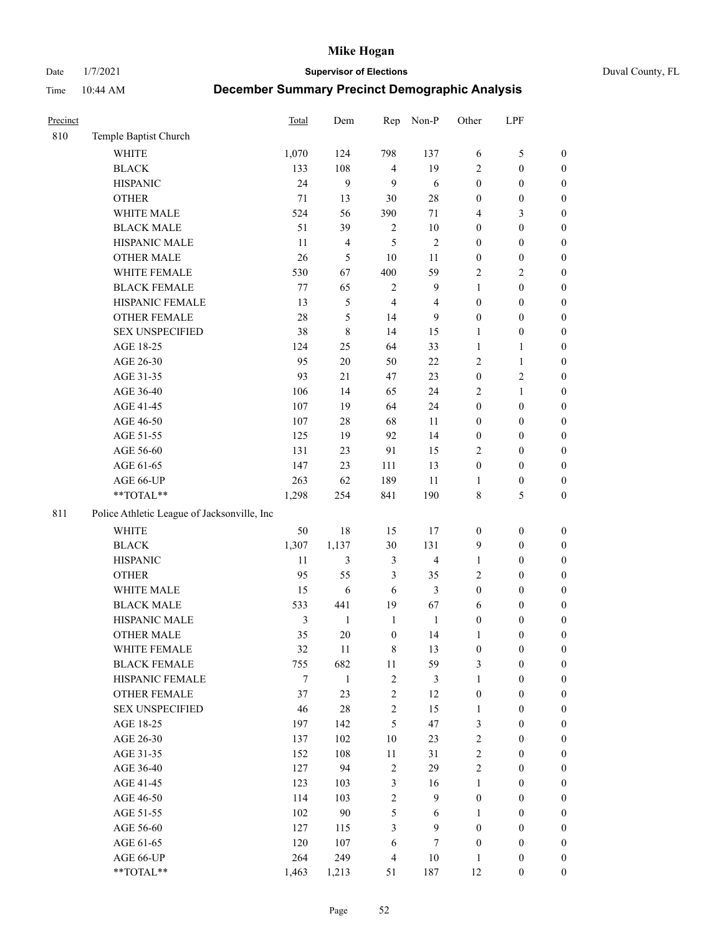Date 1/7/2021 **Supervisor of Elections** Duval County, FL

| Precinct |                                             | Total | Dem                     | Rep              | Non-P          | Other            | LPF              |                  |
|----------|---------------------------------------------|-------|-------------------------|------------------|----------------|------------------|------------------|------------------|
| 810      | Temple Baptist Church                       |       |                         |                  |                |                  |                  |                  |
|          | <b>WHITE</b>                                | 1,070 | 124                     | 798              | 137            | 6                | $\mathfrak{S}$   | 0                |
|          | <b>BLACK</b>                                | 133   | 108                     | $\overline{4}$   | 19             | 2                | $\boldsymbol{0}$ | $\boldsymbol{0}$ |
|          | <b>HISPANIC</b>                             | 24    | 9                       | 9                | 6              | $\boldsymbol{0}$ | $\boldsymbol{0}$ | $\boldsymbol{0}$ |
|          | <b>OTHER</b>                                | 71    | 13                      | 30               | $28\,$         | $\boldsymbol{0}$ | $\boldsymbol{0}$ | $\boldsymbol{0}$ |
|          | WHITE MALE                                  | 524   | 56                      | 390              | 71             | 4                | $\mathfrak{Z}$   | $\boldsymbol{0}$ |
|          | <b>BLACK MALE</b>                           | 51    | 39                      | $\overline{c}$   | $10\,$         | $\boldsymbol{0}$ | $\boldsymbol{0}$ | $\boldsymbol{0}$ |
|          | HISPANIC MALE                               | 11    | $\overline{\mathbf{4}}$ | 5                | $\sqrt{2}$     | $\boldsymbol{0}$ | $\boldsymbol{0}$ | $\boldsymbol{0}$ |
|          | <b>OTHER MALE</b>                           | 26    | $\mathfrak{S}$          | 10               | 11             | $\boldsymbol{0}$ | $\boldsymbol{0}$ | $\boldsymbol{0}$ |
|          | WHITE FEMALE                                | 530   | 67                      | 400              | 59             | 2                | $\overline{2}$   | $\boldsymbol{0}$ |
|          | <b>BLACK FEMALE</b>                         | 77    | 65                      | $\sqrt{2}$       | $\mathbf{9}$   | $\mathbf{1}$     | $\boldsymbol{0}$ | $\boldsymbol{0}$ |
|          | HISPANIC FEMALE                             | 13    | 5                       | $\overline{4}$   | $\overline{4}$ | $\boldsymbol{0}$ | $\boldsymbol{0}$ | $\boldsymbol{0}$ |
|          | OTHER FEMALE                                | 28    | 5                       | 14               | 9              | $\boldsymbol{0}$ | $\boldsymbol{0}$ | $\boldsymbol{0}$ |
|          | <b>SEX UNSPECIFIED</b>                      | 38    | 8                       | 14               | 15             | $\mathbf{1}$     | $\boldsymbol{0}$ | $\boldsymbol{0}$ |
|          | AGE 18-25                                   | 124   | 25                      | 64               | 33             | $\mathbf{1}$     | $\mathbf{1}$     | $\boldsymbol{0}$ |
|          | AGE 26-30                                   | 95    | $20\,$                  | 50               | $22\,$         | $\overline{c}$   | $\mathbf{1}$     | $\boldsymbol{0}$ |
|          | AGE 31-35                                   | 93    | 21                      | 47               | 23             | $\boldsymbol{0}$ | $\sqrt{2}$       | $\boldsymbol{0}$ |
|          | AGE 36-40                                   | 106   | 14                      | 65               | 24             | 2                | $\mathbf{1}$     | $\boldsymbol{0}$ |
|          | AGE 41-45                                   | 107   | 19                      | 64               | 24             | $\boldsymbol{0}$ | $\boldsymbol{0}$ | $\boldsymbol{0}$ |
|          | AGE 46-50                                   | 107   | $28\,$                  | 68               | 11             | $\boldsymbol{0}$ | $\boldsymbol{0}$ | $\boldsymbol{0}$ |
|          | AGE 51-55                                   | 125   | 19                      | 92               | 14             | $\boldsymbol{0}$ | $\boldsymbol{0}$ | $\boldsymbol{0}$ |
|          | AGE 56-60                                   | 131   | 23                      | 91               | 15             | $\mathbf{2}$     | $\boldsymbol{0}$ | 0                |
|          | AGE 61-65                                   | 147   | 23                      | 111              | 13             | $\boldsymbol{0}$ | $\boldsymbol{0}$ | 0                |
|          | AGE 66-UP                                   | 263   | 62                      | 189              | 11             | 1                | $\boldsymbol{0}$ | $\boldsymbol{0}$ |
|          | **TOTAL**                                   | 1,298 | 254                     | 841              | 190            | 8                | $\mathfrak{S}$   | $\boldsymbol{0}$ |
| 811      | Police Athletic League of Jacksonville, Inc |       |                         |                  |                |                  |                  |                  |
|          | WHITE                                       | 50    | $18\,$                  | 15               | 17             | $\boldsymbol{0}$ | $\boldsymbol{0}$ | $\boldsymbol{0}$ |
|          | <b>BLACK</b>                                | 1,307 | 1,137                   | 30               | 131            | 9                | $\boldsymbol{0}$ | $\boldsymbol{0}$ |
|          | <b>HISPANIC</b>                             | 11    | 3                       | $\mathfrak{Z}$   | $\overline{4}$ | $\mathbf{1}$     | $\boldsymbol{0}$ | $\boldsymbol{0}$ |
|          | <b>OTHER</b>                                | 95    | 55                      | $\mathfrak{Z}$   | 35             | 2                | $\boldsymbol{0}$ | $\boldsymbol{0}$ |
|          | WHITE MALE                                  | 15    | $\sqrt{6}$              | 6                | $\mathfrak{Z}$ | $\boldsymbol{0}$ | $\boldsymbol{0}$ | $\boldsymbol{0}$ |
|          | <b>BLACK MALE</b>                           | 533   | 441                     | 19               | 67             | 6                | $\boldsymbol{0}$ | $\boldsymbol{0}$ |
|          | HISPANIC MALE                               | 3     | $\mathbf{1}$            | $\mathbf{1}$     | $\mathbf{1}$   | $\boldsymbol{0}$ | $\boldsymbol{0}$ | $\boldsymbol{0}$ |
|          | <b>OTHER MALE</b>                           | 35    | 20                      | $\boldsymbol{0}$ | 14             | $\mathbf{1}$     | $\boldsymbol{0}$ | $\boldsymbol{0}$ |
|          | WHITE FEMALE                                | 32    | 11                      | 8                | 13             | $\boldsymbol{0}$ | $\boldsymbol{0}$ | 0                |
|          | <b>BLACK FEMALE</b>                         | 755   | 682                     | $11\,$           | 59             | 3                | $\boldsymbol{0}$ | $\boldsymbol{0}$ |
|          | HISPANIC FEMALE                             | 7     | $\mathbf{1}$            | $\sqrt{2}$       | 3              | $\mathbf{1}$     | $\boldsymbol{0}$ | $\overline{0}$   |
|          | OTHER FEMALE                                | 37    | 23                      | $\sqrt{2}$       | 12             | $\boldsymbol{0}$ | $\boldsymbol{0}$ | $\overline{0}$   |
|          | <b>SEX UNSPECIFIED</b>                      | 46    | $28\,$                  | $\overline{c}$   | 15             | $\mathbf{1}$     | $\boldsymbol{0}$ | $\overline{0}$   |
|          | AGE 18-25                                   | 197   | 142                     | 5                | 47             | 3                | $\boldsymbol{0}$ | $\overline{0}$   |
|          | AGE 26-30                                   | 137   | 102                     | 10               | 23             | 2                | $\boldsymbol{0}$ | $\overline{0}$   |
|          | AGE 31-35                                   | 152   | 108                     | $11\,$           | 31             | $\overline{c}$   | $\boldsymbol{0}$ | $\overline{0}$   |
|          | AGE 36-40                                   | 127   | 94                      | $\sqrt{2}$       | 29             | $\overline{c}$   | $\boldsymbol{0}$ | 0                |
|          | AGE 41-45                                   | 123   | 103                     | 3                | 16             | $\mathbf{1}$     | $\boldsymbol{0}$ | 0                |
|          | AGE 46-50                                   | 114   | 103                     | $\mathbf{2}$     | 9              | $\boldsymbol{0}$ | $\boldsymbol{0}$ | $\boldsymbol{0}$ |
|          | AGE 51-55                                   | 102   | 90                      | 5                | 6              | $\mathbf{1}$     | $\boldsymbol{0}$ | $\boldsymbol{0}$ |
|          | AGE 56-60                                   | 127   | 115                     | 3                | 9              | $\boldsymbol{0}$ | $\boldsymbol{0}$ | $\boldsymbol{0}$ |
|          | AGE 61-65                                   | 120   | 107                     | 6                | $\tau$         | $\boldsymbol{0}$ | $\boldsymbol{0}$ | $\boldsymbol{0}$ |
|          | AGE 66-UP                                   | 264   | 249                     | $\overline{4}$   | $10\,$         | $\mathbf{1}$     | $\boldsymbol{0}$ | $\boldsymbol{0}$ |
|          | **TOTAL**                                   | 1,463 | 1,213                   | 51               | 187            | 12               | $\boldsymbol{0}$ | $\boldsymbol{0}$ |
|          |                                             |       |                         |                  |                |                  |                  |                  |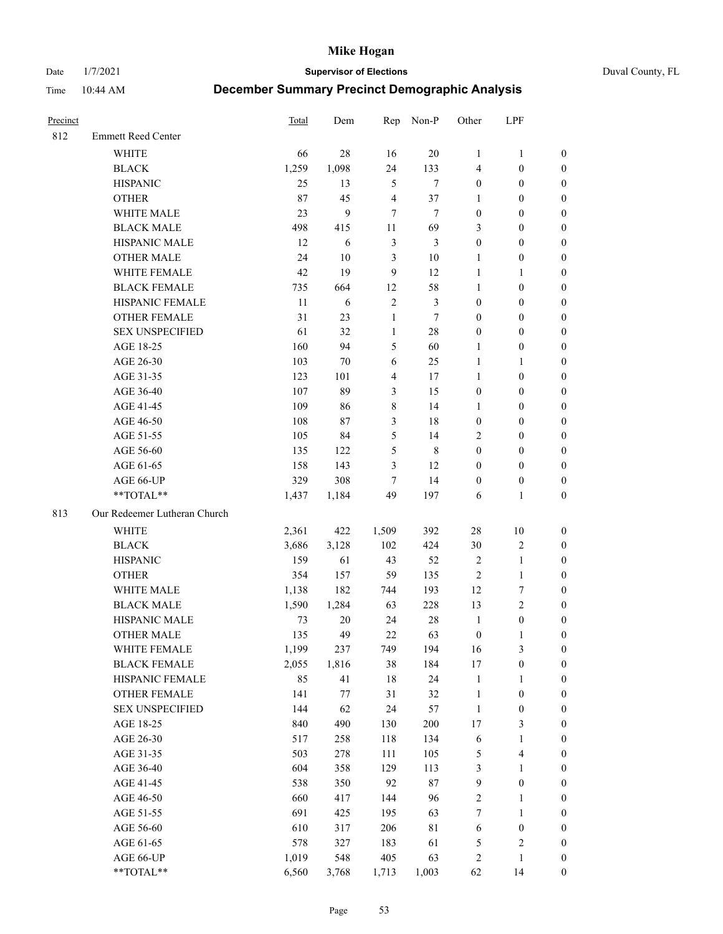Date 1/7/2021 **Supervisor of Elections** Duval County, FL

| Precinct |                              | Total | Dem   |                | Rep Non-P      | Other            | LPF                     |                  |
|----------|------------------------------|-------|-------|----------------|----------------|------------------|-------------------------|------------------|
| 812      | <b>Emmett Reed Center</b>    |       |       |                |                |                  |                         |                  |
|          | <b>WHITE</b>                 | 66    | 28    | 16             | 20             | $\mathbf{1}$     | $\mathbf{1}$            | 0                |
|          | <b>BLACK</b>                 | 1,259 | 1,098 | 24             | 133            | 4                | $\boldsymbol{0}$        | 0                |
|          | <b>HISPANIC</b>              | 25    | 13    | 5              | $\tau$         | $\boldsymbol{0}$ | $\boldsymbol{0}$        | $\boldsymbol{0}$ |
|          | <b>OTHER</b>                 | 87    | 45    | $\overline{4}$ | 37             | 1                | $\boldsymbol{0}$        | $\boldsymbol{0}$ |
|          | WHITE MALE                   | 23    | 9     | $\tau$         | $\tau$         | $\boldsymbol{0}$ | $\boldsymbol{0}$        | $\boldsymbol{0}$ |
|          | <b>BLACK MALE</b>            | 498   | 415   | 11             | 69             | 3                | $\boldsymbol{0}$        | $\boldsymbol{0}$ |
|          | HISPANIC MALE                | 12    | 6     | $\mathfrak{Z}$ | $\mathfrak{Z}$ | $\boldsymbol{0}$ | $\boldsymbol{0}$        | $\boldsymbol{0}$ |
|          | <b>OTHER MALE</b>            | 24    | 10    | $\mathfrak{Z}$ | $10\,$         | $\mathbf{1}$     | $\boldsymbol{0}$        | $\boldsymbol{0}$ |
|          | WHITE FEMALE                 | 42    | 19    | $\overline{9}$ | 12             | $\mathbf{1}$     | $\mathbf{1}$            | $\boldsymbol{0}$ |
|          | <b>BLACK FEMALE</b>          | 735   | 664   | 12             | 58             | $\mathbf{1}$     | $\boldsymbol{0}$        | 0                |
|          | HISPANIC FEMALE              | 11    | 6     | $\sqrt{2}$     | $\mathfrak{Z}$ | $\boldsymbol{0}$ | $\boldsymbol{0}$        | 0                |
|          | <b>OTHER FEMALE</b>          | 31    | 23    | $\mathbf{1}$   | $\tau$         | $\boldsymbol{0}$ | $\boldsymbol{0}$        | $\boldsymbol{0}$ |
|          | <b>SEX UNSPECIFIED</b>       | 61    | 32    | $\mathbf{1}$   | $28\,$         | $\boldsymbol{0}$ | $\boldsymbol{0}$        | $\boldsymbol{0}$ |
|          | AGE 18-25                    | 160   | 94    | 5              | 60             | 1                | $\boldsymbol{0}$        | $\boldsymbol{0}$ |
|          | AGE 26-30                    | 103   | 70    | 6              | 25             | $\mathbf{1}$     | $\mathbf{1}$            | $\boldsymbol{0}$ |
|          | AGE 31-35                    | 123   | 101   | $\overline{4}$ | 17             | $\mathbf{1}$     | $\boldsymbol{0}$        | $\boldsymbol{0}$ |
|          | AGE 36-40                    | 107   | 89    | 3              | 15             | $\boldsymbol{0}$ | $\boldsymbol{0}$        | $\boldsymbol{0}$ |
|          | AGE 41-45                    | 109   | 86    | 8              | 14             | $\mathbf{1}$     | $\boldsymbol{0}$        | $\boldsymbol{0}$ |
|          | AGE 46-50                    | 108   | 87    | $\mathfrak{Z}$ | 18             | $\boldsymbol{0}$ | $\boldsymbol{0}$        | $\boldsymbol{0}$ |
|          | AGE 51-55                    | 105   | 84    | 5              | 14             | 2                | $\boldsymbol{0}$        | $\boldsymbol{0}$ |
|          | AGE 56-60                    | 135   | 122   | 5              | $\,8\,$        | $\boldsymbol{0}$ | $\boldsymbol{0}$        | 0                |
|          | AGE 61-65                    | 158   | 143   | 3              | 12             | $\boldsymbol{0}$ | $\boldsymbol{0}$        | 0                |
|          | AGE 66-UP                    | 329   | 308   | 7              | 14             | $\boldsymbol{0}$ | $\boldsymbol{0}$        | $\boldsymbol{0}$ |
|          | **TOTAL**                    | 1,437 | 1,184 | 49             | 197            | 6                | $\mathbf{1}$            | $\boldsymbol{0}$ |
| 813      | Our Redeemer Lutheran Church |       |       |                |                |                  |                         |                  |
|          | <b>WHITE</b>                 | 2,361 | 422   | 1,509          | 392            | $28\,$           | 10                      | $\boldsymbol{0}$ |
|          | <b>BLACK</b>                 | 3,686 | 3,128 | 102            | 424            | $30\,$           | $\sqrt{2}$              | $\boldsymbol{0}$ |
|          | <b>HISPANIC</b>              | 159   | 61    | 43             | 52             | $\sqrt{2}$       | $\mathbf{1}$            | $\boldsymbol{0}$ |
|          | <b>OTHER</b>                 | 354   | 157   | 59             | 135            | $\sqrt{2}$       | $\mathbf{1}$            | $\boldsymbol{0}$ |
|          | WHITE MALE                   | 1,138 | 182   | 744            | 193            | 12               | $\boldsymbol{7}$        | $\overline{0}$   |
|          | <b>BLACK MALE</b>            | 1,590 | 1,284 | 63             | 228            | 13               | $\overline{2}$          | $\overline{0}$   |
|          | HISPANIC MALE                | 73    | 20    | 24             | $28\,$         | $\mathbf{1}$     | $\boldsymbol{0}$        | 0                |
|          | <b>OTHER MALE</b>            | 135   | 49    | 22             | 63             | $\boldsymbol{0}$ | $\mathbf{1}$            | 0                |
|          | WHITE FEMALE                 | 1,199 | 237   | 749            | 194            | 16               | 3                       | 0                |
|          | <b>BLACK FEMALE</b>          | 2,055 | 1,816 | 38             | 184            | 17               | $\boldsymbol{0}$        | 0                |
|          | HISPANIC FEMALE              | 85    | 41    | 18             | 24             | $\mathbf{1}$     | 1                       | 0                |
|          | <b>OTHER FEMALE</b>          | 141   | 77    | 31             | $32\,$         | $\mathbf{1}$     | $\boldsymbol{0}$        | 0                |
|          | <b>SEX UNSPECIFIED</b>       | 144   | 62    | 24             | 57             | $\mathbf{1}$     | $\boldsymbol{0}$        | 0                |
|          | AGE 18-25                    | 840   | 490   | 130            | 200            | 17               | $\mathfrak{Z}$          | 0                |
|          | AGE 26-30                    | 517   | 258   | 118            | 134            | 6                | $\mathbf{1}$            | 0                |
|          | AGE 31-35                    | 503   | 278   | 111            | 105            | 5                | $\overline{\mathbf{4}}$ | 0                |
|          | AGE 36-40                    | 604   | 358   | 129            | 113            | 3                | $\mathbf{1}$            | 0                |
|          | AGE 41-45                    | 538   | 350   | 92             | $87\,$         | 9                | $\boldsymbol{0}$        | 0                |
|          | AGE 46-50                    | 660   | 417   | 144            | 96             | 2                | 1                       | 0                |
|          | AGE 51-55                    | 691   | 425   | 195            | 63             | $\boldsymbol{7}$ | $\mathbf{1}$            | 0                |
|          | AGE 56-60                    | 610   | 317   | 206            | $8\sqrt{1}$    | 6                | $\boldsymbol{0}$        | 0                |
|          | AGE 61-65                    | 578   | 327   | 183            | 61             | 5                | $\sqrt{2}$              | 0                |
|          | AGE 66-UP                    | 1,019 | 548   | 405            | 63             | 2                | $\mathbf{1}$            | 0                |
|          | **TOTAL**                    | 6,560 | 3,768 | 1,713          | 1,003          | 62               | 14                      | $\boldsymbol{0}$ |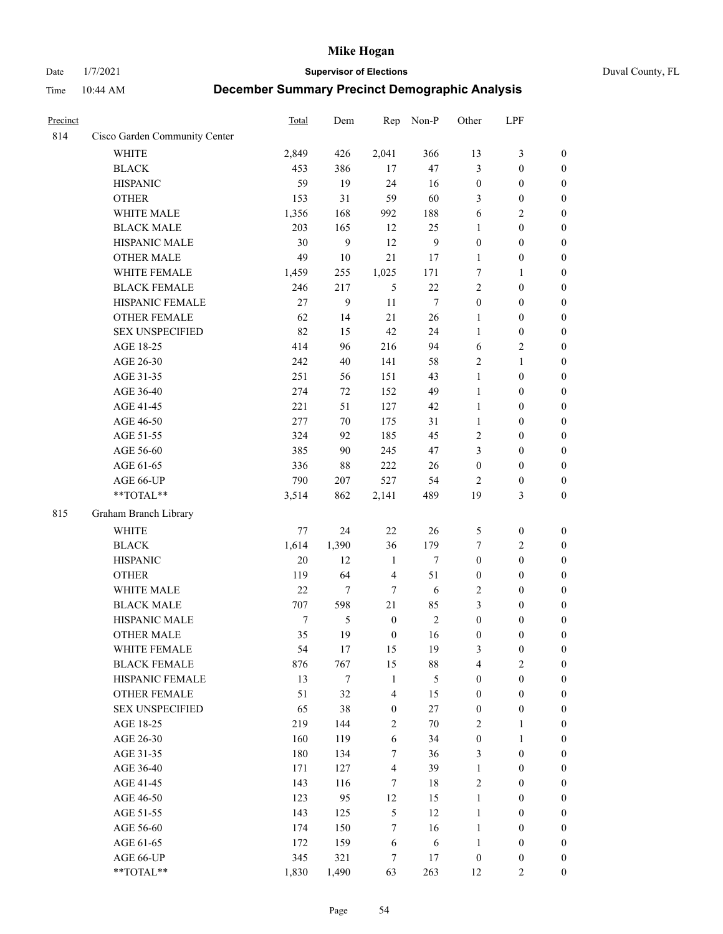Date 1/7/2021 **Supervisor of Elections** Duval County, FL

| Precinct |                               | <b>Total</b> | Dem    | Rep                     | Non-P          | Other            | LPF              |                  |
|----------|-------------------------------|--------------|--------|-------------------------|----------------|------------------|------------------|------------------|
| 814      | Cisco Garden Community Center |              |        |                         |                |                  |                  |                  |
|          | <b>WHITE</b>                  | 2,849        | 426    | 2,041                   | 366            | 13               | $\mathfrak{Z}$   | $\boldsymbol{0}$ |
|          | <b>BLACK</b>                  | 453          | 386    | 17                      | 47             | 3                | $\boldsymbol{0}$ | $\boldsymbol{0}$ |
|          | <b>HISPANIC</b>               | 59           | 19     | 24                      | 16             | $\boldsymbol{0}$ | $\boldsymbol{0}$ | $\boldsymbol{0}$ |
|          | <b>OTHER</b>                  | 153          | 31     | 59                      | 60             | 3                | $\boldsymbol{0}$ | $\boldsymbol{0}$ |
|          | WHITE MALE                    | 1,356        | 168    | 992                     | 188            | 6                | $\sqrt{2}$       | $\boldsymbol{0}$ |
|          | <b>BLACK MALE</b>             | 203          | 165    | 12                      | 25             | $\mathbf{1}$     | $\boldsymbol{0}$ | $\boldsymbol{0}$ |
|          | HISPANIC MALE                 | 30           | 9      | 12                      | $\mathbf{9}$   | $\boldsymbol{0}$ | $\boldsymbol{0}$ | $\boldsymbol{0}$ |
|          | <b>OTHER MALE</b>             | 49           | $10\,$ | 21                      | 17             | $\mathbf{1}$     | $\boldsymbol{0}$ | $\boldsymbol{0}$ |
|          | WHITE FEMALE                  | 1,459        | 255    | 1,025                   | 171            | 7                | $\mathbf{1}$     | $\boldsymbol{0}$ |
|          | <b>BLACK FEMALE</b>           | 246          | 217    | 5                       | $22\,$         | 2                | $\boldsymbol{0}$ | $\boldsymbol{0}$ |
|          | HISPANIC FEMALE               | 27           | 9      | 11                      | $\tau$         | $\boldsymbol{0}$ | $\boldsymbol{0}$ | 0                |
|          | <b>OTHER FEMALE</b>           | 62           | 14     | 21                      | 26             | 1                | $\boldsymbol{0}$ | $\boldsymbol{0}$ |
|          | <b>SEX UNSPECIFIED</b>        | 82           | 15     | 42                      | 24             | $\mathbf{1}$     | $\boldsymbol{0}$ | $\boldsymbol{0}$ |
|          | AGE 18-25                     | 414          | 96     | 216                     | 94             | 6                | $\sqrt{2}$       | $\boldsymbol{0}$ |
|          | AGE 26-30                     | 242          | 40     | 141                     | 58             | 2                | $\mathbf{1}$     | $\boldsymbol{0}$ |
|          | AGE 31-35                     | 251          | 56     | 151                     | 43             | $\mathbf{1}$     | $\boldsymbol{0}$ | $\boldsymbol{0}$ |
|          | AGE 36-40                     | 274          | 72     | 152                     | 49             | $\mathbf{1}$     | $\boldsymbol{0}$ | $\boldsymbol{0}$ |
|          | AGE 41-45                     | 221          | 51     | 127                     | 42             | $\mathbf{1}$     | $\boldsymbol{0}$ | $\boldsymbol{0}$ |
|          | AGE 46-50                     | 277          | 70     | 175                     | 31             | $\mathbf{1}$     | $\boldsymbol{0}$ | $\boldsymbol{0}$ |
|          | AGE 51-55                     | 324          | 92     | 185                     | 45             | 2                | $\boldsymbol{0}$ | $\boldsymbol{0}$ |
|          | AGE 56-60                     | 385          | 90     | 245                     | 47             | 3                | $\boldsymbol{0}$ | 0                |
|          | AGE 61-65                     | 336          | 88     | 222                     | 26             | $\boldsymbol{0}$ | $\boldsymbol{0}$ | 0                |
|          | AGE 66-UP                     | 790          | 207    | 527                     | 54             | $\overline{2}$   | $\boldsymbol{0}$ | $\boldsymbol{0}$ |
|          | **TOTAL**                     | 3,514        | 862    | 2,141                   | 489            | 19               | 3                | $\boldsymbol{0}$ |
| 815      | Graham Branch Library         |              |        |                         |                |                  |                  |                  |
|          |                               |              |        |                         |                |                  |                  |                  |
|          | WHITE                         | 77           | 24     | 22                      | 26             | 5                | $\boldsymbol{0}$ | $\boldsymbol{0}$ |
|          | <b>BLACK</b>                  | 1,614        | 1,390  | 36                      | 179            | 7                | $\sqrt{2}$       | $\boldsymbol{0}$ |
|          | <b>HISPANIC</b>               | 20           | 12     | $\mathbf{1}$            | $\tau$         | $\boldsymbol{0}$ | $\boldsymbol{0}$ | $\boldsymbol{0}$ |
|          | <b>OTHER</b>                  | 119          | 64     | $\overline{4}$          | 51             | $\boldsymbol{0}$ | $\boldsymbol{0}$ | $\boldsymbol{0}$ |
|          | WHITE MALE                    | 22           | $\tau$ | $\tau$                  | 6              | 2                | $\boldsymbol{0}$ | $\boldsymbol{0}$ |
|          | <b>BLACK MALE</b>             | 707          | 598    | 21                      | 85             | 3                | $\boldsymbol{0}$ | $\boldsymbol{0}$ |
|          | HISPANIC MALE                 | $\tau$       | 5      | $\boldsymbol{0}$        | $\sqrt{2}$     | $\boldsymbol{0}$ | $\boldsymbol{0}$ | $\boldsymbol{0}$ |
|          | OTHER MALE                    | 35           | 19     | $\boldsymbol{0}$        | 16             | $\boldsymbol{0}$ | $\boldsymbol{0}$ | $\boldsymbol{0}$ |
|          | WHITE FEMALE                  | 54           | 17     | 15                      | 19             | 3                | $\boldsymbol{0}$ | 0                |
|          | <b>BLACK FEMALE</b>           | 876          | 767    | 15                      | $88\,$         | 4                | $\sqrt{2}$       | $\overline{0}$   |
|          | HISPANIC FEMALE               | 13           | $\tau$ | $\mathbf{1}$            | $\mathfrak{S}$ | $\boldsymbol{0}$ | $\boldsymbol{0}$ | $\overline{0}$   |
|          | OTHER FEMALE                  | 51           | 32     | $\overline{\mathbf{4}}$ | 15             | $\boldsymbol{0}$ | $\boldsymbol{0}$ | $\overline{0}$   |
|          | <b>SEX UNSPECIFIED</b>        | 65           | 38     | $\boldsymbol{0}$        | $27\,$         | $\boldsymbol{0}$ | $\boldsymbol{0}$ | 0                |
|          | AGE 18-25                     | 219          | 144    | $\sqrt{2}$              | $70\,$         | 2                | $\mathbf{1}$     | $\overline{0}$   |
|          | AGE 26-30                     | 160          | 119    | $\sqrt{6}$              | 34             | $\boldsymbol{0}$ | $\mathbf{1}$     | $\overline{0}$   |
|          | AGE 31-35                     | 180          | 134    | 7                       | 36             | 3                | $\boldsymbol{0}$ | 0                |
|          | AGE 36-40                     | 171          | 127    | $\overline{4}$          | 39             | $\mathbf{1}$     | $\boldsymbol{0}$ | 0                |
|          | AGE 41-45                     | 143          | 116    | $\tau$                  | 18             | 2                | $\boldsymbol{0}$ | 0                |
|          | AGE 46-50                     | 123          | 95     | 12                      | 15             | $\mathbf{1}$     | $\boldsymbol{0}$ | 0                |
|          | AGE 51-55                     | 143          | 125    | $\sqrt{5}$              | 12             | $\mathbf{1}$     | $\boldsymbol{0}$ | $\boldsymbol{0}$ |
|          | AGE 56-60                     | 174          | 150    | 7                       | 16             | $\mathbf{1}$     | $\boldsymbol{0}$ | $\boldsymbol{0}$ |
|          | AGE 61-65                     | 172          | 159    | 6                       | 6              | $\mathbf{1}$     | $\boldsymbol{0}$ | $\boldsymbol{0}$ |
|          | AGE 66-UP                     | 345          | 321    | 7                       | 17             | $\boldsymbol{0}$ | $\boldsymbol{0}$ | $\boldsymbol{0}$ |
|          | **TOTAL**                     | 1,830        | 1,490  | 63                      | 263            | 12               | $\overline{2}$   | $\boldsymbol{0}$ |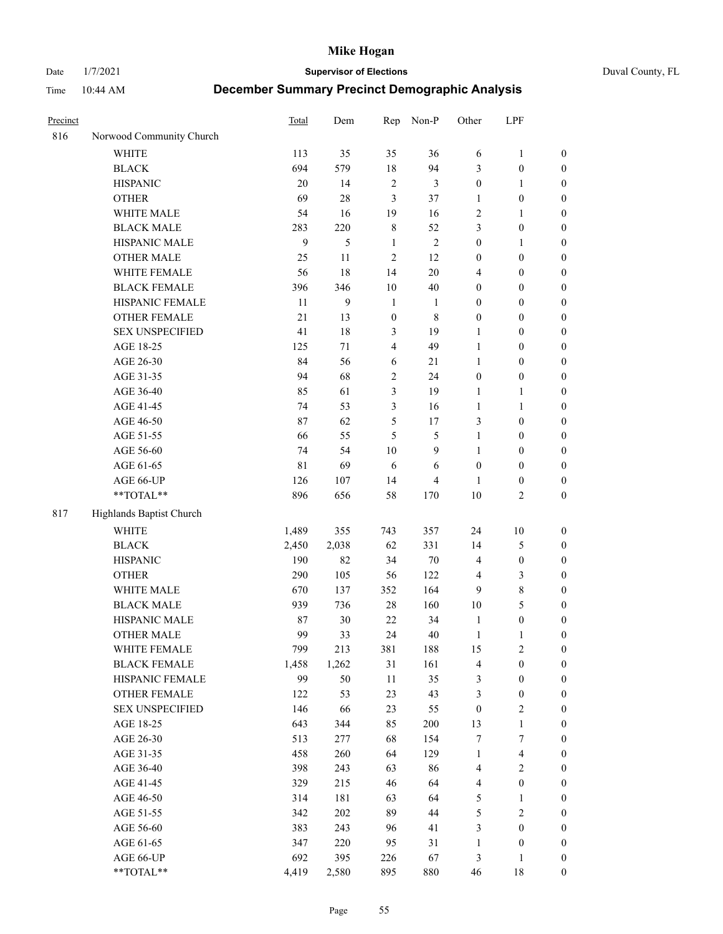Date 1/7/2021 **Supervisor of Elections** Duval County, FL

| Precinct |                          | Total       | Dem   | Rep                     | Non-P          | Other            | LPF                     |                  |
|----------|--------------------------|-------------|-------|-------------------------|----------------|------------------|-------------------------|------------------|
| 816      | Norwood Community Church |             |       |                         |                |                  |                         |                  |
|          | <b>WHITE</b>             | 113         | 35    | 35                      | 36             | 6                | $\mathbf{1}$            | 0                |
|          | <b>BLACK</b>             | 694         | 579   | $18\,$                  | 94             | 3                | $\boldsymbol{0}$        | 0                |
|          | <b>HISPANIC</b>          | 20          | 14    | $\sqrt{2}$              | $\mathfrak{Z}$ | $\boldsymbol{0}$ | $\mathbf{1}$            | $\boldsymbol{0}$ |
|          | <b>OTHER</b>             | 69          | 28    | $\mathfrak{Z}$          | 37             | 1                | $\boldsymbol{0}$        | $\boldsymbol{0}$ |
|          | WHITE MALE               | 54          | 16    | 19                      | 16             | 2                | 1                       | $\boldsymbol{0}$ |
|          | <b>BLACK MALE</b>        | 283         | 220   | $\,$ 8 $\,$             | 52             | 3                | $\boldsymbol{0}$        | $\boldsymbol{0}$ |
|          | HISPANIC MALE            | 9           | 5     | $\mathbf{1}$            | $\sqrt{2}$     | $\boldsymbol{0}$ | $\mathbf{1}$            | $\boldsymbol{0}$ |
|          | OTHER MALE               | 25          | 11    | $\overline{c}$          | 12             | $\boldsymbol{0}$ | $\boldsymbol{0}$        | $\boldsymbol{0}$ |
|          | WHITE FEMALE             | 56          | 18    | 14                      | $20\,$         | 4                | $\boldsymbol{0}$        | $\boldsymbol{0}$ |
|          | <b>BLACK FEMALE</b>      | 396         | 346   | 10                      | $40\,$         | $\boldsymbol{0}$ | $\boldsymbol{0}$        | $\boldsymbol{0}$ |
|          | HISPANIC FEMALE          | 11          | 9     | $\mathbf{1}$            | $\mathbf{1}$   | $\boldsymbol{0}$ | $\boldsymbol{0}$        | $\boldsymbol{0}$ |
|          | <b>OTHER FEMALE</b>      | 21          | 13    | $\mathbf{0}$            | $\,$ 8 $\,$    | $\boldsymbol{0}$ | $\boldsymbol{0}$        | $\boldsymbol{0}$ |
|          | <b>SEX UNSPECIFIED</b>   | 41          | 18    | 3                       | 19             | $\mathbf{1}$     | $\boldsymbol{0}$        | $\boldsymbol{0}$ |
|          | AGE 18-25                | 125         | 71    | $\overline{\mathbf{4}}$ | 49             | $\mathbf{1}$     | $\boldsymbol{0}$        | $\boldsymbol{0}$ |
|          | AGE 26-30                | 84          | 56    | 6                       | $21\,$         | $\mathbf{1}$     | $\boldsymbol{0}$        | $\boldsymbol{0}$ |
|          | AGE 31-35                | 94          | 68    | $\boldsymbol{2}$        | 24             | $\boldsymbol{0}$ | $\boldsymbol{0}$        | $\boldsymbol{0}$ |
|          | AGE 36-40                | 85          | 61    | $\mathfrak{Z}$          | 19             | $\mathbf{1}$     | $\mathbf{1}$            | $\boldsymbol{0}$ |
|          | AGE 41-45                | 74          | 53    | 3                       | 16             | $\mathbf{1}$     | $\mathbf{1}$            | $\boldsymbol{0}$ |
|          | AGE 46-50                | 87          | 62    | 5                       | 17             | 3                | $\boldsymbol{0}$        | $\boldsymbol{0}$ |
|          | AGE 51-55                | 66          | 55    | 5                       | $\mathfrak{S}$ | $\mathbf{1}$     | $\boldsymbol{0}$        | $\boldsymbol{0}$ |
|          | AGE 56-60                | 74          | 54    | 10                      | 9              | $\mathbf{1}$     | $\boldsymbol{0}$        | 0                |
|          | AGE 61-65                | $8\sqrt{1}$ | 69    | 6                       | 6              | $\boldsymbol{0}$ | $\boldsymbol{0}$        | 0                |
|          | AGE 66-UP                | 126         | 107   | 14                      | $\overline{4}$ | 1                | $\boldsymbol{0}$        | $\boldsymbol{0}$ |
|          | **TOTAL**                | 896         | 656   | 58                      | 170            | 10               | $\sqrt{2}$              | $\boldsymbol{0}$ |
| 817      | Highlands Baptist Church |             |       |                         |                |                  |                         |                  |
|          | <b>WHITE</b>             | 1,489       | 355   | 743                     | 357            | 24               | $10\,$                  | $\boldsymbol{0}$ |
|          | <b>BLACK</b>             | 2,450       | 2,038 | 62                      | 331            | 14               | $\mathfrak{S}$          | $\boldsymbol{0}$ |
|          | <b>HISPANIC</b>          | 190         | 82    | 34                      | $70\,$         | 4                | $\boldsymbol{0}$        | $\boldsymbol{0}$ |
|          | <b>OTHER</b>             | 290         | 105   | 56                      | 122            | 4                | $\mathfrak{Z}$          | $\boldsymbol{0}$ |
|          | WHITE MALE               | 670         | 137   | 352                     | 164            | 9                | $\,$ 8 $\,$             | $\boldsymbol{0}$ |
|          | <b>BLACK MALE</b>        | 939         | 736   | $28\,$                  | 160            | $10\,$           | 5                       | $\boldsymbol{0}$ |
|          | HISPANIC MALE            | 87          | 30    | 22                      | 34             | $\mathbf{1}$     | $\boldsymbol{0}$        | $\boldsymbol{0}$ |
|          | OTHER MALE               | 99          | 33    | 24                      | 40             | $\mathbf{1}$     | $\mathbf{1}$            | $\boldsymbol{0}$ |
|          | WHITE FEMALE             | 799         | 213   | 381                     | 188            | 15               | 2                       | 0                |
|          | <b>BLACK FEMALE</b>      | 1,458       | 1,262 | 31                      | 161            | 4                | $\boldsymbol{0}$        | $\boldsymbol{0}$ |
|          | HISPANIC FEMALE          | 99          | 50    | $11\,$                  | 35             | 3                | $\boldsymbol{0}$        | $\boldsymbol{0}$ |
|          | OTHER FEMALE             | 122         | 53    | 23                      | 43             | 3                | $\boldsymbol{0}$        | $\overline{0}$   |
|          | <b>SEX UNSPECIFIED</b>   | 146         | 66    | 23                      | 55             | $\boldsymbol{0}$ | $\mathbf{2}$            | 0                |
|          | AGE 18-25                | 643         | 344   | 85                      | 200            | 13               | $\mathbf{1}$            | $\overline{0}$   |
|          | AGE 26-30                | 513         | 277   | 68                      | 154            | 7                | $\boldsymbol{7}$        | 0                |
|          | AGE 31-35                | 458         | 260   | 64                      | 129            | $\mathbf{1}$     | $\overline{\mathbf{4}}$ | 0                |
|          | AGE 36-40                | 398         | 243   | 63                      | 86             | 4                | $\sqrt{2}$              | 0                |
|          | AGE 41-45                | 329         | 215   | 46                      | 64             | 4                | $\boldsymbol{0}$        | 0                |
|          | AGE 46-50                | 314         | 181   | 63                      | 64             | 5                | $\mathbf{1}$            | 0                |
|          | AGE 51-55                | 342         | 202   | 89                      | 44             | 5                | $\sqrt{2}$              | $\boldsymbol{0}$ |
|          | AGE 56-60                | 383         | 243   | 96                      | 41             | 3                | $\boldsymbol{0}$        | $\boldsymbol{0}$ |
|          | AGE 61-65                | 347         | 220   | 95                      | 31             | $\mathbf{1}$     | $\boldsymbol{0}$        | $\boldsymbol{0}$ |
|          | AGE 66-UP                | 692         | 395   | 226                     | 67             | 3                | $\mathbf{1}$            | $\boldsymbol{0}$ |
|          | **TOTAL**                | 4,419       | 2,580 | 895                     | 880            | 46               | 18                      | $\boldsymbol{0}$ |
|          |                          |             |       |                         |                |                  |                         |                  |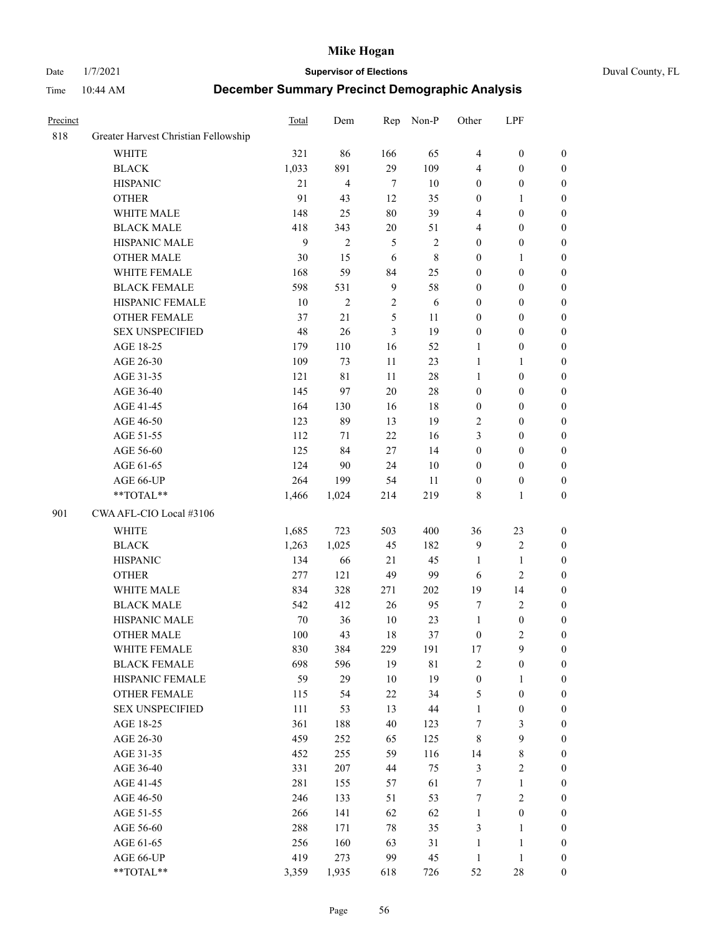Date 1/7/2021 **Supervisor of Elections** Duval County, FL

| Precinct |                                      | <b>Total</b> | Dem            | Rep            | Non-P       | Other            | LPF              |                  |
|----------|--------------------------------------|--------------|----------------|----------------|-------------|------------------|------------------|------------------|
| 818      | Greater Harvest Christian Fellowship |              |                |                |             |                  |                  |                  |
|          | <b>WHITE</b>                         | 321          | 86             | 166            | 65          | $\overline{4}$   | $\boldsymbol{0}$ | 0                |
|          | <b>BLACK</b>                         | 1,033        | 891            | 29             | 109         | 4                | $\boldsymbol{0}$ | 0                |
|          | <b>HISPANIC</b>                      | 21           | $\overline{4}$ | $\tau$         | 10          | $\boldsymbol{0}$ | $\boldsymbol{0}$ | $\boldsymbol{0}$ |
|          | <b>OTHER</b>                         | 91           | 43             | 12             | 35          | $\boldsymbol{0}$ | 1                | $\boldsymbol{0}$ |
|          | WHITE MALE                           | 148          | 25             | 80             | 39          | 4                | $\boldsymbol{0}$ | $\boldsymbol{0}$ |
|          | <b>BLACK MALE</b>                    | 418          | 343            | $20\,$         | 51          | 4                | $\boldsymbol{0}$ | $\boldsymbol{0}$ |
|          | HISPANIC MALE                        | 9            | $\overline{c}$ | $\mathfrak{S}$ | $\sqrt{2}$  | $\boldsymbol{0}$ | $\boldsymbol{0}$ | $\boldsymbol{0}$ |
|          | <b>OTHER MALE</b>                    | 30           | 15             | 6              | $\,$ 8 $\,$ | $\boldsymbol{0}$ | $\mathbf{1}$     | $\boldsymbol{0}$ |
|          | WHITE FEMALE                         | 168          | 59             | 84             | 25          | $\boldsymbol{0}$ | $\boldsymbol{0}$ | $\boldsymbol{0}$ |
|          | <b>BLACK FEMALE</b>                  | 598          | 531            | $\overline{9}$ | 58          | $\boldsymbol{0}$ | $\boldsymbol{0}$ | 0                |
|          | HISPANIC FEMALE                      | 10           | $\overline{2}$ | $\sqrt{2}$     | 6           | $\boldsymbol{0}$ | $\boldsymbol{0}$ | $\boldsymbol{0}$ |
|          | <b>OTHER FEMALE</b>                  | 37           | 21             | 5              | 11          | $\boldsymbol{0}$ | $\boldsymbol{0}$ | $\boldsymbol{0}$ |
|          | <b>SEX UNSPECIFIED</b>               | 48           | 26             | 3              | 19          | $\boldsymbol{0}$ | $\boldsymbol{0}$ | $\boldsymbol{0}$ |
|          | AGE 18-25                            | 179          | 110            | 16             | 52          | 1                | $\boldsymbol{0}$ | $\boldsymbol{0}$ |
|          | AGE 26-30                            | 109          | 73             | $11\,$         | 23          | $\mathbf{1}$     | $\mathbf{1}$     | $\boldsymbol{0}$ |
|          | AGE 31-35                            | 121          | 81             | 11             | 28          | $\mathbf{1}$     | $\boldsymbol{0}$ | $\boldsymbol{0}$ |
|          | AGE 36-40                            | 145          | 97             | 20             | $28\,$      | $\boldsymbol{0}$ | $\boldsymbol{0}$ | $\boldsymbol{0}$ |
|          | AGE 41-45                            | 164          | 130            | 16             | 18          | $\boldsymbol{0}$ | $\boldsymbol{0}$ | $\boldsymbol{0}$ |
|          | AGE 46-50                            | 123          | 89             | 13             | 19          | 2                | $\boldsymbol{0}$ | $\boldsymbol{0}$ |
|          | AGE 51-55                            | 112          | 71             | 22             | 16          | 3                | $\boldsymbol{0}$ | $\boldsymbol{0}$ |
|          | AGE 56-60                            | 125          | 84             | 27             | 14          | $\boldsymbol{0}$ | $\boldsymbol{0}$ | 0                |
|          | AGE 61-65                            | 124          | 90             | 24             | $10\,$      | $\boldsymbol{0}$ | $\boldsymbol{0}$ | $\boldsymbol{0}$ |
|          | AGE 66-UP                            | 264          | 199            | 54             | 11          | $\boldsymbol{0}$ | $\boldsymbol{0}$ | $\boldsymbol{0}$ |
|          | **TOTAL**                            | 1,466        | 1,024          | 214            | 219         | 8                | $\mathbf{1}$     | $\boldsymbol{0}$ |
| 901      | CWA AFL-CIO Local #3106              |              |                |                |             |                  |                  |                  |
|          | <b>WHITE</b>                         | 1,685        | 723            | 503            | 400         | 36               | 23               | $\boldsymbol{0}$ |
|          | <b>BLACK</b>                         | 1,263        | 1,025          | 45             | 182         | 9                | $\sqrt{2}$       | $\boldsymbol{0}$ |
|          | <b>HISPANIC</b>                      | 134          | 66             | 21             | 45          | $\mathbf{1}$     | $\mathbf{1}$     | $\boldsymbol{0}$ |
|          | <b>OTHER</b>                         | 277          | 121            | 49             | 99          | 6                | $\overline{c}$   | $\boldsymbol{0}$ |
|          | WHITE MALE                           | 834          | 328            | 271            | 202         | 19               | 14               | $\boldsymbol{0}$ |
|          | <b>BLACK MALE</b>                    | 542          | 412            | 26             | 95          | 7                | $\overline{2}$   | $\boldsymbol{0}$ |
|          | HISPANIC MALE                        | 70           | 36             | $10\,$         | 23          | $\mathbf{1}$     | $\boldsymbol{0}$ | $\boldsymbol{0}$ |
|          | OTHER MALE                           | 100          | 43             | 18             | 37          | $\boldsymbol{0}$ | $\mathfrak{2}$   | $\boldsymbol{0}$ |
|          | WHITE FEMALE                         | 830          | 384            | 229            | 191         | 17               | 9                | 0                |
|          | <b>BLACK FEMALE</b>                  | 698          | 596            | 19             | $8\sqrt{1}$ | 2                | $\boldsymbol{0}$ | $\boldsymbol{0}$ |
|          | HISPANIC FEMALE                      | 59           | 29             | 10             | 19          | $\boldsymbol{0}$ | 1                | $\overline{0}$   |
|          | OTHER FEMALE                         | 115          | 54             | 22             | 34          | 5                | $\boldsymbol{0}$ | $\overline{0}$   |
|          | <b>SEX UNSPECIFIED</b>               | 111          | 53             | 13             | $44\,$      | $\mathbf{1}$     | $\boldsymbol{0}$ | 0                |
|          | AGE 18-25                            | 361          | 188            | 40             | 123         | 7                | $\mathfrak{Z}$   | $\theta$         |
|          | AGE 26-30                            | 459          | 252            | 65             | 125         | 8                | $\boldsymbol{9}$ | 0                |
|          | AGE 31-35                            | 452          | 255            | 59             | 116         | 14               | $\,$ $\,$        | 0                |
|          | AGE 36-40                            | 331          | 207            | 44             | 75          | 3                | $\sqrt{2}$       | 0                |
|          | AGE 41-45                            | 281          | 155            | 57             | 61          | $\boldsymbol{7}$ | $\mathbf{1}$     | 0                |
|          | AGE 46-50                            | 246          | 133            | 51             | 53          | 7                | $\sqrt{2}$       | 0                |
|          | AGE 51-55                            | 266          | 141            | 62             | 62          | $\mathbf{1}$     | $\boldsymbol{0}$ | $\overline{0}$   |
|          | AGE 56-60                            | 288          | 171            | 78             | 35          | 3                | $\mathbf{1}$     | $\overline{0}$   |
|          | AGE 61-65                            | 256          | 160            | 63             | 31          | $\mathbf{1}$     | $\mathbf{1}$     | $\overline{0}$   |
|          | AGE 66-UP                            | 419          | 273            | 99             | 45          | $\mathbf{1}$     | $\mathbf{1}$     | 0                |
|          | **TOTAL**                            | 3,359        | 1,935          | 618            | 726         | 52               | $28\,$           | $\boldsymbol{0}$ |
|          |                                      |              |                |                |             |                  |                  |                  |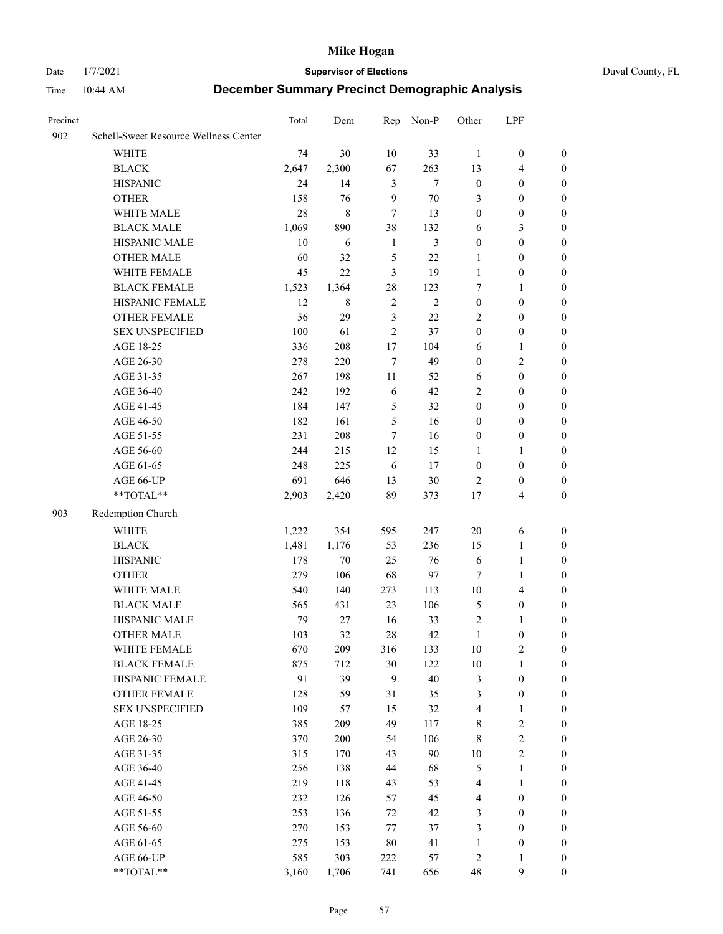Date 1/7/2021 **Supervisor of Elections** Duval County, FL

| Precinct |                                        | Total      | Dem        | Rep            | Non-P      | Other             | LPF                                  |                                    |
|----------|----------------------------------------|------------|------------|----------------|------------|-------------------|--------------------------------------|------------------------------------|
| 902      | Schell-Sweet Resource Wellness Center  |            |            |                |            |                   |                                      |                                    |
|          | <b>WHITE</b>                           | 74         | 30         | 10             | 33         | $\mathbf{1}$      | $\boldsymbol{0}$                     | $\boldsymbol{0}$                   |
|          | <b>BLACK</b>                           | 2,647      | 2,300      | 67             | 263        | 13                | $\overline{4}$                       | $\boldsymbol{0}$                   |
|          | <b>HISPANIC</b>                        | 24         | 14         | $\mathfrak{Z}$ | $\tau$     | $\boldsymbol{0}$  | $\boldsymbol{0}$                     | $\boldsymbol{0}$                   |
|          | <b>OTHER</b>                           | 158        | 76         | 9              | $70\,$     | 3                 | $\boldsymbol{0}$                     | $\boldsymbol{0}$                   |
|          | WHITE MALE                             | 28         | $\,8\,$    | $\tau$         | 13         | $\boldsymbol{0}$  | $\boldsymbol{0}$                     | $\boldsymbol{0}$                   |
|          | <b>BLACK MALE</b>                      | 1,069      | 890        | 38             | 132        | 6                 | $\mathfrak{Z}$                       | $\boldsymbol{0}$                   |
|          | HISPANIC MALE                          | 10         | 6          | $\mathbf{1}$   | 3          | $\boldsymbol{0}$  | $\boldsymbol{0}$                     | $\boldsymbol{0}$                   |
|          | <b>OTHER MALE</b>                      | 60         | 32         | 5              | 22         | 1                 | $\boldsymbol{0}$                     | $\boldsymbol{0}$                   |
|          | WHITE FEMALE                           | 45         | 22         | 3              | 19         | $\mathbf{1}$      | $\boldsymbol{0}$                     | 0                                  |
|          | <b>BLACK FEMALE</b>                    | 1,523      | 1,364      | 28             | 123        | 7                 | $\mathbf{1}$                         | 0                                  |
|          | HISPANIC FEMALE                        | 12         | 8          | $\sqrt{2}$     | $\sqrt{2}$ | $\boldsymbol{0}$  | $\boldsymbol{0}$                     | $\boldsymbol{0}$                   |
|          | OTHER FEMALE                           | 56         | 29         | 3              | 22         | $\overline{2}$    | $\boldsymbol{0}$                     | $\boldsymbol{0}$                   |
|          | <b>SEX UNSPECIFIED</b>                 | 100        | 61         | $\overline{2}$ | 37         | $\boldsymbol{0}$  | $\boldsymbol{0}$                     | $\boldsymbol{0}$                   |
|          | AGE 18-25                              | 336        | 208        | $17$           | 104        | 6                 | $\mathbf{1}$                         | $\boldsymbol{0}$                   |
|          | AGE 26-30                              | 278        | 220        | $\tau$         | 49         | $\boldsymbol{0}$  | $\sqrt{2}$                           | $\boldsymbol{0}$                   |
|          | AGE 31-35                              | 267        | 198        | 11             | 52         | 6                 | $\boldsymbol{0}$                     | $\boldsymbol{0}$                   |
|          | AGE 36-40                              | 242        | 192        | 6              | 42         | 2                 | $\boldsymbol{0}$                     | $\boldsymbol{0}$                   |
|          | AGE 41-45                              | 184        | 147        | $\mathfrak s$  | 32         | $\boldsymbol{0}$  | $\boldsymbol{0}$                     | $\boldsymbol{0}$                   |
|          | AGE 46-50                              | 182        | 161        | 5              | 16         | $\boldsymbol{0}$  | $\boldsymbol{0}$                     | $\boldsymbol{0}$                   |
|          | AGE 51-55                              | 231        | 208        | $\tau$         | 16         | $\boldsymbol{0}$  | $\boldsymbol{0}$                     | 0                                  |
|          | AGE 56-60                              | 244        | 215        | 12             | 15         | 1                 | $\mathbf{1}$                         | 0                                  |
|          | AGE 61-65                              | 248        | 225        | 6              | 17         | $\boldsymbol{0}$  | $\boldsymbol{0}$                     | $\boldsymbol{0}$                   |
|          | AGE 66-UP                              | 691        | 646        | 13             | 30         | $\overline{2}$    | $\boldsymbol{0}$                     | $\boldsymbol{0}$                   |
|          | $**TOTAL**$                            | 2,903      | 2,420      | 89             | 373        | $17$              | $\overline{4}$                       | $\boldsymbol{0}$                   |
| 903      | Redemption Church                      |            |            |                |            |                   |                                      |                                    |
|          |                                        |            |            |                |            |                   |                                      |                                    |
|          | <b>WHITE</b>                           | 1,222      | 354        | 595            | 247        | $20\,$            | 6                                    | $\boldsymbol{0}$                   |
|          | <b>BLACK</b>                           | 1,481      | 1,176      | 53             | 236        | 15                | $\mathbf{1}$                         | $\boldsymbol{0}$                   |
|          | <b>HISPANIC</b>                        | 178        | $70\,$     | 25             | 76         | 6                 | $\mathbf{1}$                         | $\boldsymbol{0}$                   |
|          | <b>OTHER</b>                           | 279        | 106        | 68             | 97         | 7                 | $\mathbf{1}$                         | $\boldsymbol{0}$                   |
|          | WHITE MALE                             | 540        | 140        | 273            | 113        | $10\,$            | $\overline{4}$                       | 0                                  |
|          | <b>BLACK MALE</b><br>HISPANIC MALE     | 565        | 431        | 23             | 106        | 5                 | $\boldsymbol{0}$                     | $\boldsymbol{0}$                   |
|          | <b>OTHER MALE</b>                      | 79         | 27         | 16             | 33         | $\overline{c}$    | $\mathbf{1}$                         | 0                                  |
|          |                                        | 103        | 32         | 28             | 42         | $\mathbf{1}$      | $\boldsymbol{0}$                     | $\boldsymbol{0}$                   |
|          | WHITE FEMALE                           | 670        | 209        | 316            | 133        | 10                | $\sqrt{2}$                           | 0                                  |
|          | <b>BLACK FEMALE</b><br>HISPANIC FEMALE | 875<br>91  | 712<br>39  | 30<br>9        | 122<br>40  | $10\,$            | $\mathbf{1}$<br>$\boldsymbol{0}$     | $\overline{0}$<br>$\overline{0}$   |
|          | <b>OTHER FEMALE</b>                    | 128        | 59         | 31             |            | 3                 | $\boldsymbol{0}$                     |                                    |
|          | <b>SEX UNSPECIFIED</b>                 | 109        |            | 15             | 35<br>32   | 3                 | $\mathbf{1}$                         | 0<br>0                             |
|          | AGE 18-25                              | 385        | 57<br>209  | 49             | 117        | 4                 | $\sqrt{2}$                           | 0                                  |
|          | AGE 26-30                              | 370        | 200        | 54             | 106        | 8                 | $\sqrt{2}$                           | 0                                  |
|          | AGE 31-35                              | 315        | 170        | 43             | 90         | 8<br>$10\,$       | $\sqrt{2}$                           | 0                                  |
|          | AGE 36-40                              | 256        | 138        | 44             | 68         | 5                 | $\mathbf{1}$                         | 0                                  |
|          | AGE 41-45                              | 219        | 118        | 43             | 53         | 4                 | $\mathbf{1}$                         | 0                                  |
|          | AGE 46-50                              | 232        | 126        | 57             | 45         | $\overline{4}$    | $\boldsymbol{0}$                     | 0                                  |
|          |                                        |            |            |                |            |                   |                                      |                                    |
|          | AGE 51-55                              | 253<br>270 | 136        | 72             | 42         | 3                 | $\boldsymbol{0}$<br>$\boldsymbol{0}$ | $\boldsymbol{0}$<br>$\overline{0}$ |
|          | AGE 56-60                              |            | 153        | 77             | 37         | 3<br>$\mathbf{1}$ | $\boldsymbol{0}$                     | 0                                  |
|          | AGE 61-65<br>AGE 66-UP                 | 275<br>585 | 153<br>303 | 80<br>222      | 41<br>57   | $\overline{c}$    | $\mathbf{1}$                         | 0                                  |
|          | **TOTAL**                              | 3,160      | 1,706      | 741            | 656        | 48                | 9                                    | $\boldsymbol{0}$                   |
|          |                                        |            |            |                |            |                   |                                      |                                    |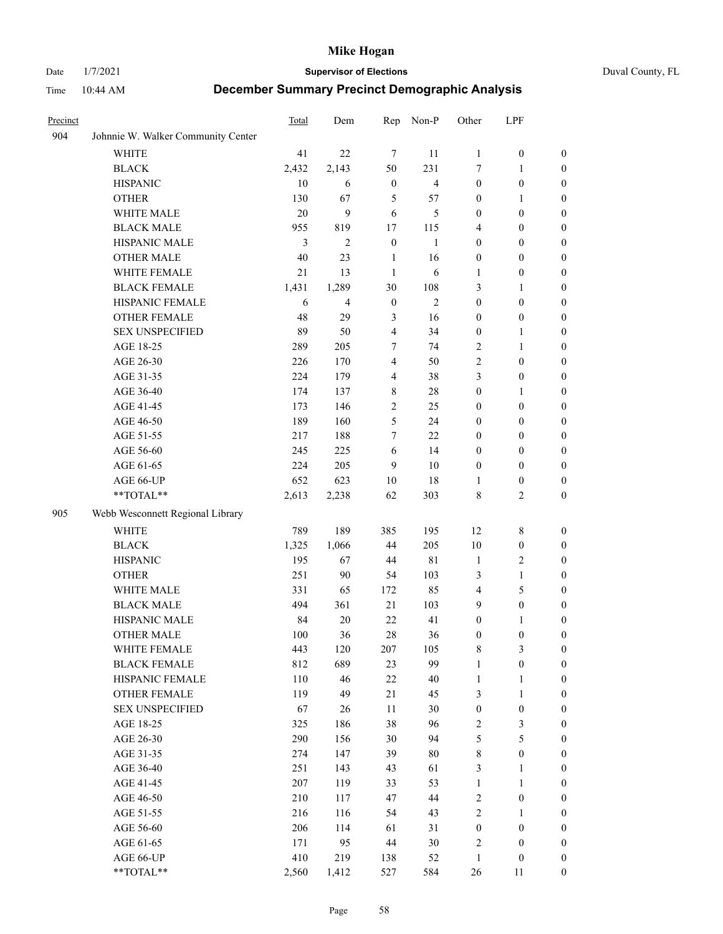Date 1/7/2021 **Supervisor of Elections** Duval County, FL

| Precinct |                                    | Total  | Dem          | Rep              | Non-P          | Other            | LPF              |                  |
|----------|------------------------------------|--------|--------------|------------------|----------------|------------------|------------------|------------------|
| 904      | Johnnie W. Walker Community Center |        |              |                  |                |                  |                  |                  |
|          | <b>WHITE</b>                       | 41     | 22           | $\tau$           | 11             | $\mathbf{1}$     | $\boldsymbol{0}$ | $\boldsymbol{0}$ |
|          | <b>BLACK</b>                       | 2,432  | 2,143        | 50               | 231            | 7                | $\mathbf{1}$     | $\boldsymbol{0}$ |
|          | <b>HISPANIC</b>                    | 10     | 6            | $\boldsymbol{0}$ | $\overline{4}$ | $\boldsymbol{0}$ | $\boldsymbol{0}$ | $\boldsymbol{0}$ |
|          | <b>OTHER</b>                       | 130    | 67           | 5                | 57             | $\boldsymbol{0}$ | 1                | $\boldsymbol{0}$ |
|          | WHITE MALE                         | 20     | 9            | 6                | 5              | $\boldsymbol{0}$ | $\boldsymbol{0}$ | $\boldsymbol{0}$ |
|          | <b>BLACK MALE</b>                  | 955    | 819          | 17               | 115            | 4                | $\boldsymbol{0}$ | $\boldsymbol{0}$ |
|          | HISPANIC MALE                      | 3      | $\mathbf{2}$ | $\boldsymbol{0}$ | $\mathbf{1}$   | $\boldsymbol{0}$ | $\boldsymbol{0}$ | $\boldsymbol{0}$ |
|          | <b>OTHER MALE</b>                  | 40     | 23           | 1                | 16             | $\boldsymbol{0}$ | $\boldsymbol{0}$ | $\boldsymbol{0}$ |
|          | WHITE FEMALE                       | $21\,$ | 13           | $\mathbf{1}$     | 6              | 1                | $\boldsymbol{0}$ | 0                |
|          | <b>BLACK FEMALE</b>                | 1,431  | 1,289        | 30               | 108            | 3                | $\mathbf{1}$     | 0                |
|          | HISPANIC FEMALE                    | 6      | 4            | $\boldsymbol{0}$ | 2              | $\boldsymbol{0}$ | $\boldsymbol{0}$ | $\boldsymbol{0}$ |
|          | OTHER FEMALE                       | 48     | 29           | $\mathfrak{Z}$   | 16             | $\boldsymbol{0}$ | $\boldsymbol{0}$ | $\boldsymbol{0}$ |
|          | <b>SEX UNSPECIFIED</b>             | 89     | 50           | $\overline{4}$   | 34             | $\boldsymbol{0}$ | $\mathbf{1}$     | $\boldsymbol{0}$ |
|          | AGE 18-25                          | 289    | 205          | 7                | 74             | 2                | $\mathbf{1}$     | $\boldsymbol{0}$ |
|          | AGE 26-30                          | 226    | 170          | $\overline{4}$   | 50             | $\sqrt{2}$       | $\boldsymbol{0}$ | $\boldsymbol{0}$ |
|          | AGE 31-35                          | 224    | 179          | $\overline{4}$   | 38             | 3                | $\boldsymbol{0}$ | $\boldsymbol{0}$ |
|          | AGE 36-40                          | 174    | 137          | 8                | $28\,$         | $\boldsymbol{0}$ | $\mathbf{1}$     | $\boldsymbol{0}$ |
|          | AGE 41-45                          | 173    | 146          | $\mathbf{2}$     | 25             | $\boldsymbol{0}$ | $\boldsymbol{0}$ | $\boldsymbol{0}$ |
|          | AGE 46-50                          | 189    | 160          | 5                | 24             | $\boldsymbol{0}$ | $\boldsymbol{0}$ | $\boldsymbol{0}$ |
|          | AGE 51-55                          | 217    | 188          | $\tau$           | 22             | $\boldsymbol{0}$ | $\boldsymbol{0}$ | 0                |
|          | AGE 56-60                          | 245    | 225          | 6                | 14             | $\boldsymbol{0}$ | $\boldsymbol{0}$ | $\boldsymbol{0}$ |
|          | AGE 61-65                          | 224    | 205          | 9                | 10             | $\boldsymbol{0}$ | $\boldsymbol{0}$ | $\boldsymbol{0}$ |
|          | AGE 66-UP                          | 652    | 623          | 10               | 18             | 1                | $\boldsymbol{0}$ | $\boldsymbol{0}$ |
|          | **TOTAL**                          | 2,613  | 2,238        | 62               | 303            | 8                | $\mathbf{2}$     | $\boldsymbol{0}$ |
| 905      | Webb Wesconnett Regional Library   |        |              |                  |                |                  |                  |                  |
|          | <b>WHITE</b>                       | 789    | 189          | 385              | 195            | 12               | $8\,$            | $\boldsymbol{0}$ |
|          | <b>BLACK</b>                       | 1,325  | 1,066        | 44               | 205            | 10               | $\boldsymbol{0}$ | $\boldsymbol{0}$ |
|          | <b>HISPANIC</b>                    | 195    | 67           | 44               | 81             | $\mathbf{1}$     | $\sqrt{2}$       | $\boldsymbol{0}$ |
|          | <b>OTHER</b>                       | 251    | 90           | 54               | 103            | 3                | $\mathbf{1}$     | $\boldsymbol{0}$ |
|          | WHITE MALE                         | 331    | 65           | 172              | 85             | 4                | $\mathfrak s$    | $\boldsymbol{0}$ |
|          | <b>BLACK MALE</b>                  | 494    | 361          | 21               | 103            | 9                | $\boldsymbol{0}$ | $\boldsymbol{0}$ |
|          | HISPANIC MALE                      | 84     | 20           | 22               | 41             | $\boldsymbol{0}$ | 1                | 0                |
|          | <b>OTHER MALE</b>                  | 100    | 36           | 28               | 36             | $\boldsymbol{0}$ | $\boldsymbol{0}$ | $\boldsymbol{0}$ |
|          | WHITE FEMALE                       | 443    | 120          | 207              | 105            | 8                | $\mathfrak{Z}$   | $\boldsymbol{0}$ |
|          | <b>BLACK FEMALE</b>                | 812    | 689          | 23               | 99             | $\mathbf{1}$     | $\boldsymbol{0}$ | $\overline{0}$   |
|          | HISPANIC FEMALE                    | 110    | 46           | $22\,$           | 40             | $\mathbf{1}$     | $\mathbf{1}$     | $\overline{0}$   |
|          | <b>OTHER FEMALE</b>                | 119    | 49           | 21               | 45             | 3                | $\mathbf{1}$     | 0                |
|          | <b>SEX UNSPECIFIED</b>             | 67     | 26           | $11\,$           | 30             | $\boldsymbol{0}$ | $\boldsymbol{0}$ | $\theta$         |
|          | AGE 18-25                          | 325    | 186          | 38               | 96             | $\sqrt{2}$       | $\mathfrak{Z}$   | 0                |
|          | AGE 26-30                          | 290    | 156          | $30\,$           | 94             | 5                | $\mathfrak s$    | 0                |
|          | AGE 31-35                          | 274    | 147          | 39               | $80\,$         | $\,$ $\,$        | $\boldsymbol{0}$ | 0                |
|          | AGE 36-40                          | 251    | 143          | 43               | 61             | 3                | $\mathbf{1}$     | 0                |
|          | AGE 41-45                          | 207    | 119          | 33               | 53             | $\mathbf{1}$     | $\mathbf{1}$     | 0                |
|          | AGE 46-50                          | 210    | 117          | 47               | 44             | $\sqrt{2}$       | $\boldsymbol{0}$ | 0                |
|          | AGE 51-55                          | 216    | 116          | 54               | 43             | $\sqrt{2}$       | $\mathbf{1}$     | $\boldsymbol{0}$ |
|          | AGE 56-60                          | 206    | 114          | 61               | 31             | $\boldsymbol{0}$ | $\boldsymbol{0}$ | $\overline{0}$   |
|          | AGE 61-65                          | 171    | 95           | 44               | 30             | 2                | $\boldsymbol{0}$ | 0                |
|          | AGE 66-UP                          | 410    | 219          | 138              | 52             | $\mathbf{1}$     | $\boldsymbol{0}$ | 0                |
|          | **TOTAL**                          | 2,560  | 1,412        | 527              | 584            | 26               | 11               | $\boldsymbol{0}$ |
|          |                                    |        |              |                  |                |                  |                  |                  |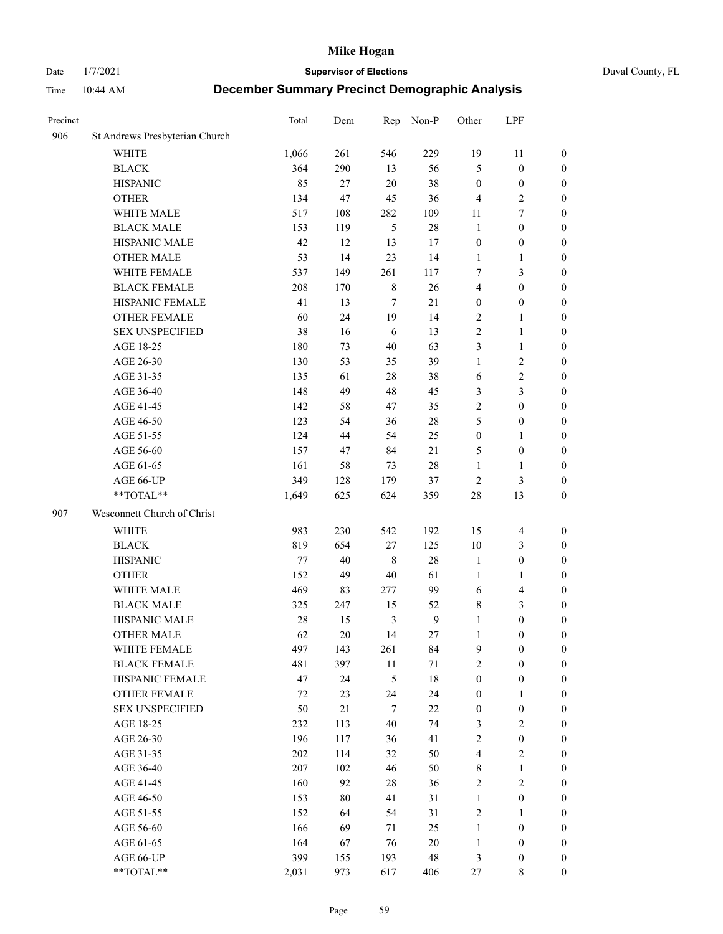Date 1/7/2021 **Supervisor of Elections** Duval County, FL

| Precinct |                                | Total   | Dem | Rep            | Non-P  | Other            | LPF                     |                  |
|----------|--------------------------------|---------|-----|----------------|--------|------------------|-------------------------|------------------|
| 906      | St Andrews Presbyterian Church |         |     |                |        |                  |                         |                  |
|          | <b>WHITE</b>                   | 1,066   | 261 | 546            | 229    | 19               | 11                      | 0                |
|          | <b>BLACK</b>                   | 364     | 290 | 13             | 56     | 5                | $\boldsymbol{0}$        | 0                |
|          | <b>HISPANIC</b>                | 85      | 27  | $20\,$         | 38     | $\boldsymbol{0}$ | $\boldsymbol{0}$        | $\boldsymbol{0}$ |
|          | <b>OTHER</b>                   | 134     | 47  | 45             | 36     | $\overline{4}$   | $\sqrt{2}$              | $\boldsymbol{0}$ |
|          | WHITE MALE                     | 517     | 108 | 282            | 109    | 11               | $\tau$                  | $\boldsymbol{0}$ |
|          | <b>BLACK MALE</b>              | 153     | 119 | 5              | 28     | $\mathbf{1}$     | $\boldsymbol{0}$        | $\boldsymbol{0}$ |
|          | HISPANIC MALE                  | 42      | 12  | 13             | 17     | $\boldsymbol{0}$ | $\boldsymbol{0}$        | $\boldsymbol{0}$ |
|          | <b>OTHER MALE</b>              | 53      | 14  | 23             | 14     | $\mathbf{1}$     | $\mathbf{1}$            | $\boldsymbol{0}$ |
|          | WHITE FEMALE                   | 537     | 149 | 261            | 117    | 7                | $\mathfrak{Z}$          | $\boldsymbol{0}$ |
|          | <b>BLACK FEMALE</b>            | 208     | 170 | $\,$ 8 $\,$    | 26     | 4                | $\boldsymbol{0}$        | 0                |
|          | HISPANIC FEMALE                | 41      | 13  | $\tau$         | 21     | $\boldsymbol{0}$ | $\boldsymbol{0}$        | 0                |
|          | <b>OTHER FEMALE</b>            | 60      | 24  | 19             | 14     | $\overline{2}$   | $\mathbf{1}$            | 0                |
|          | <b>SEX UNSPECIFIED</b>         | 38      | 16  | 6              | 13     | $\sqrt{2}$       | $\mathbf{1}$            | $\boldsymbol{0}$ |
|          | AGE 18-25                      | 180     | 73  | 40             | 63     | 3                | $\mathbf{1}$            | $\boldsymbol{0}$ |
|          | AGE 26-30                      | 130     | 53  | 35             | 39     | $\mathbf{1}$     | $\sqrt{2}$              | $\boldsymbol{0}$ |
|          | AGE 31-35                      | 135     | 61  | 28             | 38     | 6                | $\sqrt{2}$              | $\boldsymbol{0}$ |
|          | AGE 36-40                      | 148     | 49  | 48             | 45     | 3                | $\mathfrak{Z}$          | $\boldsymbol{0}$ |
|          | AGE 41-45                      | 142     | 58  | 47             | 35     | $\mathbf{2}$     | $\boldsymbol{0}$        | $\boldsymbol{0}$ |
|          | AGE 46-50                      | 123     | 54  | 36             | $28\,$ | 5                | $\boldsymbol{0}$        | $\boldsymbol{0}$ |
|          | AGE 51-55                      | 124     | 44  | 54             | 25     | $\boldsymbol{0}$ | $\mathbf{1}$            | $\boldsymbol{0}$ |
|          | AGE 56-60                      | 157     | 47  | 84             | 21     | 5                | $\boldsymbol{0}$        | 0                |
|          | AGE 61-65                      | 161     | 58  | 73             | $28\,$ | $\mathbf{1}$     | $\mathbf{1}$            | 0                |
|          | AGE 66-UP                      | 349     | 128 | 179            | 37     | $\sqrt{2}$       | $\mathfrak{Z}$          | $\boldsymbol{0}$ |
|          | $**TOTAL**$                    | 1,649   | 625 | 624            | 359    | 28               | 13                      | $\boldsymbol{0}$ |
| 907      | Wesconnett Church of Christ    |         |     |                |        |                  |                         |                  |
|          | <b>WHITE</b>                   | 983     | 230 | 542            | 192    | 15               | $\overline{4}$          | $\boldsymbol{0}$ |
|          | <b>BLACK</b>                   | 819     | 654 | $27\,$         | 125    | 10               | $\mathfrak{Z}$          | $\boldsymbol{0}$ |
|          | <b>HISPANIC</b>                | 77      | 40  | $\,$ 8 $\,$    | 28     | $\mathbf{1}$     | $\boldsymbol{0}$        | $\boldsymbol{0}$ |
|          | <b>OTHER</b>                   | 152     | 49  | $40\,$         | 61     | $\mathbf{1}$     | $\mathbf{1}$            | $\boldsymbol{0}$ |
|          | WHITE MALE                     | 469     | 83  | 277            | 99     | 6                | $\overline{\mathbf{4}}$ | $\boldsymbol{0}$ |
|          | <b>BLACK MALE</b>              | 325     | 247 | 15             | 52     | 8                | $\mathfrak{Z}$          | $\boldsymbol{0}$ |
|          | HISPANIC MALE                  | 28      | 15  | $\mathfrak{Z}$ | 9      | $\mathbf{1}$     | $\boldsymbol{0}$        | $\boldsymbol{0}$ |
|          | <b>OTHER MALE</b>              | 62      | 20  | 14             | 27     | $\mathbf{1}$     | $\boldsymbol{0}$        | $\boldsymbol{0}$ |
|          | WHITE FEMALE                   | 497     | 143 | 261            | 84     | 9                | $\boldsymbol{0}$        | 0                |
|          | <b>BLACK FEMALE</b>            | 481     | 397 | 11             | 71     | $\sqrt{2}$       | $\boldsymbol{0}$        | $\boldsymbol{0}$ |
|          | HISPANIC FEMALE                | 47      | 24  | 5              | $18\,$ | $\boldsymbol{0}$ | $\boldsymbol{0}$        | $\overline{0}$   |
|          | OTHER FEMALE                   | 72      | 23  | 24             | 24     | $\boldsymbol{0}$ | $\mathbf{1}$            | $\overline{0}$   |
|          | <b>SEX UNSPECIFIED</b>         | 50      | 21  | $\tau$         | $22\,$ | $\boldsymbol{0}$ | $\boldsymbol{0}$        | 0                |
|          | AGE 18-25                      | 232     | 113 | $40\,$         | 74     | $\mathfrak{Z}$   | $\sqrt{2}$              | 0                |
|          | AGE 26-30                      | 196     | 117 | 36             | 41     | $\sqrt{2}$       | $\boldsymbol{0}$        | 0                |
|          | AGE 31-35                      | $202\,$ | 114 | 32             | 50     | 4                | $\sqrt{2}$              | 0                |
|          | AGE 36-40                      | 207     | 102 | 46             | 50     | $\,$ 8 $\,$      | $\mathbf{1}$            | 0                |
|          | AGE 41-45                      | 160     | 92  | $28\,$         | 36     | $\sqrt{2}$       | $\sqrt{2}$              | 0                |
|          | AGE 46-50                      | 153     | 80  | 41             | 31     | $\mathbf{1}$     | $\boldsymbol{0}$        | 0                |
|          | AGE 51-55                      | 152     | 64  | 54             | 31     | $\sqrt{2}$       | $\mathbf{1}$            | 0                |
|          | AGE 56-60                      | 166     | 69  | 71             | 25     | $\mathbf{1}$     | $\boldsymbol{0}$        | $\boldsymbol{0}$ |
|          | AGE 61-65                      | 164     | 67  | 76             | 20     | $\mathbf{1}$     | $\boldsymbol{0}$        | $\boldsymbol{0}$ |
|          | AGE 66-UP                      | 399     | 155 | 193            | 48     | 3                | $\boldsymbol{0}$        | 0                |
|          | **TOTAL**                      | 2,031   | 973 | 617            | 406    | 27               | 8                       | $\boldsymbol{0}$ |
|          |                                |         |     |                |        |                  |                         |                  |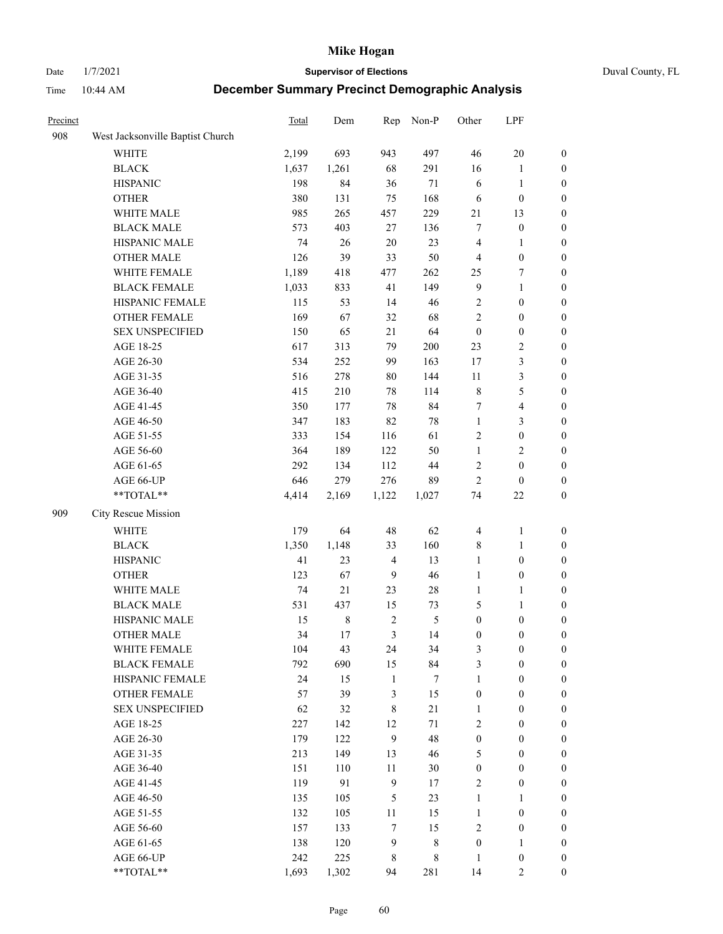Date 1/7/2021 **Supervisor of Elections** Duval County, FL

| Precinct |                                  | <b>Total</b> | Dem         | Rep            | Non-P          | Other            | LPF                     |                  |
|----------|----------------------------------|--------------|-------------|----------------|----------------|------------------|-------------------------|------------------|
| 908      | West Jacksonville Baptist Church |              |             |                |                |                  |                         |                  |
|          | <b>WHITE</b>                     | 2,199        | 693         | 943            | 497            | 46               | $20\,$                  | 0                |
|          | <b>BLACK</b>                     | 1,637        | 1,261       | 68             | 291            | 16               | $\mathbf{1}$            | 0                |
|          | <b>HISPANIC</b>                  | 198          | 84          | 36             | 71             | 6                | $\mathbf{1}$            | $\boldsymbol{0}$ |
|          | <b>OTHER</b>                     | 380          | 131         | 75             | 168            | 6                | $\boldsymbol{0}$        | $\boldsymbol{0}$ |
|          | WHITE MALE                       | 985          | 265         | 457            | 229            | 21               | 13                      | $\boldsymbol{0}$ |
|          | <b>BLACK MALE</b>                | 573          | 403         | 27             | 136            | 7                | $\boldsymbol{0}$        | $\boldsymbol{0}$ |
|          | HISPANIC MALE                    | 74           | 26          | 20             | 23             | 4                | $\mathbf{1}$            | $\boldsymbol{0}$ |
|          | <b>OTHER MALE</b>                | 126          | 39          | 33             | 50             | $\overline{4}$   | $\boldsymbol{0}$        | $\boldsymbol{0}$ |
|          | WHITE FEMALE                     | 1,189        | 418         | 477            | 262            | 25               | $\boldsymbol{7}$        | $\boldsymbol{0}$ |
|          | <b>BLACK FEMALE</b>              | 1,033        | 833         | 41             | 149            | $\overline{9}$   | $\mathbf{1}$            | $\boldsymbol{0}$ |
|          | HISPANIC FEMALE                  | 115          | 53          | 14             | 46             | $\sqrt{2}$       | $\boldsymbol{0}$        | 0                |
|          | OTHER FEMALE                     | 169          | 67          | 32             | 68             | $\mathfrak{2}$   | $\boldsymbol{0}$        | $\boldsymbol{0}$ |
|          | <b>SEX UNSPECIFIED</b>           | 150          | 65          | 21             | 64             | $\boldsymbol{0}$ | $\boldsymbol{0}$        | $\boldsymbol{0}$ |
|          | AGE 18-25                        | 617          | 313         | 79             | 200            | 23               | $\sqrt{2}$              | $\boldsymbol{0}$ |
|          | AGE 26-30                        | 534          | 252         | 99             | 163            | 17               | $\mathfrak{Z}$          | $\boldsymbol{0}$ |
|          | AGE 31-35                        | 516          | 278         | 80             | 144            | 11               | $\mathfrak{Z}$          | $\boldsymbol{0}$ |
|          | AGE 36-40                        | 415          | 210         | 78             | 114            | $\,$ $\,$        | $\mathfrak{S}$          | $\boldsymbol{0}$ |
|          | AGE 41-45                        | 350          | 177         | 78             | 84             | 7                | $\overline{\mathbf{4}}$ | $\boldsymbol{0}$ |
|          | AGE 46-50                        | 347          | 183         | 82             | $78\,$         | $\mathbf{1}$     | $\mathfrak{Z}$          | $\boldsymbol{0}$ |
|          | AGE 51-55                        | 333          | 154         | 116            | 61             | 2                | $\boldsymbol{0}$        | $\boldsymbol{0}$ |
|          | AGE 56-60                        | 364          | 189         | 122            | 50             | $\mathbf{1}$     | $\sqrt{2}$              | 0                |
|          | AGE 61-65                        | 292          | 134         | 112            | 44             | 2                | $\boldsymbol{0}$        | 0                |
|          | AGE 66-UP                        | 646          | 279         | 276            | 89             | $\overline{2}$   | $\boldsymbol{0}$        | $\boldsymbol{0}$ |
|          | **TOTAL**                        | 4,414        | 2,169       | 1,122          | 1,027          | 74               | $22\,$                  | $\boldsymbol{0}$ |
| 909      | City Rescue Mission              |              |             |                |                |                  |                         |                  |
|          | <b>WHITE</b>                     | 179          | 64          | 48             | 62             | 4                | $\mathbf{1}$            | $\boldsymbol{0}$ |
|          | <b>BLACK</b>                     | 1,350        | 1,148       | 33             | 160            | 8                | $\mathbf{1}$            | $\boldsymbol{0}$ |
|          | <b>HISPANIC</b>                  | 41           | 23          | $\overline{4}$ | 13             | $\mathbf{1}$     | $\boldsymbol{0}$        | $\boldsymbol{0}$ |
|          | <b>OTHER</b>                     | 123          | 67          | $\overline{9}$ | 46             | $\mathbf{1}$     | $\boldsymbol{0}$        | $\boldsymbol{0}$ |
|          | WHITE MALE                       | 74           | 21          | 23             | $28\,$         | $\mathbf{1}$     | $\mathbf{1}$            | $\boldsymbol{0}$ |
|          | <b>BLACK MALE</b>                | 531          | 437         | 15             | 73             | 5                | $\mathbf{1}$            | $\boldsymbol{0}$ |
|          | HISPANIC MALE                    | 15           | $\,$ 8 $\,$ | $\sqrt{2}$     | $\mathfrak{S}$ | $\boldsymbol{0}$ | $\boldsymbol{0}$        | 0                |
|          | OTHER MALE                       | 34           | 17          | 3              | 14             | $\boldsymbol{0}$ | $\boldsymbol{0}$        | $\boldsymbol{0}$ |
|          | WHITE FEMALE                     | 104          | 43          | 24             | 34             | 3                | $\boldsymbol{0}$        | 0                |
|          | <b>BLACK FEMALE</b>              | 792          | 690         | 15             | 84             | 3                | $\boldsymbol{0}$        | $\overline{0}$   |
|          | HISPANIC FEMALE                  | 24           | 15          | $\mathbf{1}$   | $\tau$         | $\mathbf{1}$     | $\boldsymbol{0}$        | $\overline{0}$   |
|          | OTHER FEMALE                     | 57           | 39          | 3              | 15             | $\boldsymbol{0}$ | $\boldsymbol{0}$        | $\overline{0}$   |
|          | <b>SEX UNSPECIFIED</b>           | 62           | 32          | 8              | 21             | $\mathbf{1}$     | $\boldsymbol{0}$        | 0                |
|          | AGE 18-25                        | 227          | 142         | 12             | 71             | 2                | $\boldsymbol{0}$        | $\overline{0}$   |
|          | AGE 26-30                        | 179          | 122         | 9              | 48             | $\boldsymbol{0}$ | $\boldsymbol{0}$        | 0                |
|          | AGE 31-35                        | 213          | 149         | 13             | 46             | 5                | $\boldsymbol{0}$        | 0                |
|          | AGE 36-40                        | 151          | 110         | $11\,$         | $30\,$         | $\boldsymbol{0}$ | $\boldsymbol{0}$        | 0                |
|          | AGE 41-45                        | 119          | 91          | $\overline{9}$ | 17             | 2                | $\boldsymbol{0}$        | 0                |
|          | AGE 46-50                        | 135          | 105         | $\mathfrak{S}$ | 23             | $\mathbf{1}$     | $\mathbf{1}$            | 0                |
|          | AGE 51-55                        | 132          | 105         | 11             | 15             | $\mathbf{1}$     | $\boldsymbol{0}$        | $\boldsymbol{0}$ |
|          | AGE 56-60                        | 157          | 133         | 7              | 15             | 2                | $\boldsymbol{0}$        | $\boldsymbol{0}$ |
|          | AGE 61-65                        | 138          | 120         | $\overline{9}$ | 8              | $\boldsymbol{0}$ | $\mathbf{1}$            | $\boldsymbol{0}$ |
|          | AGE 66-UP                        | 242          | 225         | 8              | 8              | $\mathbf{1}$     | $\boldsymbol{0}$        | $\boldsymbol{0}$ |
|          | **TOTAL**                        | 1,693        | 1,302       | 94             | 281            | 14               | $\mathfrak{2}$          | $\boldsymbol{0}$ |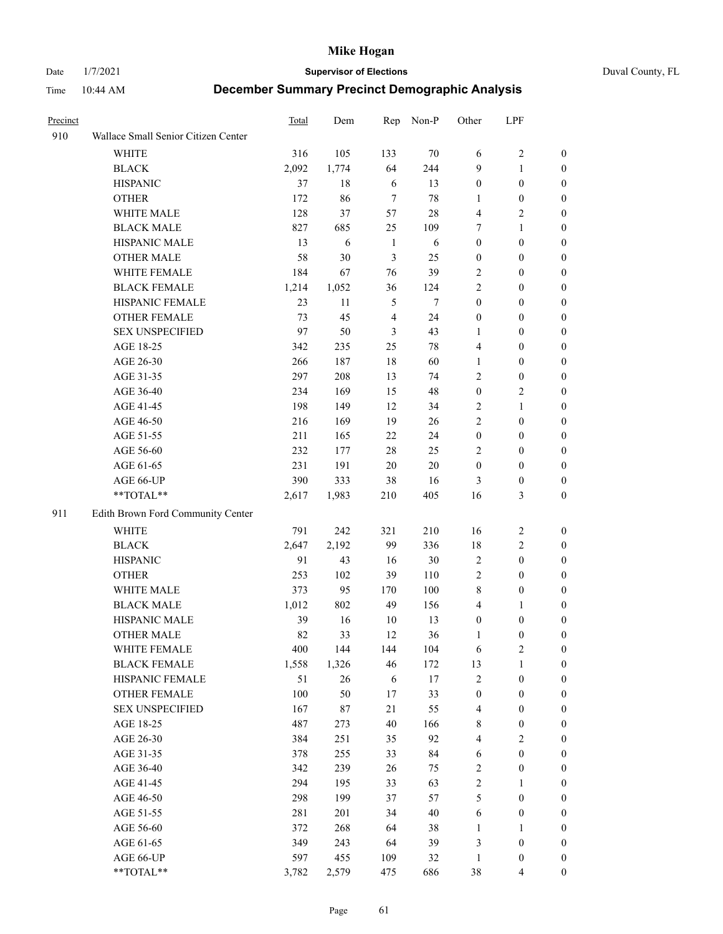Date 1/7/2021 **Supervisor of Elections** Duval County, FL

| Precinct |                                     | Total | Dem   | Rep            | Non-P  | Other            | LPF              |                  |
|----------|-------------------------------------|-------|-------|----------------|--------|------------------|------------------|------------------|
| 910      | Wallace Small Senior Citizen Center |       |       |                |        |                  |                  |                  |
|          | <b>WHITE</b>                        | 316   | 105   | 133            | 70     | 6                | $\sqrt{2}$       | 0                |
|          | <b>BLACK</b>                        | 2,092 | 1,774 | 64             | 244    | 9                | $\mathbf{1}$     | 0                |
|          | <b>HISPANIC</b>                     | 37    | 18    | 6              | 13     | $\boldsymbol{0}$ | $\boldsymbol{0}$ | $\boldsymbol{0}$ |
|          | <b>OTHER</b>                        | 172   | 86    | $\overline{7}$ | $78\,$ | 1                | $\boldsymbol{0}$ | $\boldsymbol{0}$ |
|          | WHITE MALE                          | 128   | 37    | 57             | 28     | 4                | $\sqrt{2}$       | $\boldsymbol{0}$ |
|          | <b>BLACK MALE</b>                   | 827   | 685   | 25             | 109    | 7                | $\mathbf{1}$     | $\boldsymbol{0}$ |
|          | HISPANIC MALE                       | 13    | 6     | $\mathbf{1}$   | 6      | $\boldsymbol{0}$ | $\boldsymbol{0}$ | $\boldsymbol{0}$ |
|          | <b>OTHER MALE</b>                   | 58    | 30    | 3              | 25     | $\boldsymbol{0}$ | $\boldsymbol{0}$ | $\boldsymbol{0}$ |
|          | WHITE FEMALE                        | 184   | 67    | 76             | 39     | 2                | $\boldsymbol{0}$ | $\boldsymbol{0}$ |
|          | <b>BLACK FEMALE</b>                 | 1,214 | 1,052 | 36             | 124    | 2                | $\boldsymbol{0}$ | 0                |
|          | HISPANIC FEMALE                     | 23    | 11    | 5              | 7      | $\boldsymbol{0}$ | $\boldsymbol{0}$ | 0                |
|          | <b>OTHER FEMALE</b>                 | 73    | 45    | $\overline{4}$ | 24     | $\boldsymbol{0}$ | $\boldsymbol{0}$ | 0                |
|          | <b>SEX UNSPECIFIED</b>              | 97    | 50    | 3              | 43     | $\mathbf{1}$     | $\boldsymbol{0}$ | $\boldsymbol{0}$ |
|          | AGE 18-25                           | 342   | 235   | 25             | 78     | 4                | $\boldsymbol{0}$ | $\boldsymbol{0}$ |
|          | AGE 26-30                           | 266   | 187   | 18             | 60     | $\mathbf{1}$     | $\boldsymbol{0}$ | $\boldsymbol{0}$ |
|          | AGE 31-35                           | 297   | 208   | 13             | 74     | $\mathfrak{2}$   | $\boldsymbol{0}$ | $\boldsymbol{0}$ |
|          | AGE 36-40                           | 234   | 169   | 15             | 48     | $\boldsymbol{0}$ | $\sqrt{2}$       | $\boldsymbol{0}$ |
|          | AGE 41-45                           | 198   | 149   | 12             | 34     | 2                | $\mathbf{1}$     | $\boldsymbol{0}$ |
|          | AGE 46-50                           | 216   | 169   | 19             | 26     | $\overline{c}$   | $\boldsymbol{0}$ | $\boldsymbol{0}$ |
|          | AGE 51-55                           | 211   | 165   | $22\,$         | 24     | $\boldsymbol{0}$ | $\boldsymbol{0}$ | 0                |
|          | AGE 56-60                           | 232   | 177   | 28             | 25     | $\overline{2}$   | $\boldsymbol{0}$ | 0                |
|          | AGE 61-65                           | 231   | 191   | 20             | $20\,$ | $\boldsymbol{0}$ | $\boldsymbol{0}$ | 0                |
|          | AGE 66-UP                           | 390   | 333   | 38             | 16     | 3                | $\boldsymbol{0}$ | $\boldsymbol{0}$ |
|          | **TOTAL**                           | 2,617 | 1,983 | 210            | 405    | 16               | $\mathfrak{Z}$   | $\boldsymbol{0}$ |
| 911      | Edith Brown Ford Community Center   |       |       |                |        |                  |                  |                  |
|          | <b>WHITE</b>                        | 791   | 242   | 321            | 210    | 16               | $\sqrt{2}$       | $\boldsymbol{0}$ |
|          | <b>BLACK</b>                        | 2,647 | 2,192 | 99             | 336    | 18               | $\sqrt{2}$       | $\boldsymbol{0}$ |
|          | <b>HISPANIC</b>                     | 91    | 43    | 16             | 30     | $\sqrt{2}$       | $\boldsymbol{0}$ | $\boldsymbol{0}$ |
|          | <b>OTHER</b>                        | 253   | 102   | 39             | 110    | 2                | $\boldsymbol{0}$ | $\boldsymbol{0}$ |
|          | WHITE MALE                          | 373   | 95    | 170            | 100    | 8                | $\boldsymbol{0}$ | $\boldsymbol{0}$ |
|          | <b>BLACK MALE</b>                   | 1,012 | 802   | 49             | 156    | $\overline{4}$   | $\mathbf{1}$     | $\boldsymbol{0}$ |
|          | HISPANIC MALE                       | 39    | 16    | 10             | 13     | $\boldsymbol{0}$ | $\boldsymbol{0}$ | 0                |
|          | <b>OTHER MALE</b>                   | 82    | 33    | 12             | 36     | 1                | $\boldsymbol{0}$ | 0                |
|          | WHITE FEMALE                        | 400   | 144   | 144            | 104    | 6                | 2                | 0                |
|          | <b>BLACK FEMALE</b>                 | 1,558 | 1,326 | 46             | 172    | 13               | $\mathbf{1}$     | $\boldsymbol{0}$ |
|          | HISPANIC FEMALE                     | 51    | 26    | 6              | $17\,$ | 2                | $\boldsymbol{0}$ | $\overline{0}$   |
|          | OTHER FEMALE                        | 100   | 50    | 17             | 33     | $\boldsymbol{0}$ | $\boldsymbol{0}$ | $\overline{0}$   |
|          | <b>SEX UNSPECIFIED</b>              | 167   | 87    | 21             | 55     | 4                | $\boldsymbol{0}$ | $\overline{0}$   |
|          | AGE 18-25                           | 487   | 273   | 40             | 166    | 8                | $\boldsymbol{0}$ | $\theta$         |
|          | AGE 26-30                           | 384   | 251   | 35             | 92     | $\overline{4}$   | $\overline{2}$   | 0                |
|          | AGE 31-35                           | 378   | 255   | 33             | 84     | 6                | $\boldsymbol{0}$ | 0                |
|          | AGE 36-40                           | 342   | 239   | 26             | 75     | 2                | $\boldsymbol{0}$ | 0                |
|          | AGE 41-45                           | 294   | 195   | 33             | 63     | $\overline{c}$   | $\mathbf{1}$     | 0                |
|          | AGE 46-50                           | 298   | 199   | 37             | 57     | 5                | $\boldsymbol{0}$ | 0                |
|          | AGE 51-55                           | 281   | 201   | 34             | 40     | 6                | $\boldsymbol{0}$ | 0                |
|          | AGE 56-60                           | 372   | 268   | 64             | 38     | 1                | 1                | $\overline{0}$   |
|          | AGE 61-65                           | 349   | 243   | 64             | 39     | 3                | $\boldsymbol{0}$ | $\overline{0}$   |
|          | AGE 66-UP                           | 597   | 455   | 109            | 32     | $\mathbf{1}$     | $\boldsymbol{0}$ | $\boldsymbol{0}$ |
|          | **TOTAL**                           | 3,782 | 2,579 | 475            | 686    | 38               | $\overline{4}$   | $\boldsymbol{0}$ |
|          |                                     |       |       |                |        |                  |                  |                  |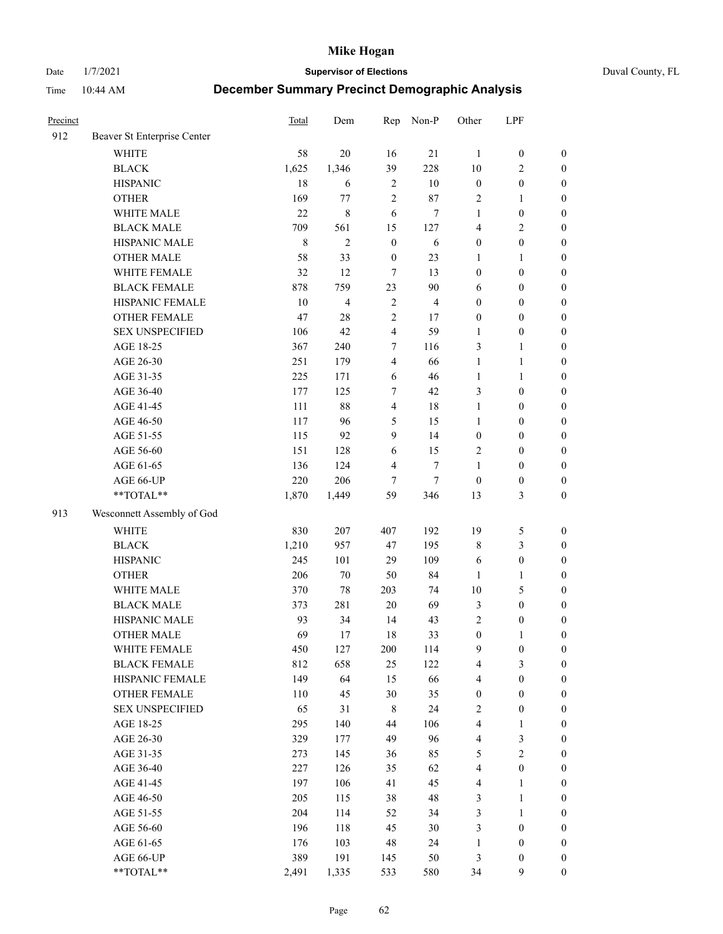Date 1/7/2021 **Supervisor of Elections** Duval County, FL

| Precinct |                             | <b>Total</b> | Dem            | Rep              | Non-P          | Other                   | LPF              |                  |
|----------|-----------------------------|--------------|----------------|------------------|----------------|-------------------------|------------------|------------------|
| 912      | Beaver St Enterprise Center |              |                |                  |                |                         |                  |                  |
|          | <b>WHITE</b>                | 58           | 20             | 16               | 21             | 1                       | $\boldsymbol{0}$ | $\boldsymbol{0}$ |
|          | <b>BLACK</b>                | 1,625        | 1,346          | 39               | 228            | 10                      | $\overline{c}$   | $\boldsymbol{0}$ |
|          | <b>HISPANIC</b>             | 18           | 6              | $\overline{2}$   | 10             | $\boldsymbol{0}$        | $\boldsymbol{0}$ | $\boldsymbol{0}$ |
|          | <b>OTHER</b>                | 169          | 77             | $\overline{c}$   | 87             | $\overline{2}$          | $\mathbf{1}$     | $\boldsymbol{0}$ |
|          | WHITE MALE                  | 22           | 8              | 6                | 7              | $\mathbf{1}$            | $\boldsymbol{0}$ | $\boldsymbol{0}$ |
|          | <b>BLACK MALE</b>           | 709          | 561            | 15               | 127            | 4                       | $\overline{c}$   | $\boldsymbol{0}$ |
|          | HISPANIC MALE               | $\,$ 8 $\,$  | $\overline{c}$ | $\boldsymbol{0}$ | 6              | $\boldsymbol{0}$        | $\boldsymbol{0}$ | $\boldsymbol{0}$ |
|          | <b>OTHER MALE</b>           | 58           | 33             | $\boldsymbol{0}$ | 23             | $\mathbf{1}$            | $\mathbf{1}$     | $\boldsymbol{0}$ |
|          | WHITE FEMALE                | 32           | 12             | $\tau$           | 13             | $\boldsymbol{0}$        | $\boldsymbol{0}$ | $\boldsymbol{0}$ |
|          | <b>BLACK FEMALE</b>         | 878          | 759            | 23               | $90\,$         | 6                       | $\boldsymbol{0}$ | $\boldsymbol{0}$ |
|          | HISPANIC FEMALE             | 10           | 4              | $\sqrt{2}$       | $\overline{4}$ | $\boldsymbol{0}$        | $\boldsymbol{0}$ | $\boldsymbol{0}$ |
|          | <b>OTHER FEMALE</b>         | 47           | 28             | $\overline{2}$   | 17             | $\boldsymbol{0}$        | $\boldsymbol{0}$ | $\boldsymbol{0}$ |
|          | <b>SEX UNSPECIFIED</b>      | 106          | 42             | $\overline{4}$   | 59             | $\mathbf{1}$            | $\boldsymbol{0}$ | $\boldsymbol{0}$ |
|          | AGE 18-25                   | 367          | 240            | $\tau$           | 116            | 3                       | $\mathbf{1}$     | $\boldsymbol{0}$ |
|          | AGE 26-30                   | 251          | 179            | $\overline{4}$   | 66             | $\mathbf{1}$            | $\mathbf{1}$     | $\boldsymbol{0}$ |
|          | AGE 31-35                   | 225          | 171            | 6                | 46             | $\mathbf{1}$            | $\mathbf{1}$     | $\boldsymbol{0}$ |
|          | AGE 36-40                   | 177          | 125            | 7                | 42             | 3                       | $\boldsymbol{0}$ | $\boldsymbol{0}$ |
|          | AGE 41-45                   | 111          | 88             | $\overline{4}$   | 18             | $\mathbf{1}$            | $\boldsymbol{0}$ | $\boldsymbol{0}$ |
|          | AGE 46-50                   | 117          | 96             | $\mathfrak{S}$   | 15             | $\mathbf{1}$            | $\boldsymbol{0}$ | $\boldsymbol{0}$ |
|          | AGE 51-55                   | 115          | 92             | 9                | 14             | $\boldsymbol{0}$        | $\boldsymbol{0}$ | $\boldsymbol{0}$ |
|          | AGE 56-60                   | 151          | 128            | 6                | 15             | $\overline{c}$          | $\boldsymbol{0}$ | 0                |
|          | AGE 61-65                   | 136          | 124            | $\overline{4}$   | $\tau$         | 1                       | $\boldsymbol{0}$ | $\boldsymbol{0}$ |
|          | AGE 66-UP                   | 220          | 206            | 7                | $\tau$         | $\boldsymbol{0}$        | $\boldsymbol{0}$ | $\boldsymbol{0}$ |
|          | $**TOTAL**$                 | 1,870        | 1,449          | 59               | 346            | 13                      | $\mathfrak{Z}$   | $\boldsymbol{0}$ |
| 913      | Wesconnett Assembly of God  |              |                |                  |                |                         |                  |                  |
|          | WHITE                       | 830          | 207            | 407              | 192            | 19                      | 5                | $\boldsymbol{0}$ |
|          | <b>BLACK</b>                | 1,210        | 957            | 47               | 195            | 8                       | $\mathfrak{Z}$   | $\boldsymbol{0}$ |
|          | <b>HISPANIC</b>             | 245          | 101            | 29               | 109            | 6                       | $\boldsymbol{0}$ | $\boldsymbol{0}$ |
|          | <b>OTHER</b>                | 206          | $70\,$         | 50               | 84             | $\mathbf{1}$            | $\mathbf{1}$     | $\boldsymbol{0}$ |
|          | WHITE MALE                  | 370          | 78             | 203              | 74             | 10                      | $\mathfrak{S}$   | $\boldsymbol{0}$ |
|          | <b>BLACK MALE</b>           | 373          | 281            | $20\,$           | 69             | 3                       | $\boldsymbol{0}$ | $\boldsymbol{0}$ |
|          | HISPANIC MALE               | 93           | 34             | 14               | 43             | $\overline{c}$          | $\boldsymbol{0}$ | $\boldsymbol{0}$ |
|          | <b>OTHER MALE</b>           | 69           | 17             | 18               | 33             | $\boldsymbol{0}$        | $\mathbf{1}$     | $\boldsymbol{0}$ |
|          | WHITE FEMALE                | 450          | 127            | 200              | 114            | 9                       | $\boldsymbol{0}$ | 0                |
|          | <b>BLACK FEMALE</b>         | 812          | 658            | 25               | 122            | 4                       | 3                | $\boldsymbol{0}$ |
|          | HISPANIC FEMALE             | 149          | 64             | 15               | 66             | 4                       | $\boldsymbol{0}$ | $\overline{0}$   |
|          | OTHER FEMALE                | 110          | 45             | 30               | 35             | $\boldsymbol{0}$        | $\boldsymbol{0}$ | $\overline{0}$   |
|          | <b>SEX UNSPECIFIED</b>      | 65           | 31             | $\,8\,$          | 24             | 2                       | $\boldsymbol{0}$ | 0                |
|          | AGE 18-25                   | 295          | 140            | 44               | 106            | 4                       | $\mathbf{1}$     | $\theta$         |
|          | AGE 26-30                   | 329          | 177            | 49               | 96             | 4                       | $\mathfrak{Z}$   | 0                |
|          | AGE 31-35                   | 273          | 145            | 36               | 85             | 5                       | $\sqrt{2}$       | 0                |
|          | AGE 36-40                   | 227          | 126            | 35               | 62             | 4                       | $\boldsymbol{0}$ | 0                |
|          | AGE 41-45                   | 197          | 106            | 41               | 45             | $\overline{\mathbf{4}}$ | $\mathbf{1}$     | 0                |
|          | AGE 46-50                   | 205          | 115            | 38               | 48             | 3                       | $\mathbf{1}$     | 0                |
|          | AGE 51-55                   | 204          | 114            | 52               | 34             | 3                       | $\mathbf{1}$     | 0                |
|          | AGE 56-60                   | 196          | 118            | 45               | 30             | 3                       | $\boldsymbol{0}$ | $\overline{0}$   |
|          | AGE 61-65                   | 176          | 103            | 48               | 24             | $\mathbf{1}$            | $\boldsymbol{0}$ | $\overline{0}$   |
|          | AGE 66-UP                   | 389          | 191            | 145              | 50             | 3                       | $\boldsymbol{0}$ | $\boldsymbol{0}$ |
|          | **TOTAL**                   | 2,491        | 1,335          | 533              | 580            | 34                      | $\mathbf{9}$     | $\boldsymbol{0}$ |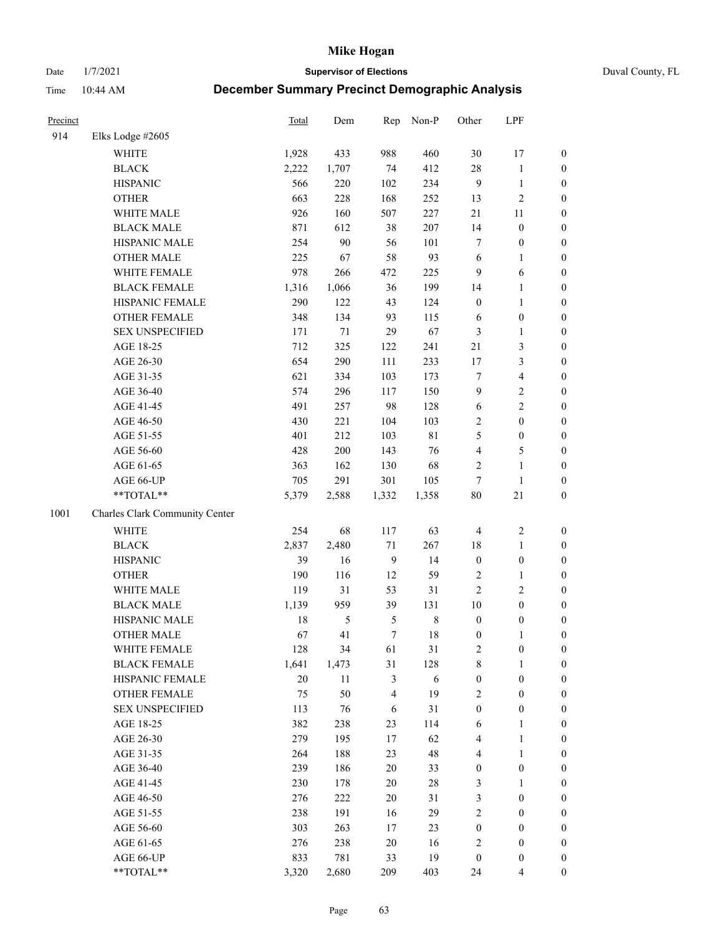Date 1/7/2021 **Supervisor of Elections** Duval County, FL

| Precinct |                                | <b>Total</b> | Dem           | Rep            | Non-P       | Other            | LPF                     |                  |
|----------|--------------------------------|--------------|---------------|----------------|-------------|------------------|-------------------------|------------------|
| 914      | Elks Lodge #2605               |              |               |                |             |                  |                         |                  |
|          | <b>WHITE</b>                   | 1,928        | 433           | 988            | 460         | 30               | 17                      | 0                |
|          | <b>BLACK</b>                   | 2,222        | 1,707         | 74             | 412         | 28               | $\mathbf{1}$            | $\boldsymbol{0}$ |
|          | <b>HISPANIC</b>                | 566          | 220           | 102            | 234         | 9                | $\mathbf{1}$            | $\boldsymbol{0}$ |
|          | <b>OTHER</b>                   | 663          | 228           | 168            | 252         | 13               | $\sqrt{2}$              | $\boldsymbol{0}$ |
|          | WHITE MALE                     | 926          | 160           | 507            | 227         | $21\,$           | 11                      | $\boldsymbol{0}$ |
|          | <b>BLACK MALE</b>              | 871          | 612           | 38             | 207         | 14               | $\boldsymbol{0}$        | $\boldsymbol{0}$ |
|          | HISPANIC MALE                  | 254          | 90            | 56             | 101         | 7                | $\boldsymbol{0}$        | $\boldsymbol{0}$ |
|          | <b>OTHER MALE</b>              | 225          | 67            | 58             | 93          | 6                | $\mathbf{1}$            | $\boldsymbol{0}$ |
|          | WHITE FEMALE                   | 978          | 266           | 472            | 225         | $\overline{9}$   | $\sqrt{6}$              | $\boldsymbol{0}$ |
|          | <b>BLACK FEMALE</b>            | 1,316        | 1,066         | 36             | 199         | 14               | $\mathbf{1}$            | 0                |
|          | HISPANIC FEMALE                | 290          | 122           | 43             | 124         | $\boldsymbol{0}$ | $\mathbf{1}$            | 0                |
|          | <b>OTHER FEMALE</b>            | 348          | 134           | 93             | 115         | 6                | $\boldsymbol{0}$        | $\boldsymbol{0}$ |
|          | <b>SEX UNSPECIFIED</b>         | 171          | $71\,$        | 29             | 67          | 3                | $\mathbf{1}$            | $\boldsymbol{0}$ |
|          | AGE 18-25                      | 712          | 325           | 122            | 241         | $21\,$           | $\mathfrak{Z}$          | $\boldsymbol{0}$ |
|          | AGE 26-30                      | 654          | 290           | 111            | 233         | 17               | $\mathfrak{Z}$          | $\boldsymbol{0}$ |
|          | AGE 31-35                      | 621          | 334           | 103            | 173         | $\tau$           | $\overline{\mathbf{4}}$ | $\boldsymbol{0}$ |
|          | AGE 36-40                      | 574          | 296           | 117            | 150         | 9                | $\sqrt{2}$              | $\boldsymbol{0}$ |
|          | AGE 41-45                      | 491          | 257           | 98             | 128         | $\sqrt{6}$       | $\overline{2}$          | $\boldsymbol{0}$ |
|          | AGE 46-50                      | 430          | 221           | 104            | 103         | $\mathbf{2}$     | $\boldsymbol{0}$        | $\boldsymbol{0}$ |
|          | AGE 51-55                      | 401          | 212           | 103            | $8\sqrt{1}$ | 5                | $\boldsymbol{0}$        | $\boldsymbol{0}$ |
|          | AGE 56-60                      | 428          | 200           | 143            | 76          | $\overline{4}$   | $\mathfrak{S}$          | 0                |
|          | AGE 61-65                      | 363          | 162           | 130            | 68          | $\overline{2}$   | $\mathbf{1}$            | $\boldsymbol{0}$ |
|          | AGE 66-UP                      | 705          | 291           | 301            | 105         | $\tau$           | $\mathbf{1}$            | $\boldsymbol{0}$ |
|          | **TOTAL**                      | 5,379        | 2,588         | 1,332          | 1,358       | $80\,$           | $21\,$                  | $\boldsymbol{0}$ |
| 1001     | Charles Clark Community Center |              |               |                |             |                  |                         |                  |
|          | <b>WHITE</b>                   | 254          | 68            | 117            | 63          | $\overline{4}$   | $\sqrt{2}$              | $\boldsymbol{0}$ |
|          | <b>BLACK</b>                   | 2,837        | 2,480         | $71\,$         | 267         | 18               | $\mathbf{1}$            | $\boldsymbol{0}$ |
|          | <b>HISPANIC</b>                | 39           | 16            | 9              | 14          | $\boldsymbol{0}$ | $\boldsymbol{0}$        | $\boldsymbol{0}$ |
|          | <b>OTHER</b>                   | 190          | 116           | 12             | 59          | $\overline{c}$   | $\mathbf{1}$            | $\boldsymbol{0}$ |
|          | WHITE MALE                     | 119          | 31            | 53             | 31          | $\overline{2}$   | $\mathbf{2}$            | $\boldsymbol{0}$ |
|          | <b>BLACK MALE</b>              | 1,139        | 959           | 39             | 131         | $10\,$           | $\boldsymbol{0}$        | $\boldsymbol{0}$ |
|          | HISPANIC MALE                  | 18           | $\mathfrak s$ | 5              | $\,$ 8 $\,$ | $\boldsymbol{0}$ | $\boldsymbol{0}$        | $\boldsymbol{0}$ |
|          | <b>OTHER MALE</b>              | 67           | 41            | $\tau$         | 18          | $\boldsymbol{0}$ | $\mathbf{1}$            | $\boldsymbol{0}$ |
|          | WHITE FEMALE                   | 128          | 34            | 61             | 31          | 2                | $\boldsymbol{0}$        | 0                |
|          | <b>BLACK FEMALE</b>            | 1,641        | 1,473         | 31             | 128         | 8                | $\mathbf{1}$            | $\boldsymbol{0}$ |
|          | HISPANIC FEMALE                | 20           | 11            | $\mathfrak{Z}$ | 6           | $\boldsymbol{0}$ | $\boldsymbol{0}$        | $\overline{0}$   |
|          | OTHER FEMALE                   | 75           | 50            | $\overline{4}$ | 19          | $\overline{c}$   | $\boldsymbol{0}$        | $\overline{0}$   |
|          | <b>SEX UNSPECIFIED</b>         | 113          | 76            | 6              | 31          | $\boldsymbol{0}$ | $\boldsymbol{0}$        | 0                |
|          | AGE 18-25                      | 382          | 238           | 23             | 114         | 6                | $\mathbf{1}$            | 0                |
|          | AGE 26-30                      | 279          | 195           | 17             | 62          | 4                | $\mathbf{1}$            | 0                |
|          | AGE 31-35                      | 264          | 188           | 23             | 48          | 4                | $\mathbf{1}$            | 0                |
|          | AGE 36-40                      | 239          | 186           | $20\,$         | 33          | $\boldsymbol{0}$ | $\boldsymbol{0}$        | 0                |
|          | AGE 41-45                      | 230          | 178           | 20             | 28          | 3                | $\mathbf{1}$            | 0                |
|          | AGE 46-50                      | 276          | 222           | 20             | 31          | 3                | $\boldsymbol{0}$        | 0                |
|          | AGE 51-55                      | 238          | 191           | 16             | 29          | $\sqrt{2}$       | $\boldsymbol{0}$        | 0                |
|          | AGE 56-60                      | 303          | 263           | 17             | 23          | $\boldsymbol{0}$ | $\boldsymbol{0}$        | $\overline{0}$   |
|          | AGE 61-65                      | 276          | 238           | 20             | 16          | 2                | $\boldsymbol{0}$        | $\overline{0}$   |
|          | AGE 66-UP                      | 833          | 781           | 33             | 19          | $\boldsymbol{0}$ | $\boldsymbol{0}$        | 0                |
|          | **TOTAL**                      | 3,320        | 2,680         | 209            | 403         | 24               | $\overline{4}$          | $\boldsymbol{0}$ |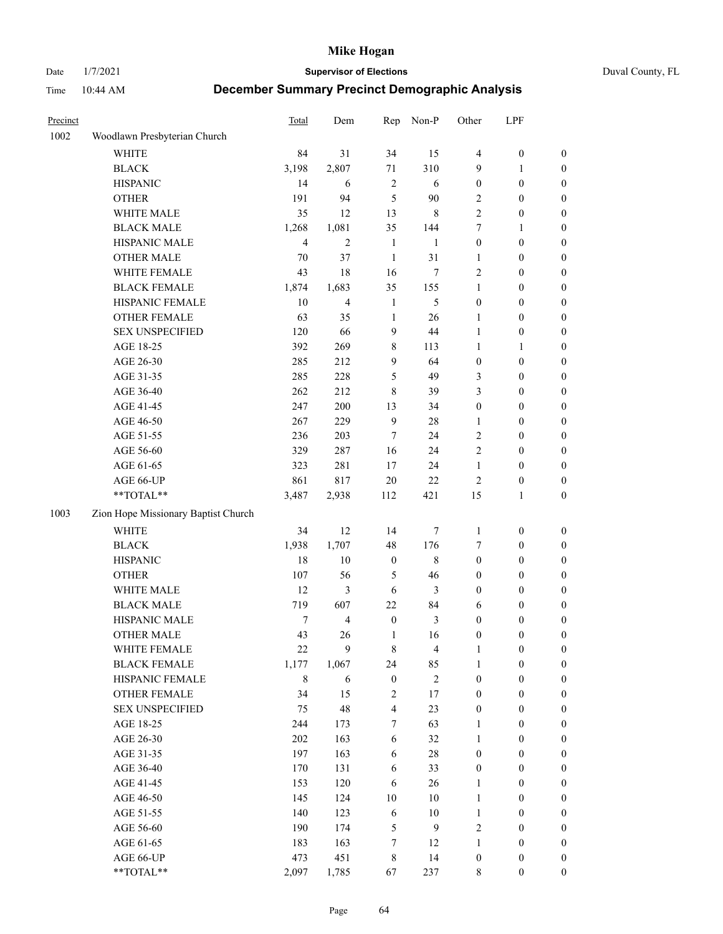Date 1/7/2021 **Supervisor of Elections** Duval County, FL

| Precinct |                                     | Total                   | Dem            | Rep                     | Non-P          | Other                   | LPF              |                  |
|----------|-------------------------------------|-------------------------|----------------|-------------------------|----------------|-------------------------|------------------|------------------|
| 1002     | Woodlawn Presbyterian Church        |                         |                |                         |                |                         |                  |                  |
|          | <b>WHITE</b>                        | 84                      | 31             | 34                      | 15             | 4                       | $\boldsymbol{0}$ | $\boldsymbol{0}$ |
|          | <b>BLACK</b>                        | 3,198                   | 2,807          | 71                      | 310            | 9                       | $\mathbf{1}$     | $\boldsymbol{0}$ |
|          | <b>HISPANIC</b>                     | 14                      | 6              | $\sqrt{2}$              | 6              | 0                       | $\boldsymbol{0}$ | $\boldsymbol{0}$ |
|          | <b>OTHER</b>                        | 191                     | 94             | 5                       | 90             | 2                       | $\boldsymbol{0}$ | $\boldsymbol{0}$ |
|          | WHITE MALE                          | 35                      | 12             | 13                      | $\,$ 8 $\,$    | $\overline{c}$          | $\boldsymbol{0}$ | $\boldsymbol{0}$ |
|          | <b>BLACK MALE</b>                   | 1,268                   | 1,081          | 35                      | 144            | 7                       | $\mathbf{1}$     | $\boldsymbol{0}$ |
|          | HISPANIC MALE                       | $\overline{\mathbf{4}}$ | $\mathfrak{2}$ | $\mathbf{1}$            | $\mathbf{1}$   | $\boldsymbol{0}$        | $\boldsymbol{0}$ | $\boldsymbol{0}$ |
|          | <b>OTHER MALE</b>                   | 70                      | 37             | $\mathbf{1}$            | 31             | $\mathbf{1}$            | $\boldsymbol{0}$ | $\boldsymbol{0}$ |
|          | WHITE FEMALE                        | 43                      | 18             | 16                      | $\tau$         | 2                       | $\boldsymbol{0}$ | $\boldsymbol{0}$ |
|          | <b>BLACK FEMALE</b>                 | 1,874                   | 1,683          | 35                      | 155            | $\mathbf{1}$            | $\boldsymbol{0}$ | 0                |
|          | HISPANIC FEMALE                     | 10                      | $\overline{4}$ | $\mathbf{1}$            | 5              | $\boldsymbol{0}$        | $\boldsymbol{0}$ | $\boldsymbol{0}$ |
|          | OTHER FEMALE                        | 63                      | 35             | $\mathbf{1}$            | 26             | $\mathbf{1}$            | $\boldsymbol{0}$ | $\boldsymbol{0}$ |
|          | <b>SEX UNSPECIFIED</b>              | 120                     | 66             | 9                       | 44             | $\mathbf{1}$            | $\boldsymbol{0}$ | $\boldsymbol{0}$ |
|          | AGE 18-25                           | 392                     | 269            | 8                       | 113            | $\mathbf{1}$            | $\mathbf{1}$     | $\boldsymbol{0}$ |
|          | AGE 26-30                           | 285                     | 212            | 9                       | 64             | $\boldsymbol{0}$        | $\boldsymbol{0}$ | $\boldsymbol{0}$ |
|          | AGE 31-35                           | 285                     | 228            | 5                       | 49             | 3                       | $\boldsymbol{0}$ | $\boldsymbol{0}$ |
|          | AGE 36-40                           | 262                     | 212            | 8                       | 39             | 3                       | $\boldsymbol{0}$ | $\boldsymbol{0}$ |
|          | AGE 41-45                           | 247                     | 200            | 13                      | 34             | $\boldsymbol{0}$        | $\boldsymbol{0}$ | $\boldsymbol{0}$ |
|          | AGE 46-50                           | 267                     | 229            | $\mathbf{9}$            | 28             | 1                       | $\boldsymbol{0}$ | $\boldsymbol{0}$ |
|          | AGE 51-55                           | 236                     | 203            | 7                       | 24             | $\mathbf{2}$            | $\boldsymbol{0}$ | 0                |
|          | AGE 56-60                           | 329                     | 287            | 16                      | 24             | $\mathbf{2}$            | $\boldsymbol{0}$ | $\boldsymbol{0}$ |
|          | AGE 61-65                           | 323                     | 281            | 17                      | 24             | $\mathbf{1}$            | $\boldsymbol{0}$ | $\boldsymbol{0}$ |
|          | AGE 66-UP                           | 861                     | 817            | 20                      | $22\,$         | 2                       | $\boldsymbol{0}$ | $\boldsymbol{0}$ |
|          | $\mathrm{``TOTAL}^{\mathrm{**}}$    | 3,487                   | 2,938          | 112                     | 421            | 15                      | $\mathbf{1}$     | $\boldsymbol{0}$ |
| 1003     | Zion Hope Missionary Baptist Church |                         |                |                         |                |                         |                  |                  |
|          | <b>WHITE</b>                        | 34                      | 12             | 14                      | $\tau$         | $\mathbf{1}$            | $\boldsymbol{0}$ | $\boldsymbol{0}$ |
|          | <b>BLACK</b>                        | 1,938                   | 1,707          | 48                      | 176            | 7                       | $\boldsymbol{0}$ | $\boldsymbol{0}$ |
|          | <b>HISPANIC</b>                     | 18                      | 10             | $\boldsymbol{0}$        | $\,$ 8 $\,$    | 0                       | $\boldsymbol{0}$ | $\boldsymbol{0}$ |
|          | <b>OTHER</b>                        | 107                     | 56             | 5                       | 46             | $\boldsymbol{0}$        | $\boldsymbol{0}$ | $\boldsymbol{0}$ |
|          | WHITE MALE                          | 12                      | $\mathfrak{Z}$ | $\sqrt{6}$              | 3              | $\boldsymbol{0}$        | $\boldsymbol{0}$ | $\boldsymbol{0}$ |
|          | <b>BLACK MALE</b>                   | 719                     | 607            | $22\,$                  | 84             | 6                       | $\boldsymbol{0}$ | $\boldsymbol{0}$ |
|          | HISPANIC MALE                       | 7                       | $\overline{4}$ | $\boldsymbol{0}$        | $\mathfrak{Z}$ | 0                       | $\boldsymbol{0}$ | 0                |
|          | <b>OTHER MALE</b>                   | 43                      | 26             | $\mathbf{1}$            | 16             | 0                       | $\boldsymbol{0}$ | $\boldsymbol{0}$ |
|          | WHITE FEMALE                        | $22\,$                  | 9              | 8                       | $\overline{4}$ | $\mathbf{1}$            | $\boldsymbol{0}$ | $\boldsymbol{0}$ |
|          | <b>BLACK FEMALE</b>                 | 1,177                   | 1,067          | 24                      | 85             | 1                       | $\boldsymbol{0}$ | $\overline{0}$   |
|          | HISPANIC FEMALE                     | 8                       | 6              | $\boldsymbol{0}$        | $\sqrt{2}$     | $\boldsymbol{0}$        | $\boldsymbol{0}$ | $\overline{0}$   |
|          | <b>OTHER FEMALE</b>                 | 34                      | 15             | $\overline{\mathbf{c}}$ | 17             | $\boldsymbol{0}$        | $\boldsymbol{0}$ | $\overline{0}$   |
|          | <b>SEX UNSPECIFIED</b>              | 75                      | 48             | 4                       | 23             | 0                       | $\boldsymbol{0}$ | $\overline{0}$   |
|          | AGE 18-25                           | 244                     | 173            | 7                       | 63             | $\mathbf{1}$            | $\boldsymbol{0}$ | $\overline{0}$   |
|          | AGE 26-30                           | 202                     | 163            | 6                       | 32             | $\mathbf{1}$            | $\boldsymbol{0}$ | 0                |
|          | AGE 31-35                           | 197                     | 163            | 6                       | 28             | $\boldsymbol{0}$        | $\boldsymbol{0}$ | 0                |
|          | AGE 36-40                           | 170                     | 131            | 6                       | 33             | 0                       | $\boldsymbol{0}$ | 0                |
|          | AGE 41-45                           | 153                     | 120            | 6                       | 26             | $\mathbf{1}$            | $\boldsymbol{0}$ | 0                |
|          | AGE 46-50                           | 145                     | 124            | $10\,$                  | 10             | $\mathbf{1}$            | $\boldsymbol{0}$ | $\boldsymbol{0}$ |
|          | AGE 51-55                           | 140                     | 123            | $\sqrt{6}$              | 10             | $\mathbf{1}$            | $\boldsymbol{0}$ | $\boldsymbol{0}$ |
|          | AGE 56-60                           | 190                     | 174            | 5                       | $\mathbf{9}$   | $\overline{\mathbf{c}}$ | $\boldsymbol{0}$ | $\overline{0}$   |
|          | AGE 61-65                           | 183                     | 163            | 7                       | 12             | $\mathbf{1}$            | $\boldsymbol{0}$ | $\boldsymbol{0}$ |
|          | AGE 66-UP                           | 473                     | 451            | 8                       | 14             | $\boldsymbol{0}$        | $\boldsymbol{0}$ | $\boldsymbol{0}$ |
|          | **TOTAL**                           | 2,097                   | 1,785          | 67                      | 237            | 8                       | $\boldsymbol{0}$ | $\boldsymbol{0}$ |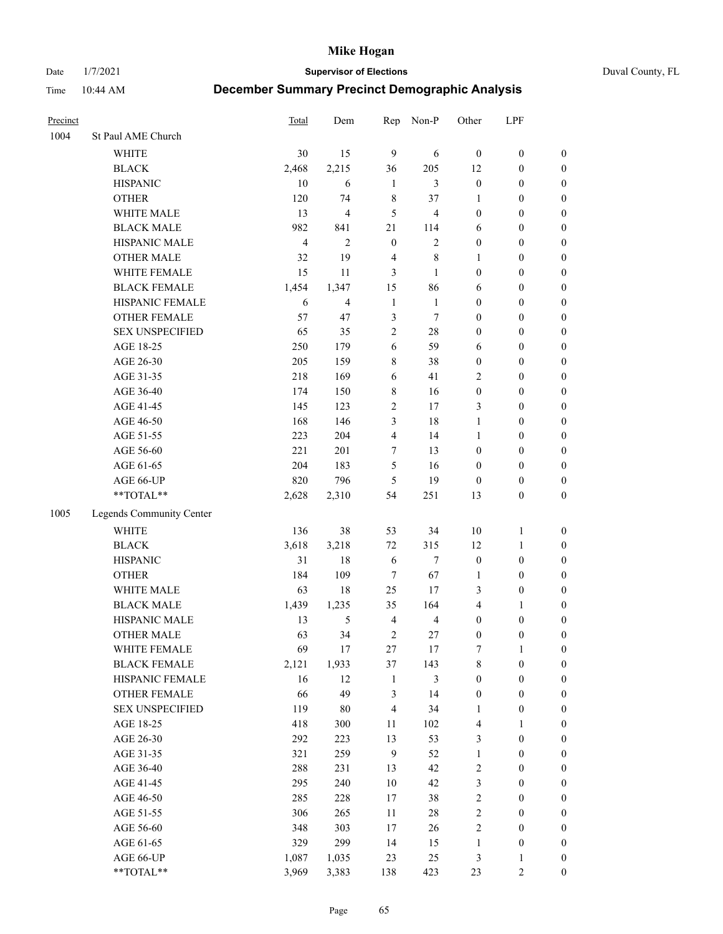#### Date 1/7/2021 **Supervisor of Elections** Duval County, FL

| Precinct |                          | Total          | Dem                     | Rep            | Non-P                   | Other            | LPF              |                  |
|----------|--------------------------|----------------|-------------------------|----------------|-------------------------|------------------|------------------|------------------|
| 1004     | St Paul AME Church       |                |                         |                |                         |                  |                  |                  |
|          | <b>WHITE</b>             | 30             | 15                      | 9              | 6                       | $\mathbf{0}$     | $\boldsymbol{0}$ | $\boldsymbol{0}$ |
|          | <b>BLACK</b>             | 2,468          | 2,215                   | 36             | 205                     | 12               | $\boldsymbol{0}$ | $\boldsymbol{0}$ |
|          | <b>HISPANIC</b>          | 10             | 6                       | $\mathbf{1}$   | 3                       | $\boldsymbol{0}$ | $\boldsymbol{0}$ | $\boldsymbol{0}$ |
|          | <b>OTHER</b>             | 120            | 74                      | $\,$ 8 $\,$    | 37                      | 1                | $\boldsymbol{0}$ | $\boldsymbol{0}$ |
|          | WHITE MALE               | 13             | $\overline{\mathbf{4}}$ | 5              | $\overline{\mathbf{4}}$ | $\boldsymbol{0}$ | $\boldsymbol{0}$ | $\boldsymbol{0}$ |
|          | <b>BLACK MALE</b>        | 982            | 841                     | 21             | 114                     | 6                | $\boldsymbol{0}$ | $\boldsymbol{0}$ |
|          | HISPANIC MALE            | $\overline{4}$ | $\mathfrak{2}$          | $\mathbf{0}$   | $\mathfrak{2}$          | $\boldsymbol{0}$ | $\boldsymbol{0}$ | $\boldsymbol{0}$ |
|          | <b>OTHER MALE</b>        | 32             | 19                      | $\overline{4}$ | $\,$ 8 $\,$             | $\mathbf{1}$     | $\boldsymbol{0}$ | $\boldsymbol{0}$ |
|          | WHITE FEMALE             | 15             | 11                      | 3              | $\mathbf{1}$            | $\boldsymbol{0}$ | $\boldsymbol{0}$ | $\boldsymbol{0}$ |
|          | <b>BLACK FEMALE</b>      | 1,454          | 1,347                   | 15             | 86                      | 6                | $\boldsymbol{0}$ | $\boldsymbol{0}$ |
|          | HISPANIC FEMALE          | 6              | $\overline{4}$          | $\mathbf{1}$   | $\mathbf{1}$            | $\boldsymbol{0}$ | $\boldsymbol{0}$ | 0                |
|          | <b>OTHER FEMALE</b>      | 57             | 47                      | $\mathfrak{Z}$ | $\tau$                  | $\boldsymbol{0}$ | $\boldsymbol{0}$ | $\boldsymbol{0}$ |
|          | <b>SEX UNSPECIFIED</b>   | 65             | 35                      | $\mathbf{2}$   | $28\,$                  | $\boldsymbol{0}$ | $\boldsymbol{0}$ | $\boldsymbol{0}$ |
|          | AGE 18-25                | 250            | 179                     | 6              | 59                      | 6                | $\boldsymbol{0}$ | $\boldsymbol{0}$ |
|          | AGE 26-30                | 205            | 159                     | 8              | 38                      | $\boldsymbol{0}$ | $\boldsymbol{0}$ | $\boldsymbol{0}$ |
|          | AGE 31-35                | 218            | 169                     | 6              | 41                      | $\overline{c}$   | $\boldsymbol{0}$ | $\boldsymbol{0}$ |
|          | AGE 36-40                | 174            | 150                     | $\,$ 8 $\,$    | 16                      | $\boldsymbol{0}$ | $\boldsymbol{0}$ | $\boldsymbol{0}$ |
|          | AGE 41-45                | 145            | 123                     | $\overline{c}$ | 17                      | 3                | $\boldsymbol{0}$ | $\boldsymbol{0}$ |
|          | AGE 46-50                | 168            | 146                     | 3              | 18                      | $\mathbf{1}$     | $\boldsymbol{0}$ | $\boldsymbol{0}$ |
|          | AGE 51-55                | 223            | 204                     | $\overline{4}$ | 14                      | $\mathbf{1}$     | $\boldsymbol{0}$ | $\boldsymbol{0}$ |
|          | AGE 56-60                | 221            | 201                     | $\tau$         | 13                      | $\boldsymbol{0}$ | $\boldsymbol{0}$ | 0                |
|          | AGE 61-65                | 204            | 183                     | 5              | 16                      | $\boldsymbol{0}$ | $\boldsymbol{0}$ | 0                |
|          | AGE 66-UP                | 820            | 796                     | 5              | 19                      | $\boldsymbol{0}$ | $\boldsymbol{0}$ | $\boldsymbol{0}$ |
|          | **TOTAL**                | 2,628          | 2,310                   | 54             | 251                     | 13               | $\boldsymbol{0}$ | $\boldsymbol{0}$ |
|          |                          |                |                         |                |                         |                  |                  |                  |
| 1005     | Legends Community Center |                |                         |                |                         |                  |                  |                  |
|          | WHITE                    | 136            | 38                      | 53             | 34                      | $10\,$           | $\mathbf{1}$     | $\boldsymbol{0}$ |
|          | <b>BLACK</b>             | 3,618          | 3,218                   | $72\,$         | 315                     | 12               | $\mathbf{1}$     | $\boldsymbol{0}$ |
|          | <b>HISPANIC</b>          | 31             | 18                      | 6              | $\tau$                  | $\boldsymbol{0}$ | $\boldsymbol{0}$ | $\boldsymbol{0}$ |
|          | <b>OTHER</b>             | 184            | 109                     | $\tau$         | 67                      | $\mathbf{1}$     | $\boldsymbol{0}$ | $\boldsymbol{0}$ |
|          | WHITE MALE               | 63             | $18\,$                  | 25             | 17                      | 3                | $\boldsymbol{0}$ | $\boldsymbol{0}$ |
|          | <b>BLACK MALE</b>        | 1,439          | 1,235                   | 35             | 164                     | 4                | 1                | $\boldsymbol{0}$ |
|          | HISPANIC MALE            | 13             | 5                       | $\overline{4}$ | $\overline{4}$          | $\boldsymbol{0}$ | $\boldsymbol{0}$ | $\boldsymbol{0}$ |
|          | <b>OTHER MALE</b>        | 63             | 34                      | $\overline{2}$ | 27                      | $\boldsymbol{0}$ | $\boldsymbol{0}$ | $\boldsymbol{0}$ |
|          | WHITE FEMALE             | 69             | 17                      | 27             | 17                      | 7                | 1                | 0                |
|          | <b>BLACK FEMALE</b>      | 2,121          | 1,933                   | 37             | 143                     | 8                | $\boldsymbol{0}$ | $\boldsymbol{0}$ |
|          | HISPANIC FEMALE          | 16             | 12                      | $\mathbf{1}$   | $\mathfrak{Z}$          | $\boldsymbol{0}$ | $\boldsymbol{0}$ | $\overline{0}$   |
|          | OTHER FEMALE             | 66             | 49                      | 3              | 14                      | $\boldsymbol{0}$ | $\boldsymbol{0}$ | $\overline{0}$   |
|          | <b>SEX UNSPECIFIED</b>   | 119            | $80\,$                  | $\overline{4}$ | 34                      | $\mathbf{1}$     | $\boldsymbol{0}$ | 0                |
|          | AGE 18-25                | 418            | 300                     | $11\,$         | 102                     | 4                | $\mathbf{1}$     | $\overline{0}$   |
|          | AGE 26-30                | 292            | 223                     | 13             | 53                      | 3                | $\boldsymbol{0}$ | 0                |
|          | AGE 31-35                | 321            | 259                     | $\overline{9}$ | 52                      | $\mathbf{1}$     | $\boldsymbol{0}$ | 0                |
|          | AGE 36-40                | 288            | 231                     | 13             | 42                      | 2                | $\boldsymbol{0}$ | 0                |
|          | AGE 41-45                | 295            | 240                     | 10             | 42                      | 3                | $\boldsymbol{0}$ | 0                |
|          | AGE 46-50                | 285            | 228                     | 17             | 38                      | 2                | $\boldsymbol{0}$ | 0                |
|          | AGE 51-55                | 306            | 265                     | $11\,$         | $28\,$                  | 2                | $\boldsymbol{0}$ | $\boldsymbol{0}$ |
|          | AGE 56-60                | 348            | 303                     | 17             | 26                      | 2                | $\boldsymbol{0}$ | $\boldsymbol{0}$ |
|          | AGE 61-65                | 329            | 299                     | 14             | 15                      | $\mathbf{1}$     | $\boldsymbol{0}$ | $\boldsymbol{0}$ |
|          | AGE 66-UP                | 1,087          | 1,035                   | 23             | 25                      | 3                | $\mathbf{1}$     | $\boldsymbol{0}$ |
|          | **TOTAL**                | 3,969          | 3,383                   | 138            | 423                     | 23               | $\mathfrak{2}$   | $\boldsymbol{0}$ |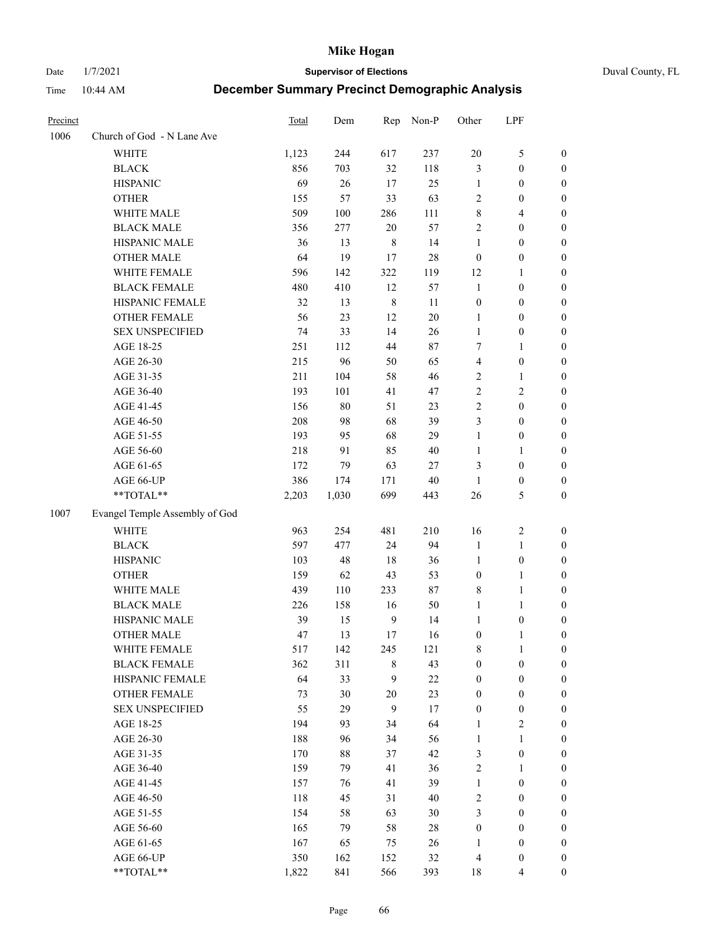Date 1/7/2021 **Supervisor of Elections** Duval County, FL

| Precinct |                                | <b>Total</b> | Dem    | Rep              | Non-P  | Other            | LPF              |                  |
|----------|--------------------------------|--------------|--------|------------------|--------|------------------|------------------|------------------|
| 1006     | Church of God - N Lane Ave     |              |        |                  |        |                  |                  |                  |
|          | <b>WHITE</b>                   | 1,123        | 244    | 617              | 237    | $20\,$           | $\mathfrak s$    | 0                |
|          | <b>BLACK</b>                   | 856          | 703    | 32               | 118    | 3                | $\boldsymbol{0}$ | 0                |
|          | <b>HISPANIC</b>                | 69           | 26     | 17               | 25     | $\mathbf{1}$     | $\boldsymbol{0}$ | $\boldsymbol{0}$ |
|          | <b>OTHER</b>                   | 155          | 57     | 33               | 63     | 2                | $\boldsymbol{0}$ | $\boldsymbol{0}$ |
|          | WHITE MALE                     | 509          | 100    | 286              | 111    | 8                | $\overline{4}$   | $\boldsymbol{0}$ |
|          | <b>BLACK MALE</b>              | 356          | 277    | 20               | 57     | $\overline{c}$   | $\boldsymbol{0}$ | $\boldsymbol{0}$ |
|          | HISPANIC MALE                  | 36           | 13     | $\,$ 8 $\,$      | 14     | 1                | $\boldsymbol{0}$ | $\boldsymbol{0}$ |
|          | <b>OTHER MALE</b>              | 64           | 19     | 17               | 28     | $\boldsymbol{0}$ | $\boldsymbol{0}$ | $\boldsymbol{0}$ |
|          | WHITE FEMALE                   | 596          | 142    | 322              | 119    | 12               | 1                | $\boldsymbol{0}$ |
|          | <b>BLACK FEMALE</b>            | 480          | 410    | 12               | 57     | $\mathbf{1}$     | $\boldsymbol{0}$ | 0                |
|          | HISPANIC FEMALE                | 32           | 13     | $\,8\,$          | $11\,$ | $\boldsymbol{0}$ | $\boldsymbol{0}$ | 0                |
|          | OTHER FEMALE                   | 56           | 23     | 12               | 20     | $\mathbf{1}$     | $\boldsymbol{0}$ | $\boldsymbol{0}$ |
|          | <b>SEX UNSPECIFIED</b>         | 74           | 33     | 14               | 26     | $\mathbf{1}$     | $\boldsymbol{0}$ | $\boldsymbol{0}$ |
|          | AGE 18-25                      | 251          | 112    | 44               | 87     | 7                | 1                | $\boldsymbol{0}$ |
|          | AGE 26-30                      | 215          | 96     | 50               | 65     | 4                | $\boldsymbol{0}$ | $\boldsymbol{0}$ |
|          | AGE 31-35                      | 211          | 104    | 58               | 46     | $\overline{c}$   | $\mathbf{1}$     | $\boldsymbol{0}$ |
|          | AGE 36-40                      | 193          | 101    | 41               | 47     | $\overline{c}$   | $\sqrt{2}$       | $\boldsymbol{0}$ |
|          | AGE 41-45                      | 156          | $80\,$ | 51               | 23     | $\overline{c}$   | $\boldsymbol{0}$ | $\boldsymbol{0}$ |
|          | AGE 46-50                      | 208          | 98     | 68               | 39     | 3                | $\boldsymbol{0}$ | $\boldsymbol{0}$ |
|          | AGE 51-55                      | 193          | 95     | 68               | 29     | 1                |                  |                  |
|          |                                |              |        |                  |        |                  | $\boldsymbol{0}$ | 0                |
|          | AGE 56-60                      | 218          | 91     | 85               | 40     | $\mathbf{1}$     | 1                | 0                |
|          | AGE 61-65                      | 172          | 79     | 63               | $27\,$ | 3                | $\boldsymbol{0}$ | 0                |
|          | AGE 66-UP                      | 386          | 174    | 171              | $40\,$ | $\mathbf{1}$     | $\boldsymbol{0}$ | $\boldsymbol{0}$ |
|          | $**TOTAL**$                    | 2,203        | 1,030  | 699              | 443    | 26               | $\mathfrak s$    | $\boldsymbol{0}$ |
| 1007     | Evangel Temple Assembly of God |              |        |                  |        |                  |                  |                  |
|          | <b>WHITE</b>                   | 963          | 254    | 481              | 210    | 16               | $\sqrt{2}$       | $\boldsymbol{0}$ |
|          | <b>BLACK</b>                   | 597          | 477    | 24               | 94     | $\mathbf{1}$     | $\mathbf{1}$     | $\boldsymbol{0}$ |
|          | <b>HISPANIC</b>                | 103          | 48     | 18               | 36     | $\mathbf{1}$     | $\boldsymbol{0}$ | $\boldsymbol{0}$ |
|          | <b>OTHER</b>                   | 159          | 62     | 43               | 53     | $\boldsymbol{0}$ | $\mathbf{1}$     | $\boldsymbol{0}$ |
|          | WHITE MALE                     | 439          | 110    | 233              | $87\,$ | 8                | $\mathbf{1}$     | $\boldsymbol{0}$ |
|          | <b>BLACK MALE</b>              | 226          | 158    | 16               | 50     | $\mathbf{1}$     | $\mathbf{1}$     | $\boldsymbol{0}$ |
|          | HISPANIC MALE                  | 39           | 15     | $\boldsymbol{9}$ | 14     | $\mathbf{1}$     | $\boldsymbol{0}$ | 0                |
|          | <b>OTHER MALE</b>              | 47           | 13     | 17               | 16     | $\boldsymbol{0}$ | $\mathbf{1}$     | 0                |
|          | WHITE FEMALE                   | 517          | 142    | 245              | 121    | 8                | 1                | 0                |
|          | <b>BLACK FEMALE</b>            | 362          | 311    | 8                | 43     | $\boldsymbol{0}$ | $\boldsymbol{0}$ | $\overline{0}$   |
|          | HISPANIC FEMALE                | 64           | 33     | 9                | $22\,$ | $\boldsymbol{0}$ | $\boldsymbol{0}$ | $\overline{0}$   |
|          | OTHER FEMALE                   | 73           | 30     | $20\,$           | 23     | $\boldsymbol{0}$ | $\boldsymbol{0}$ | $\overline{0}$   |
|          | <b>SEX UNSPECIFIED</b>         | 55           | 29     | 9                | 17     | $\boldsymbol{0}$ | $\boldsymbol{0}$ | 0                |
|          | AGE 18-25                      | 194          | 93     | 34               | 64     | $\mathbf{1}$     | $\sqrt{2}$       | 0                |
|          | AGE 26-30                      | 188          | 96     | 34               | 56     | $\mathbf{1}$     | $\mathbf{1}$     | 0                |
|          | AGE 31-35                      | 170          | $88\,$ | 37               | 42     | 3                | $\boldsymbol{0}$ | 0                |
|          | AGE 36-40                      | 159          | 79     | 41               | 36     | 2                | $\mathbf{1}$     | 0                |
|          | AGE 41-45                      | 157          | 76     | 41               | 39     | $\mathbf{1}$     | $\boldsymbol{0}$ | 0                |
|          | AGE 46-50                      | 118          | 45     | 31               | 40     | 2                | $\boldsymbol{0}$ | 0                |
|          | AGE 51-55                      | 154          | 58     | 63               | 30     | 3                | $\boldsymbol{0}$ | $\overline{0}$   |
|          | AGE 56-60                      | 165          | 79     | 58               | 28     | $\boldsymbol{0}$ | $\boldsymbol{0}$ | $\overline{0}$   |
|          | AGE 61-65                      | 167          | 65     | 75               | 26     | 1                | $\boldsymbol{0}$ | $\overline{0}$   |
|          | AGE 66-UP                      | 350          | 162    | 152              | 32     | 4                | $\boldsymbol{0}$ | 0                |
|          | **TOTAL**                      | 1,822        | 841    | 566              | 393    | 18               | $\overline{4}$   | $\boldsymbol{0}$ |
|          |                                |              |        |                  |        |                  |                  |                  |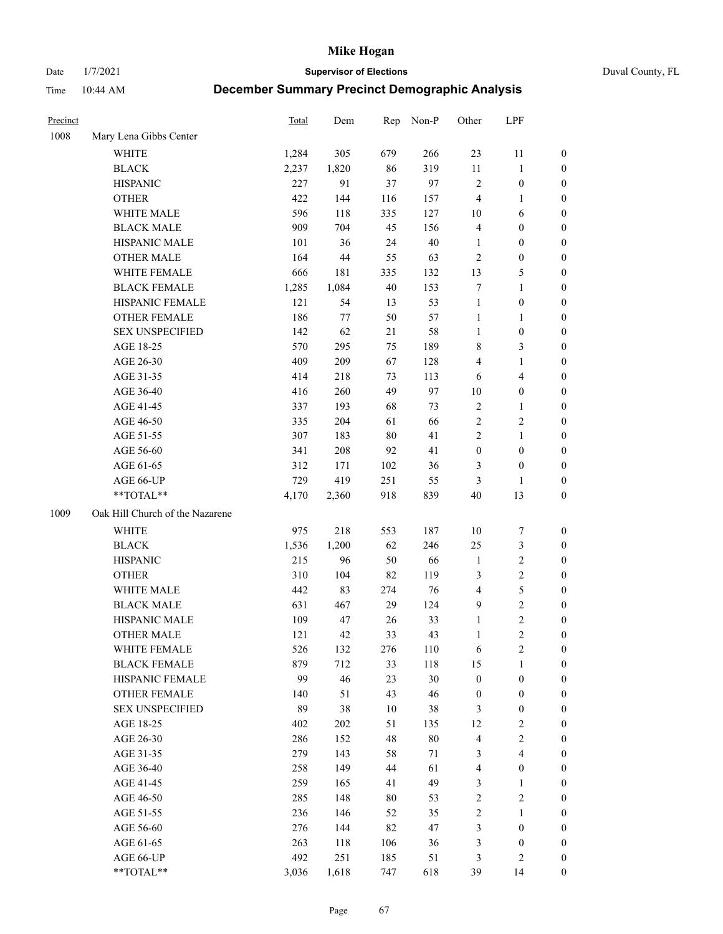Date 1/7/2021 **Supervisor of Elections** Duval County, FL

| Precinct |                                 | Total | Dem   | Rep | Non-P  | Other            | LPF                     |                  |
|----------|---------------------------------|-------|-------|-----|--------|------------------|-------------------------|------------------|
| 1008     | Mary Lena Gibbs Center          |       |       |     |        |                  |                         |                  |
|          | <b>WHITE</b>                    | 1,284 | 305   | 679 | 266    | 23               | 11                      | 0                |
|          | <b>BLACK</b>                    | 2,237 | 1,820 | 86  | 319    | $11\,$           | $\mathbf{1}$            | 0                |
|          | <b>HISPANIC</b>                 | 227   | 91    | 37  | 97     | $\mathbf{2}$     | $\boldsymbol{0}$        | $\boldsymbol{0}$ |
|          | <b>OTHER</b>                    | 422   | 144   | 116 | 157    | 4                | 1                       | $\boldsymbol{0}$ |
|          | WHITE MALE                      | 596   | 118   | 335 | 127    | 10               | 6                       | $\boldsymbol{0}$ |
|          | <b>BLACK MALE</b>               | 909   | 704   | 45  | 156    | 4                | $\boldsymbol{0}$        | $\boldsymbol{0}$ |
|          | HISPANIC MALE                   | 101   | 36    | 24  | $40\,$ | $\mathbf{1}$     | $\boldsymbol{0}$        | $\boldsymbol{0}$ |
|          | <b>OTHER MALE</b>               | 164   | 44    | 55  | 63     | $\mathbf{2}$     | $\boldsymbol{0}$        | $\boldsymbol{0}$ |
|          | WHITE FEMALE                    | 666   | 181   | 335 | 132    | 13               | $\mathfrak{S}$          | $\boldsymbol{0}$ |
|          | <b>BLACK FEMALE</b>             | 1,285 | 1,084 | 40  | 153    | 7                | $\mathbf{1}$            | 0                |
|          | HISPANIC FEMALE                 | 121   | 54    | 13  | 53     | $\mathbf{1}$     | $\boldsymbol{0}$        | 0                |
|          | <b>OTHER FEMALE</b>             | 186   | 77    | 50  | 57     | $\mathbf{1}$     | $\mathbf{1}$            | 0                |
|          | <b>SEX UNSPECIFIED</b>          | 142   | 62    | 21  | 58     | $\mathbf{1}$     | $\boldsymbol{0}$        | $\boldsymbol{0}$ |
|          | AGE 18-25                       | 570   | 295   | 75  | 189    | 8                | $\mathfrak{Z}$          | $\boldsymbol{0}$ |
|          | AGE 26-30                       | 409   | 209   | 67  | 128    | 4                | $\mathbf{1}$            | $\boldsymbol{0}$ |
|          | AGE 31-35                       | 414   | 218   | 73  | 113    | 6                | $\overline{\mathbf{4}}$ | $\boldsymbol{0}$ |
|          | AGE 36-40                       | 416   | 260   | 49  | 97     | $10\,$           | $\boldsymbol{0}$        | $\boldsymbol{0}$ |
|          | AGE 41-45                       | 337   | 193   | 68  | 73     | $\sqrt{2}$       | $\mathbf{1}$            | $\boldsymbol{0}$ |
|          | AGE 46-50                       | 335   | 204   | 61  | 66     | 2                | $\sqrt{2}$              | $\boldsymbol{0}$ |
|          | AGE 51-55                       | 307   | 183   | 80  | 41     | 2                | $\mathbf{1}$            | 0                |
|          | AGE 56-60                       | 341   | 208   | 92  | 41     | $\boldsymbol{0}$ | $\boldsymbol{0}$        | 0                |
|          | AGE 61-65                       | 312   | 171   | 102 | 36     | 3                | $\boldsymbol{0}$        | 0                |
|          | AGE 66-UP                       | 729   | 419   | 251 | 55     | 3                | 1                       | $\boldsymbol{0}$ |
|          | **TOTAL**                       | 4,170 | 2,360 | 918 | 839    | 40               | 13                      | $\boldsymbol{0}$ |
| 1009     | Oak Hill Church of the Nazarene |       |       |     |        |                  |                         |                  |
|          | <b>WHITE</b>                    | 975   | 218   | 553 | 187    | $10\,$           | $\boldsymbol{7}$        | $\boldsymbol{0}$ |
|          | <b>BLACK</b>                    | 1,536 | 1,200 | 62  | 246    | 25               | $\mathfrak{Z}$          | $\boldsymbol{0}$ |
|          | <b>HISPANIC</b>                 | 215   | 96    | 50  | 66     | $\mathbf{1}$     | $\sqrt{2}$              | $\boldsymbol{0}$ |
|          | <b>OTHER</b>                    | 310   | 104   | 82  | 119    | 3                | $\sqrt{2}$              | $\boldsymbol{0}$ |
|          | WHITE MALE                      | 442   | 83    | 274 | 76     | $\overline{4}$   | $\mathfrak s$           | $\boldsymbol{0}$ |
|          | <b>BLACK MALE</b>               | 631   | 467   | 29  | 124    | $\mathbf{9}$     | $\overline{2}$          | $\boldsymbol{0}$ |
|          | HISPANIC MALE                   | 109   | 47    | 26  | 33     | $\mathbf{1}$     | $\sqrt{2}$              | 0                |
|          | <b>OTHER MALE</b>               | 121   | 42    | 33  | 43     | $\mathbf{1}$     | $\overline{c}$          | $\boldsymbol{0}$ |
|          | WHITE FEMALE                    | 526   | 132   | 276 | 110    | 6                | 2                       | 0                |
|          | <b>BLACK FEMALE</b>             | 879   | 712   | 33  | 118    | 15               | $\mathbf{1}$            | $\boldsymbol{0}$ |
|          | HISPANIC FEMALE                 | 99    | 46    | 23  | $30\,$ | $\boldsymbol{0}$ | $\boldsymbol{0}$        | $\overline{0}$   |
|          | <b>OTHER FEMALE</b>             | 140   | 51    | 43  | 46     | $\boldsymbol{0}$ | $\boldsymbol{0}$        | $\overline{0}$   |
|          | <b>SEX UNSPECIFIED</b>          | 89    | 38    | 10  | 38     | 3                | $\boldsymbol{0}$        | 0                |
|          | AGE 18-25                       | 402   | 202   | 51  | 135    | 12               | $\sqrt{2}$              | 0                |
|          | AGE 26-30                       | 286   | 152   | 48  | $80\,$ | 4                | $\overline{2}$          | 0                |
|          | AGE 31-35                       | 279   | 143   | 58  | 71     | 3                | $\overline{4}$          | 0                |
|          | AGE 36-40                       | 258   | 149   | 44  | 61     | 4                | $\boldsymbol{0}$        | 0                |
|          | AGE 41-45                       | 259   | 165   | 41  | 49     | 3                | $\mathbf{1}$            | 0                |
|          | AGE 46-50                       | 285   | 148   | 80  | 53     | 2                | $\sqrt{2}$              | 0                |
|          | AGE 51-55                       | 236   | 146   | 52  | 35     | 2                | $\mathbf{1}$            | 0                |
|          | AGE 56-60                       | 276   | 144   | 82  | 47     | 3                | $\boldsymbol{0}$        | 0                |
|          | AGE 61-65                       | 263   | 118   | 106 | 36     | 3                | $\boldsymbol{0}$        | $\overline{0}$   |
|          | AGE 66-UP                       | 492   | 251   | 185 | 51     | 3                | $\mathbf{2}$            | 0                |
|          | **TOTAL**                       | 3,036 | 1,618 | 747 | 618    | 39               | 14                      | $\boldsymbol{0}$ |
|          |                                 |       |       |     |        |                  |                         |                  |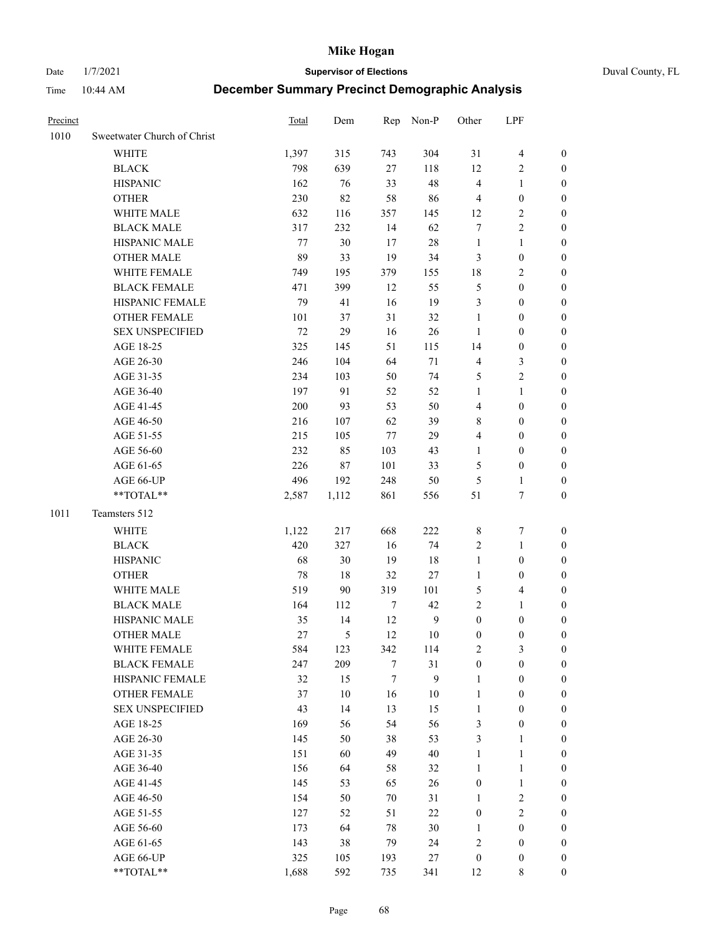Date 1/7/2021 **Supervisor of Elections** Duval County, FL

| Precinct |                             | <b>Total</b> | Dem           |     | Rep Non-P    | Other            | LPF              |                  |
|----------|-----------------------------|--------------|---------------|-----|--------------|------------------|------------------|------------------|
| 1010     | Sweetwater Church of Christ |              |               |     |              |                  |                  |                  |
|          | <b>WHITE</b>                | 1,397        | 315           | 743 | 304          | 31               | $\overline{4}$   | 0                |
|          | <b>BLACK</b>                | 798          | 639           | 27  | 118          | 12               | $\overline{c}$   | 0                |
|          | <b>HISPANIC</b>             | 162          | 76            | 33  | 48           | $\overline{4}$   | $\mathbf{1}$     | $\boldsymbol{0}$ |
|          | <b>OTHER</b>                | 230          | 82            | 58  | 86           | 4                | $\boldsymbol{0}$ | $\boldsymbol{0}$ |
|          | WHITE MALE                  | 632          | 116           | 357 | 145          | 12               | $\sqrt{2}$       | $\boldsymbol{0}$ |
|          | <b>BLACK MALE</b>           | 317          | 232           | 14  | 62           | 7                | $\sqrt{2}$       | $\boldsymbol{0}$ |
|          | HISPANIC MALE               | 77           | 30            | 17  | 28           | $\mathbf{1}$     | $\mathbf{1}$     | $\boldsymbol{0}$ |
|          | <b>OTHER MALE</b>           | 89           | 33            | 19  | 34           | 3                | $\boldsymbol{0}$ | $\boldsymbol{0}$ |
|          | WHITE FEMALE                | 749          | 195           | 379 | 155          | 18               | $\sqrt{2}$       | $\boldsymbol{0}$ |
|          | <b>BLACK FEMALE</b>         | 471          | 399           | 12  | 55           | 5                | $\boldsymbol{0}$ | $\boldsymbol{0}$ |
|          | HISPANIC FEMALE             | 79           | 41            | 16  | 19           | 3                | $\boldsymbol{0}$ | 0                |
|          | OTHER FEMALE                | 101          | 37            | 31  | 32           | $\mathbf{1}$     | $\boldsymbol{0}$ | 0                |
|          | <b>SEX UNSPECIFIED</b>      | $72\,$       | 29            | 16  | 26           | $\mathbf{1}$     | $\boldsymbol{0}$ | $\boldsymbol{0}$ |
|          | AGE 18-25                   | 325          | 145           | 51  | 115          | 14               | $\boldsymbol{0}$ | $\boldsymbol{0}$ |
|          | AGE 26-30                   | 246          | 104           | 64  | $71\,$       | 4                | $\mathfrak{Z}$   | $\boldsymbol{0}$ |
|          | AGE 31-35                   | 234          | 103           | 50  | 74           | 5                | $\sqrt{2}$       | 0                |
|          | AGE 36-40                   | 197          | 91            | 52  | 52           | 1                | $\mathbf{1}$     | $\boldsymbol{0}$ |
|          | AGE 41-45                   | 200          | 93            | 53  | 50           | 4                | $\boldsymbol{0}$ | $\boldsymbol{0}$ |
|          | AGE 46-50                   | 216          | 107           | 62  | 39           | 8                | $\boldsymbol{0}$ | $\boldsymbol{0}$ |
|          | AGE 51-55                   | 215          | 105           | 77  | 29           | 4                | $\boldsymbol{0}$ | 0                |
|          | AGE 56-60                   | 232          | 85            | 103 | 43           | 1                | $\boldsymbol{0}$ | 0                |
|          | AGE 61-65                   | 226          | 87            | 101 | 33           | 5                | $\boldsymbol{0}$ | 0                |
|          | AGE 66-UP                   | 496          | 192           | 248 | 50           | 5                | $\mathbf{1}$     | $\boldsymbol{0}$ |
|          | **TOTAL**                   | 2,587        | 1,112         | 861 | 556          | 51               | $\tau$           | $\boldsymbol{0}$ |
| 1011     | Teamsters 512               |              |               |     |              |                  |                  |                  |
|          | WHITE                       | 1,122        | 217           | 668 | 222          | 8                | $\boldsymbol{7}$ | $\boldsymbol{0}$ |
|          | <b>BLACK</b>                | 420          | 327           | 16  | 74           | 2                | $\mathbf{1}$     | $\boldsymbol{0}$ |
|          | <b>HISPANIC</b>             | 68           | 30            | 19  | 18           | $\mathbf{1}$     | $\boldsymbol{0}$ | $\boldsymbol{0}$ |
|          | <b>OTHER</b>                | 78           | 18            | 32  | 27           | $\mathbf{1}$     | $\boldsymbol{0}$ | $\boldsymbol{0}$ |
|          | WHITE MALE                  | 519          | 90            | 319 | 101          | 5                | $\overline{4}$   | $\boldsymbol{0}$ |
|          | <b>BLACK MALE</b>           | 164          | 112           | 7   | 42           | $\overline{c}$   | $\mathbf{1}$     | $\boldsymbol{0}$ |
|          | HISPANIC MALE               | 35           | 14            | 12  | $\mathbf{9}$ | $\boldsymbol{0}$ | $\boldsymbol{0}$ | 0                |
|          | <b>OTHER MALE</b>           | 27           | $\mathfrak s$ | 12  | 10           | 0                | 0                | $\boldsymbol{0}$ |
|          | WHITE FEMALE                | 584          | 123           | 342 | 114          | 2                | 3                | 0                |
|          | <b>BLACK FEMALE</b>         | 247          | 209           | 7   | 31           | $\boldsymbol{0}$ | $\boldsymbol{0}$ | $\boldsymbol{0}$ |
|          | HISPANIC FEMALE             | 32           | 15            | 7   | 9            | $\mathbf{1}$     | $\boldsymbol{0}$ | $\overline{0}$   |
|          | <b>OTHER FEMALE</b>         | 37           | 10            | 16  | 10           | $\mathbf{1}$     | $\boldsymbol{0}$ | 0                |
|          | <b>SEX UNSPECIFIED</b>      | 43           | 14            | 13  | 15           | $\mathbf{1}$     | $\boldsymbol{0}$ | 0                |
|          | AGE 18-25                   | 169          | 56            | 54  | 56           | 3                | $\boldsymbol{0}$ | 0                |
|          | AGE 26-30                   | 145          | 50            | 38  | 53           | 3                | $\mathbf{1}$     | 0                |
|          | AGE 31-35                   | 151          | 60            | 49  | 40           | $\mathbf{1}$     | $\mathbf{1}$     | 0                |
|          | AGE 36-40                   | 156          | 64            | 58  | 32           | 1                | $\mathbf{1}$     | 0                |
|          | AGE 41-45                   | 145          | 53            | 65  | 26           | $\boldsymbol{0}$ | $\mathbf{1}$     | 0                |
|          | AGE 46-50                   | 154          | 50            | 70  | 31           | $\mathbf{1}$     | $\sqrt{2}$       | 0                |
|          | AGE 51-55                   | 127          | 52            | 51  | $22\,$       | $\boldsymbol{0}$ | $\sqrt{2}$       | $\overline{0}$   |
|          | AGE 56-60                   | 173          | 64            | 78  | 30           | $\mathbf{1}$     | $\boldsymbol{0}$ | $\boldsymbol{0}$ |
|          | AGE 61-65                   | 143          | 38            | 79  | 24           | 2                | $\boldsymbol{0}$ | $\overline{0}$   |
|          | AGE 66-UP                   | 325          | 105           | 193 | $27\,$       | $\boldsymbol{0}$ | $\boldsymbol{0}$ | 0                |
|          | **TOTAL**                   | 1,688        | 592           | 735 | 341          | 12               | $\,$ 8 $\,$      | $\overline{0}$   |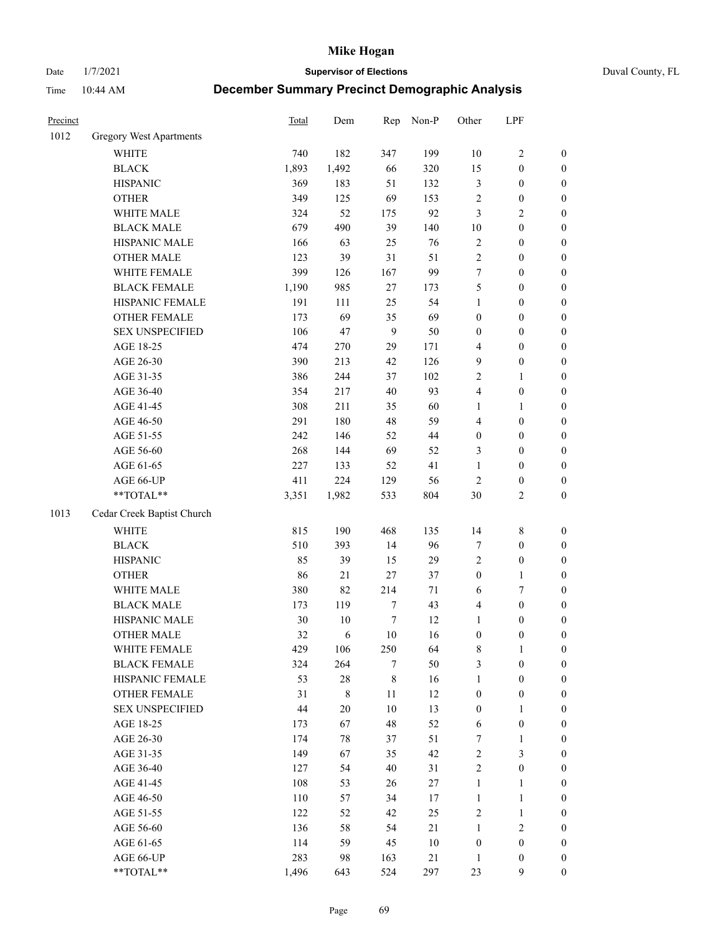Date 1/7/2021 **Supervisor of Elections** Duval County, FL

| Precinct |                                | Total | Dem         | Rep              | Non-P  | Other            | LPF              |                  |
|----------|--------------------------------|-------|-------------|------------------|--------|------------------|------------------|------------------|
| 1012     | <b>Gregory West Apartments</b> |       |             |                  |        |                  |                  |                  |
|          | <b>WHITE</b>                   | 740   | 182         | 347              | 199    | 10               | $\sqrt{2}$       | 0                |
|          | <b>BLACK</b>                   | 1,893 | 1,492       | 66               | 320    | 15               | $\boldsymbol{0}$ | $\boldsymbol{0}$ |
|          | <b>HISPANIC</b>                | 369   | 183         | 51               | 132    | 3                | $\boldsymbol{0}$ | $\boldsymbol{0}$ |
|          | <b>OTHER</b>                   | 349   | 125         | 69               | 153    | $\overline{c}$   | $\boldsymbol{0}$ | $\boldsymbol{0}$ |
|          | WHITE MALE                     | 324   | 52          | 175              | 92     | 3                | $\sqrt{2}$       | $\boldsymbol{0}$ |
|          | <b>BLACK MALE</b>              | 679   | 490         | 39               | 140    | 10               | $\boldsymbol{0}$ | $\boldsymbol{0}$ |
|          | HISPANIC MALE                  | 166   | 63          | 25               | 76     | 2                | $\boldsymbol{0}$ | $\boldsymbol{0}$ |
|          | <b>OTHER MALE</b>              | 123   | 39          | 31               | 51     | $\overline{c}$   | $\boldsymbol{0}$ | $\boldsymbol{0}$ |
|          | WHITE FEMALE                   | 399   | 126         | 167              | 99     | 7                | $\boldsymbol{0}$ | $\boldsymbol{0}$ |
|          | <b>BLACK FEMALE</b>            | 1,190 | 985         | 27               | 173    | 5                | $\boldsymbol{0}$ | $\boldsymbol{0}$ |
|          | HISPANIC FEMALE                | 191   | 111         | 25               | 54     | $\mathbf{1}$     | $\boldsymbol{0}$ | $\boldsymbol{0}$ |
|          | OTHER FEMALE                   | 173   | 69          | 35               | 69     | 0                | $\boldsymbol{0}$ | $\boldsymbol{0}$ |
|          | <b>SEX UNSPECIFIED</b>         | 106   | 47          | 9                | 50     | $\boldsymbol{0}$ | $\boldsymbol{0}$ | $\boldsymbol{0}$ |
|          | AGE 18-25                      | 474   | 270         | 29               | 171    | 4                | $\boldsymbol{0}$ | $\boldsymbol{0}$ |
|          | AGE 26-30                      | 390   | 213         | 42               | 126    | 9                | $\boldsymbol{0}$ | $\boldsymbol{0}$ |
|          | AGE 31-35                      | 386   | 244         | 37               | 102    | $\overline{c}$   | $\mathbf{1}$     | $\boldsymbol{0}$ |
|          | AGE 36-40                      | 354   | 217         | 40               | 93     | 4                | $\boldsymbol{0}$ | $\boldsymbol{0}$ |
|          | AGE 41-45                      | 308   | 211         | 35               | 60     | $\mathbf{1}$     | $\mathbf{1}$     | $\boldsymbol{0}$ |
|          | AGE 46-50                      | 291   | 180         | 48               | 59     | 4                | $\boldsymbol{0}$ | $\boldsymbol{0}$ |
|          | AGE 51-55                      | 242   | 146         | 52               | 44     | $\boldsymbol{0}$ | $\boldsymbol{0}$ | $\boldsymbol{0}$ |
|          | AGE 56-60                      | 268   | 144         | 69               | 52     | 3                | $\boldsymbol{0}$ | $\boldsymbol{0}$ |
|          | AGE 61-65                      | 227   | 133         | 52               | 41     | $\mathbf{1}$     | $\boldsymbol{0}$ | $\boldsymbol{0}$ |
|          | AGE 66-UP                      | 411   | 224         | 129              | 56     | $\sqrt{2}$       | $\boldsymbol{0}$ | $\boldsymbol{0}$ |
|          | $**TOTAL**$                    | 3,351 | 1,982       | 533              | 804    | 30               | $\sqrt{2}$       | $\boldsymbol{0}$ |
| 1013     | Cedar Creek Baptist Church     |       |             |                  |        |                  |                  |                  |
|          | <b>WHITE</b>                   | 815   | 190         | 468              | 135    | 14               | $\,$ $\,$        | $\boldsymbol{0}$ |
|          | <b>BLACK</b>                   | 510   | 393         | 14               | 96     | 7                | $\boldsymbol{0}$ | $\boldsymbol{0}$ |
|          | <b>HISPANIC</b>                | 85    | 39          | 15               | 29     | 2                | $\boldsymbol{0}$ | $\boldsymbol{0}$ |
|          | <b>OTHER</b>                   | 86    | $21\,$      | 27               | 37     | $\boldsymbol{0}$ | $\mathbf{1}$     | $\boldsymbol{0}$ |
|          | WHITE MALE                     | 380   | 82          | 214              | $71\,$ | 6                | $\boldsymbol{7}$ | $\boldsymbol{0}$ |
|          | <b>BLACK MALE</b>              | 173   | 119         | 7                | 43     | 4                | $\boldsymbol{0}$ | $\boldsymbol{0}$ |
|          | HISPANIC MALE                  | 30    | 10          | $\boldsymbol{7}$ | 12     | $\mathbf{1}$     | $\boldsymbol{0}$ | $\boldsymbol{0}$ |
|          | <b>OTHER MALE</b>              | 32    | 6           | 10               | 16     | $\boldsymbol{0}$ | $\boldsymbol{0}$ | $\boldsymbol{0}$ |
|          | WHITE FEMALE                   | 429   | 106         | 250              | 64     | 8                | 1                | 0                |
|          | <b>BLACK FEMALE</b>            | 324   | 264         | 7                | 50     | 3                | $\boldsymbol{0}$ | $\overline{0}$   |
|          | HISPANIC FEMALE                | 53    | 28          | 8                | 16     | $\mathbf{1}$     | $\boldsymbol{0}$ | $\overline{0}$   |
|          | OTHER FEMALE                   | 31    | $\,$ 8 $\,$ | 11               | 12     | $\boldsymbol{0}$ | $\boldsymbol{0}$ | $\theta$         |
|          | <b>SEX UNSPECIFIED</b>         | 44    | 20          | 10               | 13     | 0                | $\mathbf{1}$     | 0                |
|          | AGE 18-25                      | 173   | 67          | 48               | 52     | 6                | $\boldsymbol{0}$ | 0                |
|          | AGE 26-30                      | 174   | 78          | 37               | 51     | $\boldsymbol{7}$ | $\mathbf{1}$     | 0                |
|          | AGE 31-35                      | 149   | 67          | 35               | 42     | $\overline{c}$   | $\mathfrak{Z}$   | 0                |
|          | AGE 36-40                      | 127   | 54          | 40               | 31     | 2                | $\boldsymbol{0}$ | 0                |
|          | AGE 41-45                      | 108   | 53          | 26               | 27     | $\mathbf{1}$     | $\mathbf{1}$     | 0                |
|          | AGE 46-50                      | 110   | 57          | 34               | 17     | $\mathbf{1}$     | $\mathbf{1}$     | 0                |
|          | AGE 51-55                      | 122   | 52          | 42               | 25     | 2                | $\mathbf{1}$     | 0                |
|          | AGE 56-60                      | 136   | 58          | 54               | 21     | $\mathbf{1}$     | $\sqrt{2}$       | 0                |
|          | AGE 61-65                      | 114   | 59          | 45               | 10     | $\boldsymbol{0}$ | $\boldsymbol{0}$ | $\overline{0}$   |
|          | AGE 66-UP                      | 283   | 98          | 163              | 21     | $\mathbf{1}$     | $\boldsymbol{0}$ | 0                |
|          | **TOTAL**                      | 1,496 | 643         | 524              | 297    | 23               | 9                | $\boldsymbol{0}$ |
|          |                                |       |             |                  |        |                  |                  |                  |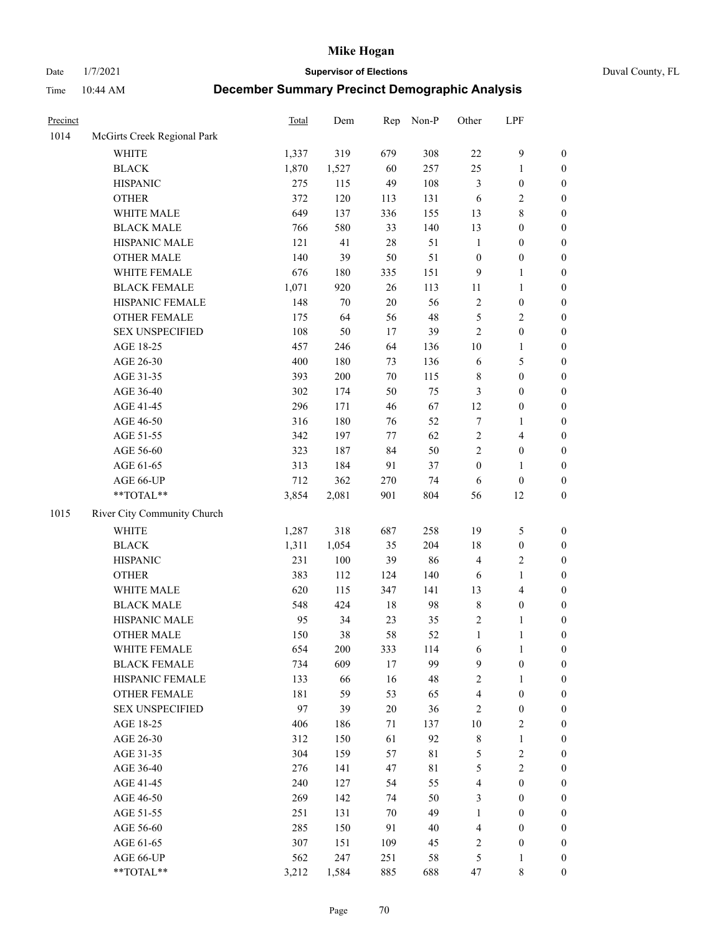Date 1/7/2021 **Supervisor of Elections** Duval County, FL

| Precinct |                             | <b>Total</b> | Dem    | Rep    | Non-P       | Other                   | LPF              |                  |
|----------|-----------------------------|--------------|--------|--------|-------------|-------------------------|------------------|------------------|
| 1014     | McGirts Creek Regional Park |              |        |        |             |                         |                  |                  |
|          | <b>WHITE</b>                | 1,337        | 319    | 679    | 308         | $22\,$                  | $\mathbf{9}$     | 0                |
|          | <b>BLACK</b>                | 1,870        | 1,527  | 60     | 257         | 25                      | $\mathbf{1}$     | $\boldsymbol{0}$ |
|          | <b>HISPANIC</b>             | 275          | 115    | 49     | 108         | 3                       | $\boldsymbol{0}$ | $\boldsymbol{0}$ |
|          | <b>OTHER</b>                | 372          | 120    | 113    | 131         | 6                       | $\sqrt{2}$       | $\boldsymbol{0}$ |
|          | WHITE MALE                  | 649          | 137    | 336    | 155         | 13                      | $\,$ 8 $\,$      | $\boldsymbol{0}$ |
|          | <b>BLACK MALE</b>           | 766          | 580    | 33     | 140         | 13                      | $\boldsymbol{0}$ | $\boldsymbol{0}$ |
|          | HISPANIC MALE               | 121          | 41     | $28\,$ | 51          | $\mathbf{1}$            | $\boldsymbol{0}$ | $\boldsymbol{0}$ |
|          | <b>OTHER MALE</b>           | 140          | 39     | 50     | 51          | $\boldsymbol{0}$        | $\boldsymbol{0}$ | $\boldsymbol{0}$ |
|          | WHITE FEMALE                | 676          | 180    | 335    | 151         | 9                       | $\mathbf{1}$     | $\boldsymbol{0}$ |
|          | <b>BLACK FEMALE</b>         | 1,071        | 920    | $26\,$ | 113         | 11                      | $\mathbf{1}$     | $\boldsymbol{0}$ |
|          | HISPANIC FEMALE             | 148          | $70\,$ | 20     | 56          | $\overline{c}$          | $\boldsymbol{0}$ | $\boldsymbol{0}$ |
|          | <b>OTHER FEMALE</b>         | 175          | 64     | 56     | 48          | 5                       | $\sqrt{2}$       | $\boldsymbol{0}$ |
|          | <b>SEX UNSPECIFIED</b>      | 108          | 50     | 17     | 39          | $\overline{2}$          | $\boldsymbol{0}$ | $\boldsymbol{0}$ |
|          | AGE 18-25                   | 457          | 246    | 64     | 136         | $10\,$                  | $\mathbf{1}$     | $\boldsymbol{0}$ |
|          | AGE 26-30                   | 400          | 180    | 73     | 136         | 6                       | $\mathfrak s$    | $\boldsymbol{0}$ |
|          | AGE 31-35                   | 393          | 200    | 70     | 115         | $\,$ $\,$               | $\boldsymbol{0}$ | $\boldsymbol{0}$ |
|          | AGE 36-40                   | 302          | 174    | 50     | 75          | 3                       | $\boldsymbol{0}$ | $\boldsymbol{0}$ |
|          | AGE 41-45                   | 296          | 171    | 46     | 67          | 12                      | $\boldsymbol{0}$ | $\boldsymbol{0}$ |
|          | AGE 46-50                   | 316          | 180    | 76     | 52          | 7                       | 1                | $\boldsymbol{0}$ |
|          | AGE 51-55                   | 342          | 197    | 77     | 62          | $\overline{c}$          | $\overline{4}$   | $\boldsymbol{0}$ |
|          | AGE 56-60                   | 323          | 187    | 84     | 50          | $\overline{2}$          | $\boldsymbol{0}$ | 0                |
|          | AGE 61-65                   | 313          | 184    | 91     | 37          | $\boldsymbol{0}$        | $\mathbf{1}$     | $\boldsymbol{0}$ |
|          | AGE 66-UP                   | 712          | 362    | 270    | 74          | 6                       | $\boldsymbol{0}$ | $\boldsymbol{0}$ |
|          | $**TOTAL**$                 | 3,854        | 2,081  | 901    | 804         | 56                      | 12               | $\boldsymbol{0}$ |
| 1015     | River City Community Church |              |        |        |             |                         |                  |                  |
|          | <b>WHITE</b>                | 1,287        | 318    | 687    | 258         | 19                      | $\mathfrak s$    | $\boldsymbol{0}$ |
|          | <b>BLACK</b>                | 1,311        | 1,054  | 35     | 204         | 18                      | $\boldsymbol{0}$ | $\boldsymbol{0}$ |
|          | <b>HISPANIC</b>             | 231          | 100    | 39     | 86          | 4                       | $\sqrt{2}$       | $\boldsymbol{0}$ |
|          | <b>OTHER</b>                | 383          | 112    | 124    | 140         | 6                       | $\mathbf{1}$     | $\boldsymbol{0}$ |
|          | WHITE MALE                  | 620          | 115    | 347    | 141         | 13                      | $\overline{4}$   | $\boldsymbol{0}$ |
|          | <b>BLACK MALE</b>           | 548          | 424    | $18\,$ | 98          | 8                       | $\boldsymbol{0}$ | $\boldsymbol{0}$ |
|          | HISPANIC MALE               | 95           | 34     | 23     | 35          | 2                       | 1                | $\boldsymbol{0}$ |
|          | <b>OTHER MALE</b>           | 150          | 38     | 58     | 52          | $\mathbf{1}$            | $\mathbf{1}$     | $\boldsymbol{0}$ |
|          | WHITE FEMALE                | 654          | 200    | 333    | 114         | 6                       | 1                | 0                |
|          | <b>BLACK FEMALE</b>         | 734          | 609    | 17     | 99          | 9                       | $\boldsymbol{0}$ | $\overline{0}$   |
|          | HISPANIC FEMALE             | 133          | 66     | 16     | 48          | 2                       | 1                | $\overline{0}$   |
|          | <b>OTHER FEMALE</b>         | 181          | 59     | 53     | 65          | 4                       | $\boldsymbol{0}$ | $\overline{0}$   |
|          | <b>SEX UNSPECIFIED</b>      | 97           | 39     | $20\,$ | 36          | 2                       | $\boldsymbol{0}$ | 0                |
|          | AGE 18-25                   | 406          | 186    | 71     | 137         | 10                      | $\sqrt{2}$       | 0                |
|          | AGE 26-30                   | 312          | 150    | 61     | 92          | 8                       | $\mathbf{1}$     | 0                |
|          | AGE 31-35                   | 304          | 159    | 57     | $8\sqrt{1}$ | 5                       | $\sqrt{2}$       | 0                |
|          | AGE 36-40                   | 276          | 141    | 47     | $8\sqrt{1}$ | 5                       | $\sqrt{2}$       | 0                |
|          | AGE 41-45                   | 240          | 127    | 54     | 55          | $\overline{\mathbf{4}}$ | $\boldsymbol{0}$ | 0                |
|          | AGE 46-50                   | 269          | 142    | 74     | 50          | 3                       | $\boldsymbol{0}$ | 0                |
|          | AGE 51-55                   | 251          | 131    | 70     | 49          | $\mathbf{1}$            | $\boldsymbol{0}$ | 0                |
|          | AGE 56-60                   | 285          | 150    | 91     | 40          | 4                       | $\boldsymbol{0}$ | $\overline{0}$   |
|          | AGE 61-65                   | 307          | 151    | 109    | 45          | 2                       | $\boldsymbol{0}$ | $\overline{0}$   |
|          | AGE 66-UP                   | 562          | 247    | 251    | 58          | 5                       | $\mathbf{1}$     | 0                |
|          | **TOTAL**                   | 3,212        | 1,584  | 885    | 688         | 47                      | 8                | $\boldsymbol{0}$ |
|          |                             |              |        |        |             |                         |                  |                  |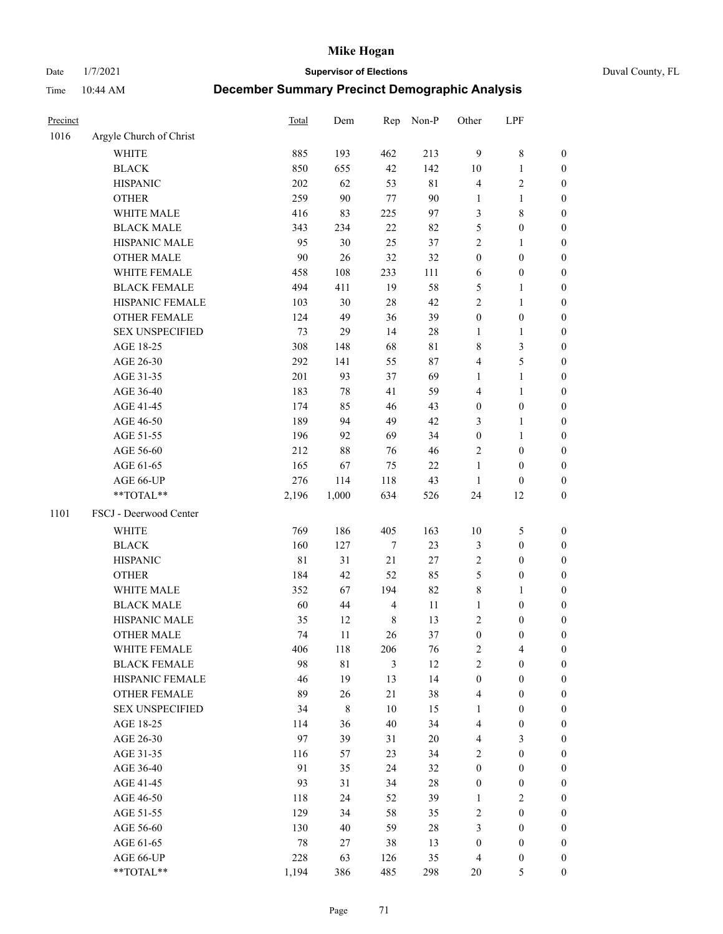Date 1/7/2021 **Supervisor of Elections** Duval County, FL

| Precinct |                                 | Total  | Dem         | Rep                     | Non-P       | Other            | LPF              |                  |
|----------|---------------------------------|--------|-------------|-------------------------|-------------|------------------|------------------|------------------|
| 1016     | Argyle Church of Christ         |        |             |                         |             |                  |                  |                  |
|          | <b>WHITE</b>                    | 885    | 193         | 462                     | 213         | $\overline{9}$   | $\,$ $\,$        | 0                |
|          | <b>BLACK</b>                    | 850    | 655         | 42                      | 142         | 10               | $\mathbf{1}$     | 0                |
|          | <b>HISPANIC</b>                 | 202    | 62          | 53                      | $8\sqrt{1}$ | 4                | $\mathfrak{2}$   | $\boldsymbol{0}$ |
|          | <b>OTHER</b>                    | 259    | 90          | $77 \,$                 | 90          | 1                | 1                | $\boldsymbol{0}$ |
|          | WHITE MALE                      | 416    | 83          | 225                     | 97          | 3                | $\,$ 8 $\,$      | $\boldsymbol{0}$ |
|          | <b>BLACK MALE</b>               | 343    | 234         | 22                      | 82          | 5                | $\boldsymbol{0}$ | $\boldsymbol{0}$ |
|          | HISPANIC MALE                   | 95     | 30          | 25                      | 37          | 2                | $\mathbf{1}$     | $\boldsymbol{0}$ |
|          | <b>OTHER MALE</b>               | $90\,$ | 26          | 32                      | 32          | $\boldsymbol{0}$ | $\boldsymbol{0}$ | $\boldsymbol{0}$ |
|          | WHITE FEMALE                    | 458    | 108         | 233                     | 111         | 6                | $\boldsymbol{0}$ | $\boldsymbol{0}$ |
|          | <b>BLACK FEMALE</b>             | 494    | 411         | 19                      | 58          | 5                | 1                | 0                |
|          | HISPANIC FEMALE                 | 103    | 30          | 28                      | 42          | $\overline{c}$   | $\mathbf{1}$     | 0                |
|          | OTHER FEMALE                    | 124    | 49          | 36                      | 39          | $\boldsymbol{0}$ | $\boldsymbol{0}$ | 0                |
|          | <b>SEX UNSPECIFIED</b>          | 73     | 29          | 14                      | 28          | $\mathbf{1}$     | $\mathbf{1}$     | $\boldsymbol{0}$ |
|          | AGE 18-25                       | 308    | 148         | 68                      | $8\sqrt{1}$ | 8                | $\mathfrak{Z}$   | $\boldsymbol{0}$ |
|          | AGE 26-30                       | 292    | 141         | 55                      | 87          | 4                | $\mathfrak s$    | $\boldsymbol{0}$ |
|          | AGE 31-35                       | 201    | 93          | 37                      | 69          | 1                | $\mathbf{1}$     | $\boldsymbol{0}$ |
|          | AGE 36-40                       | 183    | 78          | 41                      | 59          | 4                | $\mathbf{1}$     | $\boldsymbol{0}$ |
|          | AGE 41-45                       | 174    | 85          | 46                      | 43          | $\boldsymbol{0}$ | $\boldsymbol{0}$ | $\boldsymbol{0}$ |
|          | AGE 46-50                       | 189    | 94          | 49                      | 42          | 3                | $\mathbf{1}$     | $\boldsymbol{0}$ |
|          | AGE 51-55                       | 196    | 92          | 69                      | 34          | $\boldsymbol{0}$ | $\mathbf{1}$     | 0                |
|          | AGE 56-60                       | 212    | 88          | 76                      | 46          | 2                | $\boldsymbol{0}$ | 0                |
|          | AGE 61-65                       | 165    | 67          | 75                      | $22\,$      | $\mathbf{1}$     | $\boldsymbol{0}$ | 0                |
|          | AGE 66-UP                       | 276    | 114         | 118                     | 43          | $\mathbf{1}$     | $\boldsymbol{0}$ | $\boldsymbol{0}$ |
|          | $**TOTAL**$                     | 2,196  | 1,000       | 634                     | 526         | 24               | 12               | $\boldsymbol{0}$ |
| 1101     | FSCJ - Deerwood Center          |        |             |                         |             |                  |                  |                  |
|          | <b>WHITE</b>                    | 769    | 186         | 405                     | 163         |                  |                  |                  |
|          |                                 |        |             |                         |             | 10               | 5                | $\boldsymbol{0}$ |
|          | <b>BLACK</b>                    | 160    | 127         | 7                       | 23          | 3                | $\boldsymbol{0}$ | $\boldsymbol{0}$ |
|          | <b>HISPANIC</b>                 | 81     | 31          | 21                      | $27\,$      | 2                | $\boldsymbol{0}$ | $\boldsymbol{0}$ |
|          | <b>OTHER</b>                    | 184    | 42          | 52                      | 85          | 5                | $\boldsymbol{0}$ | $\boldsymbol{0}$ |
|          | WHITE MALE<br><b>BLACK MALE</b> | 352    | 67          | 194                     | 82          | 8                | $\mathbf{1}$     | $\boldsymbol{0}$ |
|          |                                 | 60     | 44          | $\overline{\mathbf{4}}$ | 11          | $\mathbf{1}$     | $\boldsymbol{0}$ | $\boldsymbol{0}$ |
|          | HISPANIC MALE                   | 35     | 12          | $\,$ 8 $\,$             | 13          | 2                | $\boldsymbol{0}$ | 0                |
|          | <b>OTHER MALE</b>               | 74     | 11          | 26                      | 37          | $\boldsymbol{0}$ | $\boldsymbol{0}$ | $\boldsymbol{0}$ |
|          | WHITE FEMALE                    | 406    | 118         | 206                     | 76          | 2                | 4                | 0                |
|          | <b>BLACK FEMALE</b>             | 98     | 81          | 3                       | 12          | $\mathbf{2}$     | $\boldsymbol{0}$ | $\overline{0}$   |
|          | HISPANIC FEMALE                 | 46     | 19          | 13                      | 14          | $\boldsymbol{0}$ | $\boldsymbol{0}$ | $\overline{0}$   |
|          | OTHER FEMALE                    | 89     | 26          | 21                      | 38          | 4                | $\boldsymbol{0}$ | $\overline{0}$   |
|          | <b>SEX UNSPECIFIED</b>          | 34     | $\,$ 8 $\,$ | 10                      | 15          | 1                | $\boldsymbol{0}$ | 0<br>$\theta$    |
|          | AGE 18-25                       | 114    | 36          | 40                      | 34          | 4                | $\boldsymbol{0}$ |                  |
|          | AGE 26-30                       | 97     | 39          | 31                      | 20          | 4                | 3                | 0                |
|          | AGE 31-35                       | 116    | 57          | 23                      | 34          | $\overline{c}$   | $\boldsymbol{0}$ | 0                |
|          | AGE 36-40                       | 91     | 35          | 24                      | 32          | $\boldsymbol{0}$ | $\boldsymbol{0}$ | 0                |
|          | AGE 41-45                       | 93     | 31          | 34                      | 28          | $\boldsymbol{0}$ | $\boldsymbol{0}$ | 0                |
|          | AGE 46-50                       | 118    | 24          | 52                      | 39          | 1                | $\overline{c}$   | 0                |
|          | AGE 51-55                       | 129    | 34          | 58                      | 35          | 2                | $\boldsymbol{0}$ | $\overline{0}$   |
|          | AGE 56-60                       | 130    | 40          | 59                      | 28          | 3                | $\boldsymbol{0}$ | $\overline{0}$   |
|          | AGE 61-65                       | 78     | 27          | 38                      | 13          | $\boldsymbol{0}$ | $\boldsymbol{0}$ | $\overline{0}$   |
|          | AGE 66-UP                       | 228    | 63          | 126                     | 35          | 4                | $\boldsymbol{0}$ | 0                |
|          | **TOTAL**                       | 1,194  | 386         | 485                     | 298         | 20               | $\mathfrak{S}$   | $\boldsymbol{0}$ |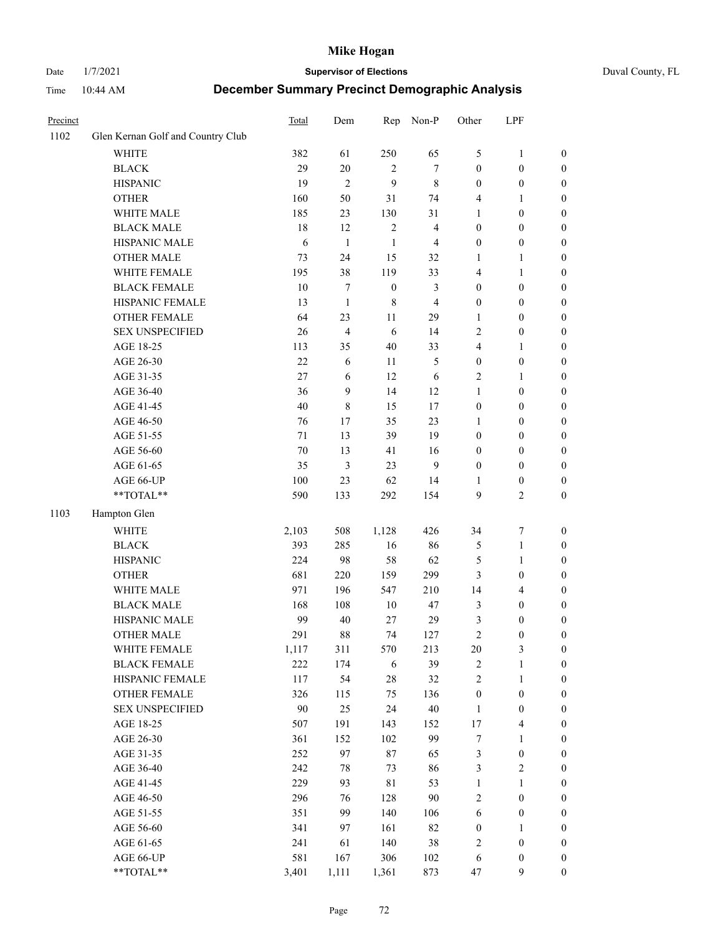#### Date 1/7/2021 **Supervisor of Elections** Duval County, FL

| Precinct |                                   | Total  | Dem            |                  | Rep Non-P      | Other                   | LPF              |                  |
|----------|-----------------------------------|--------|----------------|------------------|----------------|-------------------------|------------------|------------------|
| 1102     | Glen Kernan Golf and Country Club |        |                |                  |                |                         |                  |                  |
|          | <b>WHITE</b>                      | 382    | 61             | 250              | 65             | 5                       | $\mathbf{1}$     | 0                |
|          | <b>BLACK</b>                      | 29     | 20             | 2                | 7              | 0                       | $\boldsymbol{0}$ | 0                |
|          | <b>HISPANIC</b>                   | 19     | $\overline{2}$ | 9                | $\,$ 8 $\,$    | $\boldsymbol{0}$        | $\boldsymbol{0}$ | 0                |
|          | <b>OTHER</b>                      | 160    | 50             | 31               | 74             | 4                       | 1                | $\boldsymbol{0}$ |
|          | WHITE MALE                        | 185    | 23             | 130              | 31             | 1                       | $\boldsymbol{0}$ | $\boldsymbol{0}$ |
|          | <b>BLACK MALE</b>                 | $18\,$ | 12             | $\sqrt{2}$       | $\overline{4}$ | $\boldsymbol{0}$        | $\boldsymbol{0}$ | $\boldsymbol{0}$ |
|          | HISPANIC MALE                     | 6      | $\mathbf{1}$   | 1                | $\overline{4}$ | 0                       | $\boldsymbol{0}$ | $\boldsymbol{0}$ |
|          | <b>OTHER MALE</b>                 | 73     | 24             | 15               | 32             | 1                       | $\mathbf{1}$     | $\boldsymbol{0}$ |
|          | WHITE FEMALE                      | 195    | 38             | 119              | 33             | 4                       | 1                | $\boldsymbol{0}$ |
|          | <b>BLACK FEMALE</b>               | 10     | 7              | $\boldsymbol{0}$ | $\mathfrak{Z}$ | $\boldsymbol{0}$        | $\boldsymbol{0}$ | 0                |
|          | HISPANIC FEMALE                   | 13     | $\mathbf{1}$   | 8                | $\overline{4}$ | 0                       | $\boldsymbol{0}$ | 0                |
|          | OTHER FEMALE                      | 64     | 23             | 11               | 29             | $\mathbf{1}$            | $\boldsymbol{0}$ | 0                |
|          | <b>SEX UNSPECIFIED</b>            | 26     | $\overline{4}$ | 6                | 14             | 2                       | $\boldsymbol{0}$ | $\boldsymbol{0}$ |
|          | AGE 18-25                         | 113    | 35             | 40               | 33             | 4                       | 1                | $\boldsymbol{0}$ |
|          | AGE 26-30                         | 22     | 6              | 11               | 5              | $\boldsymbol{0}$        | $\boldsymbol{0}$ | $\boldsymbol{0}$ |
|          | AGE 31-35                         | 27     | 6              | 12               | 6              | $\overline{\mathbf{c}}$ | 1                | $\boldsymbol{0}$ |
|          | AGE 36-40                         | 36     | 9              | 14               | 12             | 1                       | $\boldsymbol{0}$ | $\boldsymbol{0}$ |
|          | AGE 41-45                         | $40\,$ | $\,$ 8 $\,$    | 15               | 17             | $\boldsymbol{0}$        | $\boldsymbol{0}$ | $\boldsymbol{0}$ |
|          | AGE 46-50                         | 76     | 17             | 35               | 23             | 1                       | $\boldsymbol{0}$ | $\boldsymbol{0}$ |
|          | AGE 51-55                         | 71     | 13             | 39               | 19             | 0                       | $\boldsymbol{0}$ | 0                |
|          | AGE 56-60                         | 70     | 13             | 41               | 16             | 0                       | $\boldsymbol{0}$ | 0                |
|          | AGE 61-65                         | 35     | $\mathfrak{Z}$ | 23               | 9              | $\boldsymbol{0}$        | $\boldsymbol{0}$ | 0                |
|          | AGE 66-UP                         | 100    | 23             | 62               | 14             | 1                       | $\boldsymbol{0}$ | 0                |
|          | **TOTAL**                         | 590    | 133            | 292              | 154            | 9                       | $\mathfrak{2}$   | $\boldsymbol{0}$ |
| 1103     | Hampton Glen                      |        |                |                  |                |                         |                  |                  |
|          | <b>WHITE</b>                      | 2,103  | 508            | 1,128            | 426            | 34                      | $\boldsymbol{7}$ | $\boldsymbol{0}$ |
|          | <b>BLACK</b>                      | 393    | 285            | 16               | 86             | 5                       | $\mathbf{1}$     | $\boldsymbol{0}$ |
|          | <b>HISPANIC</b>                   | 224    | 98             | 58               | 62             | 5                       | $\mathbf{1}$     | $\boldsymbol{0}$ |
|          | <b>OTHER</b>                      | 681    | 220            | 159              | 299            | 3                       | $\boldsymbol{0}$ | $\boldsymbol{0}$ |
|          | WHITE MALE                        | 971    | 196            | 547              | 210            | 14                      | $\overline{4}$   | $\boldsymbol{0}$ |
|          | <b>BLACK MALE</b>                 | 168    | 108            | 10               | 47             | 3                       | $\boldsymbol{0}$ | $\boldsymbol{0}$ |
|          | HISPANIC MALE                     | 99     | 40             | 27               | 29             | 3                       | $\boldsymbol{0}$ | $\boldsymbol{0}$ |
|          | <b>OTHER MALE</b>                 | 291    | $\bf 88$       | 74               | 127            | $\overline{c}$          | $\boldsymbol{0}$ | $\boldsymbol{0}$ |
|          | WHITE FEMALE                      | 1,117  | 311            | 570              | 213            | 20                      | $\mathfrak{Z}$   | 0                |
|          | <b>BLACK FEMALE</b>               | 222    | 174            | 6                | 39             | $\mathbf{2}$            | $\mathbf{1}$     | $\boldsymbol{0}$ |
|          | HISPANIC FEMALE                   | 117    | 54             | 28               | 32             | 2                       | $\mathbf{1}$     | $\boldsymbol{0}$ |
|          | <b>OTHER FEMALE</b>               | 326    | 115            | 75               | 136            | $\boldsymbol{0}$        | $\boldsymbol{0}$ | 0                |
|          | <b>SEX UNSPECIFIED</b>            | $90\,$ | 25             | 24               | 40             | $\mathbf{1}$            | $\boldsymbol{0}$ | 0                |
|          | AGE 18-25                         | 507    | 191            | 143              | 152            | 17                      | $\overline{4}$   | 0                |
|          | AGE 26-30                         | 361    | 152            | 102              | 99             | 7                       | $\mathbf{1}$     | 0                |
|          | AGE 31-35                         | 252    | 97             | 87               | 65             | 3                       | $\boldsymbol{0}$ | 0                |
|          | AGE 36-40                         | 242    | 78             | 73               | 86             | 3                       | $\sqrt{2}$       | 0                |
|          | AGE 41-45                         | 229    | 93             | 81               | 53             | $\mathbf{1}$            | $\mathbf{1}$     | 0                |
|          | AGE 46-50                         | 296    | 76             | 128              | 90             | 2                       | $\boldsymbol{0}$ | 0                |
|          | AGE 51-55                         | 351    | 99             | 140              | $106\,$        | 6                       | $\boldsymbol{0}$ | $\boldsymbol{0}$ |
|          | AGE 56-60                         | 341    | 97             | 161              | 82             | $\boldsymbol{0}$        | 1                | $\boldsymbol{0}$ |
|          | AGE 61-65                         | 241    | 61             | 140              | 38             | $\overline{\mathbf{c}}$ | $\boldsymbol{0}$ | $\overline{0}$   |
|          | AGE 66-UP                         | 581    | 167            | 306              | 102            | 6                       | $\boldsymbol{0}$ | $\boldsymbol{0}$ |
|          | **TOTAL**                         | 3,401  | 1,111          | 1,361            | 873            | 47                      | 9                | $\boldsymbol{0}$ |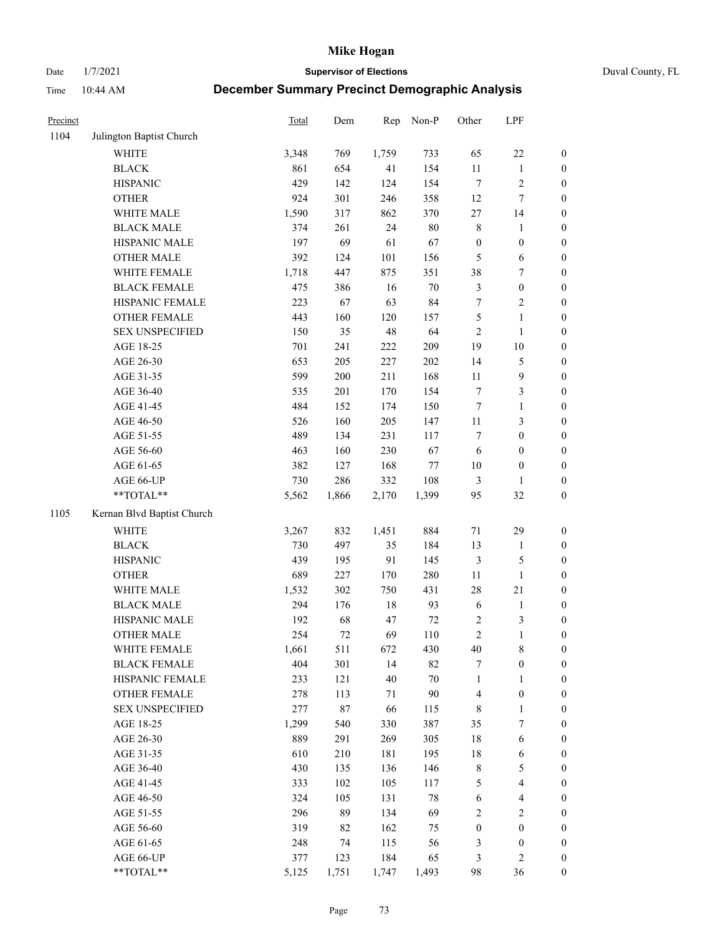Date 1/7/2021 **Supervisor of Elections** Duval County, FL

| Precinct |                                               | Total        | Dem        | Rep         | Non-P         | Other                        | LPF                              |                                      |
|----------|-----------------------------------------------|--------------|------------|-------------|---------------|------------------------------|----------------------------------|--------------------------------------|
| 1104     | Julington Baptist Church                      |              |            |             |               |                              |                                  |                                      |
|          | <b>WHITE</b>                                  | 3,348        | 769        | 1,759       | 733           | 65                           | $22\,$                           | 0                                    |
|          | <b>BLACK</b>                                  | 861          | 654        | 41          | 154           | $11\,$                       | $\mathbf{1}$                     | 0                                    |
|          | <b>HISPANIC</b>                               | 429          | 142        | 124         | 154           | $\tau$                       | $\sqrt{2}$                       | $\boldsymbol{0}$                     |
|          | <b>OTHER</b>                                  | 924          | 301        | 246         | 358           | 12                           | $\tau$                           | $\boldsymbol{0}$                     |
|          | WHITE MALE                                    | 1,590        | 317        | 862         | 370           | $27\,$                       | 14                               | $\boldsymbol{0}$                     |
|          | <b>BLACK MALE</b>                             | 374          | 261        | 24          | $80\,$        | 8                            | 1                                | $\boldsymbol{0}$                     |
|          | HISPANIC MALE                                 | 197          | 69         | 61          | 67            | $\boldsymbol{0}$             | $\boldsymbol{0}$                 | $\boldsymbol{0}$                     |
|          | <b>OTHER MALE</b>                             | 392          | 124        | 101         | 156           | 5                            | 6                                | $\boldsymbol{0}$                     |
|          | WHITE FEMALE                                  | 1,718        | 447        | 875         | 351           | 38                           | $\boldsymbol{7}$                 | $\boldsymbol{0}$                     |
|          | <b>BLACK FEMALE</b>                           | 475          | 386        | 16          | $70\,$        | 3                            | $\boldsymbol{0}$                 | $\boldsymbol{0}$                     |
|          | HISPANIC FEMALE                               | 223          | 67         | 63          | 84            | 7                            | $\sqrt{2}$                       | $\boldsymbol{0}$                     |
|          | OTHER FEMALE                                  | 443          | 160        | 120         | 157           | 5                            | $\mathbf{1}$                     | $\boldsymbol{0}$                     |
|          | <b>SEX UNSPECIFIED</b>                        | 150          | 35         | 48          | 64            | $\sqrt{2}$                   | $\mathbf{1}$                     | $\boldsymbol{0}$                     |
|          | AGE 18-25                                     | 701          | 241        | 222         | 209           | 19                           | $10\,$                           | $\boldsymbol{0}$                     |
|          | AGE 26-30                                     | 653          | 205        | 227         | 202           | 14                           | $\mathfrak{S}$                   | $\boldsymbol{0}$                     |
|          | AGE 31-35                                     | 599          | 200        | 211         | 168           | 11                           | $\boldsymbol{9}$                 | $\boldsymbol{0}$                     |
|          | AGE 36-40                                     | 535          | 201        | 170         | 154           | 7                            | $\mathfrak{Z}$                   | $\boldsymbol{0}$                     |
|          | AGE 41-45                                     | 484          | 152        | 174         | 150           | $\boldsymbol{7}$             | $\mathbf{1}$                     | $\boldsymbol{0}$                     |
|          | AGE 46-50                                     | 526          | 160        | 205         | 147           | $11\,$                       | $\mathfrak{Z}$                   | $\boldsymbol{0}$                     |
|          | AGE 51-55                                     | 489          | 134        | 231         | 117           | 7                            | $\boldsymbol{0}$                 | $\boldsymbol{0}$                     |
|          | AGE 56-60                                     | 463          | 160        | 230         | 67            | 6                            | $\boldsymbol{0}$                 | 0                                    |
|          | AGE 61-65                                     | 382          | 127        | 168         | $77\,$        | 10                           | $\boldsymbol{0}$                 | $\boldsymbol{0}$                     |
|          | AGE 66-UP                                     | 730          | 286        | 332         | 108           | 3                            | $\mathbf{1}$                     | $\boldsymbol{0}$                     |
|          | **TOTAL**                                     | 5,562        | 1,866      | 2,170       | 1,399         | 95                           | 32                               | $\boldsymbol{0}$                     |
| 1105     | Kernan Blvd Baptist Church                    |              |            |             |               |                              |                                  |                                      |
|          | <b>WHITE</b>                                  |              | 832        |             | 884           | $71\,$                       | 29                               |                                      |
|          | <b>BLACK</b>                                  | 3,267<br>730 | 497        | 1,451<br>35 | 184           |                              |                                  | $\boldsymbol{0}$                     |
|          | <b>HISPANIC</b>                               | 439          |            | 91          | 145           | 13                           | $\mathbf{1}$<br>$\mathfrak{S}$   | $\boldsymbol{0}$                     |
|          |                                               | 689          | 195<br>227 |             | 280           | 3<br>$11\,$                  |                                  | $\boldsymbol{0}$                     |
|          | <b>OTHER</b><br>WHITE MALE                    |              |            | 170         |               |                              | $\mathbf{1}$                     | $\boldsymbol{0}$                     |
|          |                                               | 1,532<br>294 | 302        | 750         | 431           | 28                           | $21\,$                           | $\boldsymbol{0}$                     |
|          | <b>BLACK MALE</b><br>HISPANIC MALE            |              | 176        | $18\,$      | 93            | $\sqrt{6}$                   | $\mathbf{1}$                     | $\boldsymbol{0}$                     |
|          |                                               | 192<br>254   | 68<br>72   | 47<br>69    | $72\,$<br>110 | $\sqrt{2}$<br>$\overline{c}$ | $\mathfrak{Z}$<br>$\mathbf{1}$   | 0                                    |
|          | <b>OTHER MALE</b>                             |              |            |             |               |                              |                                  | $\boldsymbol{0}$                     |
|          | WHITE FEMALE<br><b>BLACK FEMALE</b>           | 1,661<br>404 | 511        | 672<br>14   | 430<br>82     | 40                           | 8                                | 0                                    |
|          | HISPANIC FEMALE                               | 233          | 301<br>121 | 40          | $70\,$        | 7<br>$\mathbf{1}$            | $\boldsymbol{0}$                 | $\boldsymbol{0}$<br>$\overline{0}$   |
|          |                                               | 278          |            |             | $90\,$        |                              | $\mathbf{1}$<br>$\boldsymbol{0}$ | $\overline{0}$                       |
|          | <b>OTHER FEMALE</b><br><b>SEX UNSPECIFIED</b> | 277          | 113<br>87  | 71<br>66    | 115           | 4<br>8                       | $\mathbf{1}$                     | 0                                    |
|          | AGE 18-25                                     | 1,299        | 540        | 330         | 387           | 35                           | 7                                | $\theta$                             |
|          | AGE 26-30                                     | 889          | 291        | 269         | 305           | 18                           | $\sqrt{6}$                       | 0                                    |
|          | AGE 31-35                                     | 610          | 210        | 181         | 195           | 18                           | 6                                | 0                                    |
|          | AGE 36-40                                     | 430          | 135        | 136         | 146           | $\,$ 8 $\,$                  | $\mathfrak{S}$                   | 0                                    |
|          | AGE 41-45                                     | 333          | 102        | 105         | 117           | 5                            | $\overline{\mathbf{4}}$          | 0                                    |
|          | AGE 46-50                                     | 324          | 105        | 131         | $78\,$        |                              | $\overline{\mathbf{4}}$          | 0                                    |
|          |                                               |              |            |             |               | 6                            |                                  |                                      |
|          | AGE 51-55<br>AGE 56-60                        | 296<br>319   | 89<br>82   | 134<br>162  | 69<br>75      | 2<br>$\boldsymbol{0}$        | $\sqrt{2}$<br>$\boldsymbol{0}$   | $\boldsymbol{0}$<br>$\boldsymbol{0}$ |
|          |                                               |              |            |             |               |                              | $\boldsymbol{0}$                 | $\overline{0}$                       |
|          | AGE 61-65<br>AGE 66-UP                        | 248<br>377   | 74<br>123  | 115<br>184  | 56<br>65      | 3<br>3                       | $\mathfrak{2}$                   | $\boldsymbol{0}$                     |
|          | **TOTAL**                                     | 5,125        | 1,751      | 1,747       | 1,493         | 98                           | 36                               | $\boldsymbol{0}$                     |
|          |                                               |              |            |             |               |                              |                                  |                                      |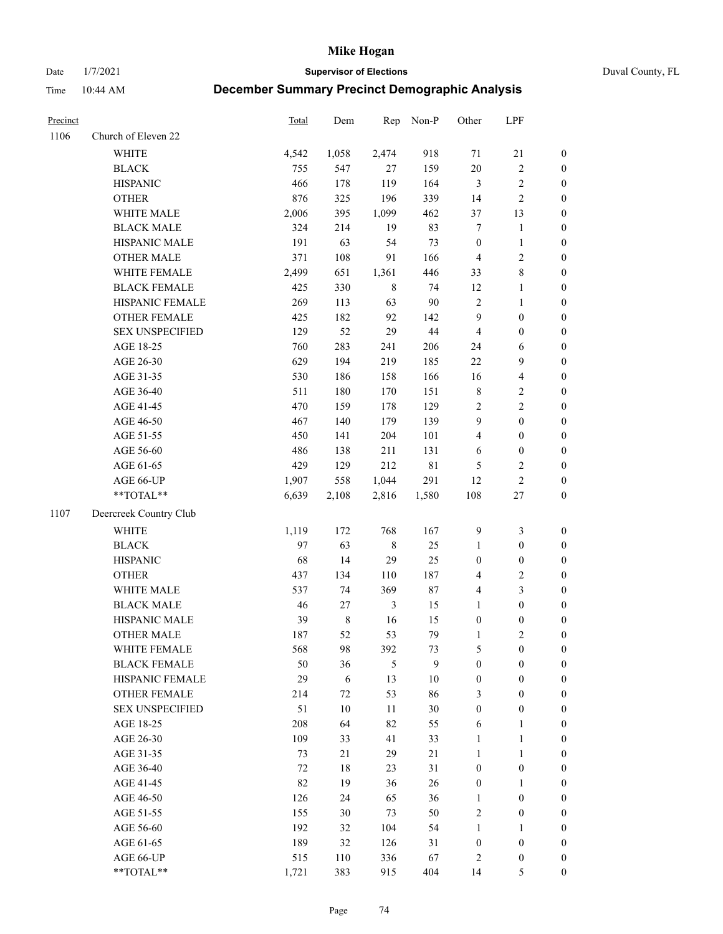Date 1/7/2021 **Supervisor of Elections** Duval County, FL

| Precinct |                        | Total  | Dem        | Rep            | Non-P       | Other                   | LPF                     |                  |
|----------|------------------------|--------|------------|----------------|-------------|-------------------------|-------------------------|------------------|
| 1106     | Church of Eleven 22    |        |            |                |             |                         |                         |                  |
|          | WHITE                  | 4,542  | 1,058      | 2,474          | 918         | 71                      | $21\,$                  | $\boldsymbol{0}$ |
|          | <b>BLACK</b>           | 755    | 547        | 27             | 159         | 20                      | $\sqrt{2}$              | $\boldsymbol{0}$ |
|          | <b>HISPANIC</b>        | 466    | 178        | 119            | 164         | $\mathfrak{Z}$          | $\sqrt{2}$              | $\boldsymbol{0}$ |
|          | <b>OTHER</b>           | 876    | 325        | 196            | 339         | 14                      | $\sqrt{2}$              | $\boldsymbol{0}$ |
|          | WHITE MALE             | 2,006  | 395        | 1,099          | 462         | 37                      | 13                      | $\boldsymbol{0}$ |
|          | <b>BLACK MALE</b>      | 324    | 214        | 19             | 83          | 7                       | $\mathbf{1}$            | $\boldsymbol{0}$ |
|          | HISPANIC MALE          | 191    | 63         | 54             | 73          | $\boldsymbol{0}$        | $\mathbf{1}$            | $\boldsymbol{0}$ |
|          | <b>OTHER MALE</b>      | 371    | 108        | 91             | 166         | $\overline{4}$          | $\sqrt{2}$              | $\boldsymbol{0}$ |
|          | WHITE FEMALE           | 2,499  | 651        | 1,361          | 446         | 33                      | $\,8\,$                 | $\boldsymbol{0}$ |
|          | <b>BLACK FEMALE</b>    | 425    | 330        | $\,$ 8 $\,$    | 74          | 12                      | $\mathbf{1}$            | 0                |
|          | HISPANIC FEMALE        | 269    | 113        | 63             | 90          | $\sqrt{2}$              | $\mathbf{1}$            | 0                |
|          | OTHER FEMALE           | 425    | 182        | 92             | 142         | 9                       | $\boldsymbol{0}$        | $\boldsymbol{0}$ |
|          | <b>SEX UNSPECIFIED</b> | 129    | 52         | 29             | 44          | $\overline{4}$          | $\boldsymbol{0}$        | $\boldsymbol{0}$ |
|          | AGE 18-25              | 760    | 283        | 241            | 206         | 24                      | 6                       | $\boldsymbol{0}$ |
|          | AGE 26-30              | 629    | 194        | 219            | 185         | $22\,$                  | 9                       | $\boldsymbol{0}$ |
|          | AGE 31-35              | 530    | 186        | 158            | 166         | 16                      | $\overline{\mathbf{4}}$ | $\boldsymbol{0}$ |
|          | AGE 36-40              | 511    | 180        | 170            | 151         | $\,$ 8 $\,$             | $\sqrt{2}$              | $\boldsymbol{0}$ |
|          | AGE 41-45              | 470    | 159        | 178            | 129         | $\sqrt{2}$              | $\overline{2}$          | $\boldsymbol{0}$ |
|          | AGE 46-50              | 467    | 140        | 179            | 139         | $\mathbf{9}$            | $\boldsymbol{0}$        | $\boldsymbol{0}$ |
|          | AGE 51-55              | 450    | 141        | 204            | 101         | $\overline{4}$          | $\boldsymbol{0}$        | $\boldsymbol{0}$ |
|          | AGE 56-60              | 486    | 138        | 211            | 131         | 6                       | $\boldsymbol{0}$        | 0                |
|          | AGE 61-65              | 429    | 129        | 212            | $8\sqrt{1}$ | 5                       | $\overline{c}$          | 0                |
|          | AGE 66-UP              | 1,907  | 558        | 1,044          | 291         | 12                      | $\sqrt{2}$              | $\boldsymbol{0}$ |
|          | **TOTAL**              | 6,639  | 2,108      | 2,816          | 1,580       | 108                     | $27\,$                  | $\boldsymbol{0}$ |
| 1107     | Deercreek Country Club |        |            |                |             |                         |                         |                  |
|          | <b>WHITE</b>           | 1,119  | 172        | 768            | 167         | $\overline{9}$          | $\mathfrak{Z}$          | $\boldsymbol{0}$ |
|          | <b>BLACK</b>           | 97     | 63         | $\,$ 8 $\,$    | 25          | $\mathbf{1}$            | $\boldsymbol{0}$        | $\boldsymbol{0}$ |
|          | <b>HISPANIC</b>        | 68     | 14         | 29             | 25          | $\boldsymbol{0}$        | $\boldsymbol{0}$        | $\boldsymbol{0}$ |
|          | <b>OTHER</b>           | 437    | 134        | 110            | 187         | 4                       | $\sqrt{2}$              | $\boldsymbol{0}$ |
|          | WHITE MALE             | 537    | 74         | 369            | $87\,$      | $\overline{\mathbf{4}}$ | $\mathfrak{Z}$          | $\boldsymbol{0}$ |
|          | <b>BLACK MALE</b>      | 46     | 27         | $\mathfrak{Z}$ | 15          | $\mathbf{1}$            | $\boldsymbol{0}$        | $\boldsymbol{0}$ |
|          | HISPANIC MALE          | 39     | $\,8\,$    | 16             | 15          | $\boldsymbol{0}$        | $\boldsymbol{0}$        | $\boldsymbol{0}$ |
|          | <b>OTHER MALE</b>      | 187    | 52         | 53             | 79          | $\mathbf{1}$            | $\mathbf{2}$            | $\boldsymbol{0}$ |
|          | WHITE FEMALE           | 568    | 98         | 392            | 73          | 5                       | $\boldsymbol{0}$        | 0                |
|          | <b>BLACK FEMALE</b>    | 50     | 36         | 5              | 9           | $\boldsymbol{0}$        | $\boldsymbol{0}$        | $\overline{0}$   |
|          | HISPANIC FEMALE        | 29     | $\sqrt{6}$ | 13             | $10\,$      | $\boldsymbol{0}$        | $\boldsymbol{0}$        | $\overline{0}$   |
|          | OTHER FEMALE           | 214    | $72\,$     | 53             | 86          | 3                       | $\boldsymbol{0}$        | $\overline{0}$   |
|          | <b>SEX UNSPECIFIED</b> | 51     | 10         | 11             | 30          | $\boldsymbol{0}$        | $\boldsymbol{0}$        | 0                |
|          | AGE 18-25              | 208    | 64         | 82             | 55          | 6                       | $\mathbf{1}$            | 0                |
|          | AGE 26-30              | 109    | 33         | 41             | 33          | $\mathbf{1}$            | $\mathbf{1}$            | 0                |
|          | AGE 31-35              | 73     | 21         | 29             | 21          | $\mathbf{1}$            | $\mathbf{1}$            | 0                |
|          | AGE 36-40              | $72\,$ | $18\,$     | 23             | 31          | $\boldsymbol{0}$        | $\boldsymbol{0}$        | 0                |
|          | AGE 41-45              | 82     | 19         | 36             | 26          | $\boldsymbol{0}$        | $\mathbf{1}$            | 0                |
|          | AGE 46-50              | 126    | 24         | 65             | 36          | $\mathbf{1}$            | $\boldsymbol{0}$        | 0                |
|          | AGE 51-55              | 155    | 30         | 73             | 50          | $\mathfrak{2}$          | $\boldsymbol{0}$        | 0                |
|          | AGE 56-60              | 192    | 32         | 104            | 54          | 1                       | 1                       | 0                |
|          | AGE 61-65              | 189    | 32         | 126            | 31          | $\boldsymbol{0}$        | $\boldsymbol{0}$        | 0                |
|          | AGE 66-UP              | 515    | 110        | 336            | 67          | 2                       | $\boldsymbol{0}$        | 0                |
|          | **TOTAL**              | 1,721  | 383        | 915            | 404         | 14                      | $\mathfrak{S}$          | $\boldsymbol{0}$ |
|          |                        |        |            |                |             |                         |                         |                  |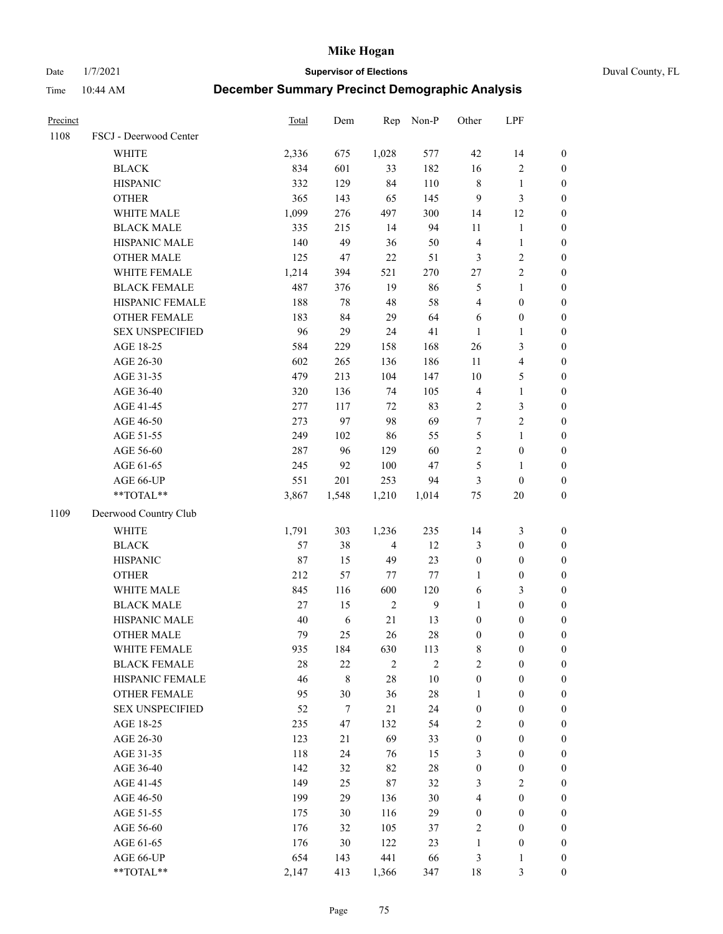Date 1/7/2021 **Supervisor of Elections** Duval County, FL

| Precinct |                        | <b>Total</b> | Dem      | Rep            | Non-P          | Other                 | LPF                     |                  |
|----------|------------------------|--------------|----------|----------------|----------------|-----------------------|-------------------------|------------------|
| 1108     | FSCJ - Deerwood Center |              |          |                |                |                       |                         |                  |
|          | <b>WHITE</b>           | 2,336        | 675      | 1,028          | 577            | $42\,$                | 14                      | $\boldsymbol{0}$ |
|          | <b>BLACK</b>           | 834          | 601      | 33             | 182            | 16                    | $\sqrt{2}$              | $\boldsymbol{0}$ |
|          | <b>HISPANIC</b>        | 332          | 129      | 84             | 110            | 8                     | $\mathbf{1}$            | $\boldsymbol{0}$ |
|          | <b>OTHER</b>           | 365          | 143      | 65             | 145            | 9                     | 3                       | $\boldsymbol{0}$ |
|          | WHITE MALE             | 1,099        | 276      | 497            | 300            | 14                    | 12                      | $\boldsymbol{0}$ |
|          | <b>BLACK MALE</b>      | 335          | 215      | 14             | 94             | 11                    | $\mathbf{1}$            | $\boldsymbol{0}$ |
|          | HISPANIC MALE          | 140          | 49       | 36             | 50             | 4                     | $\mathbf{1}$            | $\boldsymbol{0}$ |
|          | <b>OTHER MALE</b>      | 125          | 47       | 22             | 51             | 3                     | $\overline{2}$          | $\boldsymbol{0}$ |
|          | WHITE FEMALE           | 1,214        | 394      | 521            | 270            | $27\,$                | $\overline{2}$          | $\boldsymbol{0}$ |
|          | <b>BLACK FEMALE</b>    | 487          | 376      | 19             | 86             | 5                     | $\mathbf{1}$            | $\boldsymbol{0}$ |
|          | HISPANIC FEMALE        | 188          | 78       | 48             | 58             | 4                     | $\boldsymbol{0}$        | 0                |
|          | <b>OTHER FEMALE</b>    | 183          | 84       | 29             | 64             | 6                     | $\boldsymbol{0}$        | 0                |
|          | <b>SEX UNSPECIFIED</b> | 96           | 29       | 24             | 41             | $\mathbf{1}$          | $\mathbf{1}$            | $\boldsymbol{0}$ |
|          | AGE 18-25              | 584          | 229      | 158            | 168            | 26                    | $\mathfrak{Z}$          | $\boldsymbol{0}$ |
|          | AGE 26-30              | 602          | 265      | 136            | 186            | $11\,$                | $\overline{\mathbf{4}}$ | $\boldsymbol{0}$ |
|          | AGE 31-35              | 479          | 213      | 104            | 147            | 10                    | $\mathfrak{S}$          | $\boldsymbol{0}$ |
|          | AGE 36-40              | 320          | 136      | 74             | 105            | 4                     | $\mathbf{1}$            | $\boldsymbol{0}$ |
|          | AGE 41-45              | 277          | 117      | 72             | 83             | $\overline{2}$        | $\mathfrak{Z}$          | $\boldsymbol{0}$ |
|          | AGE 46-50              | 273          | 97       | 98             | 69             | 7                     | $\overline{2}$          | $\boldsymbol{0}$ |
|          | AGE 51-55              | 249          | 102      | 86             | 55             | 5                     | $\mathbf{1}$            | $\boldsymbol{0}$ |
|          | AGE 56-60              | 287          | 96       | 129            | 60             | $\sqrt{2}$            | $\boldsymbol{0}$        | 0                |
|          | AGE 61-65              | 245          | 92       | 100            | 47             | 5                     | $\mathbf{1}$            | 0                |
|          | AGE 66-UP              | 551          | 201      | 253            | 94             | 3                     | $\boldsymbol{0}$        | $\boldsymbol{0}$ |
|          | **TOTAL**              | 3,867        | 1,548    | 1,210          | 1,014          | $75\,$                | $20\,$                  | $\boldsymbol{0}$ |
| 1109     | Deerwood Country Club  |              |          |                |                |                       |                         |                  |
|          | <b>WHITE</b>           | 1,791        | 303      | 1,236          | 235            | 14                    | $\mathfrak{Z}$          | $\boldsymbol{0}$ |
|          | <b>BLACK</b>           | 57           | 38       | $\overline{4}$ | 12             | 3                     | $\boldsymbol{0}$        | $\boldsymbol{0}$ |
|          | <b>HISPANIC</b>        | 87           | 15       | 49             | 23             | $\boldsymbol{0}$      | $\boldsymbol{0}$        | $\boldsymbol{0}$ |
|          | <b>OTHER</b>           | 212          | 57       | 77             | 77             | 1                     | $\boldsymbol{0}$        | $\boldsymbol{0}$ |
|          | WHITE MALE             | 845          | 116      | 600            | 120            | 6                     | $\mathfrak{Z}$          | $\boldsymbol{0}$ |
|          | <b>BLACK MALE</b>      | 27           | 15       | $\sqrt{2}$     | $\overline{9}$ | $\mathbf{1}$          | $\boldsymbol{0}$        | $\boldsymbol{0}$ |
|          | HISPANIC MALE          | 40           | 6        | 21             | 13             | $\boldsymbol{0}$      | $\boldsymbol{0}$        | $\boldsymbol{0}$ |
|          | <b>OTHER MALE</b>      | 79           | 25       | 26             | $28\,$         | $\boldsymbol{0}$      | $\boldsymbol{0}$        | $\boldsymbol{0}$ |
|          | WHITE FEMALE           | 935          | 184      | 630            | 113            | 8                     | $\boldsymbol{0}$        | 0                |
|          | <b>BLACK FEMALE</b>    | 28           | 22       | $\mathbf{2}$   | $\mathbf{2}$   | $\overline{c}$        | $\boldsymbol{0}$        | $\overline{0}$   |
|          | HISPANIC FEMALE        | 46           | 8        | 28             | $10\,$         | $\boldsymbol{0}$      | $\boldsymbol{0}$        | $\overline{0}$   |
|          | <b>OTHER FEMALE</b>    | 95           | 30       | 36             | $28\,$         | $\mathbf{1}$          | $\boldsymbol{0}$        | $\overline{0}$   |
|          | <b>SEX UNSPECIFIED</b> | 52           | $\tau$   | 21             | 24             | $\boldsymbol{0}$      | $\boldsymbol{0}$        | $\overline{0}$   |
|          | AGE 18-25              | 235          | 47       | 132            | 54             | 2                     | $\boldsymbol{0}$        | $\theta$         |
|          | AGE 26-30              | 123          | 21       | 69             | 33             | $\boldsymbol{0}$      | $\boldsymbol{0}$        | 0                |
|          | AGE 31-35              | 118          | 24       | 76             | 15             | 3                     | $\boldsymbol{0}$        | 0                |
|          | AGE 36-40              | 142          | 32       | 82             | $28\,$         | $\boldsymbol{0}$      | $\boldsymbol{0}$        | 0                |
|          | AGE 41-45              | 149          | 25       | 87             | 32             | 3                     | $\overline{2}$          | 0                |
|          |                        | 199          | 29       |                | $30\,$         | 4                     | $\boldsymbol{0}$        | 0                |
|          | AGE 46-50<br>AGE 51-55 | 175          |          | 136<br>116     | 29             |                       | $\boldsymbol{0}$        | $\overline{0}$   |
|          | AGE 56-60              | 176          | 30<br>32 | 105            | 37             | $\boldsymbol{0}$<br>2 | $\boldsymbol{0}$        | $\overline{0}$   |
|          | AGE 61-65              | 176          | 30       | 122            | 23             | $\mathbf{1}$          | $\boldsymbol{0}$        | $\overline{0}$   |
|          | AGE 66-UP              | 654          | 143      | 441            | 66             | 3                     | $\mathbf{1}$            | 0                |
|          | **TOTAL**              | 2,147        | 413      | 1,366          | 347            | 18                    | 3                       | $\boldsymbol{0}$ |
|          |                        |              |          |                |                |                       |                         |                  |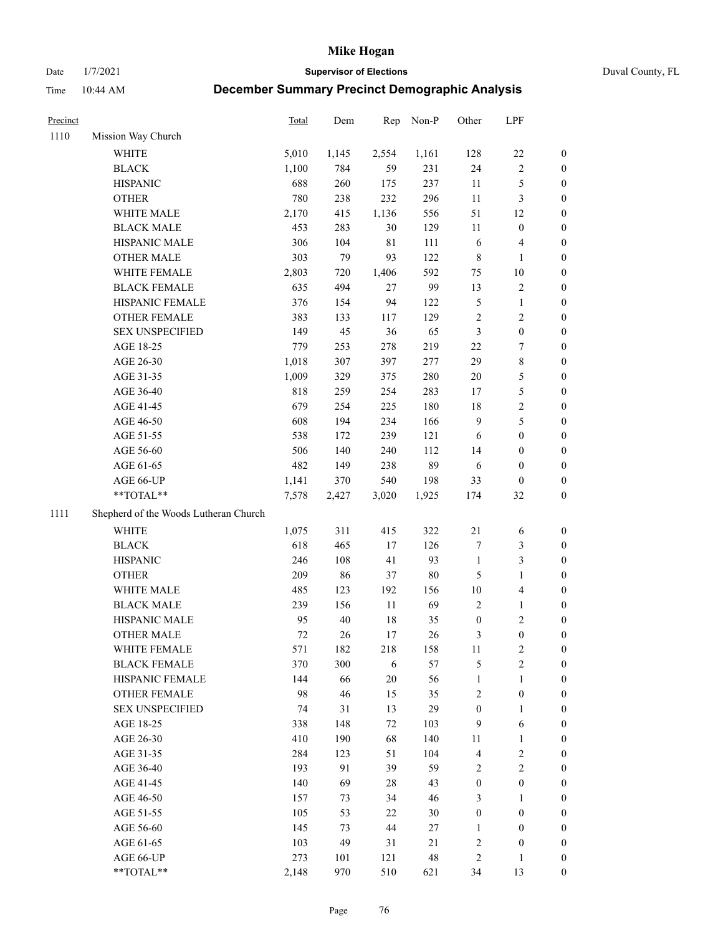Date 1/7/2021 **Supervisor of Elections** Duval County, FL

| Precinct |                                                  | Total                             | Dem                         | Rep                         | Non-P                | Other                                                 | LPF                                                      |                  |
|----------|--------------------------------------------------|-----------------------------------|-----------------------------|-----------------------------|----------------------|-------------------------------------------------------|----------------------------------------------------------|------------------|
| 1110     | Mission Way Church                               |                                   |                             |                             |                      |                                                       |                                                          |                  |
|          | WHITE                                            | 5,010                             | 1,145                       | 2,554                       | 1,161                | 128                                                   | $22\,$                                                   | 0                |
|          | <b>BLACK</b>                                     | 1,100                             | 784                         | 59                          | 231                  | 24                                                    | $\sqrt{2}$                                               | 0                |
|          | <b>HISPANIC</b>                                  | 688                               | 260                         | 175                         | 237                  | 11                                                    | $\mathfrak s$                                            | $\boldsymbol{0}$ |
|          | <b>OTHER</b>                                     | 780                               | 238                         | 232                         | 296                  | $11\,$                                                | $\mathfrak{Z}$                                           | $\boldsymbol{0}$ |
|          | WHITE MALE                                       | 2,170                             | 415                         | 1,136                       | 556                  | 51                                                    | 12                                                       | $\boldsymbol{0}$ |
|          | <b>BLACK MALE</b>                                | 453                               | 283                         | 30                          | 129                  | 11                                                    | $\boldsymbol{0}$                                         | $\boldsymbol{0}$ |
|          | HISPANIC MALE                                    | 306                               | 104                         | $8\sqrt{1}$                 | 111                  | 6                                                     | $\overline{4}$                                           | $\boldsymbol{0}$ |
|          | <b>OTHER MALE</b>                                | 303                               | 79                          | 93                          | 122                  | 8                                                     | $\mathbf{1}$                                             | $\boldsymbol{0}$ |
|          | WHITE FEMALE                                     | 2,803                             | 720                         | 1,406                       | 592                  | 75                                                    | $10\,$                                                   | $\boldsymbol{0}$ |
|          | <b>BLACK FEMALE</b>                              | 635                               | 494                         | 27                          | 99                   | 13                                                    | $\sqrt{2}$                                               | 0                |
|          | HISPANIC FEMALE                                  | 376                               | 154                         | 94                          | 122                  | 5                                                     | $\mathbf{1}$                                             | 0                |
|          | OTHER FEMALE                                     | 383                               | 133                         | 117                         | 129                  | $\overline{c}$                                        | $\sqrt{2}$                                               | $\boldsymbol{0}$ |
|          | <b>SEX UNSPECIFIED</b>                           | 149                               | 45                          | 36                          | 65                   | 3                                                     | $\boldsymbol{0}$                                         | $\boldsymbol{0}$ |
|          | AGE 18-25                                        | 779                               | 253                         | 278                         | 219                  | $22\,$                                                | $\boldsymbol{7}$                                         | $\boldsymbol{0}$ |
|          | AGE 26-30                                        | 1,018                             | 307                         | 397                         | 277                  | 29                                                    | $\,$ 8 $\,$                                              | $\boldsymbol{0}$ |
|          | AGE 31-35                                        | 1,009                             | 329                         | 375                         | 280                  | 20                                                    | $\mathfrak s$                                            | $\boldsymbol{0}$ |
|          | AGE 36-40                                        | 818                               | 259                         | 254                         | 283                  | 17                                                    | 5                                                        | $\boldsymbol{0}$ |
|          | AGE 41-45                                        | 679                               | 254                         | 225                         | 180                  | 18                                                    | $\sqrt{2}$                                               | $\boldsymbol{0}$ |
|          | AGE 46-50                                        | 608                               | 194                         | 234                         | 166                  | $\mathbf{9}$                                          | 5                                                        | $\boldsymbol{0}$ |
|          | AGE 51-55                                        | 538                               | 172                         | 239                         | 121                  | 6                                                     | $\boldsymbol{0}$                                         | 0                |
|          | AGE 56-60                                        | 506                               | 140                         | 240                         | 112                  | 14                                                    | $\boldsymbol{0}$                                         | 0                |
|          | AGE 61-65                                        | 482                               | 149                         | 238                         | 89                   | 6                                                     | $\boldsymbol{0}$                                         | 0                |
|          | AGE 66-UP                                        | 1,141                             | 370                         | 540                         | 198                  | 33                                                    | $\boldsymbol{0}$                                         | $\boldsymbol{0}$ |
|          | $**TOTAL**$                                      | 7,578                             | 2,427                       | 3,020                       | 1,925                | 174                                                   | 32                                                       | $\boldsymbol{0}$ |
| 1111     | Shepherd of the Woods Lutheran Church            |                                   |                             |                             |                      |                                                       |                                                          |                  |
|          | <b>WHITE</b>                                     | 1,075                             | 311                         | 415                         | 322                  | $21\,$                                                | 6                                                        | $\boldsymbol{0}$ |
|          | <b>BLACK</b>                                     | 618                               | 465                         | 17                          | 126                  | 7                                                     | $\mathfrak{Z}$                                           | $\boldsymbol{0}$ |
|          | <b>HISPANIC</b>                                  | 246                               | 108                         | 41                          | 93                   | $\mathbf{1}$                                          | 3                                                        | $\boldsymbol{0}$ |
|          | <b>OTHER</b>                                     | 209                               | 86                          | 37                          | 80                   | 5                                                     | $\mathbf{1}$                                             | $\boldsymbol{0}$ |
|          | WHITE MALE                                       | 485                               | 123                         | 192                         | 156                  | $10\,$                                                | $\overline{4}$                                           | $\boldsymbol{0}$ |
|          | <b>BLACK MALE</b>                                | 239                               | 156                         | $11\,$                      | 69                   | $\mathbf{2}$                                          | $\mathbf{1}$                                             | $\boldsymbol{0}$ |
|          | HISPANIC MALE                                    | 95                                | 40                          | 18                          | 35                   | $\boldsymbol{0}$                                      | $\sqrt{2}$                                               | 0                |
|          | <b>OTHER MALE</b>                                | 72                                | 26                          | 17                          | 26                   | 3                                                     | $\boldsymbol{0}$                                         | $\boldsymbol{0}$ |
|          | WHITE FEMALE                                     | 571                               | 182                         | 218                         | 158                  | 11                                                    | $\overline{c}$                                           | 0                |
|          | <b>BLACK FEMALE</b>                              | 370                               | 300                         | 6                           | 57                   | 5                                                     | $\sqrt{2}$                                               | 0                |
|          | HISPANIC FEMALE                                  | 144                               | 66                          | $20\,$                      | 56                   | $\mathbf{1}$                                          | $\mathbf{1}$                                             | $\overline{0}$   |
|          | OTHER FEMALE                                     | 98                                | 46                          | 15                          | 35                   | 2                                                     | $\boldsymbol{0}$                                         | $\overline{0}$   |
|          | <b>SEX UNSPECIFIED</b>                           | 74                                | 31                          | 13                          | 29                   | $\boldsymbol{0}$                                      | $\mathbf{1}$                                             | 0                |
|          | AGE 18-25                                        | 338                               | 148                         | 72                          | 103                  | 9                                                     | 6                                                        | 0                |
|          | AGE 26-30                                        | 410                               | 190                         | 68                          | 140                  | 11                                                    | $\mathbf{1}$                                             | 0                |
|          | AGE 31-35                                        | 284                               | 123                         | 51                          | 104                  | 4                                                     | $\sqrt{2}$                                               | 0                |
|          | AGE 36-40                                        | 193                               | 91                          | 39                          | 59                   | 2                                                     | $\sqrt{2}$                                               | 0                |
|          | AGE 41-45                                        | 140                               | 69                          | 28                          | 43                   | $\boldsymbol{0}$                                      | $\boldsymbol{0}$                                         | 0                |
|          | AGE 46-50                                        | 157                               |                             |                             | 46                   |                                                       | 1                                                        | 0                |
|          |                                                  |                                   |                             |                             |                      |                                                       |                                                          | 0                |
|          |                                                  |                                   |                             |                             |                      | 1                                                     |                                                          | 0                |
|          |                                                  |                                   |                             |                             |                      |                                                       |                                                          | 0                |
|          |                                                  |                                   |                             |                             |                      |                                                       | $\mathbf{1}$                                             | 0                |
|          | **TOTAL**                                        |                                   | 970                         | 510                         | 621                  | 34                                                    | 13                                                       | $\boldsymbol{0}$ |
|          | AGE 51-55<br>AGE 56-60<br>AGE 61-65<br>AGE 66-UP | 105<br>145<br>103<br>273<br>2,148 | 73<br>53<br>73<br>49<br>101 | 34<br>22<br>44<br>31<br>121 | 30<br>27<br>21<br>48 | 3<br>$\boldsymbol{0}$<br>$\overline{\mathbf{c}}$<br>2 | $\boldsymbol{0}$<br>$\boldsymbol{0}$<br>$\boldsymbol{0}$ |                  |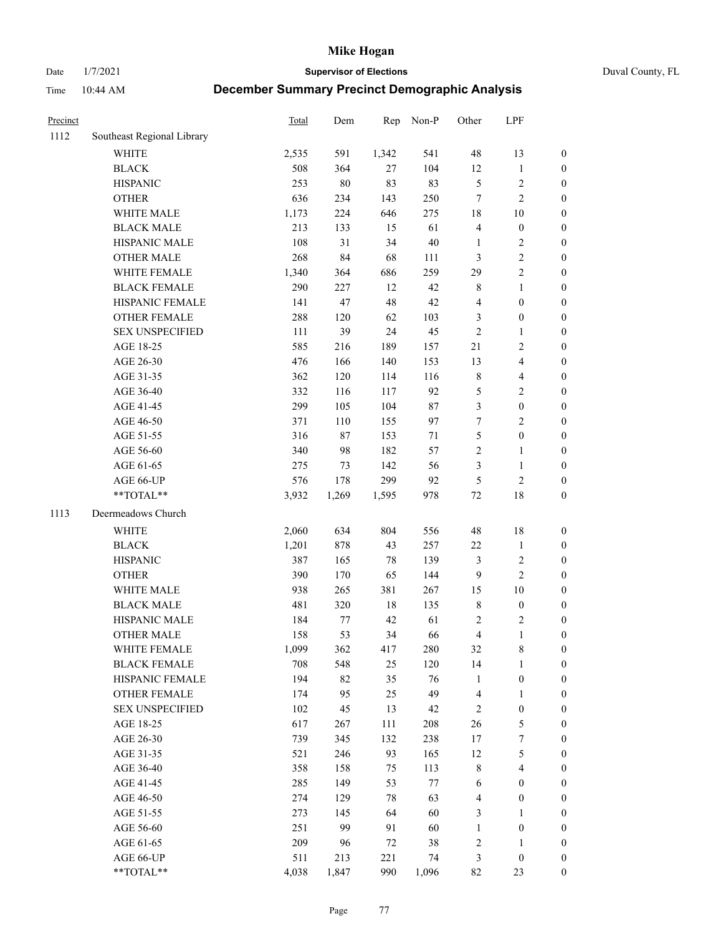Date 1/7/2021 **Supervisor of Elections** Duval County, FL

| Precinct |                                               | Total        | Dem       | Rep      | Non-P     | Other                   | LPF                               |                                    |
|----------|-----------------------------------------------|--------------|-----------|----------|-----------|-------------------------|-----------------------------------|------------------------------------|
| 1112     | Southeast Regional Library                    |              |           |          |           |                         |                                   |                                    |
|          | <b>WHITE</b>                                  | 2,535        | 591       | 1,342    | 541       | $48\,$                  | 13                                | 0                                  |
|          | <b>BLACK</b>                                  | 508          | 364       | 27       | 104       | 12                      | $\mathbf{1}$                      | 0                                  |
|          | <b>HISPANIC</b>                               | 253          | $80\,$    | 83       | 83        | $\mathfrak{S}$          | $\sqrt{2}$                        | $\boldsymbol{0}$                   |
|          | <b>OTHER</b>                                  | 636          | 234       | 143      | 250       | 7                       | $\sqrt{2}$                        | $\boldsymbol{0}$                   |
|          | WHITE MALE                                    | 1,173        | 224       | 646      | 275       | 18                      | $10\,$                            | $\boldsymbol{0}$                   |
|          | <b>BLACK MALE</b>                             | 213          | 133       | 15       | 61        | 4                       | $\boldsymbol{0}$                  | $\boldsymbol{0}$                   |
|          | HISPANIC MALE                                 | 108          | 31        | 34       | $40\,$    | $\mathbf{1}$            | $\sqrt{2}$                        | $\boldsymbol{0}$                   |
|          | <b>OTHER MALE</b>                             | 268          | 84        | 68       | 111       | 3                       | $\sqrt{2}$                        | $\boldsymbol{0}$                   |
|          | WHITE FEMALE                                  | 1,340        | 364       | 686      | 259       | 29                      | $\sqrt{2}$                        | $\boldsymbol{0}$                   |
|          | <b>BLACK FEMALE</b>                           | 290          | 227       | 12       | 42        | 8                       | $\mathbf{1}$                      | $\boldsymbol{0}$                   |
|          | HISPANIC FEMALE                               | 141          | 47        | 48       | $42\,$    | 4                       | $\boldsymbol{0}$                  | $\boldsymbol{0}$                   |
|          | OTHER FEMALE                                  | 288          | 120       | 62       | 103       | 3                       | $\boldsymbol{0}$                  | $\boldsymbol{0}$                   |
|          | <b>SEX UNSPECIFIED</b>                        | 111          | 39        | 24       | 45        | $\sqrt{2}$              | $\mathbf{1}$                      | $\boldsymbol{0}$                   |
|          | AGE 18-25                                     | 585          | 216       | 189      | 157       | 21                      | $\sqrt{2}$                        | $\boldsymbol{0}$                   |
|          | AGE 26-30                                     | 476          | 166       | 140      | 153       | 13                      | $\overline{\mathbf{4}}$           | $\boldsymbol{0}$                   |
|          | AGE 31-35                                     | 362          | 120       | 114      | 116       | $\,$ $\,$               | $\overline{\mathbf{4}}$           | $\boldsymbol{0}$                   |
|          | AGE 36-40                                     | 332          | 116       | 117      | 92        | 5                       | $\sqrt{2}$                        | $\boldsymbol{0}$                   |
|          | AGE 41-45                                     | 299          | 105       | 104      | $87\,$    | 3                       | $\boldsymbol{0}$                  | $\boldsymbol{0}$                   |
|          | AGE 46-50                                     | 371          | 110       | 155      | 97        | 7                       | $\overline{2}$                    | $\boldsymbol{0}$                   |
|          | AGE 51-55                                     | 316          | 87        | 153      | 71        | 5                       | $\boldsymbol{0}$                  | $\boldsymbol{0}$                   |
|          | AGE 56-60                                     | 340          | 98        | 182      | 57        | $\overline{c}$          | $\mathbf{1}$                      | 0                                  |
|          | AGE 61-65                                     | 275          | 73        | 142      | 56        | 3                       | $\mathbf{1}$                      | $\boldsymbol{0}$                   |
|          | AGE 66-UP                                     | 576          | 178       | 299      | 92        | 5                       | $\sqrt{2}$                        | $\boldsymbol{0}$                   |
|          | **TOTAL**                                     | 3,932        | 1,269     | 1,595    | 978       | $72\,$                  | $18\,$                            | $\boldsymbol{0}$                   |
| 1113     | Deermeadows Church                            |              |           |          |           |                         |                                   |                                    |
|          | <b>WHITE</b>                                  | 2,060        | 634       | 804      | 556       | 48                      | $18\,$                            | $\boldsymbol{0}$                   |
|          | <b>BLACK</b>                                  | 1,201        | 878       | 43       | 257       | $22\,$                  | $\mathbf{1}$                      | $\boldsymbol{0}$                   |
|          | <b>HISPANIC</b>                               | 387          | 165       | 78       | 139       | 3                       | $\sqrt{2}$                        | $\boldsymbol{0}$                   |
|          | <b>OTHER</b>                                  | 390          | 170       | 65       | 144       | 9                       | $\overline{c}$                    | $\boldsymbol{0}$                   |
|          | WHITE MALE                                    | 938          | 265       | 381      | 267       | 15                      | $10\,$                            | $\boldsymbol{0}$                   |
|          | <b>BLACK MALE</b>                             | 481          | 320       | $18\,$   | 135       | $\,8\,$                 | $\boldsymbol{0}$                  | $\boldsymbol{0}$                   |
|          | HISPANIC MALE                                 | 184          | 77        | 42       | 61        | $\sqrt{2}$              | $\sqrt{2}$                        | $\boldsymbol{0}$                   |
|          | OTHER MALE                                    | 158          | 53        | 34       | 66        | $\overline{\mathbf{4}}$ | $\mathbf{1}$                      | $\boldsymbol{0}$                   |
|          |                                               |              |           |          |           |                         | 8                                 | 0                                  |
|          | WHITE FEMALE<br><b>BLACK FEMALE</b>           | 1,099<br>708 | 362       | 417      | 280       | 32                      |                                   |                                    |
|          | HISPANIC FEMALE                               | 194          | 548<br>82 | 25<br>35 | 120<br>76 | 14<br>$\mathbf{1}$      | $\mathbf{1}$<br>$\boldsymbol{0}$  | $\boldsymbol{0}$<br>$\overline{0}$ |
|          |                                               | 174          | 95        | 25       | 49        |                         |                                   | $\overline{0}$                     |
|          | <b>OTHER FEMALE</b><br><b>SEX UNSPECIFIED</b> | 102          | 45        |          | 42        | 4                       | $\mathbf{1}$<br>$\boldsymbol{0}$  | 0                                  |
|          |                                               |              |           | 13       |           | 2<br>26                 | $\mathfrak{S}$                    | 0                                  |
|          | AGE 18-25                                     | 617          | 267       | 111      | 208       |                         |                                   |                                    |
|          | AGE 26-30                                     | 739<br>521   | 345       | 132      | 238       | 17<br>12                | $\boldsymbol{7}$<br>$\mathfrak s$ | 0                                  |
|          | AGE 31-35                                     |              | 246       | 93       | 165       |                         |                                   | 0                                  |
|          | AGE 36-40                                     | 358          | 158       | 75       | 113       | 8                       | $\overline{\mathbf{4}}$           | 0                                  |
|          | AGE 41-45                                     | 285          | 149       | 53       | $77\,$    | 6                       | $\boldsymbol{0}$                  | 0                                  |
|          | AGE 46-50                                     | 274          | 129       | 78       | 63        | 4                       | $\boldsymbol{0}$                  | 0                                  |
|          | AGE 51-55                                     | 273          | 145       | 64       | 60        | 3                       | $\mathbf{1}$                      | 0                                  |
|          | AGE 56-60                                     | 251          | 99        | 91       | 60        | $\mathbf{1}$            | $\boldsymbol{0}$                  | $\boldsymbol{0}$                   |
|          | AGE 61-65                                     | 209          | 96        | 72       | 38        | 2                       | 1                                 | $\boldsymbol{0}$                   |
|          | AGE 66-UP                                     | 511          | 213       | 221      | 74        | 3                       | $\boldsymbol{0}$                  | 0                                  |
|          | $**TOTAL**$                                   | 4,038        | 1,847     | 990      | 1,096     | 82                      | 23                                | $\boldsymbol{0}$                   |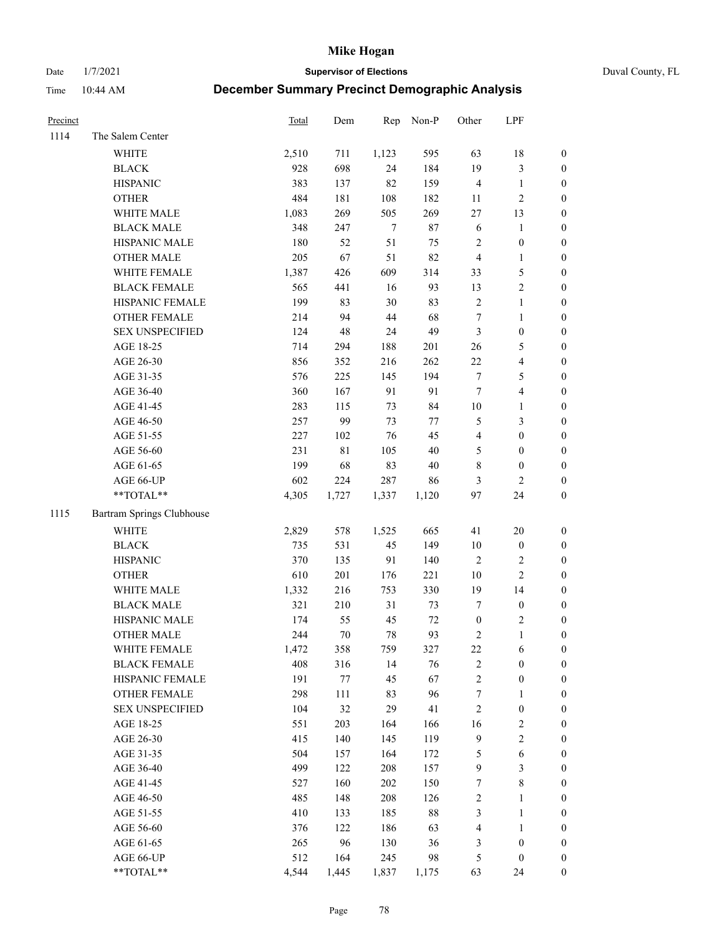Date 1/7/2021 **Supervisor of Elections** Duval County, FL

| Precinct |                           | Total | Dem     | Rep    | Non-P   | Other                   | LPF              |                  |
|----------|---------------------------|-------|---------|--------|---------|-------------------------|------------------|------------------|
| 1114     | The Salem Center          |       |         |        |         |                         |                  |                  |
|          | WHITE                     | 2,510 | 711     | 1,123  | 595     | 63                      | $18\,$           | 0                |
|          | <b>BLACK</b>              | 928   | 698     | 24     | 184     | 19                      | $\mathfrak{Z}$   | 0                |
|          | <b>HISPANIC</b>           | 383   | 137     | 82     | 159     | 4                       | $\mathbf{1}$     | $\boldsymbol{0}$ |
|          | <b>OTHER</b>              | 484   | 181     | 108    | 182     | 11                      | $\sqrt{2}$       | $\boldsymbol{0}$ |
|          | WHITE MALE                | 1,083 | 269     | 505    | 269     | 27                      | 13               | $\boldsymbol{0}$ |
|          | <b>BLACK MALE</b>         | 348   | 247     | $\tau$ | $87\,$  | $\sqrt{6}$              | 1                | $\boldsymbol{0}$ |
|          | HISPANIC MALE             | 180   | 52      | 51     | 75      | $\mathbf{2}$            | $\boldsymbol{0}$ | $\boldsymbol{0}$ |
|          | <b>OTHER MALE</b>         | 205   | 67      | 51     | 82      | $\overline{4}$          | $\mathbf{1}$     | $\boldsymbol{0}$ |
|          | WHITE FEMALE              | 1,387 | 426     | 609    | 314     | 33                      | 5                | $\boldsymbol{0}$ |
|          | <b>BLACK FEMALE</b>       | 565   | 441     | 16     | 93      | 13                      | $\sqrt{2}$       | 0                |
|          | HISPANIC FEMALE           | 199   | 83      | 30     | 83      | $\overline{c}$          | $\mathbf{1}$     | 0                |
|          | OTHER FEMALE              | 214   | 94      | 44     | 68      | $\boldsymbol{7}$        | $\mathbf{1}$     | $\boldsymbol{0}$ |
|          | <b>SEX UNSPECIFIED</b>    | 124   | 48      | 24     | 49      | 3                       | $\boldsymbol{0}$ | $\boldsymbol{0}$ |
|          | AGE 18-25                 | 714   | 294     | 188    | 201     | 26                      | $\mathfrak s$    | $\boldsymbol{0}$ |
|          | AGE 26-30                 | 856   | 352     | 216    | 262     | $22\,$                  | $\overline{4}$   | $\boldsymbol{0}$ |
|          | AGE 31-35                 | 576   | 225     | 145    | 194     | $\boldsymbol{7}$        | $\mathfrak{S}$   | $\boldsymbol{0}$ |
|          | AGE 36-40                 | 360   | 167     | 91     | 91      | $\tau$                  | $\overline{4}$   | $\boldsymbol{0}$ |
|          | AGE 41-45                 | 283   | 115     | 73     | 84      | $10\,$                  | $\mathbf{1}$     | $\boldsymbol{0}$ |
|          | AGE 46-50                 | 257   | 99      | 73     | $77 \,$ | 5                       | 3                | $\boldsymbol{0}$ |
|          | AGE 51-55                 | 227   | 102     | 76     | 45      | $\overline{\mathbf{4}}$ | $\boldsymbol{0}$ | $\boldsymbol{0}$ |
|          | AGE 56-60                 | 231   | 81      | 105    | $40\,$  | 5                       | $\boldsymbol{0}$ | 0                |
|          | AGE 61-65                 | 199   | 68      | 83     | $40\,$  | 8                       | $\boldsymbol{0}$ | $\boldsymbol{0}$ |
|          | AGE 66-UP                 | 602   | 224     | 287    | 86      | 3                       | $\mathfrak{2}$   | $\boldsymbol{0}$ |
|          | $**TOTAL**$               | 4,305 | 1,727   | 1,337  | 1,120   | 97                      | 24               | $\boldsymbol{0}$ |
| 1115     | Bartram Springs Clubhouse |       |         |        |         |                         |                  |                  |
|          | <b>WHITE</b>              | 2,829 | 578     | 1,525  | 665     | 41                      | 20               | $\boldsymbol{0}$ |
|          | <b>BLACK</b>              | 735   | 531     | 45     | 149     | $10\,$                  | $\boldsymbol{0}$ | $\boldsymbol{0}$ |
|          | <b>HISPANIC</b>           | 370   | 135     | 91     | 140     | $\mathbf{2}$            | $\sqrt{2}$       | $\boldsymbol{0}$ |
|          | <b>OTHER</b>              | 610   | 201     | 176    | 221     | $10\,$                  | $\sqrt{2}$       | $\boldsymbol{0}$ |
|          | WHITE MALE                | 1,332 | 216     | 753    | 330     | 19                      | 14               | $\boldsymbol{0}$ |
|          | <b>BLACK MALE</b>         | 321   | 210     | 31     | 73      | $\tau$                  | $\boldsymbol{0}$ | $\boldsymbol{0}$ |
|          | HISPANIC MALE             | 174   | 55      | 45     | $72\,$  | $\boldsymbol{0}$        | $\sqrt{2}$       | 0                |
|          | <b>OTHER MALE</b>         | 244   | 70      | 78     | 93      | $\mathbf{2}$            | $\mathbf{1}$     | $\boldsymbol{0}$ |
|          | WHITE FEMALE              | 1,472 | 358     | 759    | 327     | 22                      | 6                | 0                |
|          | <b>BLACK FEMALE</b>       | 408   | 316     | 14     | 76      | $\mathbf{2}$            | $\boldsymbol{0}$ | $\boldsymbol{0}$ |
|          | HISPANIC FEMALE           | 191   | $77 \,$ | 45     | 67      | $\overline{c}$          | $\boldsymbol{0}$ | $\overline{0}$   |
|          | OTHER FEMALE              | 298   | 111     | 83     | 96      | 7                       | $\mathbf{1}$     | $\overline{0}$   |
|          | <b>SEX UNSPECIFIED</b>    | 104   | 32      | 29     | 41      | 2                       | $\boldsymbol{0}$ | 0                |
|          | AGE 18-25                 | 551   | 203     | 164    | 166     | 16                      | $\sqrt{2}$       | 0                |
|          | AGE 26-30                 | 415   | 140     | 145    | 119     | 9                       | $\sqrt{2}$       | 0                |
|          | AGE 31-35                 | 504   | 157     | 164    | 172     | 5                       | 6                | 0                |
|          | AGE 36-40                 | 499   | 122     | 208    | 157     | 9                       | $\mathfrak{Z}$   | 0                |
|          | AGE 41-45                 | 527   | 160     | 202    | 150     | 7                       | $\,$ 8 $\,$      | 0                |
|          | AGE 46-50                 | 485   | 148     | 208    | 126     | 2                       | $\mathbf{1}$     | 0                |
|          | AGE 51-55                 | 410   | 133     | 185    | $88\,$  | 3                       | $\mathbf{1}$     | 0                |
|          | AGE 56-60                 | 376   | 122     | 186    | 63      | 4                       | $\mathbf{1}$     | 0                |
|          | AGE 61-65                 | 265   | 96      | 130    | 36      | 3                       | $\boldsymbol{0}$ | $\boldsymbol{0}$ |
|          | AGE 66-UP                 | 512   | 164     | 245    | 98      | 5                       | $\boldsymbol{0}$ | 0                |
|          | **TOTAL**                 | 4,544 | 1,445   | 1,837  | 1,175   | 63                      | 24               | $\boldsymbol{0}$ |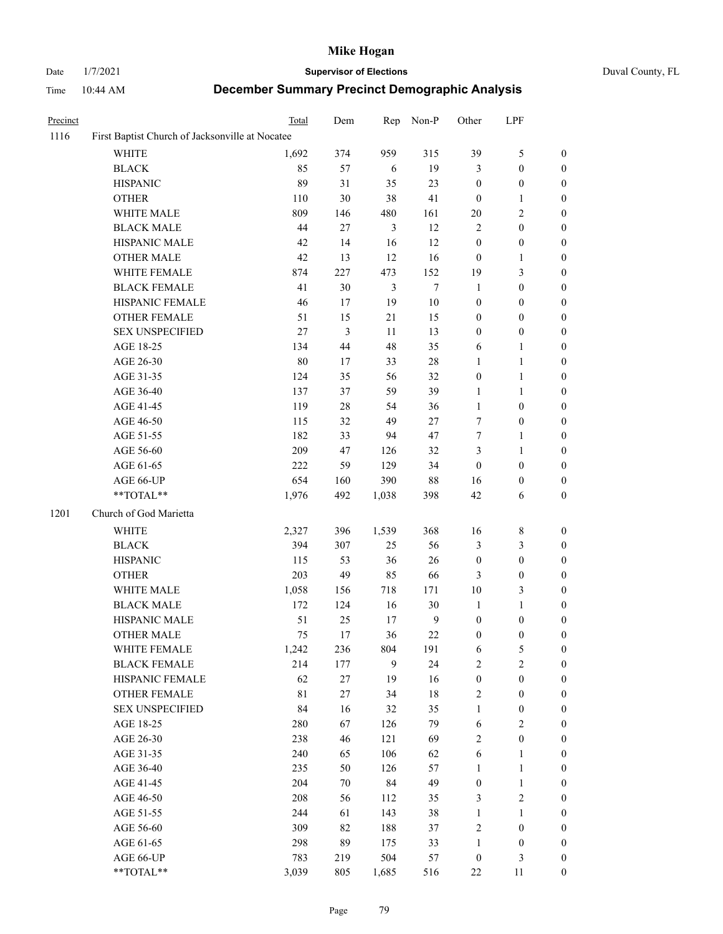# Date 1/7/2021 **Supervisor of Elections** Duval County, FL

| Precinct |                                                 | Total       | Dem            | Rep            | Non-P            | Other                   | LPF              |                  |
|----------|-------------------------------------------------|-------------|----------------|----------------|------------------|-------------------------|------------------|------------------|
| 1116     | First Baptist Church of Jacksonville at Nocatee |             |                |                |                  |                         |                  |                  |
|          | <b>WHITE</b>                                    | 1,692       | 374            | 959            | 315              | 39                      | $\sqrt{5}$       | $\boldsymbol{0}$ |
|          | <b>BLACK</b>                                    | 85          | 57             | 6              | 19               | 3                       | $\boldsymbol{0}$ | $\boldsymbol{0}$ |
|          | <b>HISPANIC</b>                                 | 89          | 31             | 35             | 23               | $\boldsymbol{0}$        | $\boldsymbol{0}$ | $\boldsymbol{0}$ |
|          | <b>OTHER</b>                                    | 110         | 30             | 38             | 41               | $\mathbf{0}$            | $\mathbf{1}$     | $\boldsymbol{0}$ |
|          | WHITE MALE                                      | 809         | 146            | 480            | 161              | 20                      | $\sqrt{2}$       | $\boldsymbol{0}$ |
|          | <b>BLACK MALE</b>                               | 44          | 27             | $\mathfrak{Z}$ | 12               | $\sqrt{2}$              | $\boldsymbol{0}$ | $\boldsymbol{0}$ |
|          | HISPANIC MALE                                   | 42          | 14             | 16             | 12               | $\boldsymbol{0}$        | $\boldsymbol{0}$ | $\boldsymbol{0}$ |
|          | <b>OTHER MALE</b>                               | 42          | 13             | 12             | 16               | $\boldsymbol{0}$        | $\mathbf{1}$     | 0                |
|          | WHITE FEMALE                                    | 874         | 227            | 473            | 152              | 19                      | $\mathfrak{Z}$   | 0                |
|          | <b>BLACK FEMALE</b>                             | 41          | 30             | $\mathfrak{Z}$ | $\boldsymbol{7}$ | $\mathbf{1}$            | $\boldsymbol{0}$ | $\boldsymbol{0}$ |
|          | HISPANIC FEMALE                                 | 46          | 17             | 19             | $10\,$           | $\boldsymbol{0}$        | $\boldsymbol{0}$ | $\boldsymbol{0}$ |
|          | OTHER FEMALE                                    | 51          | 15             | 21             | 15               | $\boldsymbol{0}$        | $\boldsymbol{0}$ | $\boldsymbol{0}$ |
|          | SEX UNSPECIFIED                                 | 27          | $\mathfrak{Z}$ | 11             | 13               | $\boldsymbol{0}$        | $\boldsymbol{0}$ | $\boldsymbol{0}$ |
|          | AGE 18-25                                       | 134         | $44\,$         | 48             | 35               | 6                       | $\mathbf{1}$     | $\boldsymbol{0}$ |
|          | AGE 26-30                                       | 80          | 17             | 33             | $28\,$           | $\mathbf{1}$            | $\mathbf{1}$     | $\boldsymbol{0}$ |
|          | AGE 31-35                                       | 124         | 35             | 56             | 32               | $\boldsymbol{0}$        | $\mathbf{1}$     | $\boldsymbol{0}$ |
|          | AGE 36-40                                       | 137         | 37             | 59             | 39               | $\mathbf{1}$            | $\mathbf{1}$     | 0                |
|          | AGE 41-45                                       | 119         | $28\,$         | 54             | 36               | $\mathbf{1}$            | $\boldsymbol{0}$ | 0                |
|          | AGE 46-50                                       | 115         | 32             | 49             | $27\,$           | $\tau$                  | $\boldsymbol{0}$ | 0                |
|          | AGE 51-55                                       | 182         | 33             | 94             | 47               | 7                       | $\mathbf{1}$     | $\boldsymbol{0}$ |
|          | AGE 56-60                                       | 209         | 47             | 126            | 32               | 3                       | $\mathbf{1}$     | $\boldsymbol{0}$ |
|          | AGE 61-65                                       | 222         | 59             | 129            | 34               | $\boldsymbol{0}$        | $\boldsymbol{0}$ | $\boldsymbol{0}$ |
|          | AGE 66-UP                                       | 654         | 160            | 390            | 88               | 16                      | $\boldsymbol{0}$ | $\boldsymbol{0}$ |
|          | $**TOTAL**$                                     | 1,976       | 492            | 1,038          | 398              | 42                      | 6                | $\boldsymbol{0}$ |
| 1201     | Church of God Marietta                          |             |                |                |                  |                         |                  |                  |
|          | WHITE                                           | 2,327       | 396            | 1,539          | 368              | 16                      | $\,8\,$          | $\boldsymbol{0}$ |
|          | <b>BLACK</b>                                    | 394         | 307            | 25             | 56               | 3                       | $\mathfrak{Z}$   | $\overline{0}$   |
|          | <b>HISPANIC</b>                                 | 115         | 53             | 36             | 26               | $\boldsymbol{0}$        | $\boldsymbol{0}$ | $\overline{0}$   |
|          | <b>OTHER</b>                                    | 203         | 49             | 85             | 66               | $\mathfrak{Z}$          | $\boldsymbol{0}$ | $\boldsymbol{0}$ |
|          | WHITE MALE                                      | 1,058       | 156            | 718            | 171              | $10\,$                  | 3                | 0                |
|          | <b>BLACK MALE</b>                               | 172         | 124            | 16             | 30               | $\mathbf{1}$            | $\mathbf{1}$     | 0                |
|          | HISPANIC MALE                                   | 51          | 25             | 17             | $\overline{9}$   | $\boldsymbol{0}$        | $\boldsymbol{0}$ | 0                |
|          | <b>OTHER MALE</b>                               | 75          | 17             | 36             | 22               | $\boldsymbol{0}$        | $\boldsymbol{0}$ | $\boldsymbol{0}$ |
|          | WHITE FEMALE                                    | 1,242       | 236            | 804            | 191              | 6                       | 5                | $\boldsymbol{0}$ |
|          | <b>BLACK FEMALE</b>                             | 214         | 177            | 9              | 24               | $\overline{c}$          | $\sqrt{2}$       | $\overline{0}$   |
|          | HISPANIC FEMALE                                 | 62          | $27\,$         | 19             | 16               | $\boldsymbol{0}$        | $\boldsymbol{0}$ | $\overline{0}$   |
|          | <b>OTHER FEMALE</b>                             | $8\sqrt{1}$ | $27\,$         | 34             | 18               | $\overline{\mathbf{c}}$ | $\boldsymbol{0}$ | 0                |
|          | <b>SEX UNSPECIFIED</b>                          | 84          | 16             | 32             | 35               | $\mathbf{1}$            | $\boldsymbol{0}$ | 0                |
|          | AGE 18-25                                       | 280         | 67             | 126            | 79               | $\sqrt{6}$              | $\sqrt{2}$       | 0                |
|          | AGE 26-30                                       | 238         | 46             | 121            | 69               | $\overline{c}$          | $\boldsymbol{0}$ | 0                |
|          | AGE 31-35                                       | 240         | 65             | 106            | 62               | $\sqrt{6}$              | $\mathbf{1}$     | 0                |
|          | AGE 36-40                                       | 235         | 50             | 126            | 57               | $\mathbf{1}$            | $\mathbf{1}$     | 0                |
|          | AGE 41-45                                       | 204         | $70\,$         | 84             | 49               | $\boldsymbol{0}$        | $\mathbf{1}$     | 0                |
|          | AGE 46-50                                       | 208         | 56             | 112            | 35               | 3                       | $\sqrt{2}$       | $\boldsymbol{0}$ |
|          | AGE 51-55                                       | 244         | 61             | 143            | 38               | $\mathbf{1}$            | $\mathbf{1}$     | 0                |
|          | AGE 56-60                                       | 309         | 82             | 188            | 37               | $\overline{c}$          | $\boldsymbol{0}$ | 0                |
|          | AGE 61-65                                       | 298         | 89             | 175            | 33               | $\mathbf{1}$            | $\boldsymbol{0}$ | $\overline{0}$   |
|          | AGE 66-UP                                       | 783         | 219            | 504            | 57               | $\boldsymbol{0}$        | 3                | 0                |
|          | **TOTAL**                                       | 3,039       | 805            | 1,685          | 516              | $22\,$                  | 11               | $\boldsymbol{0}$ |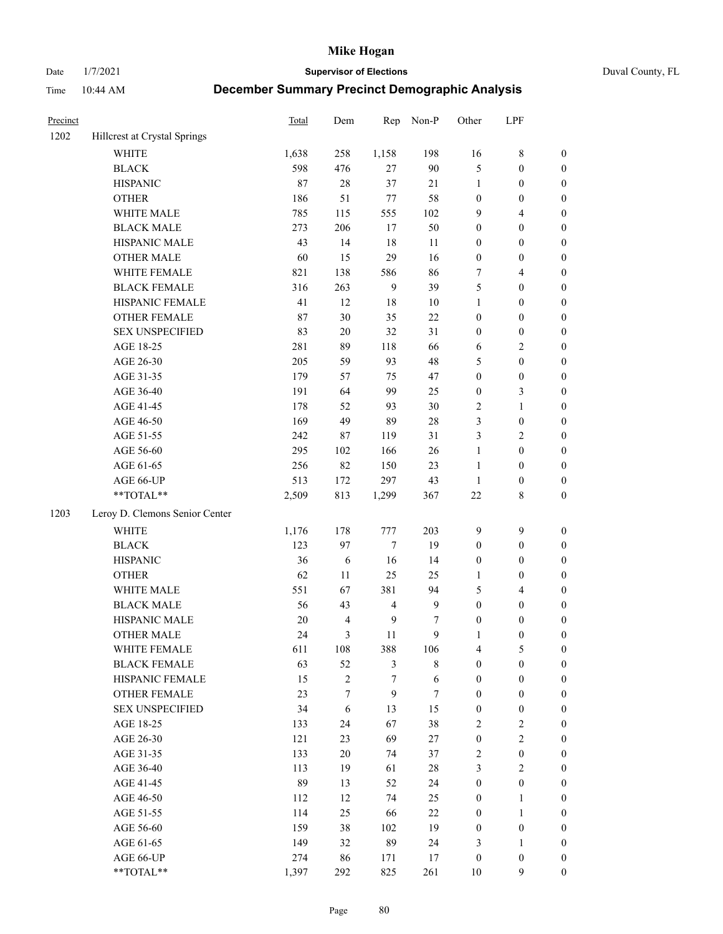Date 1/7/2021 **Supervisor of Elections** Duval County, FL

| Precinct |                                                            | Total  | Dem            | Rep            | Non-P            | Other            | LPF              |                  |
|----------|------------------------------------------------------------|--------|----------------|----------------|------------------|------------------|------------------|------------------|
| 1202     | Hillcrest at Crystal Springs                               |        |                |                |                  |                  |                  |                  |
|          | <b>WHITE</b>                                               | 1,638  | 258            | 1,158          | 198              | 16               | $\,$ 8 $\,$      | 0                |
|          | <b>BLACK</b>                                               | 598    | 476            | 27             | 90               | 5                | $\boldsymbol{0}$ | $\boldsymbol{0}$ |
|          | <b>HISPANIC</b>                                            | 87     | 28             | 37             | $21\,$           | $\mathbf{1}$     | $\boldsymbol{0}$ | $\boldsymbol{0}$ |
|          | <b>OTHER</b>                                               | 186    | 51             | $77 \,$        | 58               | $\boldsymbol{0}$ | $\boldsymbol{0}$ | $\boldsymbol{0}$ |
|          | WHITE MALE                                                 | 785    | 115            | 555            | 102              | 9                | $\overline{4}$   | $\boldsymbol{0}$ |
|          | <b>BLACK MALE</b>                                          | 273    | 206            | 17             | 50               | 0                | $\boldsymbol{0}$ | $\boldsymbol{0}$ |
|          | HISPANIC MALE                                              | 43     | 14             | 18             | 11               | 0                | $\boldsymbol{0}$ | $\boldsymbol{0}$ |
|          | <b>OTHER MALE</b>                                          | 60     | 15             | 29             | 16               | 0                | $\boldsymbol{0}$ | $\boldsymbol{0}$ |
|          | WHITE FEMALE                                               | 821    | 138            | 586            | 86               | 7                | $\overline{4}$   | $\boldsymbol{0}$ |
|          | <b>BLACK FEMALE</b>                                        | 316    | 263            | 9              | 39               | 5                | $\boldsymbol{0}$ | $\boldsymbol{0}$ |
|          | HISPANIC FEMALE                                            | 41     | 12             | 18             | 10               | $\mathbf{1}$     | $\boldsymbol{0}$ | 0                |
|          | OTHER FEMALE                                               | 87     | 30             | 35             | $22\,$           | 0                | $\boldsymbol{0}$ | $\boldsymbol{0}$ |
|          | <b>SEX UNSPECIFIED</b>                                     | 83     | 20             | 32             | 31               | $\boldsymbol{0}$ | $\boldsymbol{0}$ | $\boldsymbol{0}$ |
|          | AGE 18-25                                                  | 281    | 89             | 118            | 66               | 6                | $\sqrt{2}$       | $\boldsymbol{0}$ |
|          | AGE 26-30                                                  | 205    | 59             | 93             | 48               | 5                | $\boldsymbol{0}$ | $\boldsymbol{0}$ |
|          | AGE 31-35                                                  | 179    | 57             | 75             | 47               | $\boldsymbol{0}$ | $\boldsymbol{0}$ | $\boldsymbol{0}$ |
|          | AGE 36-40                                                  | 191    | 64             | 99             | 25               | $\boldsymbol{0}$ | 3                | $\boldsymbol{0}$ |
|          | AGE 41-45                                                  | 178    | 52             | 93             | $30\,$           | 2                | $\mathbf{1}$     | $\boldsymbol{0}$ |
|          | AGE 46-50                                                  | 169    | 49             | 89             | $28\,$           | 3                | $\boldsymbol{0}$ | $\boldsymbol{0}$ |
|          | AGE 51-55                                                  | 242    | 87             | 119            | 31               | 3                | $\sqrt{2}$       | $\boldsymbol{0}$ |
|          | AGE 56-60                                                  | 295    | 102            | 166            | 26               | $\mathbf{1}$     | $\boldsymbol{0}$ | 0                |
|          | AGE 61-65                                                  | 256    | 82             | 150            | 23               | $\mathbf{1}$     | $\boldsymbol{0}$ | 0                |
|          | AGE 66-UP                                                  | 513    | 172            | 297            | 43               | $\mathbf{1}$     | $\boldsymbol{0}$ | $\boldsymbol{0}$ |
|          | $**TOTAL**$                                                | 2,509  | 813            | 1,299          | 367              | 22               | $\,$ 8 $\,$      | $\boldsymbol{0}$ |
|          |                                                            |        |                |                |                  |                  |                  |                  |
| 1203     | Leroy D. Clemons Senior Center                             |        |                |                |                  |                  |                  |                  |
|          | <b>WHITE</b>                                               | 1,176  | 178            | 777            | 203              | 9                | $\boldsymbol{9}$ | $\boldsymbol{0}$ |
|          | <b>BLACK</b>                                               | 123    | 97             | 7              | 19               | $\boldsymbol{0}$ | $\boldsymbol{0}$ | $\boldsymbol{0}$ |
|          | <b>HISPANIC</b>                                            | 36     | 6              | 16             | 14               | $\boldsymbol{0}$ | $\boldsymbol{0}$ | $\boldsymbol{0}$ |
|          | <b>OTHER</b>                                               | 62     | 11             | 25             | 25               | 1                | $\boldsymbol{0}$ | $\boldsymbol{0}$ |
|          | WHITE MALE                                                 | 551    | 67             | 381            | 94               | 5                | $\overline{4}$   | $\boldsymbol{0}$ |
|          | <b>BLACK MALE</b>                                          | 56     | 43             | $\overline{4}$ | $\boldsymbol{9}$ | $\boldsymbol{0}$ | $\boldsymbol{0}$ | $\boldsymbol{0}$ |
|          | HISPANIC MALE                                              | $20\,$ | $\overline{4}$ | $\mathbf{9}$   | 7                | $\boldsymbol{0}$ | $\boldsymbol{0}$ | $\boldsymbol{0}$ |
|          | <b>OTHER MALE</b>                                          | 24     | 3              | 11             | 9                | 1                | $\boldsymbol{0}$ | $\boldsymbol{0}$ |
|          | WHITE FEMALE                                               | 611    | 108            | 388            | 106              | 4                | 5                | 0                |
|          | <b>BLACK FEMALE</b>                                        | 63     | 52             | 3              | $\,$ 8 $\,$      | 0                | $\boldsymbol{0}$ | $\overline{0}$   |
|          | HISPANIC FEMALE                                            | 15     | $\sqrt{2}$     | $\sqrt{ }$     | 6                | $\boldsymbol{0}$ | $\boldsymbol{0}$ | $\overline{0}$   |
|          | <b>OTHER FEMALE</b>                                        | 23     | 7              | 9              | $\tau$           | $\boldsymbol{0}$ | $\boldsymbol{0}$ | $\overline{0}$   |
|          | <b>SEX UNSPECIFIED</b>                                     | 34     | 6              | 13             | 15               | $\boldsymbol{0}$ | $\boldsymbol{0}$ | 0                |
|          | AGE 18-25                                                  | 133    | 24             | 67             | 38               | 2                | $\sqrt{2}$       | $\theta$         |
|          | AGE 26-30                                                  | 121    | 23             | 69             | $27\,$           | $\boldsymbol{0}$ | $\mathfrak{2}$   | 0                |
|          | AGE 31-35                                                  | 133    | $20\,$         | 74             | 37               | 2                | $\boldsymbol{0}$ | 0                |
|          | AGE 36-40                                                  | 113    | 19             | 61             | 28               | 3                | $\sqrt{2}$       | 0                |
|          | AGE 41-45                                                  | 89     | 13             | 52             | 24               | $\boldsymbol{0}$ | $\boldsymbol{0}$ | 0                |
|          | AGE 46-50                                                  | 112    | 12             | 74             | 25               | 0                | $\mathbf{1}$     | 0                |
|          | AGE 51-55                                                  | 114    | 25             | 66             | 22               | $\boldsymbol{0}$ | $\mathbf{1}$     | 0                |
|          | AGE 56-60                                                  | 159    | 38             | 102            | 19               | $\boldsymbol{0}$ | $\boldsymbol{0}$ | $\overline{0}$   |
|          | AGE 61-65                                                  | 149    | 32             | 89             | 24               | 3                | 1                | $\overline{0}$   |
|          | AGE 66-UP                                                  | 274    | 86             | 171            | 17               | $\boldsymbol{0}$ | $\boldsymbol{0}$ | 0                |
|          | $\mathrm{*}\mathrm{*} \mathrm{TOTAL} \mathrm{*}\mathrm{*}$ | 1,397  | 292            | 825            | 261              | 10               | 9                | $\boldsymbol{0}$ |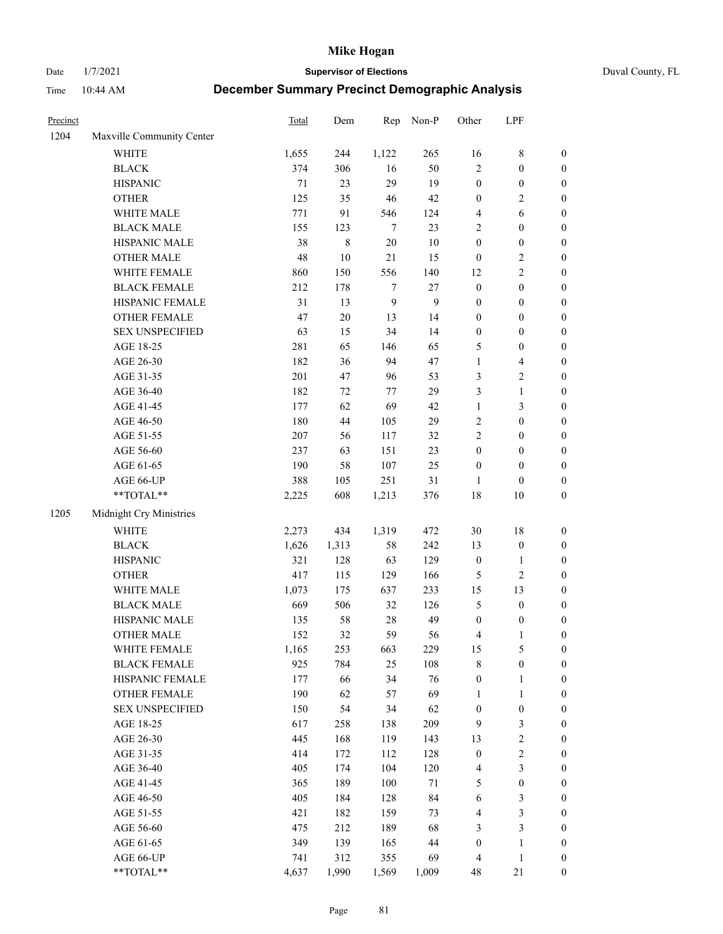Date 1/7/2021 **Supervisor of Elections** Duval County, FL

| Precinct |                                                           | Total   | Dem         | Rep              | Non-P        | Other            | LPF              |                  |
|----------|-----------------------------------------------------------|---------|-------------|------------------|--------------|------------------|------------------|------------------|
| 1204     | Maxville Community Center                                 |         |             |                  |              |                  |                  |                  |
|          | <b>WHITE</b>                                              | 1,655   | 244         | 1,122            | 265          | 16               | $\,$ 8 $\,$      | 0                |
|          | <b>BLACK</b>                                              | 374     | 306         | 16               | 50           | $\overline{2}$   | $\boldsymbol{0}$ | $\boldsymbol{0}$ |
|          | <b>HISPANIC</b>                                           | 71      | 23          | 29               | 19           | $\boldsymbol{0}$ | $\boldsymbol{0}$ | $\boldsymbol{0}$ |
|          | <b>OTHER</b>                                              | 125     | 35          | 46               | 42           | $\boldsymbol{0}$ | $\sqrt{2}$       | $\boldsymbol{0}$ |
|          | WHITE MALE                                                | 771     | 91          | 546              | 124          | 4                | 6                | $\boldsymbol{0}$ |
|          | <b>BLACK MALE</b>                                         | 155     | 123         | $\tau$           | 23           | 2                | $\boldsymbol{0}$ | $\boldsymbol{0}$ |
|          | HISPANIC MALE                                             | 38      | $\,$ 8 $\,$ | $20\,$           | $10\,$       | $\boldsymbol{0}$ | $\boldsymbol{0}$ | $\boldsymbol{0}$ |
|          | <b>OTHER MALE</b>                                         | 48      | $10\,$      | 21               | 15           | $\boldsymbol{0}$ | $\sqrt{2}$       | $\boldsymbol{0}$ |
|          | WHITE FEMALE                                              | 860     | 150         | 556              | 140          | 12               | $\sqrt{2}$       | $\boldsymbol{0}$ |
|          | <b>BLACK FEMALE</b>                                       | 212     | 178         | 7                | $27\,$       | $\boldsymbol{0}$ | $\boldsymbol{0}$ | $\boldsymbol{0}$ |
|          | HISPANIC FEMALE                                           | 31      | 13          | $\boldsymbol{9}$ | $\mathbf{9}$ | $\boldsymbol{0}$ | $\boldsymbol{0}$ | $\boldsymbol{0}$ |
|          | <b>OTHER FEMALE</b>                                       | 47      | $20\,$      | 13               | 14           | $\boldsymbol{0}$ | $\boldsymbol{0}$ | $\boldsymbol{0}$ |
|          | <b>SEX UNSPECIFIED</b>                                    | 63      | 15          | 34               | 14           | $\boldsymbol{0}$ | $\boldsymbol{0}$ | $\boldsymbol{0}$ |
|          | AGE 18-25                                                 | 281     | 65          | 146              | 65           | 5                | $\boldsymbol{0}$ | $\boldsymbol{0}$ |
|          | AGE 26-30                                                 | 182     | 36          | 94               | 47           | $\mathbf{1}$     | $\overline{4}$   | $\boldsymbol{0}$ |
|          | AGE 31-35                                                 | 201     | 47          | 96               | 53           | 3                | $\sqrt{2}$       | $\boldsymbol{0}$ |
|          | AGE 36-40                                                 | 182     | $72\,$      | 77               | 29           | 3                | $\mathbf{1}$     | $\boldsymbol{0}$ |
|          | AGE 41-45                                                 | 177     | 62          | 69               | 42           | $\mathbf{1}$     | 3                | $\boldsymbol{0}$ |
|          | AGE 46-50                                                 | 180     | $44\,$      | 105              | 29           | $\overline{c}$   | $\boldsymbol{0}$ | $\boldsymbol{0}$ |
|          | AGE 51-55                                                 | $207\,$ | 56          | 117              | 32           | $\overline{2}$   | $\boldsymbol{0}$ | $\boldsymbol{0}$ |
|          | AGE 56-60                                                 | 237     | 63          | 151              | 23           | $\boldsymbol{0}$ | $\boldsymbol{0}$ | 0                |
|          | AGE 61-65                                                 | 190     | 58          | 107              | 25           | $\boldsymbol{0}$ | $\boldsymbol{0}$ | $\boldsymbol{0}$ |
|          | AGE 66-UP                                                 | 388     | 105         | 251              | 31           | 1                | $\boldsymbol{0}$ | $\boldsymbol{0}$ |
|          | $\mathrm{*}\mathrm{*}\mathrm{TOTAL} \mathrm{*}\mathrm{*}$ | 2,225   | 608         | 1,213            | 376          | 18               | 10               | $\boldsymbol{0}$ |
| 1205     | Midnight Cry Ministries                                   |         |             |                  |              |                  |                  |                  |
|          | <b>WHITE</b>                                              | 2,273   | 434         | 1,319            | 472          | 30               | 18               | $\boldsymbol{0}$ |
|          | <b>BLACK</b>                                              | 1,626   | 1,313       | 58               | 242          | 13               | $\boldsymbol{0}$ | $\boldsymbol{0}$ |
|          | <b>HISPANIC</b>                                           | 321     | 128         | 63               | 129          | $\boldsymbol{0}$ | $\mathbf{1}$     | $\boldsymbol{0}$ |
|          | <b>OTHER</b>                                              | 417     | 115         | 129              | 166          | 5                | $\sqrt{2}$       | $\boldsymbol{0}$ |
|          | WHITE MALE                                                | 1,073   | 175         | 637              | 233          | 15               | 13               | $\boldsymbol{0}$ |
|          | <b>BLACK MALE</b>                                         | 669     | 506         | 32               | 126          | 5                | $\boldsymbol{0}$ | $\boldsymbol{0}$ |
|          | HISPANIC MALE                                             | 135     | 58          | $28\,$           | 49           | $\boldsymbol{0}$ | $\boldsymbol{0}$ | 0                |
|          | <b>OTHER MALE</b>                                         | 152     | 32          | 59               | 56           | 4                | $\mathbf{1}$     | $\boldsymbol{0}$ |
|          | WHITE FEMALE                                              | 1,165   | 253         | 663              | 229          | 15               | 5                | 0                |
|          | <b>BLACK FEMALE</b>                                       | 925     | 784         | 25               | 108          | 8                | $\boldsymbol{0}$ | $\boldsymbol{0}$ |
|          | HISPANIC FEMALE                                           | 177     | 66          | 34               | 76           | $\boldsymbol{0}$ | $\mathbf{1}$     | $\boldsymbol{0}$ |
|          | <b>OTHER FEMALE</b>                                       | 190     | 62          | 57               | 69           | 1                | $\mathbf{1}$     | $\overline{0}$   |
|          | <b>SEX UNSPECIFIED</b>                                    | 150     | 54          | 34               | 62           | $\boldsymbol{0}$ | $\boldsymbol{0}$ | 0                |
|          | AGE 18-25                                                 | 617     | 258         | 138              | 209          | 9                | $\mathfrak{Z}$   | 0                |
|          | AGE 26-30                                                 | 445     | 168         | 119              | 143          | 13               | $\sqrt{2}$       | 0                |
|          | AGE 31-35                                                 | 414     | 172         | 112              | 128          | $\boldsymbol{0}$ | $\sqrt{2}$       | 0                |
|          | AGE 36-40                                                 | 405     | 174         | 104              | 120          | 4                | $\mathfrak{Z}$   | 0                |
|          | AGE 41-45                                                 | 365     | 189         | 100              | $71\,$       | 5                | $\boldsymbol{0}$ | 0                |
|          | AGE 46-50                                                 | 405     | 184         | 128              | 84           | 6                | $\mathfrak{Z}$   | 0                |
|          | AGE 51-55                                                 | 421     | 182         | 159              | 73           | 4                | 3                | $\boldsymbol{0}$ |
|          | AGE 56-60                                                 | 475     | 212         | 189              | 68           | 3                | $\mathfrak{Z}$   | $\boldsymbol{0}$ |
|          | AGE 61-65                                                 | 349     | 139         | 165              | $44\,$       | $\boldsymbol{0}$ | $\mathbf{1}$     | $\boldsymbol{0}$ |
|          | AGE 66-UP                                                 | 741     | 312         | 355              | 69           | 4                | $\mathbf{1}$     | $\boldsymbol{0}$ |
|          | **TOTAL**                                                 | 4,637   | 1,990       | 1,569            | 1,009        | 48               | 21               | $\boldsymbol{0}$ |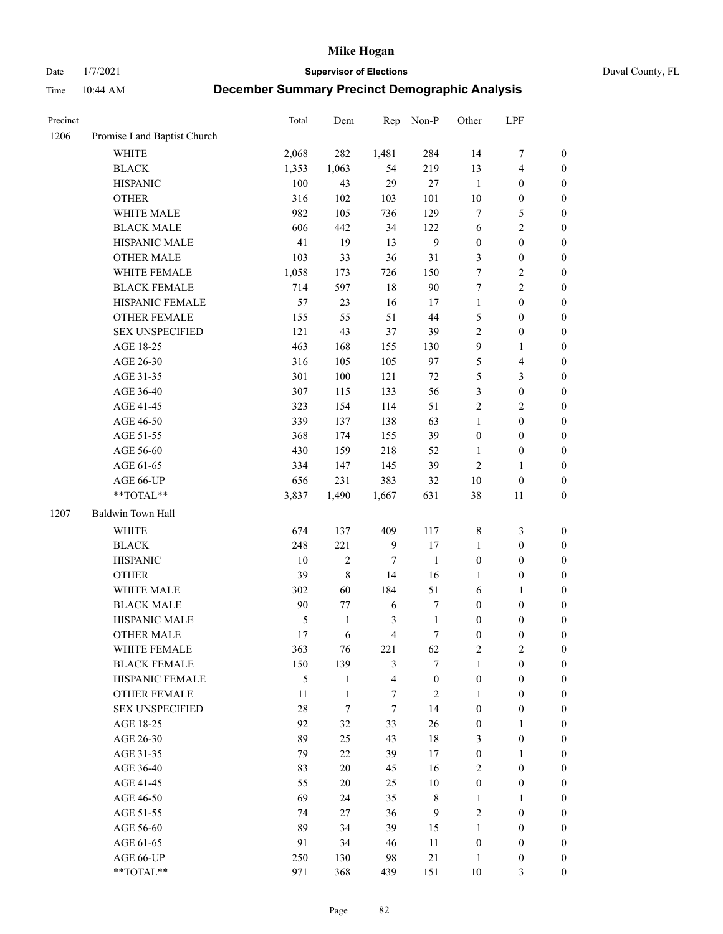Date 1/7/2021 **Supervisor of Elections** Duval County, FL

| Precinct |                             | <b>Total</b>  | Dem          | Rep                     | Non-P            | Other            | LPF                     |                  |
|----------|-----------------------------|---------------|--------------|-------------------------|------------------|------------------|-------------------------|------------------|
| 1206     | Promise Land Baptist Church |               |              |                         |                  |                  |                         |                  |
|          | <b>WHITE</b>                | 2,068         | 282          | 1,481                   | 284              | 14               | $\boldsymbol{7}$        | 0                |
|          | <b>BLACK</b>                | 1,353         | 1,063        | 54                      | 219              | 13               | $\overline{\mathbf{4}}$ | $\boldsymbol{0}$ |
|          | <b>HISPANIC</b>             | 100           | 43           | 29                      | 27               | $\mathbf{1}$     | $\boldsymbol{0}$        | $\boldsymbol{0}$ |
|          | <b>OTHER</b>                | 316           | 102          | 103                     | 101              | 10               | $\boldsymbol{0}$        | $\boldsymbol{0}$ |
|          | WHITE MALE                  | 982           | 105          | 736                     | 129              | 7                | 5                       | $\boldsymbol{0}$ |
|          | <b>BLACK MALE</b>           | 606           | 442          | 34                      | 122              | 6                | $\sqrt{2}$              | $\boldsymbol{0}$ |
|          | HISPANIC MALE               | 41            | 19           | 13                      | $\boldsymbol{9}$ | $\boldsymbol{0}$ | $\boldsymbol{0}$        | $\boldsymbol{0}$ |
|          | <b>OTHER MALE</b>           | 103           | 33           | 36                      | 31               | 3                | $\boldsymbol{0}$        | $\boldsymbol{0}$ |
|          | WHITE FEMALE                | 1,058         | 173          | 726                     | 150              | 7                | $\sqrt{2}$              | $\boldsymbol{0}$ |
|          | <b>BLACK FEMALE</b>         | 714           | 597          | 18                      | 90               | 7                | $\sqrt{2}$              | $\boldsymbol{0}$ |
|          | HISPANIC FEMALE             | 57            | 23           | 16                      | 17               | $\mathbf{1}$     | $\boldsymbol{0}$        | $\boldsymbol{0}$ |
|          | <b>OTHER FEMALE</b>         | 155           | 55           | 51                      | 44               | 5                | $\boldsymbol{0}$        | $\boldsymbol{0}$ |
|          | <b>SEX UNSPECIFIED</b>      | 121           | 43           | 37                      | 39               | $\overline{c}$   | $\boldsymbol{0}$        | $\boldsymbol{0}$ |
|          | AGE 18-25                   | 463           | 168          | 155                     | 130              | 9                | $\mathbf{1}$            | $\boldsymbol{0}$ |
|          | AGE 26-30                   | 316           | 105          | 105                     | 97               | 5                | $\overline{\mathbf{4}}$ | $\boldsymbol{0}$ |
|          | AGE 31-35                   | 301           | 100          | 121                     | $72\,$           | 5                | $\mathfrak{Z}$          | $\boldsymbol{0}$ |
|          | AGE 36-40                   | 307           | 115          | 133                     | 56               | 3                | $\boldsymbol{0}$        | $\boldsymbol{0}$ |
|          | AGE 41-45                   | 323           | 154          | 114                     | 51               | $\overline{c}$   | $\overline{2}$          | $\boldsymbol{0}$ |
|          | AGE 46-50                   | 339           | 137          | 138                     | 63               | $\mathbf{1}$     | $\boldsymbol{0}$        | $\boldsymbol{0}$ |
|          | AGE 51-55                   | 368           | 174          | 155                     | 39               | $\boldsymbol{0}$ | $\boldsymbol{0}$        | $\boldsymbol{0}$ |
|          | AGE 56-60                   | 430           | 159          | 218                     | 52               | 1                | $\boldsymbol{0}$        | 0                |
|          | AGE 61-65                   | 334           | 147          | 145                     | 39               | $\mathbf{2}$     | $\mathbf{1}$            | $\boldsymbol{0}$ |
|          | AGE 66-UP                   | 656           | 231          | 383                     | 32               | $10\,$           | $\boldsymbol{0}$        | $\boldsymbol{0}$ |
|          | **TOTAL**                   | 3,837         | 1,490        | 1,667                   | 631              | 38               | 11                      | $\boldsymbol{0}$ |
| 1207     | Baldwin Town Hall           |               |              |                         |                  |                  |                         |                  |
|          | <b>WHITE</b>                | 674           | 137          | 409                     | 117              | $\,$ 8 $\,$      | $\mathfrak{Z}$          | $\boldsymbol{0}$ |
|          | <b>BLACK</b>                | 248           | 221          | $\overline{9}$          | 17               | $\mathbf{1}$     | $\boldsymbol{0}$        | $\boldsymbol{0}$ |
|          | <b>HISPANIC</b>             | 10            | $\mathbf{2}$ | 7                       | $\mathbf{1}$     | $\boldsymbol{0}$ | $\boldsymbol{0}$        | $\boldsymbol{0}$ |
|          | <b>OTHER</b>                | 39            | $\,$ $\,$    | 14                      | 16               | 1                | $\boldsymbol{0}$        | $\boldsymbol{0}$ |
|          | WHITE MALE                  | 302           | 60           | 184                     | 51               | 6                | $\mathbf{1}$            | $\boldsymbol{0}$ |
|          | <b>BLACK MALE</b>           | 90            | 77           | 6                       | $\boldsymbol{7}$ | $\boldsymbol{0}$ | $\boldsymbol{0}$        | $\boldsymbol{0}$ |
|          | HISPANIC MALE               | $\mathfrak s$ | $\mathbf{1}$ | 3                       | $\mathbf{1}$     | $\boldsymbol{0}$ | $\boldsymbol{0}$        | $\boldsymbol{0}$ |
|          | OTHER MALE                  | 17            | 6            | $\overline{\mathbf{4}}$ | $\tau$           | $\boldsymbol{0}$ | $\boldsymbol{0}$        | $\boldsymbol{0}$ |
|          | WHITE FEMALE                | 363           | 76           | 221                     | 62               | 2                | 2                       | 0                |
|          | <b>BLACK FEMALE</b>         | 150           | 139          | 3                       | $\tau$           | $\mathbf{1}$     | $\boldsymbol{0}$        | $\overline{0}$   |
|          | HISPANIC FEMALE             | 5             | $\mathbf{1}$ | $\overline{\mathbf{4}}$ | $\boldsymbol{0}$ | $\boldsymbol{0}$ | $\boldsymbol{0}$        | $\overline{0}$   |
|          | OTHER FEMALE                | 11            | 1            | 7                       | $\sqrt{2}$       | 1                | $\boldsymbol{0}$        | $\overline{0}$   |
|          | <b>SEX UNSPECIFIED</b>      | 28            | $\tau$       | $\tau$                  | 14               | $\boldsymbol{0}$ | $\boldsymbol{0}$        | 0                |
|          | AGE 18-25                   | 92            | 32           | 33                      | 26               | $\boldsymbol{0}$ | 1                       | $\theta$         |
|          | AGE 26-30                   | 89            | 25           | 43                      | 18               | 3                | $\boldsymbol{0}$        | 0                |
|          | AGE 31-35                   | 79            | 22           | 39                      | 17               | $\boldsymbol{0}$ | 1                       | 0                |
|          | AGE 36-40                   | 83            | $20\,$       | 45                      | 16               | 2                | $\boldsymbol{0}$        | 0                |
|          | AGE 41-45                   | 55            | 20           | 25                      | $10\,$           | $\boldsymbol{0}$ | $\boldsymbol{0}$        | 0                |
|          | AGE 46-50                   | 69            | 24           | 35                      | 8                | $\mathbf{1}$     | $\mathbf{1}$            | 0                |
|          | AGE 51-55                   | 74            | 27           | 36                      | 9                | $\mathfrak{2}$   | $\boldsymbol{0}$        | $\overline{0}$   |
|          | AGE 56-60                   | 89            | 34           | 39                      | 15               | 1                | $\boldsymbol{0}$        | $\overline{0}$   |
|          | AGE 61-65                   | 91            | 34           | 46                      | 11               | $\boldsymbol{0}$ | $\boldsymbol{0}$        | $\overline{0}$   |
|          | AGE 66-UP                   | 250           | 130          | 98                      | $21\,$           | $\mathbf{1}$     | $\boldsymbol{0}$        | 0                |
|          | **TOTAL**                   | 971           | 368          | 439                     | 151              | $10\,$           | 3                       | $\overline{0}$   |
|          |                             |               |              |                         |                  |                  |                         |                  |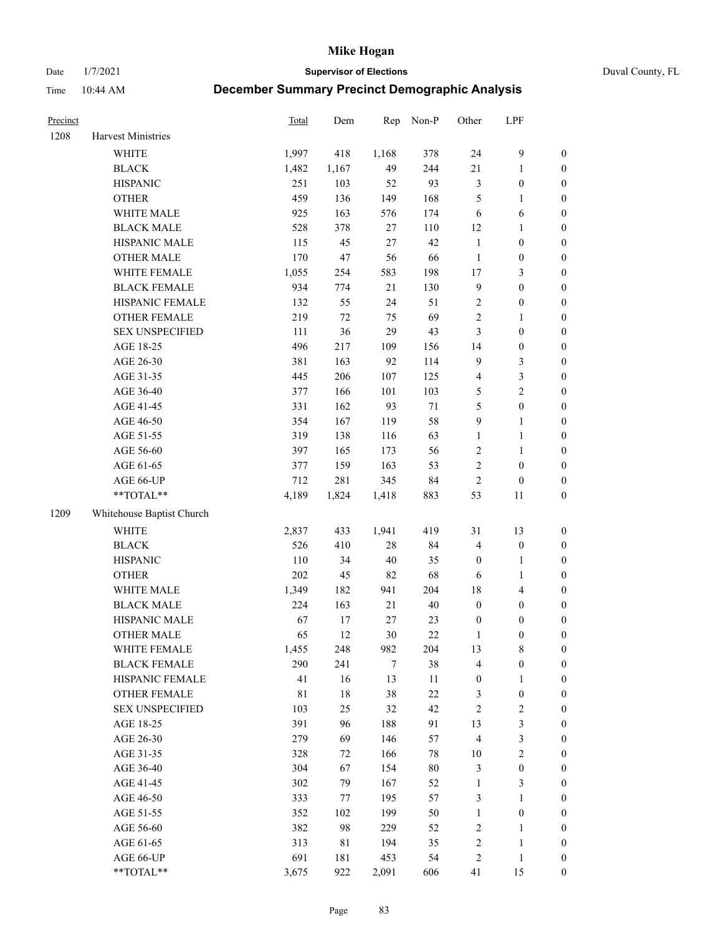Date 1/7/2021 **Supervisor of Elections** Duval County, FL

| Precinct |                           | <b>Total</b> | Dem    | Rep    | Non-P  | Other            | LPF              |                  |
|----------|---------------------------|--------------|--------|--------|--------|------------------|------------------|------------------|
| 1208     | Harvest Ministries        |              |        |        |        |                  |                  |                  |
|          | <b>WHITE</b>              | 1,997        | 418    | 1,168  | 378    | 24               | $\boldsymbol{9}$ | 0                |
|          | <b>BLACK</b>              | 1,482        | 1,167  | 49     | 244    | 21               | $\mathbf{1}$     | $\boldsymbol{0}$ |
|          | <b>HISPANIC</b>           | 251          | 103    | 52     | 93     | 3                | $\boldsymbol{0}$ | $\boldsymbol{0}$ |
|          | <b>OTHER</b>              | 459          | 136    | 149    | 168    | 5                | 1                | $\boldsymbol{0}$ |
|          | WHITE MALE                | 925          | 163    | 576    | 174    | 6                | 6                | $\boldsymbol{0}$ |
|          | <b>BLACK MALE</b>         | 528          | 378    | 27     | 110    | 12               | 1                | $\boldsymbol{0}$ |
|          | HISPANIC MALE             | 115          | 45     | $27\,$ | 42     | $\mathbf{1}$     | $\boldsymbol{0}$ | $\boldsymbol{0}$ |
|          | <b>OTHER MALE</b>         | 170          | 47     | 56     | 66     | $\mathbf{1}$     | $\boldsymbol{0}$ | $\boldsymbol{0}$ |
|          | WHITE FEMALE              | 1,055        | 254    | 583    | 198    | $17\,$           | $\mathfrak{Z}$   | $\boldsymbol{0}$ |
|          | <b>BLACK FEMALE</b>       | 934          | 774    | 21     | 130    | $\mathbf{9}$     | $\boldsymbol{0}$ | $\boldsymbol{0}$ |
|          | HISPANIC FEMALE           | 132          | 55     | 24     | 51     | $\overline{c}$   | $\boldsymbol{0}$ | $\boldsymbol{0}$ |
|          | OTHER FEMALE              | 219          | 72     | 75     | 69     | $\overline{c}$   | $\mathbf{1}$     | $\boldsymbol{0}$ |
|          | <b>SEX UNSPECIFIED</b>    | 111          | 36     | 29     | 43     | 3                | $\boldsymbol{0}$ | $\boldsymbol{0}$ |
|          | AGE 18-25                 | 496          | 217    | 109    | 156    | 14               | $\boldsymbol{0}$ | $\boldsymbol{0}$ |
|          | AGE 26-30                 | 381          | 163    | 92     | 114    | 9                | $\mathfrak{Z}$   | $\boldsymbol{0}$ |
|          | AGE 31-35                 | 445          | 206    | 107    | 125    | 4                | $\sqrt{3}$       | $\boldsymbol{0}$ |
|          | AGE 36-40                 | 377          | 166    | 101    | 103    | 5                | $\overline{2}$   | $\boldsymbol{0}$ |
|          | AGE 41-45                 | 331          | 162    | 93     | $71\,$ | 5                | $\boldsymbol{0}$ | $\boldsymbol{0}$ |
|          | AGE 46-50                 | 354          | 167    | 119    | 58     | $\boldsymbol{9}$ | $\mathbf{1}$     | $\boldsymbol{0}$ |
|          | AGE 51-55                 | 319          | 138    | 116    | 63     | $\mathbf{1}$     | $\mathbf{1}$     | $\boldsymbol{0}$ |
|          | AGE 56-60                 | 397          | 165    | 173    | 56     | $\overline{c}$   | 1                | 0                |
|          | AGE 61-65                 | 377          | 159    | 163    | 53     | $\overline{c}$   | $\boldsymbol{0}$ | $\boldsymbol{0}$ |
|          | AGE 66-UP                 | 712          | 281    | 345    | 84     | $\sqrt{2}$       | $\boldsymbol{0}$ | $\boldsymbol{0}$ |
|          | $**TOTAL**$               | 4,189        | 1,824  | 1,418  | 883    | 53               | 11               | $\boldsymbol{0}$ |
| 1209     | Whitehouse Baptist Church |              |        |        |        |                  |                  |                  |
|          | <b>WHITE</b>              | 2,837        | 433    | 1,941  | 419    | 31               | 13               | $\boldsymbol{0}$ |
|          | <b>BLACK</b>              | 526          | 410    | $28\,$ | 84     | 4                | $\boldsymbol{0}$ | $\boldsymbol{0}$ |
|          | <b>HISPANIC</b>           | 110          | 34     | $40\,$ | 35     | $\boldsymbol{0}$ | $\mathbf{1}$     | $\boldsymbol{0}$ |
|          | <b>OTHER</b>              | 202          | 45     | 82     | 68     | 6                | $\mathbf{1}$     | $\boldsymbol{0}$ |
|          | WHITE MALE                | 1,349        | 182    | 941    | 204    | 18               | $\overline{4}$   | $\boldsymbol{0}$ |
|          | <b>BLACK MALE</b>         | 224          | 163    | 21     | $40\,$ | $\boldsymbol{0}$ | $\boldsymbol{0}$ | $\boldsymbol{0}$ |
|          | HISPANIC MALE             | 67           | 17     | $27\,$ | 23     | $\boldsymbol{0}$ | $\boldsymbol{0}$ | $\boldsymbol{0}$ |
|          | <b>OTHER MALE</b>         | 65           | 12     | 30     | $22\,$ | $\mathbf{1}$     | $\boldsymbol{0}$ | $\boldsymbol{0}$ |
|          | WHITE FEMALE              | 1,455        | 248    | 982    | 204    | 13               | 8                | 0                |
|          | <b>BLACK FEMALE</b>       | 290          | 241    | $\tau$ | 38     | 4                | $\boldsymbol{0}$ | $\overline{0}$   |
|          | HISPANIC FEMALE           | 41           | 16     | 13     | 11     | $\boldsymbol{0}$ | 1                | 0                |
|          | <b>OTHER FEMALE</b>       | 81           | $18\,$ | 38     | $22\,$ | 3                | $\boldsymbol{0}$ | 0                |
|          | <b>SEX UNSPECIFIED</b>    | 103          | 25     | 32     | 42     | 2                | $\sqrt{2}$       | 0                |
|          | AGE 18-25                 | 391          | 96     | 188    | 91     | 13               | 3                | 0                |
|          | AGE 26-30                 | 279          | 69     | 146    | 57     | 4                | 3                | 0                |
|          | AGE 31-35                 | 328          | 72     | 166    | 78     | $10\,$           | $\sqrt{2}$       | 0                |
|          | AGE 36-40                 | 304          | 67     | 154    | $80\,$ | 3                | $\boldsymbol{0}$ | 0                |
|          | AGE 41-45                 | 302          | 79     | 167    | 52     | $\mathbf{1}$     | 3                | 0                |
|          | AGE 46-50                 | 333          | 77     | 195    | 57     | 3                | $\mathbf{1}$     | 0                |
|          | AGE 51-55                 | 352          | 102    | 199    | 50     | $\mathbf{1}$     | $\boldsymbol{0}$ | 0                |
|          | AGE 56-60                 | 382          | 98     | 229    | 52     | 2                | $\mathbf{1}$     | 0                |
|          | AGE 61-65                 | 313          | 81     | 194    | 35     | 2                | $\mathbf{1}$     | 0                |
|          | AGE 66-UP                 | 691          | 181    | 453    | 54     | 2                | $\mathbf{1}$     | 0                |
|          | **TOTAL**                 | 3,675        | 922    | 2,091  | 606    | 41               | 15               | $\boldsymbol{0}$ |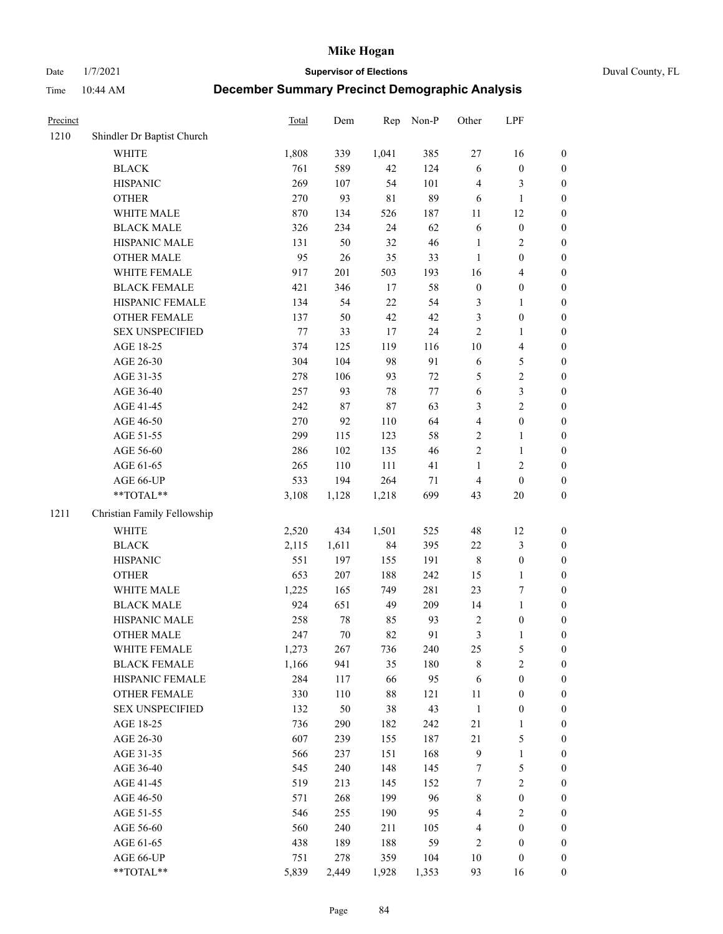Date 1/7/2021 **Supervisor of Elections** Duval County, FL

| Precinct |                             | Total   | Dem    | Rep         | Non-P  | Other                   | LPF                     |                  |
|----------|-----------------------------|---------|--------|-------------|--------|-------------------------|-------------------------|------------------|
| 1210     | Shindler Dr Baptist Church  |         |        |             |        |                         |                         |                  |
|          | <b>WHITE</b>                | 1,808   | 339    | 1,041       | 385    | $27\,$                  | 16                      | 0                |
|          | <b>BLACK</b>                | 761     | 589    | 42          | 124    | 6                       | $\boldsymbol{0}$        | 0                |
|          | <b>HISPANIC</b>             | 269     | 107    | 54          | 101    | 4                       | 3                       | $\boldsymbol{0}$ |
|          | <b>OTHER</b>                | 270     | 93     | $8\sqrt{1}$ | 89     | 6                       | $\mathbf{1}$            | $\boldsymbol{0}$ |
|          | WHITE MALE                  | 870     | 134    | 526         | 187    | 11                      | 12                      | $\boldsymbol{0}$ |
|          | <b>BLACK MALE</b>           | 326     | 234    | 24          | 62     | 6                       | $\boldsymbol{0}$        | $\boldsymbol{0}$ |
|          | HISPANIC MALE               | 131     | 50     | 32          | 46     | $\mathbf{1}$            | $\sqrt{2}$              | $\boldsymbol{0}$ |
|          | <b>OTHER MALE</b>           | 95      | 26     | 35          | 33     | $\mathbf{1}$            | $\boldsymbol{0}$        | $\boldsymbol{0}$ |
|          | WHITE FEMALE                | 917     | 201    | 503         | 193    | 16                      | $\overline{\mathbf{4}}$ | $\boldsymbol{0}$ |
|          | <b>BLACK FEMALE</b>         | 421     | 346    | 17          | 58     | $\boldsymbol{0}$        | $\boldsymbol{0}$        | $\boldsymbol{0}$ |
|          | HISPANIC FEMALE             | 134     | 54     | 22          | 54     | 3                       | $\mathbf{1}$            | $\boldsymbol{0}$ |
|          | OTHER FEMALE                | 137     | 50     | 42          | 42     | 3                       | $\boldsymbol{0}$        | $\boldsymbol{0}$ |
|          | <b>SEX UNSPECIFIED</b>      | $77 \,$ | 33     | $17\,$      | 24     | $\mathbf{2}$            | $\mathbf{1}$            | $\boldsymbol{0}$ |
|          | AGE 18-25                   | 374     | 125    | 119         | 116    | $10\,$                  | $\overline{\mathbf{4}}$ | $\boldsymbol{0}$ |
|          | AGE 26-30                   | 304     | 104    | 98          | 91     | 6                       | $\mathfrak{S}$          | $\boldsymbol{0}$ |
|          | AGE 31-35                   | 278     | 106    | 93          | $72\,$ | 5                       | $\sqrt{2}$              | $\boldsymbol{0}$ |
|          | AGE 36-40                   | 257     | 93     | 78          | 77     | 6                       | $\mathfrak{Z}$          | $\boldsymbol{0}$ |
|          | AGE 41-45                   | 242     | 87     | 87          | 63     | 3                       | $\overline{2}$          | $\boldsymbol{0}$ |
|          | AGE 46-50                   | 270     | 92     | 110         | 64     | $\overline{\mathbf{4}}$ | $\boldsymbol{0}$        | $\boldsymbol{0}$ |
|          | AGE 51-55                   | 299     | 115    | 123         | 58     | $\overline{c}$          | $\mathbf{1}$            | $\boldsymbol{0}$ |
|          | AGE 56-60                   | 286     | 102    | 135         | 46     | $\sqrt{2}$              | $\mathbf{1}$            | 0                |
|          | AGE 61-65                   | 265     | 110    | 111         | 41     | $\mathbf{1}$            | $\sqrt{2}$              | $\boldsymbol{0}$ |
|          | AGE 66-UP                   | 533     | 194    | 264         | 71     | $\overline{4}$          | $\boldsymbol{0}$        | $\boldsymbol{0}$ |
|          | **TOTAL**                   | 3,108   | 1,128  | 1,218       | 699    | 43                      | $20\,$                  | $\boldsymbol{0}$ |
| 1211     | Christian Family Fellowship |         |        |             |        |                         |                         |                  |
|          | WHITE                       | 2,520   | 434    | 1,501       | 525    | 48                      | 12                      | $\boldsymbol{0}$ |
|          | <b>BLACK</b>                | 2,115   | 1,611  | 84          | 395    | $22\,$                  | $\mathfrak{Z}$          | $\boldsymbol{0}$ |
|          | <b>HISPANIC</b>             | 551     | 197    | 155         | 191    | $\,$ $\,$               | $\boldsymbol{0}$        | $\boldsymbol{0}$ |
|          | <b>OTHER</b>                | 653     | 207    | 188         | 242    | 15                      | $\mathbf{1}$            | $\boldsymbol{0}$ |
|          | WHITE MALE                  | 1,225   | 165    | 749         | 281    | 23                      | $\boldsymbol{7}$        | $\boldsymbol{0}$ |
|          | <b>BLACK MALE</b>           | 924     | 651    | 49          | 209    | 14                      | $\mathbf{1}$            | $\boldsymbol{0}$ |
|          | HISPANIC MALE               | 258     | $78\,$ | 85          | 93     | 2                       | $\boldsymbol{0}$        | 0                |
|          | OTHER MALE                  | 247     | 70     | 82          | 91     | 3                       | $\mathbf{1}$            | $\boldsymbol{0}$ |
|          | WHITE FEMALE                | 1,273   | 267    | 736         | 240    | 25                      | 5                       | 0                |
|          | <b>BLACK FEMALE</b>         | 1,166   | 941    | 35          | 180    | 8                       | $\sqrt{2}$              | $\boldsymbol{0}$ |
|          | HISPANIC FEMALE             | 284     | 117    | 66          | 95     | 6                       | $\boldsymbol{0}$        | $\overline{0}$   |
|          | <b>OTHER FEMALE</b>         | 330     | 110    | 88          | 121    | $11\,$                  | $\boldsymbol{0}$        | $\overline{0}$   |
|          | <b>SEX UNSPECIFIED</b>      | 132     | 50     | 38          | 43     | $\mathbf{1}$            | $\boldsymbol{0}$        | 0                |
|          | AGE 18-25                   | 736     | 290    | 182         | 242    | $21\,$                  | $\mathbf{1}$            | 0                |
|          | AGE 26-30                   | 607     | 239    | 155         | 187    | 21                      | $\mathfrak{S}$          | 0                |
|          | AGE 31-35                   | 566     | 237    | 151         | 168    | 9                       | $\mathbf{1}$            | 0                |
|          | AGE 36-40                   | 545     | 240    | 148         | 145    | 7                       | $\mathfrak{S}$          | 0                |
|          | AGE 41-45                   | 519     | 213    | 145         | 152    | 7                       | $\sqrt{2}$              | 0                |
|          | AGE 46-50                   | 571     | 268    | 199         | 96     | $\,$ 8 $\,$             | $\boldsymbol{0}$        | 0                |
|          | AGE 51-55                   | 546     | 255    | 190         | 95     | 4                       | $\sqrt{2}$              | 0                |
|          | AGE 56-60                   | 560     | 240    | 211         | 105    | 4                       | $\boldsymbol{0}$        | $\boldsymbol{0}$ |
|          | AGE 61-65                   | 438     | 189    | 188         | 59     | 2                       | $\boldsymbol{0}$        | $\boldsymbol{0}$ |
|          | AGE 66-UP                   | 751     | 278    | 359         | 104    | 10                      | $\boldsymbol{0}$        | 0                |
|          | **TOTAL**                   | 5,839   | 2,449  | 1,928       | 1,353  | 93                      | 16                      | $\boldsymbol{0}$ |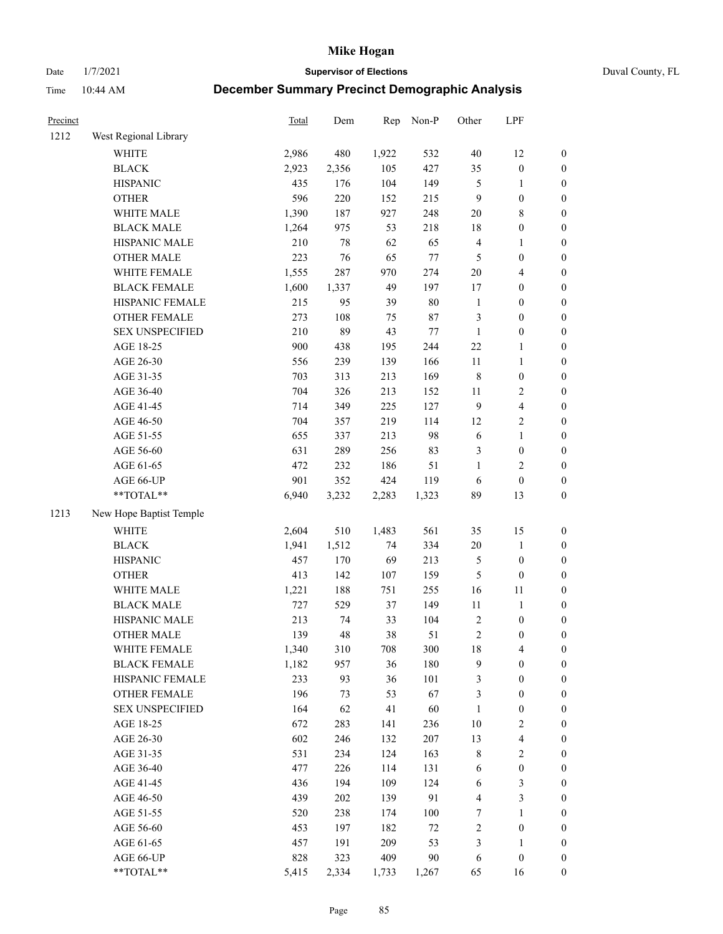Date 1/7/2021 **Supervisor of Elections** Duval County, FL

| Precinct |                         | <b>Total</b> | Dem    | Rep   | Non-P   | Other          | LPF                     |                  |
|----------|-------------------------|--------------|--------|-------|---------|----------------|-------------------------|------------------|
| 1212     | West Regional Library   |              |        |       |         |                |                         |                  |
|          | <b>WHITE</b>            | 2,986        | 480    | 1,922 | 532     | $40\,$         | 12                      | 0                |
|          | <b>BLACK</b>            | 2,923        | 2,356  | 105   | 427     | 35             | $\boldsymbol{0}$        | $\boldsymbol{0}$ |
|          | <b>HISPANIC</b>         | 435          | 176    | 104   | 149     | 5              | 1                       | $\boldsymbol{0}$ |
|          | <b>OTHER</b>            | 596          | 220    | 152   | 215     | 9              | $\boldsymbol{0}$        | $\boldsymbol{0}$ |
|          | WHITE MALE              | 1,390        | 187    | 927   | 248     | $20\,$         | $\,$ 8 $\,$             | $\boldsymbol{0}$ |
|          | <b>BLACK MALE</b>       | 1,264        | 975    | 53    | 218     | 18             | $\boldsymbol{0}$        | $\boldsymbol{0}$ |
|          | HISPANIC MALE           | 210          | $78\,$ | 62    | 65      | 4              | $\mathbf{1}$            | $\boldsymbol{0}$ |
|          | <b>OTHER MALE</b>       | 223          | 76     | 65    | 77      | $\mathfrak{S}$ | $\boldsymbol{0}$        | $\boldsymbol{0}$ |
|          | WHITE FEMALE            | 1,555        | 287    | 970   | 274     | $20\,$         | $\overline{\mathbf{4}}$ | $\boldsymbol{0}$ |
|          | <b>BLACK FEMALE</b>     | 1,600        | 1,337  | 49    | 197     | 17             | $\boldsymbol{0}$        | $\boldsymbol{0}$ |
|          | HISPANIC FEMALE         | 215          | 95     | 39    | $80\,$  | $\mathbf{1}$   | $\boldsymbol{0}$        | 0                |
|          | OTHER FEMALE            | 273          | 108    | 75    | $87\,$  | 3              | $\boldsymbol{0}$        | $\boldsymbol{0}$ |
|          | <b>SEX UNSPECIFIED</b>  | 210          | 89     | 43    | $77\,$  | $\mathbf{1}$   | $\boldsymbol{0}$        | $\boldsymbol{0}$ |
|          | AGE 18-25               | 900          | 438    | 195   | 244     | $22\,$         | 1                       | $\boldsymbol{0}$ |
|          | AGE 26-30               | 556          | 239    | 139   | 166     | $11\,$         | $\mathbf{1}$            | $\boldsymbol{0}$ |
|          | AGE 31-35               | 703          | 313    | 213   | 169     | $\,$ $\,$      | $\boldsymbol{0}$        | $\boldsymbol{0}$ |
|          | AGE 36-40               | 704          | 326    | 213   | 152     | $11\,$         | $\sqrt{2}$              | $\boldsymbol{0}$ |
|          | AGE 41-45               | 714          | 349    | 225   | 127     | $\overline{9}$ | $\overline{\mathbf{4}}$ | $\boldsymbol{0}$ |
|          | AGE 46-50               | 704          | 357    | 219   | 114     | 12             | $\sqrt{2}$              | $\boldsymbol{0}$ |
|          | AGE 51-55               | 655          | 337    | 213   | 98      | 6              | $\mathbf{1}$            | $\boldsymbol{0}$ |
|          | AGE 56-60               | 631          | 289    | 256   | 83      | 3              | $\boldsymbol{0}$        | 0                |
|          | AGE 61-65               | 472          | 232    | 186   | 51      | $\mathbf{1}$   | $\overline{2}$          | $\boldsymbol{0}$ |
|          | AGE 66-UP               | 901          | 352    | 424   | 119     | 6              | $\boldsymbol{0}$        | $\boldsymbol{0}$ |
|          | **TOTAL**               | 6,940        | 3,232  | 2,283 | 1,323   | 89             | 13                      | $\boldsymbol{0}$ |
| 1213     | New Hope Baptist Temple |              |        |       |         |                |                         |                  |
|          | <b>WHITE</b>            | 2,604        | 510    | 1,483 | 561     | 35             | 15                      | $\boldsymbol{0}$ |
|          | <b>BLACK</b>            | 1,941        | 1,512  | 74    | 334     | $20\,$         | $\mathbf{1}$            | $\boldsymbol{0}$ |
|          | <b>HISPANIC</b>         | 457          | 170    | 69    | 213     | 5              | $\boldsymbol{0}$        | $\boldsymbol{0}$ |
|          | <b>OTHER</b>            | 413          | 142    | 107   | 159     | 5              | $\boldsymbol{0}$        | $\boldsymbol{0}$ |
|          | WHITE MALE              | 1,221        | 188    | 751   | 255     | 16             | $11\,$                  | $\boldsymbol{0}$ |
|          | <b>BLACK MALE</b>       | 727          | 529    | 37    | 149     | $11\,$         | $\mathbf{1}$            | $\boldsymbol{0}$ |
|          | HISPANIC MALE           | 213          | 74     | 33    | 104     | $\sqrt{2}$     | $\boldsymbol{0}$        | $\boldsymbol{0}$ |
|          | <b>OTHER MALE</b>       | 139          | 48     | 38    | 51      | $\overline{c}$ | $\boldsymbol{0}$        | $\boldsymbol{0}$ |
|          | WHITE FEMALE            | 1,340        | 310    | 708   | 300     | 18             | 4                       | 0                |
|          | <b>BLACK FEMALE</b>     | 1,182        | 957    | 36    | 180     | 9              | $\boldsymbol{0}$        | $\boldsymbol{0}$ |
|          | HISPANIC FEMALE         | 233          | 93     | 36    | 101     | 3              | $\boldsymbol{0}$        | $\boldsymbol{0}$ |
|          | <b>OTHER FEMALE</b>     | 196          | 73     | 53    | 67      | 3              | $\boldsymbol{0}$        | $\overline{0}$   |
|          | <b>SEX UNSPECIFIED</b>  | 164          | 62     | 41    | 60      | $\mathbf{1}$   | $\boldsymbol{0}$        | 0                |
|          | AGE 18-25               | 672          | 283    | 141   | 236     | 10             | $\sqrt{2}$              | 0                |
|          | AGE 26-30               | 602          | 246    | 132   | 207     | 13             | $\overline{\mathbf{4}}$ | 0                |
|          | AGE 31-35               | 531          | 234    | 124   | 163     | 8              | $\sqrt{2}$              | 0                |
|          | AGE 36-40               | 477          | 226    | 114   | 131     | 6              | $\boldsymbol{0}$        | 0                |
|          | AGE 41-45               | 436          | 194    | 109   | 124     | 6              | $\mathfrak{Z}$          | 0                |
|          | AGE 46-50               | 439          | 202    | 139   | 91      | 4              | $\mathfrak{Z}$          | 0                |
|          | AGE 51-55               | 520          | 238    | 174   | $100\,$ | 7              | $\mathbf{1}$            | $\boldsymbol{0}$ |
|          | AGE 56-60               | 453          | 197    | 182   | $72\,$  | 2              | $\boldsymbol{0}$        | $\boldsymbol{0}$ |
|          | AGE 61-65               | 457          | 191    | 209   | 53      | 3              | 1                       | $\boldsymbol{0}$ |
|          | AGE 66-UP               | 828          | 323    | 409   | 90      | 6              | $\boldsymbol{0}$        | $\boldsymbol{0}$ |
|          | **TOTAL**               | 5,415        | 2,334  | 1,733 | 1,267   | 65             | 16                      | $\boldsymbol{0}$ |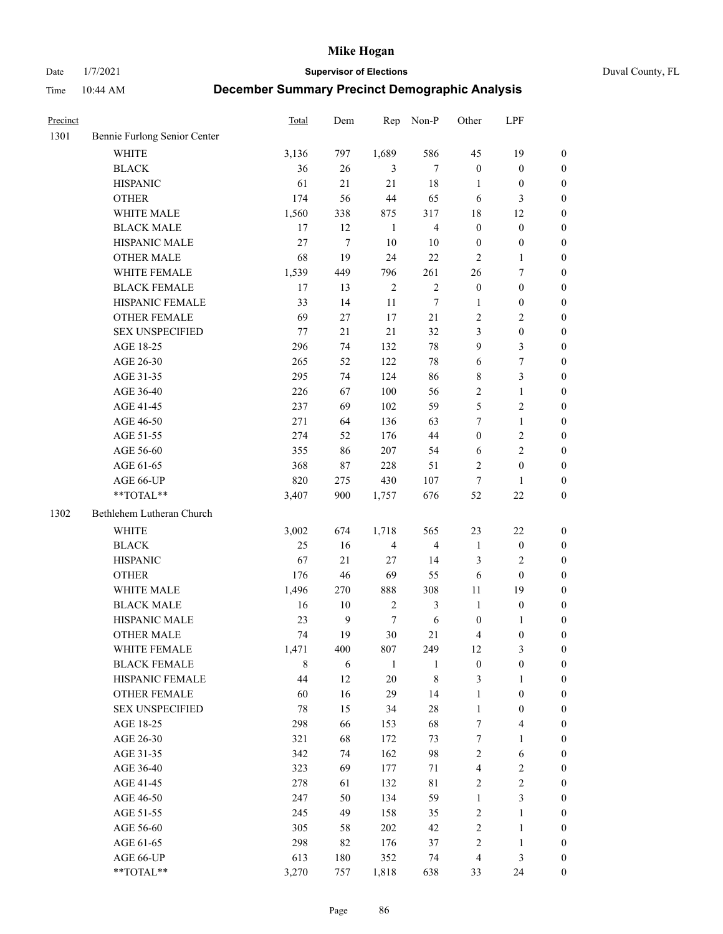Date 1/7/2021 **Supervisor of Elections** Duval County, FL

| Precinct |                              | Total | Dem          | Rep            | Non-P                   | Other                   | LPF                     |                  |
|----------|------------------------------|-------|--------------|----------------|-------------------------|-------------------------|-------------------------|------------------|
| 1301     | Bennie Furlong Senior Center |       |              |                |                         |                         |                         |                  |
|          | <b>WHITE</b>                 | 3,136 | 797          | 1,689          | 586                     | 45                      | 19                      | 0                |
|          | <b>BLACK</b>                 | 36    | $26\,$       | 3              | $\tau$                  | $\boldsymbol{0}$        | $\boldsymbol{0}$        | 0                |
|          | <b>HISPANIC</b>              | 61    | 21           | 21             | $18\,$                  | 1                       | $\boldsymbol{0}$        | $\boldsymbol{0}$ |
|          | <b>OTHER</b>                 | 174   | 56           | 44             | 65                      | 6                       | 3                       | $\boldsymbol{0}$ |
|          | WHITE MALE                   | 1,560 | 338          | 875            | 317                     | 18                      | 12                      | $\boldsymbol{0}$ |
|          | <b>BLACK MALE</b>            | 17    | 12           | 1              | $\overline{4}$          | $\boldsymbol{0}$        | $\boldsymbol{0}$        | $\boldsymbol{0}$ |
|          | HISPANIC MALE                | 27    | $\tau$       | 10             | 10                      | $\boldsymbol{0}$        | $\boldsymbol{0}$        | $\boldsymbol{0}$ |
|          | <b>OTHER MALE</b>            | 68    | 19           | 24             | 22                      | $\mathbf{2}$            | $\mathbf{1}$            | $\boldsymbol{0}$ |
|          | WHITE FEMALE                 | 1,539 | 449          | 796            | 261                     | 26                      | $\boldsymbol{7}$        | $\boldsymbol{0}$ |
|          | <b>BLACK FEMALE</b>          | 17    | 13           | $\sqrt{2}$     | $\sqrt{2}$              | $\boldsymbol{0}$        | $\boldsymbol{0}$        | 0                |
|          | HISPANIC FEMALE              | 33    | 14           | 11             | $\tau$                  | 1                       | $\boldsymbol{0}$        | 0                |
|          | OTHER FEMALE                 | 69    | 27           | 17             | 21                      | $\mathbf{2}$            | $\sqrt{2}$              | 0                |
|          | <b>SEX UNSPECIFIED</b>       | 77    | 21           | 21             | 32                      | 3                       | $\boldsymbol{0}$        | $\boldsymbol{0}$ |
|          | AGE 18-25                    | 296   | 74           | 132            | $78\,$                  | 9                       | $\mathfrak{Z}$          | $\boldsymbol{0}$ |
|          | AGE 26-30                    | 265   | 52           | 122            | 78                      | 6                       | $\boldsymbol{7}$        | $\boldsymbol{0}$ |
|          | AGE 31-35                    | 295   | 74           | 124            | 86                      | 8                       | $\mathfrak{Z}$          | $\boldsymbol{0}$ |
|          | AGE 36-40                    | 226   | 67           | 100            | 56                      | 2                       | $\mathbf{1}$            | $\boldsymbol{0}$ |
|          | AGE 41-45                    | 237   | 69           | 102            | 59                      | 5                       | $\mathbf{2}$            | $\boldsymbol{0}$ |
|          | AGE 46-50                    | 271   | 64           | 136            | 63                      | 7                       | $\mathbf{1}$            | $\boldsymbol{0}$ |
|          | AGE 51-55                    | 274   | 52           | 176            | 44                      | $\boldsymbol{0}$        | $\sqrt{2}$              | 0                |
|          | AGE 56-60                    | 355   | 86           | 207            | 54                      | 6                       | $\overline{2}$          | 0                |
|          | AGE 61-65                    | 368   | 87           | 228            | 51                      | $\mathbf{2}$            | $\boldsymbol{0}$        | 0                |
|          | AGE 66-UP                    | 820   | 275          | 430            | 107                     | $\tau$                  | $\mathbf{1}$            | $\boldsymbol{0}$ |
|          | **TOTAL**                    | 3,407 | 900          | 1,757          | 676                     | 52                      | $22\,$                  | $\boldsymbol{0}$ |
| 1302     | Bethlehem Lutheran Church    |       |              |                |                         |                         |                         |                  |
|          | <b>WHITE</b>                 | 3,002 | 674          | 1,718          | 565                     | 23                      | $22\,$                  | $\boldsymbol{0}$ |
|          | <b>BLACK</b>                 | 25    | 16           | $\overline{4}$ | $\overline{\mathbf{4}}$ | $\mathbf{1}$            | $\boldsymbol{0}$        | $\boldsymbol{0}$ |
|          | <b>HISPANIC</b>              | 67    | 21           | 27             | 14                      | 3                       | $\mathfrak{2}$          | $\boldsymbol{0}$ |
|          | <b>OTHER</b>                 | 176   | 46           | 69             | 55                      | 6                       | $\boldsymbol{0}$        | $\boldsymbol{0}$ |
|          | WHITE MALE                   | 1,496 | 270          | 888            | 308                     | 11                      | 19                      | $\boldsymbol{0}$ |
|          | <b>BLACK MALE</b>            | 16    | $10\,$       | $\sqrt{2}$     | $\mathfrak{Z}$          | $\mathbf{1}$            | $\boldsymbol{0}$        | $\boldsymbol{0}$ |
|          | HISPANIC MALE                | 23    | $\mathbf{9}$ | 7              | $\sqrt{6}$              | $\boldsymbol{0}$        | 1                       | 0                |
|          | <b>OTHER MALE</b>            | 74    | 19           | 30             | 21                      | 4                       | $\boldsymbol{0}$        | $\boldsymbol{0}$ |
|          | WHITE FEMALE                 | 1,471 | 400          | 807            | 249                     | 12                      | 3                       | 0                |
|          | <b>BLACK FEMALE</b>          | 8     | 6            | $\mathbf{1}$   | 1                       | $\boldsymbol{0}$        | $\boldsymbol{0}$        | $\boldsymbol{0}$ |
|          | HISPANIC FEMALE              | 44    | 12           | 20             | $\,$ 8 $\,$             | 3                       | $\mathbf{1}$            | $\overline{0}$   |
|          | OTHER FEMALE                 | 60    | 16           | 29             | 14                      | $\mathbf{1}$            | $\boldsymbol{0}$        | $\overline{0}$   |
|          | <b>SEX UNSPECIFIED</b>       | 78    | 15           | 34             | $28\,$                  | $\mathbf{1}$            | $\boldsymbol{0}$        | 0                |
|          | AGE 18-25                    | 298   | 66           | 153            | 68                      | 7                       | $\overline{\mathbf{4}}$ | 0                |
|          | AGE 26-30                    | 321   | 68           | 172            | 73                      | $\boldsymbol{7}$        | $\mathbf{1}$            | 0                |
|          | AGE 31-35                    | 342   | 74           | 162            | 98                      | $\overline{c}$          | 6                       | 0                |
|          | AGE 36-40                    | 323   | 69           | 177            | 71                      | $\overline{\mathbf{4}}$ | $\sqrt{2}$              | 0                |
|          | AGE 41-45                    | 278   | 61           | 132            | 81                      | 2                       | $\sqrt{2}$              | 0                |
|          | AGE 46-50                    | 247   | 50           | 134            | 59                      | $\mathbf{1}$            | $\mathfrak{Z}$          | 0                |
|          | AGE 51-55                    | 245   | 49           | 158            | 35                      | $\sqrt{2}$              | $\mathbf{1}$            | $\boldsymbol{0}$ |
|          | AGE 56-60                    | 305   | 58           | 202            | 42                      | $\sqrt{2}$              | $\mathbf{1}$            | $\boldsymbol{0}$ |
|          | AGE 61-65                    | 298   | 82           | 176            | 37                      | 2                       | $\mathbf{1}$            | $\overline{0}$   |
|          | AGE 66-UP                    | 613   | 180          | 352            | 74                      | $\overline{4}$          | $\mathfrak{Z}$          | $\boldsymbol{0}$ |
|          | **TOTAL**                    | 3,270 | 757          | 1,818          | 638                     | 33                      | 24                      | $\boldsymbol{0}$ |
|          |                              |       |              |                |                         |                         |                         |                  |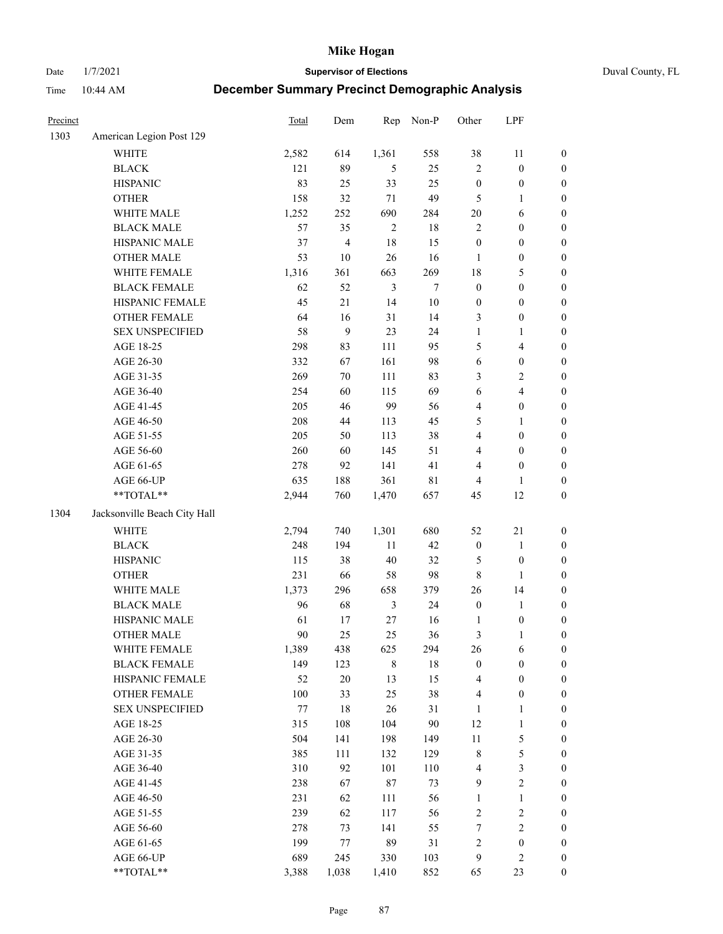Date 1/7/2021 **Supervisor of Elections** Duval County, FL

| Precinct |                              | Total | Dem            | Rep            | Non-P       | Other                   | LPF              |                  |
|----------|------------------------------|-------|----------------|----------------|-------------|-------------------------|------------------|------------------|
| 1303     | American Legion Post 129     |       |                |                |             |                         |                  |                  |
|          | <b>WHITE</b>                 | 2,582 | 614            | 1,361          | 558         | 38                      | 11               | 0                |
|          | <b>BLACK</b>                 | 121   | 89             | 5              | 25          | $\overline{c}$          | $\boldsymbol{0}$ | 0                |
|          | <b>HISPANIC</b>              | 83    | 25             | 33             | 25          | $\boldsymbol{0}$        | $\boldsymbol{0}$ | $\boldsymbol{0}$ |
|          | <b>OTHER</b>                 | 158   | 32             | $71\,$         | 49          | 5                       | 1                | $\boldsymbol{0}$ |
|          | WHITE MALE                   | 1,252 | 252            | 690            | 284         | $20\,$                  | 6                | $\boldsymbol{0}$ |
|          | <b>BLACK MALE</b>            | 57    | 35             | $\sqrt{2}$     | $18\,$      | 2                       | $\boldsymbol{0}$ | $\boldsymbol{0}$ |
|          | HISPANIC MALE                | 37    | $\overline{4}$ | 18             | 15          | $\boldsymbol{0}$        | $\boldsymbol{0}$ | $\boldsymbol{0}$ |
|          | <b>OTHER MALE</b>            | 53    | 10             | 26             | 16          | $\mathbf{1}$            | $\boldsymbol{0}$ | $\boldsymbol{0}$ |
|          | WHITE FEMALE                 | 1,316 | 361            | 663            | 269         | 18                      | $\mathfrak s$    | $\boldsymbol{0}$ |
|          | <b>BLACK FEMALE</b>          | 62    | 52             | $\mathfrak{Z}$ | $\tau$      | $\boldsymbol{0}$        | $\boldsymbol{0}$ | $\boldsymbol{0}$ |
|          | HISPANIC FEMALE              | 45    | $21\,$         | 14             | 10          | $\boldsymbol{0}$        | $\boldsymbol{0}$ | $\boldsymbol{0}$ |
|          | OTHER FEMALE                 | 64    | 16             | 31             | 14          | 3                       | $\boldsymbol{0}$ | $\boldsymbol{0}$ |
|          | <b>SEX UNSPECIFIED</b>       | 58    | 9              | 23             | 24          | $\mathbf{1}$            | $\mathbf{1}$     | $\boldsymbol{0}$ |
|          | AGE 18-25                    | 298   | 83             | 111            | 95          | 5                       | $\overline{4}$   | $\boldsymbol{0}$ |
|          | AGE 26-30                    | 332   | 67             | 161            | 98          | 6                       | $\boldsymbol{0}$ | $\boldsymbol{0}$ |
|          | AGE 31-35                    | 269   | 70             | 111            | 83          | 3                       | $\sqrt{2}$       | $\boldsymbol{0}$ |
|          | AGE 36-40                    | 254   | 60             | 115            | 69          | 6                       | $\overline{4}$   | $\boldsymbol{0}$ |
|          | AGE 41-45                    | 205   | 46             | 99             | 56          | 4                       | $\boldsymbol{0}$ | $\boldsymbol{0}$ |
|          | AGE 46-50                    | 208   | $44\,$         | 113            | 45          | 5                       | $\mathbf{1}$     | $\boldsymbol{0}$ |
|          | AGE 51-55                    | 205   | 50             | 113            | 38          | 4                       | $\boldsymbol{0}$ | $\boldsymbol{0}$ |
|          | AGE 56-60                    | 260   | 60             | 145            | 51          | 4                       | $\boldsymbol{0}$ | 0                |
|          | AGE 61-65                    | 278   | 92             | 141            | 41          | 4                       | $\boldsymbol{0}$ | $\boldsymbol{0}$ |
|          | AGE 66-UP                    | 635   | 188            | 361            | $8\sqrt{1}$ | 4                       | 1                | $\boldsymbol{0}$ |
|          | $**TOTAL**$                  | 2,944 | 760            | 1,470          | 657         | 45                      | 12               | $\boldsymbol{0}$ |
| 1304     | Jacksonville Beach City Hall |       |                |                |             |                         |                  |                  |
|          | WHITE                        | 2,794 | 740            | 1,301          | 680         | 52                      | $21\,$           | $\boldsymbol{0}$ |
|          | <b>BLACK</b>                 | 248   | 194            | $11\,$         | 42          | $\boldsymbol{0}$        | $\mathbf{1}$     | $\boldsymbol{0}$ |
|          | <b>HISPANIC</b>              | 115   | 38             | 40             | 32          | 5                       | $\boldsymbol{0}$ | $\boldsymbol{0}$ |
|          | <b>OTHER</b>                 | 231   | 66             | 58             | 98          | $\,$ 8 $\,$             | $\mathbf{1}$     | $\boldsymbol{0}$ |
|          | WHITE MALE                   | 1,373 | 296            | 658            | 379         | 26                      | 14               | $\boldsymbol{0}$ |
|          | <b>BLACK MALE</b>            | 96    | 68             | $\mathfrak{Z}$ | 24          | $\boldsymbol{0}$        | $\mathbf{1}$     | $\boldsymbol{0}$ |
|          | HISPANIC MALE                | 61    | 17             | 27             | 16          | 1                       | $\boldsymbol{0}$ | 0                |
|          | <b>OTHER MALE</b>            | 90    | 25             | 25             | 36          | 3                       | $\mathbf{1}$     | $\boldsymbol{0}$ |
|          | WHITE FEMALE                 | 1,389 | 438            | 625            | 294         | 26                      | 6                | 0                |
|          | <b>BLACK FEMALE</b>          | 149   | 123            | 8              | 18          | $\boldsymbol{0}$        | $\boldsymbol{0}$ | $\overline{0}$   |
|          | HISPANIC FEMALE              | 52    | 20             | 13             | 15          | 4                       | $\boldsymbol{0}$ | $\overline{0}$   |
|          | OTHER FEMALE                 | 100   | 33             | 25             | 38          | 4                       | $\boldsymbol{0}$ | $\overline{0}$   |
|          | <b>SEX UNSPECIFIED</b>       | 77    | 18             | 26             | 31          | $\mathbf{1}$            | $\mathbf{1}$     | 0                |
|          | AGE 18-25                    | 315   | 108            | 104            | 90          | 12                      | $\mathbf{1}$     | 0                |
|          | AGE 26-30                    | 504   | 141            | 198            | 149         | 11                      | $\mathfrak s$    | 0                |
|          | AGE 31-35                    | 385   | 111            | 132            | 129         | 8                       | 5                | 0                |
|          | AGE 36-40                    | 310   | 92             | 101            | 110         | 4                       | $\mathfrak{Z}$   | 0                |
|          | AGE 41-45                    | 238   | 67             | 87             | 73          | $\boldsymbol{9}$        | $\sqrt{2}$       | 0                |
|          | AGE 46-50                    | 231   | 62             | 111            | 56          | 1                       | $\mathbf{1}$     | 0                |
|          | AGE 51-55                    | 239   | 62             | 117            | 56          | 2                       | $\sqrt{2}$       | 0                |
|          | AGE 56-60                    | 278   | 73             | 141            | 55          | 7                       | $\sqrt{2}$       | $\boldsymbol{0}$ |
|          | AGE 61-65                    | 199   | 77             | 89             | 31          | $\overline{\mathbf{c}}$ | $\boldsymbol{0}$ | $\boldsymbol{0}$ |
|          | AGE 66-UP                    | 689   | 245            | 330            | 103         | 9                       | $\mathfrak{2}$   | $\boldsymbol{0}$ |
|          | **TOTAL**                    | 3,388 | 1,038          | 1,410          | 852         | 65                      | 23               | $\boldsymbol{0}$ |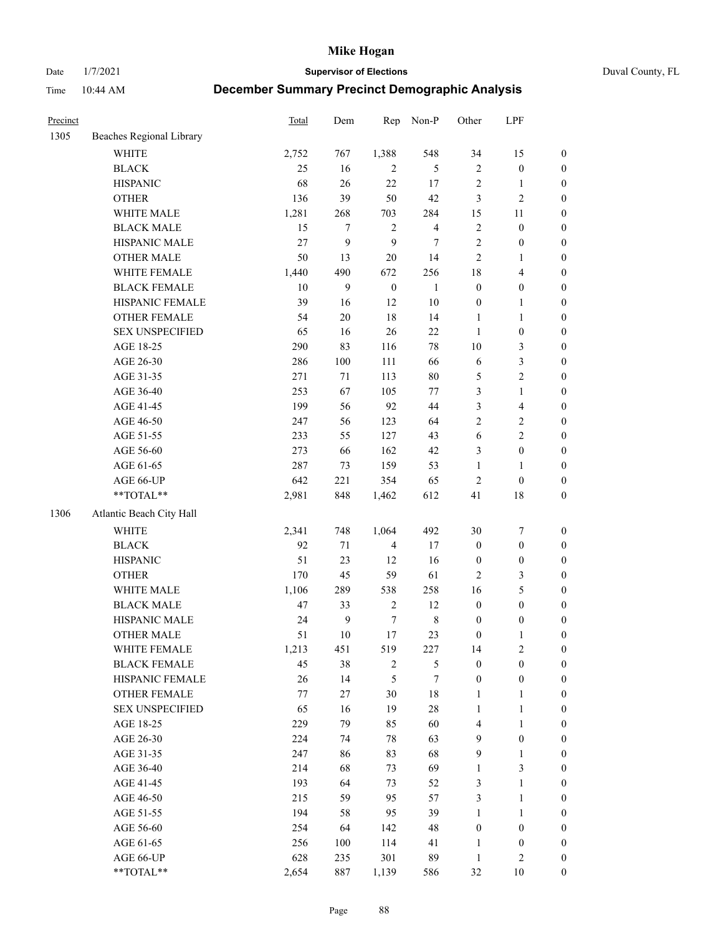Date 1/7/2021 **Supervisor of Elections** Duval County, FL

| Precinct |                          | <b>Total</b> | Dem              | Rep              | Non-P          | Other            | LPF              |                  |
|----------|--------------------------|--------------|------------------|------------------|----------------|------------------|------------------|------------------|
| 1305     | Beaches Regional Library |              |                  |                  |                |                  |                  |                  |
|          | <b>WHITE</b>             | 2,752        | 767              | 1,388            | 548            | 34               | 15               | 0                |
|          | <b>BLACK</b>             | 25           | 16               | 2                | 5              | $\overline{c}$   | $\boldsymbol{0}$ | $\boldsymbol{0}$ |
|          | <b>HISPANIC</b>          | 68           | 26               | 22               | 17             | $\sqrt{2}$       | $\mathbf{1}$     | $\boldsymbol{0}$ |
|          | <b>OTHER</b>             | 136          | 39               | 50               | 42             | 3                | $\sqrt{2}$       | $\boldsymbol{0}$ |
|          | WHITE MALE               | 1,281        | 268              | 703              | 284            | 15               | 11               | $\boldsymbol{0}$ |
|          | <b>BLACK MALE</b>        | 15           | $\tau$           | $\sqrt{2}$       | $\overline{4}$ | $\overline{c}$   | $\boldsymbol{0}$ | $\boldsymbol{0}$ |
|          | HISPANIC MALE            | 27           | 9                | 9                | $\tau$         | $\overline{c}$   | $\boldsymbol{0}$ | $\boldsymbol{0}$ |
|          | <b>OTHER MALE</b>        | 50           | 13               | $20\,$           | 14             | 2                | $\mathbf{1}$     | $\boldsymbol{0}$ |
|          | WHITE FEMALE             | 1,440        | 490              | 672              | 256            | 18               | $\overline{4}$   | $\boldsymbol{0}$ |
|          | <b>BLACK FEMALE</b>      | $10\,$       | 9                | $\boldsymbol{0}$ | $\mathbf{1}$   | $\boldsymbol{0}$ | $\boldsymbol{0}$ | 0                |
|          | HISPANIC FEMALE          | 39           | 16               | 12               | $10\,$         | $\boldsymbol{0}$ | $\mathbf{1}$     | 0                |
|          | <b>OTHER FEMALE</b>      | 54           | $20\,$           | 18               | 14             | $\mathbf{1}$     | $\mathbf{1}$     | $\boldsymbol{0}$ |
|          | <b>SEX UNSPECIFIED</b>   | 65           | 16               | 26               | 22             | $\mathbf{1}$     | $\boldsymbol{0}$ | $\boldsymbol{0}$ |
|          | AGE 18-25                | 290          | 83               | 116              | $78\,$         | $10\,$           | $\mathfrak{Z}$   | $\boldsymbol{0}$ |
|          | AGE 26-30                | 286          | 100              | 111              | 66             | 6                | $\mathfrak{Z}$   | $\boldsymbol{0}$ |
|          | AGE 31-35                | 271          | 71               | 113              | 80             | 5                | $\sqrt{2}$       | $\boldsymbol{0}$ |
|          | AGE 36-40                | 253          | 67               | 105              | 77             | 3                | $\mathbf{1}$     | $\boldsymbol{0}$ |
|          | AGE 41-45                | 199          | 56               | 92               | 44             | 3                | $\overline{4}$   | $\boldsymbol{0}$ |
|          | AGE 46-50                | 247          | 56               | 123              | 64             | $\overline{2}$   | $\sqrt{2}$       | $\boldsymbol{0}$ |
|          | AGE 51-55                | 233          | 55               | 127              | 43             | 6                | $\sqrt{2}$       | $\boldsymbol{0}$ |
|          | AGE 56-60                | 273          | 66               | 162              | 42             | 3                | $\boldsymbol{0}$ | 0                |
|          | AGE 61-65                | 287          | 73               | 159              | 53             | $\mathbf{1}$     | $\mathbf{1}$     | $\boldsymbol{0}$ |
|          | AGE 66-UP                | 642          | 221              | 354              | 65             | $\sqrt{2}$       | $\boldsymbol{0}$ | $\boldsymbol{0}$ |
|          | $**TOTAL**$              | 2,981        | 848              | 1,462            | 612            | 41               | 18               | $\boldsymbol{0}$ |
| 1306     | Atlantic Beach City Hall |              |                  |                  |                |                  |                  |                  |
|          | <b>WHITE</b>             | 2,341        | 748              | 1,064            | 492            | 30               | $\boldsymbol{7}$ | $\boldsymbol{0}$ |
|          | <b>BLACK</b>             | 92           | $71\,$           | $\overline{4}$   | 17             | $\boldsymbol{0}$ | $\boldsymbol{0}$ | $\boldsymbol{0}$ |
|          | <b>HISPANIC</b>          | 51           | 23               | 12               | 16             | $\boldsymbol{0}$ | $\boldsymbol{0}$ | $\boldsymbol{0}$ |
|          | <b>OTHER</b>             | 170          | 45               | 59               | 61             | 2                | 3                | $\boldsymbol{0}$ |
|          | WHITE MALE               | 1,106        | 289              | 538              | 258            | 16               | $\mathfrak s$    | $\boldsymbol{0}$ |
|          | <b>BLACK MALE</b>        | 47           | 33               | $\sqrt{2}$       | 12             | $\boldsymbol{0}$ | $\boldsymbol{0}$ | $\boldsymbol{0}$ |
|          | HISPANIC MALE            | 24           | $\boldsymbol{9}$ | $\boldsymbol{7}$ | $\,8\,$        | $\boldsymbol{0}$ | $\boldsymbol{0}$ | $\boldsymbol{0}$ |
|          | <b>OTHER MALE</b>        | 51           | $10\,$           | $17\,$           | 23             | $\boldsymbol{0}$ | $\mathbf{1}$     | $\boldsymbol{0}$ |
|          | WHITE FEMALE             | 1,213        | 451              | 519              | 227            | 14               | 2                | 0                |
|          | <b>BLACK FEMALE</b>      | 45           | 38               | 2                | 5              | $\boldsymbol{0}$ | $\boldsymbol{0}$ | $\overline{0}$   |
|          | HISPANIC FEMALE          | 26           | 14               | 5                | 7              | $\boldsymbol{0}$ | $\boldsymbol{0}$ | $\overline{0}$   |
|          | <b>OTHER FEMALE</b>      | 77           | $27\,$           | 30               | $18\,$         | 1                | $\mathbf{1}$     | 0                |
|          | <b>SEX UNSPECIFIED</b>   | 65           | 16               | 19               | $28\,$         | $\mathbf{1}$     | $\mathbf{1}$     | 0                |
|          | AGE 18-25                | 229          | 79               | 85               | 60             | 4                | $\mathbf{1}$     | 0                |
|          | AGE 26-30                | 224          | 74               | 78               | 63             | 9                | $\boldsymbol{0}$ | 0                |
|          | AGE 31-35                | 247          | 86               | 83               | 68             | 9                | $\mathbf{1}$     | 0                |
|          | AGE 36-40                | 214          | 68               | 73               | 69             | $\mathbf{1}$     | $\mathfrak{Z}$   | 0                |
|          | AGE 41-45                | 193          | 64               | 73               | 52             | 3                | $\mathbf{1}$     | 0                |
|          | AGE 46-50                | 215          | 59               | 95               | 57             | 3                | $\mathbf{1}$     | 0                |
|          | AGE 51-55                | 194          | 58               | 95               | 39             | $\mathbf{1}$     | $\mathbf{1}$     | 0                |
|          | AGE 56-60                | 254          | 64               | 142              | 48             | $\boldsymbol{0}$ | $\boldsymbol{0}$ | 0                |
|          | AGE 61-65                | 256          | 100              | 114              | 41             | 1                | $\boldsymbol{0}$ | 0                |
|          | AGE 66-UP                | 628          | 235              | 301              | 89             | $\mathbf{1}$     | $\mathfrak{2}$   | 0                |
|          | **TOTAL**                | 2,654        | 887              | 1,139            | 586            | 32               | 10               | $\boldsymbol{0}$ |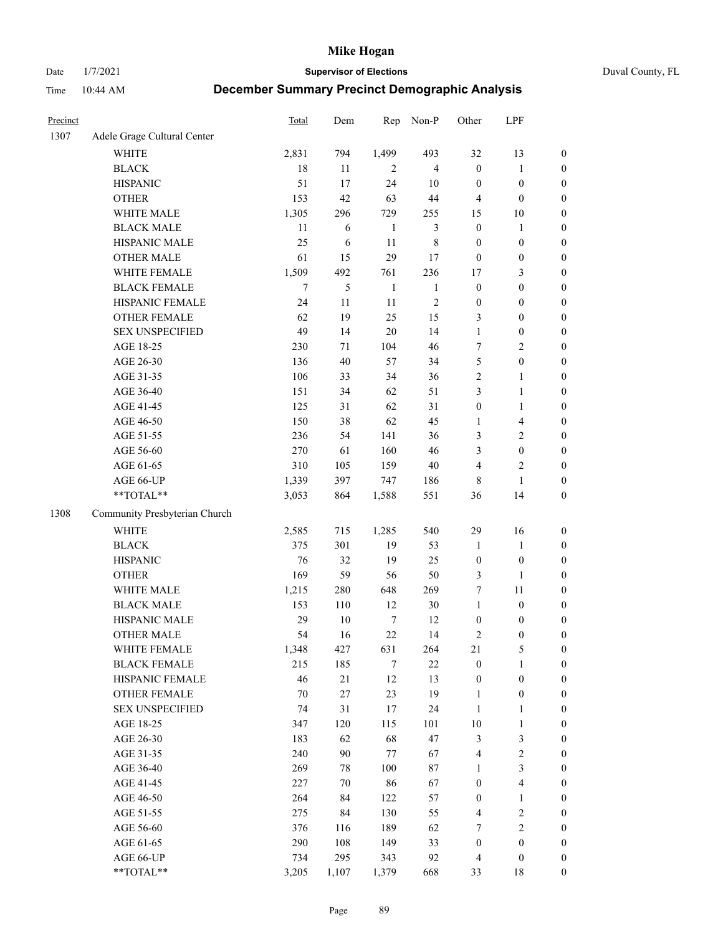Date 1/7/2021 **Supervisor of Elections** Duval County, FL

| Precinct |                               | Total | Dem    | Rep            | Non-P          | Other            | LPF                     |                  |
|----------|-------------------------------|-------|--------|----------------|----------------|------------------|-------------------------|------------------|
| 1307     | Adele Grage Cultural Center   |       |        |                |                |                  |                         |                  |
|          | <b>WHITE</b>                  | 2,831 | 794    | 1,499          | 493            | 32               | 13                      | 0                |
|          | <b>BLACK</b>                  | 18    | 11     | $\overline{2}$ | $\overline{4}$ | $\boldsymbol{0}$ | $\mathbf{1}$            | $\boldsymbol{0}$ |
|          | <b>HISPANIC</b>               | 51    | 17     | 24             | $10\,$         | $\boldsymbol{0}$ | $\boldsymbol{0}$        | $\boldsymbol{0}$ |
|          | <b>OTHER</b>                  | 153   | 42     | 63             | 44             | 4                | $\boldsymbol{0}$        | $\boldsymbol{0}$ |
|          | WHITE MALE                    | 1,305 | 296    | 729            | 255            | 15               | 10                      | $\boldsymbol{0}$ |
|          | <b>BLACK MALE</b>             | 11    | 6      | $\mathbf{1}$   | $\mathfrak{Z}$ | $\boldsymbol{0}$ | $\mathbf{1}$            | $\boldsymbol{0}$ |
|          | HISPANIC MALE                 | 25    | 6      | 11             | $8\,$          | $\boldsymbol{0}$ | $\boldsymbol{0}$        | $\boldsymbol{0}$ |
|          | <b>OTHER MALE</b>             | 61    | 15     | 29             | 17             | $\boldsymbol{0}$ | $\boldsymbol{0}$        | $\boldsymbol{0}$ |
|          | WHITE FEMALE                  | 1,509 | 492    | 761            | 236            | 17               | $\mathfrak{Z}$          | $\boldsymbol{0}$ |
|          | <b>BLACK FEMALE</b>           | 7     | 5      | $\mathbf{1}$   | $\mathbf{1}$   | $\boldsymbol{0}$ | $\boldsymbol{0}$        | $\boldsymbol{0}$ |
|          | HISPANIC FEMALE               | 24    | 11     | 11             | $\sqrt{2}$     | $\boldsymbol{0}$ | $\boldsymbol{0}$        | 0                |
|          | OTHER FEMALE                  | 62    | 19     | 25             | 15             | 3                | $\boldsymbol{0}$        | $\boldsymbol{0}$ |
|          | <b>SEX UNSPECIFIED</b>        | 49    | 14     | 20             | 14             | $\mathbf{1}$     | $\boldsymbol{0}$        | $\boldsymbol{0}$ |
|          | AGE 18-25                     | 230   | 71     | 104            | 46             | 7                | $\sqrt{2}$              | $\boldsymbol{0}$ |
|          | AGE 26-30                     | 136   | 40     | 57             | 34             | 5                | $\boldsymbol{0}$        | $\boldsymbol{0}$ |
|          | AGE 31-35                     | 106   | 33     | 34             | 36             | $\sqrt{2}$       | $\mathbf{1}$            | $\boldsymbol{0}$ |
|          | AGE 36-40                     | 151   | 34     | 62             | 51             | 3                | $\mathbf{1}$            | $\boldsymbol{0}$ |
|          | AGE 41-45                     | 125   | 31     | 62             | 31             | $\boldsymbol{0}$ | $\mathbf{1}$            | $\boldsymbol{0}$ |
|          | AGE 46-50                     | 150   | 38     | 62             | 45             | 1                | $\overline{\mathbf{4}}$ | $\boldsymbol{0}$ |
|          | AGE 51-55                     | 236   | 54     | 141            | 36             | 3                | $\sqrt{2}$              | $\boldsymbol{0}$ |
|          | AGE 56-60                     | 270   | 61     | 160            | 46             | 3                | $\boldsymbol{0}$        | 0                |
|          | AGE 61-65                     | 310   | 105    | 159            | $40\,$         | 4                | $\mathbf{2}$            | 0                |
|          | AGE 66-UP                     | 1,339 | 397    | 747            | 186            | 8                | $\mathbf{1}$            | $\boldsymbol{0}$ |
|          | **TOTAL**                     | 3,053 | 864    | 1,588          | 551            | 36               | 14                      | $\boldsymbol{0}$ |
| 1308     | Community Presbyterian Church |       |        |                |                |                  |                         |                  |
|          | WHITE                         | 2,585 | 715    | 1,285          | 540            | 29               | 16                      | $\boldsymbol{0}$ |
|          | <b>BLACK</b>                  | 375   | 301    | 19             | 53             | $\mathbf{1}$     | $\mathbf{1}$            | $\boldsymbol{0}$ |
|          | <b>HISPANIC</b>               | 76    | 32     | 19             | 25             | $\boldsymbol{0}$ | $\boldsymbol{0}$        | $\boldsymbol{0}$ |
|          | <b>OTHER</b>                  | 169   | 59     | 56             | 50             | 3                | $\mathbf{1}$            | $\boldsymbol{0}$ |
|          | WHITE MALE                    | 1,215 | 280    | 648            | 269            | 7                | 11                      | $\boldsymbol{0}$ |
|          | <b>BLACK MALE</b>             | 153   | 110    | 12             | 30             | $\mathbf{1}$     | $\boldsymbol{0}$        | $\boldsymbol{0}$ |
|          | HISPANIC MALE                 | 29    | $10\,$ | $\tau$         | 12             | $\boldsymbol{0}$ | $\boldsymbol{0}$        | 0                |
|          | <b>OTHER MALE</b>             | 54    | 16     | 22             | 14             | 2                | $\boldsymbol{0}$        | $\boldsymbol{0}$ |
|          | WHITE FEMALE                  | 1,348 | 427    | 631            | 264            | 21               | 5                       | 0                |
|          | <b>BLACK FEMALE</b>           | 215   | 185    | 7              | 22             | $\boldsymbol{0}$ | $\mathbf{1}$            | $\boldsymbol{0}$ |
|          | HISPANIC FEMALE               | 46    | 21     | 12             | 13             | $\boldsymbol{0}$ | $\boldsymbol{0}$        | $\overline{0}$   |
|          | OTHER FEMALE                  | 70    | 27     | 23             | 19             | $\mathbf{1}$     | $\boldsymbol{0}$        | $\overline{0}$   |
|          | <b>SEX UNSPECIFIED</b>        | 74    | 31     | 17             | 24             | $\mathbf{1}$     | $\mathbf{1}$            | 0                |
|          | AGE 18-25                     | 347   | 120    | 115            | 101            | $10\,$           | $\mathbf{1}$            | 0                |
|          | AGE 26-30                     | 183   | 62     | 68             | 47             | 3                | $\mathfrak{Z}$          | 0                |
|          | AGE 31-35                     | 240   | 90     | $77 \,$        | 67             | 4                | $\sqrt{2}$              | 0                |
|          | AGE 36-40                     | 269   | 78     | 100            | 87             | $\mathbf{1}$     | $\mathfrak{Z}$          | 0                |
|          | AGE 41-45                     | 227   | 70     | 86             | 67             | $\boldsymbol{0}$ | $\overline{\mathbf{4}}$ | 0                |
|          | AGE 46-50                     | 264   | 84     | 122            | 57             | $\boldsymbol{0}$ | $\mathbf{1}$            | 0                |
|          | AGE 51-55                     | 275   | 84     | 130            | 55             | $\overline{4}$   | $\sqrt{2}$              | 0                |
|          | AGE 56-60                     | 376   | 116    | 189            | 62             | 7                | $\sqrt{2}$              | $\overline{0}$   |
|          | AGE 61-65                     | 290   | 108    | 149            | 33             | $\boldsymbol{0}$ | $\boldsymbol{0}$        | $\overline{0}$   |
|          | AGE 66-UP                     | 734   | 295    | 343            | 92             | $\overline{4}$   | $\boldsymbol{0}$        | 0                |
|          | **TOTAL**                     | 3,205 | 1,107  | 1,379          | 668            | 33               | 18                      | $\boldsymbol{0}$ |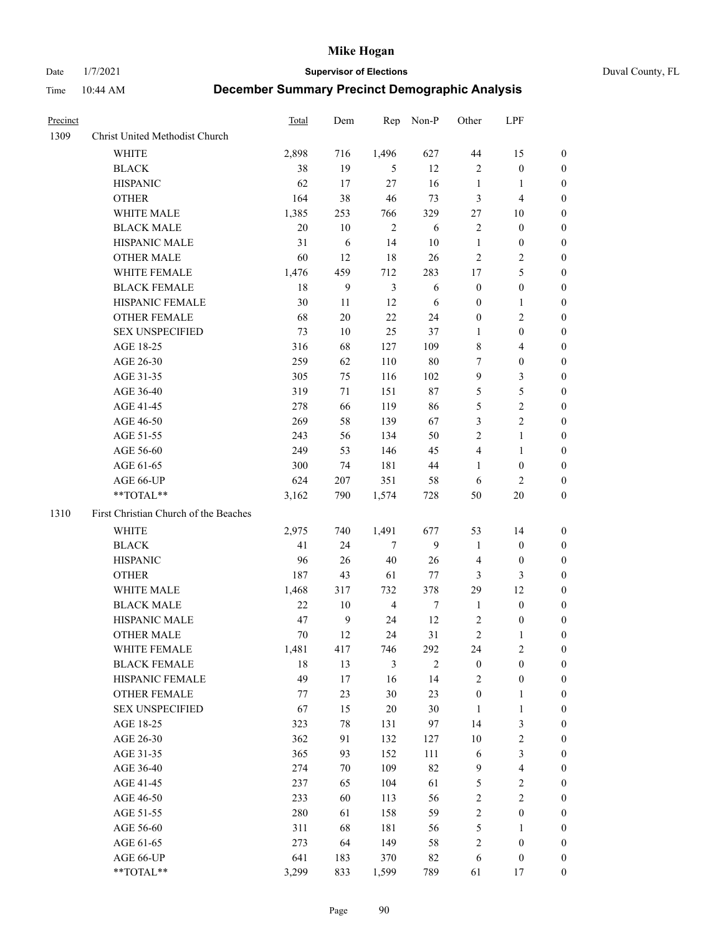Date 1/7/2021 **Supervisor of Elections** Duval County, FL

| Precinct |                                                            | Total | Dem              | Rep            | Non-P          | Other                   | LPF              |                  |
|----------|------------------------------------------------------------|-------|------------------|----------------|----------------|-------------------------|------------------|------------------|
| 1309     | Christ United Methodist Church                             |       |                  |                |                |                         |                  |                  |
|          | <b>WHITE</b>                                               | 2,898 | 716              | 1,496          | 627            | 44                      | 15               | 0                |
|          | <b>BLACK</b>                                               | 38    | 19               | 5              | 12             | 2                       | $\boldsymbol{0}$ | 0                |
|          | <b>HISPANIC</b>                                            | 62    | 17               | 27             | 16             | $\mathbf{1}$            | $\mathbf{1}$     | 0                |
|          | <b>OTHER</b>                                               | 164   | 38               | 46             | 73             | 3                       | $\overline{4}$   | $\boldsymbol{0}$ |
|          | WHITE MALE                                                 | 1,385 | 253              | 766            | 329            | 27                      | 10               | $\boldsymbol{0}$ |
|          | <b>BLACK MALE</b>                                          | 20    | 10               | $\overline{c}$ | 6              | 2                       | $\boldsymbol{0}$ | $\boldsymbol{0}$ |
|          | HISPANIC MALE                                              | 31    | 6                | 14             | 10             | $\mathbf{1}$            | $\boldsymbol{0}$ | $\boldsymbol{0}$ |
|          | <b>OTHER MALE</b>                                          | 60    | 12               | 18             | 26             | $\overline{c}$          | $\mathfrak{2}$   | $\boldsymbol{0}$ |
|          | WHITE FEMALE                                               | 1,476 | 459              | 712            | 283            | 17                      | 5                | 0                |
|          | <b>BLACK FEMALE</b>                                        | 18    | 9                | $\mathfrak{Z}$ | 6              | $\boldsymbol{0}$        | $\boldsymbol{0}$ | 0                |
|          | HISPANIC FEMALE                                            | 30    | 11               | 12             | 6              | $\boldsymbol{0}$        | $\mathbf{1}$     | 0                |
|          | OTHER FEMALE                                               | 68    | 20               | 22             | 24             | $\boldsymbol{0}$        | $\sqrt{2}$       | 0                |
|          | SEX UNSPECIFIED                                            | 73    | 10               | 25             | 37             | $\mathbf{1}$            | $\boldsymbol{0}$ | $\boldsymbol{0}$ |
|          | AGE 18-25                                                  | 316   | 68               | 127            | 109            | 8                       | $\overline{4}$   | $\boldsymbol{0}$ |
|          | AGE 26-30                                                  | 259   | 62               | 110            | 80             | 7                       | $\boldsymbol{0}$ | $\boldsymbol{0}$ |
|          | AGE 31-35                                                  | 305   | 75               | 116            | 102            | 9                       | $\mathfrak{Z}$   | $\boldsymbol{0}$ |
|          | AGE 36-40                                                  | 319   | 71               | 151            | 87             | 5                       | $\mathfrak s$    | $\boldsymbol{0}$ |
|          | AGE 41-45                                                  | 278   | 66               | 119            | 86             | 5                       | $\sqrt{2}$       | $\overline{0}$   |
|          | AGE 46-50                                                  | 269   | 58               | 139            | 67             | 3                       | $\overline{c}$   | 0                |
|          | AGE 51-55                                                  | 243   | 56               | 134            | 50             | 2                       | $\mathbf{1}$     | 0                |
|          | AGE 56-60                                                  | 249   | 53               | 146            | 45             | 4                       | $\mathbf{1}$     | 0                |
|          | AGE 61-65                                                  | 300   | 74               | 181            | 44             | $\mathbf{1}$            | $\boldsymbol{0}$ | 0                |
|          | AGE 66-UP                                                  | 624   | 207              | 351            | 58             | 6                       | $\overline{2}$   | 0                |
|          | $**TOTAL**$                                                | 3,162 | 790              | 1,574          | 728            | 50                      | $20\,$           | $\boldsymbol{0}$ |
| 1310     | First Christian Church of the Beaches                      |       |                  |                |                |                         |                  |                  |
|          | <b>WHITE</b>                                               | 2,975 | 740              | 1,491          | 677            | 53                      | 14               | $\boldsymbol{0}$ |
|          | <b>BLACK</b>                                               | 41    | 24               | $\tau$         | 9              | $\mathbf{1}$            | $\boldsymbol{0}$ | $\boldsymbol{0}$ |
|          | <b>HISPANIC</b>                                            | 96    | 26               | 40             | 26             | 4                       | $\boldsymbol{0}$ | 0                |
|          | <b>OTHER</b>                                               | 187   | 43               | 61             | 77             | 3                       | 3                | $\overline{0}$   |
|          | WHITE MALE                                                 | 1,468 | 317              | 732            | 378            | 29                      | 12               | $\overline{0}$   |
|          | <b>BLACK MALE</b>                                          | 22    | 10               | $\overline{4}$ | $\tau$         | $\mathbf{1}$            | $\boldsymbol{0}$ | $\boldsymbol{0}$ |
|          | HISPANIC MALE                                              | 47    | $\boldsymbol{9}$ | 24             | 12             | 2                       | $\boldsymbol{0}$ | 0                |
|          | <b>OTHER MALE</b>                                          | 70    | 12               | 24             | 31             | 2                       | 1                | 0                |
|          | WHITE FEMALE                                               | 1,481 | 417              | 746            | 292            | 24                      | $\overline{c}$   | 0                |
|          | <b>BLACK FEMALE</b>                                        | 18    | 13               | 3              | $\mathfrak{2}$ | $\boldsymbol{0}$        | $\boldsymbol{0}$ | $\overline{0}$   |
|          | HISPANIC FEMALE                                            | 49    | 17               | 16             | 14             | 2                       | $\boldsymbol{0}$ | $\overline{0}$   |
|          | OTHER FEMALE                                               | 77    | 23               | 30             | 23             | $\boldsymbol{0}$        | $\mathbf{1}$     | $\overline{0}$   |
|          | <b>SEX UNSPECIFIED</b>                                     | 67    | 15               | 20             | 30             | 1                       | $\mathbf{1}$     | 0                |
|          | AGE 18-25                                                  | 323   | 78               | 131            | 97             | 14                      | 3                | 0                |
|          | AGE 26-30                                                  | 362   | 91               | 132            | 127            | 10                      | $\sqrt{2}$       | 0                |
|          | AGE 31-35                                                  | 365   | 93               | 152            | 111            | 6                       | $\mathfrak{Z}$   | 0                |
|          | AGE 36-40                                                  | 274   | 70               | 109            | 82             | 9                       | $\overline{4}$   | 0                |
|          | AGE 41-45                                                  | 237   | 65               | 104            | 61             | 5                       | $\sqrt{2}$       | 0                |
|          | AGE 46-50                                                  | 233   | 60               | 113            | 56             | $\mathbf{2}$            | $\sqrt{2}$       | 0                |
|          | AGE 51-55                                                  | 280   | 61               | 158            | 59             | $\mathbf{2}$            | $\boldsymbol{0}$ | $\overline{0}$   |
|          | AGE 56-60                                                  | 311   | 68               | 181            | 56             | 5                       | 1                | 0                |
|          | AGE 61-65                                                  | 273   | 64               | 149            | 58             | $\overline{\mathbf{c}}$ | $\boldsymbol{0}$ | 0                |
|          | AGE 66-UP                                                  | 641   | 183              | 370            | 82             | 6                       | $\boldsymbol{0}$ | 0                |
|          | $\mathrm{*}\mathrm{*} \mathrm{TOTAL} \mathrm{*}\mathrm{*}$ | 3,299 | 833              | 1,599          | 789            | 61                      | 17               | $\boldsymbol{0}$ |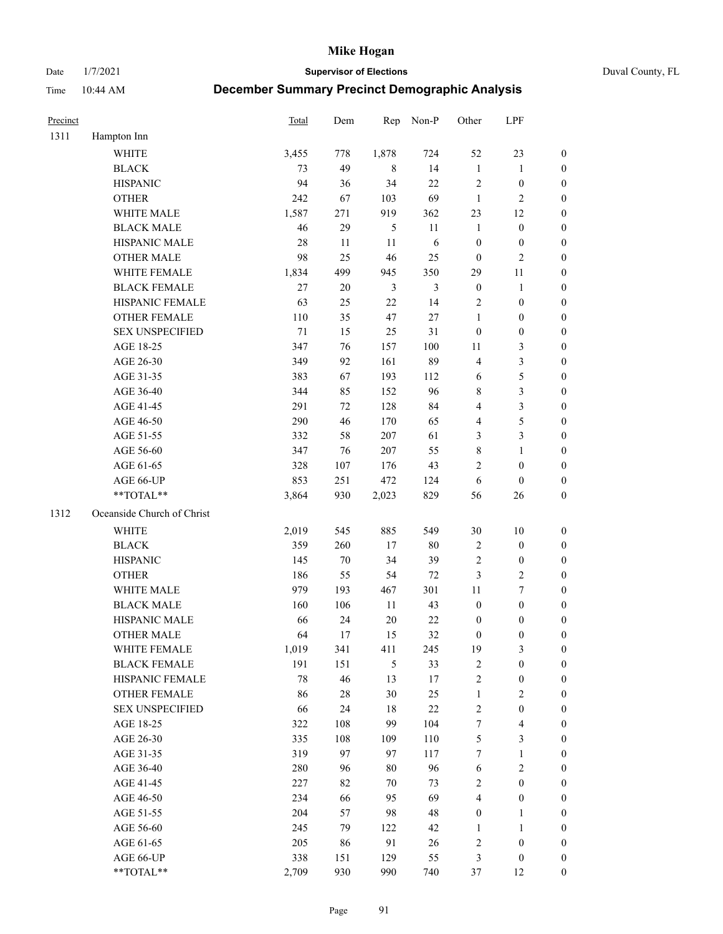Date 1/7/2021 **Supervisor of Elections** Duval County, FL

| Precinct |                            | Total  | Dem    | Rep            | Non-P      | Other            | LPF              |                  |
|----------|----------------------------|--------|--------|----------------|------------|------------------|------------------|------------------|
| 1311     | Hampton Inn                |        |        |                |            |                  |                  |                  |
|          | <b>WHITE</b>               | 3,455  | 778    | 1,878          | 724        | 52               | 23               | $\boldsymbol{0}$ |
|          | <b>BLACK</b>               | 73     | 49     | 8              | 14         | $\mathbf{1}$     | $\mathbf{1}$     | $\boldsymbol{0}$ |
|          | <b>HISPANIC</b>            | 94     | 36     | 34             | 22         | $\sqrt{2}$       | $\boldsymbol{0}$ | $\boldsymbol{0}$ |
|          | <b>OTHER</b>               | 242    | 67     | 103            | 69         | $\mathbf{1}$     | $\mathfrak{2}$   | $\boldsymbol{0}$ |
|          | WHITE MALE                 | 1,587  | 271    | 919            | 362        | 23               | 12               | $\boldsymbol{0}$ |
|          | <b>BLACK MALE</b>          | 46     | 29     | $\mathfrak{S}$ | 11         | $\mathbf{1}$     | $\boldsymbol{0}$ | $\boldsymbol{0}$ |
|          | HISPANIC MALE              | $28\,$ | 11     | $11\,$         | $\sqrt{6}$ | $\boldsymbol{0}$ | $\boldsymbol{0}$ | $\boldsymbol{0}$ |
|          | <b>OTHER MALE</b>          | 98     | 25     | 46             | 25         | $\boldsymbol{0}$ | $\mathfrak{2}$   | $\overline{0}$   |
|          | WHITE FEMALE               | 1,834  | 499    | 945            | 350        | 29               | $11\,$           | $\boldsymbol{0}$ |
|          | <b>BLACK FEMALE</b>        | 27     | $20\,$ | 3              | 3          | $\boldsymbol{0}$ | $\mathbf{1}$     | 0                |
|          | HISPANIC FEMALE            | 63     | 25     | 22             | 14         | 2                | $\boldsymbol{0}$ | $\boldsymbol{0}$ |
|          | <b>OTHER FEMALE</b>        | 110    | 35     | 47             | $27\,$     | $\mathbf{1}$     | $\boldsymbol{0}$ | $\boldsymbol{0}$ |
|          | <b>SEX UNSPECIFIED</b>     | $71\,$ | 15     | 25             | 31         | $\boldsymbol{0}$ | $\boldsymbol{0}$ | $\boldsymbol{0}$ |
|          | AGE 18-25                  | 347    | 76     | 157            | 100        | $11\,$           | $\mathfrak{Z}$   | $\boldsymbol{0}$ |
|          | AGE 26-30                  | 349    | 92     | 161            | 89         | 4                | $\mathfrak{Z}$   | $\boldsymbol{0}$ |
|          | AGE 31-35                  | 383    | 67     | 193            | 112        | 6                | 5                | $\boldsymbol{0}$ |
|          | AGE 36-40                  | 344    | 85     | 152            | 96         | 8                | $\mathfrak{Z}$   | $\boldsymbol{0}$ |
|          | AGE 41-45                  | 291    | 72     | 128            | 84         | 4                | $\mathfrak{Z}$   | $\boldsymbol{0}$ |
|          | AGE 46-50                  | 290    | 46     | 170            | 65         | 4                | $\mathfrak s$    | $\boldsymbol{0}$ |
|          | AGE 51-55                  | 332    | 58     | 207            | 61         | 3                | $\mathfrak{Z}$   | 0                |
|          | AGE 56-60                  | 347    | 76     | 207            | 55         | $\,$ 8 $\,$      | $\mathbf{1}$     | $\boldsymbol{0}$ |
|          | AGE 61-65                  | 328    | 107    | 176            | 43         | 2                | $\boldsymbol{0}$ | $\boldsymbol{0}$ |
|          | AGE 66-UP                  | 853    | 251    | 472            | 124        | 6                | $\boldsymbol{0}$ | $\boldsymbol{0}$ |
|          | **TOTAL**                  | 3,864  | 930    | 2,023          | 829        | 56               | 26               | $\boldsymbol{0}$ |
| 1312     | Oceanside Church of Christ |        |        |                |            |                  |                  |                  |
|          | <b>WHITE</b>               | 2,019  | 545    | 885            | 549        | $30\,$           | 10               | $\boldsymbol{0}$ |
|          | <b>BLACK</b>               | 359    | 260    | 17             | $80\,$     | 2                | $\boldsymbol{0}$ | $\boldsymbol{0}$ |
|          | <b>HISPANIC</b>            | 145    | $70\,$ | 34             | 39         | $\overline{c}$   | $\boldsymbol{0}$ | $\boldsymbol{0}$ |
|          | <b>OTHER</b>               | 186    | 55     | 54             | $72\,$     | 3                | $\sqrt{2}$       | $\boldsymbol{0}$ |
|          | WHITE MALE                 | 979    | 193    | 467            | 301        | $11\,$           | $\boldsymbol{7}$ | $\boldsymbol{0}$ |
|          | <b>BLACK MALE</b>          | 160    | 106    | $11\,$         | 43         | $\boldsymbol{0}$ | $\boldsymbol{0}$ | $\boldsymbol{0}$ |
|          | HISPANIC MALE              | 66     | 24     | $20\,$         | $22\,$     | $\boldsymbol{0}$ | $\boldsymbol{0}$ | 0                |
|          | <b>OTHER MALE</b>          | 64     | 17     | 15             | 32         | $\boldsymbol{0}$ | $\boldsymbol{0}$ | $\boldsymbol{0}$ |
|          | WHITE FEMALE               | 1,019  | 341    | 411            | 245        | 19               | 3                | $\overline{0}$   |
|          | <b>BLACK FEMALE</b>        | 191    | 151    | 5              | 33         | 2                | $\boldsymbol{0}$ | $\overline{0}$   |
|          | HISPANIC FEMALE            | 78     | 46     | 13             | 17         | $\overline{c}$   | $\boldsymbol{0}$ | $\overline{0}$   |
|          | OTHER FEMALE               | 86     | $28\,$ | 30             | 25         | $\mathbf{1}$     | $\mathfrak{2}$   | 0                |
|          | <b>SEX UNSPECIFIED</b>     | 66     | 24     | 18             | $22\,$     | $\overline{c}$   | $\boldsymbol{0}$ | 0                |
|          | AGE 18-25                  | 322    | 108    | 99             | 104        | 7                | $\overline{4}$   | 0                |
|          | AGE 26-30                  | 335    | 108    | 109            | 110        | 5                | $\mathfrak{Z}$   | 0                |
|          | AGE 31-35                  | 319    | 97     | 97             | 117        | 7                | $\mathbf{1}$     | 0                |
|          | AGE 36-40                  | 280    | 96     | 80             | 96         | 6                | $\sqrt{2}$       | 0                |
|          | AGE 41-45                  | 227    | 82     | 70             | 73         | $\overline{c}$   | $\boldsymbol{0}$ | 0                |
|          | AGE 46-50                  | 234    | 66     | 95             | 69         | 4                | $\boldsymbol{0}$ | 0                |
|          | AGE 51-55                  | 204    | 57     | 98             | 48         | $\boldsymbol{0}$ | 1                | $\boldsymbol{0}$ |
|          | AGE 56-60                  | 245    | 79     | 122            | 42         | $\mathbf{1}$     | $\mathbf{1}$     | $\boldsymbol{0}$ |
|          | AGE 61-65                  | 205    | 86     | 91             | 26         | 2                | $\boldsymbol{0}$ | 0                |
|          | AGE 66-UP                  | 338    | 151    | 129            | 55         | 3                | $\boldsymbol{0}$ | 0                |
|          | **TOTAL**                  | 2,709  | 930    | 990            | 740        | 37               | 12               | $\overline{0}$   |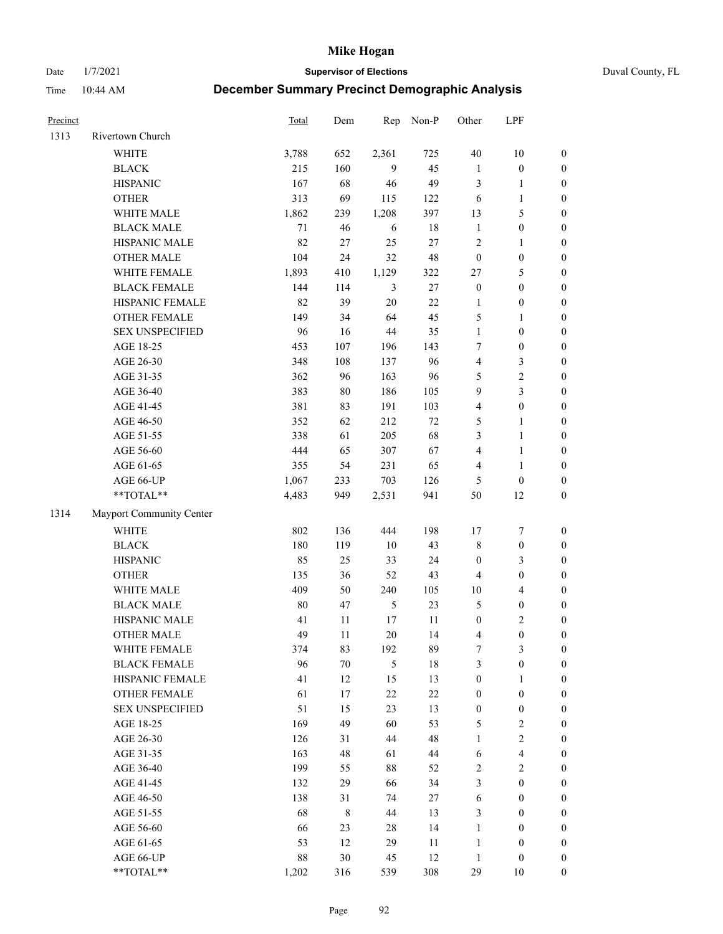Date 1/7/2021 **Supervisor of Elections** Duval County, FL

| Precinct |                          | Total  | Dem         | Rep            | Non-P  | Other            | LPF              |                  |
|----------|--------------------------|--------|-------------|----------------|--------|------------------|------------------|------------------|
| 1313     | Rivertown Church         |        |             |                |        |                  |                  |                  |
|          | <b>WHITE</b>             | 3,788  | 652         | 2,361          | 725    | 40               | 10               | 0                |
|          | <b>BLACK</b>             | 215    | 160         | 9              | 45     | $\mathbf{1}$     | $\boldsymbol{0}$ | 0                |
|          | <b>HISPANIC</b>          | 167    | 68          | 46             | 49     | 3                | $\mathbf{1}$     | $\boldsymbol{0}$ |
|          | <b>OTHER</b>             | 313    | 69          | 115            | 122    | 6                | $\mathbf{1}$     | $\boldsymbol{0}$ |
|          | WHITE MALE               | 1,862  | 239         | 1,208          | 397    | 13               | $\mathfrak s$    | $\boldsymbol{0}$ |
|          | <b>BLACK MALE</b>        | 71     | 46          | 6              | 18     | $\mathbf{1}$     | $\boldsymbol{0}$ | $\boldsymbol{0}$ |
|          | HISPANIC MALE            | 82     | $27\,$      | 25             | $27\,$ | 2                | $\mathbf{1}$     | $\boldsymbol{0}$ |
|          | <b>OTHER MALE</b>        | 104    | 24          | 32             | 48     | $\boldsymbol{0}$ | $\boldsymbol{0}$ | $\boldsymbol{0}$ |
|          | WHITE FEMALE             | 1,893  | 410         | 1,129          | 322    | 27               | $\mathfrak s$    | $\boldsymbol{0}$ |
|          | <b>BLACK FEMALE</b>      | 144    | 114         | 3              | $27\,$ | $\boldsymbol{0}$ | $\boldsymbol{0}$ | $\boldsymbol{0}$ |
|          | HISPANIC FEMALE          | 82     | 39          | $20\,$         | 22     | 1                | $\boldsymbol{0}$ | 0                |
|          | OTHER FEMALE             | 149    | 34          | 64             | 45     | 5                | 1                | $\boldsymbol{0}$ |
|          | <b>SEX UNSPECIFIED</b>   | 96     | 16          | 44             | 35     | $\mathbf{1}$     | $\boldsymbol{0}$ | $\boldsymbol{0}$ |
|          | AGE 18-25                | 453    | 107         | 196            | 143    | 7                | $\boldsymbol{0}$ | $\boldsymbol{0}$ |
|          | AGE 26-30                | 348    | 108         | 137            | 96     | 4                | $\mathfrak{Z}$   | $\boldsymbol{0}$ |
|          | AGE 31-35                | 362    | 96          | 163            | 96     | 5                | $\sqrt{2}$       | $\boldsymbol{0}$ |
|          | AGE 36-40                | 383    | $80\,$      | 186            | 105    | 9                | 3                | $\boldsymbol{0}$ |
|          | AGE 41-45                | 381    | 83          | 191            | 103    | 4                | $\boldsymbol{0}$ | $\boldsymbol{0}$ |
|          | AGE 46-50                | 352    | 62          | 212            | $72\,$ | 5                | $\mathbf{1}$     | $\boldsymbol{0}$ |
|          | AGE 51-55                | 338    | 61          | 205            | 68     | 3                | $\mathbf{1}$     | 0                |
|          | AGE 56-60                | 444    | 65          | 307            | 67     | 4                | $\mathbf{1}$     | 0                |
|          | AGE 61-65                | 355    | 54          | 231            | 65     | 4                | $\mathbf{1}$     | 0                |
|          | AGE 66-UP                | 1,067  | 233         | 703            | 126    | 5                | $\boldsymbol{0}$ | $\boldsymbol{0}$ |
|          | $**TOTAL**$              | 4,483  | 949         | 2,531          | 941    | 50               | 12               | $\boldsymbol{0}$ |
|          |                          |        |             |                |        |                  |                  |                  |
| 1314     | Mayport Community Center |        |             |                |        |                  |                  |                  |
|          | <b>WHITE</b>             | 802    | 136         | 444            | 198    | 17               | $\boldsymbol{7}$ | $\boldsymbol{0}$ |
|          | <b>BLACK</b>             | 180    | 119         | 10             | 43     | 8                | $\boldsymbol{0}$ | $\boldsymbol{0}$ |
|          | <b>HISPANIC</b>          | 85     | 25          | 33             | 24     | $\boldsymbol{0}$ | 3                | $\boldsymbol{0}$ |
|          | <b>OTHER</b>             | 135    | 36          | 52             | 43     | 4                | $\boldsymbol{0}$ | $\boldsymbol{0}$ |
|          | WHITE MALE               | 409    | 50          | 240            | 105    | $10\,$           | $\overline{4}$   | $\boldsymbol{0}$ |
|          | <b>BLACK MALE</b>        | $80\,$ | 47          | $\mathfrak{S}$ | 23     | 5                | $\boldsymbol{0}$ | $\boldsymbol{0}$ |
|          | HISPANIC MALE            | 41     | 11          | 17             | 11     | $\boldsymbol{0}$ | $\sqrt{2}$       | $\boldsymbol{0}$ |
|          | <b>OTHER MALE</b>        | 49     | 11          | 20             | 14     | 4                | $\boldsymbol{0}$ | $\boldsymbol{0}$ |
|          | WHITE FEMALE             | 374    | 83          | 192            | 89     | 7                | 3                | 0                |
|          | <b>BLACK FEMALE</b>      | 96     | $70\,$      | 5              | 18     | 3                | $\boldsymbol{0}$ | $\overline{0}$   |
|          | HISPANIC FEMALE          | 41     | 12          | 15             | 13     | $\boldsymbol{0}$ | 1                | $\overline{0}$   |
|          | OTHER FEMALE             | 61     | 17          | 22             | $22\,$ | $\boldsymbol{0}$ | $\boldsymbol{0}$ | 0                |
|          | <b>SEX UNSPECIFIED</b>   | 51     | 15          | 23             | 13     | $\boldsymbol{0}$ | $\boldsymbol{0}$ | 0                |
|          | AGE 18-25                | 169    | 49          | 60             | 53     | 5                | $\sqrt{2}$       | 0                |
|          | AGE 26-30                | 126    | 31          | 44             | 48     | $\mathbf{1}$     | $\overline{c}$   | 0                |
|          | AGE 31-35                | 163    | 48          | 61             | 44     | 6                | $\overline{4}$   | 0                |
|          | AGE 36-40                | 199    | 55          | 88             | 52     | 2                | $\sqrt{2}$       | 0                |
|          | AGE 41-45                | 132    | 29          | 66             | 34     | 3                | $\boldsymbol{0}$ | 0                |
|          | AGE 46-50                | 138    | 31          | 74             | 27     | 6                | $\boldsymbol{0}$ | 0                |
|          | AGE 51-55                | 68     | $\,$ 8 $\,$ | 44             | 13     | 3                | $\boldsymbol{0}$ | 0                |
|          | AGE 56-60                | 66     | 23          | 28             | 14     | 1                | $\boldsymbol{0}$ | 0                |
|          | AGE 61-65                | 53     | 12          | 29             | 11     | $\mathbf{1}$     | $\boldsymbol{0}$ | 0                |
|          | AGE 66-UP                | 88     | 30          | 45             | 12     | $\mathbf{1}$     | $\boldsymbol{0}$ | 0                |
|          | **TOTAL**                | 1,202  | 316         | 539            | 308    | 29               | 10               | $\boldsymbol{0}$ |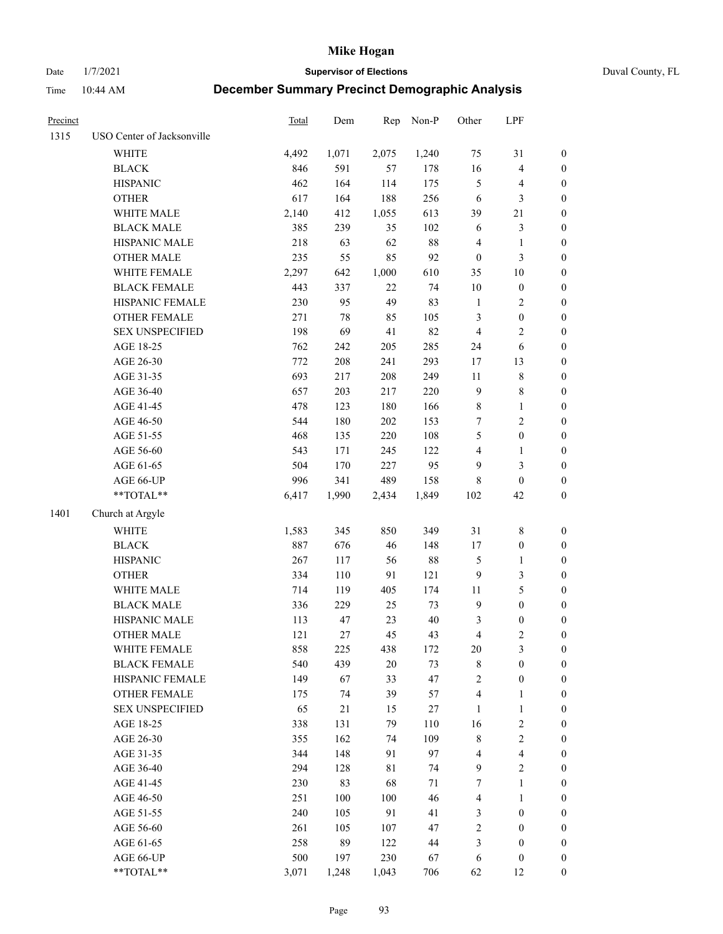Date 1/7/2021 **Supervisor of Elections** Duval County, FL

| Precinct |                                                            | Total | Dem   | Rep   | Non-P  | Other            | LPF              |                  |
|----------|------------------------------------------------------------|-------|-------|-------|--------|------------------|------------------|------------------|
| 1315     | USO Center of Jacksonville                                 |       |       |       |        |                  |                  |                  |
|          | <b>WHITE</b>                                               | 4,492 | 1,071 | 2,075 | 1,240  | 75               | 31               | 0                |
|          | <b>BLACK</b>                                               | 846   | 591   | 57    | 178    | 16               | $\overline{4}$   | $\boldsymbol{0}$ |
|          | <b>HISPANIC</b>                                            | 462   | 164   | 114   | 175    | 5                | $\overline{4}$   | $\boldsymbol{0}$ |
|          | <b>OTHER</b>                                               | 617   | 164   | 188   | 256    | 6                | 3                | $\boldsymbol{0}$ |
|          | WHITE MALE                                                 | 2,140 | 412   | 1,055 | 613    | 39               | $21\,$           | $\boldsymbol{0}$ |
|          | <b>BLACK MALE</b>                                          | 385   | 239   | 35    | 102    | 6                | $\mathfrak{Z}$   | $\boldsymbol{0}$ |
|          | HISPANIC MALE                                              | 218   | 63    | 62    | $88\,$ | 4                | $\mathbf{1}$     | $\boldsymbol{0}$ |
|          | <b>OTHER MALE</b>                                          | 235   | 55    | 85    | 92     | $\boldsymbol{0}$ | $\mathfrak{Z}$   | $\boldsymbol{0}$ |
|          | WHITE FEMALE                                               | 2,297 | 642   | 1,000 | 610    | 35               | $10\,$           | $\boldsymbol{0}$ |
|          | <b>BLACK FEMALE</b>                                        | 443   | 337   | 22    | 74     | 10               | $\boldsymbol{0}$ | 0                |
|          | HISPANIC FEMALE                                            | 230   | 95    | 49    | 83     | $\mathbf{1}$     | $\overline{c}$   | 0                |
|          | OTHER FEMALE                                               | 271   | 78    | 85    | 105    | 3                | $\boldsymbol{0}$ | $\boldsymbol{0}$ |
|          | <b>SEX UNSPECIFIED</b>                                     | 198   | 69    | 41    | 82     | $\overline{4}$   | $\sqrt{2}$       | $\boldsymbol{0}$ |
|          | AGE 18-25                                                  | 762   | 242   | 205   | 285    | 24               | 6                | $\boldsymbol{0}$ |
|          | AGE 26-30                                                  | 772   | 208   | 241   | 293    | 17               | 13               | $\boldsymbol{0}$ |
|          | AGE 31-35                                                  | 693   | 217   | 208   | 249    | $11\,$           | $\,$ $\,$        | $\boldsymbol{0}$ |
|          | AGE 36-40                                                  | 657   | 203   | 217   | 220    | 9                | $\,$ 8 $\,$      | $\boldsymbol{0}$ |
|          | AGE 41-45                                                  | 478   | 123   | 180   | 166    | 8                | $\mathbf{1}$     | $\boldsymbol{0}$ |
|          | AGE 46-50                                                  | 544   | 180   | 202   | 153    | 7                | $\sqrt{2}$       | $\boldsymbol{0}$ |
|          | AGE 51-55                                                  | 468   | 135   | 220   | 108    | 5                | $\boldsymbol{0}$ | $\boldsymbol{0}$ |
|          | AGE 56-60                                                  | 543   | 171   | 245   | 122    | 4                | 1                | 0                |
|          | AGE 61-65                                                  | 504   | 170   | 227   | 95     | 9                | $\mathfrak{Z}$   | $\boldsymbol{0}$ |
|          | AGE 66-UP                                                  | 996   | 341   | 489   | 158    | 8                | $\boldsymbol{0}$ | $\boldsymbol{0}$ |
|          | $\mathrm{*}\mathrm{*} \mathrm{TOTAL} \mathrm{*}\mathrm{*}$ | 6,417 | 1,990 | 2,434 | 1,849  | 102              | 42               | $\boldsymbol{0}$ |
| 1401     | Church at Argyle                                           |       |       |       |        |                  |                  |                  |
|          | WHITE                                                      | 1,583 | 345   | 850   | 349    | 31               | $\,$ $\,$        | $\boldsymbol{0}$ |
|          | <b>BLACK</b>                                               | 887   | 676   | 46    | 148    | 17               | $\boldsymbol{0}$ | $\boldsymbol{0}$ |
|          | <b>HISPANIC</b>                                            | 267   | 117   | 56    | 88     | 5                | $\mathbf{1}$     | $\boldsymbol{0}$ |
|          | <b>OTHER</b>                                               | 334   | 110   | 91    | 121    | 9                | 3                | $\boldsymbol{0}$ |
|          | WHITE MALE                                                 | 714   | 119   | 405   | 174    | $11\,$           | $\mathfrak s$    | $\boldsymbol{0}$ |
|          | <b>BLACK MALE</b>                                          | 336   | 229   | 25    | 73     | $\boldsymbol{9}$ | $\boldsymbol{0}$ | $\boldsymbol{0}$ |
|          | HISPANIC MALE                                              | 113   | 47    | 23    | 40     | 3                | $\boldsymbol{0}$ | 0                |
|          | <b>OTHER MALE</b>                                          | 121   | 27    | 45    | 43     | 4                | $\mathfrak{2}$   | $\boldsymbol{0}$ |
|          | WHITE FEMALE                                               | 858   | 225   | 438   | 172    | 20               | 3                | 0                |
|          | <b>BLACK FEMALE</b>                                        | 540   | 439   | 20    | 73     | 8                | $\boldsymbol{0}$ | $\overline{0}$   |
|          | HISPANIC FEMALE                                            | 149   | 67    | 33    | 47     | $\overline{c}$   | $\boldsymbol{0}$ | $\overline{0}$   |
|          | <b>OTHER FEMALE</b>                                        | 175   | 74    | 39    | 57     | 4                | $\mathbf{1}$     | 0                |
|          | <b>SEX UNSPECIFIED</b>                                     | 65    | 21    | 15    | 27     | 1                | $\mathbf{1}$     | 0                |
|          | AGE 18-25                                                  | 338   | 131   | 79    | 110    | 16               | $\sqrt{2}$       | 0                |
|          | AGE 26-30                                                  | 355   | 162   | 74    | 109    | 8                | $\sqrt{2}$       | 0                |
|          | AGE 31-35                                                  | 344   | 148   | 91    | 97     | 4                | $\overline{4}$   | 0                |
|          | AGE 36-40                                                  | 294   | 128   | 81    | 74     | 9                | $\sqrt{2}$       | 0                |
|          | AGE 41-45                                                  | 230   | 83    | 68    | 71     | 7                | $\mathbf{1}$     | 0                |
|          | AGE 46-50                                                  | 251   | 100   | 100   | 46     | 4                | $\mathbf{1}$     | 0                |
|          | AGE 51-55                                                  | 240   | 105   | 91    | 41     | 3                | $\boldsymbol{0}$ | 0                |
|          | AGE 56-60                                                  | 261   | 105   | 107   | 47     | $\overline{c}$   | $\boldsymbol{0}$ | 0                |
|          | AGE 61-65                                                  | 258   | 89    | 122   | 44     | 3                | $\boldsymbol{0}$ | $\overline{0}$   |
|          | AGE 66-UP                                                  | 500   | 197   | 230   | 67     | 6                | $\boldsymbol{0}$ | 0                |
|          | **TOTAL**                                                  | 3,071 | 1,248 | 1,043 | 706    | 62               | 12               | $\boldsymbol{0}$ |
|          |                                                            |       |       |       |        |                  |                  |                  |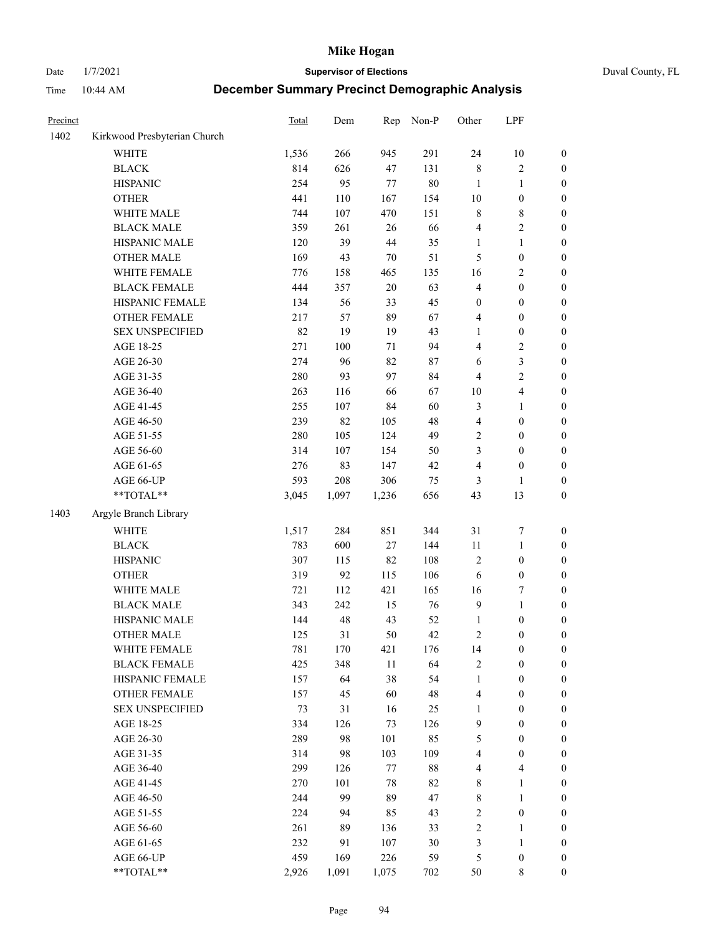Date 1/7/2021 **Supervisor of Elections** Duval County, FL

| Precinct |                              | <b>Total</b> | Dem   | Rep    | Non-P  | Other                   | LPF              |                  |
|----------|------------------------------|--------------|-------|--------|--------|-------------------------|------------------|------------------|
| 1402     | Kirkwood Presbyterian Church |              |       |        |        |                         |                  |                  |
|          | <b>WHITE</b>                 | 1,536        | 266   | 945    | 291    | 24                      | 10               | 0                |
|          | <b>BLACK</b>                 | 814          | 626   | 47     | 131    | 8                       | $\sqrt{2}$       | 0                |
|          | <b>HISPANIC</b>              | 254          | 95    | $77\,$ | $80\,$ | $\mathbf{1}$            | $\mathbf{1}$     | $\boldsymbol{0}$ |
|          | <b>OTHER</b>                 | 441          | 110   | 167    | 154    | $10\,$                  | $\boldsymbol{0}$ | $\boldsymbol{0}$ |
|          | WHITE MALE                   | 744          | 107   | 470    | 151    | 8                       | $\,$ 8 $\,$      | $\boldsymbol{0}$ |
|          | <b>BLACK MALE</b>            | 359          | 261   | 26     | 66     | 4                       | $\sqrt{2}$       | $\boldsymbol{0}$ |
|          | HISPANIC MALE                | 120          | 39    | 44     | 35     | 1                       | $\mathbf{1}$     | $\boldsymbol{0}$ |
|          | <b>OTHER MALE</b>            | 169          | 43    | $70\,$ | 51     | 5                       | $\boldsymbol{0}$ | $\boldsymbol{0}$ |
|          | WHITE FEMALE                 | 776          | 158   | 465    | 135    | 16                      | $\sqrt{2}$       | $\boldsymbol{0}$ |
|          | <b>BLACK FEMALE</b>          | 444          | 357   | $20\,$ | 63     | $\overline{\mathbf{4}}$ | $\boldsymbol{0}$ | $\boldsymbol{0}$ |
|          | HISPANIC FEMALE              | 134          | 56    | 33     | 45     | $\boldsymbol{0}$        | $\boldsymbol{0}$ | $\boldsymbol{0}$ |
|          | <b>OTHER FEMALE</b>          | 217          | 57    | 89     | 67     | 4                       | $\boldsymbol{0}$ | $\boldsymbol{0}$ |
|          | <b>SEX UNSPECIFIED</b>       | 82           | 19    | 19     | 43     | $\mathbf{1}$            | $\boldsymbol{0}$ | $\boldsymbol{0}$ |
|          | AGE 18-25                    | 271          | 100   | 71     | 94     | 4                       | $\sqrt{2}$       | $\boldsymbol{0}$ |
|          | AGE 26-30                    | 274          | 96    | 82     | 87     | 6                       | 3                | $\boldsymbol{0}$ |
|          | AGE 31-35                    | 280          | 93    | 97     | 84     | 4                       | $\sqrt{2}$       | $\boldsymbol{0}$ |
|          | AGE 36-40                    | 263          | 116   | 66     | 67     | $10\,$                  | $\overline{4}$   | $\boldsymbol{0}$ |
|          | AGE 41-45                    | 255          | 107   | 84     | 60     | 3                       | $\mathbf{1}$     | $\boldsymbol{0}$ |
|          | AGE 46-50                    | 239          | 82    | 105    | 48     | 4                       | $\boldsymbol{0}$ | $\boldsymbol{0}$ |
|          | AGE 51-55                    | 280          | 105   | 124    | 49     | $\mathbf{2}$            | $\boldsymbol{0}$ | $\boldsymbol{0}$ |
|          | AGE 56-60                    | 314          | 107   | 154    | 50     | 3                       | $\boldsymbol{0}$ | $\boldsymbol{0}$ |
|          | AGE 61-65                    | 276          | 83    | 147    | 42     | 4                       | $\boldsymbol{0}$ | $\boldsymbol{0}$ |
|          | AGE 66-UP                    | 593          | 208   | 306    | 75     | 3                       | 1                | $\boldsymbol{0}$ |
|          | $**TOTAL**$                  | 3,045        | 1,097 | 1,236  | 656    | 43                      | 13               | $\boldsymbol{0}$ |
| 1403     | Argyle Branch Library        |              |       |        |        |                         |                  |                  |
|          | <b>WHITE</b>                 | 1,517        | 284   | 851    | 344    | 31                      | $\boldsymbol{7}$ | $\boldsymbol{0}$ |
|          | <b>BLACK</b>                 | 783          | 600   | 27     | 144    | 11                      | $\mathbf{1}$     | $\boldsymbol{0}$ |
|          | <b>HISPANIC</b>              | 307          | 115   | 82     | 108    | 2                       | $\boldsymbol{0}$ | $\boldsymbol{0}$ |
|          | <b>OTHER</b>                 | 319          | 92    | 115    | 106    | 6                       | $\boldsymbol{0}$ | $\boldsymbol{0}$ |
|          | WHITE MALE                   | 721          | 112   | 421    | 165    | 16                      | $\boldsymbol{7}$ | $\boldsymbol{0}$ |
|          | <b>BLACK MALE</b>            | 343          | 242   | 15     | 76     | 9                       | $\mathbf{1}$     | $\boldsymbol{0}$ |
|          | HISPANIC MALE                | 144          | 48    | 43     | 52     | 1                       | $\boldsymbol{0}$ | 0                |
|          | <b>OTHER MALE</b>            | 125          | 31    | 50     | 42     | 2                       | $\boldsymbol{0}$ | $\boldsymbol{0}$ |
|          | WHITE FEMALE                 | 781          | 170   | 421    | 176    | 14                      | 0                | 0                |
|          | <b>BLACK FEMALE</b>          | 425          | 348   | 11     | 64     | 2                       | $\boldsymbol{0}$ | $\overline{0}$   |
|          | HISPANIC FEMALE              | 157          | 64    | 38     | 54     | 1                       | $\boldsymbol{0}$ | $\overline{0}$   |
|          | OTHER FEMALE                 | 157          | 45    | 60     | 48     | 4                       | $\boldsymbol{0}$ | $\overline{0}$   |
|          | <b>SEX UNSPECIFIED</b>       | 73           | 31    | 16     | 25     | 1                       | $\boldsymbol{0}$ | 0                |
|          | AGE 18-25                    | 334          | 126   | 73     | 126    | 9                       | $\boldsymbol{0}$ | $\theta$         |
|          | AGE 26-30                    | 289          | 98    | 101    | 85     | 5                       | $\boldsymbol{0}$ | 0                |
|          | AGE 31-35                    | 314          | 98    | 103    | 109    | 4                       | $\boldsymbol{0}$ | 0                |
|          | AGE 36-40                    | 299          | 126   | 77     | 88     | 4                       | $\overline{4}$   | 0                |
|          | AGE 41-45                    | 270          | 101   | 78     | 82     | 8                       | $\mathbf{1}$     | 0                |
|          | AGE 46-50                    | 244          | 99    | 89     | 47     | 8                       | $\mathbf{1}$     | 0                |
|          | AGE 51-55                    | 224          | 94    | 85     | 43     | $\mathbf{2}$            | $\boldsymbol{0}$ | 0                |
|          | AGE 56-60                    | 261          | 89    | 136    | 33     | 2                       | 1                | $\boldsymbol{0}$ |
|          | AGE 61-65                    | 232          | 91    | 107    | 30     | 3                       | $\mathbf{1}$     | $\overline{0}$   |
|          | AGE 66-UP                    | 459          | 169   | 226    | 59     | 5                       | $\boldsymbol{0}$ | 0                |
|          | **TOTAL**                    | 2,926        | 1,091 | 1,075  | 702    | 50                      | 8                | $\boldsymbol{0}$ |
|          |                              |              |       |        |        |                         |                  |                  |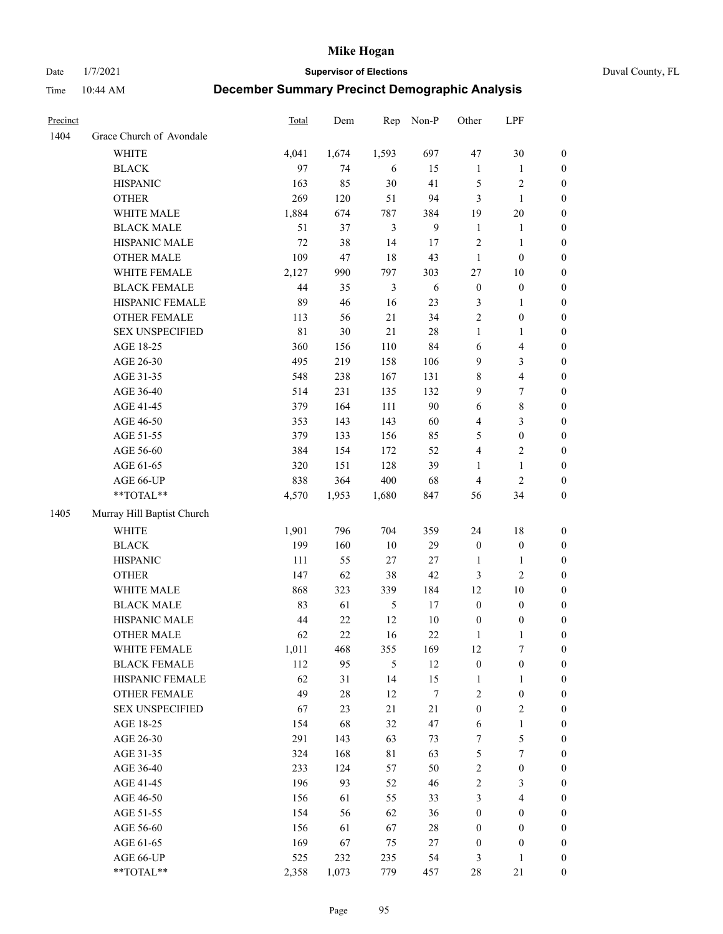Date 1/7/2021 **Supervisor of Elections** Duval County, FL

| Precinct |                            | <b>Total</b> | Dem    | Rep            | Non-P      | Other               | LPF                   |                  |
|----------|----------------------------|--------------|--------|----------------|------------|---------------------|-----------------------|------------------|
| 1404     | Grace Church of Avondale   |              |        |                |            |                     |                       |                  |
|          | <b>WHITE</b>               | 4,041        | 1,674  | 1,593          | 697        | 47                  | 30                    | 0                |
|          | <b>BLACK</b>               | 97           | 74     | 6              | 15         | $\mathbf{1}$        | $\mathbf{1}$          | $\boldsymbol{0}$ |
|          | <b>HISPANIC</b>            | 163          | 85     | 30             | 41         | 5                   | $\sqrt{2}$            | $\boldsymbol{0}$ |
|          | <b>OTHER</b>               | 269          | 120    | 51             | 94         | 3                   | $\mathbf{1}$          | $\boldsymbol{0}$ |
|          | WHITE MALE                 | 1,884        | 674    | 787            | 384        | 19                  | 20                    | $\boldsymbol{0}$ |
|          | <b>BLACK MALE</b>          | 51           | 37     | 3              | 9          | $\mathbf{1}$        | 1                     | $\boldsymbol{0}$ |
|          | HISPANIC MALE              | 72           | 38     | 14             | 17         | 2                   | $\mathbf{1}$          | $\boldsymbol{0}$ |
|          | <b>OTHER MALE</b>          | 109          | 47     | 18             | 43         | $\mathbf{1}$        | $\boldsymbol{0}$      | $\boldsymbol{0}$ |
|          | WHITE FEMALE               | 2,127        | 990    | 797            | 303        | 27                  | 10                    | $\boldsymbol{0}$ |
|          | <b>BLACK FEMALE</b>        | 44           | 35     | $\mathfrak{Z}$ | $\sqrt{6}$ | $\boldsymbol{0}$    | $\boldsymbol{0}$      | 0                |
|          | HISPANIC FEMALE            | 89           | 46     | 16             | 23         | 3                   | $\mathbf{1}$          | 0                |
|          | OTHER FEMALE               | 113          | 56     | 21             | 34         | $\overline{2}$      | $\boldsymbol{0}$      | $\boldsymbol{0}$ |
|          | <b>SEX UNSPECIFIED</b>     | 81           | 30     | 21             | $28\,$     | $\mathbf{1}$        | $\mathbf{1}$          | $\boldsymbol{0}$ |
|          | AGE 18-25                  | 360          | 156    | 110            | 84         | 6                   | $\overline{4}$        | $\boldsymbol{0}$ |
|          | AGE 26-30                  | 495          | 219    | 158            | 106        | 9                   | $\mathfrak{Z}$        | $\boldsymbol{0}$ |
|          | AGE 31-35                  | 548          | 238    | 167            | 131        | 8                   | $\overline{4}$        | $\boldsymbol{0}$ |
|          | AGE 36-40                  | 514          | 231    | 135            | 132        | 9                   | $\boldsymbol{7}$      | $\boldsymbol{0}$ |
|          | AGE 41-45                  | 379          | 164    | 111            | 90         | $\sqrt{6}$          | $\,$ 8 $\,$           | $\boldsymbol{0}$ |
|          | AGE 46-50                  | 353          | 143    | 143            | 60         | 4                   | $\mathfrak{Z}$        | $\boldsymbol{0}$ |
|          | AGE 51-55                  | 379          | 133    | 156            | 85         | 5                   | $\boldsymbol{0}$      | $\boldsymbol{0}$ |
|          | AGE 56-60                  | 384          | 154    | 172            | 52         | 4                   | $\sqrt{2}$            | 0                |
|          | AGE 61-65                  | 320          | 151    | 128            | 39         | $\mathbf{1}$        | $\mathbf{1}$          | 0                |
|          | AGE 66-UP                  | 838          | 364    | 400            | 68         | $\overline{4}$      | $\mathfrak{2}$        | $\boldsymbol{0}$ |
|          | $**TOTAL**$                | 4,570        | 1,953  | 1,680          | 847        | 56                  | 34                    | $\boldsymbol{0}$ |
| 1405     | Murray Hill Baptist Church |              |        |                |            |                     |                       |                  |
|          | <b>WHITE</b>               | 1,901        | 796    | 704            | 359        | 24                  | 18                    | $\boldsymbol{0}$ |
|          | <b>BLACK</b>               | 199          | 160    | $10\,$         | 29         | $\boldsymbol{0}$    | $\boldsymbol{0}$      | $\boldsymbol{0}$ |
|          | <b>HISPANIC</b>            | 111          | 55     | 27             | $27\,$     | $\mathbf{1}$        | $\mathbf{1}$          | $\boldsymbol{0}$ |
|          | <b>OTHER</b>               | 147          | 62     | 38             | 42         | 3                   | $\mathfrak{2}$        | $\boldsymbol{0}$ |
|          | WHITE MALE                 | 868          | 323    | 339            | 184        | 12                  | 10                    | $\boldsymbol{0}$ |
|          | <b>BLACK MALE</b>          | 83           | 61     | $\mathfrak{H}$ | 17         | $\boldsymbol{0}$    | $\boldsymbol{0}$      | $\boldsymbol{0}$ |
|          | HISPANIC MALE              | 44           | $22\,$ | 12             | $10\,$     | $\boldsymbol{0}$    | $\boldsymbol{0}$      | 0                |
|          | <b>OTHER MALE</b>          | 62           | 22     | 16             | 22         | $\mathbf{1}$        | $\mathbf{1}$          | $\boldsymbol{0}$ |
|          | WHITE FEMALE               | 1,011        | 468    | 355            | 169        | 12                  | 7                     | 0                |
|          | <b>BLACK FEMALE</b>        | 112          | 95     | 5              | 12         | $\boldsymbol{0}$    | $\boldsymbol{0}$      | $\overline{0}$   |
|          | HISPANIC FEMALE            | 62           | 31     | 14             | 15         | $\mathbf{1}$        | $\mathbf{1}$          | $\overline{0}$   |
|          | <b>OTHER FEMALE</b>        | 49           | $28\,$ | 12             | 7          | 2                   | $\boldsymbol{0}$      | 0                |
|          | <b>SEX UNSPECIFIED</b>     | 67           | 23     | 21             | 21         | $\boldsymbol{0}$    | $\mathfrak{2}$        | 0                |
|          | AGE 18-25                  | 154          | 68     | 32             | 47         | 6                   | $\mathbf{1}$          | 0                |
|          | AGE 26-30                  | 291          | 143    | 63             | 73         | 7                   | $\mathfrak s$         | 0                |
|          | AGE 31-35                  | 324          | 168    | 81             | 63         | 5                   | $\boldsymbol{7}$      | 0                |
|          | AGE 36-40                  | 233          | 124    | 57             | 50         |                     |                       |                  |
|          | AGE 41-45                  | 196          | 93     | 52             | 46         | 2<br>$\overline{c}$ | $\boldsymbol{0}$<br>3 | 0<br>0           |
|          |                            |              |        |                |            |                     |                       |                  |
|          | AGE 46-50                  | 156          | 61     | 55             | 33         | 3                   | $\overline{4}$        | 0                |
|          | AGE 51-55                  | 154          | 56     | 62             | 36         | $\boldsymbol{0}$    | $\boldsymbol{0}$      | 0                |
|          | AGE 56-60                  | 156          | 61     | 67             | 28         | $\boldsymbol{0}$    | $\boldsymbol{0}$      | $\overline{0}$   |
|          | AGE 61-65                  | 169          | 67     | 75             | 27         | $\boldsymbol{0}$    | $\boldsymbol{0}$      | 0                |
|          | AGE 66-UP                  | 525          | 232    | 235            | 54         | 3                   | $\mathbf{1}$          | 0                |
|          | **TOTAL**                  | 2,358        | 1,073  | 779            | 457        | 28                  | $21\,$                | $\boldsymbol{0}$ |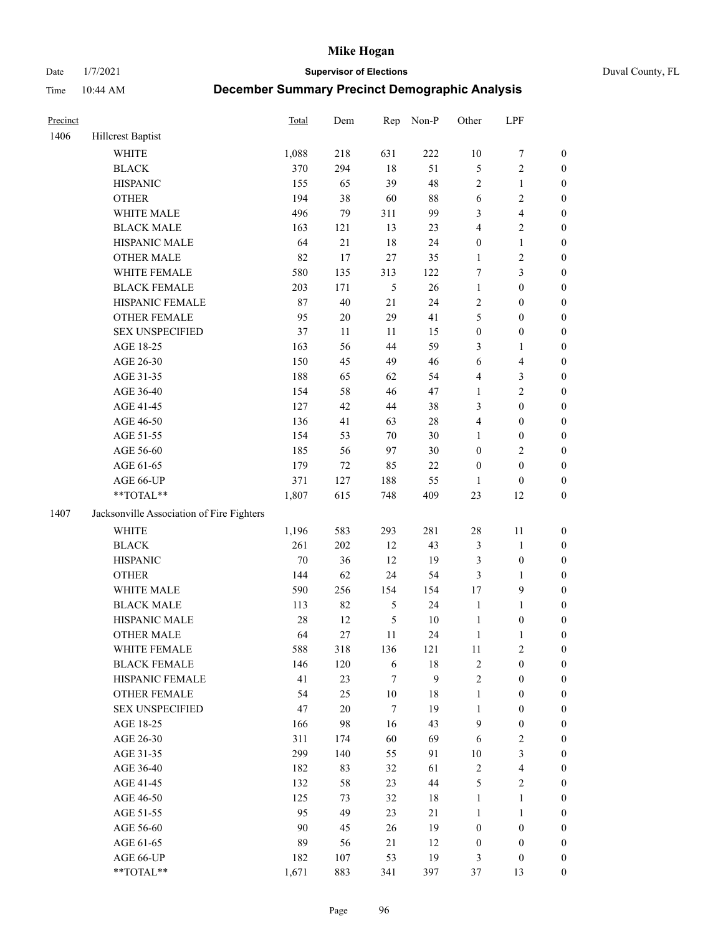Date 1/7/2021 **Supervisor of Elections** Duval County, FL

| Precinct |                                           | Total | Dem    | Rep            | Non-P  | Other            | LPF                     |                  |
|----------|-------------------------------------------|-------|--------|----------------|--------|------------------|-------------------------|------------------|
| 1406     | <b>Hillcrest Baptist</b>                  |       |        |                |        |                  |                         |                  |
|          | <b>WHITE</b>                              | 1,088 | 218    | 631            | 222    | $10\,$           | $\boldsymbol{7}$        | 0                |
|          | <b>BLACK</b>                              | 370   | 294    | $18\,$         | 51     | 5                | $\sqrt{2}$              | $\boldsymbol{0}$ |
|          | <b>HISPANIC</b>                           | 155   | 65     | 39             | 48     | $\sqrt{2}$       | $\mathbf{1}$            | $\boldsymbol{0}$ |
|          | <b>OTHER</b>                              | 194   | 38     | 60             | $88\,$ | 6                | $\sqrt{2}$              | $\boldsymbol{0}$ |
|          | WHITE MALE                                | 496   | 79     | 311            | 99     | 3                | $\overline{\mathbf{4}}$ | $\boldsymbol{0}$ |
|          | <b>BLACK MALE</b>                         | 163   | 121    | 13             | 23     | 4                | $\sqrt{2}$              | $\boldsymbol{0}$ |
|          | HISPANIC MALE                             | 64    | 21     | 18             | 24     | $\boldsymbol{0}$ | $\mathbf{1}$            | $\boldsymbol{0}$ |
|          | <b>OTHER MALE</b>                         | 82    | 17     | 27             | 35     | $\mathbf{1}$     | $\sqrt{2}$              | $\boldsymbol{0}$ |
|          | WHITE FEMALE                              | 580   | 135    | 313            | 122    | 7                | $\mathfrak{Z}$          | $\boldsymbol{0}$ |
|          | <b>BLACK FEMALE</b>                       | 203   | 171    | $\mathfrak{S}$ | 26     | $\mathbf{1}$     | $\boldsymbol{0}$        | $\boldsymbol{0}$ |
|          | HISPANIC FEMALE                           | 87    | 40     | 21             | 24     | $\overline{c}$   | $\boldsymbol{0}$        | 0                |
|          | OTHER FEMALE                              | 95    | $20\,$ | 29             | 41     | 5                | $\boldsymbol{0}$        | $\boldsymbol{0}$ |
|          | <b>SEX UNSPECIFIED</b>                    | 37    | 11     | 11             | 15     | $\boldsymbol{0}$ | $\boldsymbol{0}$        | $\boldsymbol{0}$ |
|          | AGE 18-25                                 | 163   | 56     | 44             | 59     | 3                | 1                       | $\boldsymbol{0}$ |
|          | AGE 26-30                                 | 150   | 45     | 49             | 46     | 6                | $\overline{\mathbf{4}}$ | $\boldsymbol{0}$ |
|          | AGE 31-35                                 | 188   | 65     | 62             | 54     | 4                | $\mathfrak{Z}$          | $\boldsymbol{0}$ |
|          | AGE 36-40                                 | 154   | 58     | 46             | 47     | $\mathbf{1}$     | $\sqrt{2}$              | $\boldsymbol{0}$ |
|          | AGE 41-45                                 | 127   | 42     | $44\,$         | 38     | 3                | $\boldsymbol{0}$        | $\boldsymbol{0}$ |
|          | AGE 46-50                                 | 136   | 41     | 63             | $28\,$ | 4                | $\boldsymbol{0}$        | $\boldsymbol{0}$ |
|          | AGE 51-55                                 | 154   | 53     | $70\,$         | $30\,$ | 1                | $\boldsymbol{0}$        | $\boldsymbol{0}$ |
|          | AGE 56-60                                 | 185   | 56     | 97             | $30\,$ | $\boldsymbol{0}$ | $\sqrt{2}$              | 0                |
|          | AGE 61-65                                 | 179   | 72     | 85             | $22\,$ | $\boldsymbol{0}$ | $\boldsymbol{0}$        | $\boldsymbol{0}$ |
|          | AGE 66-UP                                 | 371   | 127    | 188            | 55     | $\mathbf{1}$     | $\boldsymbol{0}$        | $\boldsymbol{0}$ |
|          | **TOTAL**                                 | 1,807 | 615    | 748            | 409    | 23               | 12                      | $\boldsymbol{0}$ |
| 1407     | Jacksonville Association of Fire Fighters |       |        |                |        |                  |                         |                  |
|          | <b>WHITE</b>                              | 1,196 | 583    | 293            | 281    | $28\,$           | 11                      | $\boldsymbol{0}$ |
|          | <b>BLACK</b>                              | 261   | 202    | 12             | 43     | 3                | $\mathbf{1}$            | $\boldsymbol{0}$ |
|          | <b>HISPANIC</b>                           | 70    | 36     | 12             | 19     | 3                | $\boldsymbol{0}$        | $\boldsymbol{0}$ |
|          | <b>OTHER</b>                              | 144   | 62     | 24             | 54     | 3                | $\mathbf{1}$            | $\boldsymbol{0}$ |
|          | WHITE MALE                                | 590   | 256    | 154            | 154    | 17               | $\mathbf{9}$            | $\boldsymbol{0}$ |
|          | <b>BLACK MALE</b>                         | 113   | 82     | $\sqrt{5}$     | 24     | $\mathbf{1}$     | $\mathbf{1}$            | $\boldsymbol{0}$ |
|          | HISPANIC MALE                             | 28    | 12     | $\mathfrak{S}$ | $10\,$ | $\mathbf{1}$     | $\boldsymbol{0}$        | $\boldsymbol{0}$ |
|          | OTHER MALE                                | 64    | 27     | 11             | 24     | $\mathbf{1}$     | $\mathbf{1}$            | $\boldsymbol{0}$ |
|          | WHITE FEMALE                              | 588   | 318    | 136            | 121    | 11               | 2                       | 0                |
|          | <b>BLACK FEMALE</b>                       | 146   | 120    | 6              | 18     | 2                | $\boldsymbol{0}$        | $\overline{0}$   |
|          | HISPANIC FEMALE                           | 41    | 23     | 7              | 9      | $\overline{c}$   | $\boldsymbol{0}$        | $\overline{0}$   |
|          | <b>OTHER FEMALE</b>                       | 54    | 25     | $10\,$         | 18     | $\mathbf{1}$     | $\boldsymbol{0}$        | $\overline{0}$   |
|          | <b>SEX UNSPECIFIED</b>                    | 47    | $20\,$ | 7              | 19     | $\mathbf{1}$     | $\boldsymbol{0}$        | 0                |
|          | AGE 18-25                                 | 166   | 98     | 16             | 43     | 9                | $\boldsymbol{0}$        | 0                |
|          | AGE 26-30                                 | 311   | 174    | 60             | 69     | 6                | $\sqrt{2}$              | 0                |
|          | AGE 31-35                                 | 299   | 140    | 55             | 91     | $10\,$           | $\mathfrak{Z}$          | 0                |
|          | AGE 36-40                                 | 182   | 83     | 32             | 61     | $\sqrt{2}$       | $\overline{\mathbf{4}}$ | 0                |
|          | AGE 41-45                                 | 132   | 58     | 23             | $44\,$ | 5                | $\overline{2}$          | 0                |
|          | AGE 46-50                                 | 125   | 73     | 32             | 18     | $\mathbf{1}$     | $\mathbf{1}$            | 0                |
|          | AGE 51-55                                 | 95    | 49     | 23             | 21     | $\mathbf{1}$     | $\mathbf{1}$            | 0                |
|          | AGE 56-60                                 | 90    | 45     | 26             | 19     | $\boldsymbol{0}$ | $\boldsymbol{0}$        | 0                |
|          | AGE 61-65                                 | 89    | 56     | 21             | 12     | $\boldsymbol{0}$ | $\boldsymbol{0}$        | $\overline{0}$   |
|          | AGE 66-UP                                 | 182   | 107    | 53             | 19     | 3                | $\boldsymbol{0}$        | 0                |
|          | **TOTAL**                                 | 1,671 | 883    | 341            | 397    | 37               | 13                      | $\boldsymbol{0}$ |
|          |                                           |       |        |                |        |                  |                         |                  |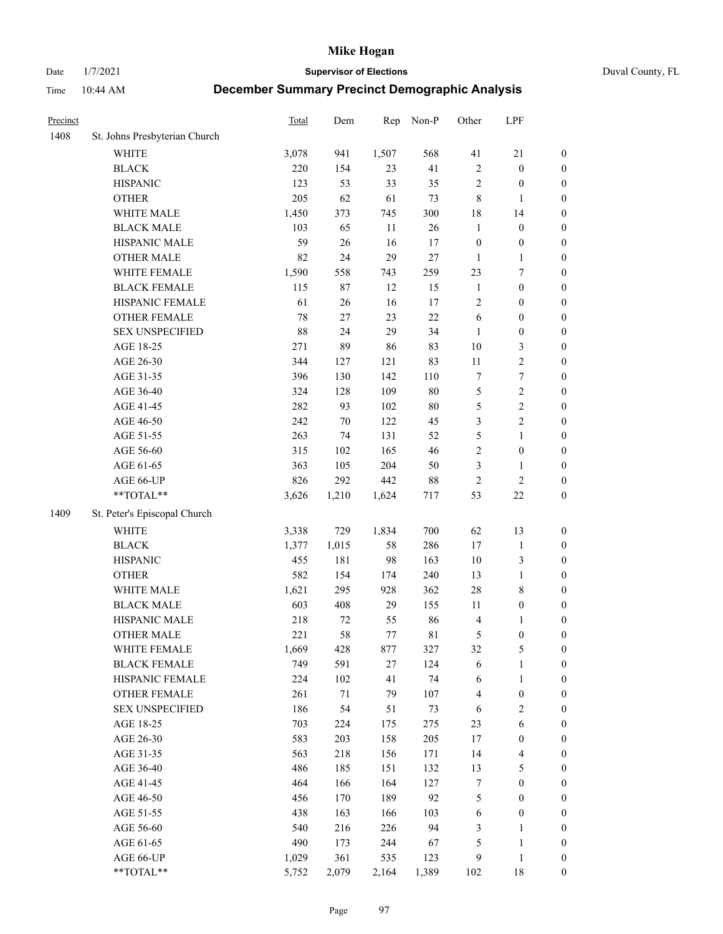Date 1/7/2021 **Supervisor of Elections** Duval County, FL

| Precinct |                               | <b>Total</b> | Dem    | Rep   | Non-P       | Other                   | LPF                     |                  |
|----------|-------------------------------|--------------|--------|-------|-------------|-------------------------|-------------------------|------------------|
| 1408     | St. Johns Presbyterian Church |              |        |       |             |                         |                         |                  |
|          | <b>WHITE</b>                  | 3,078        | 941    | 1,507 | 568         | 41                      | $21\,$                  | 0                |
|          | <b>BLACK</b>                  | 220          | 154    | 23    | 41          | $\sqrt{2}$              | $\boldsymbol{0}$        | 0                |
|          | <b>HISPANIC</b>               | 123          | 53     | 33    | 35          | $\sqrt{2}$              | $\boldsymbol{0}$        | $\boldsymbol{0}$ |
|          | <b>OTHER</b>                  | 205          | 62     | 61    | 73          | 8                       | $\mathbf{1}$            | $\boldsymbol{0}$ |
|          | WHITE MALE                    | 1,450        | 373    | 745   | 300         | 18                      | 14                      | $\boldsymbol{0}$ |
|          | <b>BLACK MALE</b>             | 103          | 65     | 11    | 26          | $\mathbf{1}$            | $\boldsymbol{0}$        | $\boldsymbol{0}$ |
|          | HISPANIC MALE                 | 59           | 26     | 16    | 17          | $\boldsymbol{0}$        | $\boldsymbol{0}$        | $\boldsymbol{0}$ |
|          | <b>OTHER MALE</b>             | 82           | 24     | 29    | $27\,$      | $\mathbf{1}$            | $\mathbf{1}$            | $\boldsymbol{0}$ |
|          | WHITE FEMALE                  | 1,590        | 558    | 743   | 259         | 23                      | $\boldsymbol{7}$        | $\boldsymbol{0}$ |
|          | <b>BLACK FEMALE</b>           | 115          | 87     | 12    | 15          | $\mathbf{1}$            | $\boldsymbol{0}$        | $\boldsymbol{0}$ |
|          | HISPANIC FEMALE               | 61           | 26     | 16    | 17          | $\sqrt{2}$              | $\boldsymbol{0}$        | 0                |
|          | OTHER FEMALE                  | 78           | 27     | 23    | 22          | 6                       | $\boldsymbol{0}$        | $\boldsymbol{0}$ |
|          | <b>SEX UNSPECIFIED</b>        | 88           | 24     | 29    | 34          | $\mathbf{1}$            | $\boldsymbol{0}$        | $\boldsymbol{0}$ |
|          | AGE 18-25                     | 271          | 89     | 86    | 83          | $10\,$                  | $\mathfrak{Z}$          | $\boldsymbol{0}$ |
|          | AGE 26-30                     | 344          | 127    | 121   | 83          | $11\,$                  | $\sqrt{2}$              | $\boldsymbol{0}$ |
|          | AGE 31-35                     | 396          | 130    | 142   | 110         | 7                       | $\boldsymbol{7}$        | $\boldsymbol{0}$ |
|          | AGE 36-40                     | 324          | 128    | 109   | $80\,$      | 5                       | $\sqrt{2}$              | $\boldsymbol{0}$ |
|          | AGE 41-45                     | 282          | 93     | 102   | $80\,$      | 5                       | $\sqrt{2}$              | $\boldsymbol{0}$ |
|          | AGE 46-50                     | 242          | $70\,$ | 122   | 45          | 3                       | $\overline{2}$          | $\boldsymbol{0}$ |
|          | AGE 51-55                     | 263          | 74     | 131   | 52          | 5                       | $\mathbf{1}$            | $\boldsymbol{0}$ |
|          | AGE 56-60                     | 315          | 102    | 165   | 46          | $\sqrt{2}$              | $\boldsymbol{0}$        | 0                |
|          | AGE 61-65                     | 363          | 105    | 204   | 50          | 3                       | $\mathbf{1}$            | 0                |
|          | AGE 66-UP                     | 826          | 292    | 442   | $88\,$      | $\sqrt{2}$              | $\sqrt{2}$              | $\boldsymbol{0}$ |
|          | **TOTAL**                     | 3,626        | 1,210  | 1,624 | 717         | 53                      | $22\,$                  | $\boldsymbol{0}$ |
| 1409     | St. Peter's Episcopal Church  |              |        |       |             |                         |                         |                  |
|          | <b>WHITE</b>                  | 3,338        | 729    | 1,834 | 700         | 62                      | 13                      | $\boldsymbol{0}$ |
|          | <b>BLACK</b>                  | 1,377        | 1,015  | 58    | 286         | 17                      | $\mathbf{1}$            | $\boldsymbol{0}$ |
|          | <b>HISPANIC</b>               | 455          | 181    | 98    | 163         | 10                      | $\mathfrak{Z}$          | $\boldsymbol{0}$ |
|          | <b>OTHER</b>                  | 582          | 154    | 174   | 240         | 13                      | $\mathbf{1}$            | $\boldsymbol{0}$ |
|          | WHITE MALE                    | 1,621        | 295    | 928   | 362         | 28                      | $8\,$                   | $\boldsymbol{0}$ |
|          | <b>BLACK MALE</b>             | 603          | 408    | 29    | 155         | 11                      | $\boldsymbol{0}$        | $\boldsymbol{0}$ |
|          | HISPANIC MALE                 | 218          | 72     | 55    | 86          | $\overline{\mathbf{4}}$ | 1                       | $\boldsymbol{0}$ |
|          | <b>OTHER MALE</b>             | 221          | 58     | 77    | $8\sqrt{1}$ | 5                       | $\boldsymbol{0}$        | $\boldsymbol{0}$ |
|          | WHITE FEMALE                  | 1,669        | 428    | 877   | 327         | 32                      | 5                       | 0                |
|          | <b>BLACK FEMALE</b>           | 749          | 591    | 27    | 124         | 6                       | $\mathbf{1}$            | $\boldsymbol{0}$ |
|          | HISPANIC FEMALE               | 224          | 102    | 41    | 74          | 6                       | $\mathbf{1}$            | $\boldsymbol{0}$ |
|          | <b>OTHER FEMALE</b>           | 261          | $71\,$ | 79    | 107         | 4                       | $\boldsymbol{0}$        | 0                |
|          | <b>SEX UNSPECIFIED</b>        | 186          | 54     | 51    | 73          | 6                       | $\mathbf{2}$            | 0                |
|          | AGE 18-25                     | 703          | 224    | 175   | 275         | 23                      | $\sqrt{6}$              | 0                |
|          | AGE 26-30                     | 583          | 203    | 158   | 205         | 17                      | $\boldsymbol{0}$        | 0                |
|          | AGE 31-35                     | 563          | 218    | 156   | 171         | 14                      | $\overline{\mathbf{4}}$ | 0                |
|          | AGE 36-40                     | 486          | 185    | 151   | 132         | 13                      | $\mathfrak{S}$          | 0                |
|          | AGE 41-45                     | 464          | 166    | 164   | 127         | $\boldsymbol{7}$        | $\boldsymbol{0}$        | 0                |
|          | AGE 46-50                     | 456          | 170    | 189   | 92          | 5                       | $\boldsymbol{0}$        | 0                |
|          | AGE 51-55                     | 438          | 163    | 166   | 103         | 6                       | $\boldsymbol{0}$        | 0                |
|          | AGE 56-60                     | 540          | 216    | 226   | 94          | 3                       | 1                       | $\boldsymbol{0}$ |
|          | AGE 61-65                     | 490          | 173    | 244   | 67          | 5                       | $\mathbf{1}$            | $\boldsymbol{0}$ |
|          | AGE 66-UP                     | 1,029        | 361    | 535   | 123         | 9                       | $\mathbf{1}$            | 0                |
|          | **TOTAL**                     | 5,752        | 2,079  | 2,164 | 1,389       | 102                     | 18                      | $\boldsymbol{0}$ |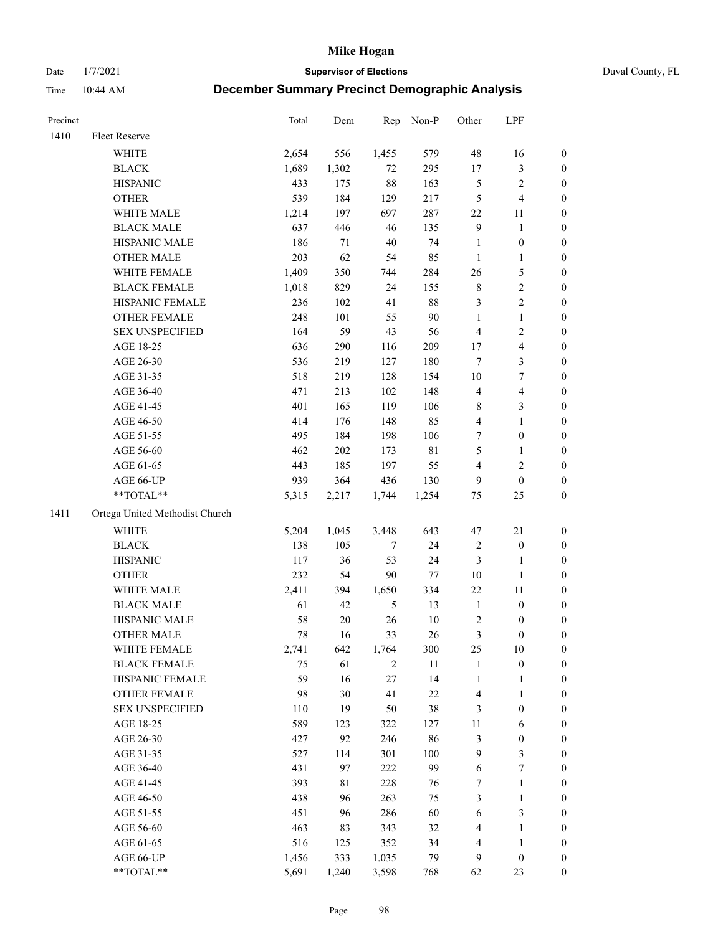Date 1/7/2021 **Supervisor of Elections** Duval County, FL

| Precinct |                                | Total | Dem    | Rep    | Non-P       | Other                   | LPF              |                  |
|----------|--------------------------------|-------|--------|--------|-------------|-------------------------|------------------|------------------|
| 1410     | Fleet Reserve                  |       |        |        |             |                         |                  |                  |
|          | <b>WHITE</b>                   | 2,654 | 556    | 1,455  | 579         | 48                      | 16               | 0                |
|          | <b>BLACK</b>                   | 1,689 | 1,302  | 72     | 295         | $17\,$                  | $\mathfrak{Z}$   | 0                |
|          | <b>HISPANIC</b>                | 433   | 175    | 88     | 163         | 5                       | $\sqrt{2}$       | $\boldsymbol{0}$ |
|          | <b>OTHER</b>                   | 539   | 184    | 129    | 217         | 5                       | $\overline{4}$   | $\boldsymbol{0}$ |
|          | WHITE MALE                     | 1,214 | 197    | 697    | 287         | 22                      | 11               | $\boldsymbol{0}$ |
|          | <b>BLACK MALE</b>              | 637   | 446    | 46     | 135         | 9                       | $\mathbf{1}$     | $\boldsymbol{0}$ |
|          | HISPANIC MALE                  | 186   | 71     | $40\,$ | 74          | $\mathbf{1}$            | $\boldsymbol{0}$ | $\boldsymbol{0}$ |
|          | <b>OTHER MALE</b>              | 203   | 62     | 54     | 85          | $\mathbf{1}$            | $\mathbf{1}$     | $\boldsymbol{0}$ |
|          | WHITE FEMALE                   | 1,409 | 350    | 744    | 284         | 26                      | $\mathfrak s$    | $\boldsymbol{0}$ |
|          | <b>BLACK FEMALE</b>            | 1,018 | 829    | 24     | 155         | 8                       | $\sqrt{2}$       | 0                |
|          | HISPANIC FEMALE                | 236   | 102    | 41     | 88          | 3                       | $\sqrt{2}$       | 0                |
|          | OTHER FEMALE                   | 248   | 101    | 55     | 90          | $\mathbf{1}$            | $\mathbf{1}$     | 0                |
|          | <b>SEX UNSPECIFIED</b>         | 164   | 59     | 43     | 56          | $\overline{4}$          | $\sqrt{2}$       | $\boldsymbol{0}$ |
|          | AGE 18-25                      | 636   | 290    | 116    | 209         | 17                      | $\overline{4}$   | $\boldsymbol{0}$ |
|          | AGE 26-30                      | 536   | 219    | 127    | 180         | 7                       | $\mathfrak{Z}$   | $\boldsymbol{0}$ |
|          | AGE 31-35                      | 518   | 219    | 128    | 154         | 10                      | $\boldsymbol{7}$ | $\boldsymbol{0}$ |
|          | AGE 36-40                      | 471   | 213    | 102    | 148         | 4                       | $\overline{4}$   | $\boldsymbol{0}$ |
|          | AGE 41-45                      | 401   | 165    | 119    | 106         | 8                       | 3                | $\boldsymbol{0}$ |
|          | AGE 46-50                      | 414   | 176    | 148    | 85          | 4                       | $\mathbf{1}$     | $\boldsymbol{0}$ |
|          | AGE 51-55                      | 495   | 184    | 198    | 106         | 7                       | $\boldsymbol{0}$ | 0                |
|          | AGE 56-60                      | 462   | 202    | 173    | $8\sqrt{1}$ | 5                       | 1                | 0                |
|          | AGE 61-65                      | 443   | 185    | 197    | 55          | 4                       | $\sqrt{2}$       | 0                |
|          | AGE 66-UP                      | 939   | 364    | 436    | 130         | 9                       | $\boldsymbol{0}$ | $\boldsymbol{0}$ |
|          | $**TOTAL**$                    | 5,315 | 2,217  | 1,744  | 1,254       | 75                      | 25               | $\boldsymbol{0}$ |
| 1411     | Ortega United Methodist Church |       |        |        |             |                         |                  |                  |
|          | <b>WHITE</b>                   | 5,204 | 1,045  | 3,448  | 643         | 47                      | $21\,$           | $\boldsymbol{0}$ |
|          | <b>BLACK</b>                   | 138   | 105    | 7      | 24          | $\overline{\mathbf{c}}$ | $\boldsymbol{0}$ | $\boldsymbol{0}$ |
|          | <b>HISPANIC</b>                | 117   | 36     | 53     | 24          | 3                       | $\mathbf{1}$     | $\boldsymbol{0}$ |
|          | <b>OTHER</b>                   | 232   | 54     | 90     | 77          | 10                      | $\mathbf{1}$     | $\boldsymbol{0}$ |
|          | WHITE MALE                     | 2,411 | 394    | 1,650  | 334         | 22                      | 11               | $\boldsymbol{0}$ |
|          | <b>BLACK MALE</b>              | 61    | 42     | 5      | 13          | $\mathbf{1}$            | $\boldsymbol{0}$ | $\boldsymbol{0}$ |
|          | HISPANIC MALE                  | 58    | $20\,$ | 26     | $10\,$      | 2                       | $\boldsymbol{0}$ | 0                |
|          | <b>OTHER MALE</b>              | 78    | 16     | 33     | 26          | 3                       | $\boldsymbol{0}$ | 0                |
|          | WHITE FEMALE                   | 2,741 | 642    | 1,764  | 300         | 25                      | 10               | 0                |
|          | <b>BLACK FEMALE</b>            | 75    | 61     | 2      | $11\,$      | $\mathbf{1}$            | $\boldsymbol{0}$ | $\boldsymbol{0}$ |
|          | HISPANIC FEMALE                | 59    | 16     | 27     | 14          | $\mathbf{1}$            | $\mathbf{1}$     | $\boldsymbol{0}$ |
|          | OTHER FEMALE                   | 98    | 30     | 41     | $22\,$      | 4                       | $\mathbf{1}$     | $\overline{0}$   |
|          | <b>SEX UNSPECIFIED</b>         | 110   | 19     | 50     | 38          | 3                       | $\boldsymbol{0}$ | 0                |
|          | AGE 18-25                      | 589   | 123    | 322    | 127         | 11                      | 6                | 0                |
|          | AGE 26-30                      | 427   | 92     | 246    | 86          | 3                       | $\boldsymbol{0}$ | 0                |
|          | AGE 31-35                      | 527   | 114    | 301    | 100         | 9                       | $\mathfrak{Z}$   | 0                |
|          | AGE 36-40                      | 431   | 97     | 222    | 99          | 6                       | $\boldsymbol{7}$ | 0                |
|          | AGE 41-45                      | 393   | 81     | 228    | 76          | 7                       | $\mathbf{1}$     | 0                |
|          | AGE 46-50                      | 438   | 96     | 263    | 75          | 3                       | $\mathbf{1}$     | 0                |
|          | AGE 51-55                      | 451   | 96     | 286    | 60          | 6                       | 3                | 0                |
|          | AGE 56-60                      | 463   | 83     | 343    | 32          | 4                       | $\mathbf{1}$     | 0                |
|          | AGE 61-65                      | 516   | 125    | 352    | 34          | 4                       | $\mathbf{1}$     | 0                |
|          | AGE 66-UP                      | 1,456 | 333    | 1,035  | 79          | 9                       | $\boldsymbol{0}$ | 0                |
|          | **TOTAL**                      | 5,691 | 1,240  | 3,598  | 768         | 62                      | 23               | $\boldsymbol{0}$ |
|          |                                |       |        |        |             |                         |                  |                  |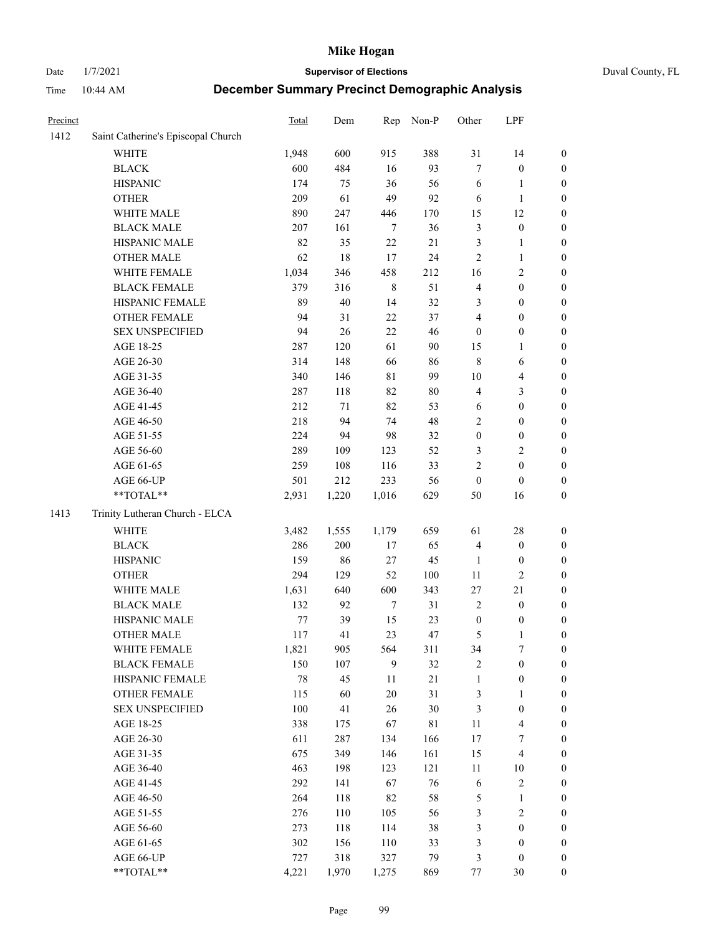# Date 1/7/2021 **Supervisor of Elections** Duval County, FL

| Precinct |                                    | <b>Total</b> | Dem    | Rep         | Non-P  | Other            | LPF              |                  |
|----------|------------------------------------|--------------|--------|-------------|--------|------------------|------------------|------------------|
| 1412     | Saint Catherine's Episcopal Church |              |        |             |        |                  |                  |                  |
|          | <b>WHITE</b>                       | 1,948        | 600    | 915         | 388    | 31               | 14               | 0                |
|          | <b>BLACK</b>                       | 600          | 484    | 16          | 93     | $\tau$           | $\boldsymbol{0}$ | 0                |
|          | <b>HISPANIC</b>                    | 174          | 75     | 36          | 56     | 6                | $\mathbf{1}$     | $\boldsymbol{0}$ |
|          | <b>OTHER</b>                       | 209          | 61     | 49          | 92     | 6                | $\mathbf{1}$     | $\boldsymbol{0}$ |
|          | WHITE MALE                         | 890          | 247    | 446         | 170    | 15               | 12               | $\boldsymbol{0}$ |
|          | <b>BLACK MALE</b>                  | 207          | 161    | $\tau$      | 36     | 3                | $\boldsymbol{0}$ | $\boldsymbol{0}$ |
|          | HISPANIC MALE                      | 82           | 35     | 22          | $21\,$ | 3                | $\mathbf{1}$     | $\boldsymbol{0}$ |
|          | <b>OTHER MALE</b>                  | 62           | 18     | 17          | 24     | 2                | $\mathbf{1}$     | $\boldsymbol{0}$ |
|          | WHITE FEMALE                       | 1,034        | 346    | 458         | 212    | 16               | $\sqrt{2}$       | $\boldsymbol{0}$ |
|          | <b>BLACK FEMALE</b>                | 379          | 316    | $\,$ 8 $\,$ | 51     | 4                | $\boldsymbol{0}$ | $\boldsymbol{0}$ |
|          | HISPANIC FEMALE                    | 89           | 40     | 14          | 32     | 3                | $\boldsymbol{0}$ | $\boldsymbol{0}$ |
|          | <b>OTHER FEMALE</b>                | 94           | 31     | 22          | 37     | 4                | $\boldsymbol{0}$ | $\boldsymbol{0}$ |
|          | <b>SEX UNSPECIFIED</b>             | 94           | 26     | 22          | 46     | $\boldsymbol{0}$ | $\boldsymbol{0}$ | $\boldsymbol{0}$ |
|          | AGE 18-25                          | 287          | 120    | 61          | 90     | 15               | 1                | $\boldsymbol{0}$ |
|          | AGE 26-30                          | 314          | 148    | 66          | 86     | 8                | 6                | $\boldsymbol{0}$ |
|          | AGE 31-35                          | 340          | 146    | $8\sqrt{1}$ | 99     | 10               | $\overline{4}$   | $\boldsymbol{0}$ |
|          | AGE 36-40                          | 287          | 118    | 82          | $80\,$ | 4                | 3                | $\boldsymbol{0}$ |
|          | AGE 41-45                          | 212          | $71\,$ | 82          | 53     | $\sqrt{6}$       | $\boldsymbol{0}$ | $\boldsymbol{0}$ |
|          | AGE 46-50                          | 218          | 94     | 74          | 48     | $\overline{c}$   | $\boldsymbol{0}$ | $\boldsymbol{0}$ |
|          | AGE 51-55                          | 224          | 94     | 98          | 32     | $\boldsymbol{0}$ | $\boldsymbol{0}$ | $\boldsymbol{0}$ |
|          | AGE 56-60                          | 289          | 109    | 123         | 52     | 3                | $\sqrt{2}$       | 0                |
|          | AGE 61-65                          | 259          | 108    | 116         | 33     | 2                | $\boldsymbol{0}$ | $\boldsymbol{0}$ |
|          | AGE 66-UP                          | 501          | 212    | 233         | 56     | $\boldsymbol{0}$ | $\boldsymbol{0}$ | $\boldsymbol{0}$ |
|          | **TOTAL**                          | 2,931        | 1,220  | 1,016       | 629    | 50               | 16               | $\boldsymbol{0}$ |
| 1413     | Trinity Lutheran Church - ELCA     |              |        |             |        |                  |                  |                  |
|          | <b>WHITE</b>                       | 3,482        | 1,555  | 1,179       | 659    | 61               | 28               | $\boldsymbol{0}$ |
|          | <b>BLACK</b>                       | 286          | 200    | 17          | 65     | 4                | $\boldsymbol{0}$ | $\boldsymbol{0}$ |
|          | <b>HISPANIC</b>                    | 159          | 86     | 27          | 45     | $\mathbf{1}$     | $\boldsymbol{0}$ | $\boldsymbol{0}$ |
|          | <b>OTHER</b>                       | 294          | 129    | 52          | 100    | $11\,$           | $\mathfrak{2}$   | $\boldsymbol{0}$ |
|          | WHITE MALE                         | 1,631        | 640    | 600         | 343    | 27               | 21               | $\boldsymbol{0}$ |
|          | <b>BLACK MALE</b>                  | 132          | 92     | $\tau$      | 31     | $\overline{2}$   | $\boldsymbol{0}$ | $\boldsymbol{0}$ |
|          | HISPANIC MALE                      | 77           | 39     | 15          | 23     | $\boldsymbol{0}$ | $\boldsymbol{0}$ | 0                |
|          | <b>OTHER MALE</b>                  | 117          | 41     | 23          | 47     | 5                | $\mathbf{1}$     | $\boldsymbol{0}$ |
|          | WHITE FEMALE                       | 1,821        | 905    | 564         | 311    | 34               | 7                | 0                |
|          | <b>BLACK FEMALE</b>                | 150          | 107    | 9           | 32     | 2                | $\boldsymbol{0}$ | $\boldsymbol{0}$ |
|          | HISPANIC FEMALE                    | 78           | 45     | 11          | 21     | $\mathbf{1}$     | $\boldsymbol{0}$ | $\overline{0}$   |
|          | <b>OTHER FEMALE</b>                | 115          | 60     | $20\,$      | 31     | 3                | $\mathbf{1}$     | $\overline{0}$   |
|          | <b>SEX UNSPECIFIED</b>             | 100          | 41     | 26          | $30\,$ | 3                | $\boldsymbol{0}$ | 0                |
|          | AGE 18-25                          | 338          | 175    | 67          | 81     | $11\,$           | $\overline{4}$   | 0                |
|          | AGE 26-30                          | 611          | 287    | 134         | 166    | 17               | $\boldsymbol{7}$ | 0                |
|          | AGE 31-35                          | 675          | 349    | 146         | 161    | 15               | $\overline{4}$   | 0                |
|          | AGE 36-40                          | 463          | 198    | 123         | 121    |                  |                  |                  |
|          | AGE 41-45                          | 292          | 141    | 67          | 76     | 11<br>6          | 10<br>$\sqrt{2}$ | 0                |
|          |                                    |              |        |             |        |                  |                  | 0                |
|          | AGE 46-50                          | 264          | 118    | 82          | 58     | 5                | $\mathbf{1}$     | 0                |
|          | AGE 51-55                          | 276          | 110    | 105         | 56     | 3                | $\sqrt{2}$       | 0                |
|          | AGE 56-60                          | 273          | 118    | 114         | $38\,$ | 3                | $\boldsymbol{0}$ | $\overline{0}$   |
|          | AGE 61-65                          | 302          | 156    | 110         | 33     | 3                | $\boldsymbol{0}$ | $\overline{0}$   |
|          | AGE 66-UP                          | 727          | 318    | 327         | 79     | 3                | $\boldsymbol{0}$ | 0                |
|          | **TOTAL**                          | 4,221        | 1,970  | 1,275       | 869    | 77               | 30               | $\boldsymbol{0}$ |